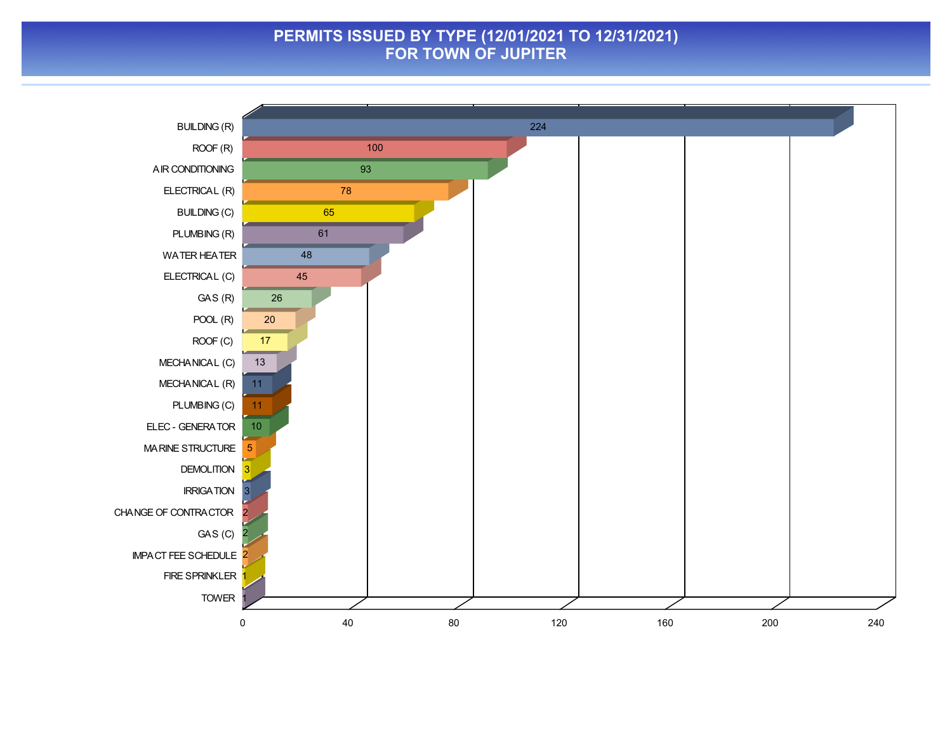#### **PERMITS ISSUED BY TYPE (12/01/2021 TO 12/31/2021) FOR TOWN OF JUPITER**

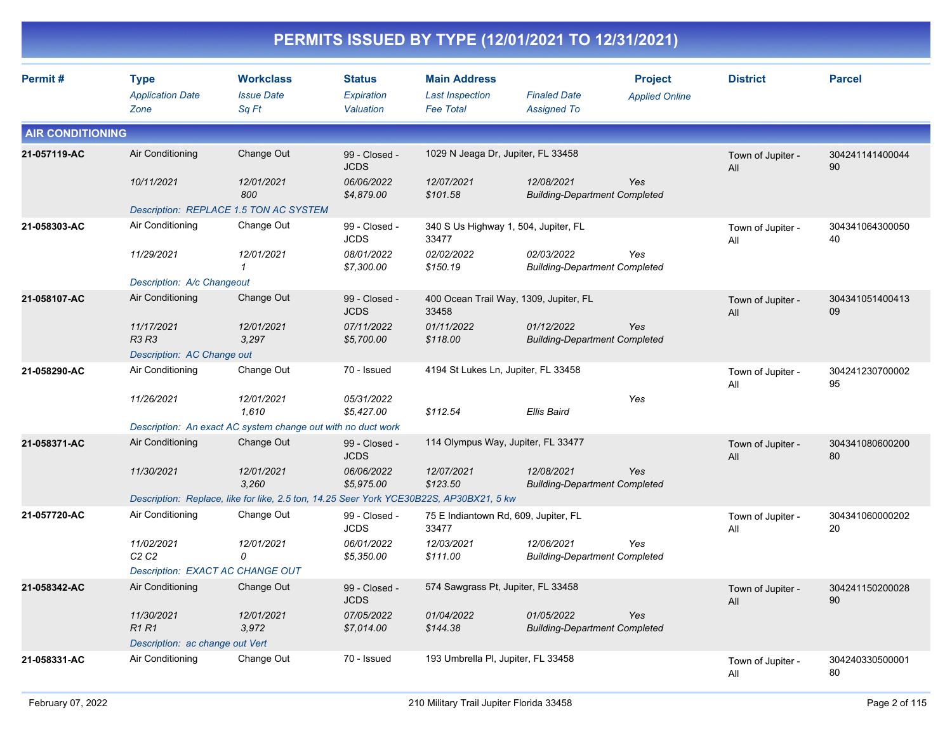|                         |                                                |                                                                                         |                                                          |                                                                         | PERMITS ISSUED BY TYPE (12/01/2021 TO 12/31/2021)  |                                         |                          |                       |
|-------------------------|------------------------------------------------|-----------------------------------------------------------------------------------------|----------------------------------------------------------|-------------------------------------------------------------------------|----------------------------------------------------|-----------------------------------------|--------------------------|-----------------------|
| Permit#                 | <b>Type</b><br><b>Application Date</b><br>Zone | <b>Workclass</b><br><b>Issue Date</b><br>Sq Ft                                          | Status<br>Expiration<br>Valuation                        | <b>Main Address</b><br><b>Last Inspection</b><br><b>Fee Total</b>       | <b>Finaled Date</b><br><b>Assigned To</b>          | <b>Project</b><br><b>Applied Online</b> | <b>District</b>          | <b>Parcel</b>         |
| <b>AIR CONDITIONING</b> |                                                |                                                                                         |                                                          |                                                                         |                                                    |                                         |                          |                       |
| 21-057119-AC            | Air Conditioning<br>10/11/2021                 | Change Out<br>12/01/2021<br>800                                                         | 99 - Closed -<br><b>JCDS</b><br>06/06/2022<br>\$4,879.00 | 1029 N Jeaga Dr, Jupiter, FL 33458<br>12/07/2021<br>\$101.58            | 12/08/2021<br><b>Building-Department Completed</b> | Yes                                     | Town of Jupiter -<br>All | 304241141400044<br>90 |
|                         |                                                | Description: REPLACE 1.5 TON AC SYSTEM                                                  |                                                          |                                                                         |                                                    |                                         |                          |                       |
| 21-058303-AC            | Air Conditioning<br>11/29/2021                 | Change Out<br>12/01/2021                                                                | 99 - Closed -<br><b>JCDS</b><br>08/01/2022<br>\$7,300.00 | 340 S Us Highway 1, 504, Jupiter, FL<br>33477<br>02/02/2022<br>\$150.19 | 02/03/2022<br><b>Building-Department Completed</b> | Yes                                     | Town of Jupiter -<br>All | 304341064300050<br>40 |
|                         | Description: A/c Changeout                     |                                                                                         |                                                          |                                                                         |                                                    |                                         |                          |                       |
| 21-058107-AC            | Air Conditioning                               | Change Out                                                                              | 99 - Closed -<br><b>JCDS</b>                             | 33458                                                                   | 400 Ocean Trail Way, 1309, Jupiter, FL             |                                         | Town of Jupiter -<br>All | 304341051400413<br>09 |
|                         | 11/17/2021<br>R3 R3                            | 12/01/2021<br>3,297                                                                     | 07/11/2022<br>\$5,700.00                                 | 01/11/2022<br>\$118.00                                                  | 01/12/2022<br><b>Building-Department Completed</b> | Yes                                     |                          |                       |
|                         | Description: AC Change out                     |                                                                                         |                                                          |                                                                         |                                                    |                                         |                          |                       |
| 21-058290-AC            | Air Conditioning                               | Change Out                                                                              | 70 - Issued                                              | 4194 St Lukes Ln, Jupiter, FL 33458                                     |                                                    |                                         | Town of Jupiter -<br>All | 304241230700002<br>95 |
|                         | 11/26/2021                                     | 12/01/2021<br>1,610                                                                     | 05/31/2022<br>\$5,427.00                                 | \$112.54                                                                | <b>Ellis Baird</b>                                 | Yes                                     |                          |                       |
|                         |                                                | Description: An exact AC system change out with no duct work                            |                                                          |                                                                         |                                                    |                                         |                          |                       |
| 21-058371-AC            | Air Conditioning                               | Change Out                                                                              | 99 - Closed -<br><b>JCDS</b>                             | 114 Olympus Way, Jupiter, FL 33477                                      |                                                    |                                         | Town of Jupiter -<br>All | 304341080600200<br>80 |
|                         | 11/30/2021                                     | 12/01/2021<br>3,260                                                                     | 06/06/2022<br>\$5,975.00                                 | 12/07/2021<br>\$123.50                                                  | 12/08/2021<br><b>Building-Department Completed</b> | Yes                                     |                          |                       |
|                         |                                                | Description: Replace, like for like, 2.5 ton, 14.25 Seer York YCE30B22S, AP30BX21, 5 kw |                                                          |                                                                         |                                                    |                                         |                          |                       |
| 21-057720-AC            | Air Conditioning                               | Change Out                                                                              | 99 - Closed -<br><b>JCDS</b>                             | 75 E Indiantown Rd, 609, Jupiter, FL<br>33477                           |                                                    |                                         | Town of Jupiter -<br>All | 304341060000202<br>20 |
|                         | 11/02/2021<br>C <sub>2</sub> C <sub>2</sub>    | 12/01/2021<br>0                                                                         | 06/01/2022<br>\$5,350.00                                 | 12/03/2021<br>\$111.00                                                  | 12/06/2021<br><b>Building-Department Completed</b> | Yes                                     |                          |                       |
|                         |                                                | Description: EXACT AC CHANGE OUT                                                        |                                                          |                                                                         |                                                    |                                         |                          |                       |
| 21-058342-AC            | Air Conditioning                               | Change Out                                                                              | 99 - Closed -<br><b>JCDS</b>                             | 574 Sawgrass Pt, Jupiter, FL 33458                                      |                                                    |                                         | Town of Jupiter -<br>All | 304241150200028<br>90 |
|                         | 11/30/2021<br><b>R1 R1</b>                     | 12/01/2021<br>3,972                                                                     | 07/05/2022<br>\$7,014.00                                 | 01/04/2022<br>\$144.38                                                  | 01/05/2022<br><b>Building-Department Completed</b> | Yes                                     |                          |                       |
|                         | Description: ac change out Vert                |                                                                                         |                                                          |                                                                         |                                                    |                                         |                          |                       |
| 21-058331-AC            | Air Conditioning                               | Change Out                                                                              | 70 - Issued                                              | 193 Umbrella PI, Jupiter, FL 33458                                      |                                                    |                                         | Town of Jupiter -<br>ail | 304240330500001<br>80 |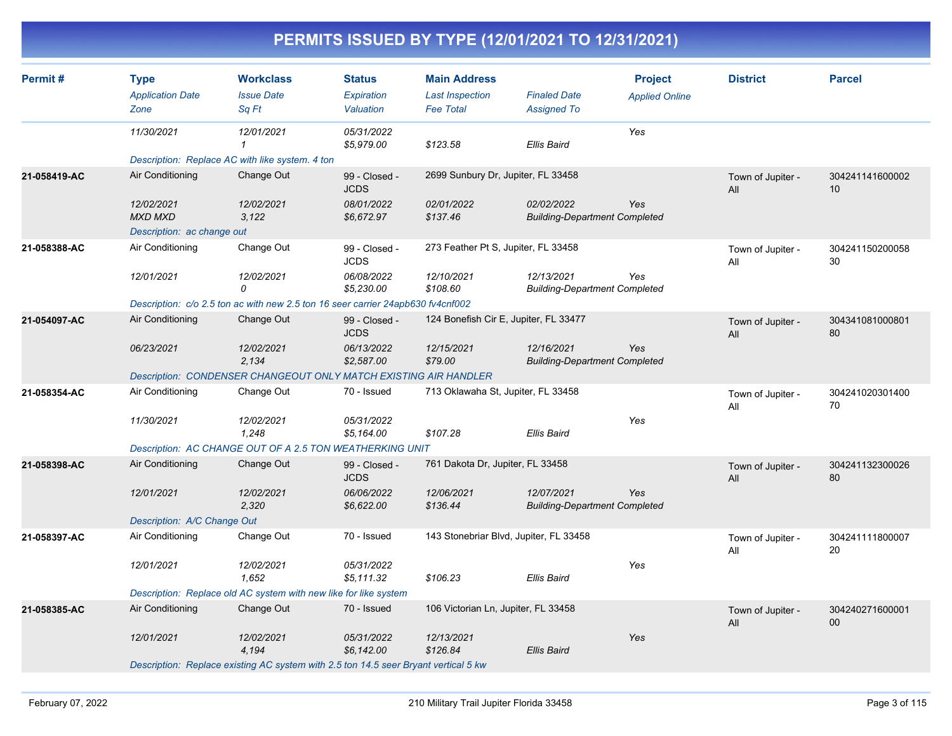| Permit#      | <b>Type</b>                  | <b>Workclass</b>                                                                    | <b>Status</b>                | <b>Main Address</b>                    |                                                    | <b>Project</b>        | <b>District</b>          | <b>Parcel</b>         |
|--------------|------------------------------|-------------------------------------------------------------------------------------|------------------------------|----------------------------------------|----------------------------------------------------|-----------------------|--------------------------|-----------------------|
|              | <b>Application Date</b>      | <b>Issue Date</b>                                                                   | Expiration                   | <b>Last Inspection</b>                 | <b>Finaled Date</b>                                | <b>Applied Online</b> |                          |                       |
|              | Zone                         | Sq Ft                                                                               | Valuation                    | <b>Fee Total</b>                       | <b>Assigned To</b>                                 |                       |                          |                       |
|              | 11/30/2021                   | 12/01/2021<br>$\mathcal I$                                                          | 05/31/2022<br>\$5,979.00     | \$123.58                               | Ellis Baird                                        | Yes                   |                          |                       |
|              |                              | Description: Replace AC with like system. 4 ton                                     |                              |                                        |                                                    |                       |                          |                       |
| 21-058419-AC | Air Conditioning             | Change Out                                                                          | 99 - Closed -<br><b>JCDS</b> | 2699 Sunbury Dr, Jupiter, FL 33458     |                                                    |                       | Town of Jupiter -<br>All | 304241141600002<br>10 |
|              | 12/02/2021<br><b>MXD MXD</b> | 12/02/2021<br>3,122                                                                 | 08/01/2022<br>\$6,672.97     | 02/01/2022<br>\$137.46                 | 02/02/2022<br><b>Building-Department Completed</b> | Yes                   |                          |                       |
|              | Description: ac change out   |                                                                                     |                              |                                        |                                                    |                       |                          |                       |
| 21-058388-AC | Air Conditioning             | Change Out                                                                          | 99 - Closed -<br><b>JCDS</b> | 273 Feather Pt S, Jupiter, FL 33458    |                                                    |                       | Town of Jupiter -<br>All | 304241150200058<br>30 |
|              | 12/01/2021                   | 12/02/2021<br>$\Omega$                                                              | 06/08/2022<br>\$5,230.00     | 12/10/2021<br>\$108.60                 | 12/13/2021<br><b>Building-Department Completed</b> | Yes                   |                          |                       |
|              |                              | Description: c/o 2.5 ton ac with new 2.5 ton 16 seer carrier 24apb630 fv4cnf002     |                              |                                        |                                                    |                       |                          |                       |
| 21-054097-AC | Air Conditioning             | Change Out                                                                          | 99 - Closed -<br><b>JCDS</b> | 124 Bonefish Cir E, Jupiter, FL 33477  |                                                    |                       | Town of Jupiter -<br>All | 304341081000801<br>80 |
|              | 06/23/2021                   | 12/02/2021<br>2,134                                                                 | 06/13/2022<br>\$2,587.00     | 12/15/2021<br>\$79.00                  | 12/16/2021<br><b>Building-Department Completed</b> | Yes                   |                          |                       |
|              |                              | <b>Description: CONDENSER CHANGEOUT ONLY MATCH EXISTING AIR HANDLER</b>             |                              |                                        |                                                    |                       |                          |                       |
| 21-058354-AC | Air Conditioning             | Change Out                                                                          | 70 - Issued                  | 713 Oklawaha St, Jupiter, FL 33458     |                                                    |                       | Town of Jupiter -<br>All | 304241020301400<br>70 |
|              | 11/30/2021                   | 12/02/2021<br>1,248                                                                 | 05/31/2022<br>\$5,164.00     | \$107.28                               | <b>Ellis Baird</b>                                 | Yes                   |                          |                       |
|              |                              | Description: AC CHANGE OUT OF A 2.5 TON WEATHERKING UNIT                            |                              |                                        |                                                    |                       |                          |                       |
| 21-058398-AC | Air Conditioning             | Change Out                                                                          | 99 - Closed -<br><b>JCDS</b> | 761 Dakota Dr, Jupiter, FL 33458       |                                                    |                       | Town of Jupiter -<br>All | 304241132300026<br>80 |
|              | 12/01/2021                   | 12/02/2021<br>2,320                                                                 | 06/06/2022<br>\$6,622.00     | 12/06/2021<br>\$136.44                 | 12/07/2021<br><b>Building-Department Completed</b> | Yes                   |                          |                       |
|              | Description: A/C Change Out  |                                                                                     |                              |                                        |                                                    |                       |                          |                       |
| 21-058397-AC | Air Conditioning             | Change Out                                                                          | 70 - Issued                  | 143 Stonebriar Blvd, Jupiter, FL 33458 |                                                    |                       | Town of Jupiter -<br>All | 304241111800007<br>20 |
|              | 12/01/2021                   | 12/02/2021<br>1,652                                                                 | 05/31/2022<br>\$5,111.32     | \$106.23                               | Ellis Baird                                        | Yes                   |                          |                       |
|              |                              | Description: Replace old AC system with new like for like system                    |                              |                                        |                                                    |                       |                          |                       |
| 21-058385-AC | Air Conditioning             | Change Out                                                                          | 70 - Issued                  | 106 Victorian Ln, Jupiter, FL 33458    |                                                    |                       | Town of Jupiter -<br>All | 304240271600001<br>00 |
|              | 12/01/2021                   | 12/02/2021<br>4,194                                                                 | 05/31/2022<br>\$6,142.00     | 12/13/2021<br>\$126.84                 | <b>Ellis Baird</b>                                 | Yes                   |                          |                       |
|              |                              | Description: Replace existing AC system with 2.5 ton 14.5 seer Bryant vertical 5 kw |                              |                                        |                                                    |                       |                          |                       |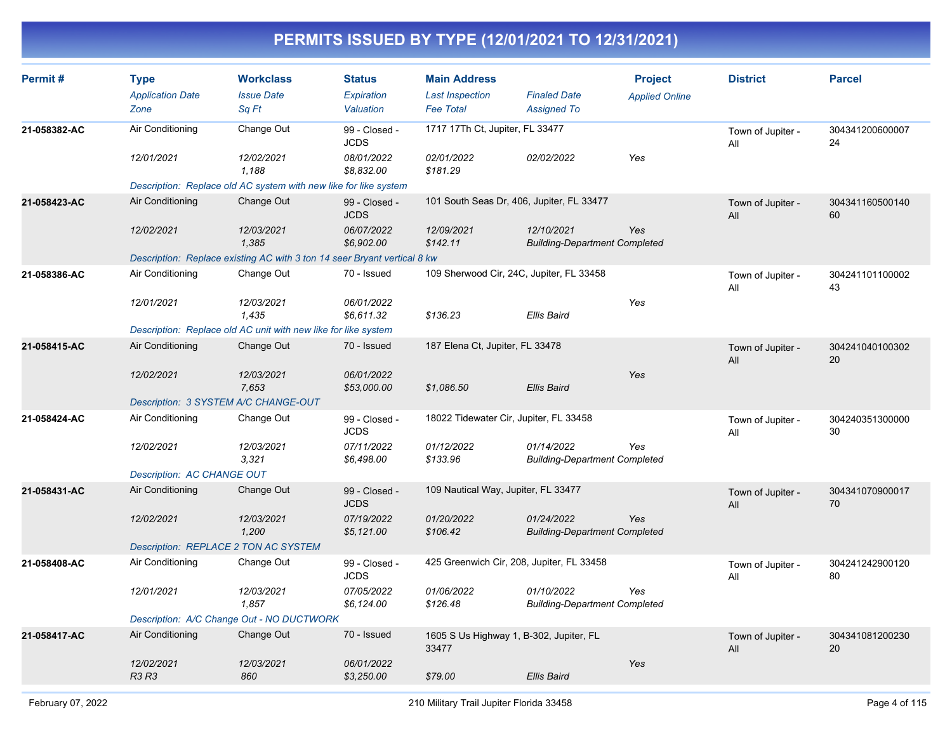| Permit#      | <b>Type</b><br><b>Application Date</b><br>Zone | <b>Workclass</b><br><b>Issue Date</b><br>Sa Ft                           | <b>Status</b><br><b>Expiration</b><br>Valuation | <b>Main Address</b><br><b>Last Inspection</b><br><b>Fee Total</b> | <b>Finaled Date</b><br><b>Assigned To</b>          | <b>Project</b><br><b>Applied Online</b> | <b>District</b>          | <b>Parcel</b>         |
|--------------|------------------------------------------------|--------------------------------------------------------------------------|-------------------------------------------------|-------------------------------------------------------------------|----------------------------------------------------|-----------------------------------------|--------------------------|-----------------------|
| 21-058382-AC | Air Conditioning                               | Change Out                                                               | 99 - Closed -<br><b>JCDS</b>                    | 1717 17Th Ct, Jupiter, FL 33477                                   |                                                    |                                         | Town of Jupiter -<br>All | 304341200600007<br>24 |
|              | 12/01/2021                                     | 12/02/2021<br>1,188                                                      | 08/01/2022<br>\$8,832.00                        | 02/01/2022<br>\$181.29                                            | 02/02/2022                                         | Yes                                     |                          |                       |
|              |                                                | Description: Replace old AC system with new like for like system         |                                                 |                                                                   |                                                    |                                         |                          |                       |
| 21-058423-AC | Air Conditioning                               | Change Out                                                               | 99 - Closed -<br><b>JCDS</b>                    |                                                                   | 101 South Seas Dr, 406, Jupiter, FL 33477          |                                         | Town of Jupiter -<br>All | 304341160500140<br>60 |
|              | 12/02/2021                                     | 12/03/2021<br>1.385                                                      | 06/07/2022<br>\$6,902.00                        | 12/09/2021<br>\$142.11                                            | 12/10/2021<br><b>Building-Department Completed</b> | <b>Yes</b>                              |                          |                       |
|              |                                                | Description: Replace existing AC with 3 ton 14 seer Bryant vertical 8 kw |                                                 |                                                                   |                                                    |                                         |                          |                       |
| 21-058386-AC | Air Conditioning                               | Change Out                                                               | 70 - Issued                                     | 109 Sherwood Cir, 24C, Jupiter, FL 33458                          |                                                    |                                         | Town of Jupiter -<br>All | 304241101100002<br>43 |
|              | 12/01/2021                                     | 12/03/2021<br>1,435                                                      | 06/01/2022<br>\$6,611.32                        | \$136.23                                                          | <b>Ellis Baird</b>                                 | Yes                                     |                          |                       |
|              |                                                | Description: Replace old AC unit with new like for like system           |                                                 |                                                                   |                                                    |                                         |                          |                       |
| 21-058415-AC | Air Conditioning                               | Change Out                                                               | 70 - Issued                                     | 187 Elena Ct, Jupiter, FL 33478                                   |                                                    |                                         | Town of Jupiter -<br>All | 304241040100302<br>20 |
|              | 12/02/2021                                     | 12/03/2021<br>7,653                                                      | 06/01/2022<br>\$53,000.00                       | \$1,086.50                                                        | <b>Ellis Baird</b>                                 | Yes                                     |                          |                       |
|              | Description: 3 SYSTEM A/C CHANGE-OUT           |                                                                          |                                                 |                                                                   |                                                    |                                         |                          |                       |
| 21-058424-AC | Air Conditioning                               | Change Out                                                               | 99 - Closed -<br><b>JCDS</b>                    | 18022 Tidewater Cir, Jupiter, FL 33458                            |                                                    |                                         | Town of Jupiter -<br>All | 304240351300000<br>30 |
|              | 12/02/2021                                     | 12/03/2021<br>3,321                                                      | 07/11/2022<br>\$6,498.00                        | 01/12/2022<br>\$133.96                                            | 01/14/2022<br><b>Building-Department Completed</b> | Yes                                     |                          |                       |
|              | Description: AC CHANGE OUT                     |                                                                          |                                                 |                                                                   |                                                    |                                         |                          |                       |
| 21-058431-AC | Air Conditioning                               | Change Out                                                               | 99 - Closed -<br><b>JCDS</b>                    | 109 Nautical Way, Jupiter, FL 33477                               |                                                    |                                         | Town of Jupiter -<br>All | 304341070900017<br>70 |
|              | 12/02/2021                                     | 12/03/2021<br>1,200                                                      | 07/19/2022<br>\$5,121.00                        | 01/20/2022<br>\$106.42                                            | 01/24/2022<br><b>Building-Department Completed</b> | Yes                                     |                          |                       |
|              | Description: REPLACE 2 TON AC SYSTEM           |                                                                          |                                                 |                                                                   |                                                    |                                         |                          |                       |
| 21-058408-AC | Air Conditioning                               | Change Out                                                               | 99 - Closed -<br><b>JCDS</b>                    | 425 Greenwich Cir, 208, Jupiter, FL 33458                         |                                                    |                                         | Town of Jupiter -<br>All | 304241242900120<br>80 |
|              | 12/01/2021                                     | 12/03/2021<br>1.857                                                      | 07/05/2022<br>\$6,124.00                        | 01/06/2022<br>\$126.48                                            | 01/10/2022<br><b>Building-Department Completed</b> | Yes                                     |                          |                       |
|              |                                                | Description: A/C Change Out - NO DUCTWORK                                |                                                 |                                                                   |                                                    |                                         |                          |                       |
| 21-058417-AC | Air Conditioning                               | Change Out                                                               | 70 - Issued                                     | 1605 S Us Highway 1, B-302, Jupiter, FL<br>33477                  |                                                    |                                         | Town of Jupiter -<br>All | 304341081200230<br>20 |
|              | 12/02/2021<br><b>R3 R3</b>                     | 12/03/2021<br>860                                                        | 06/01/2022<br>\$3,250.00                        | \$79.00                                                           | <b>Ellis Baird</b>                                 | Yes                                     |                          |                       |
|              |                                                |                                                                          |                                                 |                                                                   |                                                    |                                         |                          |                       |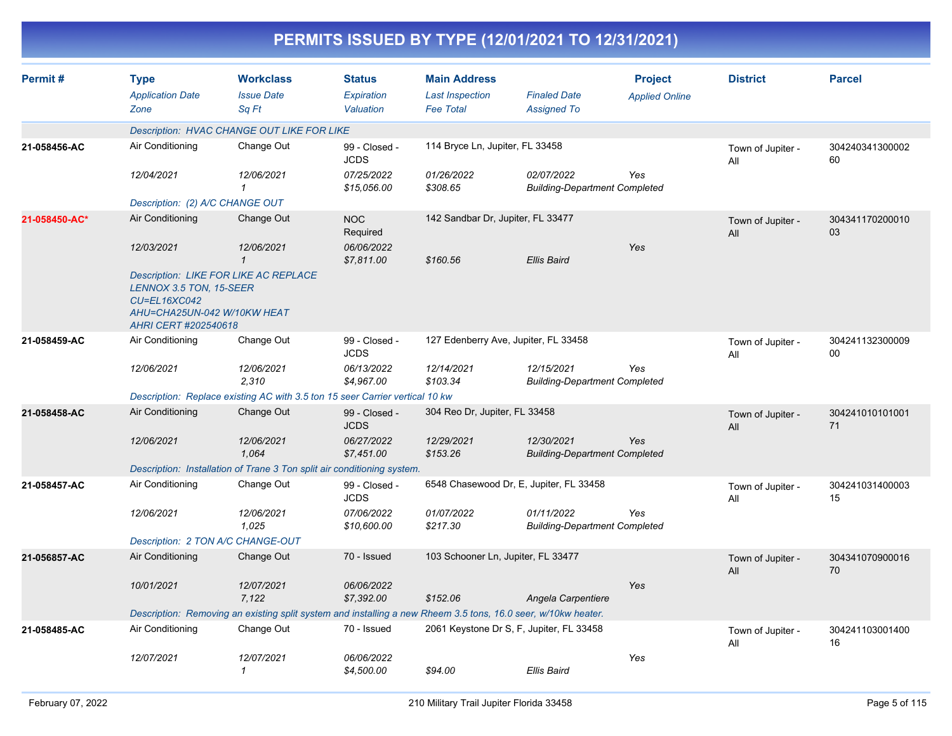|               | PERMITS ISSUED BY TYPE (12/01/2021 TO 12/31/2021)                                                     |                                                                                                               |                                          |                                                                   |                                                    |                                         |                          |                       |  |  |  |
|---------------|-------------------------------------------------------------------------------------------------------|---------------------------------------------------------------------------------------------------------------|------------------------------------------|-------------------------------------------------------------------|----------------------------------------------------|-----------------------------------------|--------------------------|-----------------------|--|--|--|
| Permit#       | <b>Type</b><br><b>Application Date</b><br>Zone                                                        | <b>Workclass</b><br><b>Issue Date</b><br>Sq Ft                                                                | <b>Status</b><br>Expiration<br>Valuation | <b>Main Address</b><br><b>Last Inspection</b><br><b>Fee Total</b> | <b>Finaled Date</b><br><b>Assigned To</b>          | <b>Project</b><br><b>Applied Online</b> | <b>District</b>          | <b>Parcel</b>         |  |  |  |
|               |                                                                                                       | <b>Description: HVAC CHANGE OUT LIKE FOR LIKE</b>                                                             |                                          |                                                                   |                                                    |                                         |                          |                       |  |  |  |
| 21-058456-AC  | Air Conditioning                                                                                      | Change Out                                                                                                    | 99 - Closed -<br><b>JCDS</b>             | 114 Bryce Ln, Jupiter, FL 33458                                   |                                                    |                                         | Town of Jupiter -<br>All | 304240341300002<br>60 |  |  |  |
|               | 12/04/2021                                                                                            | 12/06/2021<br>$\mathbf{1}$                                                                                    | 07/25/2022<br>\$15,056.00                | 01/26/2022<br>\$308.65                                            | 02/07/2022<br><b>Building-Department Completed</b> | Yes                                     |                          |                       |  |  |  |
|               | Description: (2) A/C CHANGE OUT                                                                       |                                                                                                               |                                          |                                                                   |                                                    |                                         |                          |                       |  |  |  |
| 21-058450-AC* | Air Conditioning                                                                                      | Change Out                                                                                                    | <b>NOC</b><br>Required                   | 142 Sandbar Dr, Jupiter, FL 33477                                 |                                                    |                                         | Town of Jupiter -<br>All | 304341170200010<br>03 |  |  |  |
|               | 12/03/2021                                                                                            | 12/06/2021<br>$\mathbf{1}$<br><b>Description: LIKE FOR LIKE AC REPLACE</b>                                    | 06/06/2022<br>\$7,811.00                 | \$160.56                                                          | Ellis Baird                                        | Yes                                     |                          |                       |  |  |  |
|               | LENNOX 3.5 TON, 15-SEER<br><b>CU=EL16XC042</b><br>AHU=CHA25UN-042 W/10KW HEAT<br>AHRI CERT #202540618 |                                                                                                               |                                          |                                                                   |                                                    |                                         |                          |                       |  |  |  |
| 21-058459-AC  | Air Conditioning                                                                                      | Change Out                                                                                                    | 99 - Closed -<br><b>JCDS</b>             | 127 Edenberry Ave, Jupiter, FL 33458                              |                                                    |                                         | Town of Jupiter -<br>All | 304241132300009<br>00 |  |  |  |
|               | 12/06/2021                                                                                            | 12/06/2021<br>2,310                                                                                           | 06/13/2022<br>\$4,967.00                 | 12/14/2021<br>\$103.34                                            | 12/15/2021<br><b>Building-Department Completed</b> | Yes                                     |                          |                       |  |  |  |
|               |                                                                                                       | Description: Replace existing AC with 3.5 ton 15 seer Carrier vertical 10 kw                                  |                                          |                                                                   |                                                    |                                         |                          |                       |  |  |  |
| 21-058458-AC  | Air Conditioning                                                                                      | Change Out                                                                                                    | 99 - Closed -<br><b>JCDS</b>             | 304 Reo Dr, Jupiter, FL 33458                                     |                                                    |                                         | Town of Jupiter -<br>All | 304241010101001<br>71 |  |  |  |
|               | 12/06/2021                                                                                            | 12/06/2021<br>1,064                                                                                           | 06/27/2022<br>\$7,451.00                 | 12/29/2021<br>\$153.26                                            | 12/30/2021<br><b>Building-Department Completed</b> | Yes                                     |                          |                       |  |  |  |
|               |                                                                                                       | Description: Installation of Trane 3 Ton split air conditioning system.                                       |                                          |                                                                   |                                                    |                                         |                          |                       |  |  |  |
| 21-058457-AC  | Air Conditioning                                                                                      | Change Out                                                                                                    | 99 - Closed -<br><b>JCDS</b>             |                                                                   | 6548 Chasewood Dr, E, Jupiter, FL 33458            |                                         | Town of Jupiter -<br>All | 304241031400003<br>15 |  |  |  |
|               | 12/06/2021                                                                                            | 12/06/2021<br>1,025                                                                                           | 07/06/2022<br>\$10,600.00                | 01/07/2022<br>\$217.30                                            | 01/11/2022<br><b>Building-Department Completed</b> | Yes                                     |                          |                       |  |  |  |
|               | Description: 2 TON A/C CHANGE-OUT                                                                     |                                                                                                               |                                          |                                                                   |                                                    |                                         |                          |                       |  |  |  |
| 21-056857-AC  | Air Conditioning                                                                                      | Change Out                                                                                                    | 70 - Issued                              | 103 Schooner Ln, Jupiter, FL 33477                                |                                                    |                                         | Town of Jupiter -<br>All | 304341070900016<br>70 |  |  |  |
|               | 10/01/2021                                                                                            | 12/07/2021<br>7,122                                                                                           | 06/06/2022<br>\$7,392.00                 | \$152.06                                                          | Angela Carpentiere                                 | Yes                                     |                          |                       |  |  |  |
|               |                                                                                                       | Description: Removing an existing split system and installing a new Rheem 3.5 tons, 16.0 seer, w/10kw heater. |                                          |                                                                   |                                                    |                                         |                          |                       |  |  |  |
| 21-058485-AC  | Air Conditioning                                                                                      | Change Out                                                                                                    | 70 - Issued                              |                                                                   | 2061 Keystone Dr S, F, Jupiter, FL 33458           |                                         | Town of Jupiter -<br>All | 304241103001400<br>16 |  |  |  |
|               | 12/07/2021                                                                                            | 12/07/2021<br>$\mathcal I$                                                                                    | 06/06/2022<br>\$4,500.00                 | \$94.00                                                           | Ellis Baird                                        | Yes                                     |                          |                       |  |  |  |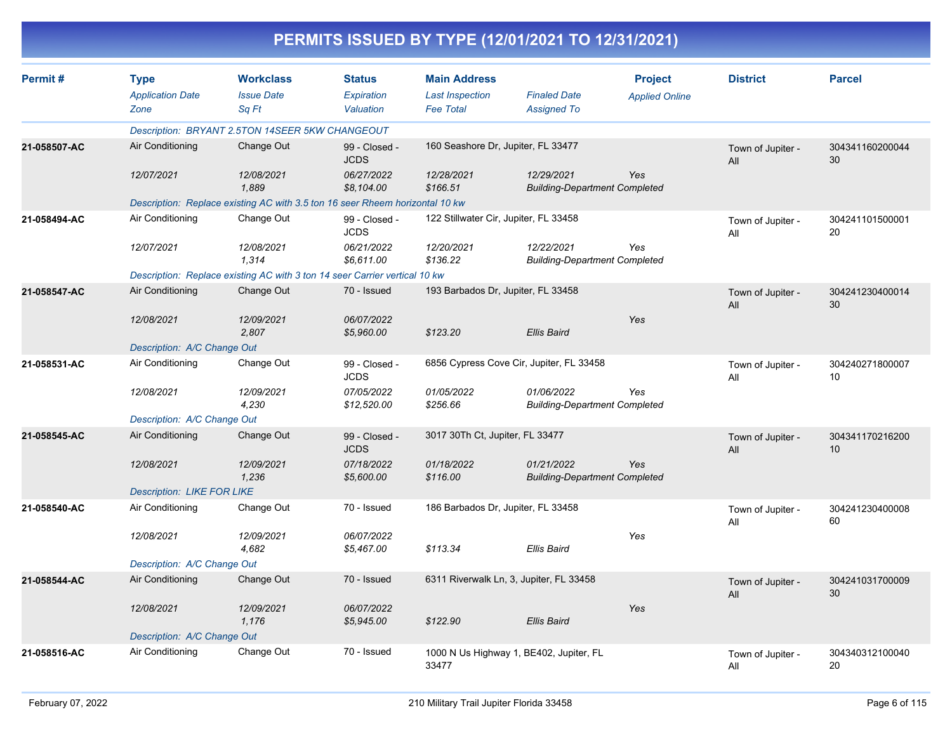|              |                                                |                                                                              |                                   |                                                                   | PERMITS ISSUED BY TYPE (12/01/2021 TO 12/31/2021)  |                                         |                          |                       |
|--------------|------------------------------------------------|------------------------------------------------------------------------------|-----------------------------------|-------------------------------------------------------------------|----------------------------------------------------|-----------------------------------------|--------------------------|-----------------------|
| Permit#      | <b>Type</b><br><b>Application Date</b><br>Zone | <b>Workclass</b><br><b>Issue Date</b><br>Sq Ft                               | Status<br>Expiration<br>Valuation | <b>Main Address</b><br><b>Last Inspection</b><br><b>Fee Total</b> | <b>Finaled Date</b><br><b>Assigned To</b>          | <b>Project</b><br><b>Applied Online</b> | <b>District</b>          | <b>Parcel</b>         |
|              |                                                | Description: BRYANT 2.5TON 14SEER 5KW CHANGEOUT                              |                                   |                                                                   |                                                    |                                         |                          |                       |
| 21-058507-AC | Air Conditioning                               | Change Out                                                                   | 99 - Closed -<br><b>JCDS</b>      | 160 Seashore Dr, Jupiter, FL 33477                                |                                                    |                                         | Town of Jupiter -<br>All | 304341160200044<br>30 |
|              | 12/07/2021                                     | 12/08/2021<br>1.889                                                          | 06/27/2022<br>\$8,104.00          | 12/28/2021<br>\$166.51                                            | 12/29/2021<br><b>Building-Department Completed</b> | Yes                                     |                          |                       |
|              |                                                | Description: Replace existing AC with 3.5 ton 16 seer Rheem horizontal 10 kw |                                   |                                                                   |                                                    |                                         |                          |                       |
| 21-058494-AC | Air Conditioning                               | Change Out                                                                   | 99 - Closed -<br><b>JCDS</b>      | 122 Stillwater Cir, Jupiter, FL 33458                             |                                                    |                                         | Town of Jupiter -<br>All | 304241101500001<br>20 |
|              | 12/07/2021                                     | 12/08/2021<br>1,314                                                          | 06/21/2022<br>\$6,611.00          | 12/20/2021<br>\$136.22                                            | 12/22/2021<br><b>Building-Department Completed</b> | Yes                                     |                          |                       |
|              |                                                | Description: Replace existing AC with 3 ton 14 seer Carrier vertical 10 kw   |                                   |                                                                   |                                                    |                                         |                          |                       |
| 21-058547-AC | Air Conditioning                               | Change Out                                                                   | 70 - Issued                       | 193 Barbados Dr, Jupiter, FL 33458                                |                                                    |                                         | Town of Jupiter -<br>All | 304241230400014<br>30 |
|              | 12/08/2021                                     | 12/09/2021<br>2,807                                                          | 06/07/2022<br>\$5,960.00          | \$123.20                                                          | Ellis Baird                                        | Yes                                     |                          |                       |
|              | Description: A/C Change Out                    |                                                                              |                                   |                                                                   |                                                    |                                         |                          |                       |
| 21-058531-AC | Air Conditioning                               | Change Out                                                                   | 99 - Closed -<br><b>JCDS</b>      |                                                                   | 6856 Cypress Cove Cir, Jupiter, FL 33458           |                                         | Town of Jupiter -<br>All | 304240271800007<br>10 |
|              | 12/08/2021                                     | 12/09/2021<br>4,230                                                          | 07/05/2022<br>\$12,520.00         | 01/05/2022<br>\$256.66                                            | 01/06/2022<br><b>Building-Department Completed</b> | Yes                                     |                          |                       |
|              | Description: A/C Change Out                    |                                                                              |                                   |                                                                   |                                                    |                                         |                          |                       |
| 21-058545-AC | Air Conditioning                               | Change Out                                                                   | 99 - Closed -<br><b>JCDS</b>      | 3017 30Th Ct, Jupiter, FL 33477                                   |                                                    |                                         | Town of Jupiter -<br>All | 304341170216200<br>10 |
|              | 12/08/2021                                     | 12/09/2021<br>1,236                                                          | 07/18/2022<br>\$5,600.00          | 01/18/2022<br>\$116.00                                            | 01/21/2022<br><b>Building-Department Completed</b> | Yes                                     |                          |                       |
|              | <b>Description: LIKE FOR LIKE</b>              |                                                                              |                                   |                                                                   |                                                    |                                         |                          |                       |
| 21-058540-AC | Air Conditioning                               | Change Out                                                                   | 70 - Issued                       | 186 Barbados Dr, Jupiter, FL 33458                                |                                                    |                                         | Town of Jupiter -<br>All | 304241230400008<br>60 |
|              | 12/08/2021                                     | 12/09/2021<br>4,682                                                          | 06/07/2022<br>\$5,467.00          | \$113.34                                                          | <b>Ellis Baird</b>                                 | Yes                                     |                          |                       |
|              | Description: A/C Change Out                    |                                                                              |                                   |                                                                   |                                                    |                                         |                          |                       |
| 21-058544-AC | Air Conditioning                               | Change Out                                                                   | 70 - Issued                       |                                                                   | 6311 Riverwalk Ln, 3, Jupiter, FL 33458            |                                         | Town of Jupiter -<br>All | 304241031700009<br>30 |
|              | 12/08/2021                                     | 12/09/2021<br>1,176                                                          | 06/07/2022<br>\$5,945.00          | \$122.90                                                          | <b>Ellis Baird</b>                                 | Yes                                     |                          |                       |
|              | Description: A/C Change Out                    |                                                                              |                                   |                                                                   |                                                    |                                         |                          |                       |
| 21-058516-AC | Air Conditioning                               | Change Out                                                                   | 70 - Issued                       | 33477                                                             | 1000 N Us Highway 1, BE402, Jupiter, FL            |                                         | Town of Jupiter -<br>ail | 304340312100040<br>20 |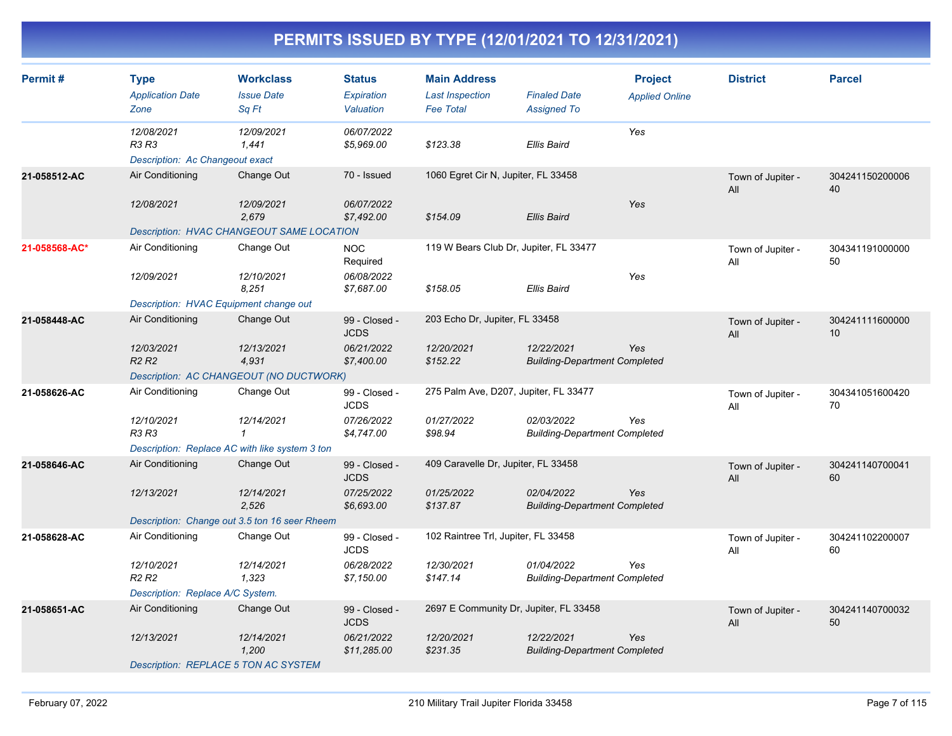| Permit#       | <b>Type</b><br><b>Application Date</b><br>Zone         | <b>Workclass</b><br><b>Issue Date</b><br>Sq Ft | <b>Status</b><br>Expiration<br>Valuation | <b>Main Address</b><br><b>Last Inspection</b><br><b>Fee Total</b> | <b>Finaled Date</b><br><b>Assigned To</b>          | <b>Project</b><br><b>Applied Online</b> | <b>District</b>          | <b>Parcel</b>         |
|---------------|--------------------------------------------------------|------------------------------------------------|------------------------------------------|-------------------------------------------------------------------|----------------------------------------------------|-----------------------------------------|--------------------------|-----------------------|
|               | 12/08/2021<br>R3 R3<br>Description: Ac Changeout exact | 12/09/2021<br>1,441                            | 06/07/2022<br>\$5,969.00                 | \$123.38                                                          | Ellis Baird                                        | Yes                                     |                          |                       |
| 21-058512-AC  | Air Conditioning                                       | Change Out                                     | 70 - Issued                              | 1060 Egret Cir N, Jupiter, FL 33458                               |                                                    |                                         | Town of Jupiter -<br>All | 304241150200006<br>40 |
|               | 12/08/2021                                             | 12/09/2021<br>2.679                            | 06/07/2022<br>\$7,492.00                 | \$154.09                                                          | <b>Ellis Baird</b>                                 | Yes                                     |                          |                       |
|               |                                                        | Description: HVAC CHANGEOUT SAME LOCATION      |                                          |                                                                   |                                                    |                                         |                          |                       |
| 21-058568-AC* | Air Conditioning                                       | Change Out                                     | <b>NOC</b><br>Required                   | 119 W Bears Club Dr, Jupiter, FL 33477                            |                                                    |                                         | Town of Jupiter -<br>All | 304341191000000<br>50 |
|               | 12/09/2021                                             | 12/10/2021<br>8,251                            | 06/08/2022<br>\$7,687.00                 | \$158.05                                                          | Ellis Baird                                        | Yes                                     |                          |                       |
|               | Description: HVAC Equipment change out                 |                                                |                                          |                                                                   |                                                    |                                         |                          |                       |
| 21-058448-AC  | Air Conditioning                                       | Change Out                                     | 99 - Closed -<br><b>JCDS</b>             | 203 Echo Dr, Jupiter, FL 33458                                    |                                                    |                                         | Town of Jupiter -<br>All | 304241111600000<br>10 |
|               | 12/03/2021<br>R <sub>2</sub> R <sub>2</sub>            | 12/13/2021<br>4,931                            | 06/21/2022<br>\$7,400.00                 | 12/20/2021<br>\$152.22                                            | 12/22/2021<br><b>Building-Department Completed</b> | Yes                                     |                          |                       |
|               |                                                        | Description: AC CHANGEOUT (NO DUCTWORK)        |                                          |                                                                   |                                                    |                                         |                          |                       |
| 21-058626-AC  | Air Conditioning                                       | Change Out                                     | 99 - Closed -<br><b>JCDS</b>             | 275 Palm Ave, D207, Jupiter, FL 33477                             |                                                    |                                         | Town of Jupiter -<br>All | 304341051600420<br>70 |
|               | 12/10/2021<br>R3 R3                                    | 12/14/2021<br>$\mathbf 1$                      | 07/26/2022<br>\$4,747.00                 | 01/27/2022<br>\$98.94                                             | 02/03/2022<br><b>Building-Department Completed</b> | Yes                                     |                          |                       |
|               | Description: Replace AC with like system 3 ton         |                                                |                                          |                                                                   |                                                    |                                         |                          |                       |
| 21-058646-AC  | Air Conditioning                                       | Change Out                                     | 99 - Closed -<br><b>JCDS</b>             | 409 Caravelle Dr, Jupiter, FL 33458                               |                                                    |                                         | Town of Jupiter -<br>All | 304241140700041<br>60 |
|               | 12/13/2021                                             | 12/14/2021<br>2,526                            | 07/25/2022<br>\$6,693.00                 | 01/25/2022<br>\$137.87                                            | 02/04/2022<br><b>Building-Department Completed</b> | Yes                                     |                          |                       |
|               |                                                        | Description: Change out 3.5 ton 16 seer Rheem  |                                          |                                                                   |                                                    |                                         |                          |                       |
| 21-058628-AC  | Air Conditioning                                       | Change Out                                     | 99 - Closed -<br><b>JCDS</b>             | 102 Raintree Trl, Jupiter, FL 33458                               |                                                    |                                         | Town of Jupiter -<br>All | 304241102200007<br>60 |
|               | 12/10/2021<br>R <sub>2</sub> R <sub>2</sub>            | 12/14/2021<br>1,323                            | 06/28/2022<br>\$7,150.00                 | 12/30/2021<br>\$147.14                                            | 01/04/2022<br><b>Building-Department Completed</b> | Yes                                     |                          |                       |
|               | Description: Replace A/C System.                       |                                                |                                          |                                                                   |                                                    |                                         |                          |                       |
| 21-058651-AC  | Air Conditioning                                       | Change Out                                     | 99 - Closed -<br><b>JCDS</b>             | 2697 E Community Dr, Jupiter, FL 33458                            |                                                    |                                         | Town of Jupiter -<br>All | 304241140700032<br>50 |
|               | 12/13/2021                                             | 12/14/2021<br>1,200                            | 06/21/2022<br>\$11,285.00                | 12/20/2021<br>\$231.35                                            | 12/22/2021<br><b>Building-Department Completed</b> | Yes                                     |                          |                       |
|               | Description: REPLACE 5 TON AC SYSTEM                   |                                                |                                          |                                                                   |                                                    |                                         |                          |                       |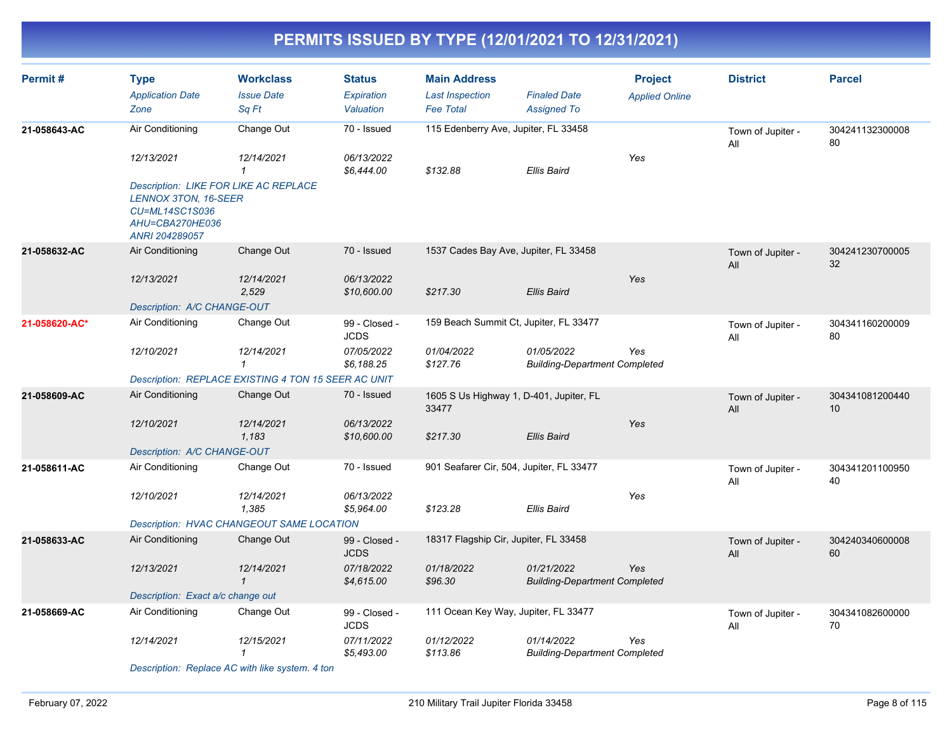| Permit#       | <b>Type</b><br><b>Application Date</b><br>Zone                                                                                     | <b>Workclass</b><br><b>Issue Date</b><br>Sq Ft      | <b>Status</b><br>Expiration<br>Valuation | <b>Main Address</b><br><b>Last Inspection</b><br><b>Fee Total</b> | <b>Finaled Date</b><br><b>Assigned To</b>          | <b>Project</b><br><b>Applied Online</b> | <b>District</b>          | <b>Parcel</b>         |
|---------------|------------------------------------------------------------------------------------------------------------------------------------|-----------------------------------------------------|------------------------------------------|-------------------------------------------------------------------|----------------------------------------------------|-----------------------------------------|--------------------------|-----------------------|
| 21-058643-AC  | Air Conditioning                                                                                                                   | Change Out                                          | 70 - Issued                              | 115 Edenberry Ave, Jupiter, FL 33458                              |                                                    |                                         | Town of Jupiter -<br>All | 304241132300008<br>80 |
|               | 12/13/2021                                                                                                                         | 12/14/2021<br>$\mathbf{1}$                          | 06/13/2022<br>\$6,444.00                 | \$132.88                                                          | <b>Ellis Baird</b>                                 | Yes                                     |                          |                       |
|               | <b>Description: LIKE FOR LIKE AC REPLACE</b><br><b>LENNOX 3TON, 16-SEER</b><br>CU=ML14SC1S036<br>AHU=CBA270HE036<br>ANRI 204289057 |                                                     |                                          |                                                                   |                                                    |                                         |                          |                       |
| 21-058632-AC  | Air Conditioning                                                                                                                   | Change Out                                          | 70 - Issued                              | 1537 Cades Bay Ave, Jupiter, FL 33458                             |                                                    |                                         | Town of Jupiter -<br>All | 304241230700005<br>32 |
|               | 12/13/2021                                                                                                                         | 12/14/2021<br>2,529                                 | 06/13/2022<br>\$10,600.00                | \$217.30                                                          | <b>Ellis Baird</b>                                 | Yes                                     |                          |                       |
|               | Description: A/C CHANGE-OUT                                                                                                        |                                                     |                                          |                                                                   |                                                    |                                         |                          |                       |
| 21-058620-AC* | Air Conditioning                                                                                                                   | Change Out                                          | 99 - Closed -<br><b>JCDS</b>             | 159 Beach Summit Ct, Jupiter, FL 33477                            |                                                    |                                         | Town of Jupiter -<br>All | 304341160200009<br>80 |
|               | 12/10/2021                                                                                                                         | 12/14/2021<br>$\mathbf{1}$                          | 07/05/2022<br>\$6,188.25                 | 01/04/2022<br>\$127.76                                            | 01/05/2022<br><b>Building-Department Completed</b> | Yes                                     |                          |                       |
|               |                                                                                                                                    | Description: REPLACE EXISTING 4 TON 15 SEER AC UNIT |                                          |                                                                   |                                                    |                                         |                          |                       |
| 21-058609-AC  | Air Conditioning                                                                                                                   | Change Out                                          | 70 - Issued                              | 1605 S Us Highway 1, D-401, Jupiter, FL<br>33477                  |                                                    |                                         | Town of Jupiter -<br>All | 304341081200440<br>10 |
|               | 12/10/2021                                                                                                                         | 12/14/2021<br>1,183                                 | 06/13/2022<br>\$10,600.00                | \$217.30                                                          | <b>Ellis Baird</b>                                 | Yes                                     |                          |                       |
|               | Description: A/C CHANGE-OUT                                                                                                        |                                                     |                                          |                                                                   |                                                    |                                         |                          |                       |
| 21-058611-AC  | Air Conditioning                                                                                                                   | Change Out                                          | 70 - Issued                              | 901 Seafarer Cir, 504, Jupiter, FL 33477                          |                                                    |                                         | Town of Jupiter -<br>All | 304341201100950<br>40 |
|               | 12/10/2021                                                                                                                         | 12/14/2021<br>1,385                                 | 06/13/2022<br>\$5,964.00                 | \$123.28                                                          | <b>Ellis Baird</b>                                 | Yes                                     |                          |                       |
|               |                                                                                                                                    | Description: HVAC CHANGEOUT SAME LOCATION           |                                          |                                                                   |                                                    |                                         |                          |                       |
| 21-058633-AC  | Air Conditioning                                                                                                                   | Change Out                                          | 99 - Closed -<br><b>JCDS</b>             | 18317 Flagship Cir, Jupiter, FL 33458                             |                                                    |                                         | Town of Jupiter -<br>All | 304240340600008<br>60 |
|               | 12/13/2021                                                                                                                         | 12/14/2021<br>$\mathbf{1}$                          | 07/18/2022<br>\$4,615.00                 | 01/18/2022<br>\$96.30                                             | 01/21/2022<br><b>Building-Department Completed</b> | <b>Yes</b>                              |                          |                       |
|               | Description: Exact a/c change out                                                                                                  |                                                     |                                          |                                                                   |                                                    |                                         |                          |                       |
| 21-058669-AC  | Air Conditioning                                                                                                                   | Change Out                                          | 99 - Closed -<br><b>JCDS</b>             | 111 Ocean Key Way, Jupiter, FL 33477                              |                                                    |                                         | Town of Jupiter -<br>All | 304341082600000<br>70 |
|               | 12/14/2021                                                                                                                         | 12/15/2021<br>$\mathbf{1}$                          | 07/11/2022<br>\$5,493.00                 | 01/12/2022<br>\$113.86                                            | 01/14/2022<br><b>Building-Department Completed</b> | Yes                                     |                          |                       |
|               |                                                                                                                                    | Description: Replace AC with like system. 4 ton     |                                          |                                                                   |                                                    |                                         |                          |                       |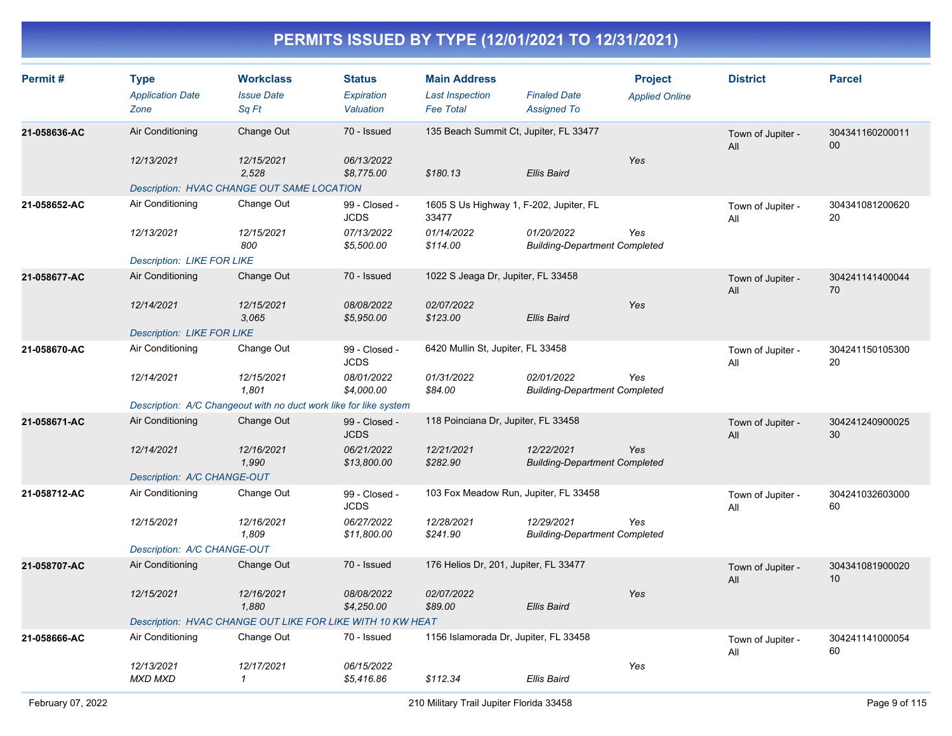| Permit#      | <b>Type</b><br><b>Application Date</b><br>Zone | <b>Workclass</b><br><b>Issue Date</b><br>Sq Ft                    | <b>Status</b><br>Expiration<br>Valuation | <b>Main Address</b><br><b>Last Inspection</b><br><b>Fee Total</b> | <b>Finaled Date</b><br><b>Assigned To</b>          | <b>Project</b><br><b>Applied Online</b> | <b>District</b>          | <b>Parcel</b>                      |
|--------------|------------------------------------------------|-------------------------------------------------------------------|------------------------------------------|-------------------------------------------------------------------|----------------------------------------------------|-----------------------------------------|--------------------------|------------------------------------|
| 21-058636-AC | Air Conditioning                               | Change Out                                                        | 70 - Issued                              | 135 Beach Summit Ct, Jupiter, FL 33477                            |                                                    |                                         | Town of Jupiter -<br>All | 304341160200011<br>$00\,$          |
|              | 12/13/2021                                     | 12/15/2021<br>2.528                                               | 06/13/2022<br>\$8,775.00                 | \$180.13                                                          | <b>Ellis Baird</b>                                 | Yes                                     |                          |                                    |
|              |                                                | Description: HVAC CHANGE OUT SAME LOCATION                        |                                          |                                                                   |                                                    |                                         |                          |                                    |
| 21-058652-AC | Air Conditioning                               | Change Out                                                        | 99 - Closed -<br><b>JCDS</b>             | 1605 S Us Highway 1, F-202, Jupiter, FL<br>33477                  |                                                    |                                         | Town of Jupiter -<br>Αll | 304341081200620<br>20              |
|              | 12/13/2021                                     | 12/15/2021<br>800                                                 | 07/13/2022<br>\$5,500.00                 | 01/14/2022<br>\$114.00                                            | 01/20/2022<br><b>Building-Department Completed</b> | Yes                                     |                          |                                    |
|              | <b>Description: LIKE FOR LIKE</b>              |                                                                   |                                          |                                                                   |                                                    |                                         |                          |                                    |
| 21-058677-AC | Air Conditioning                               | Change Out                                                        | 70 - Issued                              | 1022 S Jeaga Dr, Jupiter, FL 33458                                |                                                    |                                         | Town of Jupiter -<br>All | 304241141400044<br>70              |
|              | 12/14/2021                                     | 12/15/2021<br>3,065                                               | 08/08/2022<br>\$5,950.00                 | 02/07/2022<br>\$123.00                                            | <b>Ellis Baird</b>                                 | Yes                                     |                          |                                    |
|              | <b>Description: LIKE FOR LIKE</b>              |                                                                   |                                          |                                                                   |                                                    |                                         |                          |                                    |
| 21-058670-AC | Air Conditioning                               | Change Out                                                        | 99 - Closed -<br><b>JCDS</b>             | 6420 Mullin St, Jupiter, FL 33458                                 |                                                    |                                         | Town of Jupiter -<br>All | 304241150105300<br>20              |
|              | 12/14/2021                                     | 12/15/2021<br>1,801                                               | 08/01/2022<br>\$4,000.00                 | 01/31/2022<br>\$84.00                                             | 02/01/2022<br><b>Building-Department Completed</b> | Yes                                     |                          |                                    |
|              |                                                | Description: A/C Changeout with no duct work like for like system |                                          |                                                                   |                                                    |                                         |                          |                                    |
| 21-058671-AC | Air Conditioning                               | Change Out                                                        | 99 - Closed -<br><b>JCDS</b>             | 118 Poinciana Dr, Jupiter, FL 33458                               |                                                    |                                         | Town of Jupiter -<br>All | 304241240900025<br>30              |
|              | 12/14/2021                                     | 12/16/2021<br>1,990                                               | 06/21/2022<br>\$13,800.00                | 12/21/2021<br>\$282.90                                            | 12/22/2021<br><b>Building-Department Completed</b> | Yes                                     |                          |                                    |
|              | Description: A/C CHANGE-OUT                    |                                                                   |                                          |                                                                   |                                                    |                                         |                          |                                    |
| 21-058712-AC | Air Conditioning                               | Change Out                                                        | 99 - Closed -<br><b>JCDS</b>             | 103 Fox Meadow Run, Jupiter, FL 33458                             |                                                    |                                         | Town of Jupiter -<br>All | 304241032603000<br>60              |
|              | 12/15/2021                                     | 12/16/2021<br>1,809                                               | 06/27/2022<br>\$11,800.00                | 12/28/2021<br>\$241.90                                            | 12/29/2021<br><b>Building-Department Completed</b> | Yes                                     |                          |                                    |
|              | Description: A/C CHANGE-OUT                    |                                                                   |                                          |                                                                   |                                                    |                                         |                          |                                    |
| 21-058707-AC | Air Conditioning                               | Change Out                                                        | 70 - Issued                              | 176 Helios Dr, 201, Jupiter, FL 33477                             |                                                    |                                         | Town of Jupiter -<br>All | 304341081900020<br>10 <sup>°</sup> |
|              | 12/15/2021                                     | 12/16/2021<br>1,880                                               | 08/08/2022<br>\$4,250.00                 | 02/07/2022<br>\$89.00                                             | <b>Ellis Baird</b>                                 | Yes                                     |                          |                                    |
|              |                                                | Description: HVAC CHANGE OUT LIKE FOR LIKE WITH 10 KW HEAT        |                                          |                                                                   |                                                    |                                         |                          |                                    |
| 21-058666-AC | Air Conditioning                               | Change Out                                                        | 70 - Issued                              | 1156 Islamorada Dr, Jupiter, FL 33458                             |                                                    |                                         | Town of Jupiter -<br>All | 304241141000054<br>60              |
|              | 12/13/2021<br><b>MXD MXD</b>                   | 12/17/2021<br>$\mathbf{1}$                                        | 06/15/2022<br>\$5.416.86                 | \$112.34                                                          | Ellis Baird                                        | Yes                                     |                          |                                    |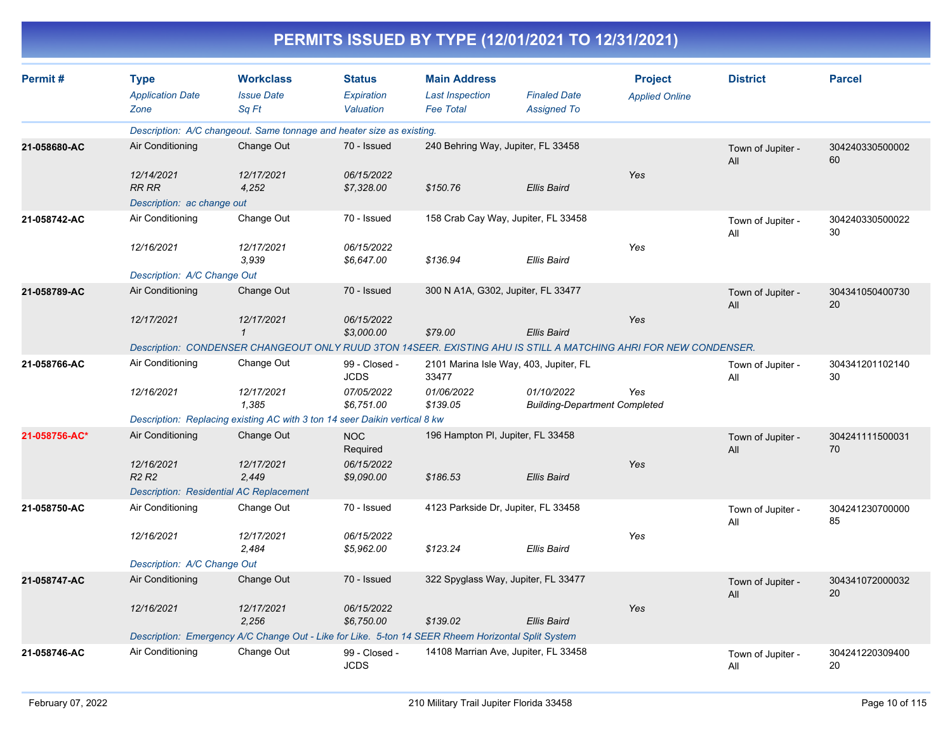| Permit#       | <b>Type</b><br><b>Application Date</b><br>Zone                                                                   | <b>Workclass</b><br><b>Issue Date</b><br>Sq Ft                             | <b>Status</b><br>Expiration<br>Valuation | <b>Main Address</b><br><b>Last Inspection</b><br><b>Fee Total</b> | <b>Finaled Date</b><br><b>Assigned To</b>          | <b>Project</b><br><b>Applied Online</b> | <b>District</b>          | <b>Parcel</b>         |  |
|---------------|------------------------------------------------------------------------------------------------------------------|----------------------------------------------------------------------------|------------------------------------------|-------------------------------------------------------------------|----------------------------------------------------|-----------------------------------------|--------------------------|-----------------------|--|
|               |                                                                                                                  | Description: A/C changeout. Same tonnage and heater size as existing.      |                                          |                                                                   |                                                    |                                         |                          |                       |  |
| 21-058680-AC  | Air Conditioning                                                                                                 | Change Out                                                                 | 70 - Issued                              | 240 Behring Way, Jupiter, FL 33458                                |                                                    |                                         | Town of Jupiter -<br>All | 304240330500002<br>60 |  |
|               | 12/14/2021<br><b>RR RR</b>                                                                                       | 12/17/2021<br>4,252                                                        | 06/15/2022<br>\$7,328.00                 | \$150.76                                                          | <b>Ellis Baird</b>                                 | Yes                                     |                          |                       |  |
|               | Description: ac change out                                                                                       |                                                                            |                                          |                                                                   |                                                    |                                         |                          |                       |  |
| 21-058742-AC  | Air Conditioning                                                                                                 | Change Out                                                                 | 70 - Issued                              |                                                                   | 158 Crab Cay Way, Jupiter, FL 33458                |                                         | Town of Jupiter -<br>All | 304240330500022<br>30 |  |
|               | 12/16/2021                                                                                                       | 12/17/2021<br>3.939                                                        | 06/15/2022<br>\$6,647.00                 | \$136.94                                                          | <b>Ellis Baird</b>                                 | Yes                                     |                          |                       |  |
|               | Description: A/C Change Out                                                                                      |                                                                            |                                          |                                                                   |                                                    |                                         |                          |                       |  |
| 21-058789-AC  | Air Conditioning                                                                                                 | Change Out                                                                 | 70 - Issued                              | 300 N A1A, G302, Jupiter, FL 33477                                |                                                    |                                         | Town of Jupiter -<br>All | 304341050400730<br>20 |  |
|               | 12/17/2021                                                                                                       | 12/17/2021<br>$\mathbf{1}$                                                 | 06/15/2022<br>\$3,000.00                 | \$79.00                                                           | <b>Ellis Baird</b>                                 | Yes                                     |                          |                       |  |
|               | Description: CONDENSER CHANGEOUT ONLY RUUD 3TON 14SEER. EXISTING AHU IS STILL A MATCHING AHRI FOR NEW CONDENSER. |                                                                            |                                          |                                                                   |                                                    |                                         |                          |                       |  |
| 21-058766-AC  | Air Conditioning                                                                                                 | Change Out                                                                 | 99 - Closed -<br><b>JCDS</b>             | 33477                                                             | 2101 Marina Isle Way, 403, Jupiter, FL             |                                         | Town of Jupiter -<br>All | 304341201102140<br>30 |  |
|               | 12/16/2021                                                                                                       | 12/17/2021<br>1,385                                                        | 07/05/2022<br>\$6,751.00                 | 01/06/2022<br>\$139.05                                            | 01/10/2022<br><b>Building-Department Completed</b> | Yes                                     |                          |                       |  |
|               |                                                                                                                  | Description: Replacing existing AC with 3 ton 14 seer Daikin vertical 8 kw |                                          |                                                                   |                                                    |                                         |                          |                       |  |
| 21-058756-AC* | Air Conditioning                                                                                                 | Change Out                                                                 | <b>NOC</b><br>Required                   | 196 Hampton PI, Jupiter, FL 33458                                 |                                                    |                                         | Town of Jupiter -<br>All | 304241111500031<br>70 |  |
|               | 12/16/2021<br>R <sub>2</sub> R <sub>2</sub>                                                                      | 12/17/2021<br>2.449                                                        | 06/15/2022<br>\$9,090.00                 | \$186.53                                                          | <b>Ellis Baird</b>                                 | Yes                                     |                          |                       |  |
|               |                                                                                                                  | <b>Description: Residential AC Replacement</b>                             |                                          |                                                                   |                                                    |                                         |                          |                       |  |
| 21-058750-AC  | Air Conditioning                                                                                                 | Change Out                                                                 | 70 - Issued                              | 4123 Parkside Dr, Jupiter, FL 33458                               |                                                    |                                         | Town of Jupiter -<br>All | 304241230700000<br>85 |  |
|               | 12/16/2021                                                                                                       | 12/17/2021<br>2.484                                                        | 06/15/2022<br>\$5,962.00                 | \$123.24                                                          | Ellis Baird                                        | Yes                                     |                          |                       |  |
|               | Description: A/C Change Out                                                                                      |                                                                            |                                          |                                                                   |                                                    |                                         |                          |                       |  |
| 21-058747-AC  | Air Conditioning                                                                                                 | Change Out                                                                 | 70 - Issued                              |                                                                   | 322 Spyglass Way, Jupiter, FL 33477                |                                         | Town of Jupiter -<br>All | 304341072000032<br>20 |  |
|               | 12/16/2021                                                                                                       | 12/17/2021<br>2.256                                                        | 06/15/2022<br>\$6,750.00                 | \$139.02                                                          | <b>Ellis Baird</b>                                 | Yes                                     |                          |                       |  |
|               | Description: Emergency A/C Change Out - Like for Like. 5-ton 14 SEER Rheem Horizontal Split System               |                                                                            |                                          |                                                                   |                                                    |                                         |                          |                       |  |
| 21-058746-AC  | Air Conditioning                                                                                                 | Change Out                                                                 | 99 - Closed -<br><b>JCDS</b>             |                                                                   | 14108 Marrian Ave, Jupiter, FL 33458               |                                         | Town of Jupiter -<br>All | 304241220309400<br>20 |  |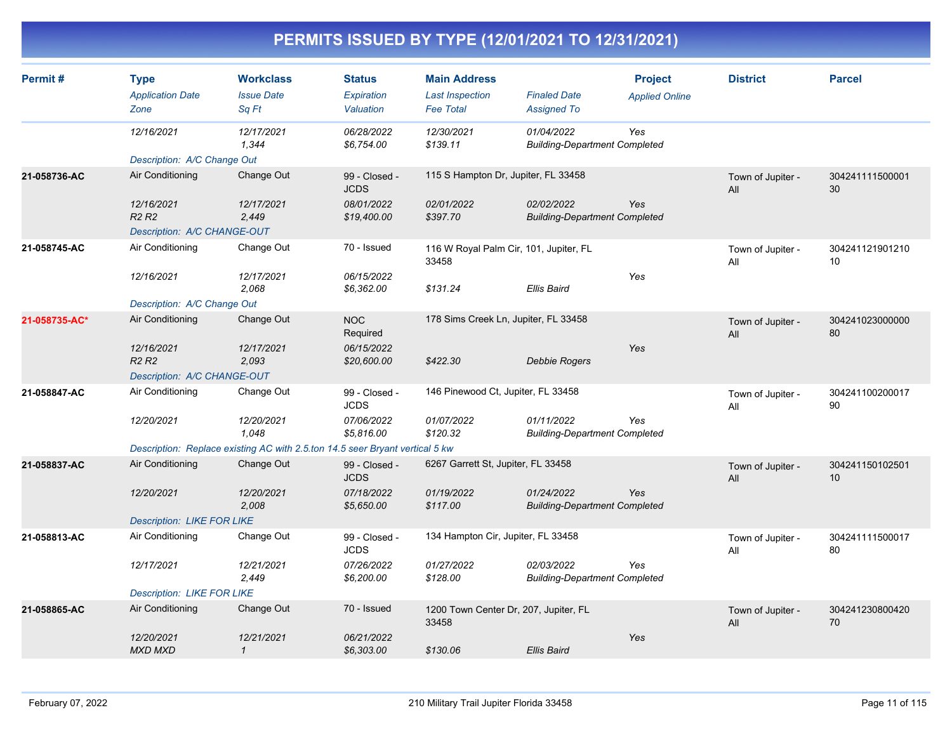| Permit#       | <b>Type</b><br><b>Application Date</b><br>Zone | <b>Workclass</b><br><b>Issue Date</b><br>Sa Ft                               | <b>Status</b><br>Expiration<br>Valuation | <b>Main Address</b><br><b>Last Inspection</b><br><b>Fee Total</b> | <b>Finaled Date</b><br><b>Assigned To</b>          | <b>Project</b><br><b>Applied Online</b> | <b>District</b>          | <b>Parcel</b>         |
|---------------|------------------------------------------------|------------------------------------------------------------------------------|------------------------------------------|-------------------------------------------------------------------|----------------------------------------------------|-----------------------------------------|--------------------------|-----------------------|
|               | 12/16/2021                                     | 12/17/2021<br>1,344                                                          | 06/28/2022<br>\$6,754.00                 | 12/30/2021<br>\$139.11                                            | 01/04/2022<br><b>Building-Department Completed</b> | Yes                                     |                          |                       |
|               | Description: A/C Change Out                    |                                                                              |                                          |                                                                   |                                                    |                                         |                          |                       |
| 21-058736-AC  | Air Conditioning                               | Change Out                                                                   | 99 - Closed -<br><b>JCDS</b>             | 115 S Hampton Dr, Jupiter, FL 33458                               |                                                    |                                         | Town of Jupiter -<br>All | 304241111500001<br>30 |
|               | 12/16/2021<br>R <sub>2</sub> R <sub>2</sub>    | 12/17/2021<br>2,449                                                          | 08/01/2022<br>\$19,400.00                | 02/01/2022<br>\$397.70                                            | 02/02/2022<br><b>Building-Department Completed</b> | Yes                                     |                          |                       |
|               | Description: A/C CHANGE-OUT                    |                                                                              |                                          |                                                                   |                                                    |                                         |                          |                       |
| 21-058745-AC  | Air Conditioning                               | Change Out                                                                   | 70 - Issued                              | 116 W Royal Palm Cir, 101, Jupiter, FL<br>33458                   |                                                    |                                         | Town of Jupiter -<br>All | 304241121901210<br>10 |
|               | 12/16/2021                                     | 12/17/2021<br>2,068                                                          | 06/15/2022<br>\$6,362.00                 | \$131.24                                                          | <b>Ellis Baird</b>                                 | Yes                                     |                          |                       |
|               | Description: A/C Change Out                    |                                                                              |                                          |                                                                   |                                                    |                                         |                          |                       |
| 21-058735-AC* | Air Conditioning                               | Change Out                                                                   | <b>NOC</b><br>Required                   | 178 Sims Creek Ln, Jupiter, FL 33458                              |                                                    |                                         | Town of Jupiter -<br>All | 304241023000000<br>80 |
|               | 12/16/2021<br>R <sub>2</sub> R <sub>2</sub>    | 12/17/2021<br>2,093                                                          | 06/15/2022<br>\$20,600.00                | \$422.30                                                          | <b>Debbie Rogers</b>                               | <b>Yes</b>                              |                          |                       |
|               | Description: A/C CHANGE-OUT                    |                                                                              |                                          |                                                                   |                                                    |                                         |                          |                       |
| 21-058847-AC  | Air Conditioning                               | Change Out                                                                   | 99 - Closed -<br><b>JCDS</b>             | 146 Pinewood Ct, Jupiter, FL 33458                                |                                                    |                                         | Town of Jupiter -<br>All | 304241100200017<br>90 |
|               | 12/20/2021                                     | 12/20/2021<br>1.048                                                          | 07/06/2022<br>\$5,816.00                 | 01/07/2022<br>\$120.32                                            | 01/11/2022<br><b>Building-Department Completed</b> | Yes                                     |                          |                       |
|               |                                                | Description: Replace existing AC with 2.5.ton 14.5 seer Bryant vertical 5 kw |                                          |                                                                   |                                                    |                                         |                          |                       |
| 21-058837-AC  | Air Conditioning                               | Change Out                                                                   | 99 - Closed -<br><b>JCDS</b>             | 6267 Garrett St, Jupiter, FL 33458                                |                                                    |                                         | Town of Jupiter -<br>All | 304241150102501<br>10 |
|               | 12/20/2021                                     | 12/20/2021<br>2,008                                                          | 07/18/2022<br>\$5,650.00                 | 01/19/2022<br>\$117.00                                            | 01/24/2022<br><b>Building-Department Completed</b> | <b>Yes</b>                              |                          |                       |
|               | <b>Description: LIKE FOR LIKE</b>              |                                                                              |                                          |                                                                   |                                                    |                                         |                          |                       |
| 21-058813-AC  | Air Conditioning                               | Change Out                                                                   | 99 - Closed -<br><b>JCDS</b>             | 134 Hampton Cir, Jupiter, FL 33458                                |                                                    |                                         | Town of Jupiter -<br>All | 304241111500017<br>80 |
|               | 12/17/2021                                     | 12/21/2021<br>2,449                                                          | 07/26/2022<br>\$6,200.00                 | 01/27/2022<br>\$128.00                                            | 02/03/2022<br><b>Building-Department Completed</b> | Yes                                     |                          |                       |
|               | <b>Description: LIKE FOR LIKE</b>              |                                                                              |                                          |                                                                   |                                                    |                                         |                          |                       |
| 21-058865-AC  | Air Conditioning                               | Change Out                                                                   | 70 - Issued                              | 1200 Town Center Dr, 207, Jupiter, FL<br>33458                    |                                                    |                                         | Town of Jupiter -<br>All | 304241230800420<br>70 |
|               | 12/20/2021<br><b>MXD MXD</b>                   | 12/21/2021<br>$\mathbf{1}$                                                   | 06/21/2022<br>\$6,303.00                 | \$130.06                                                          | <b>Ellis Baird</b>                                 | Yes                                     |                          |                       |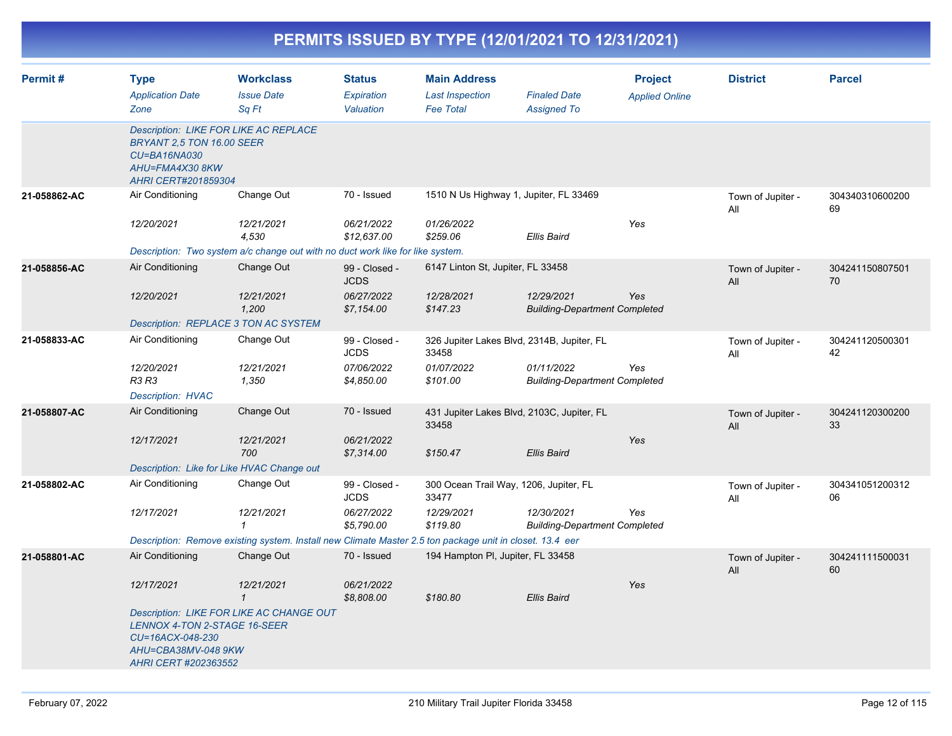|              |                                                                                     |                                                                                |                                          | PERMITS ISSUED BY TYPE (12/01/2021 TO 12/31/2021)                                                        |                                                    |                                         |                          |                       |  |
|--------------|-------------------------------------------------------------------------------------|--------------------------------------------------------------------------------|------------------------------------------|----------------------------------------------------------------------------------------------------------|----------------------------------------------------|-----------------------------------------|--------------------------|-----------------------|--|
| Permit#      | <b>Type</b><br><b>Application Date</b><br>Zone                                      | <b>Workclass</b><br><b>Issue Date</b><br>Sa Ft                                 | <b>Status</b><br>Expiration<br>Valuation | <b>Main Address</b><br><b>Last Inspection</b><br><b>Fee Total</b>                                        | <b>Finaled Date</b><br><b>Assigned To</b>          | <b>Project</b><br><b>Applied Online</b> | <b>District</b>          | <b>Parcel</b>         |  |
|              | BRYANT 2.5 TON 16.00 SEER<br>CU=BA16NA030<br>AHU=FMA4X30 8KW<br>AHRI CERT#201859304 | Description: LIKE FOR LIKE AC REPLACE                                          |                                          |                                                                                                          |                                                    |                                         |                          |                       |  |
| 21-058862-AC | Air Conditioning                                                                    | Change Out                                                                     | 70 - Issued                              |                                                                                                          | 1510 N Us Highway 1, Jupiter, FL 33469             |                                         | Town of Jupiter -<br>All | 304340310600200<br>69 |  |
|              | 12/20/2021                                                                          | 12/21/2021<br>4.530                                                            | 06/21/2022<br>\$12,637.00                | 01/26/2022<br>\$259.06                                                                                   | <b>Ellis Baird</b>                                 | Yes                                     |                          |                       |  |
|              |                                                                                     | Description: Two system a/c change out with no duct work like for like system. |                                          |                                                                                                          |                                                    |                                         |                          |                       |  |
| 21-058856-AC | Air Conditioning                                                                    | Change Out                                                                     | 99 - Closed -<br><b>JCDS</b>             | 6147 Linton St, Jupiter, FL 33458                                                                        |                                                    |                                         | Town of Jupiter -<br>All | 304241150807501<br>70 |  |
|              | 12/20/2021                                                                          | 12/21/2021<br>1,200                                                            | 06/27/2022<br>\$7,154.00                 | 12/28/2021<br>\$147.23                                                                                   | 12/29/2021<br><b>Building-Department Completed</b> | Yes                                     |                          |                       |  |
|              | Description: REPLACE 3 TON AC SYSTEM                                                |                                                                                |                                          |                                                                                                          |                                                    |                                         |                          |                       |  |
| 21-058833-AC | Air Conditioning                                                                    | Change Out                                                                     | 99 - Closed -<br><b>JCDS</b>             | 33458                                                                                                    | 326 Jupiter Lakes Blvd, 2314B, Jupiter, FL         |                                         | Town of Jupiter -<br>All | 304241120500301<br>42 |  |
|              | 12/20/2021<br>R3 R3                                                                 | 12/21/2021<br>1,350                                                            | 07/06/2022<br>\$4,850.00                 | 01/07/2022<br>\$101.00                                                                                   | 01/11/2022<br><b>Building-Department Completed</b> | Yes                                     |                          |                       |  |
|              | <b>Description: HVAC</b>                                                            |                                                                                |                                          |                                                                                                          |                                                    |                                         |                          |                       |  |
| 21-058807-AC | Air Conditioning                                                                    | Change Out                                                                     | 70 - Issued                              | 33458                                                                                                    | 431 Jupiter Lakes Blvd, 2103C, Jupiter, FL         |                                         | Town of Jupiter -<br>All | 304241120300200<br>33 |  |
|              | 12/17/2021                                                                          | 12/21/2021<br>700                                                              | 06/21/2022<br>\$7,314.00                 | \$150.47                                                                                                 | <b>Ellis Baird</b>                                 | Yes                                     |                          |                       |  |
|              |                                                                                     | Description: Like for Like HVAC Change out                                     |                                          |                                                                                                          |                                                    |                                         |                          |                       |  |
| 21-058802-AC | Air Conditioning                                                                    | Change Out                                                                     | 99 - Closed -<br><b>JCDS</b>             | 300 Ocean Trail Way, 1206, Jupiter, FL<br>33477                                                          |                                                    |                                         | Town of Jupiter -<br>All | 304341051200312<br>06 |  |
|              | 12/17/2021                                                                          | 12/21/2021<br>$\mathbf 1$                                                      | 06/27/2022<br>\$5,790.00                 | 12/29/2021<br>\$119.80                                                                                   | 12/30/2021<br><b>Building-Department Completed</b> | Yes                                     |                          |                       |  |
|              |                                                                                     |                                                                                |                                          | Description: Remove existing system. Install new Climate Master 2.5 ton package unit in closet. 13.4 eer |                                                    |                                         |                          |                       |  |
| 21-058801-AC | Air Conditioning                                                                    | Change Out                                                                     | 70 - Issued                              | 194 Hampton PI, Jupiter, FL 33458                                                                        |                                                    |                                         | Town of Jupiter -<br>All | 304241111500031<br>60 |  |
|              | 12/17/2021                                                                          | 12/21/2021<br>$\overline{1}$                                                   | 06/21/2022<br>\$8,808.00                 | \$180.80                                                                                                 | <b>Ellis Baird</b>                                 | Yes                                     |                          |                       |  |
|              | LENNOX 4-TON 2-STAGE 16-SEER<br>CU=16ACX-048-230<br>AHU=CBA38MV-048 9KW             | Description: LIKE FOR LIKE AC CHANGE OUT                                       |                                          |                                                                                                          |                                                    |                                         |                          |                       |  |

*AHRI CERT #202363552*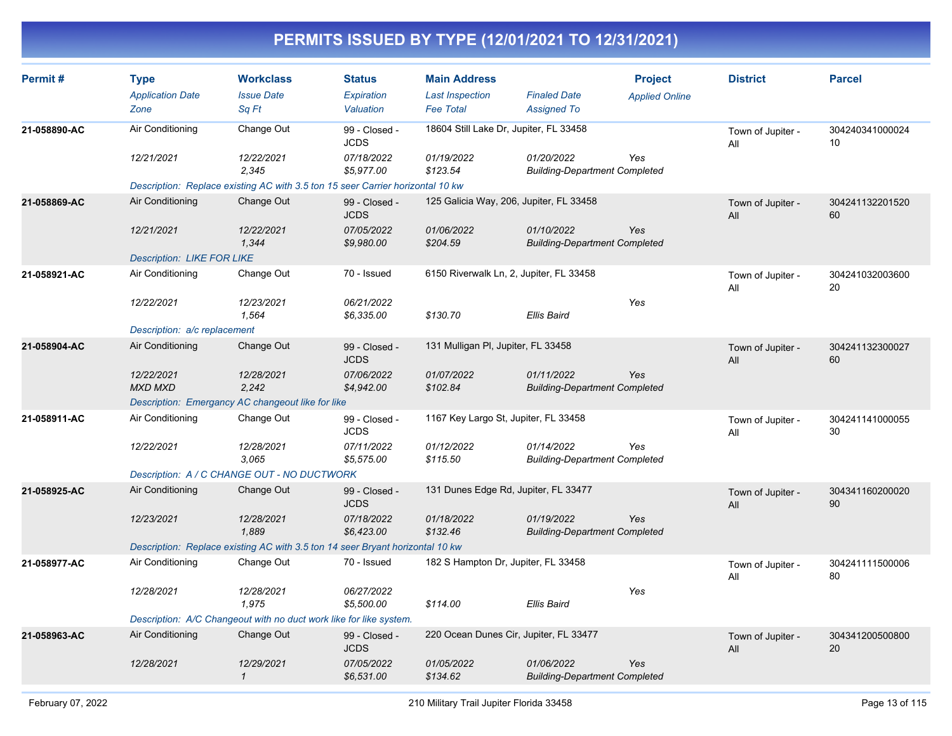| Permit#      | <b>Type</b><br><b>Application Date</b><br>Zone | <b>Workclass</b><br><b>Issue Date</b><br>Sq Ft                                 | <b>Status</b><br>Expiration<br>Valuation | <b>Main Address</b><br><b>Last Inspection</b><br><b>Fee Total</b> | <b>Finaled Date</b><br><b>Assigned To</b>          | <b>Project</b><br><b>Applied Online</b> | <b>District</b>          | <b>Parcel</b>         |
|--------------|------------------------------------------------|--------------------------------------------------------------------------------|------------------------------------------|-------------------------------------------------------------------|----------------------------------------------------|-----------------------------------------|--------------------------|-----------------------|
| 21-058890-AC | Air Conditioning                               | Change Out                                                                     | 99 - Closed -<br><b>JCDS</b>             | 18604 Still Lake Dr, Jupiter, FL 33458                            |                                                    |                                         | Town of Jupiter -<br>All | 304240341000024<br>10 |
|              | 12/21/2021                                     | 12/22/2021<br>2,345                                                            | 07/18/2022<br>\$5,977.00                 | 01/19/2022<br>\$123.54                                            | 01/20/2022<br><b>Building-Department Completed</b> | Yes                                     |                          |                       |
|              |                                                | Description: Replace existing AC with 3.5 ton 15 seer Carrier horizontal 10 kw |                                          |                                                                   |                                                    |                                         |                          |                       |
| 21-058869-AC | Air Conditioning                               | Change Out                                                                     | 99 - Closed -<br><b>JCDS</b>             | 125 Galicia Way, 206, Jupiter, FL 33458                           |                                                    |                                         | Town of Jupiter -<br>All | 304241132201520<br>60 |
|              | 12/21/2021                                     | 12/22/2021<br>1,344                                                            | 07/05/2022<br>\$9,980.00                 | 01/06/2022<br>\$204.59                                            | 01/10/2022<br><b>Building-Department Completed</b> | Yes                                     |                          |                       |
|              | <b>Description: LIKE FOR LIKE</b>              |                                                                                |                                          |                                                                   |                                                    |                                         |                          |                       |
| 21-058921-AC | Air Conditioning                               | Change Out                                                                     | 70 - Issued                              | 6150 Riverwalk Ln, 2, Jupiter, FL 33458                           |                                                    |                                         | Town of Jupiter -<br>All | 304241032003600<br>20 |
|              | 12/22/2021                                     | 12/23/2021<br>1,564                                                            | 06/21/2022<br>\$6,335.00                 | \$130.70                                                          | Ellis Baird                                        | Yes                                     |                          |                       |
|              | Description: a/c replacement                   |                                                                                |                                          |                                                                   |                                                    |                                         |                          |                       |
| 21-058904-AC | Air Conditioning                               | Change Out                                                                     | 99 - Closed -<br><b>JCDS</b>             | 131 Mulligan PI, Jupiter, FL 33458                                |                                                    |                                         | Town of Jupiter -<br>All | 304241132300027<br>60 |
|              | 12/22/2021<br><b>MXD MXD</b>                   | 12/28/2021<br>2.242                                                            | 07/06/2022<br>\$4,942.00                 | 01/07/2022<br>\$102.84                                            | 01/11/2022<br><b>Building-Department Completed</b> | Yes                                     |                          |                       |
|              |                                                | Description: Emergancy AC changeout like for like                              |                                          |                                                                   |                                                    |                                         |                          |                       |
| 21-058911-AC | Air Conditioning                               | Change Out                                                                     | 99 - Closed -<br><b>JCDS</b>             | 1167 Key Largo St, Jupiter, FL 33458                              |                                                    |                                         | Town of Jupiter -<br>All | 304241141000055<br>30 |
|              | 12/22/2021                                     | 12/28/2021<br>3.065                                                            | 07/11/2022<br>\$5,575.00                 | 01/12/2022<br>\$115.50                                            | 01/14/2022<br><b>Building-Department Completed</b> | Yes                                     |                          |                       |
|              |                                                | Description: A / C CHANGE OUT - NO DUCTWORK                                    |                                          |                                                                   |                                                    |                                         |                          |                       |
| 21-058925-AC | Air Conditioning                               | Change Out                                                                     | 99 - Closed -<br><b>JCDS</b>             | 131 Dunes Edge Rd, Jupiter, FL 33477                              |                                                    |                                         | Town of Jupiter -<br>All | 304341160200020<br>90 |
|              | 12/23/2021                                     | 12/28/2021<br>1.889                                                            | 07/18/2022<br>\$6,423.00                 | 01/18/2022<br>\$132.46                                            | 01/19/2022<br><b>Building-Department Completed</b> | Yes                                     |                          |                       |
|              |                                                | Description: Replace existing AC with 3.5 ton 14 seer Bryant horizontal 10 kw  |                                          |                                                                   |                                                    |                                         |                          |                       |
| 21-058977-AC | Air Conditioning                               | Change Out                                                                     | 70 - Issued                              | 182 S Hampton Dr, Jupiter, FL 33458                               |                                                    |                                         | Town of Jupiter -<br>All | 304241111500006<br>80 |
|              | 12/28/2021                                     | 12/28/2021<br>1.975                                                            | 06/27/2022<br>\$5,500.00                 | \$114.00                                                          | <b>Ellis Baird</b>                                 | Yes                                     |                          |                       |
|              |                                                | Description: A/C Changeout with no duct work like for like system.             |                                          |                                                                   |                                                    |                                         |                          |                       |
| 21-058963-AC | Air Conditioning                               | Change Out                                                                     | 99 - Closed -<br><b>JCDS</b>             | 220 Ocean Dunes Cir, Jupiter, FL 33477                            |                                                    |                                         | Town of Jupiter -<br>All | 304341200500800<br>20 |
|              | 12/28/2021                                     | 12/29/2021<br>$\mathbf{1}$                                                     | 07/05/2022<br>\$6,531.00                 | 01/05/2022<br>\$134.62                                            | 01/06/2022<br><b>Building-Department Completed</b> | Yes                                     |                          |                       |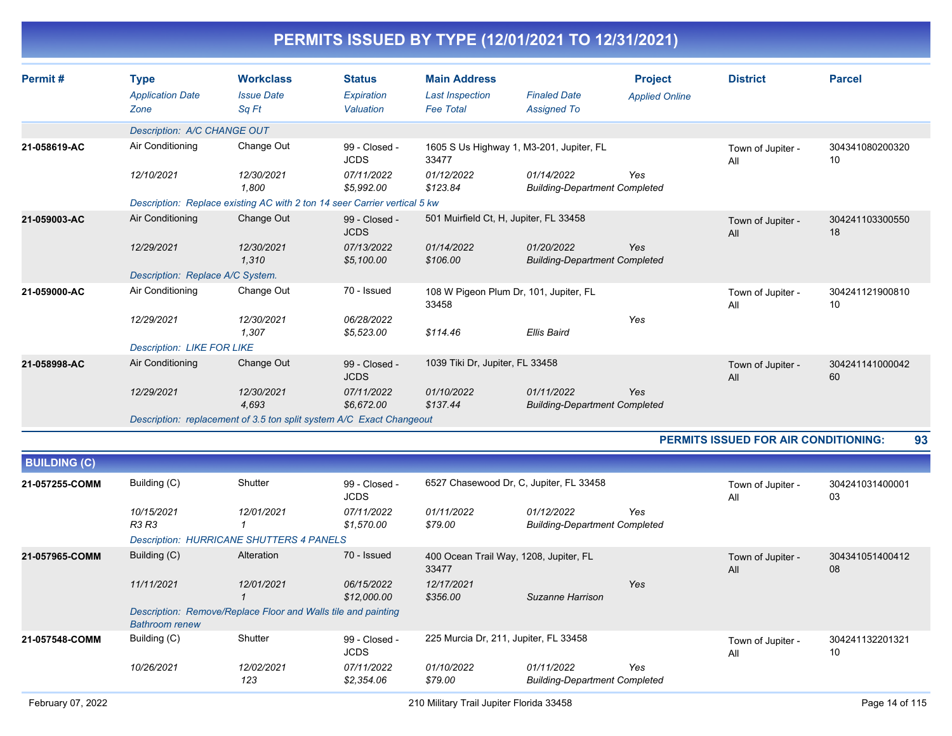| PERMITS ISSUED BY TYPE (12/01/2021 TO 12/31/2021) |
|---------------------------------------------------|
|---------------------------------------------------|

| Permit#      | <b>Type</b><br><b>Application Date</b><br>Zone | <b>Workclass</b><br><b>Issue Date</b><br>Sq Ft                            | <b>Status</b><br>Expiration<br>Valuation | <b>Main Address</b><br><b>Last Inspection</b><br><b>Fee Total</b> | <b>Finaled Date</b><br><b>Assigned To</b>          | <b>Project</b><br><b>Applied Online</b> | <b>District</b>                             | <b>Parcel</b>         |
|--------------|------------------------------------------------|---------------------------------------------------------------------------|------------------------------------------|-------------------------------------------------------------------|----------------------------------------------------|-----------------------------------------|---------------------------------------------|-----------------------|
|              | Description: A/C CHANGE OUT                    |                                                                           |                                          |                                                                   |                                                    |                                         |                                             |                       |
| 21-058619-AC | Air Conditioning                               | Change Out                                                                | 99 - Closed -<br><b>JCDS</b>             | 33477                                                             | 1605 S Us Highway 1, M3-201, Jupiter, FL           |                                         | Town of Jupiter -<br>All                    | 304341080200320<br>10 |
|              | 12/10/2021                                     | 12/30/2021<br>1.800                                                       | 07/11/2022<br>\$5,992.00                 | 01/12/2022<br>\$123.84                                            | 01/14/2022<br><b>Building-Department Completed</b> | Yes                                     |                                             |                       |
|              |                                                | Description: Replace existing AC with 2 ton 14 seer Carrier vertical 5 kw |                                          |                                                                   |                                                    |                                         |                                             |                       |
| 21-059003-AC | Air Conditioning                               | Change Out                                                                | 99 - Closed -<br><b>JCDS</b>             | 501 Muirfield Ct, H, Jupiter, FL 33458                            |                                                    |                                         | Town of Jupiter -<br>All                    | 304241103300550<br>18 |
|              | 12/29/2021                                     | 12/30/2021<br>1.310                                                       | 07/13/2022<br>\$5,100.00                 | 01/14/2022<br>\$106.00                                            | 01/20/2022<br><b>Building-Department Completed</b> | Yes                                     |                                             |                       |
|              | Description: Replace A/C System.               |                                                                           |                                          |                                                                   |                                                    |                                         |                                             |                       |
| 21-059000-AC | Air Conditioning                               | Change Out                                                                | 70 - Issued                              | 108 W Pigeon Plum Dr, 101, Jupiter, FL<br>33458                   |                                                    |                                         | Town of Jupiter -<br>All                    | 304241121900810<br>10 |
|              | 12/29/2021                                     | 12/30/2021<br>1.307                                                       | 06/28/2022<br>\$5,523.00                 | \$114.46                                                          | Ellis Baird                                        | Yes                                     |                                             |                       |
|              | <b>Description: LIKE FOR LIKE</b>              |                                                                           |                                          |                                                                   |                                                    |                                         |                                             |                       |
| 21-058998-AC | Air Conditioning                               | Change Out                                                                | 99 - Closed -<br><b>JCDS</b>             | 1039 Tiki Dr, Jupiter, FL 33458                                   |                                                    |                                         | Town of Jupiter -<br>All                    | 304241141000042<br>60 |
|              | 12/29/2021                                     | 12/30/2021<br>4,693                                                       | 07/11/2022<br>\$6,672.00                 | 01/10/2022<br>\$137.44                                            | 01/11/2022<br><b>Building-Department Completed</b> | Yes                                     |                                             |                       |
|              |                                                | Description: replacement of 3.5 ton split system A/C Exact Changeout      |                                          |                                                                   |                                                    |                                         |                                             |                       |
|              |                                                |                                                                           |                                          |                                                                   |                                                    |                                         | <b>PERMITS ISSUED FOR AIR CONDITIONING:</b> | 93                    |
|              |                                                |                                                                           |                                          |                                                                   |                                                    |                                         |                                             |                       |

| <b>BUILDING (C)</b> |                       |                                                               |                              |                                                 |                                                    |     |                          |                       |
|---------------------|-----------------------|---------------------------------------------------------------|------------------------------|-------------------------------------------------|----------------------------------------------------|-----|--------------------------|-----------------------|
| 21-057255-COMM      | Building (C)          | Shutter                                                       | 99 - Closed -<br><b>JCDS</b> | 6527 Chasewood Dr, C, Jupiter, FL 33458         |                                                    |     | Town of Jupiter -<br>All | 304241031400001<br>03 |
|                     | 10/15/2021<br>R3 R3   | 12/01/2021                                                    | 07/11/2022<br>\$1,570.00     | 01/11/2022<br>\$79.00                           | 01/12/2022<br><b>Building-Department Completed</b> | Yes |                          |                       |
|                     |                       | <b>Description: HURRICANE SHUTTERS 4 PANELS</b>               |                              |                                                 |                                                    |     |                          |                       |
| 21-057965-COMM      | Building (C)          | Alteration                                                    | 70 - Issued                  | 400 Ocean Trail Way, 1208, Jupiter, FL<br>33477 |                                                    |     | Town of Jupiter -<br>All | 304341051400412<br>08 |
|                     | 11/11/2021            | 12/01/2021                                                    | 06/15/2022<br>\$12,000.00    | 12/17/2021<br>\$356.00                          | Suzanne Harrison                                   | Yes |                          |                       |
|                     | <b>Bathroom renew</b> | Description: Remove/Replace Floor and Walls tile and painting |                              |                                                 |                                                    |     |                          |                       |
| 21-057548-COMM      | Building (C)          | Shutter                                                       | 99 - Closed -<br><b>JCDS</b> | 225 Murcia Dr. 211, Jupiter, FL 33458           |                                                    |     | Town of Jupiter -<br>All | 304241132201321<br>10 |
|                     | 10/26/2021            | 12/02/2021<br>123                                             | 07/11/2022<br>\$2,354.06     | 01/10/2022<br>\$79.00                           | 01/11/2022<br><b>Building-Department Completed</b> | Yes |                          |                       |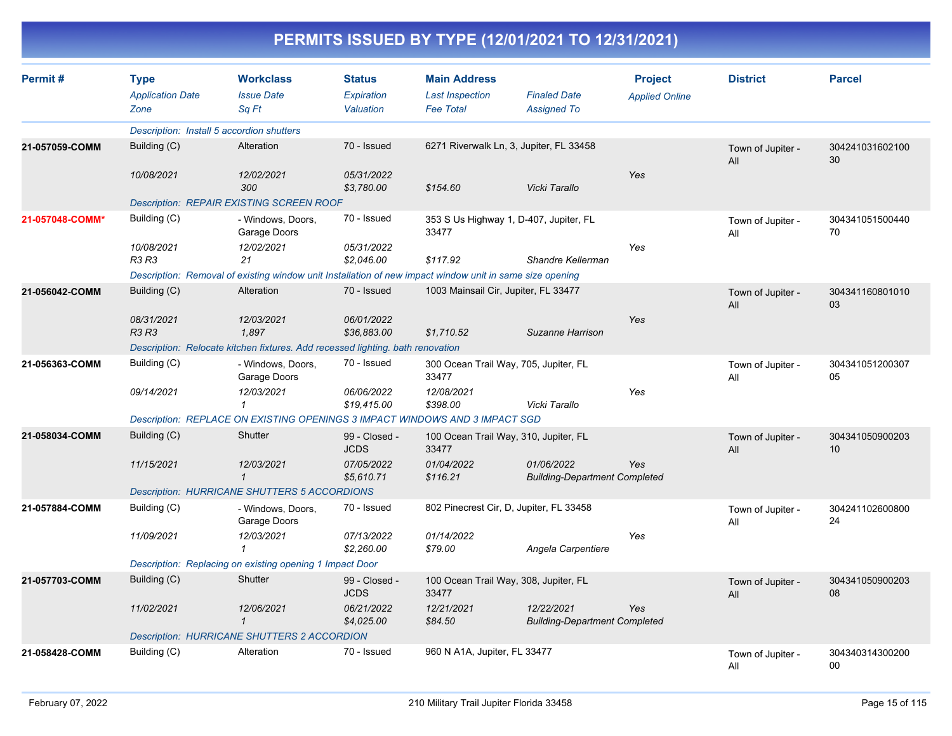| Permit#         | <b>Type</b><br><b>Application Date</b><br>Zone | <b>Workclass</b><br><b>Issue Date</b><br>Sq Ft                                                           | <b>Status</b><br><b>Expiration</b><br>Valuation | <b>Main Address</b><br><b>Last Inspection</b><br><b>Fee Total</b> | <b>Finaled Date</b><br><b>Assigned To</b>          | <b>Project</b><br><b>Applied Online</b> | <b>District</b>          | <b>Parcel</b>         |
|-----------------|------------------------------------------------|----------------------------------------------------------------------------------------------------------|-------------------------------------------------|-------------------------------------------------------------------|----------------------------------------------------|-----------------------------------------|--------------------------|-----------------------|
|                 | Description: Install 5 accordion shutters      |                                                                                                          |                                                 |                                                                   |                                                    |                                         |                          |                       |
| 21-057059-COMM  | Building (C)                                   | Alteration                                                                                               | 70 - Issued                                     |                                                                   | 6271 Riverwalk Ln, 3, Jupiter, FL 33458            |                                         | Town of Jupiter -<br>All | 304241031602100<br>30 |
|                 | 10/08/2021                                     | 12/02/2021<br>300                                                                                        | 05/31/2022<br>\$3,780.00                        | \$154.60                                                          | Vicki Tarallo                                      | Yes                                     |                          |                       |
|                 |                                                | <b>Description: REPAIR EXISTING SCREEN ROOF</b>                                                          |                                                 |                                                                   |                                                    |                                         |                          |                       |
| 21-057048-COMM* | Building (C)                                   | - Windows, Doors,<br>Garage Doors                                                                        | 70 - Issued                                     | 33477                                                             | 353 S Us Highway 1, D-407, Jupiter, FL             |                                         | Town of Jupiter -<br>All | 304341051500440<br>70 |
|                 | 10/08/2021<br><b>R3 R3</b>                     | 12/02/2021<br>21                                                                                         | 05/31/2022<br>\$2,046.00                        | \$117.92                                                          | Shandre Kellerman                                  | Yes                                     |                          |                       |
|                 |                                                | Description: Removal of existing window unit Installation of new impact window unit in same size opening |                                                 |                                                                   |                                                    |                                         |                          |                       |
| 21-056042-COMM  | Building (C)                                   | Alteration                                                                                               | 70 - Issued                                     | 1003 Mainsail Cir, Jupiter, FL 33477                              |                                                    |                                         | Town of Jupiter -<br>All | 304341160801010<br>03 |
|                 | 08/31/2021<br>R3 R3                            | 12/03/2021<br>1,897                                                                                      | 06/01/2022<br>\$36,883.00                       | \$1,710.52                                                        | Suzanne Harrison                                   | Yes                                     |                          |                       |
|                 |                                                | Description: Relocate kitchen fixtures. Add recessed lighting. bath renovation                           |                                                 |                                                                   |                                                    |                                         |                          |                       |
| 21-056363-COMM  | Building (C)                                   | - Windows, Doors,<br>Garage Doors                                                                        | 70 - Issued                                     | 300 Ocean Trail Way, 705, Jupiter, FL<br>33477                    |                                                    |                                         | Town of Jupiter -<br>All | 304341051200307<br>05 |
|                 | 09/14/2021                                     | 12/03/2021<br>$\mathbf{1}$                                                                               | 06/06/2022<br>\$19,415.00                       | 12/08/2021<br>\$398.00                                            | Vicki Tarallo                                      | Yes                                     |                          |                       |
|                 |                                                | Description: REPLACE ON EXISTING OPENINGS 3 IMPACT WINDOWS AND 3 IMPACT SGD                              |                                                 |                                                                   |                                                    |                                         |                          |                       |
| 21-058034-COMM  | Building (C)                                   | Shutter                                                                                                  | 99 - Closed -<br><b>JCDS</b>                    | 100 Ocean Trail Way, 310, Jupiter, FL<br>33477                    |                                                    |                                         | Town of Jupiter -<br>All | 304341050900203<br>10 |
|                 | 11/15/2021                                     | 12/03/2021<br>$\mathbf{1}$                                                                               | 07/05/2022<br>\$5,610.71                        | 01/04/2022<br>\$116.21                                            | 01/06/2022<br><b>Building-Department Completed</b> | Yes                                     |                          |                       |
|                 |                                                | <b>Description: HURRICANE SHUTTERS 5 ACCORDIONS</b>                                                      |                                                 |                                                                   |                                                    |                                         |                          |                       |
| 21-057884-COMM  | Building (C)                                   | - Windows, Doors,<br>Garage Doors                                                                        | 70 - Issued                                     | 802 Pinecrest Cir, D, Jupiter, FL 33458                           |                                                    |                                         | Town of Jupiter -<br>All | 304241102600800<br>24 |
|                 | 11/09/2021                                     | 12/03/2021<br>1                                                                                          | 07/13/2022<br>\$2,260.00                        | 01/14/2022<br>\$79.00                                             | Angela Carpentiere                                 | Yes                                     |                          |                       |
|                 |                                                | Description: Replacing on existing opening 1 Impact Door                                                 |                                                 |                                                                   |                                                    |                                         |                          |                       |
| 21-057703-COMM  | Building (C)                                   | Shutter                                                                                                  | 99 - Closed -<br><b>JCDS</b>                    | 100 Ocean Trail Way, 308, Jupiter, FL<br>33477                    |                                                    |                                         | Town of Jupiter -<br>All | 304341050900203<br>08 |
|                 | 11/02/2021                                     | 12/06/2021<br>$\mathbf{1}$                                                                               | 06/21/2022<br>\$4,025.00                        | 12/21/2021<br>\$84.50                                             | 12/22/2021<br><b>Building-Department Completed</b> | Yes                                     |                          |                       |
|                 |                                                | <b>Description: HURRICANE SHUTTERS 2 ACCORDION</b>                                                       |                                                 |                                                                   |                                                    |                                         |                          |                       |
| 21-058428-COMM  | Building (C)                                   | Alteration                                                                                               | 70 - Issued                                     | 960 N A1A, Jupiter, FL 33477                                      |                                                    |                                         | Town of Jupiter -<br>All | 304340314300200<br>00 |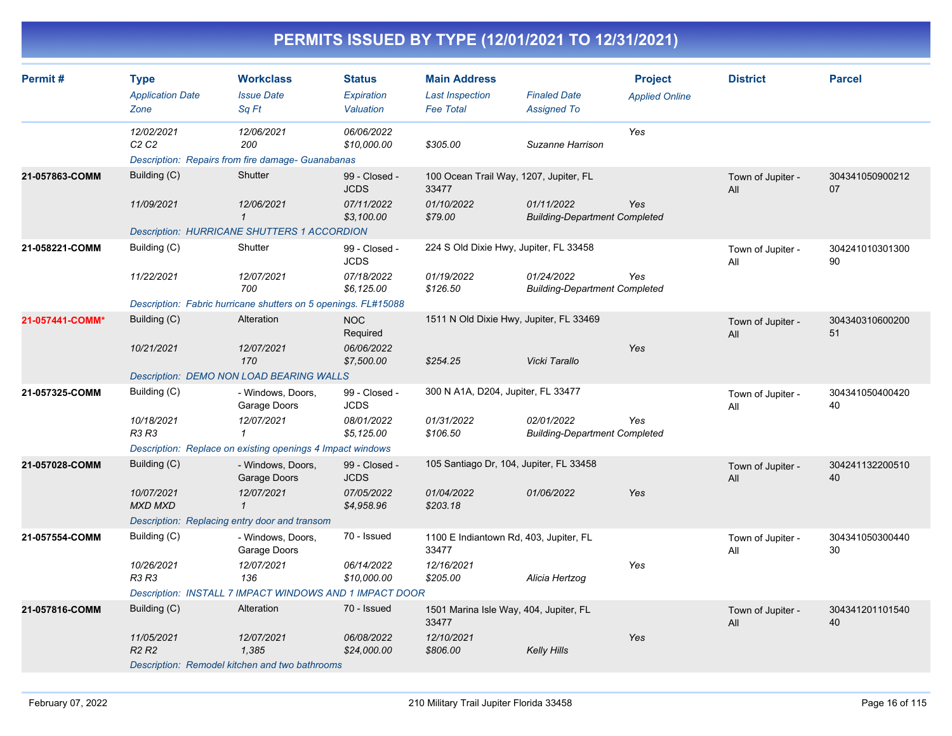| Permit#         | <b>Type</b><br><b>Application Date</b>        | <b>Workclass</b><br><b>Issue Date</b>                                  | <b>Status</b><br>Expiration  | <b>Main Address</b><br><b>Last Inspection</b>   | <b>Finaled Date</b>                                | <b>Project</b><br><b>Applied Online</b> | <b>District</b>          | <b>Parcel</b>         |
|-----------------|-----------------------------------------------|------------------------------------------------------------------------|------------------------------|-------------------------------------------------|----------------------------------------------------|-----------------------------------------|--------------------------|-----------------------|
|                 | Zone                                          | Sq Ft                                                                  | Valuation                    | <b>Fee Total</b>                                | <b>Assigned To</b>                                 |                                         |                          |                       |
|                 | 12/02/2021<br>C <sub>2</sub> C <sub>2</sub>   | 12/06/2021<br>200<br>Description: Repairs from fire damage- Guanabanas | 06/06/2022<br>\$10,000.00    | \$305.00                                        | Suzanne Harrison                                   | Yes                                     |                          |                       |
|                 |                                               | Shutter                                                                |                              |                                                 |                                                    |                                         |                          |                       |
| 21-057863-COMM  | Building (C)                                  |                                                                        | 99 - Closed -<br><b>JCDS</b> | 100 Ocean Trail Way, 1207, Jupiter, FL<br>33477 |                                                    |                                         | Town of Jupiter -<br>All | 304341050900212<br>07 |
|                 | 11/09/2021                                    | 12/06/2021<br>$\mathbf{1}$                                             | 07/11/2022<br>\$3,100.00     | 01/10/2022<br>\$79.00                           | 01/11/2022<br><b>Building-Department Completed</b> | Yes                                     |                          |                       |
|                 |                                               | <b>Description: HURRICANE SHUTTERS 1 ACCORDION</b>                     |                              |                                                 |                                                    |                                         |                          |                       |
| 21-058221-COMM  | Building (C)                                  | Shutter                                                                | 99 - Closed -<br><b>JCDS</b> | 224 S Old Dixie Hwy, Jupiter, FL 33458          |                                                    |                                         | Town of Jupiter -<br>All | 304241010301300<br>90 |
|                 | 11/22/2021                                    | 12/07/2021<br>700                                                      | 07/18/2022<br>\$6,125.00     | 01/19/2022<br>\$126.50                          | 01/24/2022<br><b>Building-Department Completed</b> | Yes                                     |                          |                       |
|                 |                                               | Description: Fabric hurricane shutters on 5 openings. FL#15088         |                              |                                                 |                                                    |                                         |                          |                       |
| 21-057441-COMM* | Building (C)                                  | Alteration                                                             | <b>NOC</b><br>Required       | 1511 N Old Dixie Hwy, Jupiter, FL 33469         |                                                    |                                         | Town of Jupiter -<br>All | 304340310600200<br>51 |
|                 | 10/21/2021                                    | 12/07/2021<br>170                                                      | 06/06/2022<br>\$7,500.00     | \$254.25                                        | Vicki Tarallo                                      | Yes                                     |                          |                       |
|                 |                                               | Description: DEMO NON LOAD BEARING WALLS                               |                              |                                                 |                                                    |                                         |                          |                       |
| 21-057325-COMM  | Building (C)                                  | - Windows, Doors,<br>Garage Doors                                      | 99 - Closed -<br><b>JCDS</b> | 300 N A1A, D204, Jupiter, FL 33477              |                                                    |                                         | Town of Jupiter -<br>All | 304341050400420<br>40 |
|                 | 10/18/2021<br><b>R3 R3</b>                    | 12/07/2021<br>$\mathbf{1}$                                             | 08/01/2022<br>\$5,125.00     | 01/31/2022<br>\$106.50                          | 02/01/2022<br><b>Building-Department Completed</b> | Yes                                     |                          |                       |
|                 |                                               | Description: Replace on existing openings 4 Impact windows             |                              |                                                 |                                                    |                                         |                          |                       |
| 21-057028-COMM  | Building (C)                                  | - Windows, Doors,<br>Garage Doors                                      | 99 - Closed -<br><b>JCDS</b> | 105 Santiago Dr, 104, Jupiter, FL 33458         |                                                    |                                         | Town of Jupiter -<br>All | 304241132200510<br>40 |
|                 | 10/07/2021<br><b>MXD MXD</b>                  | 12/07/2021<br>$\mathcal I$                                             | 07/05/2022<br>\$4,958.96     | 01/04/2022<br>\$203.18                          | 01/06/2022                                         | Yes                                     |                          |                       |
|                 | Description: Replacing entry door and transom |                                                                        |                              |                                                 |                                                    |                                         |                          |                       |
| 21-057554-COMM  | Building (C)                                  | - Windows, Doors,<br>Garage Doors                                      | 70 - Issued                  | 1100 E Indiantown Rd, 403, Jupiter, FL<br>33477 |                                                    |                                         | Town of Jupiter -<br>All | 304341050300440<br>30 |
|                 | 10/26/2021<br><b>R3 R3</b>                    | 12/07/2021<br>136                                                      | 06/14/2022<br>\$10,000.00    | 12/16/2021<br>\$205.00                          | Alicia Hertzog                                     | Yes                                     |                          |                       |
|                 |                                               | Description: INSTALL 7 IMPACT WINDOWS AND 1 IMPACT DOOR                |                              |                                                 |                                                    |                                         |                          |                       |
| 21-057816-COMM  | Building (C)                                  | Alteration                                                             | 70 - Issued                  | 1501 Marina Isle Way, 404, Jupiter, FL<br>33477 |                                                    |                                         | Town of Jupiter -<br>All | 304341201101540<br>40 |
|                 | 11/05/2021<br>R <sub>2</sub> R <sub>2</sub>   | 12/07/2021<br>1,385                                                    | 06/08/2022<br>\$24,000.00    | 12/10/2021<br>\$806.00                          | <b>Kelly Hills</b>                                 | Yes                                     |                          |                       |
|                 |                                               | Description: Remodel kitchen and two bathrooms                         |                              |                                                 |                                                    |                                         |                          |                       |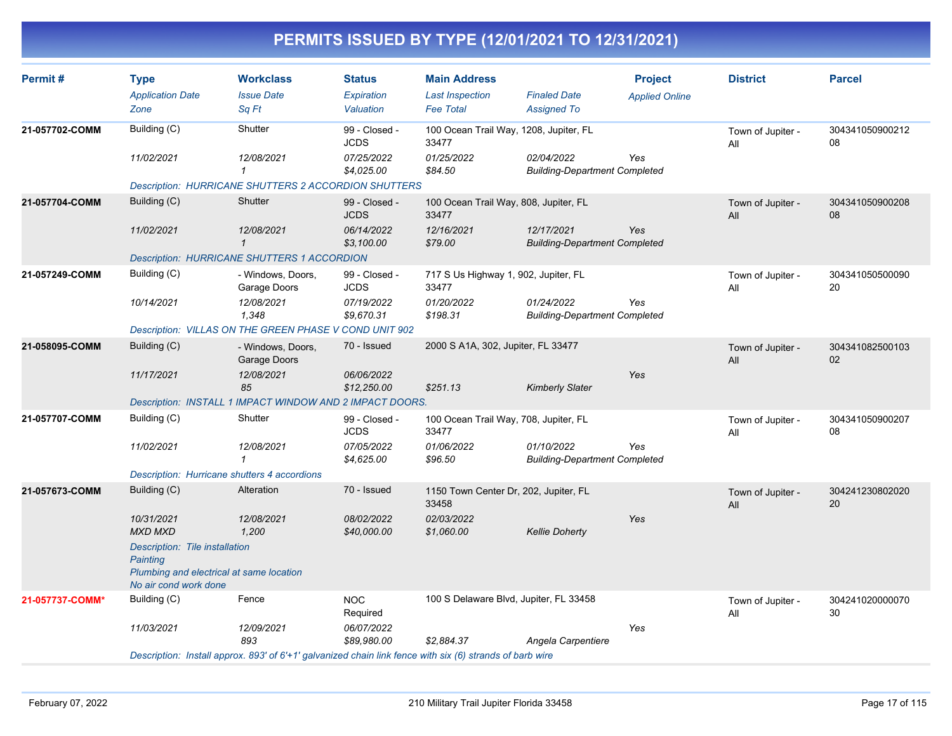| Permit#         | <b>Type</b><br><b>Application Date</b><br>Zone                    | <b>Workclass</b><br><b>Issue Date</b><br>Sq Ft                                                           | <b>Status</b><br><b>Expiration</b><br>Valuation | <b>Main Address</b><br><b>Last Inspection</b><br><b>Fee Total</b> | <b>Finaled Date</b><br><b>Assigned To</b>          | <b>Project</b><br><b>Applied Online</b> | <b>District</b>          | <b>Parcel</b>         |
|-----------------|-------------------------------------------------------------------|----------------------------------------------------------------------------------------------------------|-------------------------------------------------|-------------------------------------------------------------------|----------------------------------------------------|-----------------------------------------|--------------------------|-----------------------|
| 21-057702-COMM  | Building (C)                                                      | Shutter                                                                                                  | 99 - Closed -<br><b>JCDS</b>                    | 100 Ocean Trail Way, 1208, Jupiter, FL<br>33477                   |                                                    |                                         | Town of Jupiter -<br>All | 304341050900212<br>08 |
|                 | 11/02/2021                                                        | 12/08/2021<br>$\mathbf{1}$                                                                               | 07/25/2022<br>\$4,025.00                        | 01/25/2022<br>\$84.50                                             | 02/04/2022<br><b>Building-Department Completed</b> | Yes                                     |                          |                       |
|                 |                                                                   | <b>Description: HURRICANE SHUTTERS 2 ACCORDION SHUTTERS</b>                                              |                                                 |                                                                   |                                                    |                                         |                          |                       |
| 21-057704-COMM  | Building (C)                                                      | Shutter                                                                                                  | 99 - Closed -<br><b>JCDS</b>                    | 100 Ocean Trail Way, 808, Jupiter, FL<br>33477                    |                                                    |                                         | Town of Jupiter -<br>All | 304341050900208<br>08 |
|                 | 11/02/2021                                                        | 12/08/2021<br>$\mathbf{1}$                                                                               | 06/14/2022<br>\$3,100.00                        | 12/16/2021<br>\$79.00                                             | 12/17/2021<br><b>Building-Department Completed</b> | Yes                                     |                          |                       |
|                 |                                                                   | <b>Description: HURRICANE SHUTTERS 1 ACCORDION</b>                                                       |                                                 |                                                                   |                                                    |                                         |                          |                       |
| 21-057249-COMM  | Building (C)                                                      | - Windows, Doors,<br>Garage Doors                                                                        | 99 - Closed -<br><b>JCDS</b>                    | 717 S Us Highway 1, 902, Jupiter, FL<br>33477                     |                                                    |                                         | Town of Jupiter -<br>All | 304341050500090<br>20 |
|                 | 10/14/2021                                                        | 12/08/2021<br>1.348                                                                                      | 07/19/2022<br>\$9,670.31                        | 01/20/2022<br>\$198.31                                            | 01/24/2022<br><b>Building-Department Completed</b> | Yes                                     |                          |                       |
|                 |                                                                   | Description: VILLAS ON THE GREEN PHASE V COND UNIT 902                                                   |                                                 |                                                                   |                                                    |                                         |                          |                       |
| 21-058095-COMM  | Building (C)                                                      | - Windows, Doors,<br>Garage Doors                                                                        | 70 - Issued                                     | 2000 S A1A, 302, Jupiter, FL 33477                                |                                                    |                                         | Town of Jupiter -<br>All | 304341082500103<br>02 |
|                 | 11/17/2021                                                        | 12/08/2021<br>85                                                                                         | 06/06/2022<br>\$12,250.00                       | \$251.13                                                          | <b>Kimberly Slater</b>                             | Yes                                     |                          |                       |
|                 |                                                                   | Description: INSTALL 1 IMPACT WINDOW AND 2 IMPACT DOORS.                                                 |                                                 |                                                                   |                                                    |                                         |                          |                       |
| 21-057707-COMM  | Building (C)                                                      | Shutter                                                                                                  | 99 - Closed -<br><b>JCDS</b>                    | 100 Ocean Trail Way, 708, Jupiter, FL<br>33477                    |                                                    |                                         | Town of Jupiter -<br>All | 304341050900207<br>08 |
|                 | 11/02/2021                                                        | 12/08/2021<br>$\mathbf{1}$                                                                               | 07/05/2022<br>\$4,625.00                        | 01/06/2022<br>\$96.50                                             | 01/10/2022<br><b>Building-Department Completed</b> | Yes                                     |                          |                       |
|                 | Description: Hurricane shutters 4 accordions                      |                                                                                                          |                                                 |                                                                   |                                                    |                                         |                          |                       |
| 21-057673-COMM  | Building (C)                                                      | Alteration                                                                                               | 70 - Issued                                     | 1150 Town Center Dr, 202, Jupiter, FL<br>33458                    |                                                    |                                         | Town of Jupiter -<br>All | 304241230802020<br>20 |
|                 | 10/31/2021<br><b>MXD MXD</b>                                      | 12/08/2021<br>1,200                                                                                      | 08/02/2022<br>\$40,000.00                       | 02/03/2022<br>\$1,060.00                                          | <b>Kellie Doherty</b>                              | Yes                                     |                          |                       |
|                 | Description: Tile installation<br>Painting                        |                                                                                                          |                                                 |                                                                   |                                                    |                                         |                          |                       |
|                 | Plumbing and electrical at same location<br>No air cond work done |                                                                                                          |                                                 |                                                                   |                                                    |                                         |                          |                       |
| 21-057737-COMM* | Building (C)                                                      | Fence                                                                                                    | <b>NOC</b><br>Required                          | 100 S Delaware Blvd, Jupiter, FL 33458                            |                                                    |                                         | Town of Jupiter -<br>All | 304241020000070<br>30 |
|                 | 11/03/2021                                                        | 12/09/2021<br>893                                                                                        | 06/07/2022<br>\$89,980.00                       | \$2,884.37                                                        | Angela Carpentiere                                 | Yes                                     |                          |                       |
|                 |                                                                   | Description: Install approx. 893' of 6'+1' galvanized chain link fence with six (6) strands of barb wire |                                                 |                                                                   |                                                    |                                         |                          |                       |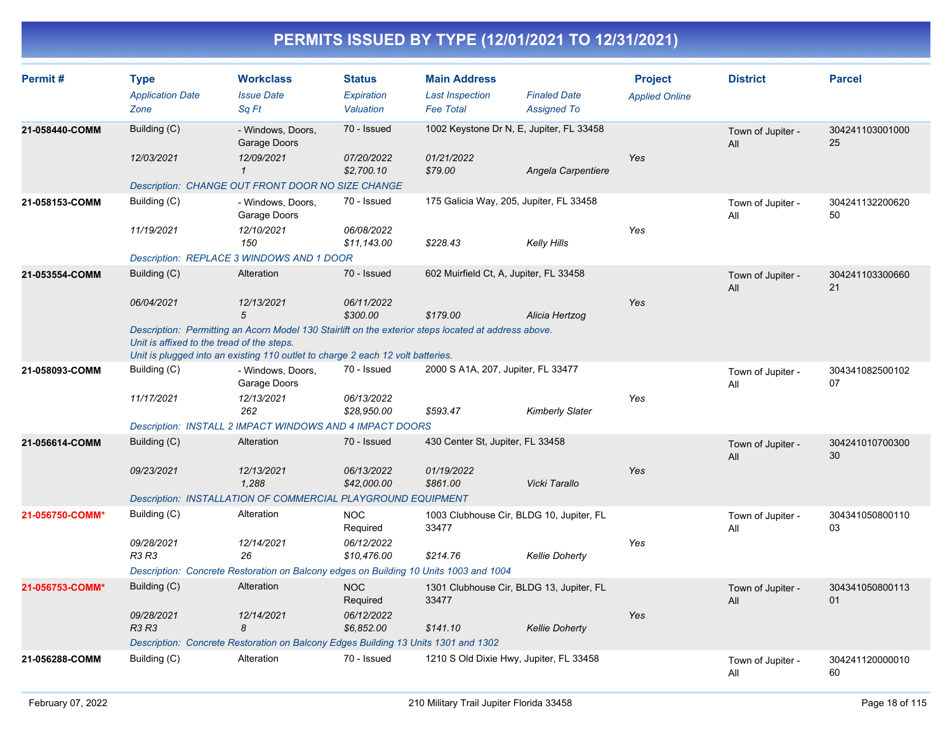| Permit#         | <b>Type</b><br><b>Application Date</b><br>Zone | <b>Workclass</b><br><b>Issue Date</b><br>Sa Ft                                                                                                                                          | <b>Status</b><br>Expiration<br>Valuation | <b>Main Address</b><br><b>Last Inspection</b><br><b>Fee Total</b> | <b>Finaled Date</b><br><b>Assigned To</b> | <b>Project</b><br><b>Applied Online</b> | <b>District</b>          | <b>Parcel</b>         |
|-----------------|------------------------------------------------|-----------------------------------------------------------------------------------------------------------------------------------------------------------------------------------------|------------------------------------------|-------------------------------------------------------------------|-------------------------------------------|-----------------------------------------|--------------------------|-----------------------|
| 21-058440-COMM  | Building (C)                                   | - Windows, Doors,<br>Garage Doors                                                                                                                                                       | 70 - Issued                              |                                                                   | 1002 Keystone Dr N, E, Jupiter, FL 33458  |                                         | Town of Jupiter -<br>All | 304241103001000<br>25 |
|                 | 12/03/2021                                     | 12/09/2021<br>$\mathbf{1}$                                                                                                                                                              | 07/20/2022<br>\$2,700.10                 | 01/21/2022<br>\$79.00                                             | Angela Carpentiere                        | Yes                                     |                          |                       |
|                 |                                                | Description: CHANGE OUT FRONT DOOR NO SIZE CHANGE                                                                                                                                       |                                          |                                                                   |                                           |                                         |                          |                       |
| 21-058153-COMM  | Building (C)                                   | - Windows, Doors,<br>Garage Doors                                                                                                                                                       | 70 - Issued                              |                                                                   | 175 Galicia Way, 205, Jupiter, FL 33458   |                                         | Town of Jupiter -<br>All | 304241132200620<br>50 |
|                 | 11/19/2021                                     | 12/10/2021<br>150                                                                                                                                                                       | 06/08/2022<br>\$11.143.00                | \$228.43                                                          | Kelly Hills                               | Yes                                     |                          |                       |
|                 |                                                | Description: REPLACE 3 WINDOWS AND 1 DOOR                                                                                                                                               |                                          |                                                                   |                                           |                                         |                          |                       |
| 21-053554-COMM  | Building (C)                                   | Alteration                                                                                                                                                                              | 70 - Issued                              | 602 Muirfield Ct, A, Jupiter, FL 33458                            |                                           |                                         | Town of Jupiter -<br>All | 304241103300660<br>21 |
|                 | 06/04/2021                                     | 12/13/2021<br>5                                                                                                                                                                         | 06/11/2022<br>\$300.00                   | \$179.00                                                          | Alicia Hertzog                            | Yes                                     |                          |                       |
|                 | Unit is affixed to the tread of the steps.     | Description: Permitting an Acorn Model 130 Stairlift on the exterior steps located at address above.<br>Unit is plugged into an existing 110 outlet to charge 2 each 12 volt batteries. |                                          |                                                                   |                                           |                                         |                          |                       |
| 21-058093-COMM  | Building (C)                                   | - Windows, Doors,                                                                                                                                                                       | 70 - Issued                              | 2000 S A1A, 207, Jupiter, FL 33477                                |                                           |                                         | Town of Jupiter -        | 304341082500102       |
|                 |                                                | Garage Doors                                                                                                                                                                            |                                          |                                                                   |                                           |                                         | All                      | 07                    |
|                 | 11/17/2021                                     | 12/13/2021<br>262                                                                                                                                                                       | 06/13/2022<br>\$28,950.00                | \$593.47                                                          | <b>Kimberly Slater</b>                    | Yes                                     |                          |                       |
|                 |                                                | Description: INSTALL 2 IMPACT WINDOWS AND 4 IMPACT DOORS                                                                                                                                |                                          |                                                                   |                                           |                                         |                          |                       |
|                 |                                                |                                                                                                                                                                                         | 70 - Issued                              |                                                                   |                                           |                                         |                          |                       |
| 21-056614-COMM  | Building (C)                                   | Alteration                                                                                                                                                                              |                                          | 430 Center St, Jupiter, FL 33458                                  |                                           |                                         | Town of Jupiter -<br>All | 304241010700300<br>30 |
|                 | 09/23/2021                                     | 12/13/2021<br>1,288                                                                                                                                                                     | 06/13/2022<br>\$42,000.00                | 01/19/2022<br>\$861.00                                            | Vicki Tarallo                             | Yes                                     |                          |                       |
|                 |                                                | Description: INSTALLATION OF COMMERCIAL PLAYGROUND EQUIPMENT                                                                                                                            |                                          |                                                                   |                                           |                                         |                          |                       |
| 21-056750-COMM* | Building (C)                                   | Alteration                                                                                                                                                                              | <b>NOC</b><br>Required                   | 33477                                                             | 1003 Clubhouse Cir, BLDG 10, Jupiter, FL  |                                         | Town of Jupiter -<br>All | 304341050800110<br>03 |
|                 | 09/28/2021<br><b>R3 R3</b>                     | 12/14/2021<br>26                                                                                                                                                                        | 06/12/2022<br>\$10,476.00                | \$214.76                                                          | <b>Kellie Doherty</b>                     | Yes                                     |                          |                       |
|                 |                                                | Description: Concrete Restoration on Balcony edges on Building 10 Units 1003 and 1004                                                                                                   |                                          |                                                                   |                                           |                                         |                          |                       |
| 21-056753-COMM* | Building (C)                                   | Alteration                                                                                                                                                                              | <b>NOC</b><br>Required                   | 33477                                                             | 1301 Clubhouse Cir, BLDG 13, Jupiter, FL  |                                         | Town of Jupiter -<br>All | 304341050800113<br>01 |
|                 | 09/28/2021<br><b>R3 R3</b>                     | 12/14/2021<br>8                                                                                                                                                                         | 06/12/2022<br>\$6,852.00                 | \$141.10                                                          | <b>Kellie Doherty</b>                     | Yes                                     |                          |                       |
|                 |                                                | Description: Concrete Restoration on Balcony Edges Building 13 Units 1301 and 1302                                                                                                      |                                          |                                                                   |                                           |                                         |                          |                       |
| 21-056288-COMM  | Building (C)                                   | Alteration                                                                                                                                                                              | 70 - Issued                              |                                                                   | 1210 S Old Dixie Hwy, Jupiter, FL 33458   |                                         |                          | 304241120000010       |
|                 |                                                |                                                                                                                                                                                         |                                          |                                                                   |                                           |                                         | Town of Jupiter -<br>All | 60                    |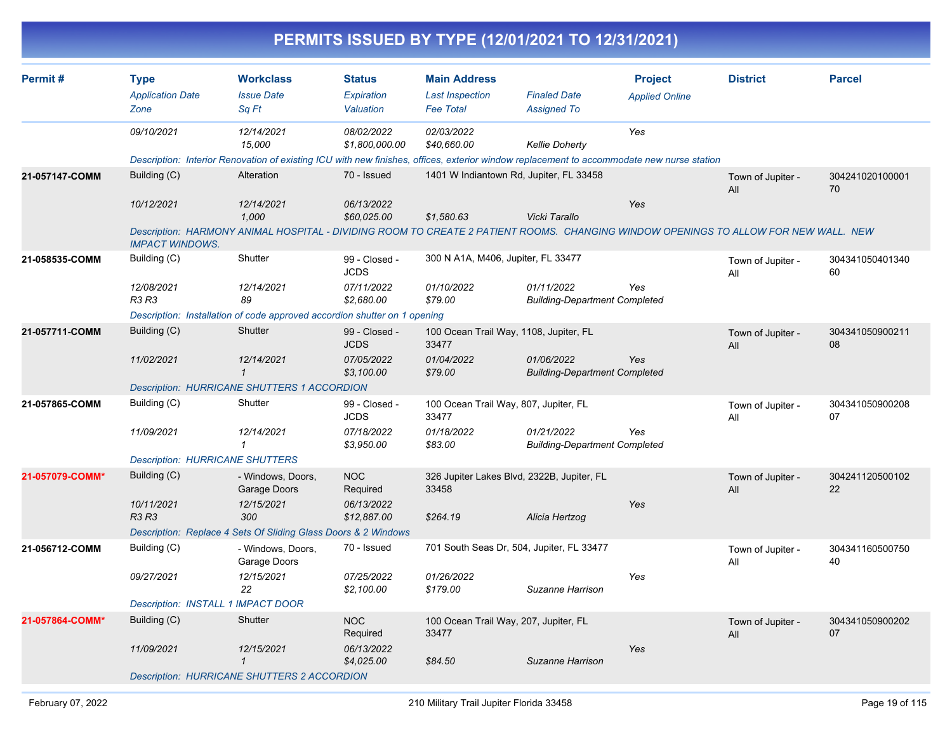|                 |                                        |                                                                                                                                           |                              | PERMITS ISSUED BY TYPE (12/01/2021 TO 12/31/2021) |                                                    |                       |                          |                       |
|-----------------|----------------------------------------|-------------------------------------------------------------------------------------------------------------------------------------------|------------------------------|---------------------------------------------------|----------------------------------------------------|-----------------------|--------------------------|-----------------------|
| Permit#         | <b>Type</b>                            | <b>Workclass</b>                                                                                                                          | Status                       | <b>Main Address</b>                               |                                                    | <b>Project</b>        | <b>District</b>          | <b>Parcel</b>         |
|                 | <b>Application Date</b>                | <b>Issue Date</b>                                                                                                                         | Expiration                   | <b>Last Inspection</b>                            | <b>Finaled Date</b>                                | <b>Applied Online</b> |                          |                       |
|                 | Zone                                   | Sq Ft                                                                                                                                     | Valuation                    | <b>Fee Total</b>                                  | Assigned To                                        |                       |                          |                       |
|                 | 09/10/2021                             | 12/14/2021<br>15,000                                                                                                                      | 08/02/2022<br>\$1,800,000.00 | 02/03/2022<br>\$40,660.00                         | <b>Kellie Doherty</b>                              | Yes                   |                          |                       |
|                 |                                        | Description: Interior Renovation of existing ICU with new finishes, offices, exterior window replacement to accommodate new nurse station |                              |                                                   |                                                    |                       |                          |                       |
| 21-057147-COMM  | Building (C)                           | Alteration                                                                                                                                | 70 - Issued                  | 1401 W Indiantown Rd, Jupiter, FL 33458           |                                                    |                       | Town of Jupiter -<br>All | 304241020100001<br>70 |
|                 | 10/12/2021                             | 12/14/2021<br>1,000                                                                                                                       | 06/13/2022<br>\$60,025.00    | \$1,580.63                                        | Vicki Tarallo                                      | Yes                   |                          |                       |
|                 | <b>IMPACT WINDOWS.</b>                 | Description: HARMONY ANIMAL HOSPITAL - DIVIDING ROOM TO CREATE 2 PATIENT ROOMS. CHANGING WINDOW OPENINGS TO ALLOW FOR NEW WALL. NEW       |                              |                                                   |                                                    |                       |                          |                       |
| 21-058535-COMM  | Building (C)                           | Shutter                                                                                                                                   | 99 - Closed -<br><b>JCDS</b> | 300 N A1A, M406, Jupiter, FL 33477                |                                                    |                       | Town of Jupiter -<br>All | 304341050401340<br>60 |
|                 | 12/08/2021<br>R3 R3                    | 12/14/2021<br>89                                                                                                                          | 07/11/2022<br>\$2,680.00     | 01/10/2022<br>\$79.00                             | 01/11/2022<br><b>Building-Department Completed</b> | Yes                   |                          |                       |
|                 |                                        | Description: Installation of code approved accordion shutter on 1 opening                                                                 |                              |                                                   |                                                    |                       |                          |                       |
| 21-057711-COMM  | Building (C)                           | Shutter                                                                                                                                   | 99 - Closed -<br><b>JCDS</b> | 100 Ocean Trail Way, 1108, Jupiter, FL<br>33477   |                                                    |                       | Town of Jupiter -<br>All | 304341050900211<br>08 |
|                 | 11/02/2021                             | 12/14/2021<br>$\mathbf{\overline{1}}$                                                                                                     | 07/05/2022<br>\$3,100.00     | 01/04/2022<br>\$79.00                             | 01/06/2022<br><b>Building-Department Completed</b> | Yes                   |                          |                       |
|                 |                                        | <b>Description: HURRICANE SHUTTERS 1 ACCORDION</b>                                                                                        |                              |                                                   |                                                    |                       |                          |                       |
| 21-057865-COMM  | Building (C)                           | Shutter                                                                                                                                   | 99 - Closed -<br><b>JCDS</b> | 100 Ocean Trail Way, 807, Jupiter, FL<br>33477    |                                                    |                       | Town of Jupiter -<br>All | 304341050900208<br>07 |
|                 | 11/09/2021                             | 12/14/2021<br>1                                                                                                                           | 07/18/2022<br>\$3,950.00     | 01/18/2022<br>\$83.00                             | 01/21/2022<br><b>Building-Department Completed</b> | Yes                   |                          |                       |
|                 | <b>Description: HURRICANE SHUTTERS</b> |                                                                                                                                           |                              |                                                   |                                                    |                       |                          |                       |
| 21-057079-COMM* | Building (C)                           | - Windows, Doors,<br>Garage Doors                                                                                                         | <b>NOC</b><br>Required       | 33458                                             | 326 Jupiter Lakes Blvd, 2322B, Jupiter, FL         |                       | Town of Jupiter -<br>All | 304241120500102<br>22 |
|                 | 10/11/2021<br><b>R3 R3</b>             | 12/15/2021<br>300                                                                                                                         | 06/13/2022<br>\$12,887.00    | \$264.19                                          | Alicia Hertzog                                     | Yes                   |                          |                       |
|                 |                                        | Description: Replace 4 Sets Of Sliding Glass Doors & 2 Windows                                                                            |                              |                                                   |                                                    |                       |                          |                       |
| 21-056712-COMM  | Building (C)                           | - Windows, Doors,<br>Garage Doors                                                                                                         | 70 - Issued                  |                                                   | 701 South Seas Dr, 504, Jupiter, FL 33477          |                       | Town of Jupiter -<br>All | 304341160500750<br>40 |
|                 | 09/27/2021                             | 12/15/2021<br>22                                                                                                                          | 07/25/2022<br>\$2,100.00     | 01/26/2022<br>\$179.00                            | Suzanne Harrison                                   | Yes                   |                          |                       |
|                 | Description: INSTALL 1 IMPACT DOOR     |                                                                                                                                           |                              |                                                   |                                                    |                       |                          |                       |
| 21-057864-COMM* | Building (C)                           | Shutter                                                                                                                                   | <b>NOC</b><br>Required       | 100 Ocean Trail Way, 207, Jupiter, FL<br>33477    |                                                    |                       | Town of Jupiter -<br>All | 304341050900202<br>07 |
|                 | 11/09/2021                             | 12/15/2021<br>$\mathcal I$                                                                                                                | 06/13/2022<br>\$4,025.00     | \$84.50                                           | Suzanne Harrison                                   | Yes                   |                          |                       |
|                 |                                        | Description: HURRICANE SHUTTERS 2 ACCORDION                                                                                               |                              |                                                   |                                                    |                       |                          |                       |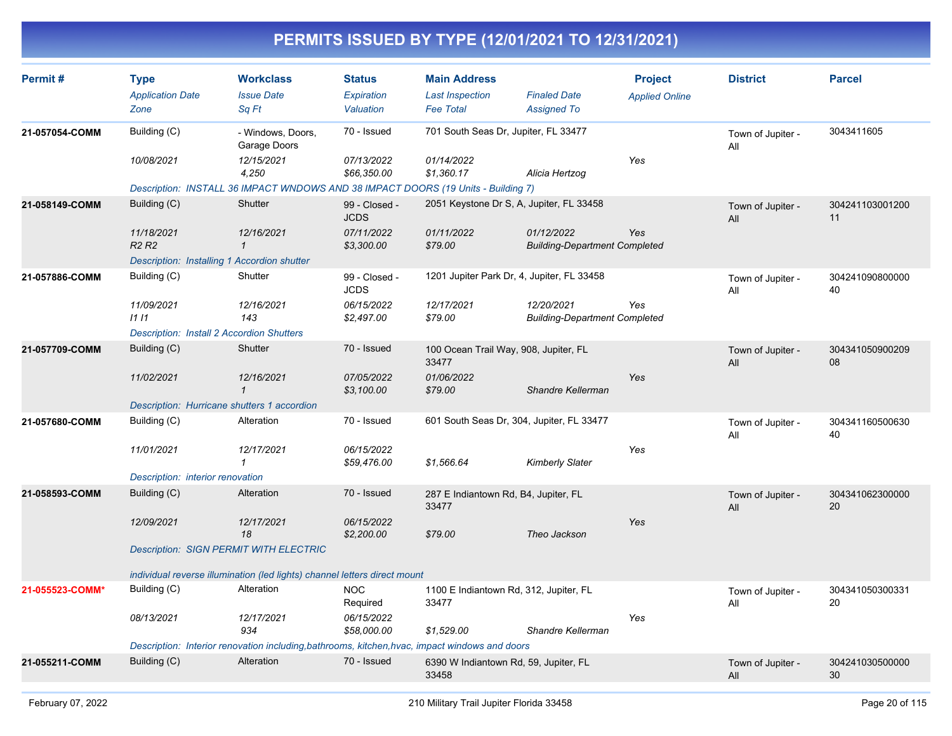| Permit#         | <b>Type</b><br><b>Application Date</b><br>Zone   | <b>Workclass</b><br><b>Issue Date</b><br>Sq Ft                                                           | <b>Status</b><br>Expiration<br>Valuation | <b>Main Address</b><br><b>Last Inspection</b><br><b>Fee Total</b> | <b>Finaled Date</b><br><b>Assigned To</b>          | <b>Project</b><br><b>Applied Online</b> | <b>District</b>          | <b>Parcel</b>         |
|-----------------|--------------------------------------------------|----------------------------------------------------------------------------------------------------------|------------------------------------------|-------------------------------------------------------------------|----------------------------------------------------|-----------------------------------------|--------------------------|-----------------------|
| 21-057054-COMM  | Building (C)                                     | - Windows, Doors,<br>Garage Doors                                                                        | 70 - Issued                              | 701 South Seas Dr, Jupiter, FL 33477                              |                                                    |                                         | Town of Jupiter -<br>All | 3043411605            |
|                 | 10/08/2021                                       | 12/15/2021<br>4,250<br>Description: INSTALL 36 IMPACT WNDOWS AND 38 IMPACT DOORS (19 Units - Building 7) | 07/13/2022<br>\$66,350.00                | 01/14/2022<br>\$1,360.17                                          | Alicia Hertzog                                     | Yes                                     |                          |                       |
| 21-058149-COMM  | Building (C)                                     | Shutter                                                                                                  | 99 - Closed -<br><b>JCDS</b>             | 2051 Keystone Dr S, A, Jupiter, FL 33458                          |                                                    |                                         | Town of Jupiter -<br>All | 304241103001200<br>11 |
|                 | 11/18/2021<br>R <sub>2</sub> R <sub>2</sub>      | 12/16/2021<br>$\mathbf{1}$                                                                               | 07/11/2022<br>\$3,300.00                 | 01/11/2022<br>\$79.00                                             | 01/12/2022<br><b>Building-Department Completed</b> | Yes                                     |                          |                       |
|                 | Description: Installing 1 Accordion shutter      |                                                                                                          |                                          |                                                                   |                                                    |                                         |                          |                       |
| 21-057886-COMM  | Building (C)                                     | Shutter                                                                                                  | 99 - Closed -<br><b>JCDS</b>             | 1201 Jupiter Park Dr, 4, Jupiter, FL 33458                        |                                                    |                                         | Town of Jupiter -<br>All | 304241090800000<br>40 |
|                 | 11/09/2021<br>1111                               | 12/16/2021<br>143                                                                                        | 06/15/2022<br>\$2,497.00                 | 12/17/2021<br>\$79.00                                             | 12/20/2021<br><b>Building-Department Completed</b> | Yes                                     |                          |                       |
|                 | <b>Description: Install 2 Accordion Shutters</b> |                                                                                                          |                                          |                                                                   |                                                    |                                         |                          |                       |
| 21-057709-COMM  | Building (C)                                     | Shutter                                                                                                  | 70 - Issued                              | 100 Ocean Trail Way, 908, Jupiter, FL<br>33477                    |                                                    |                                         | Town of Jupiter -<br>All | 304341050900209<br>08 |
|                 | 11/02/2021                                       | 12/16/2021<br>$\mathbf{1}$                                                                               | 07/05/2022<br>\$3,100.00                 | 01/06/2022<br>\$79.00                                             | Shandre Kellerman                                  | Yes                                     |                          |                       |
|                 |                                                  | Description: Hurricane shutters 1 accordion                                                              |                                          |                                                                   |                                                    |                                         |                          |                       |
| 21-057680-COMM  | Building (C)                                     | Alteration                                                                                               | 70 - Issued                              | 601 South Seas Dr, 304, Jupiter, FL 33477                         |                                                    |                                         | Town of Jupiter -<br>All | 304341160500630<br>40 |
|                 | 11/01/2021                                       | 12/17/2021<br>$\mathbf{1}$                                                                               | 06/15/2022<br>\$59,476.00                | \$1,566.64                                                        | <b>Kimberly Slater</b>                             | Yes                                     |                          |                       |
|                 | Description: interior renovation                 |                                                                                                          |                                          |                                                                   |                                                    |                                         |                          |                       |
| 21-058593-COMM  | Building (C)                                     | Alteration                                                                                               | 70 - Issued                              | 287 E Indiantown Rd, B4, Jupiter, FL<br>33477                     |                                                    |                                         | Town of Jupiter -<br>All | 304341062300000<br>20 |
|                 | 12/09/2021                                       | 12/17/2021<br>18                                                                                         | 06/15/2022<br>\$2,200.00                 | \$79.00                                                           | Theo Jackson                                       | Yes                                     |                          |                       |
|                 |                                                  | <b>Description: SIGN PERMIT WITH ELECTRIC</b>                                                            |                                          |                                                                   |                                                    |                                         |                          |                       |
|                 |                                                  | individual reverse illumination (led lights) channel letters direct mount                                |                                          |                                                                   |                                                    |                                         |                          |                       |
| 21-055523-COMM* | Building (C)                                     | Alteration                                                                                               | <b>NOC</b><br>Required                   | 1100 E Indiantown Rd, 312, Jupiter, FL<br>33477                   |                                                    |                                         | Town of Jupiter -<br>All | 304341050300331<br>20 |
|                 | 08/13/2021                                       | 12/17/2021<br>934                                                                                        | 06/15/2022<br>\$58,000.00                | \$1,529.00                                                        | Shandre Kellerman                                  | Yes                                     |                          |                       |
|                 |                                                  | Description: Interior renovation including, bathrooms, kitchen, hvac, impact windows and doors           |                                          |                                                                   |                                                    |                                         |                          |                       |
| 21-055211-COMM  | Building (C)                                     | Alteration                                                                                               | 70 - Issued                              | 6390 W Indiantown Rd, 59, Jupiter, FL<br>33458                    |                                                    |                                         | Town of Jupiter -<br>All | 304241030500000<br>30 |
|                 |                                                  |                                                                                                          |                                          |                                                                   |                                                    |                                         |                          |                       |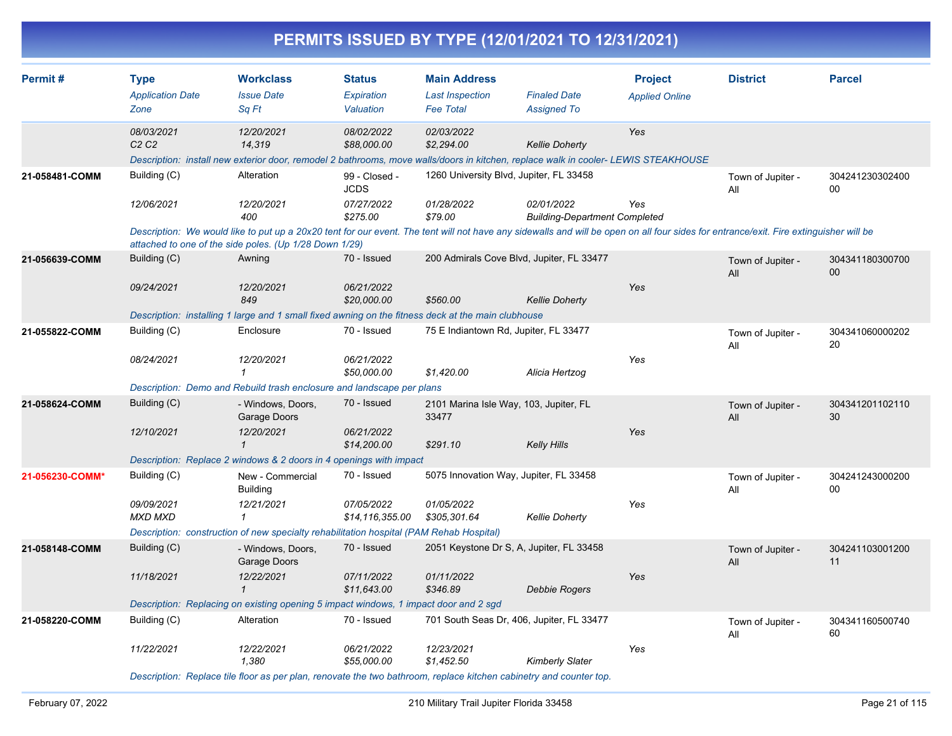|                 |                                                |                                                                                                                                                                                                                          |                                                        |                                                                   | PERMITS ISSUED BY TYPE (12/01/2021 TO 12/31/2021)                                             |                                         |                          |                           |
|-----------------|------------------------------------------------|--------------------------------------------------------------------------------------------------------------------------------------------------------------------------------------------------------------------------|--------------------------------------------------------|-------------------------------------------------------------------|-----------------------------------------------------------------------------------------------|-----------------------------------------|--------------------------|---------------------------|
| Permit#         | <b>Type</b><br><b>Application Date</b><br>Zone | <b>Workclass</b><br><b>Issue Date</b><br>Sq Ft                                                                                                                                                                           | <b>Status</b><br>Expiration<br>Valuation               | <b>Main Address</b><br><b>Last Inspection</b><br><b>Fee Total</b> | <b>Finaled Date</b><br><b>Assigned To</b>                                                     | <b>Project</b><br><b>Applied Online</b> | <b>District</b>          | <b>Parcel</b>             |
|                 | 08/03/2021<br>C <sub>2</sub> C <sub>2</sub>    | 12/20/2021<br>14,319<br>Description: install new exterior door, remodel 2 bathrooms, move walls/doors in kitchen, replace walk in cooler-LEWIS STEAKHOUSE                                                                | 08/02/2022<br>\$88,000.00                              | 02/03/2022<br>\$2,294.00                                          | <b>Kellie Doherty</b>                                                                         | Yes                                     |                          |                           |
| 21-058481-COMM  | Building (C)<br>12/06/2021                     | Alteration<br>12/20/2021<br>400<br>Description: We would like to put up a 20x20 tent for our event. The tent will not have any sidewalls and will be open on all four sides for entrance/exit. Fire extinguisher will be | 99 - Closed -<br><b>JCDS</b><br>07/27/2022<br>\$275.00 | 01/28/2022<br>\$79.00                                             | 1260 University Blvd, Jupiter, FL 33458<br>02/01/2022<br><b>Building-Department Completed</b> | Yes                                     | Town of Jupiter -<br>All | 304241230302400<br>$00\,$ |
| 21-056639-COMM  | Building (C)<br>09/24/2021                     | attached to one of the side poles. (Up 1/28 Down 1/29)<br>Awning<br>12/20/2021<br>849<br>Description: installing 1 large and 1 small fixed awning on the fitness deck at the main clubhouse                              | 70 - Issued<br>06/21/2022<br>\$20,000.00               | \$560.00                                                          | 200 Admirals Cove Blvd, Jupiter, FL 33477<br><b>Kellie Doherty</b>                            | Yes                                     | Town of Jupiter -<br>All | 304341180300700<br>00     |
| 21-055822-COMM  | Building (C)<br>08/24/2021                     | Enclosure<br>12/20/2021<br>1<br>Description: Demo and Rebuild trash enclosure and landscape per plans                                                                                                                    | 70 - Issued<br>06/21/2022<br>\$50,000.00               | \$1,420.00                                                        | 75 E Indiantown Rd, Jupiter, FL 33477<br>Alicia Hertzog                                       | Yes                                     | Town of Jupiter -<br>All | 304341060000202<br>20     |
| 21-058624-COMM  | Building (C)<br>12/10/2021                     | - Windows, Doors,<br>Garage Doors<br>12/20/2021<br>$\mathbf{1}$<br>Description: Replace 2 windows & 2 doors in 4 openings with impact                                                                                    | 70 - Issued<br>06/21/2022<br>\$14,200.00               | 33477<br>\$291.10                                                 | 2101 Marina Isle Way, 103, Jupiter, FL<br><b>Kelly Hills</b>                                  | Yes                                     | Town of Jupiter -<br>All | 304341201102110<br>30     |
| 21-056230-COMM* | Building (C)<br>09/09/2021<br>MXD MXD          | New - Commercial<br><b>Building</b><br>12/21/2021<br>$\mathbf 1$<br>Description: construction of new specialty rehabilitation hospital (PAM Rehab Hospital)                                                              | 70 - Issued<br>07/05/2022<br>\$14,116,355.00           | 01/05/2022<br>\$305,301.64                                        | 5075 Innovation Way, Jupiter, FL 33458<br><b>Kellie Doherty</b>                               | Yes                                     | Town of Jupiter -<br>All | 304241243000200<br>00     |
| 21-058148-COMM  | Building (C)<br>11/18/2021                     | - Windows, Doors,<br>Garage Doors<br>12/22/2021<br>$\mathbf{1}$<br>Description: Replacing on existing opening 5 impact windows, 1 impact door and 2 sgd                                                                  | 70 - Issued<br>07/11/2022<br>\$11,643.00               | 01/11/2022<br>\$346.89                                            | 2051 Keystone Dr S, A, Jupiter, FL 33458<br><b>Debbie Rogers</b>                              | Yes                                     | Town of Jupiter -<br>All | 304241103001200<br>11     |
| 21-058220-COMM  | Building (C)<br>11/22/2021                     | Alteration<br>12/22/2021<br>1,380                                                                                                                                                                                        | 70 - Issued<br>06/21/2022<br>\$55,000.00               | 12/23/2021<br>\$1,452.50                                          | 701 South Seas Dr, 406, Jupiter, FL 33477<br><b>Kimberly Slater</b>                           | Yes                                     | Town of Jupiter -<br>All | 304341160500740<br>60     |

*Description: Replace tile floor as per plan, renovate the two bathroom, replace kitchen cabinetry and counter top.*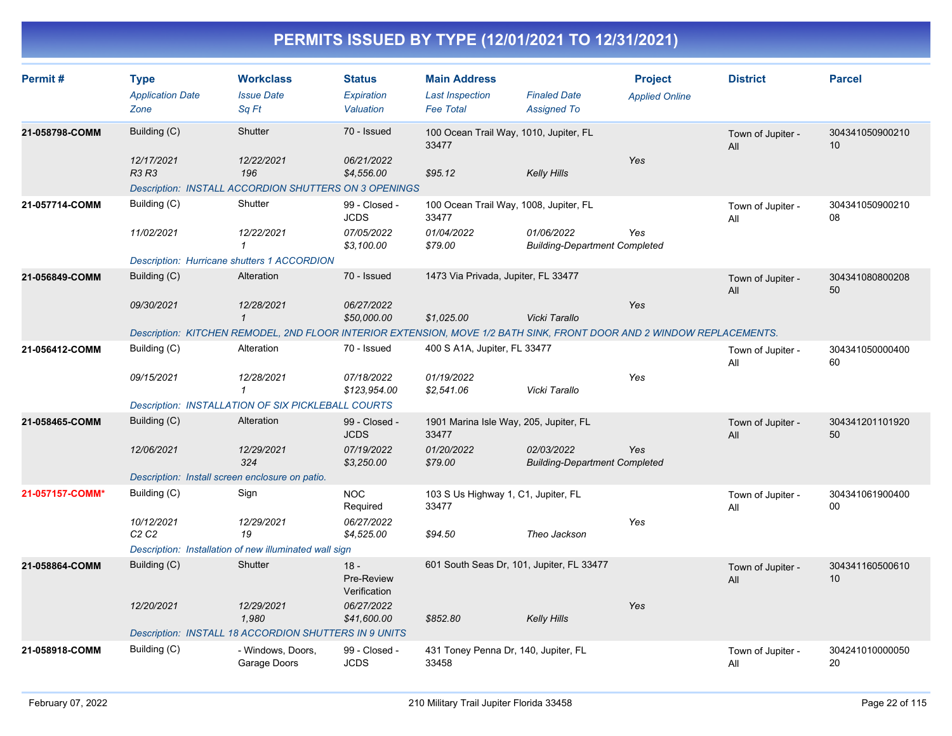| Permit#         | <b>Type</b><br><b>Application Date</b><br>Zone  | <b>Workclass</b><br><b>Issue Date</b><br>Sq Ft                                                                        | <b>Status</b><br>Expiration<br>Valuation | <b>Main Address</b><br><b>Last Inspection</b><br><b>Fee Total</b> | <b>Finaled Date</b><br><b>Assigned To</b>          | <b>Project</b><br><b>Applied Online</b> | <b>District</b>          | <b>Parcel</b>         |
|-----------------|-------------------------------------------------|-----------------------------------------------------------------------------------------------------------------------|------------------------------------------|-------------------------------------------------------------------|----------------------------------------------------|-----------------------------------------|--------------------------|-----------------------|
| 21-058798-COMM  | Building (C)                                    | Shutter                                                                                                               | 70 - Issued                              | 100 Ocean Trail Way, 1010, Jupiter, FL<br>33477                   |                                                    |                                         | Town of Jupiter -<br>All | 304341050900210<br>10 |
|                 | 12/17/2021<br>R3 R3                             | 12/22/2021<br>196<br>Description: INSTALL ACCORDION SHUTTERS ON 3 OPENINGS                                            | 06/21/2022<br>\$4,556.00                 | \$95.12                                                           | <b>Kelly Hills</b>                                 | Yes                                     |                          |                       |
| 21-057714-COMM  | Building (C)                                    | Shutter                                                                                                               | 99 - Closed -<br><b>JCDS</b>             | 100 Ocean Trail Way, 1008, Jupiter, FL<br>33477                   |                                                    |                                         | Town of Jupiter -<br>All | 304341050900210<br>08 |
|                 | 11/02/2021                                      | 12/22/2021<br>$\mathbf{1}$                                                                                            | 07/05/2022<br>\$3,100.00                 | 01/04/2022<br>\$79.00                                             | 01/06/2022<br><b>Building-Department Completed</b> | Yes                                     |                          |                       |
|                 |                                                 | <b>Description: Hurricane shutters 1 ACCORDION</b>                                                                    |                                          |                                                                   |                                                    |                                         |                          |                       |
| 21-056849-COMM  | Building (C)                                    | Alteration                                                                                                            | 70 - Issued                              | 1473 Via Privada, Jupiter, FL 33477                               |                                                    |                                         | Town of Jupiter -<br>All | 304341080800208<br>50 |
|                 | 09/30/2021                                      | 12/28/2021<br>$\mathbf{1}$                                                                                            | 06/27/2022<br>\$50,000.00                | \$1,025.00                                                        | Vicki Tarallo                                      | Yes                                     |                          |                       |
|                 |                                                 | Description: KITCHEN REMODEL, 2ND FLOOR INTERIOR EXTENSION, MOVE 1/2 BATH SINK, FRONT DOOR AND 2 WINDOW REPLACEMENTS. |                                          |                                                                   |                                                    |                                         |                          |                       |
| 21-056412-COMM  | Building (C)                                    | Alteration                                                                                                            | 70 - Issued                              | 400 S A1A, Jupiter, FL 33477                                      |                                                    |                                         | Town of Jupiter -<br>All | 304341050000400<br>60 |
|                 | 09/15/2021                                      | 12/28/2021<br>$\mathbf{1}$                                                                                            | 07/18/2022<br>\$123,954.00               | 01/19/2022<br>\$2,541.06                                          | Vicki Tarallo                                      | Yes                                     |                          |                       |
|                 |                                                 | Description: INSTALLATION OF SIX PICKLEBALL COURTS                                                                    |                                          |                                                                   |                                                    |                                         |                          |                       |
| 21-058465-COMM  | Building (C)                                    | Alteration                                                                                                            | 99 - Closed -<br><b>JCDS</b>             | 1901 Marina Isle Way, 205, Jupiter, FL<br>33477                   |                                                    |                                         | Town of Jupiter -<br>All | 304341201101920<br>50 |
|                 | 12/06/2021                                      | 12/29/2021<br>324                                                                                                     | 07/19/2022<br>\$3,250.00                 | 01/20/2022<br>\$79.00                                             | 02/03/2022<br><b>Building-Department Completed</b> | Yes                                     |                          |                       |
|                 | Description: Install screen enclosure on patio. |                                                                                                                       |                                          |                                                                   |                                                    |                                         |                          |                       |
| 21-057157-COMM* | Building (C)                                    | Sign                                                                                                                  | <b>NOC</b><br>Required                   | 103 S Us Highway 1, C1, Jupiter, FL<br>33477                      |                                                    |                                         | Town of Jupiter -<br>All | 304341061900400<br>00 |
|                 | 10/12/2021<br>C2C2                              | 12/29/2021<br>19                                                                                                      | 06/27/2022<br>\$4,525.00                 | \$94.50                                                           | Theo Jackson                                       | Yes                                     |                          |                       |
|                 |                                                 | Description: Installation of new illuminated wall sign                                                                |                                          |                                                                   |                                                    |                                         |                          |                       |
| 21-058864-COMM  | Building (C)                                    | Shutter                                                                                                               | $18 -$<br>Pre-Review<br>Verification     | 601 South Seas Dr, 101, Jupiter, FL 33477                         |                                                    |                                         | Town of Jupiter -<br>All | 304341160500610<br>10 |
|                 | 12/20/2021                                      | 12/29/2021<br>1,980                                                                                                   | 06/27/2022<br>\$41,600.00                | \$852.80                                                          | <b>Kelly Hills</b>                                 | Yes                                     |                          |                       |
|                 |                                                 | <b>Description: INSTALL 18 ACCORDION SHUTTERS IN 9 UNITS</b>                                                          |                                          |                                                                   |                                                    |                                         |                          |                       |
| 21-058918-COMM  | Building (C)                                    | - Windows, Doors,<br>Garage Doors                                                                                     | 99 - Closed -<br><b>JCDS</b>             | 431 Toney Penna Dr, 140, Jupiter, FL<br>33458                     |                                                    |                                         | Town of Jupiter -<br>All | 304241010000050<br>20 |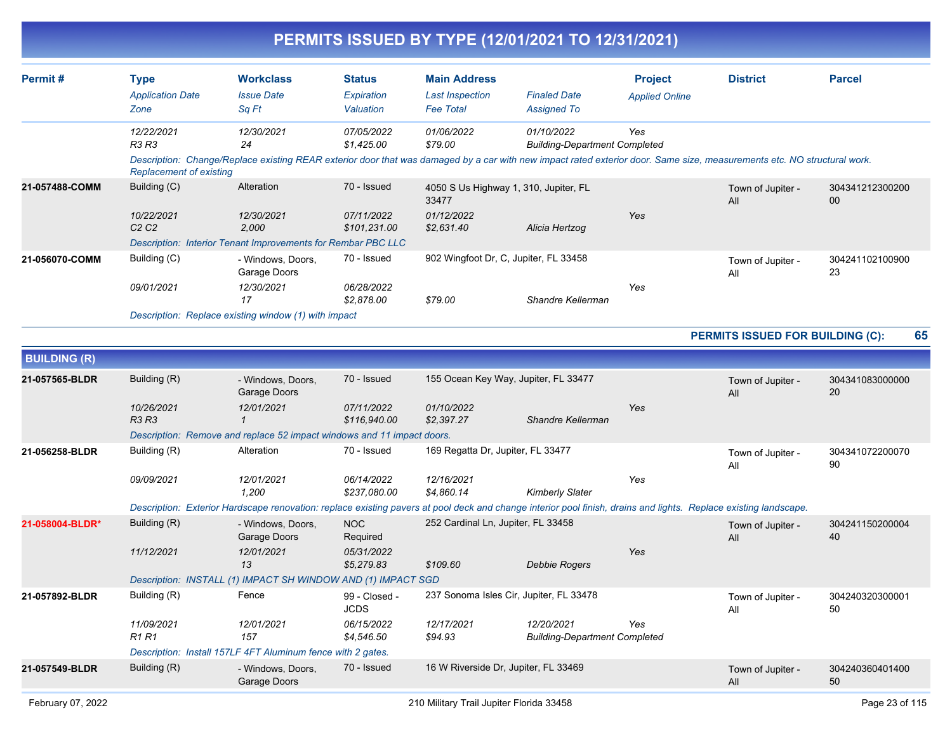| <b>Permit#</b> | <b>Type</b><br><b>Application Date</b><br>Zone | <b>Workclass</b><br><b>Issue Date</b><br>Sa Ft                                                                                                                                              | <b>Status</b><br>Expiration<br>Valuation | <b>Main Address</b><br>Last Inspection<br><b>Fee Total</b> | <b>Finaled Date</b><br><b>Assigned To</b>          | <b>Project</b><br><b>Applied Online</b> | <b>District</b>          | <b>Parcel</b>         |
|----------------|------------------------------------------------|---------------------------------------------------------------------------------------------------------------------------------------------------------------------------------------------|------------------------------------------|------------------------------------------------------------|----------------------------------------------------|-----------------------------------------|--------------------------|-----------------------|
|                | 12/22/2021<br>R3 R3                            | 12/30/2021<br>24<br>Description: Change/Replace existing REAR exterior door that was damaged by a car with new impact rated exterior door. Same size, measurements etc. NO structural work. | <i>07/05/2022</i><br>\$1,425.00          | <i>01/06/2022</i><br>\$79.00                               | 01/10/2022<br><b>Building-Department Completed</b> | Yes                                     |                          |                       |
|                | <b>Replacement of existing</b>                 |                                                                                                                                                                                             |                                          |                                                            |                                                    |                                         |                          |                       |
| 21-057488-COMM | Building (C)                                   | Alteration                                                                                                                                                                                  | 70 - Issued                              | 4050 S Us Highway 1, 310, Jupiter, FL<br>33477             |                                                    |                                         | Town of Jupiter -<br>All | 304341212300200<br>00 |
|                | 10/22/2021<br>C2C2                             | 12/30/2021<br>2,000                                                                                                                                                                         | 07/11/2022<br>\$101,231.00               | 01/12/2022<br>\$2,631.40                                   | Alicia Hertzog                                     | Yes                                     |                          |                       |
|                |                                                | Description: Interior Tenant Improvements for Rembar PBC LLC                                                                                                                                |                                          |                                                            |                                                    |                                         |                          |                       |
| 21-056070-COMM | Building (C)                                   | - Windows, Doors.<br>Garage Doors                                                                                                                                                           | 70 - Issued                              | 902 Wingfoot Dr, C, Jupiter, FL 33458                      |                                                    |                                         | Town of Jupiter -<br>All | 304241102100900<br>23 |
|                | 09/01/2021                                     | 12/30/2021<br>17                                                                                                                                                                            | 06/28/2022<br>\$2.878.00                 | \$79.00                                                    | Shandre Kellerman                                  | Yes                                     |                          |                       |
|                |                                                | Description: Replace existing window (1) with impact                                                                                                                                        |                                          |                                                            |                                                    |                                         |                          |                       |

#### **PERMITS ISSUED FOR BUILDING (C): 65**

| <b>BUILDING (R)</b> |                               |                                                                                                                                                                  |               |                                    |                                         |     |                          |                       |
|---------------------|-------------------------------|------------------------------------------------------------------------------------------------------------------------------------------------------------------|---------------|------------------------------------|-----------------------------------------|-----|--------------------------|-----------------------|
| 21-057565-BLDR      | Building (R)                  | - Windows, Doors,<br>Garage Doors                                                                                                                                | 70 - Issued   |                                    | 155 Ocean Key Way, Jupiter, FL 33477    |     | Town of Jupiter -<br>All | 304341083000000<br>20 |
|                     | 10/26/2021                    | 12/01/2021                                                                                                                                                       | 07/11/2022    | 01/10/2022                         |                                         | Yes |                          |                       |
|                     | <b>R3 R3</b>                  |                                                                                                                                                                  | \$116,940.00  | \$2.397.27                         | Shandre Kellerman                       |     |                          |                       |
|                     |                               | Description: Remove and replace 52 impact windows and 11 impact doors.                                                                                           |               |                                    |                                         |     |                          |                       |
| 21-056258-BLDR      | Building (R)                  | Alteration                                                                                                                                                       | 70 - Issued   | 169 Regatta Dr, Jupiter, FL 33477  |                                         |     | Town of Jupiter -<br>All | 304341072200070<br>90 |
|                     | 09/09/2021                    | 12/01/2021                                                                                                                                                       | 06/14/2022    | 12/16/2021                         |                                         | Yes |                          |                       |
|                     |                               | 1.200                                                                                                                                                            | \$237.080.00  | \$4,860.14                         | <b>Kimberly Slater</b>                  |     |                          |                       |
|                     |                               | Description: Exterior Hardscape renovation: replace existing pavers at pool deck and change interior pool finish, drains and lights. Replace existing landscape. |               |                                    |                                         |     |                          |                       |
| 21-058004-BLDR*     | Building (R)                  | - Windows, Doors,                                                                                                                                                | <b>NOC</b>    | 252 Cardinal Ln, Jupiter, FL 33458 |                                         |     | Town of Jupiter -        | 304241150200004       |
|                     |                               | Garage Doors                                                                                                                                                     | Required      |                                    |                                         |     | All                      | 40                    |
|                     | 11/12/2021                    | 12/01/2021                                                                                                                                                       | 05/31/2022    |                                    |                                         | Yes |                          |                       |
|                     |                               | 13                                                                                                                                                               | \$5,279.83    | \$109.60                           | <b>Debbie Rogers</b>                    |     |                          |                       |
|                     |                               | Description: INSTALL (1) IMPACT SH WINDOW AND (1) IMPACT SGD                                                                                                     |               |                                    |                                         |     |                          |                       |
| 21-057892-BLDR      | Building (R)                  | Fence                                                                                                                                                            | 99 - Closed - |                                    | 237 Sonoma Isles Cir, Jupiter, FL 33478 |     | Town of Jupiter -        | 304240320300001       |
|                     |                               |                                                                                                                                                                  | <b>JCDS</b>   |                                    |                                         |     | All                      | 50                    |
|                     | 11/09/2021                    | 12/01/2021                                                                                                                                                       | 06/15/2022    | 12/17/2021                         | 12/20/2021                              | Yes |                          |                       |
|                     | R <sub>1</sub> R <sub>1</sub> | 157                                                                                                                                                              | \$4,546.50    | \$94.93                            | <b>Building-Department Completed</b>    |     |                          |                       |
|                     |                               | Description: Install 157LF 4FT Aluminum fence with 2 gates.                                                                                                      |               |                                    |                                         |     |                          |                       |
| 21-057549-BLDR      | Building (R)                  | - Windows, Doors,<br>Garage Doors                                                                                                                                | 70 - Issued   |                                    | 16 W Riverside Dr, Jupiter, FL 33469    |     | Town of Jupiter -<br>All | 304240360401400<br>50 |
|                     |                               |                                                                                                                                                                  |               |                                    |                                         |     |                          |                       |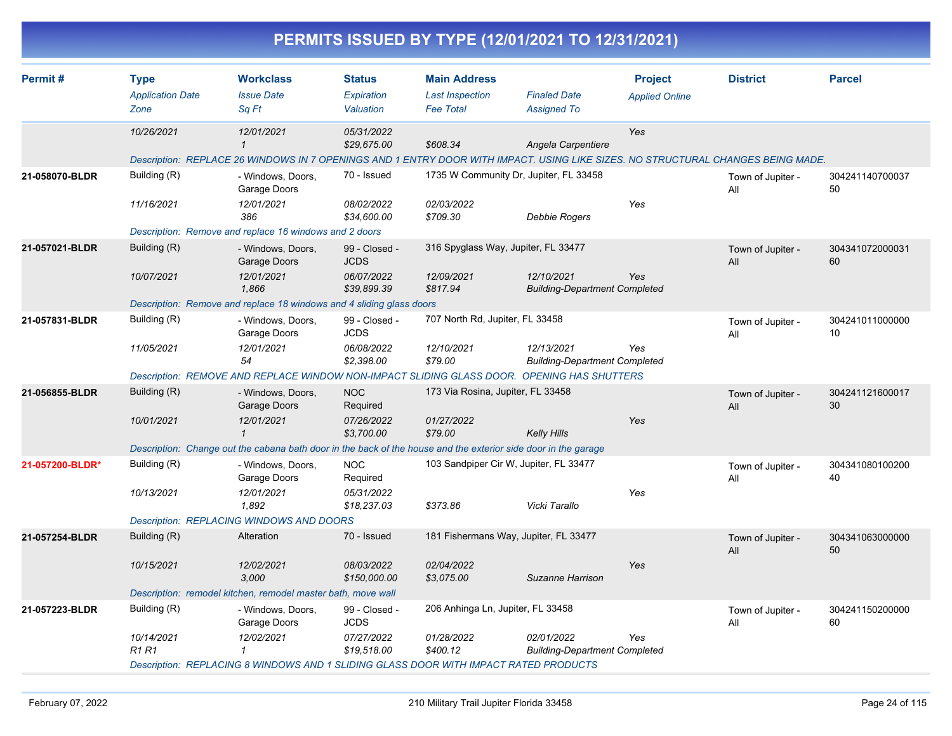|                 |                                                |                                                                                                                                                                                   |                                                           |                                                                   | PERMITS ISSUED BY TYPE (12/01/2021 TO 12/31/2021)              |                                         |                          |                       |
|-----------------|------------------------------------------------|-----------------------------------------------------------------------------------------------------------------------------------------------------------------------------------|-----------------------------------------------------------|-------------------------------------------------------------------|----------------------------------------------------------------|-----------------------------------------|--------------------------|-----------------------|
| Permit #        | <b>Type</b><br><b>Application Date</b><br>Zone | <b>Workclass</b><br><b>Issue Date</b><br>Sq Ft                                                                                                                                    | <b>Status</b><br>Expiration<br>Valuation                  | <b>Main Address</b><br><b>Last Inspection</b><br><b>Fee Total</b> | <b>Finaled Date</b><br><b>Assigned To</b>                      | <b>Project</b><br><b>Applied Online</b> | <b>District</b>          | <b>Parcel</b>         |
|                 | 10/26/2021                                     | 12/01/2021<br>$\mathbf{1}$<br>Description: REPLACE 26 WINDOWS IN 7 OPENINGS AND 1 ENTRY DOOR WITH IMPACT. USING LIKE SIZES. NO STRUCTURAL CHANGES BEING MADE.                     | 05/31/2022<br>\$29,675.00                                 | \$608.34                                                          | Angela Carpentiere                                             | Yes                                     |                          |                       |
| 21-058070-BLDR  | Building (R)<br>11/16/2021                     | - Windows, Doors,<br>Garage Doors<br>12/01/2021<br>386<br>Description: Remove and replace 16 windows and 2 doors                                                                  | 70 - Issued<br>08/02/2022<br>\$34,600.00                  | 02/03/2022<br>\$709.30                                            | 1735 W Community Dr, Jupiter, FL 33458<br><b>Debbie Rogers</b> | Yes                                     | Town of Jupiter -<br>All | 304241140700037<br>50 |
| 21-057021-BLDR  | Building (R)<br>10/07/2021                     | - Windows, Doors,<br>Garage Doors<br>12/01/2021<br>1,866<br>Description: Remove and replace 18 windows and 4 sliding glass doors                                                  | 99 - Closed -<br><b>JCDS</b><br>06/07/2022<br>\$39,899.39 | 316 Spyglass Way, Jupiter, FL 33477<br>12/09/2021<br>\$817.94     | 12/10/2021<br><b>Building-Department Completed</b>             | Yes                                     | Town of Jupiter -<br>All | 304341072000031<br>60 |
| 21-057831-BLDR  | Building (R)<br>11/05/2021                     | - Windows, Doors,<br>Garage Doors<br>12/01/2021<br>54<br>Description: REMOVE AND REPLACE WINDOW NON-IMPACT SLIDING GLASS DOOR. OPENING HAS SHUTTERS                               | 99 - Closed -<br><b>JCDS</b><br>06/08/2022<br>\$2,398.00  | 707 North Rd, Jupiter, FL 33458<br>12/10/2021<br>\$79.00          | 12/13/2021<br><b>Building-Department Completed</b>             | Yes                                     | Town of Jupiter -<br>All | 304241011000000<br>10 |
| 21-056855-BLDR  | Building (R)<br>10/01/2021                     | - Windows, Doors,<br>Garage Doors<br>12/01/2021<br>$\mathbf{1}$<br>Description: Change out the cabana bath door in the back of the house and the exterior side door in the garage | <b>NOC</b><br>Required<br>07/26/2022<br>\$3,700.00        | 173 Via Rosina, Jupiter, FL 33458<br>01/27/2022<br>\$79.00        | <b>Kelly Hills</b>                                             | Yes                                     | Town of Jupiter -<br>All | 304241121600017<br>30 |
| 21-057200-BLDR* | Building (R)<br>10/13/2021                     | - Windows, Doors,<br>Garage Doors<br>12/01/2021<br>1,892<br>Description: REPLACING WINDOWS AND DOORS                                                                              | <b>NOC</b><br>Required<br>05/31/2022<br>\$18,237.03       | \$373.86                                                          | 103 Sandpiper Cir W, Jupiter, FL 33477<br>Vicki Tarallo        | Yes                                     | Town of Jupiter -<br>All | 304341080100200<br>40 |
| 21-057254-BLDR  | Building (R)<br>10/15/2021                     | Alteration<br>12/02/2021<br>3,000<br>Description: remodel kitchen, remodel master bath, move wall                                                                                 | 70 - Issued<br>08/03/2022<br>\$150,000.00                 | 02/04/2022<br>\$3,075.00                                          | 181 Fishermans Way, Jupiter, FL 33477<br>Suzanne Harrison      | Yes                                     | Town of Jupiter -<br>All | 304341063000000<br>50 |
| 21-057223-BLDR  | Building (R)<br>10/14/2021<br><b>R1R1</b>      | - Windows, Doors,<br>Garage Doors<br>12/02/2021<br>$\mathbf{1}$<br>Description: REPLACING 8 WINDOWS AND 1 SLIDING GLASS DOOR WITH IMPACT RATED PRODUCTS                           | 99 - Closed -<br><b>JCDS</b><br>07/27/2022<br>\$19,518.00 | 206 Anhinga Ln, Jupiter, FL 33458<br>01/28/2022<br>\$400.12       | 02/01/2022<br><b>Building-Department Completed</b>             | Yes                                     | Town of Jupiter -<br>ail | 304241150200000<br>60 |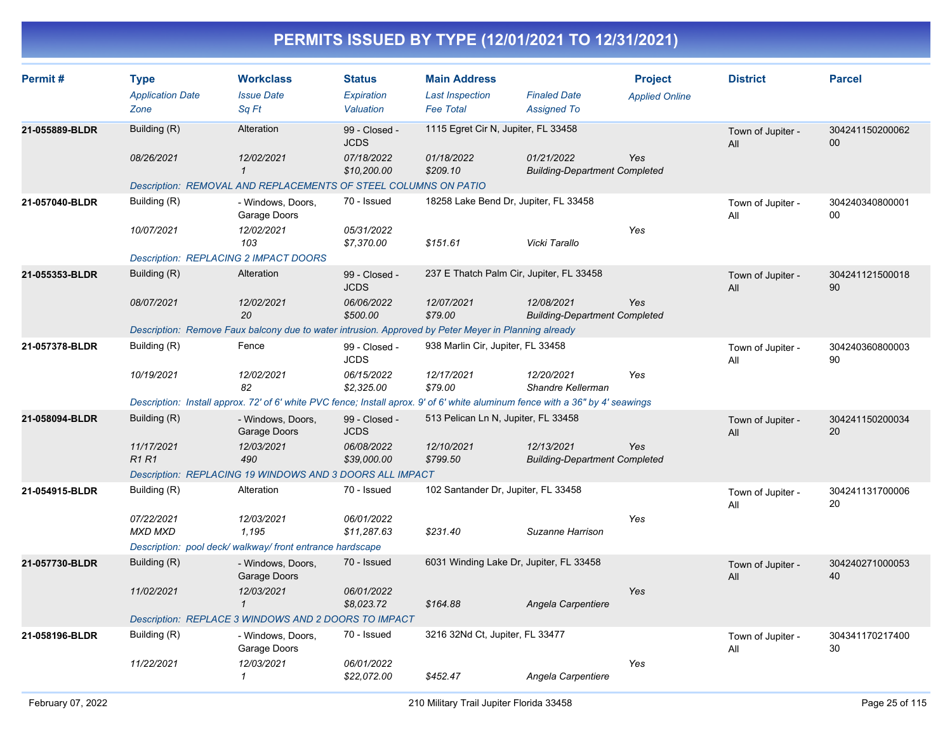| Permit#        | <b>Type</b><br><b>Application Date</b>       | <b>Workclass</b><br><b>Issue Date</b>                                                                                          | <b>Status</b><br>Expiration  | <b>Main Address</b><br><b>Last Inspection</b> | <b>Finaled Date</b>                                | <b>Project</b><br><b>Applied Online</b> | <b>District</b>          | <b>Parcel</b>             |
|----------------|----------------------------------------------|--------------------------------------------------------------------------------------------------------------------------------|------------------------------|-----------------------------------------------|----------------------------------------------------|-----------------------------------------|--------------------------|---------------------------|
|                | Zone                                         | Sq Ft                                                                                                                          | Valuation                    | <b>Fee Total</b>                              | <b>Assigned To</b>                                 |                                         |                          |                           |
| 21-055889-BLDR | Building (R)                                 | Alteration                                                                                                                     | 99 - Closed -<br><b>JCDS</b> | 1115 Egret Cir N, Jupiter, FL 33458           |                                                    |                                         | Town of Jupiter -<br>All | 304241150200062<br>$00\,$ |
|                | 08/26/2021                                   | 12/02/2021<br>$\mathbf{1}$                                                                                                     | 07/18/2022<br>\$10,200.00    | 01/18/2022<br>\$209.10                        | 01/21/2022<br><b>Building-Department Completed</b> | Yes                                     |                          |                           |
|                |                                              | Description: REMOVAL AND REPLACEMENTS OF STEEL COLUMNS ON PATIO                                                                |                              |                                               |                                                    |                                         |                          |                           |
| 21-057040-BLDR | Building (R)                                 | - Windows, Doors,<br>Garage Doors                                                                                              | 70 - Issued                  | 18258 Lake Bend Dr, Jupiter, FL 33458         |                                                    |                                         | Town of Jupiter -<br>All | 304240340800001<br>00     |
|                | 10/07/2021                                   | 12/02/2021<br>103                                                                                                              | 05/31/2022<br>\$7,370.00     | \$151.61                                      | Vicki Tarallo                                      | Yes                                     |                          |                           |
|                | <b>Description: REPLACING 2 IMPACT DOORS</b> |                                                                                                                                |                              |                                               |                                                    |                                         |                          |                           |
| 21-055353-BLDR | Building (R)                                 | Alteration                                                                                                                     | 99 - Closed -<br><b>JCDS</b> | 237 E Thatch Palm Cir, Jupiter, FL 33458      |                                                    |                                         | Town of Jupiter -<br>All | 304241121500018<br>90     |
|                | 08/07/2021                                   | 12/02/2021<br>20                                                                                                               | 06/06/2022<br>\$500.00       | 12/07/2021<br>\$79.00                         | 12/08/2021<br><b>Building-Department Completed</b> | Yes                                     |                          |                           |
|                |                                              | Description: Remove Faux balcony due to water intrusion. Approved by Peter Meyer in Planning already                           |                              |                                               |                                                    |                                         |                          |                           |
| 21-057378-BLDR | Building (R)                                 | Fence                                                                                                                          | 99 - Closed -<br><b>JCDS</b> | 938 Marlin Cir, Jupiter, FL 33458             |                                                    |                                         | Town of Jupiter -<br>All | 304240360800003<br>90     |
|                | 10/19/2021                                   | 12/02/2021<br>82                                                                                                               | 06/15/2022<br>\$2,325.00     | 12/17/2021<br>\$79.00                         | 12/20/2021<br>Shandre Kellerman                    | Yes                                     |                          |                           |
|                |                                              | Description: Install approx. 72' of 6' white PVC fence; Install aprox. 9' of 6' white aluminum fence with a 36" by 4' seawings |                              |                                               |                                                    |                                         |                          |                           |
| 21-058094-BLDR | Building (R)                                 | - Windows, Doors,<br>Garage Doors                                                                                              | 99 - Closed -<br><b>JCDS</b> | 513 Pelican Ln N, Jupiter, FL 33458           |                                                    |                                         | Town of Jupiter -<br>All | 304241150200034<br>20     |
|                | 11/17/2021<br><b>R1R1</b>                    | 12/03/2021<br>490                                                                                                              | 06/08/2022<br>\$39,000.00    | 12/10/2021<br>\$799.50                        | 12/13/2021<br><b>Building-Department Completed</b> | Yes                                     |                          |                           |
|                |                                              | Description: REPLACING 19 WINDOWS AND 3 DOORS ALL IMPACT                                                                       |                              |                                               |                                                    |                                         |                          |                           |
| 21-054915-BLDR | Building (R)                                 | Alteration                                                                                                                     | 70 - Issued                  | 102 Santander Dr, Jupiter, FL 33458           |                                                    |                                         | Town of Jupiter -<br>All | 304241131700006<br>20     |
|                | 07/22/2021<br><b>MXD MXD</b>                 | 12/03/2021<br>1.195                                                                                                            | 06/01/2022<br>\$11.287.63    | \$231.40                                      | Suzanne Harrison                                   | Yes                                     |                          |                           |
|                |                                              | Description: pool deck/walkway/front entrance hardscape                                                                        |                              |                                               |                                                    |                                         |                          |                           |
| 21-057730-BLDR | Building (R)                                 | - Windows, Doors,<br>Garage Doors                                                                                              | 70 - Issued                  | 6031 Winding Lake Dr, Jupiter, FL 33458       |                                                    |                                         | Town of Jupiter -<br>All | 304240271000053<br>40     |
|                | 11/02/2021                                   | 12/03/2021<br>$\mathbf{1}$                                                                                                     | 06/01/2022<br>\$8,023.72     | \$164.88                                      | Angela Carpentiere                                 | Yes                                     |                          |                           |
|                |                                              | Description: REPLACE 3 WINDOWS AND 2 DOORS TO IMPACT                                                                           |                              |                                               |                                                    |                                         |                          |                           |
| 21-058196-BLDR | Building (R)                                 | - Windows, Doors,<br>Garage Doors                                                                                              | 70 - Issued                  | 3216 32Nd Ct, Jupiter, FL 33477               |                                                    |                                         | Town of Jupiter -<br>All | 304341170217400<br>30     |
|                | 11/22/2021                                   | 12/03/2021<br>$\mathbf{1}$                                                                                                     | 06/01/2022<br>\$22.072.00    | \$452.47                                      | Angela Carpentiere                                 | Yes                                     |                          |                           |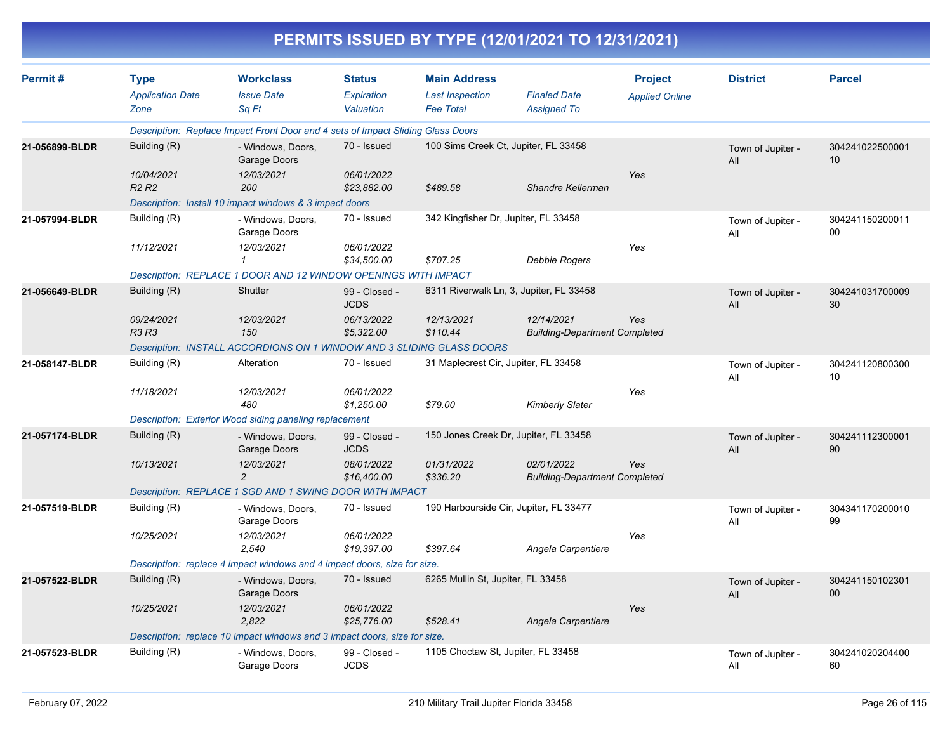|                |                                                |                                                                                 |                                          |                                                                   | PERMITS ISSUED BY TYPE (12/01/2021 TO 12/31/2021)  |                                         |                          |                           |
|----------------|------------------------------------------------|---------------------------------------------------------------------------------|------------------------------------------|-------------------------------------------------------------------|----------------------------------------------------|-----------------------------------------|--------------------------|---------------------------|
| Permit#        | <b>Type</b><br><b>Application Date</b><br>Zone | <b>Workclass</b><br><b>Issue Date</b><br>Sq Ft                                  | <b>Status</b><br>Expiration<br>Valuation | <b>Main Address</b><br><b>Last Inspection</b><br><b>Fee Total</b> | <b>Finaled Date</b><br><b>Assigned To</b>          | <b>Project</b><br><b>Applied Online</b> | <b>District</b>          | <b>Parcel</b>             |
|                |                                                | Description: Replace Impact Front Door and 4 sets of Impact Sliding Glass Doors |                                          |                                                                   |                                                    |                                         |                          |                           |
| 21-056899-BLDR | Building (R)                                   | - Windows, Doors,<br>Garage Doors                                               | 70 - Issued                              |                                                                   | 100 Sims Creek Ct, Jupiter, FL 33458               |                                         | Town of Jupiter -<br>All | 304241022500001<br>10     |
|                | 10/04/2021<br>R <sub>2</sub> R <sub>2</sub>    | 12/03/2021<br>200                                                               | 06/01/2022<br>\$23,882.00                | \$489.58                                                          | Shandre Kellerman                                  | Yes                                     |                          |                           |
|                |                                                | Description: Install 10 impact windows & 3 impact doors                         |                                          |                                                                   |                                                    |                                         |                          |                           |
| 21-057994-BLDR | Building (R)                                   | - Windows, Doors,<br>Garage Doors                                               | 70 - Issued                              | 342 Kingfisher Dr, Jupiter, FL 33458                              |                                                    |                                         | Town of Jupiter -<br>All | 304241150200011<br>00     |
|                | 11/12/2021                                     | 12/03/2021                                                                      | 06/01/2022<br>\$34,500.00                | \$707.25                                                          | Debbie Rogers                                      | Yes                                     |                          |                           |
|                |                                                | Description: REPLACE 1 DOOR AND 12 WINDOW OPENINGS WITH IMPACT                  |                                          |                                                                   |                                                    |                                         |                          |                           |
| 21-056649-BLDR | Building (R)                                   | Shutter                                                                         | 99 - Closed -<br><b>JCDS</b>             |                                                                   | 6311 Riverwalk Ln, 3, Jupiter, FL 33458            |                                         | Town of Jupiter -<br>All | 304241031700009<br>30     |
|                | 09/24/2021<br>R3 R3                            | 12/03/2021<br>150                                                               | 06/13/2022<br>\$5,322.00                 | 12/13/2021<br>\$110.44                                            | 12/14/2021<br><b>Building-Department Completed</b> | Yes                                     |                          |                           |
|                |                                                | Description: INSTALL ACCORDIONS ON 1 WINDOW AND 3 SLIDING GLASS DOORS           |                                          |                                                                   |                                                    |                                         |                          |                           |
| 21-058147-BLDR | Building (R)                                   | Alteration                                                                      | 70 - Issued                              | 31 Maplecrest Cir, Jupiter, FL 33458                              |                                                    |                                         | Town of Jupiter -<br>All | 304241120800300<br>10     |
|                | 11/18/2021                                     | 12/03/2021<br>480                                                               | 06/01/2022<br>\$1,250.00                 | \$79.00                                                           | <b>Kimberly Slater</b>                             | Yes                                     |                          |                           |
|                |                                                | Description: Exterior Wood siding paneling replacement                          |                                          |                                                                   |                                                    |                                         |                          |                           |
| 21-057174-BLDR | Building (R)                                   | - Windows, Doors,<br>Garage Doors                                               | 99 - Closed -<br><b>JCDS</b>             |                                                                   | 150 Jones Creek Dr, Jupiter, FL 33458              |                                         | Town of Jupiter -<br>All | 304241112300001<br>90     |
|                | 10/13/2021                                     | 12/03/2021<br>$\overline{2}$                                                    | 08/01/2022<br>\$16,400.00                | 01/31/2022<br>\$336.20                                            | 02/01/2022<br><b>Building-Department Completed</b> | Yes                                     |                          |                           |
|                |                                                | Description: REPLACE 1 SGD AND 1 SWING DOOR WITH IMPACT                         |                                          |                                                                   |                                                    |                                         |                          |                           |
| 21-057519-BLDR | Building (R)                                   | - Windows, Doors,<br>Garage Doors                                               | 70 - Issued                              |                                                                   | 190 Harbourside Cir, Jupiter, FL 33477             |                                         | Town of Jupiter -<br>All | 304341170200010<br>99     |
|                | 10/25/2021                                     | 12/03/2021<br>2,540                                                             | 06/01/2022<br>\$19,397.00                | \$397.64                                                          | Angela Carpentiere                                 | Yes                                     |                          |                           |
|                |                                                | Description: replace 4 impact windows and 4 impact doors, size for size.        |                                          |                                                                   |                                                    |                                         |                          |                           |
| 21-057522-BLDR | Building (R)                                   | - Windows, Doors,<br>Garage Doors                                               | 70 - Issued                              | 6265 Mullin St, Jupiter, FL 33458                                 |                                                    |                                         | Town of Jupiter -<br>All | 304241150102301<br>$00\,$ |
|                | 10/25/2021                                     | 12/03/2021<br>2,822                                                             | 06/01/2022<br>\$25,776.00                | \$528.41                                                          | Angela Carpentiere                                 | Yes                                     |                          |                           |
|                |                                                | Description: replace 10 impact windows and 3 impact doors, size for size.       |                                          |                                                                   |                                                    |                                         |                          |                           |
| 21-057523-BLDR | Building (R)                                   | - Windows, Doors,<br>Garage Doors                                               | 99 - Closed -<br><b>JCDS</b>             | 1105 Choctaw St, Jupiter, FL 33458                                |                                                    |                                         | Town of Jupiter -<br>All | 304241020204400<br>60     |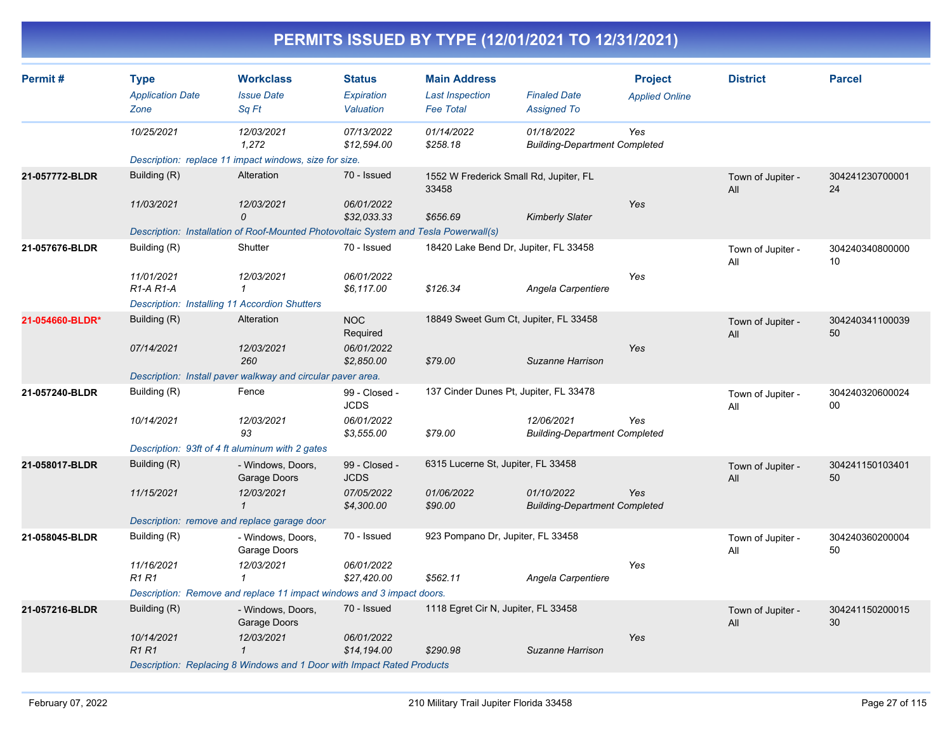| Permit#         | <b>Type</b>                                          | <b>Workclass</b>                                                                     | <b>Status</b>                | <b>Main Address</b>                             |                                                    | <b>Project</b>        | <b>District</b>          | <b>Parcel</b>         |
|-----------------|------------------------------------------------------|--------------------------------------------------------------------------------------|------------------------------|-------------------------------------------------|----------------------------------------------------|-----------------------|--------------------------|-----------------------|
|                 | <b>Application Date</b><br>Zone                      | <b>Issue Date</b><br>Sq Ft                                                           | Expiration<br>Valuation      | <b>Last Inspection</b><br><b>Fee Total</b>      | <b>Finaled Date</b><br><b>Assigned To</b>          | <b>Applied Online</b> |                          |                       |
|                 | 10/25/2021                                           | 12/03/2021<br>1,272                                                                  | 07/13/2022<br>\$12,594.00    | 01/14/2022<br>\$258.18                          | 01/18/2022<br><b>Building-Department Completed</b> | Yes                   |                          |                       |
|                 |                                                      | Description: replace 11 impact windows, size for size.                               |                              |                                                 |                                                    |                       |                          |                       |
| 21-057772-BLDR  | Building (R)                                         | Alteration                                                                           | 70 - Issued                  | 1552 W Frederick Small Rd, Jupiter, FL<br>33458 |                                                    |                       | Town of Jupiter -<br>All | 304241230700001<br>24 |
|                 | 11/03/2021                                           | 12/03/2021<br>0                                                                      | 06/01/2022<br>\$32,033.33    | \$656.69                                        | <b>Kimberly Slater</b>                             | Yes                   |                          |                       |
|                 |                                                      | Description: Installation of Roof-Mounted Photovoltaic System and Tesla Powerwall(s) |                              |                                                 |                                                    |                       |                          |                       |
| 21-057676-BLDR  | Building (R)                                         | Shutter                                                                              | 70 - Issued                  | 18420 Lake Bend Dr, Jupiter, FL 33458           |                                                    |                       | Town of Jupiter -<br>All | 304240340800000<br>10 |
|                 | 11/01/2021<br>R <sub>1</sub> -A <sub>R1</sub> -A     | 12/03/2021                                                                           | 06/01/2022<br>\$6,117.00     | \$126.34                                        | Angela Carpentiere                                 | Yes                   |                          |                       |
|                 | <b>Description: Installing 11 Accordion Shutters</b> |                                                                                      |                              |                                                 |                                                    |                       |                          |                       |
| 21-054660-BLDR* | Building (R)                                         | Alteration                                                                           | <b>NOC</b><br>Required       | 18849 Sweet Gum Ct, Jupiter, FL 33458           |                                                    |                       | Town of Jupiter -<br>All | 304240341100039<br>50 |
|                 | 07/14/2021                                           | 12/03/2021<br>260                                                                    | 06/01/2022<br>\$2,850.00     | \$79.00                                         | Suzanne Harrison                                   | Yes                   |                          |                       |
|                 |                                                      | Description: Install paver walkway and circular paver area.                          |                              |                                                 |                                                    |                       |                          |                       |
| 21-057240-BLDR  | Building (R)                                         | Fence                                                                                | 99 - Closed -<br><b>JCDS</b> | 137 Cinder Dunes Pt, Jupiter, FL 33478          |                                                    |                       | Town of Jupiter -<br>All | 304240320600024<br>00 |
|                 | 10/14/2021                                           | 12/03/2021<br>93                                                                     | 06/01/2022<br>\$3,555.00     | \$79.00                                         | 12/06/2021<br><b>Building-Department Completed</b> | Yes                   |                          |                       |
|                 | Description: 93ft of 4 ft aluminum with 2 gates      |                                                                                      |                              |                                                 |                                                    |                       |                          |                       |
| 21-058017-BLDR  | Building (R)                                         | - Windows, Doors,<br>Garage Doors                                                    | 99 - Closed -<br><b>JCDS</b> | 6315 Lucerne St, Jupiter, FL 33458              |                                                    |                       | Town of Jupiter -<br>All | 304241150103401<br>50 |
|                 | 11/15/2021                                           | 12/03/2021<br>$\mathbf{1}$                                                           | 07/05/2022<br>\$4,300.00     | 01/06/2022<br>\$90.00                           | 01/10/2022<br><b>Building-Department Completed</b> | Yes                   |                          |                       |
|                 | Description: remove and replace garage door          |                                                                                      |                              |                                                 |                                                    |                       |                          |                       |
| 21-058045-BLDR  | Building (R)                                         | - Windows, Doors,<br>Garage Doors                                                    | 70 - Issued                  | 923 Pompano Dr, Jupiter, FL 33458               |                                                    |                       | Town of Jupiter -<br>All | 304240360200004<br>50 |
|                 | 11/16/2021<br>R <sub>1</sub> R <sub>1</sub>          | 12/03/2021<br>-1                                                                     | 06/01/2022<br>\$27,420.00    | \$562.11                                        | Angela Carpentiere                                 | Yes                   |                          |                       |
|                 |                                                      | Description: Remove and replace 11 impact windows and 3 impact doors.                |                              |                                                 |                                                    |                       |                          |                       |
| 21-057216-BLDR  | Building (R)                                         | - Windows, Doors,<br>Garage Doors                                                    | 70 - Issued                  | 1118 Egret Cir N, Jupiter, FL 33458             |                                                    |                       | Town of Jupiter -<br>All | 304241150200015<br>30 |
|                 | 10/14/2021<br><b>R1R1</b>                            | 12/03/2021<br>$\mathbf{1}$                                                           | 06/01/2022<br>\$14,194.00    | \$290.98                                        | Suzanne Harrison                                   | Yes                   |                          |                       |
|                 |                                                      | Description: Replacing 8 Windows and 1 Door with Impact Rated Products               |                              |                                                 |                                                    |                       |                          |                       |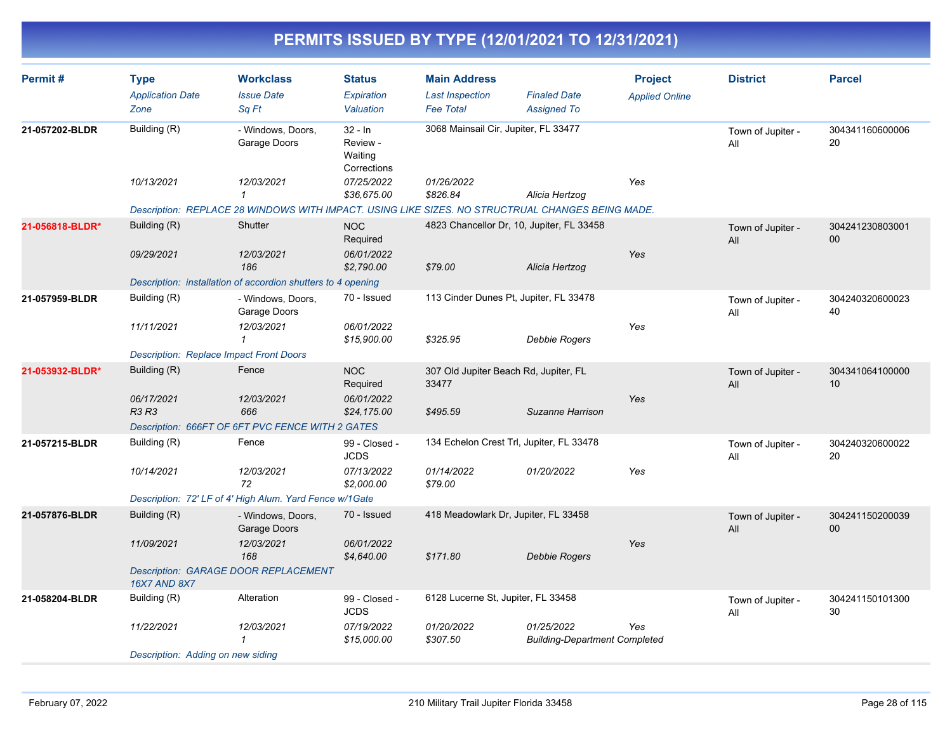| Permit#         | <b>Type</b><br><b>Application Date</b><br>Zone | <b>Workclass</b><br><b>Issue Date</b><br>Sa Ft                                                   | <b>Status</b><br>Expiration<br>Valuation        | <b>Main Address</b><br><b>Last Inspection</b><br><b>Fee Total</b> | <b>Finaled Date</b><br><b>Assigned To</b>          | <b>Project</b><br><b>Applied Online</b> | <b>District</b>          | <b>Parcel</b>         |
|-----------------|------------------------------------------------|--------------------------------------------------------------------------------------------------|-------------------------------------------------|-------------------------------------------------------------------|----------------------------------------------------|-----------------------------------------|--------------------------|-----------------------|
| 21-057202-BLDR  | Building (R)                                   | - Windows, Doors,<br>Garage Doors                                                                | $32 - In$<br>Review -<br>Waiting<br>Corrections | 3068 Mainsail Cir, Jupiter, FL 33477                              |                                                    |                                         | Town of Jupiter -<br>All | 304341160600006<br>20 |
|                 | 10/13/2021                                     | 12/03/2021<br>$\mathbf{1}$                                                                       | 07/25/2022<br>\$36,675.00                       | 01/26/2022<br>\$826.84                                            | Alicia Hertzog                                     | Yes                                     |                          |                       |
|                 |                                                | Description: REPLACE 28 WINDOWS WITH IMPACT. USING LIKE SIZES. NO STRUCTRUAL CHANGES BEING MADE. |                                                 |                                                                   |                                                    |                                         |                          |                       |
| 21-056818-BLDR* | Building (R)                                   | Shutter                                                                                          | <b>NOC</b><br>Required                          | 4823 Chancellor Dr, 10, Jupiter, FL 33458                         |                                                    |                                         | Town of Jupiter -<br>All | 304241230803001<br>00 |
|                 | 09/29/2021                                     | 12/03/2021<br>186                                                                                | 06/01/2022<br>\$2,790.00                        | \$79.00                                                           | Alicia Hertzog                                     | Yes                                     |                          |                       |
|                 |                                                | Description: installation of accordion shutters to 4 opening                                     |                                                 |                                                                   |                                                    |                                         |                          |                       |
| 21-057959-BLDR  | Building (R)                                   | - Windows, Doors,<br>Garage Doors                                                                | 70 - Issued                                     | 113 Cinder Dunes Pt, Jupiter, FL 33478                            |                                                    |                                         | Town of Jupiter -<br>All | 304240320600023<br>40 |
|                 | 11/11/2021                                     | 12/03/2021<br>$\mathbf{1}$                                                                       | 06/01/2022<br>\$15,900.00                       | \$325.95                                                          | Debbie Rogers                                      | Yes                                     |                          |                       |
|                 | <b>Description: Replace Impact Front Doors</b> |                                                                                                  |                                                 |                                                                   |                                                    |                                         |                          |                       |
| 21-053932-BLDR* | Building (R)                                   | Fence                                                                                            | <b>NOC</b><br>Required                          | 307 Old Jupiter Beach Rd, Jupiter, FL<br>33477                    |                                                    |                                         | Town of Jupiter -<br>All | 304341064100000<br>10 |
|                 | 06/17/2021<br>R3 R3                            | 12/03/2021<br>666                                                                                | 06/01/2022<br>\$24,175.00                       | \$495.59                                                          | Suzanne Harrison                                   | Yes                                     |                          |                       |
|                 |                                                | Description: 666FT OF 6FT PVC FENCE WITH 2 GATES                                                 |                                                 |                                                                   |                                                    |                                         |                          |                       |
| 21-057215-BLDR  | Building (R)                                   | Fence                                                                                            | 99 - Closed -<br><b>JCDS</b>                    | 134 Echelon Crest Trl, Jupiter, FL 33478                          |                                                    |                                         | Town of Jupiter -<br>All | 304240320600022<br>20 |
|                 | 10/14/2021                                     | 12/03/2021<br>72                                                                                 | 07/13/2022<br>\$2,000.00                        | 01/14/2022<br>\$79.00                                             | 01/20/2022                                         | Yes                                     |                          |                       |
|                 |                                                | Description: 72' LF of 4' High Alum. Yard Fence w/1Gate                                          |                                                 |                                                                   |                                                    |                                         |                          |                       |
| 21-057876-BLDR  | Building (R)                                   | - Windows, Doors,<br>Garage Doors                                                                | 70 - Issued                                     | 418 Meadowlark Dr, Jupiter, FL 33458                              |                                                    |                                         | Town of Jupiter -<br>All | 304241150200039<br>00 |
|                 | 11/09/2021                                     | 12/03/2021<br>168                                                                                | 06/01/2022<br>\$4,640.00                        | \$171.80                                                          | Debbie Rogers                                      | Yes                                     |                          |                       |
|                 | <b>16X7 AND 8X7</b>                            | <b>Description: GARAGE DOOR REPLACEMENT</b>                                                      |                                                 |                                                                   |                                                    |                                         |                          |                       |
| 21-058204-BLDR  | Building (R)                                   | Alteration                                                                                       | 99 - Closed -<br><b>JCDS</b>                    | 6128 Lucerne St, Jupiter, FL 33458                                |                                                    |                                         | Town of Jupiter -<br>All | 304241150101300<br>30 |
|                 | 11/22/2021                                     | 12/03/2021<br>1                                                                                  | 07/19/2022<br>\$15,000.00                       | 01/20/2022<br>\$307.50                                            | 01/25/2022<br><b>Building-Department Completed</b> | Yes                                     |                          |                       |
|                 | Description: Adding on new siding              |                                                                                                  |                                                 |                                                                   |                                                    |                                         |                          |                       |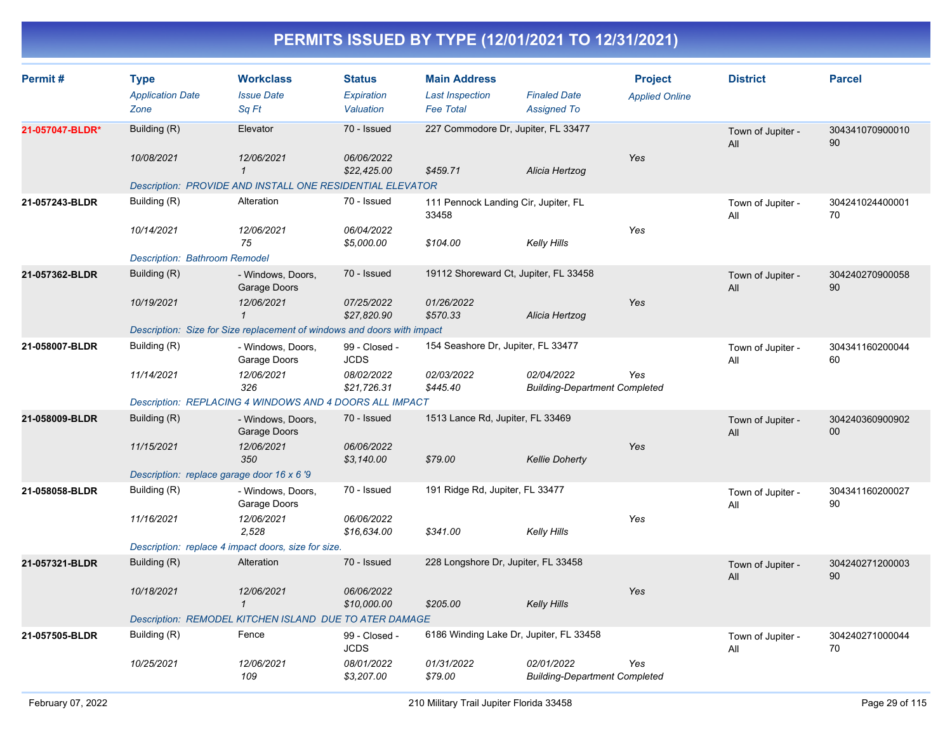| Permit#         | <b>Type</b><br><b>Application Date</b>     | <b>Workclass</b><br><b>Issue Date</b>                                   | <b>Status</b><br>Expiration  | <b>Main Address</b><br><b>Last Inspection</b> | <b>Finaled Date</b>                                | <b>Project</b><br><b>Applied Online</b> | <b>District</b>          | <b>Parcel</b>         |
|-----------------|--------------------------------------------|-------------------------------------------------------------------------|------------------------------|-----------------------------------------------|----------------------------------------------------|-----------------------------------------|--------------------------|-----------------------|
|                 | Zone                                       | Sq Ft                                                                   | Valuation                    | <b>Fee Total</b>                              | <b>Assigned To</b>                                 |                                         |                          |                       |
| 21-057047-BLDR* | Building (R)                               | Elevator                                                                | 70 - Issued                  | 227 Commodore Dr, Jupiter, FL 33477           |                                                    |                                         | Town of Jupiter -<br>All | 304341070900010<br>90 |
|                 | 10/08/2021                                 | 12/06/2021<br>$\mathbf{1}$                                              | 06/06/2022<br>\$22,425.00    | \$459.71                                      | Alicia Hertzog                                     | Yes                                     |                          |                       |
|                 |                                            | Description: PROVIDE AND INSTALL ONE RESIDENTIAL ELEVATOR               |                              |                                               |                                                    |                                         |                          |                       |
| 21-057243-BLDR  | Building (R)                               | Alteration                                                              | 70 - Issued                  | 111 Pennock Landing Cir, Jupiter, FL<br>33458 |                                                    |                                         | Town of Jupiter -<br>All | 304241024400001<br>70 |
|                 | 10/14/2021                                 | 12/06/2021<br>75                                                        | 06/04/2022<br>\$5,000.00     | \$104.00                                      | Kelly Hills                                        | Yes                                     |                          |                       |
|                 | <b>Description: Bathroom Remodel</b>       |                                                                         |                              |                                               |                                                    |                                         |                          |                       |
| 21-057362-BLDR  | Building (R)                               | - Windows, Doors,<br>Garage Doors                                       | 70 - Issued                  | 19112 Shoreward Ct, Jupiter, FL 33458         |                                                    |                                         | Town of Jupiter -<br>All | 304240270900058<br>90 |
|                 | 10/19/2021                                 | 12/06/2021<br>$\mathbf{1}$                                              | 07/25/2022<br>\$27,820.90    | 01/26/2022<br>\$570.33                        | Alicia Hertzog                                     | Yes                                     |                          |                       |
|                 |                                            | Description: Size for Size replacement of windows and doors with impact |                              |                                               |                                                    |                                         |                          |                       |
| 21-058007-BLDR  | Building (R)                               | - Windows, Doors,<br>Garage Doors                                       | 99 - Closed -<br><b>JCDS</b> | 154 Seashore Dr, Jupiter, FL 33477            |                                                    |                                         | Town of Jupiter -<br>All | 304341160200044<br>60 |
|                 | 11/14/2021                                 | 12/06/2021<br>326                                                       | 08/02/2022<br>\$21,726.31    | 02/03/2022<br>\$445.40                        | 02/04/2022<br><b>Building-Department Completed</b> | Yes                                     |                          |                       |
|                 |                                            | Description: REPLACING 4 WINDOWS AND 4 DOORS ALL IMPACT                 |                              |                                               |                                                    |                                         |                          |                       |
| 21-058009-BLDR  | Building (R)                               | - Windows, Doors,<br>Garage Doors                                       | 70 - Issued                  | 1513 Lance Rd, Jupiter, FL 33469              |                                                    |                                         | Town of Jupiter -<br>All | 304240360900902<br>00 |
|                 | 11/15/2021                                 | 12/06/2021<br>350                                                       | 06/06/2022<br>\$3,140.00     | \$79.00                                       | <b>Kellie Doherty</b>                              | Yes                                     |                          |                       |
|                 | Description: replace garage door 16 x 6 '9 |                                                                         |                              |                                               |                                                    |                                         |                          |                       |
| 21-058058-BLDR  | Building (R)                               | - Windows, Doors,<br>Garage Doors                                       | 70 - Issued                  | 191 Ridge Rd, Jupiter, FL 33477               |                                                    |                                         | Town of Jupiter -<br>All | 304341160200027<br>90 |
|                 | 11/16/2021                                 | 12/06/2021<br>2,528                                                     | 06/06/2022<br>\$16,634.00    | \$341.00                                      | Kelly Hills                                        | Yes                                     |                          |                       |
|                 |                                            | Description: replace 4 impact doors, size for size.                     |                              |                                               |                                                    |                                         |                          |                       |
| 21-057321-BLDR  | Building (R)                               | Alteration                                                              | 70 - Issued                  | 228 Longshore Dr, Jupiter, FL 33458           |                                                    |                                         | Town of Jupiter -<br>All | 304240271200003<br>90 |
|                 | 10/18/2021                                 | 12/06/2021<br>$\mathbf{1}$                                              | 06/06/2022<br>\$10,000.00    | \$205.00                                      | <b>Kelly Hills</b>                                 | Yes                                     |                          |                       |
|                 |                                            | Description: REMODEL KITCHEN ISLAND DUE TO ATER DAMAGE                  |                              |                                               |                                                    |                                         |                          |                       |
| 21-057505-BLDR  | Building (R)                               | Fence                                                                   | 99 - Closed -<br><b>JCDS</b> | 6186 Winding Lake Dr, Jupiter, FL 33458       |                                                    |                                         | Town of Jupiter -<br>All | 304240271000044<br>70 |
|                 | 10/25/2021                                 | 12/06/2021<br>109                                                       | 08/01/2022<br>\$3,207.00     | 01/31/2022<br>\$79.00                         | 02/01/2022<br><b>Building-Department Completed</b> | Yes                                     |                          |                       |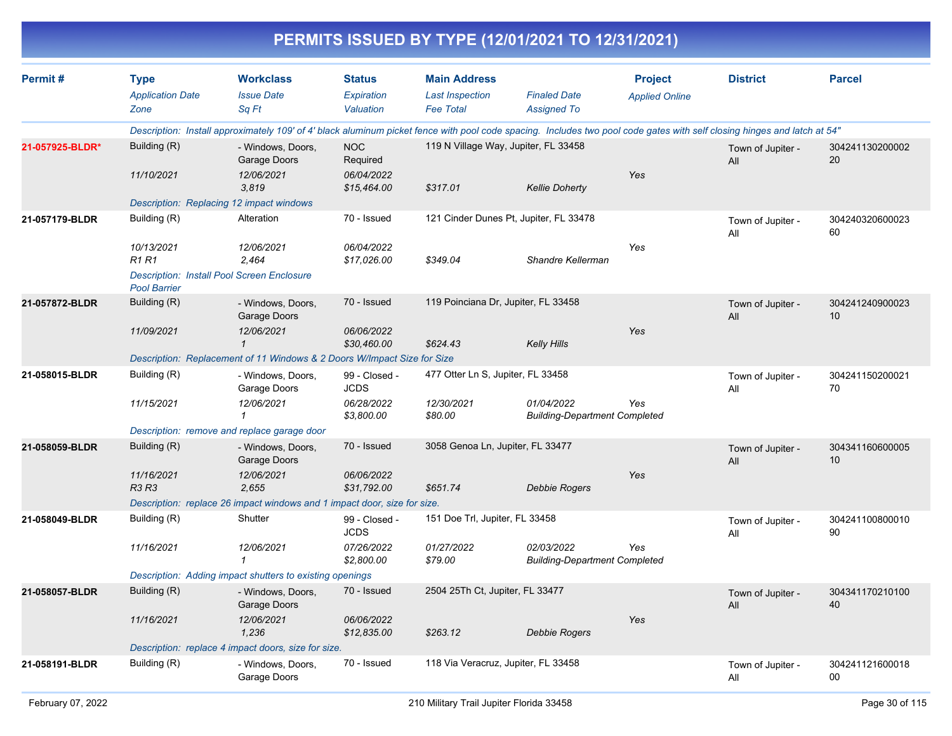|                 |                                        |                                                                                                                                                                          |                              |                                               | PERMITS ISSUED BY TYPE (12/01/2021 TO 12/31/2021)  |                                         |                          |                       |
|-----------------|----------------------------------------|--------------------------------------------------------------------------------------------------------------------------------------------------------------------------|------------------------------|-----------------------------------------------|----------------------------------------------------|-----------------------------------------|--------------------------|-----------------------|
| Permit#         | <b>Type</b><br><b>Application Date</b> | <b>Workclass</b><br><b>Issue Date</b>                                                                                                                                    | <b>Status</b><br>Expiration  | <b>Main Address</b><br><b>Last Inspection</b> | <b>Finaled Date</b>                                | <b>Project</b><br><b>Applied Online</b> | <b>District</b>          | <b>Parcel</b>         |
|                 | Zone                                   | Sq Ft                                                                                                                                                                    | Valuation                    | <b>Fee Total</b>                              | <b>Assigned To</b>                                 |                                         |                          |                       |
|                 |                                        | Description: Install approximately 109' of 4' black aluminum picket fence with pool code spacing. Includes two pool code gates with self closing hinges and latch at 54" |                              |                                               |                                                    |                                         |                          |                       |
| 21-057925-BLDR* | Building (R)                           | - Windows, Doors,<br>Garage Doors                                                                                                                                        | <b>NOC</b><br>Required       | 119 N Village Way, Jupiter, FL 33458          |                                                    |                                         | Town of Jupiter -<br>All | 304241130200002<br>20 |
|                 | 11/10/2021                             | 12/06/2021<br>3.819                                                                                                                                                      | 06/04/2022<br>\$15,464.00    | \$317.01                                      | <b>Kellie Doherty</b>                              | Yes                                     |                          |                       |
|                 |                                        | Description: Replacing 12 impact windows                                                                                                                                 |                              |                                               |                                                    |                                         |                          |                       |
| 21-057179-BLDR  | Building (R)                           | Alteration                                                                                                                                                               | 70 - Issued                  |                                               | 121 Cinder Dunes Pt, Jupiter, FL 33478             |                                         | Town of Jupiter -<br>All | 304240320600023<br>60 |
|                 | 10/13/2021<br><b>R1 R1</b>             | 12/06/2021<br>2.464                                                                                                                                                      | 06/04/2022<br>\$17,026.00    | \$349.04                                      | Shandre Kellerman                                  | Yes                                     |                          |                       |
|                 | <b>Pool Barrier</b>                    | <b>Description: Install Pool Screen Enclosure</b>                                                                                                                        |                              |                                               |                                                    |                                         |                          |                       |
| 21-057872-BLDR  | Building (R)                           | - Windows, Doors,<br>Garage Doors                                                                                                                                        | 70 - Issued                  | 119 Poinciana Dr, Jupiter, FL 33458           |                                                    |                                         | Town of Jupiter -<br>All | 304241240900023<br>10 |
|                 | 11/09/2021                             | 12/06/2021<br>$\mathbf{\overline{1}}$                                                                                                                                    | 06/06/2022<br>\$30,460.00    | \$624.43                                      | <b>Kelly Hills</b>                                 | Yes                                     |                          |                       |
|                 |                                        | Description: Replacement of 11 Windows & 2 Doors W/Impact Size for Size                                                                                                  |                              |                                               |                                                    |                                         |                          |                       |
| 21-058015-BLDR  | Building (R)                           | - Windows, Doors,<br>Garage Doors                                                                                                                                        | 99 - Closed -<br><b>JCDS</b> | 477 Otter Ln S, Jupiter, FL 33458             |                                                    |                                         | Town of Jupiter -<br>All | 304241150200021<br>70 |
|                 | 11/15/2021                             | 12/06/2021<br>1                                                                                                                                                          | 06/28/2022<br>\$3,800.00     | 12/30/2021<br>\$80.00                         | 01/04/2022<br><b>Building-Department Completed</b> | Yes                                     |                          |                       |
|                 |                                        | Description: remove and replace garage door                                                                                                                              |                              |                                               |                                                    |                                         |                          |                       |
| 21-058059-BLDR  | Building (R)                           | - Windows, Doors,<br>Garage Doors                                                                                                                                        | 70 - Issued                  | 3058 Genoa Ln, Jupiter, FL 33477              |                                                    |                                         | Town of Jupiter -<br>All | 304341160600005<br>10 |
|                 | 11/16/2021<br>R3 R3                    | 12/06/2021<br>2,655                                                                                                                                                      | 06/06/2022<br>\$31,792.00    | \$651.74                                      | <b>Debbie Rogers</b>                               | Yes                                     |                          |                       |
|                 |                                        | Description: replace 26 impact windows and 1 impact door, size for size.                                                                                                 |                              |                                               |                                                    |                                         |                          |                       |
| 21-058049-BLDR  | Building (R)                           | Shutter                                                                                                                                                                  | 99 - Closed -<br><b>JCDS</b> | 151 Doe Trl, Jupiter, FL 33458                |                                                    |                                         | Town of Jupiter -<br>All | 304241100800010<br>90 |
|                 | 11/16/2021                             | 12/06/2021<br>1                                                                                                                                                          | 07/26/2022<br>\$2,800.00     | 01/27/2022<br>\$79.00                         | 02/03/2022<br><b>Building-Department Completed</b> | Yes                                     |                          |                       |
|                 |                                        | Description: Adding impact shutters to existing openings                                                                                                                 |                              |                                               |                                                    |                                         |                          |                       |
| 21-058057-BLDR  | Building (R)                           | - Windows, Doors,<br>Garage Doors                                                                                                                                        | 70 - Issued                  | 2504 25Th Ct, Jupiter, FL 33477               |                                                    |                                         | Town of Jupiter -<br>All | 304341170210100<br>40 |
|                 | 11/16/2021                             | 12/06/2021<br>1,236                                                                                                                                                      | 06/06/2022<br>\$12,835.00    | \$263.12                                      | <b>Debbie Rogers</b>                               | Yes                                     |                          |                       |
|                 |                                        | Description: replace 4 impact doors, size for size.                                                                                                                      |                              |                                               |                                                    |                                         |                          |                       |
| 21-058191-BLDR  | Building (R)                           | - Windows, Doors,<br>Garage Doors                                                                                                                                        | 70 - Issued                  | 118 Via Veracruz, Jupiter, FL 33458           |                                                    |                                         | Town of Jupiter -<br>ail | 304241121600018<br>00 |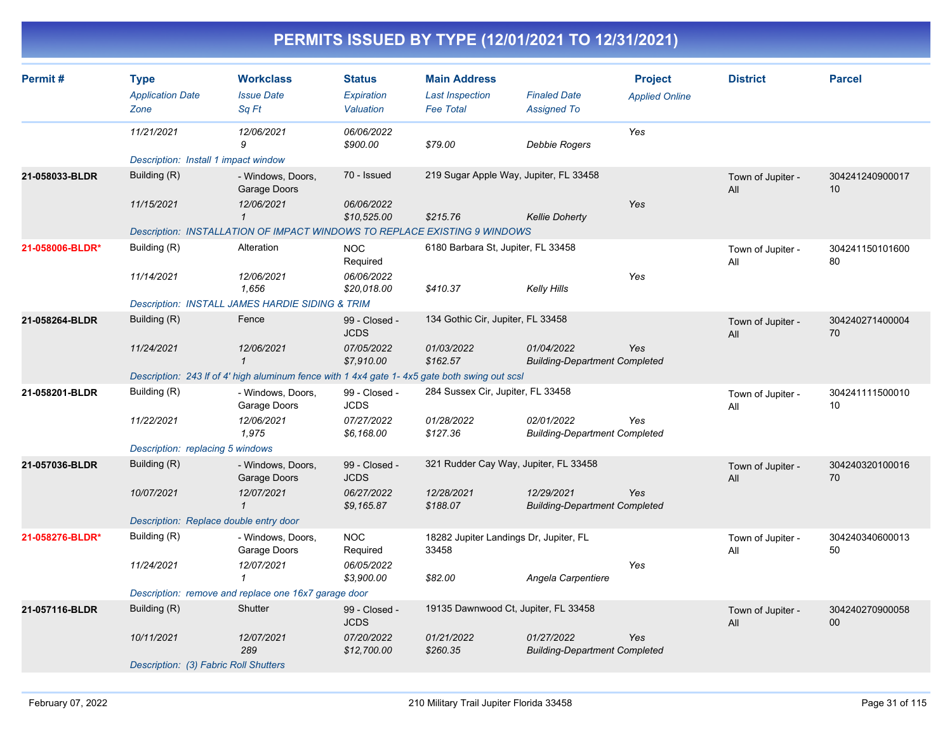| Permit#         | <b>Type</b><br><b>Application Date</b> | <b>Workclass</b><br><b>Issue Date</b>                                                        | <b>Status</b><br>Expiration  | <b>Main Address</b><br><b>Last Inspection</b>   | <b>Finaled Date</b>                                | <b>Project</b><br><b>Applied Online</b> | <b>District</b>          | <b>Parcel</b>         |
|-----------------|----------------------------------------|----------------------------------------------------------------------------------------------|------------------------------|-------------------------------------------------|----------------------------------------------------|-----------------------------------------|--------------------------|-----------------------|
|                 | Zone                                   | Sq Ft                                                                                        | Valuation                    | <b>Fee Total</b>                                | <b>Assigned To</b>                                 |                                         |                          |                       |
|                 | 11/21/2021                             | 12/06/2021<br>9                                                                              | 06/06/2022<br>\$900.00       | \$79.00                                         | Debbie Rogers                                      | Yes                                     |                          |                       |
|                 | Description: Install 1 impact window   |                                                                                              |                              |                                                 |                                                    |                                         |                          |                       |
| 21-058033-BLDR  | Building (R)                           | - Windows, Doors,<br>Garage Doors                                                            | 70 - Issued                  | 219 Sugar Apple Way, Jupiter, FL 33458          |                                                    |                                         | Town of Jupiter -<br>All | 304241240900017<br>10 |
|                 | 11/15/2021                             | 12/06/2021<br>$\mathbf{1}$                                                                   | 06/06/2022<br>\$10,525.00    | \$215.76                                        | <b>Kellie Doherty</b>                              | Yes                                     |                          |                       |
|                 |                                        | Description: INSTALLATION OF IMPACT WINDOWS TO REPLACE EXISTING 9 WINDOWS                    |                              |                                                 |                                                    |                                         |                          |                       |
| 21-058006-BLDR* | Building (R)                           | Alteration                                                                                   | <b>NOC</b><br>Required       | 6180 Barbara St, Jupiter, FL 33458              |                                                    |                                         | Town of Jupiter -<br>All | 304241150101600<br>80 |
|                 | 11/14/2021                             | 12/06/2021<br>1,656                                                                          | 06/06/2022<br>\$20,018.00    | \$410.37                                        | Kelly Hills                                        | Yes                                     |                          |                       |
|                 |                                        | <b>Description: INSTALL JAMES HARDIE SIDING &amp; TRIM</b>                                   |                              |                                                 |                                                    |                                         |                          |                       |
| 21-058264-BLDR  | Building (R)                           | Fence                                                                                        | 99 - Closed -<br><b>JCDS</b> | 134 Gothic Cir, Jupiter, FL 33458               |                                                    |                                         | Town of Jupiter -<br>All | 304240271400004<br>70 |
|                 | 11/24/2021                             | 12/06/2021<br>$\mathbf{1}$                                                                   | 07/05/2022<br>\$7,910.00     | 01/03/2022<br>\$162.57                          | 01/04/2022<br><b>Building-Department Completed</b> | Yes                                     |                          |                       |
|                 |                                        | Description: 243 If of 4' high aluminum fence with 1 4x4 gate 1-4x5 gate both swing out scsl |                              |                                                 |                                                    |                                         |                          |                       |
| 21-058201-BLDR  | Building (R)                           | - Windows, Doors,<br>Garage Doors                                                            | 99 - Closed -<br><b>JCDS</b> | 284 Sussex Cir, Jupiter, FL 33458               |                                                    |                                         | Town of Jupiter -<br>All | 304241111500010<br>10 |
|                 | 11/22/2021                             | 12/06/2021<br>1,975                                                                          | 07/27/2022<br>\$6,168.00     | 01/28/2022<br>\$127.36                          | 02/01/2022<br><b>Building-Department Completed</b> | Yes                                     |                          |                       |
|                 | Description: replacing 5 windows       |                                                                                              |                              |                                                 |                                                    |                                         |                          |                       |
| 21-057036-BLDR  | Building (R)                           | - Windows, Doors,<br>Garage Doors                                                            | 99 - Closed -<br><b>JCDS</b> | 321 Rudder Cay Way, Jupiter, FL 33458           |                                                    |                                         | Town of Jupiter -<br>All | 304240320100016<br>70 |
|                 | 10/07/2021                             | 12/07/2021<br>$\mathbf{1}$                                                                   | 06/27/2022<br>\$9,165.87     | 12/28/2021<br>\$188.07                          | 12/29/2021<br><b>Building-Department Completed</b> | Yes                                     |                          |                       |
|                 | Description: Replace double entry door |                                                                                              |                              |                                                 |                                                    |                                         |                          |                       |
| 21-058276-BLDR* | Building (R)                           | - Windows, Doors,<br>Garage Doors                                                            | <b>NOC</b><br>Required       | 18282 Jupiter Landings Dr, Jupiter, FL<br>33458 |                                                    |                                         | Town of Jupiter -<br>All | 304240340600013<br>50 |
|                 | 11/24/2021                             | 12/07/2021<br>1                                                                              | 06/05/2022<br>\$3,900.00     | \$82.00                                         | Angela Carpentiere                                 | Yes                                     |                          |                       |
|                 |                                        | Description: remove and replace one 16x7 garage door                                         |                              |                                                 |                                                    |                                         |                          |                       |
| 21-057116-BLDR  | Building (R)                           | Shutter                                                                                      | 99 - Closed -<br><b>JCDS</b> | 19135 Dawnwood Ct, Jupiter, FL 33458            |                                                    |                                         | Town of Jupiter -<br>All | 304240270900058<br>00 |
|                 | 10/11/2021                             | 12/07/2021<br>289                                                                            | 07/20/2022<br>\$12,700.00    | 01/21/2022<br>\$260.35                          | 01/27/2022<br><b>Building-Department Completed</b> | Yes                                     |                          |                       |
|                 | Description: (3) Fabric Roll Shutters  |                                                                                              |                              |                                                 |                                                    |                                         |                          |                       |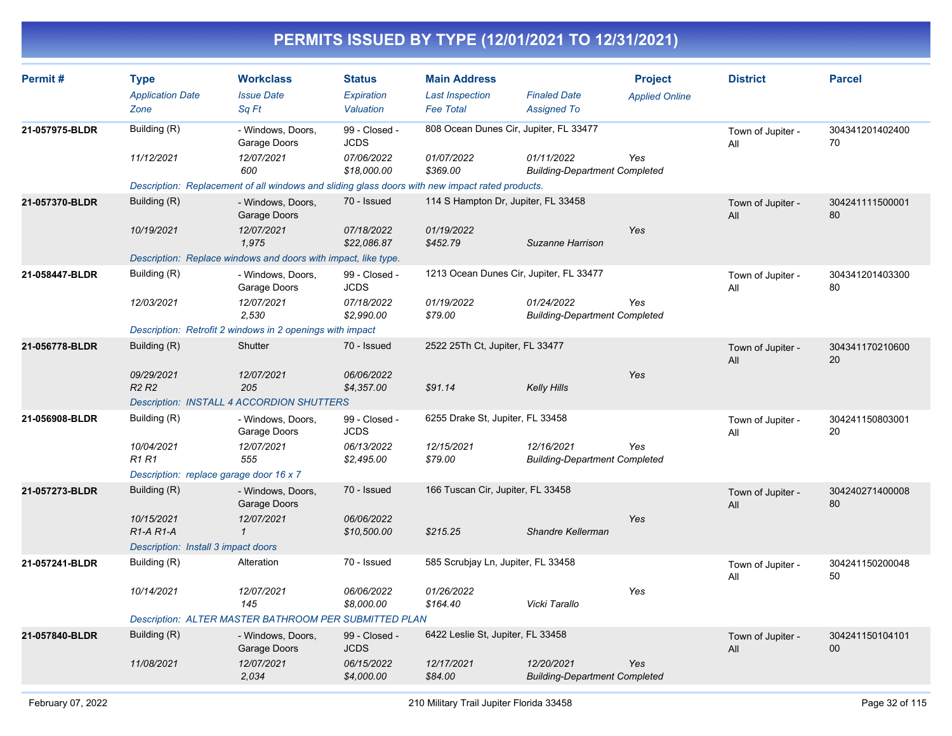| Permit#        | <b>Type</b><br><b>Application Date</b>           | <b>Workclass</b><br><b>Issue Date</b>                                                           | <b>Status</b><br>Expiration  | <b>Main Address</b><br><b>Last Inspection</b> | <b>Finaled Date</b>                                | <b>Project</b><br><b>Applied Online</b> | <b>District</b>          | <b>Parcel</b>         |
|----------------|--------------------------------------------------|-------------------------------------------------------------------------------------------------|------------------------------|-----------------------------------------------|----------------------------------------------------|-----------------------------------------|--------------------------|-----------------------|
|                | Zone                                             | Sa Ft                                                                                           | Valuation                    | <b>Fee Total</b>                              | <b>Assigned To</b>                                 |                                         |                          |                       |
| 21-057975-BLDR | Building (R)                                     | - Windows, Doors,<br>Garage Doors                                                               | 99 - Closed -<br><b>JCDS</b> | 808 Ocean Dunes Cir, Jupiter, FL 33477        |                                                    |                                         | Town of Jupiter -<br>All | 304341201402400<br>70 |
|                | 11/12/2021                                       | 12/07/2021<br>600                                                                               | 07/06/2022<br>\$18,000.00    | 01/07/2022<br>\$369.00                        | 01/11/2022<br><b>Building-Department Completed</b> | Yes                                     |                          |                       |
|                |                                                  | Description: Replacement of all windows and sliding glass doors with new impact rated products. |                              |                                               |                                                    |                                         |                          |                       |
| 21-057370-BLDR | Building (R)                                     | - Windows, Doors,<br>Garage Doors                                                               | 70 - Issued                  | 114 S Hampton Dr, Jupiter, FL 33458           |                                                    |                                         | Town of Jupiter -<br>All | 304241111500001<br>80 |
|                | 10/19/2021                                       | 12/07/2021<br>1,975                                                                             | 07/18/2022<br>\$22,086.87    | 01/19/2022<br>\$452.79                        | Suzanne Harrison                                   | Yes                                     |                          |                       |
|                |                                                  | Description: Replace windows and doors with impact, like type.                                  |                              |                                               |                                                    |                                         |                          |                       |
| 21-058447-BLDR | Building (R)                                     | - Windows, Doors,<br>Garage Doors                                                               | 99 - Closed -<br><b>JCDS</b> | 1213 Ocean Dunes Cir, Jupiter, FL 33477       |                                                    |                                         | Town of Jupiter -<br>All | 304341201403300<br>80 |
|                | 12/03/2021                                       | 12/07/2021<br>2,530                                                                             | 07/18/2022<br>\$2,990.00     | 01/19/2022<br>\$79.00                         | 01/24/2022<br><b>Building-Department Completed</b> | Yes                                     |                          |                       |
|                |                                                  | Description: Retrofit 2 windows in 2 openings with impact                                       |                              |                                               |                                                    |                                         |                          |                       |
| 21-056778-BLDR | Building (R)                                     | Shutter                                                                                         | 70 - Issued                  | 2522 25Th Ct, Jupiter, FL 33477               |                                                    |                                         | Town of Jupiter -<br>All | 304341170210600<br>20 |
|                | 09/29/2021<br><b>R2 R2</b>                       | 12/07/2021<br>205                                                                               | 06/06/2022<br>\$4,357.00     | \$91.14                                       | <b>Kelly Hills</b>                                 | Yes                                     |                          |                       |
|                |                                                  | <b>Description: INSTALL 4 ACCORDION SHUTTERS</b>                                                |                              |                                               |                                                    |                                         |                          |                       |
| 21-056908-BLDR | Building (R)                                     | - Windows, Doors,<br>Garage Doors                                                               | 99 - Closed -<br><b>JCDS</b> | 6255 Drake St, Jupiter, FL 33458              |                                                    |                                         | Town of Jupiter -<br>All | 304241150803001<br>20 |
|                | 10/04/2021<br><b>R1 R1</b>                       | 12/07/2021<br>555                                                                               | 06/13/2022<br>\$2,495.00     | 12/15/2021<br>\$79.00                         | 12/16/2021<br><b>Building-Department Completed</b> | Yes                                     |                          |                       |
|                | Description: replace garage door 16 x 7          |                                                                                                 |                              |                                               |                                                    |                                         |                          |                       |
| 21-057273-BLDR | Building (R)                                     | - Windows, Doors,<br>Garage Doors                                                               | 70 - Issued                  | 166 Tuscan Cir, Jupiter, FL 33458             |                                                    |                                         | Town of Jupiter -<br>All | 304240271400008<br>80 |
|                | 10/15/2021<br>R <sub>1</sub> -A <sub>R1</sub> -A | 12/07/2021<br>$\mathbf{1}$                                                                      | 06/06/2022<br>\$10,500.00    | \$215.25                                      | Shandre Kellerman                                  | Yes                                     |                          |                       |
|                | Description: Install 3 impact doors              |                                                                                                 |                              |                                               |                                                    |                                         |                          |                       |
| 21-057241-BLDR | Building (R)                                     | Alteration                                                                                      | 70 - Issued                  | 585 Scrubjay Ln, Jupiter, FL 33458            |                                                    |                                         | Town of Jupiter -<br>All | 304241150200048<br>50 |
|                | 10/14/2021                                       | 12/07/2021<br>145                                                                               | 06/06/2022<br>\$8,000.00     | 01/26/2022<br>\$164.40                        | Vicki Tarallo                                      | Yes                                     |                          |                       |
|                |                                                  | <b>Description: ALTER MASTER BATHROOM PER SUBMITTED PLAN</b>                                    |                              |                                               |                                                    |                                         |                          |                       |
| 21-057840-BLDR | Building (R)                                     | - Windows, Doors,<br>Garage Doors                                                               | 99 - Closed -<br><b>JCDS</b> | 6422 Leslie St, Jupiter, FL 33458             |                                                    |                                         | Town of Jupiter -<br>All | 304241150104101<br>00 |
|                | 11/08/2021                                       | 12/07/2021<br>2.034                                                                             | 06/15/2022<br>\$4,000.00     | 12/17/2021<br>\$84.00                         | 12/20/2021<br><b>Building-Department Completed</b> | Yes                                     |                          |                       |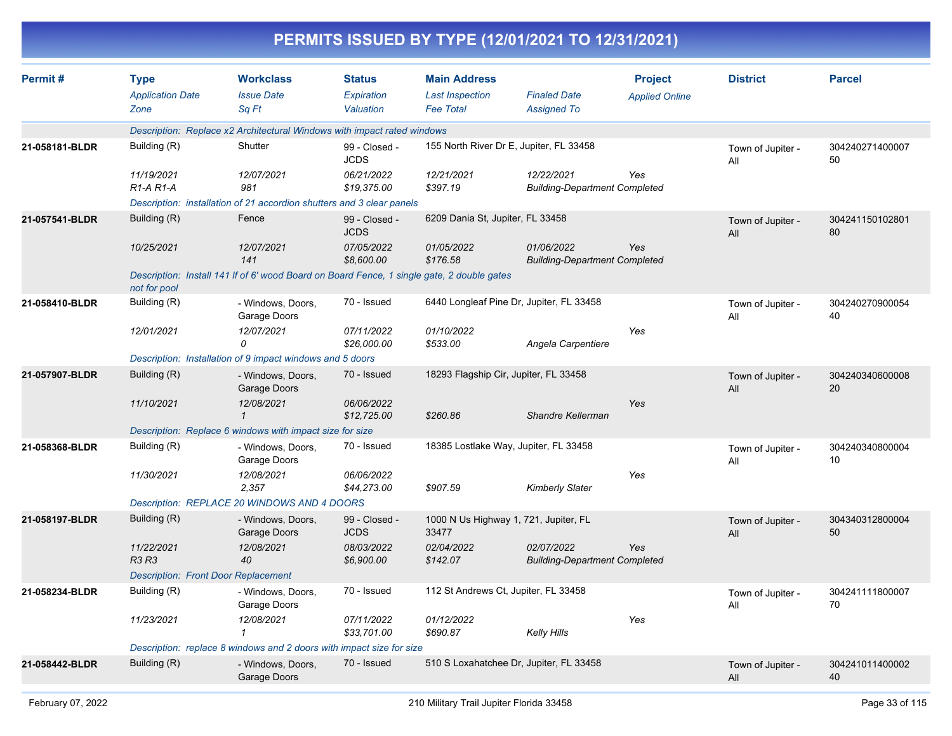|                |                                                |                                                                                            |                                          | PERMITS ISSUED BY TYPE (12/01/2021 TO 12/31/2021)                 |                                                    |                                         |                          |                       |
|----------------|------------------------------------------------|--------------------------------------------------------------------------------------------|------------------------------------------|-------------------------------------------------------------------|----------------------------------------------------|-----------------------------------------|--------------------------|-----------------------|
| Permit#        | <b>Type</b><br><b>Application Date</b><br>Zone | <b>Workclass</b><br><b>Issue Date</b><br>Sq Ft                                             | <b>Status</b><br>Expiration<br>Valuation | <b>Main Address</b><br><b>Last Inspection</b><br><b>Fee Total</b> | <b>Finaled Date</b><br><b>Assigned To</b>          | <b>Project</b><br><b>Applied Online</b> | <b>District</b>          | <b>Parcel</b>         |
|                |                                                | Description: Replace x2 Architectural Windows with impact rated windows                    |                                          |                                                                   |                                                    |                                         |                          |                       |
| 21-058181-BLDR | Building (R)                                   | Shutter                                                                                    | 99 - Closed -<br><b>JCDS</b>             | 155 North River Dr E, Jupiter, FL 33458                           |                                                    |                                         | Town of Jupiter -<br>All | 304240271400007<br>50 |
|                | 11/19/2021<br>$R1-A R1-A$                      | 12/07/2021<br>981                                                                          | 06/21/2022<br>\$19,375.00                | 12/21/2021<br>\$397.19                                            | 12/22/2021<br><b>Building-Department Completed</b> | Yes                                     |                          |                       |
|                |                                                | Description: installation of 21 accordion shutters and 3 clear panels                      |                                          |                                                                   |                                                    |                                         |                          |                       |
| 21-057541-BLDR | Building (R)                                   | Fence                                                                                      | 99 - Closed -<br><b>JCDS</b>             | 6209 Dania St, Jupiter, FL 33458                                  |                                                    |                                         | Town of Jupiter -<br>All | 304241150102801<br>80 |
|                | 10/25/2021                                     | 12/07/2021<br>141                                                                          | 07/05/2022<br>\$8,600.00                 | 01/05/2022<br>\$176.58                                            | 01/06/2022<br><b>Building-Department Completed</b> | Yes                                     |                          |                       |
|                | not for pool                                   | Description: Install 141 If of 6' wood Board on Board Fence, 1 single gate, 2 double gates |                                          |                                                                   |                                                    |                                         |                          |                       |
| 21-058410-BLDR | Building (R)                                   | - Windows, Doors,<br>Garage Doors                                                          | 70 - Issued                              | 6440 Longleaf Pine Dr, Jupiter, FL 33458                          |                                                    |                                         | Town of Jupiter -<br>All | 304240270900054<br>40 |
|                | 12/01/2021                                     | 12/07/2021<br>0                                                                            | 07/11/2022<br>\$26,000.00                | 01/10/2022<br>\$533.00                                            | Angela Carpentiere                                 | Yes                                     |                          |                       |
|                |                                                | Description: Installation of 9 impact windows and 5 doors                                  |                                          |                                                                   |                                                    |                                         |                          |                       |
| 21-057907-BLDR | Building (R)                                   | - Windows, Doors,<br>Garage Doors                                                          | 70 - Issued                              | 18293 Flagship Cir, Jupiter, FL 33458                             |                                                    |                                         | Town of Jupiter -<br>All | 304240340600008<br>20 |
|                | 11/10/2021                                     | 12/08/2021<br>1                                                                            | 06/06/2022<br>\$12,725.00                | \$260.86                                                          | Shandre Kellerman                                  | Yes                                     |                          |                       |
|                |                                                | Description: Replace 6 windows with impact size for size                                   |                                          |                                                                   |                                                    |                                         |                          |                       |
| 21-058368-BLDR | Building (R)                                   | - Windows, Doors,<br>Garage Doors                                                          | 70 - Issued                              | 18385 Lostlake Way, Jupiter, FL 33458                             |                                                    |                                         | Town of Jupiter -<br>All | 304240340800004<br>10 |
|                | 11/30/2021                                     | 12/08/2021<br>2,357                                                                        | 06/06/2022<br>\$44,273.00                | \$907.59                                                          | <b>Kimberly Slater</b>                             | Yes                                     |                          |                       |
|                |                                                | Description: REPLACE 20 WINDOWS AND 4 DOORS                                                |                                          |                                                                   |                                                    |                                         |                          |                       |
| 21-058197-BLDR | Building (R)                                   | - Windows, Doors,<br>Garage Doors                                                          | 99 - Closed -<br><b>JCDS</b>             | 1000 N Us Highway 1, 721, Jupiter, FL<br>33477                    |                                                    |                                         | Town of Jupiter -<br>All | 304340312800004<br>50 |
|                | 11/22/2021<br>R3 R3                            | 12/08/2021<br>40                                                                           | 08/03/2022<br>\$6,900.00                 | 02/04/2022<br>\$142.07                                            | 02/07/2022<br><b>Building-Department Completed</b> | Yes                                     |                          |                       |
|                | <b>Description: Front Door Replacement</b>     |                                                                                            |                                          |                                                                   |                                                    |                                         |                          |                       |
| 21-058234-BLDR | Building (R)                                   | - Windows, Doors,<br>Garage Doors                                                          | 70 - Issued                              | 112 St Andrews Ct, Jupiter, FL 33458                              |                                                    |                                         | Town of Jupiter -<br>All | 304241111800007<br>70 |
|                | 11/23/2021                                     | 12/08/2021<br>1                                                                            | 07/11/2022<br>\$33,701.00                | 01/12/2022<br>\$690.87                                            | Kelly Hills                                        | Yes                                     |                          |                       |
|                |                                                | Description: replace 8 windows and 2 doors with impact size for size                       |                                          |                                                                   |                                                    |                                         |                          |                       |
| 21-058442-BLDR | Building (R)                                   | - Windows, Doors,<br>Garage Doors                                                          | 70 - Issued                              | 510 S Loxahatchee Dr, Jupiter, FL 33458                           |                                                    |                                         | Town of Jupiter -<br>All | 304241011400002<br>40 |
|                |                                                |                                                                                            |                                          |                                                                   |                                                    |                                         |                          |                       |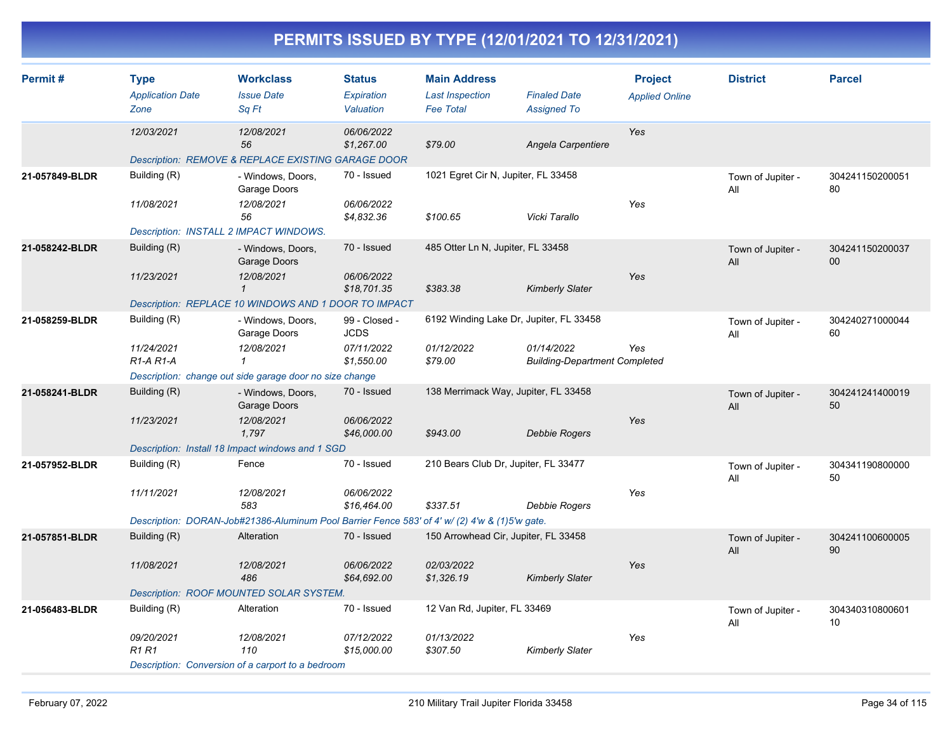| Permit#        | <b>Type</b><br><b>Application Date</b><br>Zone | <b>Workclass</b><br><b>Issue Date</b><br>Sq Ft                                                | <b>Status</b><br>Expiration<br>Valuation | <b>Main Address</b><br><b>Last Inspection</b><br><b>Fee Total</b> | <b>Finaled Date</b><br><b>Assigned To</b>          | <b>Project</b><br><b>Applied Online</b> | <b>District</b>          | <b>Parcel</b>             |
|----------------|------------------------------------------------|-----------------------------------------------------------------------------------------------|------------------------------------------|-------------------------------------------------------------------|----------------------------------------------------|-----------------------------------------|--------------------------|---------------------------|
|                | 12/03/2021                                     | 12/08/2021<br>56                                                                              | 06/06/2022<br>\$1,267.00                 | \$79.00                                                           | Angela Carpentiere                                 | Yes                                     |                          |                           |
|                |                                                | Description: REMOVE & REPLACE EXISTING GARAGE DOOR                                            |                                          |                                                                   |                                                    |                                         |                          |                           |
| 21-057849-BLDR | Building (R)                                   | - Windows, Doors,<br>Garage Doors                                                             | 70 - Issued                              | 1021 Egret Cir N, Jupiter, FL 33458                               |                                                    |                                         | Town of Jupiter -<br>All | 304241150200051<br>80     |
|                | 11/08/2021                                     | 12/08/2021<br>56                                                                              | 06/06/2022<br>\$4,832.36                 | \$100.65                                                          | Vicki Tarallo                                      | Yes                                     |                          |                           |
|                | Description: INSTALL 2 IMPACT WINDOWS.         |                                                                                               |                                          |                                                                   |                                                    |                                         |                          |                           |
| 21-058242-BLDR | Building (R)                                   | - Windows, Doors,<br>Garage Doors                                                             | 70 - Issued                              | 485 Otter Ln N, Jupiter, FL 33458                                 |                                                    |                                         | Town of Jupiter -<br>All | 304241150200037<br>$00\,$ |
|                | 11/23/2021                                     | 12/08/2021<br>$\mathbf{1}$                                                                    | 06/06/2022<br>\$18,701.35                | \$383.38                                                          | <b>Kimberly Slater</b>                             | Yes                                     |                          |                           |
|                |                                                | Description: REPLACE 10 WINDOWS AND 1 DOOR TO IMPACT                                          |                                          |                                                                   |                                                    |                                         |                          |                           |
| 21-058259-BLDR | Building (R)                                   | - Windows, Doors,<br>Garage Doors                                                             | 99 - Closed -<br><b>JCDS</b>             | 6192 Winding Lake Dr, Jupiter, FL 33458                           |                                                    |                                         | Town of Jupiter -<br>All | 304240271000044<br>60     |
|                | 11/24/2021<br>$R1-A R1-A$                      | 12/08/2021<br>$\mathbf{1}$                                                                    | 07/11/2022<br>\$1,550.00                 | 01/12/2022<br>\$79.00                                             | 01/14/2022<br><b>Building-Department Completed</b> | Yes                                     |                          |                           |
|                |                                                | Description: change out side garage door no size change                                       |                                          |                                                                   |                                                    |                                         |                          |                           |
| 21-058241-BLDR | Building (R)                                   | - Windows, Doors,<br>Garage Doors                                                             | 70 - Issued                              | 138 Merrimack Way, Jupiter, FL 33458                              |                                                    |                                         | Town of Jupiter -<br>All | 304241241400019<br>50     |
|                | 11/23/2021                                     | 12/08/2021<br>1,797                                                                           | 06/06/2022<br>\$46,000.00                | \$943.00                                                          | Debbie Rogers                                      | Yes                                     |                          |                           |
|                |                                                | Description: Install 18 Impact windows and 1 SGD                                              |                                          |                                                                   |                                                    |                                         |                          |                           |
| 21-057952-BLDR | Building (R)                                   | Fence                                                                                         | 70 - Issued                              | 210 Bears Club Dr, Jupiter, FL 33477                              |                                                    |                                         | Town of Jupiter -<br>All | 304341190800000<br>50     |
|                | 11/11/2021                                     | 12/08/2021<br>583                                                                             | 06/06/2022<br>\$16,464.00                | \$337.51                                                          | Debbie Rogers                                      | Yes                                     |                          |                           |
|                |                                                | Description: DORAN-Job#21386-Aluminum Pool Barrier Fence 583' of 4' w/ (2) 4'w & (1)5'w gate. |                                          |                                                                   |                                                    |                                         |                          |                           |
| 21-057851-BLDR | Building (R)                                   | Alteration                                                                                    | 70 - Issued                              | 150 Arrowhead Cir, Jupiter, FL 33458                              |                                                    |                                         | Town of Jupiter -<br>All | 304241100600005<br>90     |
|                | 11/08/2021                                     | 12/08/2021<br>486                                                                             | 06/06/2022<br>\$64,692.00                | 02/03/2022<br>\$1,326.19                                          | <b>Kimberly Slater</b>                             | Yes                                     |                          |                           |
|                |                                                | Description: ROOF MOUNTED SOLAR SYSTEM.                                                       |                                          |                                                                   |                                                    |                                         |                          |                           |
| 21-056483-BLDR | Building (R)                                   | Alteration                                                                                    | 70 - Issued                              | 12 Van Rd, Jupiter, FL 33469                                      |                                                    |                                         | Town of Jupiter -<br>All | 304340310800601<br>10     |
|                | 09/20/2021<br>R1 R1                            | 12/08/2021<br>110                                                                             | 07/12/2022<br>\$15,000.00                | 01/13/2022<br>\$307.50                                            | <b>Kimberly Slater</b>                             | Yes                                     |                          |                           |
|                |                                                | Description: Conversion of a carport to a bedroom                                             |                                          |                                                                   |                                                    |                                         |                          |                           |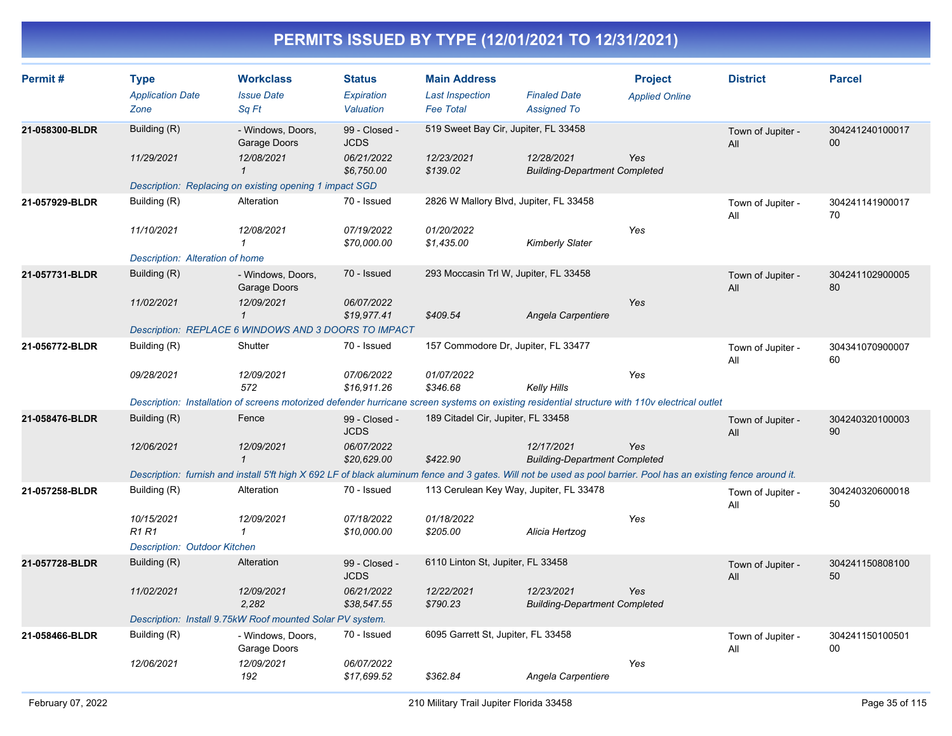| Permit#        | <b>Type</b><br><b>Application Date</b><br>Zone                                                                                                                   | <b>Workclass</b><br><b>Issue Date</b><br>Sq Ft                                                                                                 | <b>Status</b><br><b>Expiration</b><br>Valuation | <b>Main Address</b><br><b>Last Inspection</b><br><b>Fee Total</b> | <b>Finaled Date</b><br><b>Assigned To</b>          | <b>Project</b><br><b>Applied Online</b> | <b>District</b>          | <b>Parcel</b>             |  |  |
|----------------|------------------------------------------------------------------------------------------------------------------------------------------------------------------|------------------------------------------------------------------------------------------------------------------------------------------------|-------------------------------------------------|-------------------------------------------------------------------|----------------------------------------------------|-----------------------------------------|--------------------------|---------------------------|--|--|
|                |                                                                                                                                                                  |                                                                                                                                                |                                                 |                                                                   |                                                    |                                         |                          |                           |  |  |
| 21-058300-BLDR | Building (R)                                                                                                                                                     | - Windows, Doors,<br>Garage Doors                                                                                                              | 99 - Closed -<br><b>JCDS</b>                    | 519 Sweet Bay Cir, Jupiter, FL 33458                              |                                                    |                                         | Town of Jupiter -<br>All | 304241240100017<br>$00\,$ |  |  |
|                | 11/29/2021                                                                                                                                                       | 12/08/2021<br>$\mathbf{1}$                                                                                                                     | 06/21/2022<br>\$6,750.00                        | 12/23/2021<br>\$139.02                                            | 12/28/2021<br><b>Building-Department Completed</b> | Yes                                     |                          |                           |  |  |
|                |                                                                                                                                                                  | Description: Replacing on existing opening 1 impact SGD                                                                                        |                                                 |                                                                   |                                                    |                                         |                          |                           |  |  |
| 21-057929-BLDR | Building (R)                                                                                                                                                     | Alteration                                                                                                                                     | 70 - Issued                                     | 2826 W Mallory Blvd, Jupiter, FL 33458                            |                                                    |                                         | Town of Jupiter -<br>All | 304241141900017<br>70     |  |  |
|                | 11/10/2021                                                                                                                                                       | 12/08/2021<br>$\mathbf{1}$                                                                                                                     | 07/19/2022<br>\$70,000.00                       | 01/20/2022<br>\$1,435.00                                          | Kimberly Slater                                    | Yes                                     |                          |                           |  |  |
|                | Description: Alteration of home                                                                                                                                  |                                                                                                                                                |                                                 |                                                                   |                                                    |                                         |                          |                           |  |  |
| 21-057731-BLDR | Building (R)                                                                                                                                                     | - Windows, Doors,<br>Garage Doors                                                                                                              | 70 - Issued                                     | 293 Moccasin Trl W, Jupiter, FL 33458                             |                                                    |                                         | Town of Jupiter -<br>All | 304241102900005<br>80     |  |  |
|                | 11/02/2021                                                                                                                                                       | 12/09/2021<br>$\mathcal I$                                                                                                                     | 06/07/2022<br>\$19,977.41                       | \$409.54                                                          | Angela Carpentiere                                 | Yes                                     |                          |                           |  |  |
|                |                                                                                                                                                                  | Description: REPLACE 6 WINDOWS AND 3 DOORS TO IMPACT                                                                                           |                                                 |                                                                   |                                                    |                                         |                          |                           |  |  |
| 21-056772-BLDR | Building (R)                                                                                                                                                     | Shutter                                                                                                                                        | 70 - Issued                                     | 157 Commodore Dr, Jupiter, FL 33477                               |                                                    |                                         | Town of Jupiter -<br>All | 304341070900007<br>60     |  |  |
|                | 09/28/2021                                                                                                                                                       | 12/09/2021<br>572                                                                                                                              | 07/06/2022<br>\$16,911.26                       | 01/07/2022<br>\$346.68                                            | Kelly Hills                                        | Yes                                     |                          |                           |  |  |
|                |                                                                                                                                                                  | Description: Installation of screens motorized defender hurricane screen systems on existing residential structure with 110v electrical outlet |                                                 |                                                                   |                                                    |                                         |                          |                           |  |  |
| 21-058476-BLDR | Building (R)                                                                                                                                                     | Fence                                                                                                                                          | 99 - Closed -<br><b>JCDS</b>                    | 189 Citadel Cir, Jupiter, FL 33458                                |                                                    |                                         | Town of Jupiter -<br>All | 304240320100003<br>90     |  |  |
|                | 12/06/2021                                                                                                                                                       | 12/09/2021<br>$\mathcal I$                                                                                                                     | 06/07/2022<br>\$20,629.00                       | \$422.90                                                          | 12/17/2021<br><b>Building-Department Completed</b> | Yes                                     |                          |                           |  |  |
|                | Description: furnish and install 5'ft high X 692 LF of black aluminum fence and 3 gates. Will not be used as pool barrier. Pool has an existing fence around it. |                                                                                                                                                |                                                 |                                                                   |                                                    |                                         |                          |                           |  |  |
| 21-057258-BLDR | Building (R)                                                                                                                                                     | Alteration                                                                                                                                     | 70 - Issued                                     | 113 Cerulean Key Way, Jupiter, FL 33478                           |                                                    |                                         | Town of Jupiter -<br>All | 304240320600018<br>50     |  |  |
|                | 10/15/2021<br><b>R1R1</b>                                                                                                                                        | 12/09/2021<br>$\mathbf{1}$                                                                                                                     | 07/18/2022<br>\$10,000.00                       | 01/18/2022<br>\$205.00                                            | Alicia Hertzog                                     | Yes                                     |                          |                           |  |  |
|                | <b>Description: Outdoor Kitchen</b>                                                                                                                              |                                                                                                                                                |                                                 |                                                                   |                                                    |                                         |                          |                           |  |  |
| 21-057728-BLDR | Building (R)                                                                                                                                                     | Alteration                                                                                                                                     | 99 - Closed -<br><b>JCDS</b>                    | 6110 Linton St, Jupiter, FL 33458                                 |                                                    |                                         | Town of Jupiter -<br>All | 304241150808100<br>50     |  |  |
|                | 11/02/2021                                                                                                                                                       | 12/09/2021<br>2.282                                                                                                                            | 06/21/2022<br>\$38,547.55                       | 12/22/2021<br>\$790.23                                            | 12/23/2021<br><b>Building-Department Completed</b> | Yes                                     |                          |                           |  |  |
|                |                                                                                                                                                                  | Description: Install 9.75kW Roof mounted Solar PV system.                                                                                      |                                                 |                                                                   |                                                    |                                         |                          |                           |  |  |
| 21-058466-BLDR | Building (R)                                                                                                                                                     | - Windows, Doors,<br>Garage Doors                                                                                                              | 70 - Issued                                     | 6095 Garrett St, Jupiter, FL 33458                                |                                                    |                                         | Town of Jupiter -<br>All | 304241150100501<br>00     |  |  |
|                | 12/06/2021                                                                                                                                                       | 12/09/2021<br>192                                                                                                                              | 06/07/2022<br>\$17,699.52                       | \$362.84                                                          | Angela Carpentiere                                 | Yes                                     |                          |                           |  |  |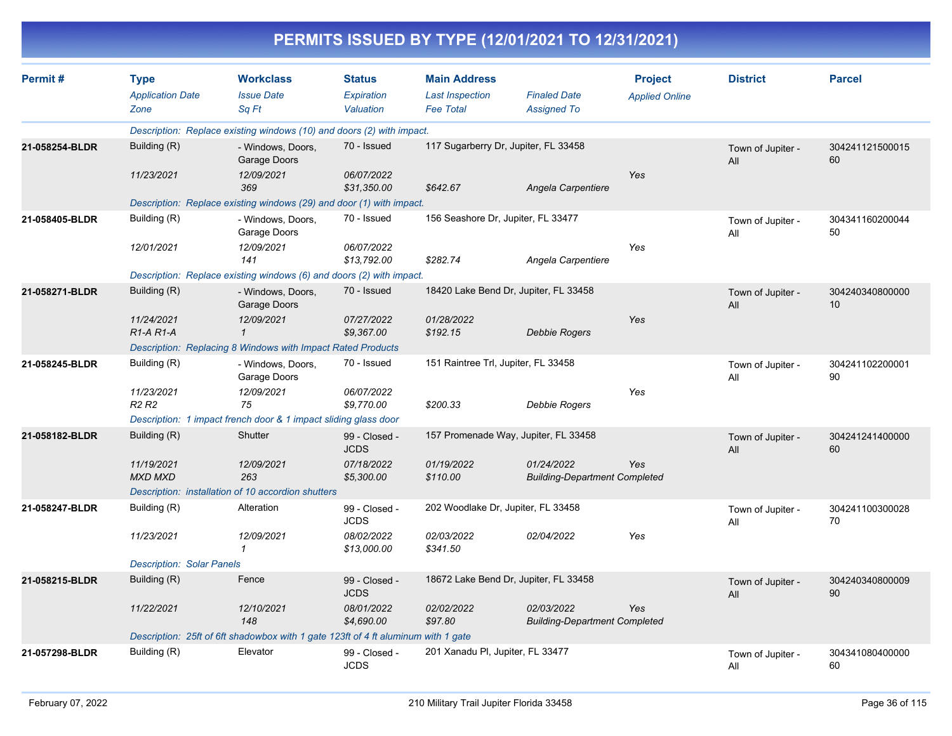| PERMITS ISSUED BY TYPE (12/01/2021 TO 12/31/2021) |                                                |                                                                                   |                                          |                                                                   |                                                    |                                         |                          |                       |  |  |
|---------------------------------------------------|------------------------------------------------|-----------------------------------------------------------------------------------|------------------------------------------|-------------------------------------------------------------------|----------------------------------------------------|-----------------------------------------|--------------------------|-----------------------|--|--|
| Permit#                                           | <b>Type</b><br><b>Application Date</b><br>Zone | <b>Workclass</b><br><b>Issue Date</b><br>Sq Ft                                    | <b>Status</b><br>Expiration<br>Valuation | <b>Main Address</b><br><b>Last Inspection</b><br><b>Fee Total</b> | <b>Finaled Date</b><br><b>Assigned To</b>          | <b>Project</b><br><b>Applied Online</b> | <b>District</b>          | <b>Parcel</b>         |  |  |
|                                                   |                                                | Description: Replace existing windows (10) and doors (2) with impact.             |                                          |                                                                   |                                                    |                                         |                          |                       |  |  |
| 21-058254-BLDR                                    | Building (R)                                   | - Windows, Doors,<br>Garage Doors                                                 | 70 - Issued                              | 117 Sugarberry Dr, Jupiter, FL 33458                              |                                                    |                                         | Town of Jupiter -<br>All | 304241121500015<br>60 |  |  |
|                                                   | 11/23/2021                                     | 12/09/2021<br>369                                                                 | 06/07/2022<br>\$31,350.00                | \$642.67                                                          | Angela Carpentiere                                 | Yes                                     |                          |                       |  |  |
|                                                   |                                                | Description: Replace existing windows (29) and door (1) with impact.              |                                          |                                                                   |                                                    |                                         |                          |                       |  |  |
| 21-058405-BLDR                                    | Building (R)                                   | - Windows, Doors,<br>Garage Doors                                                 | 70 - Issued                              |                                                                   | 156 Seashore Dr, Jupiter, FL 33477                 |                                         |                          | 304341160200044<br>50 |  |  |
|                                                   | 12/01/2021                                     | 12/09/2021<br>141                                                                 | 06/07/2022<br>\$13,792.00                | \$282.74                                                          | Angela Carpentiere                                 | Yes                                     |                          |                       |  |  |
|                                                   |                                                | Description: Replace existing windows (6) and doors (2) with impact.              |                                          |                                                                   |                                                    |                                         |                          |                       |  |  |
| 21-058271-BLDR                                    | Building (R)                                   | - Windows, Doors,<br>Garage Doors                                                 | 70 - Issued                              |                                                                   | 18420 Lake Bend Dr, Jupiter, FL 33458              |                                         | Town of Jupiter -<br>All | 304240340800000<br>10 |  |  |
|                                                   | 11/24/2021<br>$R1-A R1-A$                      | 12/09/2021<br>$\mathbf{1}$                                                        | 07/27/2022<br>\$9.367.00                 | 01/28/2022<br>\$192.15                                            | <b>Debbie Rogers</b>                               | Yes                                     |                          |                       |  |  |
|                                                   |                                                | Description: Replacing 8 Windows with Impact Rated Products                       |                                          |                                                                   |                                                    |                                         |                          |                       |  |  |
| 21-058245-BLDR                                    | Building (R)                                   | - Windows, Doors,<br>Garage Doors                                                 | 70 - Issued                              | 151 Raintree Trl, Jupiter, FL 33458                               |                                                    |                                         | Town of Jupiter -<br>All | 304241102200001<br>90 |  |  |
|                                                   | 11/23/2021<br>R <sub>2</sub> R <sub>2</sub>    | 12/09/2021<br>75                                                                  | 06/07/2022<br>\$9,770.00                 | \$200.33                                                          | <b>Debbie Rogers</b>                               | Yes                                     |                          |                       |  |  |
|                                                   |                                                | Description: 1 impact french door & 1 impact sliding glass door                   |                                          |                                                                   |                                                    |                                         |                          |                       |  |  |
| 21-058182-BLDR                                    | Building (R)                                   | Shutter                                                                           | 99 - Closed -<br><b>JCDS</b>             |                                                                   | 157 Promenade Way, Jupiter, FL 33458               |                                         | Town of Jupiter -<br>All | 304241241400000<br>60 |  |  |
|                                                   | 11/19/2021<br><b>MXD MXD</b>                   | 12/09/2021<br>263                                                                 | 07/18/2022<br>\$5,300.00                 | 01/19/2022<br>\$110.00                                            | 01/24/2022<br><b>Building-Department Completed</b> | Yes                                     |                          |                       |  |  |
|                                                   |                                                | Description: installation of 10 accordion shutters                                |                                          |                                                                   |                                                    |                                         |                          |                       |  |  |
| 21-058247-BLDR                                    | Building (R)                                   | Alteration                                                                        | 99 - Closed -<br>JCDS                    | 202 Woodlake Dr, Jupiter, FL 33458                                |                                                    |                                         | Town of Jupiter -<br>All | 304241100300028<br>70 |  |  |
|                                                   | 11/23/2021                                     | 12/09/2021<br>1                                                                   | 08/02/2022<br>\$13,000.00                | 02/03/2022<br>\$341.50                                            | 02/04/2022                                         | Yes                                     |                          |                       |  |  |
|                                                   | <b>Description: Solar Panels</b>               |                                                                                   |                                          |                                                                   |                                                    |                                         |                          |                       |  |  |
| 21-058215-BLDR                                    | Building (R)                                   | Fence                                                                             | 99 - Closed -<br><b>JCDS</b>             |                                                                   | 18672 Lake Bend Dr, Jupiter, FL 33458              |                                         | Town of Jupiter -<br>All | 304240340800009<br>90 |  |  |
|                                                   | 11/22/2021                                     | 12/10/2021<br>148                                                                 | 08/01/2022<br>\$4,690.00                 | 02/02/2022<br>\$97.80                                             | 02/03/2022<br><b>Building-Department Completed</b> | Yes                                     |                          |                       |  |  |
|                                                   |                                                | Description: 25ft of 6ft shadowbox with 1 gate 123ft of 4 ft aluminum with 1 gate |                                          |                                                                   |                                                    |                                         |                          |                       |  |  |
| 21-057298-BLDR                                    | Building (R)                                   | Elevator                                                                          | 99 - Closed -<br><b>JCDS</b>             | 201 Xanadu PI, Jupiter, FL 33477                                  |                                                    |                                         | Town of Jupiter -<br>All | 304341080400000<br>60 |  |  |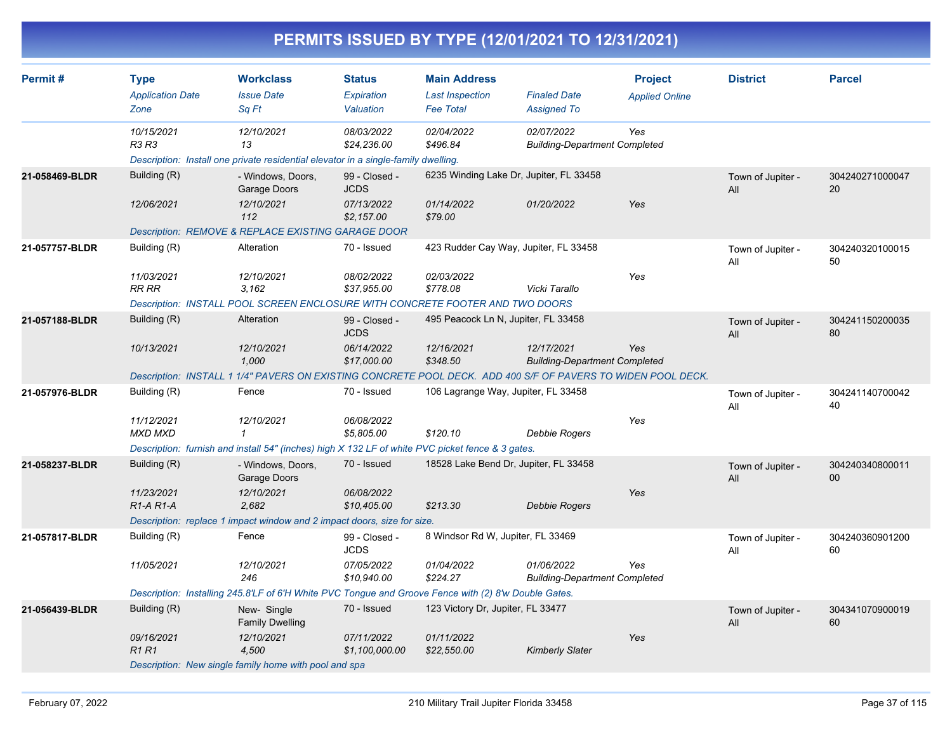| Permit#        | <b>Type</b>             | <b>Workclass</b>                                                                                             | <b>Status</b>                | <b>Main Address</b>                     |                                                    | <b>Project</b>        | <b>District</b>          | <b>Parcel</b>                      |
|----------------|-------------------------|--------------------------------------------------------------------------------------------------------------|------------------------------|-----------------------------------------|----------------------------------------------------|-----------------------|--------------------------|------------------------------------|
|                | <b>Application Date</b> | <b>Issue Date</b>                                                                                            | Expiration                   | <b>Last Inspection</b>                  | <b>Finaled Date</b>                                | <b>Applied Online</b> |                          |                                    |
|                | Zone                    | Sq Ft                                                                                                        | Valuation                    | <b>Fee Total</b>                        | <b>Assigned To</b>                                 |                       |                          |                                    |
|                | 10/15/2021              | 12/10/2021                                                                                                   | 08/03/2022                   | 02/04/2022                              | 02/07/2022                                         | Yes                   |                          |                                    |
|                | R3 R3                   | 13                                                                                                           | \$24,236.00                  | \$496.84                                | <b>Building-Department Completed</b>               |                       |                          |                                    |
|                |                         | Description: Install one private residential elevator in a single-family dwelling.                           |                              |                                         |                                                    |                       |                          |                                    |
| 21-058469-BLDR | Building (R)            | - Windows, Doors,<br>Garage Doors                                                                            | 99 - Closed -<br><b>JCDS</b> | 6235 Winding Lake Dr, Jupiter, FL 33458 |                                                    |                       | Town of Jupiter -<br>All | 304240271000047<br>20              |
|                | 12/06/2021              | 12/10/2021<br>112                                                                                            | 07/13/2022<br>\$2,157.00     | 01/14/2022<br>\$79.00                   | 01/20/2022                                         | Yes                   |                          |                                    |
|                |                         | Description: REMOVE & REPLACE EXISTING GARAGE DOOR                                                           |                              |                                         |                                                    |                       |                          |                                    |
| 21-057757-BLDR | Building (R)            | Alteration                                                                                                   | 70 - Issued                  | 423 Rudder Cay Way, Jupiter, FL 33458   |                                                    |                       | Town of Jupiter -<br>All | 304240320100015<br>50              |
|                | 11/03/2021<br>RR RR     | 12/10/2021<br>3.162                                                                                          | 08/02/2022<br>\$37,955.00    | 02/03/2022<br>\$778.08                  | Vicki Tarallo                                      | Yes                   |                          |                                    |
|                |                         | Description: INSTALL POOL SCREEN ENCLOSURE WITH CONCRETE FOOTER AND TWO DOORS                                |                              |                                         |                                                    |                       |                          |                                    |
| 21-057188-BLDR | Building (R)            | Alteration                                                                                                   | 99 - Closed -                | 495 Peacock Ln N, Jupiter, FL 33458     |                                                    |                       |                          | 304241150200035                    |
|                |                         |                                                                                                              | <b>JCDS</b>                  |                                         |                                                    |                       | Town of Jupiter -<br>All | 80                                 |
|                | 10/13/2021              | 12/10/2021<br>1,000                                                                                          | 06/14/2022<br>\$17,000.00    | 12/16/2021<br>\$348.50                  | 12/17/2021<br><b>Building-Department Completed</b> | Yes                   |                          |                                    |
|                |                         | Description: INSTALL 1 1/4" PAVERS ON EXISTING CONCRETE POOL DECK. ADD 400 S/F OF PAVERS TO WIDEN POOL DECK. |                              |                                         |                                                    |                       |                          |                                    |
| 21-057976-BLDR | Building (R)            | Fence                                                                                                        | 70 - Issued                  | 106 Lagrange Way, Jupiter, FL 33458     |                                                    |                       | Town of Jupiter -<br>All | 304241140700042<br>40              |
|                | 11/12/2021              | 12/10/2021                                                                                                   | 06/08/2022                   |                                         |                                                    | Yes                   |                          |                                    |
|                | <b>MXD MXD</b>          | $\mathbf{1}$                                                                                                 | \$5,805.00                   | \$120.10                                | <b>Debbie Rogers</b>                               |                       |                          |                                    |
|                |                         | Description: furnish and install 54" (inches) high X 132 LF of white PVC picket fence & 3 gates.             |                              |                                         |                                                    |                       |                          |                                    |
| 21-058237-BLDR | Building (R)            | - Windows, Doors,<br>Garage Doors                                                                            | 70 - Issued                  | 18528 Lake Bend Dr, Jupiter, FL 33458   |                                                    |                       | Town of Jupiter -<br>All | 304240340800011<br>00 <sup>°</sup> |
|                | 11/23/2021              | 12/10/2021                                                                                                   | 06/08/2022                   |                                         |                                                    | Yes                   |                          |                                    |
|                | $R1-A R1-A$             | 2.682                                                                                                        | \$10,405.00                  | \$213.30                                | <b>Debbie Rogers</b>                               |                       |                          |                                    |
|                |                         | Description: replace 1 impact window and 2 impact doors, size for size.                                      |                              |                                         |                                                    |                       |                          |                                    |
| 21-057817-BLDR | Building (R)            | Fence                                                                                                        | 99 - Closed -<br><b>JCDS</b> | 8 Windsor Rd W, Jupiter, FL 33469       |                                                    |                       | Town of Jupiter -<br>All | 304240360901200<br>60              |
|                | 11/05/2021              | 12/10/2021<br>246                                                                                            | 07/05/2022<br>\$10,940.00    | 01/04/2022<br>\$224.27                  | 01/06/2022<br><b>Building-Department Completed</b> | Yes                   |                          |                                    |
|                |                         | Description: Installing 245.8'LF of 6'H White PVC Tongue and Groove Fence with (2) 8'w Double Gates.         |                              |                                         |                                                    |                       |                          |                                    |
| 21-056439-BLDR | Building (R)            | New-Single<br><b>Family Dwelling</b>                                                                         | 70 - Issued                  | 123 Victory Dr, Jupiter, FL 33477       |                                                    |                       | Town of Jupiter -<br>All | 304341070900019<br>60              |
|                | 09/16/2021<br>R1 R1     | 12/10/2021<br>4,500                                                                                          | 07/11/2022<br>\$1,100,000.00 | 01/11/2022<br>\$22,550.00               | <b>Kimberly Slater</b>                             | Yes                   |                          |                                    |
|                |                         | Description: New single family home with pool and spa                                                        |                              |                                         |                                                    |                       |                          |                                    |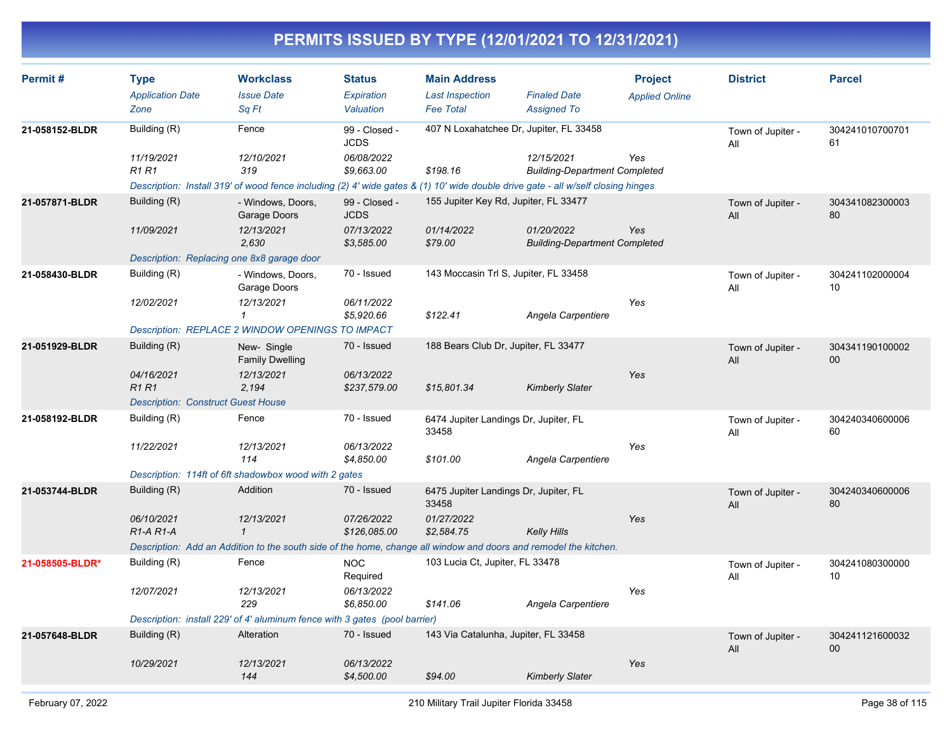| Permit#         | <b>Type</b><br><b>Application Date</b>     | <b>Workclass</b><br><b>Issue Date</b>                                                                                            | <b>Status</b><br>Expiration  | <b>Main Address</b><br><b>Last Inspection</b>  | <b>Finaled Date</b>                                | <b>Project</b><br><b>Applied Online</b> | <b>District</b>          | <b>Parcel</b>         |
|-----------------|--------------------------------------------|----------------------------------------------------------------------------------------------------------------------------------|------------------------------|------------------------------------------------|----------------------------------------------------|-----------------------------------------|--------------------------|-----------------------|
|                 | Zone                                       | Sq Ft                                                                                                                            | Valuation                    | <b>Fee Total</b>                               | <b>Assigned To</b>                                 |                                         |                          |                       |
| 21-058152-BLDR  | Building (R)                               | Fence                                                                                                                            | 99 - Closed -<br><b>JCDS</b> | 407 N Loxahatchee Dr, Jupiter, FL 33458        |                                                    |                                         | Town of Jupiter -<br>All | 304241010700701<br>61 |
|                 | 11/19/2021<br><b>R1 R1</b>                 | 12/10/2021<br>319                                                                                                                | 06/08/2022<br>\$9,663.00     | \$198.16                                       | 12/15/2021<br><b>Building-Department Completed</b> | Yes                                     |                          |                       |
|                 |                                            | Description: Install 319' of wood fence including (2) 4' wide gates & (1) 10' wide double drive gate - all w/self closing hinges |                              |                                                |                                                    |                                         |                          |                       |
| 21-057871-BLDR  | Building (R)                               | - Windows, Doors,<br>Garage Doors                                                                                                | 99 - Closed -<br><b>JCDS</b> | 155 Jupiter Key Rd, Jupiter, FL 33477          |                                                    |                                         | Town of Jupiter -<br>All | 304341082300003<br>80 |
|                 | 11/09/2021                                 | 12/13/2021<br>2.630                                                                                                              | 07/13/2022<br>\$3,585.00     | 01/14/2022<br>\$79.00                          | 01/20/2022<br><b>Building-Department Completed</b> | Yes                                     |                          |                       |
|                 | Description: Replacing one 8x8 garage door |                                                                                                                                  |                              |                                                |                                                    |                                         |                          |                       |
| 21-058430-BLDR  | Building (R)                               | - Windows, Doors,<br>Garage Doors                                                                                                | 70 - Issued                  | 143 Moccasin Trl S, Jupiter, FL 33458          |                                                    |                                         | Town of Jupiter -<br>All | 304241102000004<br>10 |
|                 | 12/02/2021                                 | 12/13/2021<br>$\mathbf{1}$                                                                                                       | 06/11/2022<br>\$5,920.66     | \$122.41                                       | Angela Carpentiere                                 | Yes                                     |                          |                       |
|                 |                                            | Description: REPLACE 2 WINDOW OPENINGS TO IMPACT                                                                                 |                              |                                                |                                                    |                                         |                          |                       |
| 21-051929-BLDR  | Building (R)                               | New-Single<br><b>Family Dwelling</b>                                                                                             | 70 - Issued                  | 188 Bears Club Dr, Jupiter, FL 33477           |                                                    |                                         | Town of Jupiter -<br>All | 304341190100002<br>00 |
|                 | 04/16/2021<br><b>R1 R1</b>                 | 12/13/2021<br>2,194                                                                                                              | 06/13/2022<br>\$237,579.00   | \$15,801.34                                    | <b>Kimberly Slater</b>                             | Yes                                     |                          |                       |
|                 | <b>Description: Construct Guest House</b>  |                                                                                                                                  |                              |                                                |                                                    |                                         |                          |                       |
| 21-058192-BLDR  | Building (R)                               | Fence                                                                                                                            | 70 - Issued                  | 6474 Jupiter Landings Dr, Jupiter, FL<br>33458 |                                                    |                                         | Town of Jupiter -<br>All | 304240340600006<br>60 |
|                 | 11/22/2021                                 | 12/13/2021<br>114                                                                                                                | 06/13/2022<br>\$4,850.00     | \$101.00                                       | Angela Carpentiere                                 | Yes                                     |                          |                       |
|                 |                                            | Description: 114ft of 6ft shadowbox wood with 2 gates                                                                            |                              |                                                |                                                    |                                         |                          |                       |
| 21-053744-BLDR  | Building (R)                               | Addition                                                                                                                         | 70 - Issued                  | 6475 Jupiter Landings Dr, Jupiter, FL<br>33458 |                                                    |                                         | Town of Jupiter -<br>All | 304240340600006<br>80 |
|                 | 06/10/2021<br>$R1-A R1-A$                  | 12/13/2021<br>$\mathcal{I}$                                                                                                      | 07/26/2022<br>\$126,085.00   | 01/27/2022<br>\$2,584.75                       | <b>Kelly Hills</b>                                 | Yes                                     |                          |                       |
|                 |                                            | Description: Add an Addition to the south side of the home, change all window and doors and remodel the kitchen.                 |                              |                                                |                                                    |                                         |                          |                       |
| 21-058505-BLDR* | Building (R)                               | Fence                                                                                                                            | <b>NOC</b><br>Required       | 103 Lucia Ct, Jupiter, FL 33478                |                                                    |                                         | Town of Jupiter -<br>All | 304241080300000<br>10 |
|                 | 12/07/2021                                 | 12/13/2021<br>229                                                                                                                | 06/13/2022<br>\$6,850.00     | \$141.06                                       | Angela Carpentiere                                 | Yes                                     |                          |                       |
|                 |                                            | Description: install 229' of 4' aluminum fence with 3 gates (pool barrier)                                                       |                              |                                                |                                                    |                                         |                          |                       |
| 21-057648-BLDR  | Building (R)                               | Alteration                                                                                                                       | 70 - Issued                  | 143 Via Catalunha, Jupiter, FL 33458           |                                                    |                                         | Town of Jupiter -<br>All | 304241121600032<br>00 |
|                 | 10/29/2021                                 | 12/13/2021<br>144                                                                                                                | 06/13/2022<br>\$4,500.00     | \$94.00                                        | <b>Kimberly Slater</b>                             | Yes                                     |                          |                       |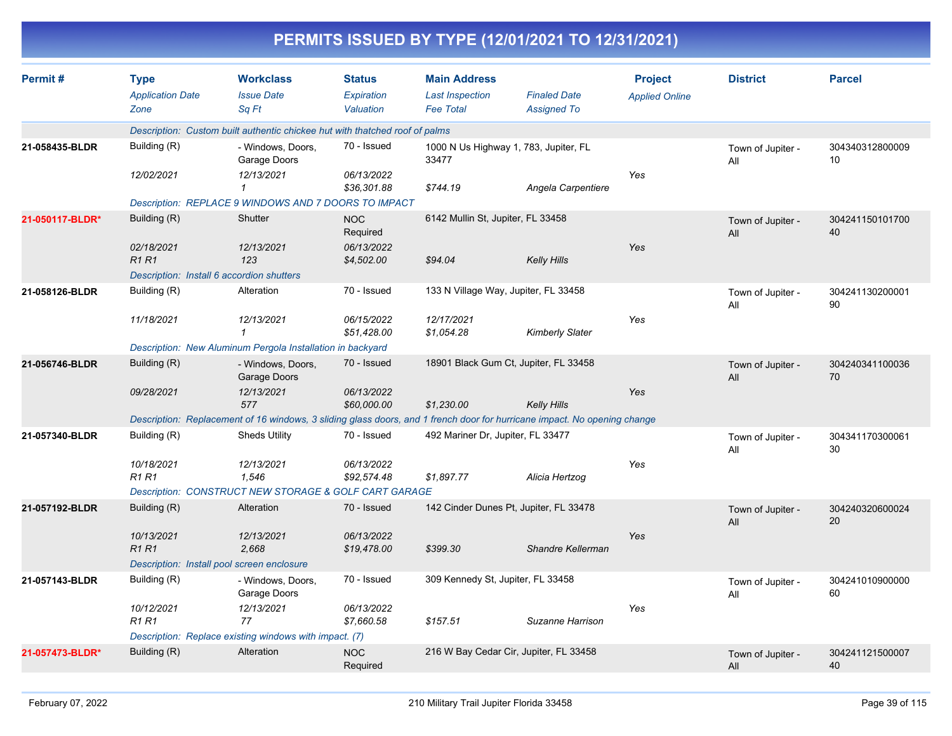|                 |                                                |                                                                             |                                          |                                                                   | PERMITS ISSUED BY TYPE (12/01/2021 TO 12/31/2021)                                                                        |                                         |                          |                       |
|-----------------|------------------------------------------------|-----------------------------------------------------------------------------|------------------------------------------|-------------------------------------------------------------------|--------------------------------------------------------------------------------------------------------------------------|-----------------------------------------|--------------------------|-----------------------|
| Permit#         | <b>Type</b><br><b>Application Date</b><br>Zone | <b>Workclass</b><br><b>Issue Date</b><br>Sq Ft                              | <b>Status</b><br>Expiration<br>Valuation | <b>Main Address</b><br><b>Last Inspection</b><br><b>Fee Total</b> | <b>Finaled Date</b><br><b>Assigned To</b>                                                                                | <b>Project</b><br><b>Applied Online</b> | <b>District</b>          | <b>Parcel</b>         |
|                 |                                                | Description: Custom built authentic chickee hut with thatched roof of palms |                                          |                                                                   |                                                                                                                          |                                         |                          |                       |
| 21-058435-BLDR  | Building (R)                                   | - Windows, Doors,<br>Garage Doors                                           | 70 - Issued                              | 33477                                                             | 1000 N Us Highway 1, 783, Jupiter, FL                                                                                    |                                         | Town of Jupiter -<br>All | 304340312800009<br>10 |
|                 | 12/02/2021                                     | 12/13/2021<br>1                                                             | 06/13/2022<br>\$36,301.88                | \$744.19                                                          | Angela Carpentiere                                                                                                       | Yes                                     |                          |                       |
|                 |                                                | Description: REPLACE 9 WINDOWS AND 7 DOORS TO IMPACT                        |                                          |                                                                   |                                                                                                                          |                                         |                          |                       |
| 21-050117-BLDR* | Building (R)                                   | Shutter                                                                     | <b>NOC</b><br>Required                   | 6142 Mullin St, Jupiter, FL 33458                                 |                                                                                                                          |                                         | Town of Jupiter -<br>All | 304241150101700<br>40 |
|                 | 02/18/2021<br><b>R1 R1</b>                     | 12/13/2021<br>123                                                           | 06/13/2022<br>\$4,502.00                 | \$94.04                                                           | <b>Kelly Hills</b>                                                                                                       | Yes                                     |                          |                       |
|                 | Description: Install 6 accordion shutters      |                                                                             |                                          |                                                                   |                                                                                                                          |                                         |                          |                       |
| 21-058126-BLDR  | Building (R)                                   | Alteration                                                                  | 70 - Issued                              |                                                                   | 133 N Village Way, Jupiter, FL 33458                                                                                     |                                         | Town of Jupiter -<br>All | 304241130200001<br>90 |
|                 | 11/18/2021                                     | 12/13/2021<br>$\mathbf 1$                                                   | 06/15/2022<br>\$51,428.00                | 12/17/2021<br>\$1,054.28                                          | <b>Kimberly Slater</b>                                                                                                   | Yes                                     |                          |                       |
|                 |                                                | Description: New Aluminum Pergola Installation in backyard                  |                                          |                                                                   |                                                                                                                          |                                         |                          |                       |
| 21-056746-BLDR  | Building (R)                                   | - Windows, Doors,<br>Garage Doors                                           | 70 - Issued                              |                                                                   | 18901 Black Gum Ct, Jupiter, FL 33458                                                                                    |                                         | Town of Jupiter -<br>All | 304240341100036<br>70 |
|                 | 09/28/2021                                     | 12/13/2021<br>577                                                           | 06/13/2022<br>\$60,000.00                | \$1,230.00                                                        | <b>Kelly Hills</b>                                                                                                       | Yes                                     |                          |                       |
|                 |                                                |                                                                             |                                          |                                                                   | Description: Replacement of 16 windows, 3 sliding glass doors, and 1 french door for hurricane impact. No opening change |                                         |                          |                       |
| 21-057340-BLDR  | Building (R)                                   | <b>Sheds Utility</b>                                                        | 70 - Issued                              | 492 Mariner Dr, Jupiter, FL 33477                                 |                                                                                                                          |                                         | Town of Jupiter -<br>All | 304341170300061<br>30 |
|                 | 10/18/2021<br>R <sub>1</sub> R <sub>1</sub>    | 12/13/2021<br>1,546                                                         | 06/13/2022<br>\$92,574.48                | \$1,897.77                                                        | Alicia Hertzog                                                                                                           | Yes                                     |                          |                       |
|                 |                                                | Description: CONSTRUCT NEW STORAGE & GOLF CART GARAGE                       |                                          |                                                                   |                                                                                                                          |                                         |                          |                       |
| 21-057192-BLDR  | Building (R)                                   | Alteration                                                                  | 70 - Issued                              |                                                                   | 142 Cinder Dunes Pt, Jupiter, FL 33478                                                                                   |                                         | Town of Jupiter -<br>All | 304240320600024<br>20 |
|                 | 10/13/2021<br><b>R1 R1</b>                     | 12/13/2021<br>2,668                                                         | 06/13/2022<br>\$19,478.00                | \$399.30                                                          | Shandre Kellerman                                                                                                        | Yes                                     |                          |                       |
|                 |                                                | Description: Install pool screen enclosure                                  |                                          |                                                                   |                                                                                                                          |                                         |                          |                       |
| 21-057143-BLDR  | Building (R)                                   | - Windows, Doors,<br>Garage Doors                                           | 70 - Issued                              | 309 Kennedy St, Jupiter, FL 33458                                 |                                                                                                                          |                                         | Town of Jupiter -<br>All | 304241010900000<br>60 |
|                 | 10/12/2021<br>R1 R1                            | 12/13/2021<br>77                                                            | 06/13/2022<br>\$7,660.58                 | \$157.51                                                          | Suzanne Harrison                                                                                                         | Yes                                     |                          |                       |
|                 |                                                | Description: Replace existing windows with impact. (7)                      |                                          |                                                                   |                                                                                                                          |                                         |                          |                       |
| 21-057473-BLDR* | Building (R)                                   | Alteration                                                                  | <b>NOC</b><br>Required                   |                                                                   | 216 W Bay Cedar Cir, Jupiter, FL 33458                                                                                   |                                         | Town of Jupiter -<br>All | 304241121500007<br>40 |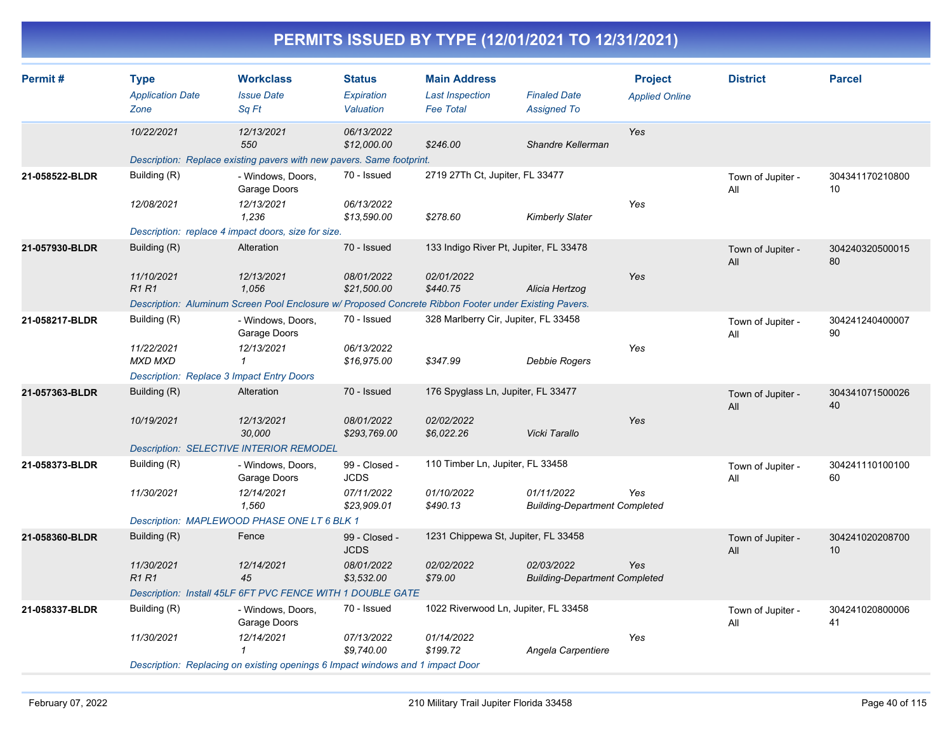| Permit#        | <b>Type</b>                                      | <b>Workclass</b>                                                                                      | <b>Status</b>                | <b>Main Address</b>                        |                                                    | <b>Project</b>        | <b>District</b>          | <b>Parcel</b>         |
|----------------|--------------------------------------------------|-------------------------------------------------------------------------------------------------------|------------------------------|--------------------------------------------|----------------------------------------------------|-----------------------|--------------------------|-----------------------|
|                | <b>Application Date</b><br>Zone                  | <b>Issue Date</b><br>Sq Ft                                                                            | Expiration<br>Valuation      | <b>Last Inspection</b><br><b>Fee Total</b> | <b>Finaled Date</b><br><b>Assigned To</b>          | <b>Applied Online</b> |                          |                       |
|                |                                                  |                                                                                                       |                              |                                            |                                                    |                       |                          |                       |
|                | 10/22/2021                                       | 12/13/2021<br>550                                                                                     | 06/13/2022<br>\$12,000.00    | \$246.00                                   | Shandre Kellerman                                  | Yes                   |                          |                       |
|                |                                                  | Description: Replace existing pavers with new pavers. Same footprint.                                 |                              |                                            |                                                    |                       |                          |                       |
| 21-058522-BLDR | Building (R)                                     | - Windows, Doors,<br>Garage Doors                                                                     | 70 - Issued                  | 2719 27Th Ct, Jupiter, FL 33477            |                                                    |                       | Town of Jupiter -<br>All | 304341170210800<br>10 |
|                | 12/08/2021                                       | 12/13/2021<br>1,236                                                                                   | 06/13/2022<br>\$13,590.00    | \$278.60                                   | <b>Kimberly Slater</b>                             | Yes                   |                          |                       |
|                |                                                  | Description: replace 4 impact doors, size for size.                                                   |                              |                                            |                                                    |                       |                          |                       |
| 21-057930-BLDR | Building (R)                                     | Alteration                                                                                            | 70 - Issued                  | 133 Indigo River Pt, Jupiter, FL 33478     |                                                    |                       | Town of Jupiter -<br>All | 304240320500015<br>80 |
|                | 11/10/2021<br><b>R1 R1</b>                       | 12/13/2021<br>1,056                                                                                   | 08/01/2022<br>\$21,500.00    | 02/01/2022<br>\$440.75                     | Alicia Hertzog                                     | Yes                   |                          |                       |
|                |                                                  | Description: Aluminum Screen Pool Enclosure w/ Proposed Concrete Ribbon Footer under Existing Pavers. |                              |                                            |                                                    |                       |                          |                       |
| 21-058217-BLDR | Building (R)                                     | - Windows, Doors,<br>Garage Doors                                                                     | 70 - Issued                  | 328 Marlberry Cir, Jupiter, FL 33458       |                                                    |                       | Town of Jupiter -<br>All | 304241240400007<br>90 |
|                | 11/22/2021<br><b>MXD MXD</b>                     | 12/13/2021<br>$\mathbf{1}$                                                                            | 06/13/2022<br>\$16,975.00    | \$347.99                                   | Debbie Rogers                                      | Yes                   |                          |                       |
|                | <b>Description: Replace 3 Impact Entry Doors</b> |                                                                                                       |                              |                                            |                                                    |                       |                          |                       |
| 21-057363-BLDR | Building (R)                                     | Alteration                                                                                            | 70 - Issued                  | 176 Spyglass Ln, Jupiter, FL 33477         |                                                    |                       | Town of Jupiter -<br>All | 304341071500026<br>40 |
|                | 10/19/2021                                       | 12/13/2021<br>30,000                                                                                  | 08/01/2022<br>\$293,769.00   | 02/02/2022<br>\$6,022.26                   | Vicki Tarallo                                      | Yes                   |                          |                       |
|                |                                                  | <b>Description: SELECTIVE INTERIOR REMODEL</b>                                                        |                              |                                            |                                                    |                       |                          |                       |
| 21-058373-BLDR | Building (R)                                     | - Windows, Doors,<br>Garage Doors                                                                     | 99 - Closed -<br><b>JCDS</b> | 110 Timber Ln, Jupiter, FL 33458           |                                                    |                       | Town of Jupiter -<br>All | 304241110100100<br>60 |
|                | 11/30/2021                                       | 12/14/2021<br>1,560                                                                                   | 07/11/2022<br>\$23,909.01    | 01/10/2022<br>\$490.13                     | 01/11/2022<br><b>Building-Department Completed</b> | Yes                   |                          |                       |
|                |                                                  | Description: MAPLEWOOD PHASE ONE LT 6 BLK 1                                                           |                              |                                            |                                                    |                       |                          |                       |
| 21-058360-BLDR | Building (R)                                     | Fence                                                                                                 | 99 - Closed -<br><b>JCDS</b> | 1231 Chippewa St, Jupiter, FL 33458        |                                                    |                       | Town of Jupiter -<br>All | 304241020208700<br>10 |
|                | 11/30/2021<br><b>R1R1</b>                        | 12/14/2021<br>45                                                                                      | 08/01/2022<br>\$3,532.00     | 02/02/2022<br>\$79.00                      | 02/03/2022<br><b>Building-Department Completed</b> | Yes                   |                          |                       |
|                |                                                  | Description: Install 45LF 6FT PVC FENCE WITH 1 DOUBLE GATE                                            |                              |                                            |                                                    |                       |                          |                       |
| 21-058337-BLDR | Building (R)                                     | - Windows, Doors,<br>Garage Doors                                                                     | 70 - Issued                  | 1022 Riverwood Ln, Jupiter, FL 33458       |                                                    |                       | Town of Jupiter -<br>All | 304241020800006<br>41 |
|                | 11/30/2021                                       | 12/14/2021<br>1                                                                                       | 07/13/2022<br>\$9,740.00     | 01/14/2022<br>\$199.72                     | Angela Carpentiere                                 | Yes                   |                          |                       |
|                |                                                  | Description: Replacing on existing openings 6 Impact windows and 1 impact Door                        |                              |                                            |                                                    |                       |                          |                       |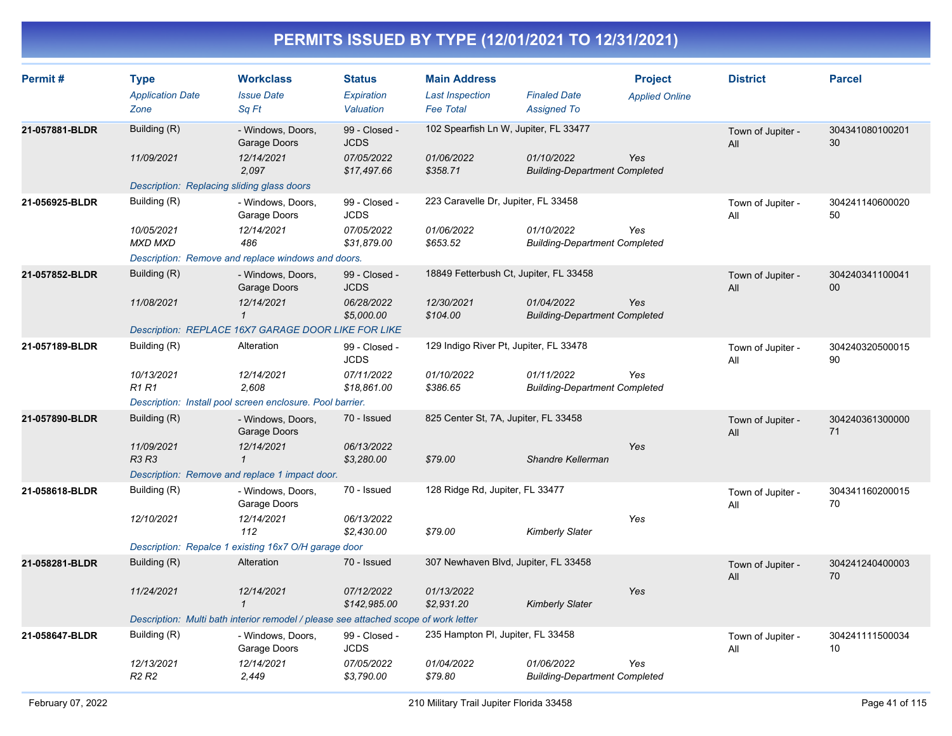| Permit#        | <b>Type</b><br><b>Application Date</b><br>Zone | <b>Workclass</b><br><b>Issue Date</b><br>Sq Ft                                      | <b>Status</b><br><b>Expiration</b><br>Valuation | <b>Main Address</b><br><b>Last Inspection</b><br><b>Fee Total</b> | <b>Finaled Date</b><br><b>Assigned To</b>          | <b>Project</b><br><b>Applied Online</b> | <b>District</b>          | <b>Parcel</b>             |
|----------------|------------------------------------------------|-------------------------------------------------------------------------------------|-------------------------------------------------|-------------------------------------------------------------------|----------------------------------------------------|-----------------------------------------|--------------------------|---------------------------|
|                |                                                |                                                                                     |                                                 |                                                                   |                                                    |                                         |                          |                           |
| 21-057881-BLDR | Building (R)                                   | - Windows, Doors,<br>Garage Doors                                                   | 99 - Closed -<br><b>JCDS</b>                    | 102 Spearfish Ln W, Jupiter, FL 33477                             |                                                    |                                         | Town of Jupiter -<br>All | 304341080100201<br>30     |
|                | 11/09/2021                                     | 12/14/2021<br>2.097                                                                 | 07/05/2022<br>\$17,497.66                       | 01/06/2022<br>\$358.71                                            | 01/10/2022<br><b>Building-Department Completed</b> | Yes                                     |                          |                           |
|                | Description: Replacing sliding glass doors     |                                                                                     |                                                 |                                                                   |                                                    |                                         |                          |                           |
| 21-056925-BLDR | Building (R)                                   | - Windows, Doors,<br>Garage Doors                                                   | 99 - Closed -<br><b>JCDS</b>                    | 223 Caravelle Dr, Jupiter, FL 33458                               |                                                    |                                         | Town of Jupiter -<br>All | 304241140600020<br>50     |
|                | 10/05/2021<br><b>MXD MXD</b>                   | 12/14/2021<br>486                                                                   | 07/05/2022<br>\$31,879.00                       | 01/06/2022<br>\$653.52                                            | 01/10/2022<br><b>Building-Department Completed</b> | Yes                                     |                          |                           |
|                |                                                | Description: Remove and replace windows and doors.                                  |                                                 |                                                                   |                                                    |                                         |                          |                           |
| 21-057852-BLDR | Building (R)                                   | - Windows, Doors,<br>Garage Doors                                                   | 99 - Closed -<br><b>JCDS</b>                    | 18849 Fetterbush Ct, Jupiter, FL 33458                            |                                                    |                                         | Town of Jupiter -<br>All | 304240341100041<br>$00\,$ |
|                | 11/08/2021                                     | 12/14/2021<br>$\mathbf{1}$                                                          | 06/28/2022<br>\$5,000.00                        | 12/30/2021<br>\$104.00                                            | 01/04/2022<br><b>Building-Department Completed</b> | Yes                                     |                          |                           |
|                |                                                | Description: REPLACE 16X7 GARAGE DOOR LIKE FOR LIKE                                 |                                                 |                                                                   |                                                    |                                         |                          |                           |
| 21-057189-BLDR | Building (R)                                   | Alteration                                                                          | 99 - Closed -<br><b>JCDS</b>                    | 129 Indigo River Pt, Jupiter, FL 33478                            |                                                    |                                         | Town of Jupiter -<br>All | 304240320500015<br>90     |
|                | 10/13/2021<br><b>R1 R1</b>                     | 12/14/2021<br>2,608                                                                 | 07/11/2022<br>\$18,861.00                       | 01/10/2022<br>\$386.65                                            | 01/11/2022<br><b>Building-Department Completed</b> | Yes                                     |                          |                           |
|                |                                                | Description: Install pool screen enclosure. Pool barrier.                           |                                                 |                                                                   |                                                    |                                         |                          |                           |
| 21-057890-BLDR | Building (R)                                   | - Windows, Doors,<br>Garage Doors                                                   | 70 - Issued                                     | 825 Center St, 7A, Jupiter, FL 33458                              |                                                    |                                         | Town of Jupiter -<br>All | 304240361300000<br>71     |
|                | 11/09/2021<br>R3 R3                            | 12/14/2021<br>$\mathbf{1}$                                                          | 06/13/2022<br>\$3,280.00                        | \$79.00                                                           | Shandre Kellerman                                  | Yes                                     |                          |                           |
|                |                                                | Description: Remove and replace 1 impact door.                                      |                                                 |                                                                   |                                                    |                                         |                          |                           |
| 21-058618-BLDR | Building (R)                                   | - Windows, Doors,<br>Garage Doors                                                   | 70 - Issued                                     | 128 Ridge Rd, Jupiter, FL 33477                                   |                                                    |                                         | Town of Jupiter -<br>All | 304341160200015<br>70     |
|                | 12/10/2021                                     | 12/14/2021<br>112                                                                   | 06/13/2022<br>\$2,430.00                        | \$79.00                                                           | Kimberly Slater                                    | Yes                                     |                          |                           |
|                |                                                | Description: Repalce 1 existing 16x7 O/H garage door                                |                                                 |                                                                   |                                                    |                                         |                          |                           |
| 21-058281-BLDR | Building (R)                                   | Alteration                                                                          | 70 - Issued                                     | 307 Newhaven Blvd, Jupiter, FL 33458                              |                                                    |                                         | Town of Jupiter -<br>All | 304241240400003<br>70     |
|                | 11/24/2021                                     | 12/14/2021<br>$\mathbf{1}$                                                          | 07/12/2022<br>\$142,985.00                      | 01/13/2022<br>\$2,931.20                                          | <b>Kimberly Slater</b>                             | Yes                                     |                          |                           |
|                |                                                | Description: Multi bath interior remodel / please see attached scope of work letter |                                                 |                                                                   |                                                    |                                         |                          |                           |
| 21-058647-BLDR | Building (R)                                   | - Windows, Doors,<br>Garage Doors                                                   | 99 - Closed -<br><b>JCDS</b>                    | 235 Hampton PI, Jupiter, FL 33458                                 |                                                    |                                         | Town of Jupiter -<br>All | 304241111500034<br>10     |
|                | 12/13/2021<br>R <sub>2</sub> R <sub>2</sub>    | 12/14/2021<br>2.449                                                                 | 07/05/2022<br>\$3,790.00                        | 01/04/2022<br>\$79.80                                             | 01/06/2022<br><b>Building-Department Completed</b> | Yes                                     |                          |                           |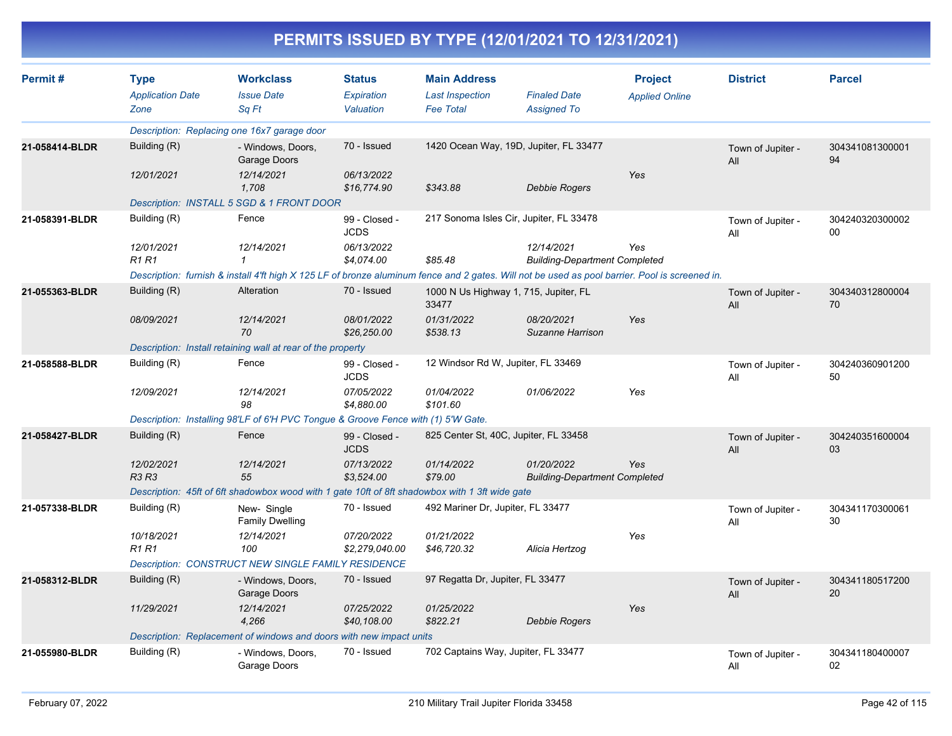|                |                                                |                                                                                                                                                |                                          | PERMITS ISSUED BY TYPE (12/01/2021 TO 12/31/2021)                 |                                                    |                                         |                          |                       |
|----------------|------------------------------------------------|------------------------------------------------------------------------------------------------------------------------------------------------|------------------------------------------|-------------------------------------------------------------------|----------------------------------------------------|-----------------------------------------|--------------------------|-----------------------|
| Permit#        | <b>Type</b><br><b>Application Date</b><br>Zone | <b>Workclass</b><br><b>Issue Date</b><br>Sq Ft                                                                                                 | <b>Status</b><br>Expiration<br>Valuation | <b>Main Address</b><br><b>Last Inspection</b><br><b>Fee Total</b> | <b>Finaled Date</b><br><b>Assigned To</b>          | <b>Project</b><br><b>Applied Online</b> | <b>District</b>          | <b>Parcel</b>         |
|                |                                                | Description: Replacing one 16x7 garage door                                                                                                    |                                          |                                                                   |                                                    |                                         |                          |                       |
| 21-058414-BLDR | Building (R)                                   | - Windows, Doors,<br>Garage Doors                                                                                                              | 70 - Issued                              | 1420 Ocean Way, 19D, Jupiter, FL 33477                            |                                                    |                                         | Town of Jupiter -<br>All | 304341081300001<br>94 |
|                | 12/01/2021                                     | 12/14/2021<br>1,708                                                                                                                            | 06/13/2022<br>\$16,774.90                | \$343.88                                                          | <b>Debbie Rogers</b>                               | Yes                                     |                          |                       |
|                |                                                | Description: INSTALL 5 SGD & 1 FRONT DOOR                                                                                                      |                                          |                                                                   |                                                    |                                         |                          |                       |
| 21-058391-BLDR | Building (R)                                   | Fence                                                                                                                                          | 99 - Closed -<br><b>JCDS</b>             | 217 Sonoma Isles Cir, Jupiter, FL 33478                           |                                                    |                                         | Town of Jupiter -<br>All | 304240320300002<br>00 |
|                | 12/01/2021<br><b>R1 R1</b>                     | 12/14/2021<br>$\mathcal I$                                                                                                                     | 06/13/2022<br>\$4,074.00                 | \$85.48                                                           | 12/14/2021<br><b>Building-Department Completed</b> | Yes                                     |                          |                       |
|                |                                                | Description: furnish & install 4'ft high X 125 LF of bronze aluminum fence and 2 gates. Will not be used as pool barrier. Pool is screened in. |                                          |                                                                   |                                                    |                                         |                          |                       |
| 21-055363-BLDR | Building (R)                                   | Alteration                                                                                                                                     | 70 - Issued                              | 1000 N Us Highway 1, 715, Jupiter, FL<br>33477                    |                                                    |                                         | Town of Jupiter -<br>All | 304340312800004<br>70 |
|                | 08/09/2021                                     | 12/14/2021<br>70                                                                                                                               | 08/01/2022<br>\$26,250.00                | 01/31/2022<br>\$538.13                                            | 08/20/2021<br>Suzanne Harrison                     | Yes                                     |                          |                       |
|                |                                                | Description: Install retaining wall at rear of the property                                                                                    |                                          |                                                                   |                                                    |                                         |                          |                       |
| 21-058588-BLDR | Building (R)                                   | Fence                                                                                                                                          | 99 - Closed -<br><b>JCDS</b>             | 12 Windsor Rd W, Jupiter, FL 33469                                |                                                    |                                         | Town of Jupiter -<br>All | 304240360901200<br>50 |
|                | 12/09/2021                                     | 12/14/2021<br>98                                                                                                                               | 07/05/2022<br>\$4,880.00                 | 01/04/2022<br>\$101.60                                            | 01/06/2022                                         | Yes                                     |                          |                       |
|                |                                                | Description: Installing 98'LF of 6'H PVC Tongue & Groove Fence with (1) 5'W Gate.                                                              |                                          |                                                                   |                                                    |                                         |                          |                       |
| 21-058427-BLDR | Building (R)                                   | Fence                                                                                                                                          | 99 - Closed -<br><b>JCDS</b>             | 825 Center St, 40C, Jupiter, FL 33458                             |                                                    |                                         | Town of Jupiter -<br>All | 304240351600004<br>03 |
|                | 12/02/2021<br>R3 R3                            | 12/14/2021<br>55                                                                                                                               | 07/13/2022<br>\$3,524.00                 | 01/14/2022<br>\$79.00                                             | 01/20/2022<br><b>Building-Department Completed</b> | Yes                                     |                          |                       |
|                |                                                | Description: 45ft of 6ft shadowbox wood with 1 gate 10ft of 8ft shadowbox with 1 3ft wide gate                                                 |                                          |                                                                   |                                                    |                                         |                          |                       |
| 21-057338-BLDR | Building (R)                                   | New-Single<br><b>Family Dwelling</b>                                                                                                           | 70 - Issued                              | 492 Mariner Dr, Jupiter, FL 33477                                 |                                                    |                                         | Town of Jupiter -<br>All | 304341170300061<br>30 |
|                | 10/18/2021<br><b>R1 R1</b>                     | 12/14/2021<br>100                                                                                                                              | 07/20/2022<br>\$2,279,040.00             | 01/21/2022<br>\$46,720.32                                         | Alicia Hertzog                                     | Yes                                     |                          |                       |
|                |                                                | <b>Description: CONSTRUCT NEW SINGLE FAMILY RESIDENCE</b>                                                                                      |                                          |                                                                   |                                                    |                                         |                          |                       |
| 21-058312-BLDR | Building (R)                                   | - Windows, Doors,<br>Garage Doors                                                                                                              | 70 - Issued                              | 97 Regatta Dr, Jupiter, FL 33477                                  |                                                    |                                         | Town of Jupiter -<br>All | 304341180517200<br>20 |
|                | 11/29/2021                                     | 12/14/2021<br>4,266                                                                                                                            | 07/25/2022<br>\$40,108.00                | 01/25/2022<br>\$822.21                                            | <b>Debbie Rogers</b>                               | Yes                                     |                          |                       |
|                |                                                | Description: Replacement of windows and doors with new impact units                                                                            |                                          |                                                                   |                                                    |                                         |                          |                       |
| 21-055980-BLDR | Building (R)                                   | - Windows, Doors,<br>Garage Doors                                                                                                              | 70 - Issued                              | 702 Captains Way, Jupiter, FL 33477                               |                                                    |                                         | Town of Jupiter -<br>All | 304341180400007<br>02 |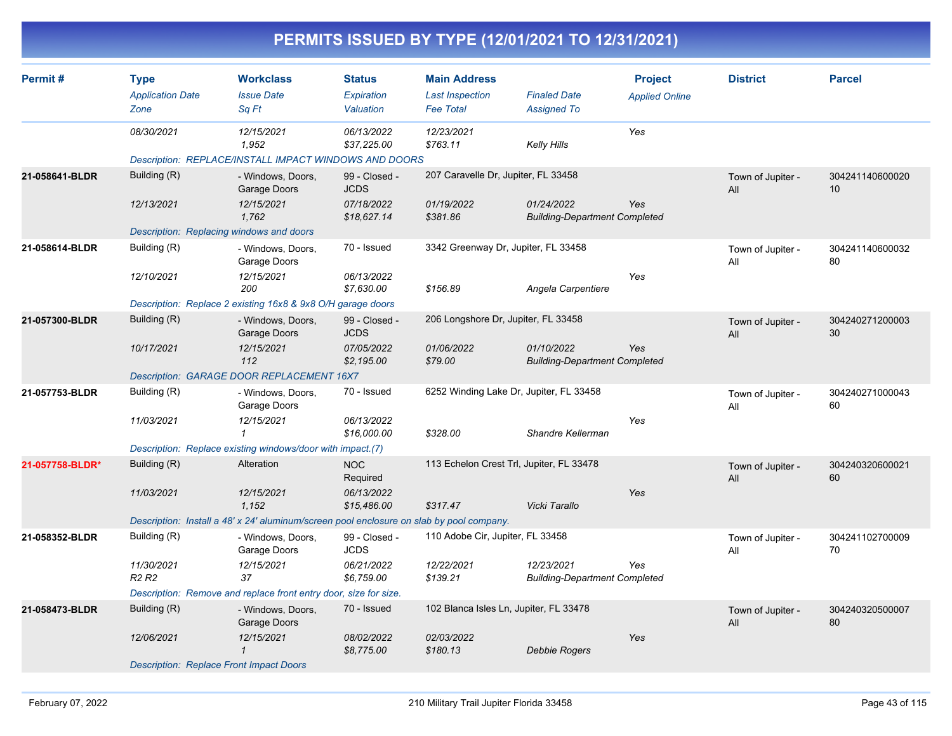| Permit#         | <b>Type</b><br><b>Application Date</b>         | <b>Workclass</b><br><b>Issue Date</b>                                                    | <b>Status</b><br>Expiration  | <b>Main Address</b><br><b>Last Inspection</b> | <b>Finaled Date</b>                                | <b>Project</b>        | <b>District</b>          | <b>Parcel</b>         |
|-----------------|------------------------------------------------|------------------------------------------------------------------------------------------|------------------------------|-----------------------------------------------|----------------------------------------------------|-----------------------|--------------------------|-----------------------|
|                 | Zone                                           | Sq Ft                                                                                    | Valuation                    | <b>Fee Total</b>                              | <b>Assigned To</b>                                 | <b>Applied Online</b> |                          |                       |
|                 | 08/30/2021                                     | 12/15/2021<br>1,952                                                                      | 06/13/2022<br>\$37,225.00    | 12/23/2021<br>\$763.11                        | Kelly Hills                                        | Yes                   |                          |                       |
|                 |                                                | Description: REPLACE/INSTALL IMPACT WINDOWS AND DOORS                                    |                              |                                               |                                                    |                       |                          |                       |
| 21-058641-BLDR  | Building (R)                                   | - Windows, Doors,<br>Garage Doors                                                        | 99 - Closed -<br><b>JCDS</b> | 207 Caravelle Dr, Jupiter, FL 33458           |                                                    |                       | Town of Jupiter -<br>All | 304241140600020<br>10 |
|                 | 12/13/2021                                     | 12/15/2021<br>1,762                                                                      | 07/18/2022<br>\$18,627.14    | 01/19/2022<br>\$381.86                        | 01/24/2022<br><b>Building-Department Completed</b> | Yes                   |                          |                       |
|                 | Description: Replacing windows and doors       |                                                                                          |                              |                                               |                                                    |                       |                          |                       |
| 21-058614-BLDR  | Building (R)                                   | - Windows, Doors,<br>Garage Doors                                                        | 70 - Issued                  | 3342 Greenway Dr, Jupiter, FL 33458           |                                                    |                       | Town of Jupiter -<br>All | 304241140600032<br>80 |
|                 | 12/10/2021                                     | 12/15/2021<br>200                                                                        | 06/13/2022<br>\$7,630.00     | \$156.89                                      | Angela Carpentiere                                 | Yes                   |                          |                       |
|                 |                                                | Description: Replace 2 existing 16x8 & 9x8 O/H garage doors                              |                              |                                               |                                                    |                       |                          |                       |
| 21-057300-BLDR  | Building (R)                                   | - Windows, Doors,<br>Garage Doors                                                        | 99 - Closed -<br><b>JCDS</b> | 206 Longshore Dr, Jupiter, FL 33458           |                                                    |                       | Town of Jupiter -<br>All | 304240271200003<br>30 |
|                 | 10/17/2021                                     | 12/15/2021<br>112                                                                        | 07/05/2022<br>\$2,195.00     | 01/06/2022<br>\$79.00                         | 01/10/2022<br><b>Building-Department Completed</b> | Yes                   |                          |                       |
|                 |                                                | Description: GARAGE DOOR REPLACEMENT 16X7                                                |                              |                                               |                                                    |                       |                          |                       |
| 21-057753-BLDR  | Building (R)                                   | - Windows, Doors,<br>Garage Doors                                                        | 70 - Issued                  | 6252 Winding Lake Dr, Jupiter, FL 33458       |                                                    |                       | Town of Jupiter -<br>All | 304240271000043<br>60 |
|                 | 11/03/2021                                     | 12/15/2021                                                                               | 06/13/2022<br>\$16,000.00    | \$328.00                                      | Shandre Kellerman                                  | Yes                   |                          |                       |
|                 |                                                | Description: Replace existing windows/door with impact.(7)                               |                              |                                               |                                                    |                       |                          |                       |
| 21-057758-BLDR* | Building (R)                                   | Alteration                                                                               | <b>NOC</b><br>Required       | 113 Echelon Crest Trl, Jupiter, FL 33478      |                                                    |                       | Town of Jupiter -<br>All | 304240320600021<br>60 |
|                 | 11/03/2021                                     | 12/15/2021<br>1,152                                                                      | 06/13/2022<br>\$15,486.00    | \$317.47                                      | Vicki Tarallo                                      | Yes                   |                          |                       |
|                 |                                                | Description: Install a 48' x 24' aluminum/screen pool enclosure on slab by pool company. |                              |                                               |                                                    |                       |                          |                       |
| 21-058352-BLDR  | Building (R)                                   | - Windows, Doors,<br>Garage Doors                                                        | 99 - Closed -<br><b>JCDS</b> | 110 Adobe Cir, Jupiter, FL 33458              |                                                    |                       | Town of Jupiter -<br>All | 304241102700009<br>70 |
|                 | 11/30/2021<br>R <sub>2</sub> R <sub>2</sub>    | 12/15/2021<br>37                                                                         | 06/21/2022<br>\$6,759.00     | 12/22/2021<br>\$139.21                        | 12/23/2021<br><b>Building-Department Completed</b> | Yes                   |                          |                       |
|                 |                                                | Description: Remove and replace front entry door, size for size.                         |                              |                                               |                                                    |                       |                          |                       |
| 21-058473-BLDR  | Building (R)                                   | - Windows, Doors,<br>Garage Doors                                                        | 70 - Issued                  | 102 Blanca Isles Ln, Jupiter, FL 33478        |                                                    |                       | Town of Jupiter -<br>All | 304240320500007<br>80 |
|                 | 12/06/2021                                     | 12/15/2021<br>$\mathbf 1$                                                                | 08/02/2022<br>\$8,775.00     | 02/03/2022<br>\$180.13                        | Debbie Rogers                                      | Yes                   |                          |                       |
|                 | <b>Description: Replace Front Impact Doors</b> |                                                                                          |                              |                                               |                                                    |                       |                          |                       |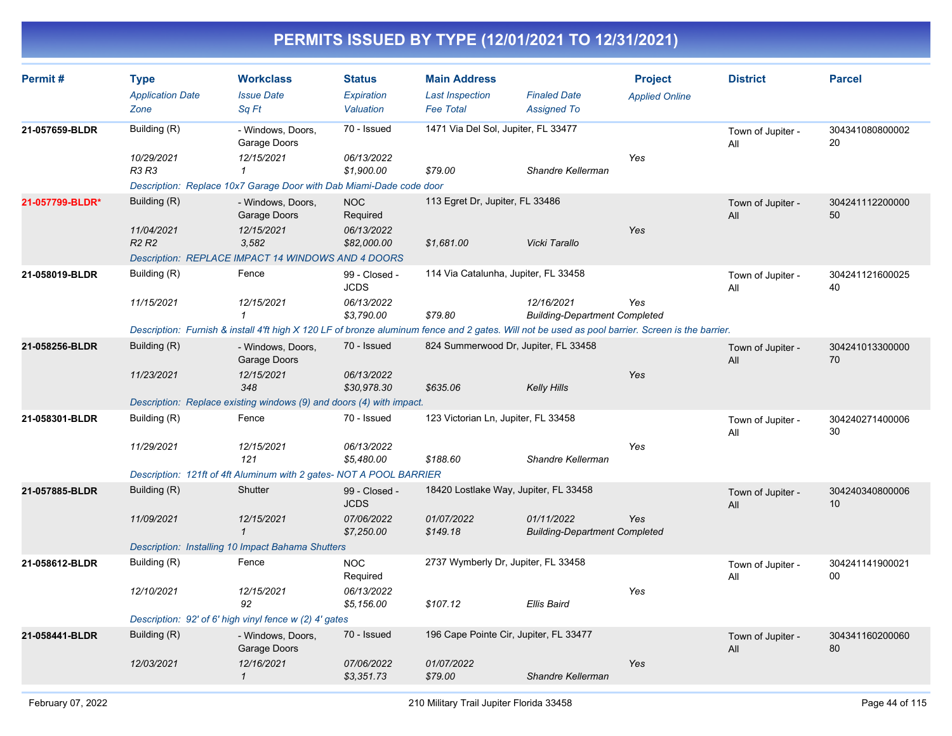| Permit#         | <b>Type</b><br><b>Application Date</b><br>Zone              | <b>Workclass</b><br><b>Issue Date</b><br>Sa Ft                                                                                                                                          | <b>Status</b><br>Expiration<br>Valuation                 | <b>Main Address</b><br><b>Last Inspection</b><br><b>Fee Total</b> | <b>Finaled Date</b><br><b>Assigned To</b>          | <b>Project</b><br><b>Applied Online</b> | <b>District</b>          | <b>Parcel</b>         |
|-----------------|-------------------------------------------------------------|-----------------------------------------------------------------------------------------------------------------------------------------------------------------------------------------|----------------------------------------------------------|-------------------------------------------------------------------|----------------------------------------------------|-----------------------------------------|--------------------------|-----------------------|
| 21-057659-BLDR  | Building (R)<br>10/29/2021<br>R3 R3                         | - Windows, Doors,<br>Garage Doors<br>12/15/2021<br>$\mathbf{1}$<br>Description: Replace 10x7 Garage Door with Dab Miami-Dade code door                                                  | 70 - Issued<br>06/13/2022<br>\$1,900.00                  | 1471 Via Del Sol, Jupiter, FL 33477<br>\$79.00                    | Shandre Kellerman                                  | Yes                                     | Town of Jupiter -<br>All | 304341080800002<br>20 |
| 21-057799-BLDR* | Building (R)<br>11/04/2021<br>R <sub>2</sub> R <sub>2</sub> | - Windows, Doors,<br>Garage Doors<br>12/15/2021<br>3.582<br>Description: REPLACE IMPACT 14 WINDOWS AND 4 DOORS                                                                          | <b>NOC</b><br>Required<br>06/13/2022<br>\$82,000.00      | 113 Egret Dr, Jupiter, FL 33486<br>\$1,681.00                     | Vicki Tarallo                                      | Yes                                     | Town of Jupiter -<br>All | 304241112200000<br>50 |
| 21-058019-BLDR  | Building (R)<br>11/15/2021                                  | Fence<br>12/15/2021<br>$\mathcal I$<br>Description: Furnish & install 4'ft high X 120 LF of bronze aluminum fence and 2 gates. Will not be used as pool barrier. Screen is the barrier. | 99 - Closed -<br><b>JCDS</b><br>06/13/2022<br>\$3,790.00 | 114 Via Catalunha, Jupiter, FL 33458<br>\$79.80                   | 12/16/2021<br><b>Building-Department Completed</b> | Yes                                     | Town of Jupiter -<br>All | 304241121600025<br>40 |
| 21-058256-BLDR  | Building (R)<br>11/23/2021                                  | - Windows, Doors,<br>Garage Doors<br>12/15/2021<br>348<br>Description: Replace existing windows (9) and doors (4) with impact.                                                          | 70 - Issued<br>06/13/2022<br>\$30,978.30                 | 824 Summerwood Dr, Jupiter, FL 33458<br>\$635.06                  | <b>Kelly Hills</b>                                 | Yes                                     | Town of Jupiter -<br>All | 304241013300000<br>70 |
| 21-058301-BLDR  | Building (R)<br>11/29/2021                                  | Fence<br>12/15/2021<br>121<br>Description: 121ft of 4ft Aluminum with 2 gates- NOT A POOL BARRIER                                                                                       | 70 - Issued<br>06/13/2022<br>\$5,480.00                  | 123 Victorian Ln, Jupiter, FL 33458<br>\$188.60                   | Shandre Kellerman                                  | Yes                                     | Town of Jupiter -<br>All | 304240271400006<br>30 |
| 21-057885-BLDR  | Building (R)<br>11/09/2021                                  | Shutter<br>12/15/2021<br>$\mathbf{1}$<br>Description: Installing 10 Impact Bahama Shutters                                                                                              | 99 - Closed -<br><b>JCDS</b><br>07/06/2022<br>\$7,250.00 | 18420 Lostlake Way, Jupiter, FL 33458<br>01/07/2022<br>\$149.18   | 01/11/2022<br><b>Building-Department Completed</b> | Yes                                     | Town of Jupiter -<br>All | 304240340800006<br>10 |
| 21-058612-BLDR  | Building (R)<br>12/10/2021                                  | Fence<br>12/15/2021<br>92<br>Description: 92' of 6' high vinyl fence w (2) 4' gates                                                                                                     | <b>NOC</b><br>Required<br>06/13/2022<br>\$5,156.00       | 2737 Wymberly Dr, Jupiter, FL 33458<br>\$107.12                   | <b>Ellis Baird</b>                                 | Yes                                     | Town of Jupiter -<br>All | 304241141900021<br>00 |
| 21-058441-BLDR  | Building (R)<br>12/03/2021                                  | - Windows, Doors,<br>Garage Doors<br>12/16/2021<br>$\mathbf{1}$                                                                                                                         | 70 - Issued<br>07/06/2022<br>\$3,351.73                  | 196 Cape Pointe Cir, Jupiter, FL 33477<br>01/07/2022<br>\$79.00   | Shandre Kellerman                                  | Yes                                     | Town of Jupiter -<br>All | 304341160200060<br>80 |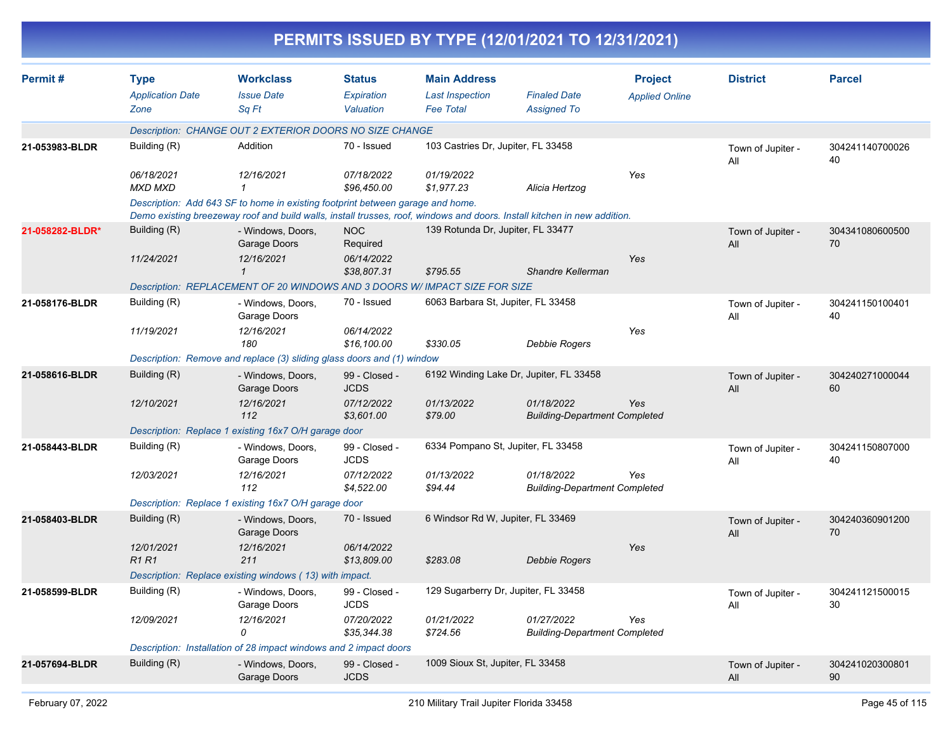| <b>Type</b><br><b>Application Date</b><br>Zone | <b>Workclass</b><br><b>Issue Date</b><br>Sq Ft                                           | <b>Status</b><br>Expiration<br>Valuation                                                              | <b>Main Address</b><br><b>Last Inspection</b><br><b>Fee Total</b>                                                                                                                                                                                                                                                                        | <b>Finaled Date</b><br><b>Assigned To</b>                                                                                                                                                                                         | <b>Project</b><br><b>Applied Online</b>                                                                                                                                                                                                                                                                                                                                                                     | <b>District</b>                                                                                                                                                                                                                                                                                                     | <b>Parcel</b>                                               |
|------------------------------------------------|------------------------------------------------------------------------------------------|-------------------------------------------------------------------------------------------------------|------------------------------------------------------------------------------------------------------------------------------------------------------------------------------------------------------------------------------------------------------------------------------------------------------------------------------------------|-----------------------------------------------------------------------------------------------------------------------------------------------------------------------------------------------------------------------------------|-------------------------------------------------------------------------------------------------------------------------------------------------------------------------------------------------------------------------------------------------------------------------------------------------------------------------------------------------------------------------------------------------------------|---------------------------------------------------------------------------------------------------------------------------------------------------------------------------------------------------------------------------------------------------------------------------------------------------------------------|-------------------------------------------------------------|
|                                                |                                                                                          |                                                                                                       |                                                                                                                                                                                                                                                                                                                                          |                                                                                                                                                                                                                                   |                                                                                                                                                                                                                                                                                                                                                                                                             |                                                                                                                                                                                                                                                                                                                     |                                                             |
| Building (R)                                   | Addition                                                                                 | 70 - Issued                                                                                           |                                                                                                                                                                                                                                                                                                                                          |                                                                                                                                                                                                                                   |                                                                                                                                                                                                                                                                                                                                                                                                             | Town of Jupiter -<br>All                                                                                                                                                                                                                                                                                            | 304241140700026<br>40                                       |
| 06/18/2021<br><b>MXD MXD</b>                   | 12/16/2021                                                                               | 07/18/2022<br>\$96,450.00                                                                             | 01/19/2022<br>\$1.977.23                                                                                                                                                                                                                                                                                                                 | Alicia Hertzog                                                                                                                                                                                                                    | Yes                                                                                                                                                                                                                                                                                                                                                                                                         |                                                                                                                                                                                                                                                                                                                     |                                                             |
|                                                |                                                                                          |                                                                                                       |                                                                                                                                                                                                                                                                                                                                          |                                                                                                                                                                                                                                   |                                                                                                                                                                                                                                                                                                                                                                                                             |                                                                                                                                                                                                                                                                                                                     |                                                             |
| Building (R)                                   | - Windows, Doors,<br>Garage Doors                                                        | <b>NOC</b><br>Required                                                                                |                                                                                                                                                                                                                                                                                                                                          |                                                                                                                                                                                                                                   |                                                                                                                                                                                                                                                                                                                                                                                                             | Town of Jupiter -<br>All                                                                                                                                                                                                                                                                                            | 304341080600500<br>70                                       |
| 11/24/2021                                     | 12/16/2021<br>1                                                                          | 06/14/2022<br>\$38,807.31                                                                             | \$795.55                                                                                                                                                                                                                                                                                                                                 | Shandre Kellerman                                                                                                                                                                                                                 | Yes                                                                                                                                                                                                                                                                                                                                                                                                         |                                                                                                                                                                                                                                                                                                                     |                                                             |
|                                                |                                                                                          |                                                                                                       |                                                                                                                                                                                                                                                                                                                                          |                                                                                                                                                                                                                                   |                                                                                                                                                                                                                                                                                                                                                                                                             |                                                                                                                                                                                                                                                                                                                     |                                                             |
|                                                | Garage Doors                                                                             |                                                                                                       |                                                                                                                                                                                                                                                                                                                                          |                                                                                                                                                                                                                                   |                                                                                                                                                                                                                                                                                                                                                                                                             | All                                                                                                                                                                                                                                                                                                                 | 304241150100401<br>40                                       |
|                                                | 180                                                                                      | \$16,100.00                                                                                           | \$330.05                                                                                                                                                                                                                                                                                                                                 | <b>Debbie Rogers</b>                                                                                                                                                                                                              |                                                                                                                                                                                                                                                                                                                                                                                                             |                                                                                                                                                                                                                                                                                                                     |                                                             |
|                                                |                                                                                          |                                                                                                       |                                                                                                                                                                                                                                                                                                                                          |                                                                                                                                                                                                                                   |                                                                                                                                                                                                                                                                                                                                                                                                             |                                                                                                                                                                                                                                                                                                                     |                                                             |
|                                                | Garage Doors                                                                             | <b>JCDS</b>                                                                                           |                                                                                                                                                                                                                                                                                                                                          |                                                                                                                                                                                                                                   |                                                                                                                                                                                                                                                                                                                                                                                                             | All                                                                                                                                                                                                                                                                                                                 | 304240271000044<br>60                                       |
|                                                | 112                                                                                      | \$3,601.00                                                                                            | \$79.00                                                                                                                                                                                                                                                                                                                                  |                                                                                                                                                                                                                                   |                                                                                                                                                                                                                                                                                                                                                                                                             |                                                                                                                                                                                                                                                                                                                     |                                                             |
|                                                |                                                                                          |                                                                                                       |                                                                                                                                                                                                                                                                                                                                          |                                                                                                                                                                                                                                   |                                                                                                                                                                                                                                                                                                                                                                                                             |                                                                                                                                                                                                                                                                                                                     |                                                             |
|                                                | Garage Doors                                                                             | <b>JCDS</b>                                                                                           |                                                                                                                                                                                                                                                                                                                                          |                                                                                                                                                                                                                                   |                                                                                                                                                                                                                                                                                                                                                                                                             | All                                                                                                                                                                                                                                                                                                                 | 304241150807000<br>40                                       |
| 12/03/2021                                     | 112                                                                                      | 07/12/2022<br>\$4,522.00                                                                              | 01/13/2022<br>\$94.44                                                                                                                                                                                                                                                                                                                    | 01/18/2022                                                                                                                                                                                                                        | Yes                                                                                                                                                                                                                                                                                                                                                                                                         |                                                                                                                                                                                                                                                                                                                     |                                                             |
|                                                |                                                                                          |                                                                                                       |                                                                                                                                                                                                                                                                                                                                          |                                                                                                                                                                                                                                   |                                                                                                                                                                                                                                                                                                                                                                                                             |                                                                                                                                                                                                                                                                                                                     |                                                             |
|                                                | - Windows, Doors,<br>Garage Doors                                                        |                                                                                                       |                                                                                                                                                                                                                                                                                                                                          |                                                                                                                                                                                                                                   |                                                                                                                                                                                                                                                                                                                                                                                                             | Town of Jupiter -<br>All                                                                                                                                                                                                                                                                                            | 304240360901200<br>70                                       |
| 12/01/2021<br>R <sub>1</sub> R <sub>1</sub>    | 12/16/2021<br>211                                                                        | 06/14/2022<br>\$13,809.00                                                                             | \$283.08                                                                                                                                                                                                                                                                                                                                 | <b>Debbie Rogers</b>                                                                                                                                                                                                              | Yes                                                                                                                                                                                                                                                                                                                                                                                                         |                                                                                                                                                                                                                                                                                                                     |                                                             |
|                                                |                                                                                          |                                                                                                       |                                                                                                                                                                                                                                                                                                                                          |                                                                                                                                                                                                                                   |                                                                                                                                                                                                                                                                                                                                                                                                             |                                                                                                                                                                                                                                                                                                                     |                                                             |
| Building (R)                                   | - Windows, Doors,<br>Garage Doors                                                        | 99 - Closed -<br><b>JCDS</b>                                                                          |                                                                                                                                                                                                                                                                                                                                          |                                                                                                                                                                                                                                   |                                                                                                                                                                                                                                                                                                                                                                                                             | Town of Jupiter -<br>All                                                                                                                                                                                                                                                                                            | 304241121500015<br>30                                       |
| 12/09/2021                                     | 12/16/2021<br>0                                                                          | 07/20/2022<br>\$35,344.38                                                                             | 01/21/2022<br>\$724.56                                                                                                                                                                                                                                                                                                                   | 01/27/2022                                                                                                                                                                                                                        | Yes                                                                                                                                                                                                                                                                                                                                                                                                         |                                                                                                                                                                                                                                                                                                                     |                                                             |
|                                                |                                                                                          |                                                                                                       |                                                                                                                                                                                                                                                                                                                                          |                                                                                                                                                                                                                                   |                                                                                                                                                                                                                                                                                                                                                                                                             |                                                                                                                                                                                                                                                                                                                     |                                                             |
| Building (R)                                   | - Windows, Doors,<br>Garage Doors                                                        | 99 - Closed -<br><b>JCDS</b>                                                                          |                                                                                                                                                                                                                                                                                                                                          |                                                                                                                                                                                                                                   |                                                                                                                                                                                                                                                                                                                                                                                                             | Town of Jupiter -<br>All                                                                                                                                                                                                                                                                                            | 304241020300801<br>90                                       |
|                                                | Building (R)<br>11/19/2021<br>Building (R)<br>12/10/2021<br>Building (R)<br>Building (R) | - Windows, Doors,<br>12/16/2021<br>- Windows, Doors.<br>12/16/2021<br>- Windows, Doors,<br>12/16/2021 | 70 - Issued<br>06/14/2022<br>99 - Closed -<br>07/12/2022<br>Description: Replace 1 existing 16x7 O/H garage door<br>99 - Closed -<br>Description: Replace 1 existing 16x7 O/H garage door<br>70 - Issued<br>Description: Replace existing windows (13) with impact.<br>Description: Installation of 28 impact windows and 2 impact doors | Description: CHANGE OUT 2 EXTERIOR DOORS NO SIZE CHANGE<br>Description: Add 643 SF to home in existing footprint between garage and home.<br>Description: Remove and replace (3) sliding glass doors and (1) window<br>01/13/2022 | 103 Castries Dr, Jupiter, FL 33458<br>139 Rotunda Dr, Jupiter, FL 33477<br>Description: REPLACEMENT OF 20 WINDOWS AND 3 DOORS W/ IMPACT SIZE FOR SIZE<br>6063 Barbara St, Jupiter, FL 33458<br>6192 Winding Lake Dr, Jupiter, FL 33458<br>01/18/2022<br>6334 Pompano St, Jupiter, FL 33458<br>6 Windsor Rd W, Jupiter, FL 33469<br>129 Sugarberry Dr, Jupiter, FL 33458<br>1009 Sioux St, Jupiter, FL 33458 | PERMITS ISSUED BY TYPE (12/01/2021 TO 12/31/2021)<br>Demo existing breezeway roof and build walls, install trusses, roof, windows and doors. Install kitchen in new addition.<br>Yes<br>Yes<br><b>Building-Department Completed</b><br><b>Building-Department Completed</b><br><b>Building-Department Completed</b> | Town of Jupiter -<br>Town of Jupiter -<br>Town of Jupiter - |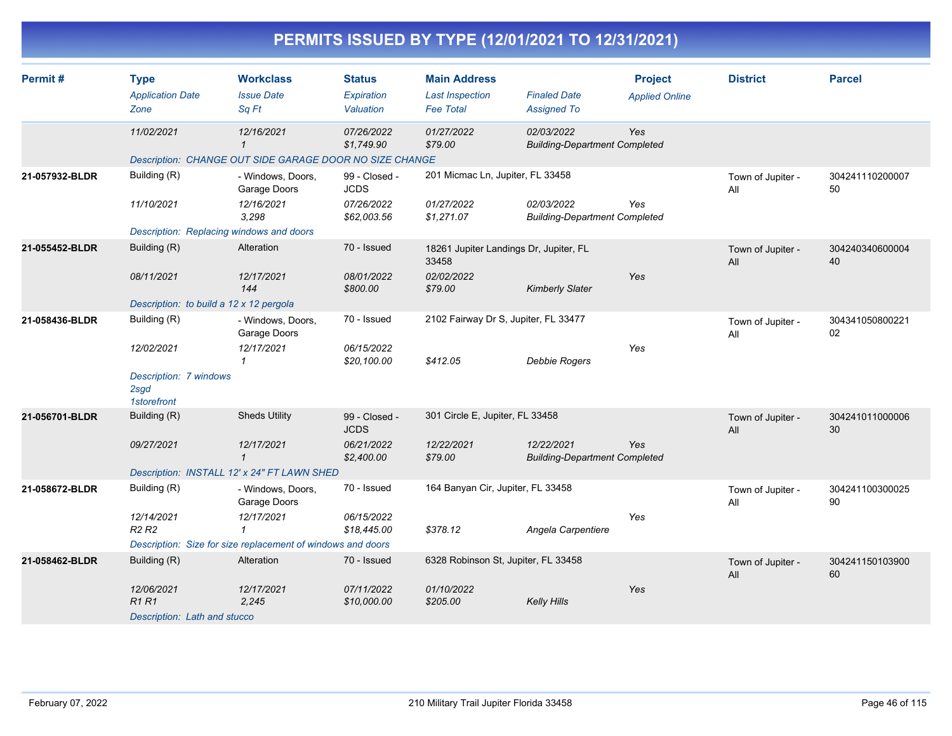| Permit#        | <b>Type</b><br><b>Application Date</b><br>Zone            | <b>Workclass</b><br><b>Issue Date</b><br>Sq Ft                                        | <b>Status</b><br>Expiration<br>Valuation | <b>Main Address</b><br><b>Last Inspection</b><br><b>Fee Total</b> | <b>Finaled Date</b><br><b>Assigned To</b>          | <b>Project</b><br><b>Applied Online</b> | <b>District</b>          | <b>Parcel</b>         |
|----------------|-----------------------------------------------------------|---------------------------------------------------------------------------------------|------------------------------------------|-------------------------------------------------------------------|----------------------------------------------------|-----------------------------------------|--------------------------|-----------------------|
|                | 11/02/2021                                                | 12/16/2021<br>$\mathbf{1}$<br>Description: CHANGE OUT SIDE GARAGE DOOR NO SIZE CHANGE | 07/26/2022<br>\$1,749.90                 | 01/27/2022<br>\$79.00                                             | 02/03/2022<br><b>Building-Department Completed</b> | Yes                                     |                          |                       |
| 21-057932-BLDR | Building (R)                                              | - Windows, Doors,<br>Garage Doors                                                     | 99 - Closed -<br><b>JCDS</b>             | 201 Micmac Ln, Jupiter, FL 33458                                  |                                                    |                                         | Town of Jupiter -<br>All | 304241110200007<br>50 |
|                | 11/10/2021                                                | 12/16/2021<br>3,298                                                                   | 07/26/2022<br>\$62,003.56                | 01/27/2022<br>\$1,271.07                                          | 02/03/2022<br><b>Building-Department Completed</b> | Yes                                     |                          |                       |
|                | Description: Replacing windows and doors                  |                                                                                       |                                          |                                                                   |                                                    |                                         |                          |                       |
| 21-055452-BLDR | Building (R)                                              | Alteration                                                                            | 70 - Issued                              | 18261 Jupiter Landings Dr, Jupiter, FL<br>33458                   |                                                    |                                         | Town of Jupiter -<br>All | 304240340600004<br>40 |
|                | 08/11/2021                                                | 12/17/2021<br>144                                                                     | 08/01/2022<br>\$800.00                   | 02/02/2022<br>\$79.00                                             | <b>Kimberly Slater</b>                             | Yes                                     |                          |                       |
|                | Description: to build a 12 x 12 pergola                   |                                                                                       |                                          |                                                                   |                                                    |                                         |                          |                       |
| 21-058436-BLDR | Building (R)                                              | - Windows, Doors,<br>Garage Doors                                                     | 70 - Issued                              | 2102 Fairway Dr S, Jupiter, FL 33477                              |                                                    |                                         | Town of Jupiter -<br>All | 304341050800221<br>02 |
|                | 12/02/2021                                                | 12/17/2021<br>$\mathbf{1}$                                                            | 06/15/2022<br>\$20,100.00                | \$412.05                                                          | Debbie Rogers                                      | Yes                                     |                          |                       |
|                | Description: 7 windows<br>2sgd<br>1storefront             |                                                                                       |                                          |                                                                   |                                                    |                                         |                          |                       |
| 21-056701-BLDR | Building (R)                                              | <b>Sheds Utility</b>                                                                  | 99 - Closed -<br><b>JCDS</b>             | 301 Circle E, Jupiter, FL 33458                                   |                                                    |                                         | Town of Jupiter -<br>All | 304241011000006<br>30 |
|                | 09/27/2021                                                | 12/17/2021<br>$\mathbf{1}$                                                            | 06/21/2022<br>\$2,400.00                 | 12/22/2021<br>\$79.00                                             | 12/22/2021<br><b>Building-Department Completed</b> | Yes                                     |                          |                       |
|                |                                                           | Description: INSTALL 12' x 24" FT LAWN SHED                                           |                                          |                                                                   |                                                    |                                         |                          |                       |
| 21-058672-BLDR | Building (R)                                              | - Windows, Doors,<br>Garage Doors                                                     | 70 - Issued                              | 164 Banyan Cir, Jupiter, FL 33458                                 |                                                    |                                         | Town of Jupiter -<br>All | 304241100300025<br>90 |
|                | 12/14/2021<br>R <sub>2</sub> R <sub>2</sub>               | 12/17/2021<br>$\mathbf 1$                                                             | 06/15/2022<br>\$18,445.00                | \$378.12                                                          | Angela Carpentiere                                 | Yes                                     |                          |                       |
|                |                                                           | Description: Size for size replacement of windows and doors                           |                                          |                                                                   |                                                    |                                         |                          |                       |
| 21-058462-BLDR | Building (R)                                              | Alteration                                                                            | 70 - Issued                              | 6328 Robinson St, Jupiter, FL 33458                               |                                                    |                                         | Town of Jupiter -<br>All | 304241150103900<br>60 |
|                | 12/06/2021<br><b>R1R1</b><br>Description: Lath and stucco | 12/17/2021<br>2,245                                                                   | 07/11/2022<br>\$10,000.00                | 01/10/2022<br>\$205.00                                            | Kelly Hills                                        | Yes                                     |                          |                       |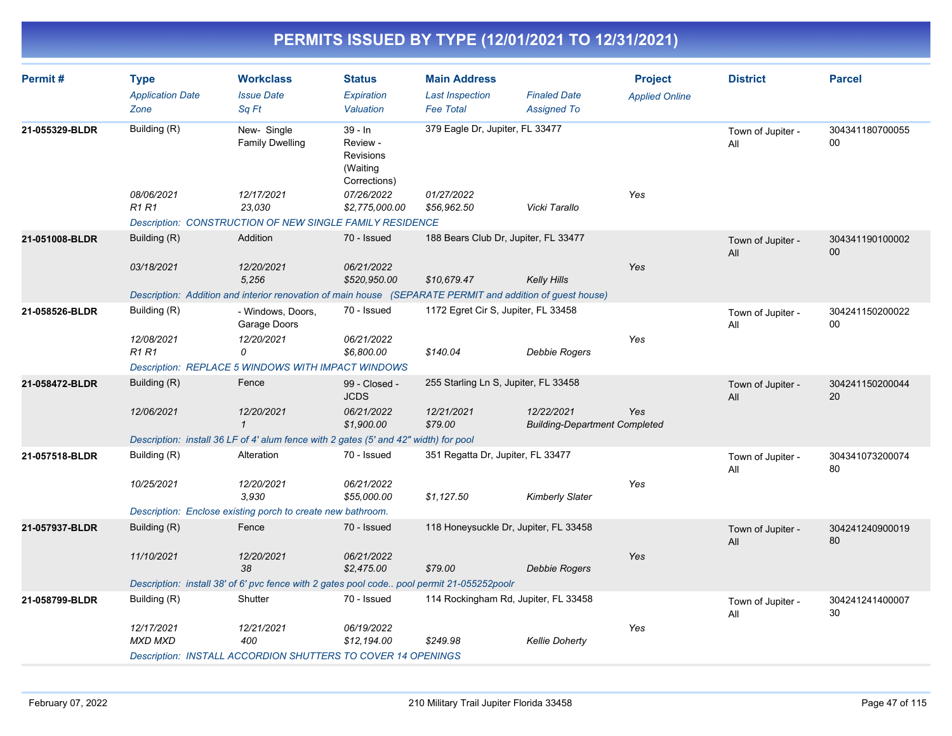| Permit#        | <b>Type</b><br><b>Application Date</b><br>Zone | <b>Workclass</b><br><b>Issue Date</b><br>Sq Ft                                                            | <b>Status</b><br>Expiration<br>Valuation                       | <b>Main Address</b><br><b>Last Inspection</b><br><b>Fee Total</b> | <b>Finaled Date</b><br><b>Assigned To</b>          | <b>Project</b><br><b>Applied Online</b> | <b>District</b>          | <b>Parcel</b>         |
|----------------|------------------------------------------------|-----------------------------------------------------------------------------------------------------------|----------------------------------------------------------------|-------------------------------------------------------------------|----------------------------------------------------|-----------------------------------------|--------------------------|-----------------------|
| 21-055329-BLDR | Building (R)                                   | New-Single<br><b>Family Dwelling</b>                                                                      | $39 - In$<br>Review -<br>Revisions<br>(Waiting<br>Corrections) | 379 Eagle Dr, Jupiter, FL 33477                                   |                                                    |                                         | Town of Jupiter -<br>All | 304341180700055<br>00 |
|                | 08/06/2021<br><b>R1 R1</b>                     | 12/17/2021<br>23,030                                                                                      | 07/26/2022<br>\$2,775,000.00                                   | 01/27/2022<br>\$56,962.50                                         | Vicki Tarallo                                      | Yes                                     |                          |                       |
|                |                                                | Description: CONSTRUCTION OF NEW SINGLE FAMILY RESIDENCE                                                  |                                                                |                                                                   |                                                    |                                         |                          |                       |
| 21-051008-BLDR | Building (R)                                   | Addition                                                                                                  | 70 - Issued                                                    | 188 Bears Club Dr, Jupiter, FL 33477                              |                                                    |                                         | Town of Jupiter -<br>All | 304341190100002<br>00 |
|                | 03/18/2021                                     | 12/20/2021<br>5,256                                                                                       | 06/21/2022<br>\$520,950.00                                     | \$10,679.47                                                       | Kelly Hills                                        | Yes                                     |                          |                       |
|                |                                                | Description: Addition and interior renovation of main house (SEPARATE PERMIT and addition of guest house) |                                                                |                                                                   |                                                    |                                         |                          |                       |
| 21-058526-BLDR | Building (R)                                   | - Windows, Doors,<br>Garage Doors                                                                         | 70 - Issued                                                    | 1172 Egret Cir S, Jupiter, FL 33458                               |                                                    |                                         | Town of Jupiter -<br>All | 304241150200022<br>00 |
|                | 12/08/2021<br><b>R1 R1</b>                     | 12/20/2021<br>0                                                                                           | 06/21/2022<br>\$6,800.00                                       | \$140.04                                                          | Debbie Rogers                                      | Yes                                     |                          |                       |
|                |                                                | <b>Description: REPLACE 5 WINDOWS WITH IMPACT WINDOWS</b>                                                 |                                                                |                                                                   |                                                    |                                         |                          |                       |
| 21-058472-BLDR | Building (R)                                   | Fence                                                                                                     | 99 - Closed -<br><b>JCDS</b>                                   | 255 Starling Ln S, Jupiter, FL 33458                              |                                                    |                                         | Town of Jupiter -<br>All | 304241150200044<br>20 |
|                | 12/06/2021                                     | 12/20/2021<br>$\mathbf{1}$                                                                                | 06/21/2022<br>\$1,900.00                                       | 12/21/2021<br>\$79.00                                             | 12/22/2021<br><b>Building-Department Completed</b> | Yes                                     |                          |                       |
|                |                                                | Description: install 36 LF of 4' alum fence with 2 gates (5' and 42" width) for pool                      |                                                                |                                                                   |                                                    |                                         |                          |                       |
| 21-057518-BLDR | Building (R)                                   | Alteration                                                                                                | 70 - Issued                                                    | 351 Regatta Dr, Jupiter, FL 33477                                 |                                                    |                                         | Town of Jupiter -<br>All | 304341073200074<br>80 |
|                | 10/25/2021                                     | 12/20/2021<br>3.930                                                                                       | 06/21/2022<br>\$55,000.00                                      | \$1,127.50                                                        | <b>Kimberly Slater</b>                             | Yes                                     |                          |                       |
|                |                                                | Description: Enclose existing porch to create new bathroom.                                               |                                                                |                                                                   |                                                    |                                         |                          |                       |
| 21-057937-BLDR | Building (R)                                   | Fence                                                                                                     | 70 - Issued                                                    | 118 Honeysuckle Dr, Jupiter, FL 33458                             |                                                    |                                         | Town of Jupiter -<br>All | 304241240900019<br>80 |
|                | 11/10/2021                                     | 12/20/2021<br>38                                                                                          | 06/21/2022<br>\$2,475.00                                       | \$79.00                                                           | Debbie Rogers                                      | Yes                                     |                          |                       |
|                |                                                | Description: install 38' of 6' pvc fence with 2 gates pool code pool permit 21-055252poolr                |                                                                |                                                                   |                                                    |                                         |                          |                       |
| 21-058799-BLDR | Building (R)                                   | Shutter                                                                                                   | 70 - Issued                                                    | 114 Rockingham Rd, Jupiter, FL 33458                              |                                                    |                                         | Town of Jupiter -<br>All | 304241241400007<br>30 |
|                | 12/17/2021<br><b>MXD MXD</b>                   | 12/21/2021<br>400                                                                                         | 06/19/2022<br>\$12,194.00                                      | \$249.98                                                          | <b>Kellie Doherty</b>                              | Yes                                     |                          |                       |
|                |                                                | Description: INSTALL ACCORDION SHUTTERS TO COVER 14 OPENINGS                                              |                                                                |                                                                   |                                                    |                                         |                          |                       |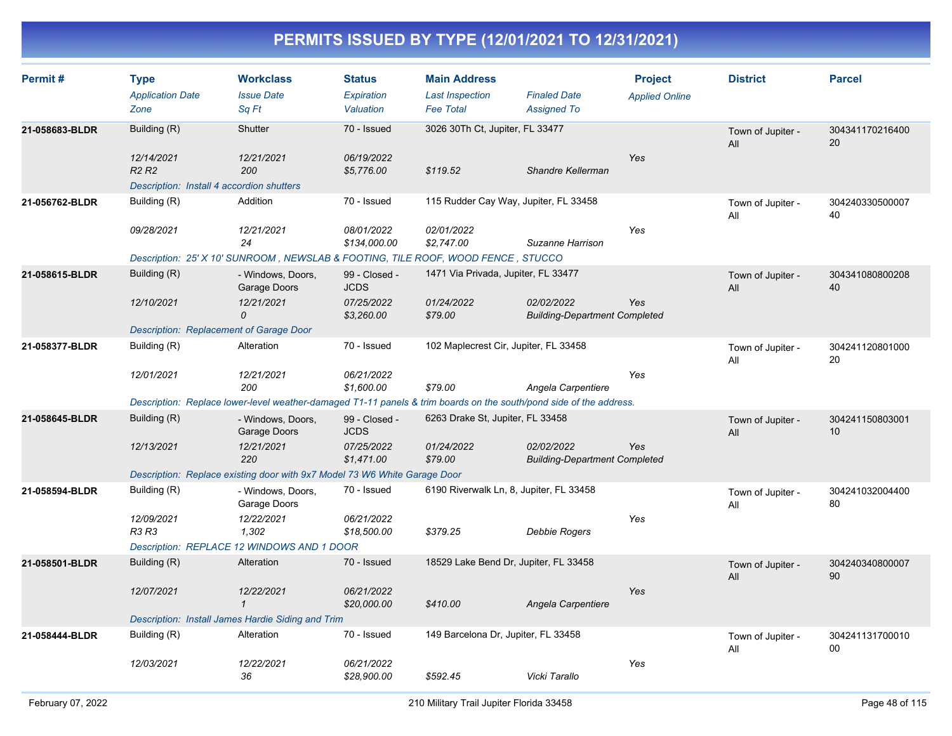| Permit#        | <b>Type</b><br><b>Application Date</b><br>Zone                             | <b>Workclass</b><br><b>Issue Date</b><br>Sq Ft                                                                     | <b>Status</b><br>Expiration<br>Valuation | <b>Main Address</b><br><b>Last Inspection</b><br><b>Fee Total</b> | <b>Finaled Date</b><br><b>Assigned To</b>          | <b>Project</b><br><b>Applied Online</b> | <b>District</b>          | <b>Parcel</b>         |
|----------------|----------------------------------------------------------------------------|--------------------------------------------------------------------------------------------------------------------|------------------------------------------|-------------------------------------------------------------------|----------------------------------------------------|-----------------------------------------|--------------------------|-----------------------|
| 21-058683-BLDR | Building (R)<br>12/14/2021                                                 | Shutter<br>12/21/2021                                                                                              | 70 - Issued<br>06/19/2022                | 3026 30Th Ct, Jupiter, FL 33477                                   |                                                    | Yes                                     | Town of Jupiter -<br>All | 304341170216400<br>20 |
|                | R <sub>2</sub> R <sub>2</sub><br>Description: Install 4 accordion shutters | 200                                                                                                                | \$5,776.00                               | \$119.52                                                          | Shandre Kellerman                                  |                                         |                          |                       |
| 21-056762-BLDR | Building (R)                                                               | Addition                                                                                                           | 70 - Issued                              | 115 Rudder Cay Way, Jupiter, FL 33458                             |                                                    |                                         | Town of Jupiter -<br>All | 304240330500007<br>40 |
|                | 09/28/2021                                                                 | 12/21/2021<br>24                                                                                                   | 08/01/2022<br>\$134,000.00               | 02/01/2022<br>\$2,747.00                                          | Suzanne Harrison                                   | Yes                                     |                          |                       |
|                |                                                                            | Description: 25' X 10' SUNROOM, NEWSLAB & FOOTING, TILE ROOF, WOOD FENCE, STUCCO                                   |                                          |                                                                   |                                                    |                                         |                          |                       |
| 21-058615-BLDR | Building (R)                                                               | - Windows, Doors,<br>Garage Doors                                                                                  | 99 - Closed -<br><b>JCDS</b>             | 1471 Via Privada, Jupiter, FL 33477                               |                                                    |                                         | Town of Jupiter -<br>All | 304341080800208<br>40 |
|                | 12/10/2021                                                                 | 12/21/2021<br>0                                                                                                    | 07/25/2022<br>\$3,260.00                 | 01/24/2022<br>\$79.00                                             | 02/02/2022<br><b>Building-Department Completed</b> | Yes                                     |                          |                       |
|                | <b>Description: Replacement of Garage Door</b>                             |                                                                                                                    |                                          |                                                                   |                                                    |                                         |                          |                       |
| 21-058377-BLDR | Building (R)                                                               | Alteration                                                                                                         | 70 - Issued                              | 102 Maplecrest Cir, Jupiter, FL 33458                             |                                                    |                                         | Town of Jupiter -<br>All | 304241120801000<br>20 |
|                | 12/01/2021                                                                 | 12/21/2021<br>200                                                                                                  | 06/21/2022<br>\$1,600.00                 | \$79.00                                                           | Angela Carpentiere                                 | Yes                                     |                          |                       |
|                |                                                                            | Description: Replace lower-level weather-damaged T1-11 panels & trim boards on the south/pond side of the address. |                                          |                                                                   |                                                    |                                         |                          |                       |
| 21-058645-BLDR | Building (R)                                                               | - Windows, Doors,<br>Garage Doors                                                                                  | 99 - Closed -<br><b>JCDS</b>             | 6263 Drake St, Jupiter, FL 33458                                  |                                                    |                                         | Town of Jupiter -<br>All | 304241150803001<br>10 |
|                | 12/13/2021                                                                 | 12/21/2021<br>220                                                                                                  | 07/25/2022<br>\$1,471.00                 | 01/24/2022<br>\$79.00                                             | 02/02/2022<br><b>Building-Department Completed</b> | Yes                                     |                          |                       |
|                |                                                                            | Description: Replace existing door with 9x7 Model 73 W6 White Garage Door                                          |                                          |                                                                   |                                                    |                                         |                          |                       |
| 21-058594-BLDR | Building (R)                                                               | - Windows, Doors,<br>Garage Doors                                                                                  | 70 - Issued                              | 6190 Riverwalk Ln, 8, Jupiter, FL 33458                           |                                                    |                                         | Town of Jupiter -<br>All | 304241032004400<br>80 |
|                | 12/09/2021<br>R3 R3                                                        | 12/22/2021<br>1,302                                                                                                | 06/21/2022<br>\$18,500.00                | \$379.25                                                          | Debbie Rogers                                      | Yes                                     |                          |                       |
|                |                                                                            | Description: REPLACE 12 WINDOWS AND 1 DOOR                                                                         |                                          |                                                                   |                                                    |                                         |                          |                       |
| 21-058501-BLDR | Building (R)                                                               | Alteration                                                                                                         | 70 - Issued                              | 18529 Lake Bend Dr, Jupiter, FL 33458                             |                                                    |                                         | Town of Jupiter -<br>All | 304240340800007<br>90 |
|                | 12/07/2021                                                                 | 12/22/2021<br>$\mathbf{1}$                                                                                         | 06/21/2022<br>\$20,000.00                | \$410.00                                                          | Angela Carpentiere                                 | Yes                                     |                          |                       |
|                |                                                                            | Description: Install James Hardie Siding and Trim                                                                  |                                          |                                                                   |                                                    |                                         |                          |                       |
| 21-058444-BLDR | Building (R)                                                               | Alteration                                                                                                         | 70 - Issued                              | 149 Barcelona Dr, Jupiter, FL 33458                               |                                                    |                                         | Town of Jupiter -<br>All | 304241131700010<br>00 |
|                | 12/03/2021                                                                 | 12/22/2021<br>36                                                                                                   | 06/21/2022<br>\$28,900.00                | \$592.45                                                          | Vicki Tarallo                                      | Yes                                     |                          |                       |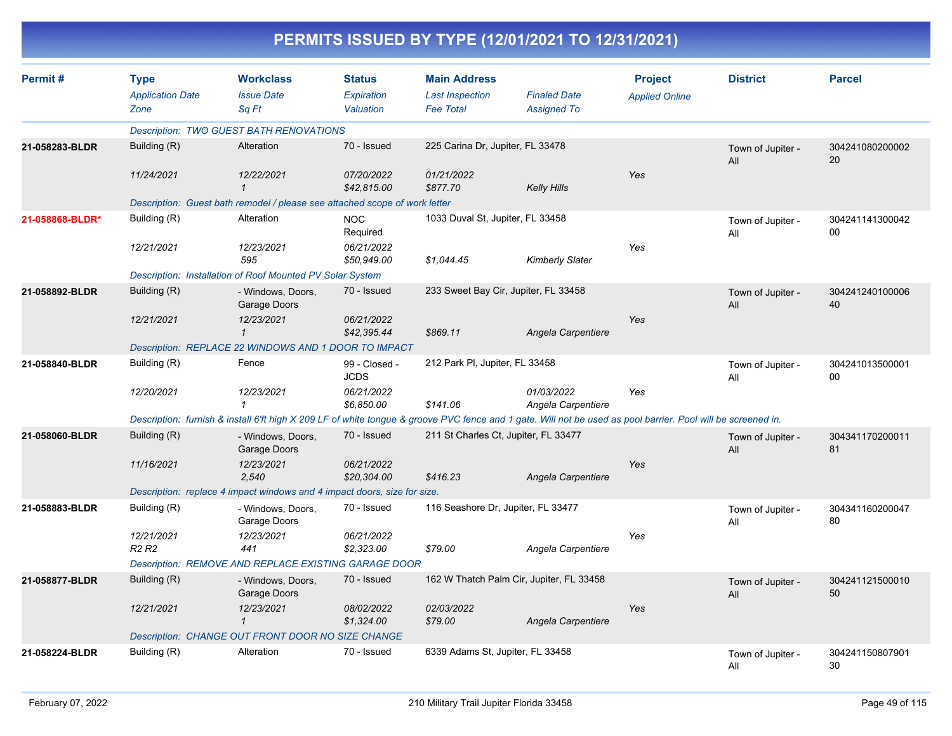| Permit#         | <b>Type</b>                                 | <b>Workclass</b>                                                                                                                                             | <b>Status</b>                | <b>Main Address</b>                      |                                  | <b>Project</b>        | <b>District</b>          | <b>Parcel</b>         |
|-----------------|---------------------------------------------|--------------------------------------------------------------------------------------------------------------------------------------------------------------|------------------------------|------------------------------------------|----------------------------------|-----------------------|--------------------------|-----------------------|
|                 | <b>Application Date</b>                     | <b>Issue Date</b>                                                                                                                                            | <b>Expiration</b>            | <b>Last Inspection</b>                   | <b>Finaled Date</b>              | <b>Applied Online</b> |                          |                       |
|                 | Zone                                        | Sq Ft                                                                                                                                                        | Valuation                    | <b>Fee Total</b>                         | <b>Assigned To</b>               |                       |                          |                       |
|                 |                                             | <b>Description: TWO GUEST BATH RENOVATIONS</b>                                                                                                               |                              |                                          |                                  |                       |                          |                       |
| 21-058283-BLDR  | Building (R)                                | Alteration                                                                                                                                                   | 70 - Issued                  | 225 Carina Dr, Jupiter, FL 33478         |                                  |                       | Town of Jupiter -<br>All | 304241080200002<br>20 |
|                 | 11/24/2021                                  | 12/22/2021<br>$\mathbf{1}$                                                                                                                                   | 07/20/2022<br>\$42,815.00    | 01/21/2022<br>\$877.70                   | Kelly Hills                      | Yes                   |                          |                       |
|                 |                                             | Description: Guest bath remodel / please see attached scope of work letter                                                                                   |                              |                                          |                                  |                       |                          |                       |
| 21-058868-BLDR* | Building (R)                                | Alteration                                                                                                                                                   | <b>NOC</b><br>Required       | 1033 Duval St, Jupiter, FL 33458         |                                  |                       | Town of Jupiter -<br>All | 304241141300042<br>00 |
|                 | 12/21/2021                                  | 12/23/2021<br>595                                                                                                                                            | 06/21/2022<br>\$50,949.00    | \$1,044.45                               | Kimberly Slater                  | Yes                   |                          |                       |
|                 |                                             | Description: Installation of Roof Mounted PV Solar System                                                                                                    |                              |                                          |                                  |                       |                          |                       |
| 21-058892-BLDR  | Building (R)                                | - Windows, Doors,<br>Garage Doors                                                                                                                            | 70 - Issued                  | 233 Sweet Bay Cir, Jupiter, FL 33458     |                                  |                       | Town of Jupiter -<br>All | 304241240100006<br>40 |
|                 | 12/21/2021                                  | 12/23/2021<br>$\mathbf{1}$                                                                                                                                   | 06/21/2022<br>\$42,395.44    | \$869.11                                 | Angela Carpentiere               | Yes                   |                          |                       |
|                 |                                             | Description: REPLACE 22 WINDOWS AND 1 DOOR TO IMPACT                                                                                                         |                              |                                          |                                  |                       |                          |                       |
| 21-058840-BLDR  | Building (R)                                | Fence                                                                                                                                                        | 99 - Closed -<br><b>JCDS</b> | 212 Park PI, Jupiter, FL 33458           |                                  |                       | Town of Jupiter -<br>All | 304241013500001<br>00 |
|                 | 12/20/2021                                  | 12/23/2021<br>$\mathbf{1}$                                                                                                                                   | 06/21/2022<br>\$6,850.00     | \$141.06                                 | 01/03/2022<br>Angela Carpentiere | Yes                   |                          |                       |
|                 |                                             | Description: furnish & install 6'ft high X 209 LF of white tongue & groove PVC fence and 1 gate. Will not be used as pool barrier. Pool will be screened in. |                              |                                          |                                  |                       |                          |                       |
| 21-058060-BLDR  | Building (R)                                | - Windows, Doors,<br>Garage Doors                                                                                                                            | 70 - Issued                  | 211 St Charles Ct, Jupiter, FL 33477     |                                  |                       | Town of Jupiter -<br>All | 304341170200011<br>81 |
|                 | 11/16/2021                                  | 12/23/2021<br>2,540                                                                                                                                          | 06/21/2022<br>\$20,304.00    | \$416.23                                 | Angela Carpentiere               | Yes                   |                          |                       |
|                 |                                             | Description: replace 4 impact windows and 4 impact doors, size for size.                                                                                     |                              |                                          |                                  |                       |                          |                       |
| 21-058883-BLDR  | Building (R)                                | - Windows, Doors,<br>Garage Doors                                                                                                                            | 70 - Issued                  | 116 Seashore Dr, Jupiter, FL 33477       |                                  |                       | Town of Jupiter -<br>All | 304341160200047<br>80 |
|                 | 12/21/2021<br>R <sub>2</sub> R <sub>2</sub> | 12/23/2021<br>441                                                                                                                                            | 06/21/2022<br>\$2,323.00     | \$79.00                                  | Angela Carpentiere               | Yes                   |                          |                       |
|                 |                                             | Description: REMOVE AND REPLACE EXISTING GARAGE DOOR                                                                                                         |                              |                                          |                                  |                       |                          |                       |
| 21-058877-BLDR  | Building (R)                                | - Windows, Doors,<br>Garage Doors                                                                                                                            | 70 - Issued                  | 162 W Thatch Palm Cir, Jupiter, FL 33458 |                                  |                       | Town of Jupiter -<br>All | 304241121500010<br>50 |
|                 | 12/21/2021                                  | 12/23/2021<br>$\mathbf{1}$                                                                                                                                   | 08/02/2022<br>\$1,324.00     | 02/03/2022<br>\$79.00                    | Angela Carpentiere               | Yes                   |                          |                       |
|                 |                                             | Description: CHANGE OUT FRONT DOOR NO SIZE CHANGE                                                                                                            |                              |                                          |                                  |                       |                          |                       |
| 21-058224-BLDR  | Building (R)                                | Alteration                                                                                                                                                   | 70 - Issued                  | 6339 Adams St. Jupiter, FL 33458         |                                  |                       | Town of Jupiter -<br>All | 304241150807901<br>30 |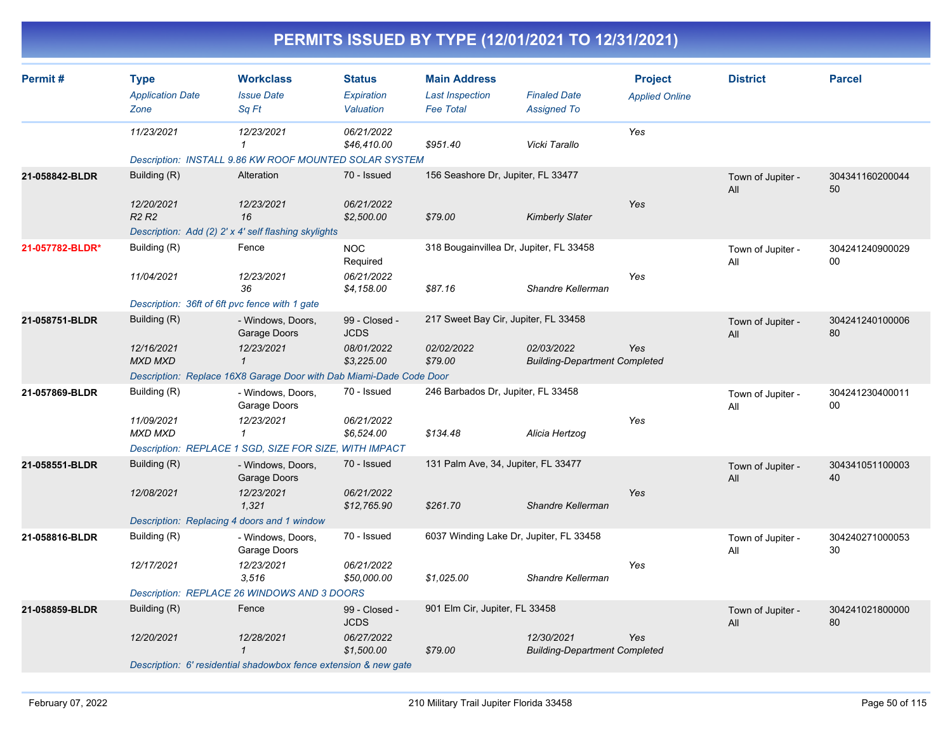| Permit#         | <b>Type</b><br><b>Application Date</b>         | <b>Workclass</b><br><b>Issue Date</b>                               | <b>Status</b><br><b>Expiration</b> | <b>Main Address</b><br><b>Last Inspection</b> | <b>Finaled Date</b>                                | <b>Project</b><br><b>Applied Online</b> | <b>District</b>          | <b>Parcel</b>         |
|-----------------|------------------------------------------------|---------------------------------------------------------------------|------------------------------------|-----------------------------------------------|----------------------------------------------------|-----------------------------------------|--------------------------|-----------------------|
|                 | Zone                                           | Sq Ft                                                               | Valuation                          | <b>Fee Total</b>                              | <b>Assigned To</b>                                 |                                         |                          |                       |
|                 | 11/23/2021                                     | 12/23/2021<br>$\mathbf{1}$                                          | 06/21/2022<br>\$46,410.00          | \$951.40                                      | Vicki Tarallo                                      | Yes                                     |                          |                       |
|                 |                                                | Description: INSTALL 9.86 KW ROOF MOUNTED SOLAR SYSTEM              |                                    |                                               |                                                    |                                         |                          |                       |
| 21-058842-BLDR  | Building (R)                                   | Alteration                                                          | 70 - Issued                        | 156 Seashore Dr, Jupiter, FL 33477            |                                                    |                                         | Town of Jupiter -<br>All | 304341160200044<br>50 |
|                 | 12/20/2021<br>R <sub>2</sub> R <sub>2</sub>    | 12/23/2021<br>16                                                    | 06/21/2022<br>\$2,500.00           | \$79.00                                       | <b>Kimberly Slater</b>                             | Yes                                     |                          |                       |
|                 |                                                | Description: Add (2) 2' x 4' self flashing skylights                |                                    |                                               |                                                    |                                         |                          |                       |
| 21-057782-BLDR* | Building (R)                                   | Fence                                                               | <b>NOC</b><br>Required             | 318 Bougainvillea Dr, Jupiter, FL 33458       |                                                    |                                         | Town of Jupiter -<br>All | 304241240900029<br>00 |
|                 | 11/04/2021                                     | 12/23/2021<br>36                                                    | 06/21/2022<br>\$4,158.00           | \$87.16                                       | Shandre Kellerman                                  | Yes                                     |                          |                       |
|                 | Description: 36ft of 6ft pvc fence with 1 gate |                                                                     |                                    |                                               |                                                    |                                         |                          |                       |
| 21-058751-BLDR  | Building (R)                                   | - Windows, Doors,<br>Garage Doors                                   | 99 - Closed -<br><b>JCDS</b>       | 217 Sweet Bay Cir, Jupiter, FL 33458          |                                                    |                                         | Town of Jupiter -<br>All | 304241240100006<br>80 |
|                 | 12/16/2021<br><b>MXD MXD</b>                   | 12/23/2021<br>$\mathbf{1}$                                          | 08/01/2022<br>\$3,225.00           | 02/02/2022<br>\$79.00                         | 02/03/2022<br><b>Building-Department Completed</b> | Yes                                     |                          |                       |
|                 |                                                | Description: Replace 16X8 Garage Door with Dab Miami-Dade Code Door |                                    |                                               |                                                    |                                         |                          |                       |
| 21-057869-BLDR  | Building (R)                                   | - Windows, Doors,<br>Garage Doors                                   | 70 - Issued                        | 246 Barbados Dr, Jupiter, FL 33458            |                                                    |                                         | Town of Jupiter -<br>All | 304241230400011<br>00 |
|                 | 11/09/2021<br><b>MXD MXD</b>                   | 12/23/2021<br>$\mathbf{1}$                                          | 06/21/2022<br>\$6,524.00           | \$134.48                                      | Alicia Hertzog                                     | Yes                                     |                          |                       |
|                 |                                                | Description: REPLACE 1 SGD, SIZE FOR SIZE, WITH IMPACT              |                                    |                                               |                                                    |                                         |                          |                       |
| 21-058551-BLDR  | Building (R)                                   | - Windows, Doors,<br>Garage Doors                                   | 70 - Issued                        | 131 Palm Ave, 34, Jupiter, FL 33477           |                                                    |                                         | Town of Jupiter -<br>All | 304341051100003<br>40 |
|                 | 12/08/2021                                     | 12/23/2021<br>1,321                                                 | 06/21/2022<br>\$12,765.90          | \$261.70                                      | Shandre Kellerman                                  | Yes                                     |                          |                       |
|                 | Description: Replacing 4 doors and 1 window    |                                                                     |                                    |                                               |                                                    |                                         |                          |                       |
| 21-058816-BLDR  | Building (R)                                   | - Windows, Doors,<br>Garage Doors                                   | 70 - Issued                        | 6037 Winding Lake Dr, Jupiter, FL 33458       |                                                    |                                         | Town of Jupiter -<br>All | 304240271000053<br>30 |
|                 | 12/17/2021                                     | 12/23/2021<br>3,516                                                 | 06/21/2022<br>\$50,000.00          | \$1,025.00                                    | Shandre Kellerman                                  | Yes                                     |                          |                       |
|                 |                                                | Description: REPLACE 26 WINDOWS AND 3 DOORS                         |                                    |                                               |                                                    |                                         |                          |                       |
| 21-058859-BLDR  | Building (R)                                   | Fence                                                               | 99 - Closed -<br><b>JCDS</b>       | 901 Elm Cir, Jupiter, FL 33458                |                                                    |                                         | Town of Jupiter -<br>All | 304241021800000<br>80 |
|                 | 12/20/2021                                     | 12/28/2021<br>$\mathbf{\mathbf{1}}$                                 | 06/27/2022<br>\$1,500.00           | \$79.00                                       | 12/30/2021<br><b>Building-Department Completed</b> | Yes                                     |                          |                       |
|                 |                                                | Description: 6' residential shadowbox fence extension & new gate    |                                    |                                               |                                                    |                                         |                          |                       |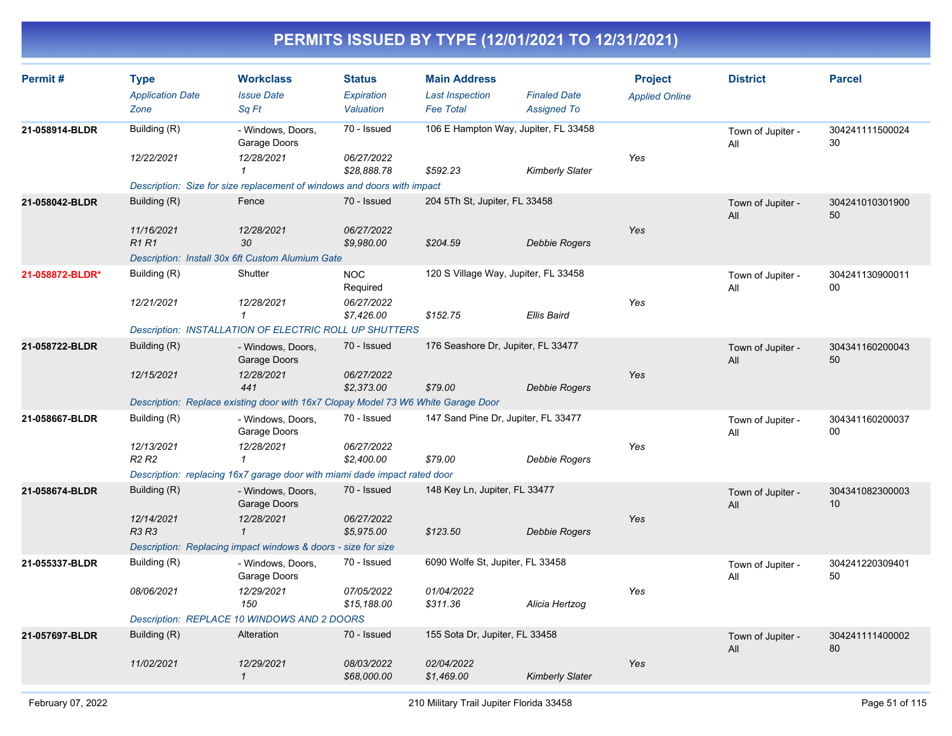| Permit#         | <b>Type</b><br><b>Application Date</b><br>Zone | <b>Workclass</b><br><b>Issue Date</b><br>Sq Ft                                    | <b>Status</b><br>Expiration<br>Valuation | <b>Main Address</b><br><b>Last Inspection</b><br><b>Fee Total</b> | <b>Finaled Date</b><br><b>Assigned To</b> | <b>Project</b><br><b>Applied Online</b> | <b>District</b>          | <b>Parcel</b>             |
|-----------------|------------------------------------------------|-----------------------------------------------------------------------------------|------------------------------------------|-------------------------------------------------------------------|-------------------------------------------|-----------------------------------------|--------------------------|---------------------------|
| 21-058914-BLDR  | Building (R)                                   | - Windows, Doors,                                                                 | 70 - Issued                              | 106 E Hampton Way, Jupiter, FL 33458                              |                                           |                                         | Town of Jupiter -        | 304241111500024           |
|                 | 12/22/2021                                     | Garage Doors<br>12/28/2021<br>$\mathbf{1}$                                        | 06/27/2022<br>\$28,888.78                | \$592.23                                                          | Kimberly Slater                           | Yes                                     | All                      | 30                        |
|                 |                                                | Description: Size for size replacement of windows and doors with impact           |                                          |                                                                   |                                           |                                         |                          |                           |
| 21-058042-BLDR  | Building (R)                                   | Fence                                                                             | 70 - Issued                              | 204 5Th St, Jupiter, FL 33458                                     |                                           |                                         | Town of Jupiter -<br>All | 304241010301900<br>50     |
|                 | 11/16/2021<br><b>R1 R1</b>                     | 12/28/2021<br>30                                                                  | 06/27/2022<br>\$9,980.00                 | \$204.59                                                          | <b>Debbie Rogers</b>                      | Yes                                     |                          |                           |
|                 |                                                | Description: Install 30x 6ft Custom Alumium Gate                                  |                                          |                                                                   |                                           |                                         |                          |                           |
| 21-058872-BLDR* | Building (R)                                   | Shutter                                                                           | <b>NOC</b><br>Required                   | 120 S Village Way, Jupiter, FL 33458                              |                                           |                                         | Town of Jupiter -<br>All | 304241130900011<br>$00\,$ |
|                 | 12/21/2021                                     | 12/28/2021<br>$\mathcal I$                                                        | 06/27/2022<br>\$7,426.00                 | \$152.75                                                          | <b>Ellis Baird</b>                        | Yes                                     |                          |                           |
|                 |                                                | <b>Description: INSTALLATION OF ELECTRIC ROLL UP SHUTTERS</b>                     |                                          |                                                                   |                                           |                                         |                          |                           |
| 21-058722-BLDR  | Building (R)                                   | - Windows, Doors,<br>Garage Doors                                                 | 70 - Issued                              | 176 Seashore Dr, Jupiter, FL 33477                                |                                           |                                         | Town of Jupiter -<br>All | 304341160200043<br>50     |
|                 | 12/15/2021                                     | 12/28/2021<br>441                                                                 | 06/27/2022<br>\$2,373.00                 | \$79.00                                                           | <b>Debbie Rogers</b>                      | Yes                                     |                          |                           |
|                 |                                                | Description: Replace existing door with 16x7 Clopay Model 73 W6 White Garage Door |                                          |                                                                   |                                           |                                         |                          |                           |
| 21-058667-BLDR  | Building (R)                                   | - Windows, Doors,<br>Garage Doors                                                 | 70 - Issued                              | 147 Sand Pine Dr, Jupiter, FL 33477                               |                                           |                                         | Town of Jupiter -<br>All | 304341160200037<br>00     |
|                 | 12/13/2021<br>R <sub>2</sub> R <sub>2</sub>    | 12/28/2021<br>$\mathbf{1}$                                                        | 06/27/2022<br>\$2,400.00                 | \$79.00                                                           | Debbie Rogers                             | Yes                                     |                          |                           |
|                 |                                                | Description: replacing 16x7 garage door with miami dade impact rated door         |                                          |                                                                   |                                           |                                         |                          |                           |
| 21-058674-BLDR  | Building (R)                                   | - Windows, Doors,<br>Garage Doors                                                 | 70 - Issued                              | 148 Key Ln, Jupiter, FL 33477                                     |                                           |                                         | Town of Jupiter -<br>All | 304341082300003<br>10     |
|                 | 12/14/2021<br><b>R3 R3</b>                     | 12/28/2021<br>$\mathbf{1}$                                                        | 06/27/2022<br>\$5,975.00                 | \$123.50                                                          | Debbie Rogers                             | Yes                                     |                          |                           |
|                 |                                                | Description: Replacing impact windows & doors - size for size                     |                                          |                                                                   |                                           |                                         |                          |                           |
| 21-055337-BLDR  | Building (R)                                   | - Windows, Doors,<br>Garage Doors                                                 | 70 - Issued                              | 6090 Wolfe St, Jupiter, FL 33458                                  |                                           |                                         | Town of Jupiter -<br>All | 304241220309401<br>50     |
|                 | 08/06/2021                                     | 12/29/2021<br>150                                                                 | 07/05/2022<br>\$15,188.00                | 01/04/2022<br>\$311.36                                            | Alicia Hertzog                            | Yes                                     |                          |                           |
|                 |                                                | Description: REPLACE 10 WINDOWS AND 2 DOORS                                       |                                          |                                                                   |                                           |                                         |                          |                           |
| 21-057697-BLDR  | Building (R)                                   | Alteration                                                                        | 70 - Issued                              | 155 Sota Dr, Jupiter, FL 33458                                    |                                           |                                         | Town of Jupiter -<br>All | 304241111400002<br>80     |
|                 | 11/02/2021                                     | 12/29/2021<br>$\mathcal I$                                                        | 08/03/2022<br>\$68,000.00                | 02/04/2022<br>\$1.469.00                                          | <b>Kimberly Slater</b>                    | Yes                                     |                          |                           |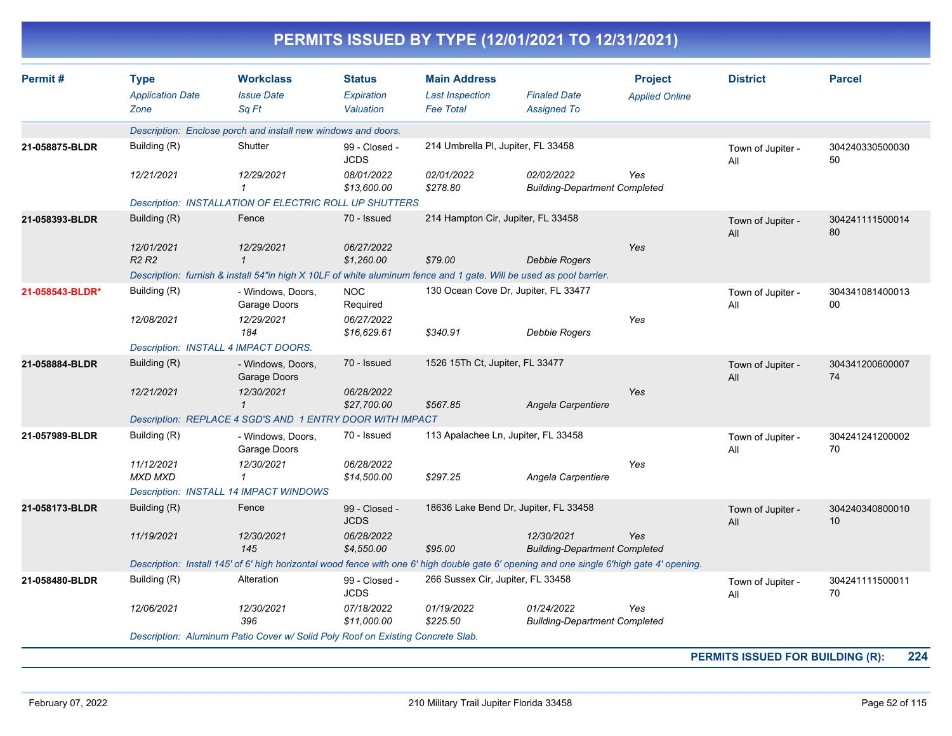|                 |                                                |                                                                                                                                           |                                          |                                                                   | PERMITS ISSUED BY TYPE (12/01/2021 TO 12/31/2021)  |                                         |                          |                       |
|-----------------|------------------------------------------------|-------------------------------------------------------------------------------------------------------------------------------------------|------------------------------------------|-------------------------------------------------------------------|----------------------------------------------------|-----------------------------------------|--------------------------|-----------------------|
| Permit#         | <b>Type</b><br><b>Application Date</b><br>Zone | <b>Workclass</b><br><b>Issue Date</b><br>Sq Ft                                                                                            | <b>Status</b><br>Expiration<br>Valuation | <b>Main Address</b><br><b>Last Inspection</b><br><b>Fee Total</b> | <b>Finaled Date</b><br><b>Assigned To</b>          | <b>Project</b><br><b>Applied Online</b> | <b>District</b>          | <b>Parcel</b>         |
|                 |                                                | Description: Enclose porch and install new windows and doors.                                                                             |                                          |                                                                   |                                                    |                                         |                          |                       |
| 21-058875-BLDR  | Building (R)                                   | Shutter                                                                                                                                   | 99 - Closed -<br><b>JCDS</b>             | 214 Umbrella PI, Jupiter, FL 33458                                |                                                    |                                         | Town of Jupiter -<br>All | 304240330500030<br>50 |
|                 | 12/21/2021                                     | 12/29/2021<br>$\mathbf{1}$                                                                                                                | 08/01/2022<br>\$13,600.00                | 02/01/2022<br>\$278.80                                            | 02/02/2022<br><b>Building-Department Completed</b> | Yes                                     |                          |                       |
|                 |                                                | <b>Description: INSTALLATION OF ELECTRIC ROLL UP SHUTTERS</b>                                                                             |                                          |                                                                   |                                                    |                                         |                          |                       |
| 21-058393-BLDR  | Building (R)                                   | Fence                                                                                                                                     | 70 - Issued                              | 214 Hampton Cir, Jupiter, FL 33458                                |                                                    |                                         | Town of Jupiter -<br>All | 304241111500014<br>80 |
|                 | 12/01/2021<br>R <sub>2</sub> R <sub>2</sub>    | 12/29/2021<br>$\mathbf{1}$                                                                                                                | 06/27/2022<br>\$1,260.00                 | \$79.00                                                           | <b>Debbie Rogers</b>                               | Yes                                     |                          |                       |
|                 |                                                | Description: furnish & install 54"in high X 10LF of white aluminum fence and 1 gate. Will be used as pool barrier.                        |                                          |                                                                   |                                                    |                                         |                          |                       |
| 21-058543-BLDR* | Building (R)                                   | - Windows, Doors,<br>Garage Doors                                                                                                         | <b>NOC</b><br>Required                   | 130 Ocean Cove Dr, Jupiter, FL 33477                              |                                                    |                                         | Town of Jupiter -<br>All | 304341081400013<br>00 |
|                 | 12/08/2021                                     | 12/29/2021<br>184                                                                                                                         | 06/27/2022<br>\$16,629.61                | \$340.91                                                          | Debbie Rogers                                      | Yes                                     |                          |                       |
|                 |                                                | <b>Description: INSTALL 4 IMPACT DOORS.</b>                                                                                               |                                          |                                                                   |                                                    |                                         |                          |                       |
| 21-058884-BLDR  | Building (R)                                   | - Windows, Doors,<br>Garage Doors                                                                                                         | 70 - Issued                              | 1526 15Th Ct, Jupiter, FL 33477                                   |                                                    |                                         | Town of Jupiter -<br>All | 304341200600007<br>74 |
|                 | 12/21/2021                                     | 12/30/2021<br>$\mathcal I$                                                                                                                | 06/28/2022<br>\$27,700.00                | \$567.85                                                          | Angela Carpentiere                                 | Yes                                     |                          |                       |
|                 |                                                | Description: REPLACE 4 SGD'S AND 1 ENTRY DOOR WITH IMPACT                                                                                 |                                          |                                                                   |                                                    |                                         |                          |                       |
| 21-057989-BLDR  | Building (R)                                   | - Windows, Doors,<br>Garage Doors                                                                                                         | 70 - Issued                              | 113 Apalachee Ln, Jupiter, FL 33458                               |                                                    |                                         | Town of Jupiter -<br>All | 304241241200002<br>70 |
|                 | 11/12/2021<br>MXD MXD                          | 12/30/2021<br>$\mathcal I$                                                                                                                | 06/28/2022<br>\$14,500.00                | \$297.25                                                          | Angela Carpentiere                                 | Yes                                     |                          |                       |
|                 |                                                | <b>Description: INSTALL 14 IMPACT WINDOWS</b>                                                                                             |                                          |                                                                   |                                                    |                                         |                          |                       |
| 21-058173-BLDR  | Building (R)                                   | Fence                                                                                                                                     | 99 - Closed -<br><b>JCDS</b>             | 18636 Lake Bend Dr, Jupiter, FL 33458                             |                                                    |                                         | Town of Jupiter -<br>All | 304240340800010<br>10 |
|                 | 11/19/2021                                     | 12/30/2021<br>145                                                                                                                         | 06/28/2022<br>\$4,550.00                 | \$95.00                                                           | 12/30/2021<br><b>Building-Department Completed</b> | Yes                                     |                          |                       |
|                 |                                                | Description: Install 145' of 6' high horizontal wood fence with one 6' high double gate 6' opening and one single 6'high gate 4' opening. |                                          |                                                                   |                                                    |                                         |                          |                       |
| 21-058480-BLDR  | Building (R)                                   | Alteration                                                                                                                                | 99 - Closed -<br><b>JCDS</b>             | 266 Sussex Cir, Jupiter, FL 33458                                 |                                                    |                                         | Town of Jupiter -<br>All | 304241111500011<br>70 |
|                 | 12/06/2021                                     | 12/30/2021<br>396                                                                                                                         | 07/18/2022<br>\$11,000.00                | 01/19/2022<br>\$225.50                                            | 01/24/2022<br><b>Building-Department Completed</b> | Yes                                     |                          |                       |
|                 |                                                | Description: Aluminum Patio Cover w/ Solid Poly Roof on Existing Concrete Slab.                                                           |                                          |                                                                   |                                                    |                                         |                          |                       |

**PERMITS ISSUED FOR BUILDING (R): 224**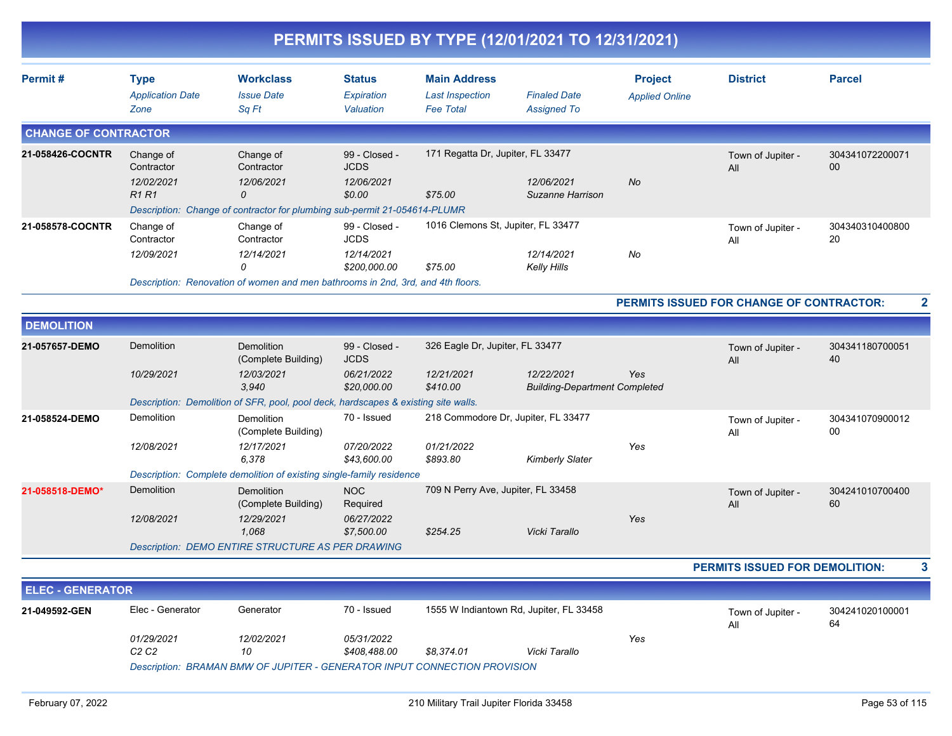| Permit#                     | <b>Type</b>                | <b>Workclass</b>                                                                   | <b>Status</b>                | <b>Main Address</b>                 |                                                    | <b>Project</b>        | <b>District</b>                          | <b>Parcel</b>         |
|-----------------------------|----------------------------|------------------------------------------------------------------------------------|------------------------------|-------------------------------------|----------------------------------------------------|-----------------------|------------------------------------------|-----------------------|
|                             | <b>Application Date</b>    | <b>Issue Date</b>                                                                  | Expiration                   | <b>Last Inspection</b>              | <b>Finaled Date</b>                                | <b>Applied Online</b> |                                          |                       |
|                             | Zone                       | Sq Ft                                                                              | Valuation                    | <b>Fee Total</b>                    | <b>Assigned To</b>                                 |                       |                                          |                       |
| <b>CHANGE OF CONTRACTOR</b> |                            |                                                                                    |                              |                                     |                                                    |                       |                                          |                       |
| 21-058426-COCNTR            | Change of<br>Contractor    | Change of<br>Contractor                                                            | 99 - Closed -<br><b>JCDS</b> | 171 Regatta Dr, Jupiter, FL 33477   |                                                    |                       | Town of Jupiter -<br>All                 | 304341072200071<br>00 |
|                             | 12/02/2021<br><b>R1 R1</b> | 12/06/2021<br>0                                                                    | 12/06/2021<br>\$0.00         | \$75.00                             | 12/06/2021<br>Suzanne Harrison                     | No                    |                                          |                       |
|                             |                            | Description: Change of contractor for plumbing sub-permit 21-054614-PLUMR          |                              |                                     |                                                    |                       |                                          |                       |
| 21-058578-COCNTR            | Change of<br>Contractor    | Change of<br>Contractor                                                            | 99 - Closed -<br><b>JCDS</b> | 1016 Clemons St, Jupiter, FL 33477  |                                                    |                       | Town of Jupiter -<br>All                 | 304340310400800<br>20 |
|                             | 12/09/2021                 | 12/14/2021<br>$\Omega$                                                             | 12/14/2021<br>\$200,000.00   | \$75.00                             | 12/14/2021<br><b>Kelly Hills</b>                   | No                    |                                          |                       |
|                             |                            | Description: Renovation of women and men bathrooms in 2nd, 3rd, and 4th floors.    |                              |                                     |                                                    |                       |                                          |                       |
|                             |                            |                                                                                    |                              |                                     |                                                    |                       | PERMITS ISSUED FOR CHANGE OF CONTRACTOR: |                       |
| <b>DEMOLITION</b>           |                            |                                                                                    |                              |                                     |                                                    |                       |                                          |                       |
| 21-057657-DEMO              | <b>Demolition</b>          | <b>Demolition</b><br>(Complete Building)                                           | 99 - Closed -<br><b>JCDS</b> | 326 Eagle Dr, Jupiter, FL 33477     |                                                    |                       | Town of Jupiter -<br>All                 | 304341180700051<br>40 |
|                             | 10/29/2021                 | 12/03/2021<br>3.940                                                                | 06/21/2022<br>\$20,000.00    | 12/21/2021<br>\$410.00              | 12/22/2021<br><b>Building-Department Completed</b> | Yes                   |                                          |                       |
|                             |                            | Description: Demolition of SFR, pool, pool deck, hardscapes & existing site walls. |                              |                                     |                                                    |                       |                                          |                       |
| 21-058524-DEMO              | Demolition                 | <b>Demolition</b><br>(Complete Building)                                           | 70 - Issued                  | 218 Commodore Dr, Jupiter, FL 33477 |                                                    |                       | Town of Jupiter -<br>All                 | 304341070900012<br>00 |
|                             | 12/08/2021                 | 12/17/2021<br>6,378                                                                | 07/20/2022<br>\$43,600.00    | 01/21/2022<br>\$893.80              | <b>Kimberly Slater</b>                             | Yes                   |                                          |                       |
|                             |                            | Description: Complete demolition of existing single-family residence               |                              |                                     |                                                    |                       |                                          |                       |
|                             |                            | <b>Demolition</b>                                                                  | <b>NOC</b>                   | 709 N Perry Ave, Jupiter, FL 33458  |                                                    |                       | Town of Jupiter -<br>All                 | 304241010700400<br>60 |
|                             | <b>Demolition</b>          | (Complete Building)                                                                | Required                     |                                     |                                                    |                       |                                          |                       |
|                             | 12/08/2021                 | 12/29/2021<br>1,068                                                                | 06/27/2022<br>\$7,500.00     | \$254.25                            | Vicki Tarallo                                      | Yes                   |                                          |                       |
| 21-058518-DEMO*             |                            | <b>Description: DEMO ENTIRE STRUCTURE AS PER DRAWING</b>                           |                              |                                     |                                                    |                       |                                          |                       |

Elec - Generator Generator 70 - Issued 1555 W Indiantown Rd, Jupiter, FL 33458 Town of Jupiter - 304241020100001 All 64 **21-049592-GEN** *01/29/2021 12/02/2021 05/31/2022 C2 C2 10 \$408,488.00 \$8,374.01 Vicki Tarallo Yes Description: BRAMAN BMW OF JUPITER - GENERATOR INPUT CONNECTION PROVISION*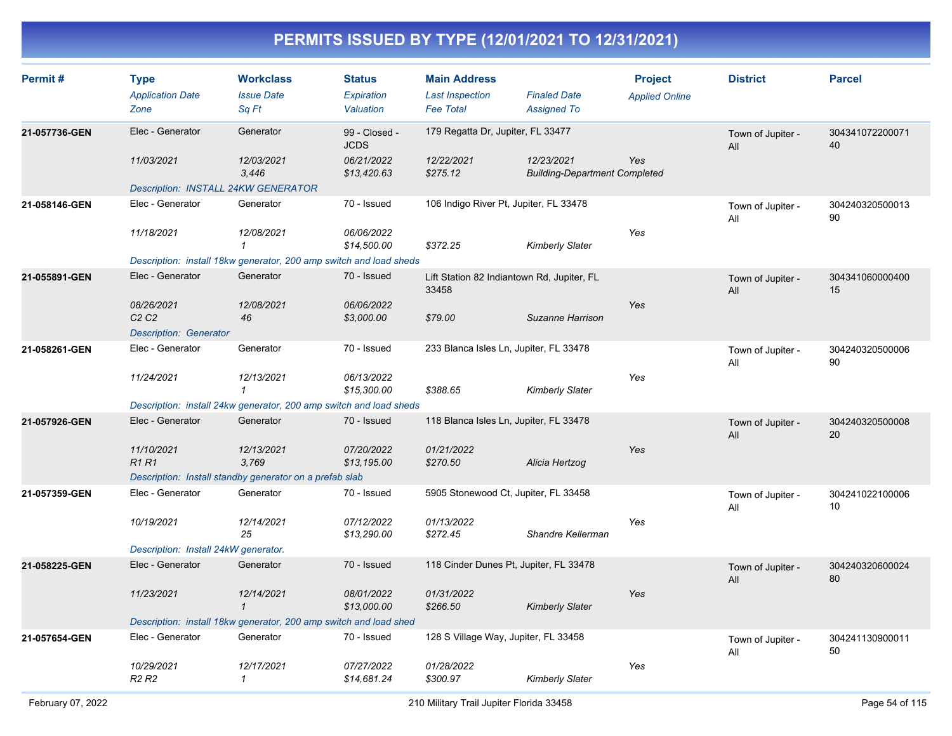| Permit#       | <b>Type</b><br><b>Application Date</b><br>Zone                 | <b>Workclass</b><br><b>Issue Date</b><br>Sq Ft                     | <b>Status</b><br>Expiration<br>Valuation | <b>Main Address</b><br><b>Last Inspection</b><br><b>Fee Total</b> | <b>Finaled Date</b><br><b>Assigned To</b>          | <b>Project</b><br><b>Applied Online</b> | <b>District</b>          | <b>Parcel</b>         |
|---------------|----------------------------------------------------------------|--------------------------------------------------------------------|------------------------------------------|-------------------------------------------------------------------|----------------------------------------------------|-----------------------------------------|--------------------------|-----------------------|
| 21-057736-GEN | Elec - Generator                                               | Generator                                                          | 99 - Closed -<br><b>JCDS</b>             | 179 Regatta Dr, Jupiter, FL 33477                                 |                                                    |                                         | Town of Jupiter -<br>All | 304341072200071<br>40 |
|               | 11/03/2021                                                     | 12/03/2021<br>3,446                                                | 06/21/2022<br>\$13,420.63                | 12/22/2021<br>\$275.12                                            | 12/23/2021<br><b>Building-Department Completed</b> | Yes                                     |                          |                       |
| 21-058146-GEN | <b>Description: INSTALL 24KW GENERATOR</b><br>Elec - Generator | Generator                                                          | 70 - Issued                              | 106 Indigo River Pt, Jupiter, FL 33478                            |                                                    |                                         | Town of Jupiter -<br>All | 304240320500013<br>90 |
|               | 11/18/2021                                                     | 12/08/2021<br>1                                                    | 06/06/2022<br>\$14,500.00                | \$372.25                                                          | <b>Kimberly Slater</b>                             | Yes                                     |                          |                       |
|               |                                                                | Description: install 18kw generator, 200 amp switch and load sheds |                                          |                                                                   |                                                    |                                         |                          |                       |
| 21-055891-GEN | Elec - Generator                                               | Generator                                                          | 70 - Issued                              | Lift Station 82 Indiantown Rd, Jupiter, FL<br>33458               |                                                    |                                         | Town of Jupiter -<br>All | 304341060000400<br>15 |
|               | 08/26/2021<br>C2C2                                             | 12/08/2021<br>46                                                   | 06/06/2022<br>\$3,000.00                 | \$79.00                                                           | Suzanne Harrison                                   | Yes                                     |                          |                       |
| 21-058261-GEN | <b>Description: Generator</b><br>Elec - Generator              | Generator                                                          | 70 - Issued                              | 233 Blanca Isles Ln, Jupiter, FL 33478                            |                                                    |                                         | Town of Jupiter -<br>All | 304240320500006<br>90 |
|               | 11/24/2021                                                     | 12/13/2021<br>$\mathbf{1}$                                         | 06/13/2022<br>\$15,300.00                | \$388.65                                                          | <b>Kimberly Slater</b>                             | Yes                                     |                          |                       |
|               |                                                                | Description: install 24kw generator, 200 amp switch and load sheds |                                          |                                                                   |                                                    |                                         |                          |                       |
| 21-057926-GEN | Elec - Generator                                               | Generator                                                          | 70 - Issued                              | 118 Blanca Isles Ln, Jupiter, FL 33478                            |                                                    |                                         | Town of Jupiter -<br>All | 304240320500008<br>20 |
|               | 11/10/2021<br><b>R1R1</b>                                      | 12/13/2021<br>3,769                                                | 07/20/2022<br>\$13,195.00                | 01/21/2022<br>\$270.50                                            | Alicia Hertzog                                     | Yes                                     |                          |                       |
|               |                                                                | Description: Install standby generator on a prefab slab            |                                          |                                                                   |                                                    |                                         |                          |                       |
| 21-057359-GEN | Elec - Generator                                               | Generator                                                          | 70 - Issued                              | 5905 Stonewood Ct, Jupiter, FL 33458                              |                                                    |                                         | Town of Jupiter -<br>All | 304241022100006<br>10 |
|               | 10/19/2021                                                     | 12/14/2021<br>25                                                   | 07/12/2022<br>\$13,290.00                | 01/13/2022<br>\$272.45                                            | Shandre Kellerman                                  | Yes                                     |                          |                       |
|               | Description: Install 24kW generator.                           |                                                                    |                                          |                                                                   |                                                    |                                         |                          |                       |
| 21-058225-GEN | Elec - Generator                                               | Generator                                                          | 70 - Issued                              | 118 Cinder Dunes Pt, Jupiter, FL 33478                            |                                                    |                                         | Town of Jupiter -<br>All | 304240320600024<br>80 |
|               | 11/23/2021                                                     | 12/14/2021<br>$\mathbf{1}$                                         | 08/01/2022<br>\$13,000.00                | 01/31/2022<br>\$266.50                                            | <b>Kimberly Slater</b>                             | Yes                                     |                          |                       |
|               |                                                                | Description: install 18kw generator, 200 amp switch and load shed  |                                          |                                                                   |                                                    |                                         |                          |                       |
| 21-057654-GEN | Elec - Generator                                               | Generator                                                          | 70 - Issued                              | 128 S Village Way, Jupiter, FL 33458                              |                                                    |                                         | Town of Jupiter -<br>All | 304241130900011<br>50 |
|               | 10/29/2021<br>R <sub>2</sub> R <sub>2</sub>                    | 12/17/2021<br>$\mathbf{1}$                                         | 07/27/2022<br>\$14.681.24                | 01/28/2022<br>\$300.97                                            | Kimberly Slater                                    | Yes                                     |                          |                       |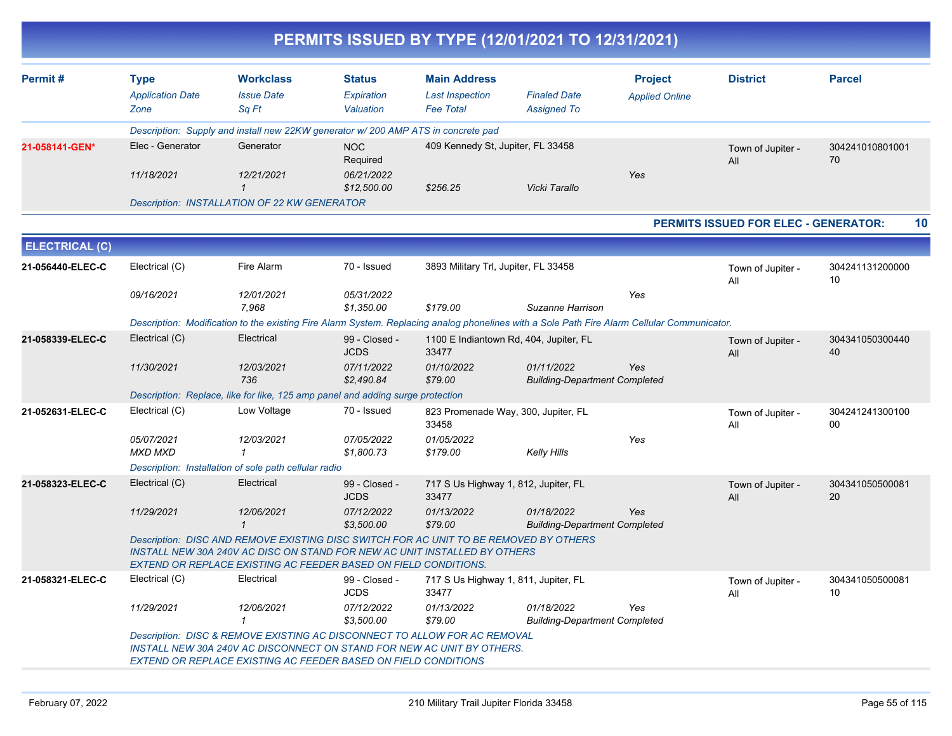|                       |                                                |                                                                                                                                                                                                                                              |                                          |                                                                   | PERMITS ISSUED BY TYPE (12/01/2021 TO 12/31/2021)                                                                                           |                                         |                                      |                       |
|-----------------------|------------------------------------------------|----------------------------------------------------------------------------------------------------------------------------------------------------------------------------------------------------------------------------------------------|------------------------------------------|-------------------------------------------------------------------|---------------------------------------------------------------------------------------------------------------------------------------------|-----------------------------------------|--------------------------------------|-----------------------|
| Permit#               | <b>Type</b><br><b>Application Date</b><br>Zone | <b>Workclass</b><br><b>Issue Date</b><br>Sq Ft                                                                                                                                                                                               | <b>Status</b><br>Expiration<br>Valuation | <b>Main Address</b><br><b>Last Inspection</b><br><b>Fee Total</b> | <b>Finaled Date</b><br><b>Assigned To</b>                                                                                                   | <b>Project</b><br><b>Applied Online</b> | <b>District</b>                      | <b>Parcel</b>         |
|                       |                                                | Description: Supply and install new 22KW generator w/ 200 AMP ATS in concrete pad                                                                                                                                                            |                                          |                                                                   |                                                                                                                                             |                                         |                                      |                       |
| 21-058141-GEN*        | Elec - Generator                               | Generator                                                                                                                                                                                                                                    | <b>NOC</b><br>Required                   | 409 Kennedy St, Jupiter, FL 33458                                 |                                                                                                                                             |                                         | Town of Jupiter -<br>All             | 304241010801001<br>70 |
|                       | 11/18/2021                                     | 12/21/2021                                                                                                                                                                                                                                   | 06/21/2022<br>\$12,500.00                | \$256.25                                                          | Vicki Tarallo                                                                                                                               | Yes                                     |                                      |                       |
|                       |                                                | Description: INSTALLATION OF 22 KW GENERATOR                                                                                                                                                                                                 |                                          |                                                                   |                                                                                                                                             |                                         |                                      |                       |
|                       |                                                |                                                                                                                                                                                                                                              |                                          |                                                                   |                                                                                                                                             |                                         | PERMITS ISSUED FOR ELEC - GENERATOR: | 10                    |
| <b>ELECTRICAL (C)</b> |                                                |                                                                                                                                                                                                                                              |                                          |                                                                   |                                                                                                                                             |                                         |                                      |                       |
| 21-056440-ELEC-C      | Electrical (C)                                 | Fire Alarm                                                                                                                                                                                                                                   | 70 - Issued                              | 3893 Military Trl, Jupiter, FL 33458                              |                                                                                                                                             |                                         | Town of Jupiter -<br>All             | 304241131200000<br>10 |
|                       | 09/16/2021                                     | 12/01/2021<br>7,968                                                                                                                                                                                                                          | 05/31/2022<br>\$1,350.00                 | \$179.00                                                          | Suzanne Harrison                                                                                                                            | Yes                                     |                                      |                       |
|                       |                                                |                                                                                                                                                                                                                                              |                                          |                                                                   | Description: Modification to the existing Fire Alarm System. Replacing analog phonelines with a Sole Path Fire Alarm Cellular Communicator. |                                         |                                      |                       |
| 21-058339-ELEC-C      | Electrical (C)                                 | Electrical                                                                                                                                                                                                                                   | 99 - Closed -<br><b>JCDS</b>             | 33477                                                             | 1100 E Indiantown Rd, 404, Jupiter, FL                                                                                                      |                                         | Town of Jupiter -<br>All             | 304341050300440<br>40 |
|                       | 11/30/2021                                     | 12/03/2021<br>736                                                                                                                                                                                                                            | 07/11/2022<br>\$2,490.84                 | 01/10/2022<br>\$79.00                                             | 01/11/2022<br><b>Building-Department Completed</b>                                                                                          | Yes                                     |                                      |                       |
|                       |                                                | Description: Replace, like for like, 125 amp panel and adding surge protection                                                                                                                                                               |                                          |                                                                   |                                                                                                                                             |                                         |                                      |                       |
| 21-052631-ELEC-C      | Electrical (C)                                 | Low Voltage                                                                                                                                                                                                                                  | 70 - Issued                              | 33458                                                             | 823 Promenade Way, 300, Jupiter, FL                                                                                                         |                                         | Town of Jupiter -<br>All             | 304241241300100<br>00 |
|                       | 05/07/2021<br>MXD MXD                          | 12/03/2021<br>1                                                                                                                                                                                                                              | 07/05/2022<br>\$1,800.73                 | 01/05/2022<br>\$179.00                                            | <b>Kelly Hills</b>                                                                                                                          | Yes                                     |                                      |                       |
|                       |                                                | Description: Installation of sole path cellular radio                                                                                                                                                                                        |                                          |                                                                   |                                                                                                                                             |                                         |                                      |                       |
| 21-058323-ELEC-C      | Electrical (C)                                 | Electrical                                                                                                                                                                                                                                   | 99 - Closed -<br><b>JCDS</b>             | 717 S Us Highway 1, 812, Jupiter, FL<br>33477                     |                                                                                                                                             |                                         | Town of Jupiter -<br>All             | 304341050500081<br>20 |
|                       | 11/29/2021                                     | 12/06/2021<br>$\mathbf{1}$                                                                                                                                                                                                                   | 07/12/2022<br>\$3,500.00                 | 01/13/2022<br>\$79.00                                             | 01/18/2022<br><b>Building-Department Completed</b>                                                                                          | Yes                                     |                                      |                       |
|                       |                                                | Description: DISC AND REMOVE EXISTING DISC SWITCH FOR AC UNIT TO BE REMOVED BY OTHERS<br>INSTALL NEW 30A 240V AC DISC ON STAND FOR NEW AC UNIT INSTALLED BY OTHERS<br><b>EXTEND OR REPLACE EXISTING AC FEEDER BASED ON FIELD CONDITIONS.</b> |                                          |                                                                   |                                                                                                                                             |                                         |                                      |                       |
| 21-058321-ELEC-C      | Electrical (C)                                 | Electrical                                                                                                                                                                                                                                   | 99 - Closed -<br><b>JCDS</b>             | 717 S Us Highway 1, 811, Jupiter, FL<br>33477                     |                                                                                                                                             |                                         | Town of Jupiter -<br>All             | 304341050500081<br>10 |
|                       | 11/29/2021                                     | 12/06/2021<br>$\mathbf{1}$                                                                                                                                                                                                                   | 07/12/2022<br>\$3,500.00                 | 01/13/2022<br>\$79.00                                             | 01/18/2022<br><b>Building-Department Completed</b>                                                                                          | Yes                                     |                                      |                       |
|                       |                                                | Description: DISC & REMOVE EXISTING AC DISCONNECT TO ALLOW FOR AC REMOVAL<br>INSTALL NEW 30A 240V AC DISCONNECT ON STAND FOR NEW AC UNIT BY OTHERS.<br>EXTEND OR REPLACE EXISTING AC FEEDER BASED ON FIELD CONDITIONS                        |                                          |                                                                   |                                                                                                                                             |                                         |                                      |                       |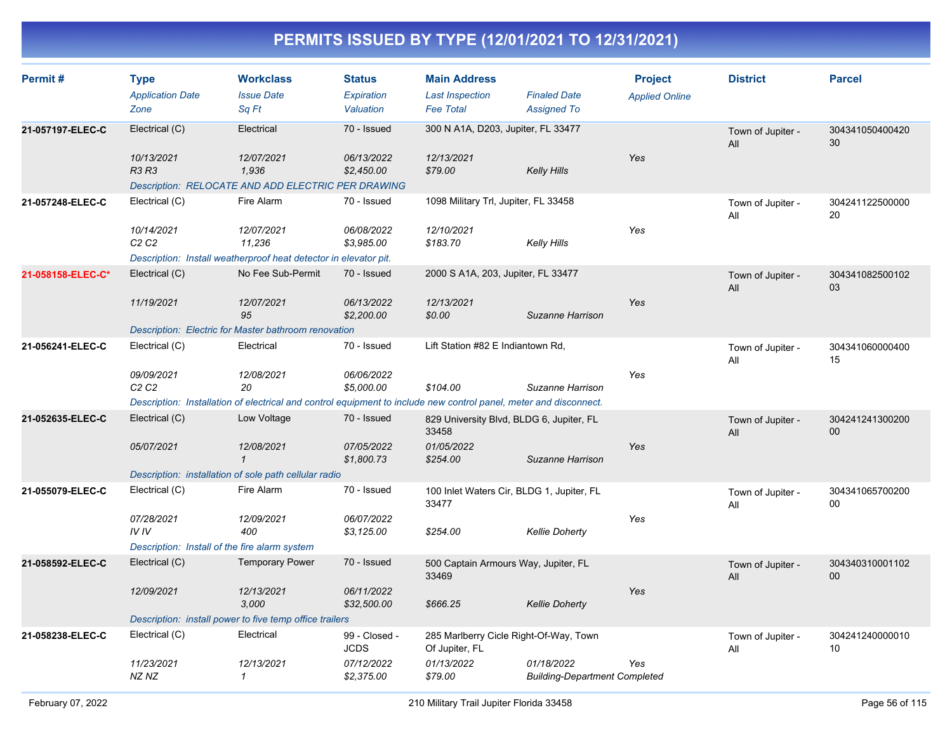| Permit#           | <b>Type</b><br><b>Application Date</b><br>Zone | <b>Workclass</b><br><b>Issue Date</b><br>Sq Ft                                                                    | <b>Status</b><br>Expiration<br>Valuation | <b>Main Address</b><br><b>Last Inspection</b><br><b>Fee Total</b> | <b>Finaled Date</b><br><b>Assigned To</b>          | <b>Project</b><br><b>Applied Online</b> | <b>District</b>          | <b>Parcel</b>         |
|-------------------|------------------------------------------------|-------------------------------------------------------------------------------------------------------------------|------------------------------------------|-------------------------------------------------------------------|----------------------------------------------------|-----------------------------------------|--------------------------|-----------------------|
| 21-057197-ELEC-C  | Electrical (C)                                 | Electrical                                                                                                        | 70 - Issued                              | 300 N A1A, D203, Jupiter, FL 33477                                |                                                    |                                         | Town of Jupiter -<br>All | 304341050400420<br>30 |
|                   | 10/13/2021<br><b>R3 R3</b>                     | 12/07/2021<br>1,936<br>Description: RELOCATE AND ADD ELECTRIC PER DRAWING                                         | 06/13/2022<br>\$2,450.00                 | 12/13/2021<br>\$79.00                                             | <b>Kelly Hills</b>                                 | Yes                                     |                          |                       |
| 21-057248-ELEC-C  | Electrical (C)                                 | Fire Alarm                                                                                                        | 70 - Issued                              | 1098 Military Trl, Jupiter, FL 33458                              |                                                    |                                         | Town of Jupiter -<br>All | 304241122500000<br>20 |
|                   | 10/14/2021<br>C <sub>2</sub> C <sub>2</sub>    | 12/07/2021<br>11,236                                                                                              | 06/08/2022<br>\$3,985.00                 | 12/10/2021<br>\$183.70                                            | Kelly Hills                                        | Yes                                     |                          |                       |
|                   |                                                | Description: Install weatherproof heat detector in elevator pit.                                                  |                                          |                                                                   |                                                    |                                         |                          |                       |
| 21-058158-ELEC-C* | Electrical (C)                                 | No Fee Sub-Permit                                                                                                 | 70 - Issued                              | 2000 S A1A, 203, Jupiter, FL 33477                                |                                                    |                                         | Town of Jupiter -<br>All | 304341082500102<br>03 |
|                   | 11/19/2021                                     | 12/07/2021<br>95                                                                                                  | 06/13/2022<br>\$2,200.00                 | 12/13/2021<br>\$0.00                                              | Suzanne Harrison                                   | Yes                                     |                          |                       |
|                   |                                                | Description: Electric for Master bathroom renovation                                                              |                                          |                                                                   |                                                    |                                         |                          |                       |
| 21-056241-ELEC-C  | Electrical (C)                                 | Electrical                                                                                                        | 70 - Issued                              | Lift Station #82 E Indiantown Rd,                                 |                                                    |                                         | Town of Jupiter -<br>All | 304341060000400<br>15 |
|                   | 09/09/2021<br>C <sub>2</sub> C <sub>2</sub>    | 12/08/2021<br>20                                                                                                  | 06/06/2022<br>\$5,000.00                 | \$104.00                                                          | Suzanne Harrison                                   | Yes                                     |                          |                       |
|                   |                                                | Description: Installation of electrical and control equipment to include new control panel, meter and disconnect. |                                          |                                                                   |                                                    |                                         |                          |                       |
| 21-052635-ELEC-C  | Electrical (C)                                 | Low Voltage                                                                                                       | 70 - Issued                              | 829 University Blvd, BLDG 6, Jupiter, FL<br>33458                 |                                                    |                                         | Town of Jupiter -<br>All | 304241241300200<br>00 |
|                   | 05/07/2021                                     | 12/08/2021<br>$\mathbf 1$                                                                                         | 07/05/2022<br>\$1,800.73                 | 01/05/2022<br>\$254.00                                            | Suzanne Harrison                                   | Yes                                     |                          |                       |
|                   |                                                | Description: installation of sole path cellular radio                                                             |                                          |                                                                   |                                                    |                                         |                          |                       |
| 21-055079-ELEC-C  | Electrical (C)                                 | Fire Alarm                                                                                                        | 70 - Issued                              | 100 Inlet Waters Cir, BLDG 1, Jupiter, FL<br>33477                |                                                    |                                         | Town of Jupiter -<br>All | 304341065700200<br>00 |
|                   | 07/28/2021<br>IVIV                             | 12/09/2021<br>400                                                                                                 | 06/07/2022<br>\$3,125.00                 | \$254.00                                                          | <b>Kellie Doherty</b>                              | Yes                                     |                          |                       |
|                   | Description: Install of the fire alarm system  |                                                                                                                   |                                          |                                                                   |                                                    |                                         |                          |                       |
| 21-058592-ELEC-C  | Electrical (C)                                 | <b>Temporary Power</b>                                                                                            | 70 - Issued                              | 500 Captain Armours Way, Jupiter, FL<br>33469                     |                                                    |                                         | Town of Jupiter -<br>All | 304340310001102<br>00 |
|                   | 12/09/2021                                     | 12/13/2021<br>3,000                                                                                               | 06/11/2022<br>\$32,500.00                | \$666.25                                                          | <b>Kellie Doherty</b>                              | Yes                                     |                          |                       |
|                   |                                                | Description: install power to five temp office trailers                                                           |                                          |                                                                   |                                                    |                                         |                          |                       |
| 21-058238-ELEC-C  | Electrical (C)                                 | Electrical                                                                                                        | 99 - Closed -<br><b>JCDS</b>             | 285 Marlberry Cicle Right-Of-Way, Town<br>Of Jupiter, FL          |                                                    |                                         | Town of Jupiter -<br>All | 304241240000010<br>10 |
|                   | 11/23/2021<br>NZ NZ                            | 12/13/2021<br>$\mathcal I$                                                                                        | 07/12/2022<br>\$2,375.00                 | 01/13/2022<br>\$79.00                                             | 01/18/2022<br><b>Building-Department Completed</b> | Yes                                     |                          |                       |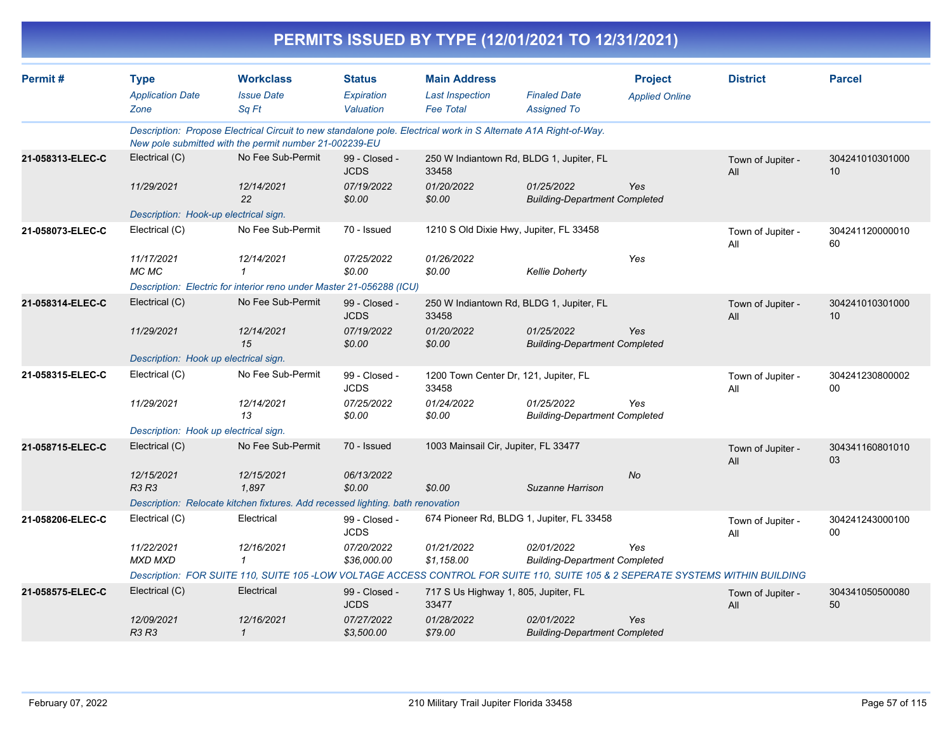| PERMITS ISSUED BY TYPE (12/01/2021 TO 12/31/2021) |                                                |                                                                                                                                                                            |                                          |                                                                   |                                                    |                                         |                          |                       |  |
|---------------------------------------------------|------------------------------------------------|----------------------------------------------------------------------------------------------------------------------------------------------------------------------------|------------------------------------------|-------------------------------------------------------------------|----------------------------------------------------|-----------------------------------------|--------------------------|-----------------------|--|
| Permit#                                           | <b>Type</b><br><b>Application Date</b><br>Zone | <b>Workclass</b><br><b>Issue Date</b><br>Sq Ft                                                                                                                             | <b>Status</b><br>Expiration<br>Valuation | <b>Main Address</b><br><b>Last Inspection</b><br><b>Fee Total</b> | <b>Finaled Date</b><br><b>Assigned To</b>          | <b>Project</b><br><b>Applied Online</b> | <b>District</b>          | <b>Parcel</b>         |  |
|                                                   |                                                | Description: Propose Electrical Circuit to new standalone pole. Electrical work in S Alternate A1A Right-of-Way.<br>New pole submitted with the permit number 21-002239-EU |                                          |                                                                   |                                                    |                                         |                          |                       |  |
| 21-058313-ELEC-C                                  | Electrical (C)                                 | No Fee Sub-Permit                                                                                                                                                          | 99 - Closed -<br><b>JCDS</b>             | 250 W Indiantown Rd, BLDG 1, Jupiter, FL<br>33458                 |                                                    |                                         | Town of Jupiter -<br>All | 304241010301000<br>10 |  |
|                                                   | 11/29/2021                                     | 12/14/2021<br>22                                                                                                                                                           | 07/19/2022<br>\$0.00                     | 01/20/2022<br>\$0.00                                              | 01/25/2022<br><b>Building-Department Completed</b> | Yes                                     |                          |                       |  |
|                                                   | Description: Hook-up electrical sign.          |                                                                                                                                                                            |                                          |                                                                   |                                                    |                                         |                          |                       |  |
| 21-058073-ELEC-C                                  | Electrical (C)                                 | No Fee Sub-Permit                                                                                                                                                          | 70 - Issued                              | 1210 S Old Dixie Hwy, Jupiter, FL 33458                           |                                                    |                                         | Town of Jupiter -<br>All | 304241120000010<br>60 |  |
|                                                   | 11/17/2021<br>MC MC                            | 12/14/2021<br>$\mathcal I$                                                                                                                                                 | 07/25/2022<br>\$0.00                     | 01/26/2022<br>\$0.00                                              | <b>Kellie Doherty</b>                              | Yes                                     |                          |                       |  |
|                                                   |                                                | Description: Electric for interior reno under Master 21-056288 (ICU)                                                                                                       |                                          |                                                                   |                                                    |                                         |                          |                       |  |
| 21-058314-ELEC-C                                  | Electrical (C)                                 | No Fee Sub-Permit                                                                                                                                                          | 99 - Closed -<br><b>JCDS</b>             | 250 W Indiantown Rd, BLDG 1, Jupiter, FL<br>33458                 |                                                    |                                         | Town of Jupiter -<br>All | 304241010301000<br>10 |  |
|                                                   | 11/29/2021                                     | 12/14/2021<br>15                                                                                                                                                           | 07/19/2022<br>\$0.00                     | 01/20/2022<br>\$0.00                                              | 01/25/2022<br><b>Building-Department Completed</b> | Yes                                     |                          |                       |  |
|                                                   | Description: Hook up electrical sign.          |                                                                                                                                                                            |                                          |                                                                   |                                                    |                                         |                          |                       |  |
| 21-058315-ELEC-C                                  | Electrical (C)                                 | No Fee Sub-Permit                                                                                                                                                          | 99 - Closed -<br><b>JCDS</b>             | 1200 Town Center Dr, 121, Jupiter, FL<br>33458                    |                                                    |                                         | Town of Jupiter -<br>All | 304241230800002<br>00 |  |
|                                                   | 11/29/2021                                     | 12/14/2021<br>13                                                                                                                                                           | 07/25/2022<br>\$0.00                     | 01/24/2022<br>\$0.00                                              | 01/25/2022<br><b>Building-Department Completed</b> | Yes                                     |                          |                       |  |
|                                                   | Description: Hook up electrical sign.          |                                                                                                                                                                            |                                          |                                                                   |                                                    |                                         |                          |                       |  |
| 21-058715-ELEC-C                                  | Electrical (C)                                 | No Fee Sub-Permit                                                                                                                                                          | 70 - Issued                              | 1003 Mainsail Cir, Jupiter, FL 33477                              |                                                    |                                         | Town of Jupiter -<br>All | 304341160801010<br>03 |  |
|                                                   | 12/15/2021<br><b>R3 R3</b>                     | 12/15/2021<br>1.897                                                                                                                                                        | 06/13/2022<br>\$0.00                     | \$0.00                                                            | Suzanne Harrison                                   | No                                      |                          |                       |  |
|                                                   |                                                | Description: Relocate kitchen fixtures. Add recessed lighting. bath renovation                                                                                             |                                          |                                                                   |                                                    |                                         |                          |                       |  |
| 21-058206-ELEC-C                                  | Electrical (C)                                 | Electrical                                                                                                                                                                 | 99 - Closed -<br><b>JCDS</b>             | 674 Pioneer Rd, BLDG 1, Jupiter, FL 33458                         |                                                    |                                         | Town of Jupiter -<br>All | 304241243000100<br>00 |  |
|                                                   | 11/22/2021<br><b>MXD MXD</b>                   | 12/16/2021<br>$\mathcal I$                                                                                                                                                 | 07/20/2022<br>\$36,000.00                | 01/21/2022<br>\$1,158.00                                          | 02/01/2022<br><b>Building-Department Completed</b> | Yes                                     |                          |                       |  |
|                                                   |                                                | Description: FOR SUITE 110, SUITE 105-LOW VOLTAGE ACCESS CONTROL FOR SUITE 110, SUITE 105 & 2 SEPERATE SYSTEMS WITHIN BUILDING                                             |                                          |                                                                   |                                                    |                                         |                          |                       |  |
| 21-058575-ELEC-C                                  | Electrical (C)                                 | Electrical                                                                                                                                                                 | 99 - Closed -<br><b>JCDS</b>             | 717 S Us Highway 1, 805, Jupiter, FL<br>33477                     |                                                    |                                         | Town of Jupiter -<br>All | 304341050500080<br>50 |  |
|                                                   | 12/09/2021<br><b>R3 R3</b>                     | 12/16/2021<br>$\mathcal{I}$                                                                                                                                                | 07/27/2022<br>\$3,500.00                 | 01/28/2022<br>\$79.00                                             | 02/01/2022<br><b>Building-Department Completed</b> | Yes                                     |                          |                       |  |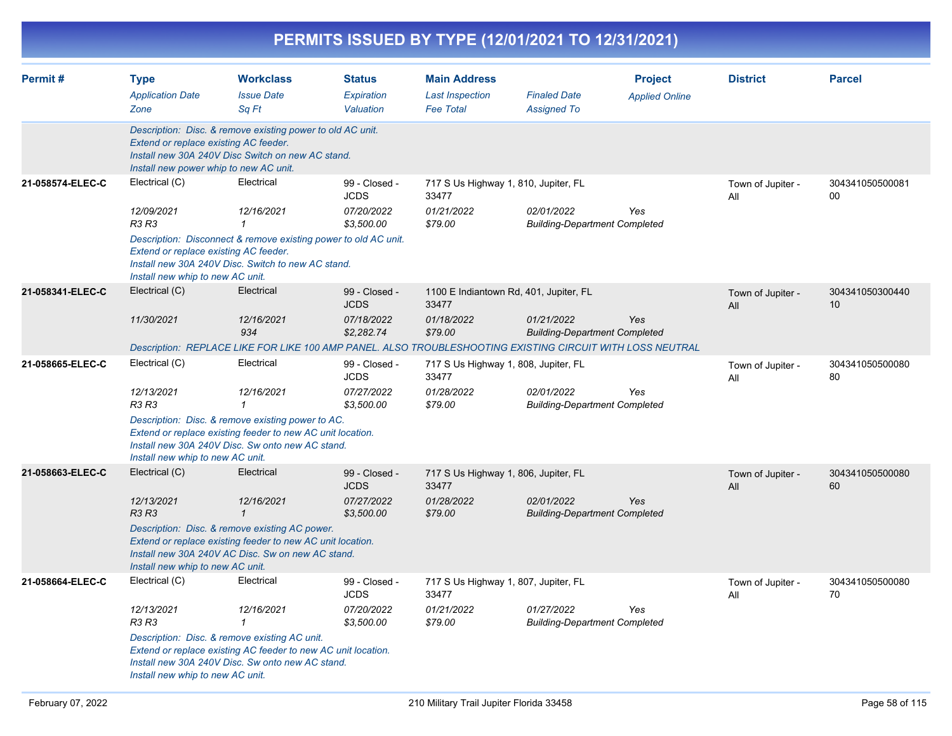|                  |                                                                                                  |                                                                                                                                                                     |                                          |                                                                   | PERMITS ISSUED BY TYPE (12/01/2021 TO 12/31/2021)  |                                         |                          |                       |
|------------------|--------------------------------------------------------------------------------------------------|---------------------------------------------------------------------------------------------------------------------------------------------------------------------|------------------------------------------|-------------------------------------------------------------------|----------------------------------------------------|-----------------------------------------|--------------------------|-----------------------|
| Permit#          | <b>Type</b><br><b>Application Date</b><br>Zone                                                   | <b>Workclass</b><br><b>Issue Date</b><br>Sq Ft                                                                                                                      | <b>Status</b><br>Expiration<br>Valuation | <b>Main Address</b><br><b>Last Inspection</b><br><b>Fee Total</b> | <b>Finaled Date</b><br><b>Assigned To</b>          | <b>Project</b><br><b>Applied Online</b> | <b>District</b>          | <b>Parcel</b>         |
|                  | Extend or replace existing AC feeder.<br>Install new power whip to new AC unit.                  | Description: Disc. & remove existing power to old AC unit.<br>Install new 30A 240V Disc Switch on new AC stand.                                                     |                                          |                                                                   |                                                    |                                         |                          |                       |
| 21-058574-ELEC-C | Electrical (C)                                                                                   | Electrical                                                                                                                                                          | 99 - Closed -<br><b>JCDS</b>             | 717 S Us Highway 1, 810, Jupiter, FL<br>33477                     |                                                    |                                         | Town of Jupiter -<br>All | 304341050500081<br>00 |
|                  | 12/09/2021<br>R3 R3<br>Extend or replace existing AC feeder.<br>Install new whip to new AC unit. | 12/16/2021<br>1<br>Description: Disconnect & remove existing power to old AC unit.<br>Install new 30A 240V Disc. Switch to new AC stand.                            | 07/20/2022<br>\$3,500.00                 | 01/21/2022<br>\$79.00                                             | 02/01/2022<br><b>Building-Department Completed</b> | Yes                                     |                          |                       |
| 21-058341-ELEC-C | Electrical (C)                                                                                   | Electrical                                                                                                                                                          | 99 - Closed -<br><b>JCDS</b>             | 1100 E Indiantown Rd, 401, Jupiter, FL<br>33477                   |                                                    |                                         | Town of Jupiter -<br>All | 304341050300440<br>10 |
|                  | 11/30/2021                                                                                       | 12/16/2021<br>934                                                                                                                                                   | 07/18/2022<br>\$2,282.74                 | 01/18/2022<br>\$79.00                                             | 01/21/2022<br><b>Building-Department Completed</b> | Yes                                     |                          |                       |
|                  |                                                                                                  | Description: REPLACE LIKE FOR LIKE 100 AMP PANEL. ALSO TROUBLESHOOTING EXISTING CIRCUIT WITH LOSS NEUTRAL                                                           |                                          |                                                                   |                                                    |                                         |                          |                       |
| 21-058665-ELEC-C | Electrical (C)                                                                                   | Electrical                                                                                                                                                          | 99 - Closed -<br><b>JCDS</b>             | 717 S Us Highway 1, 808, Jupiter, FL<br>33477                     |                                                    |                                         | Town of Jupiter -<br>All | 304341050500080<br>80 |
|                  | 12/13/2021<br>R3 R3                                                                              | 12/16/2021<br>1                                                                                                                                                     | 07/27/2022<br>\$3,500.00                 | 01/28/2022<br>\$79.00                                             | 02/01/2022<br><b>Building-Department Completed</b> | Yes                                     |                          |                       |
|                  | Install new whip to new AC unit.                                                                 | Description: Disc. & remove existing power to AC.<br>Extend or replace existing feeder to new AC unit location.<br>Install new 30A 240V Disc. Sw onto new AC stand. |                                          |                                                                   |                                                    |                                         |                          |                       |
| 21-058663-ELEC-C | Electrical (C)                                                                                   | Electrical                                                                                                                                                          | 99 - Closed -<br><b>JCDS</b>             | 717 S Us Highway 1, 806, Jupiter, FL<br>33477                     |                                                    |                                         | Town of Jupiter -<br>All | 304341050500080<br>60 |
|                  | 12/13/2021<br>R3 R3                                                                              | 12/16/2021<br>$\mathbf{1}$                                                                                                                                          | 07/27/2022<br>\$3,500.00                 | 01/28/2022<br>\$79.00                                             | 02/01/2022<br><b>Building-Department Completed</b> | Yes                                     |                          |                       |
|                  | Install new whip to new AC unit.                                                                 | Description: Disc. & remove existing AC power.<br>Extend or replace existing feeder to new AC unit location.<br>Install new 30A 240V AC Disc. Sw on new AC stand.   |                                          |                                                                   |                                                    |                                         |                          |                       |
| 21-058664-ELEC-C | Electrical (C)                                                                                   | Electrical                                                                                                                                                          | 99 - Closed -<br>JCDS                    | 717 S Us Highway 1, 807, Jupiter, FL<br>33477                     |                                                    |                                         | Town of Jupiter -<br>All | 304341050500080<br>70 |
|                  | 12/13/2021<br>R3 R3                                                                              | 12/16/2021<br>1                                                                                                                                                     | 07/20/2022<br>\$3,500.00                 | 01/21/2022<br>\$79.00                                             | 01/27/2022<br><b>Building-Department Completed</b> | Yes                                     |                          |                       |
|                  | Install new whip to new AC unit.                                                                 | Description: Disc. & remove existing AC unit.<br>Extend or replace existing AC feeder to new AC unit location.<br>Install new 30A 240V Disc. Sw onto new AC stand.  |                                          |                                                                   |                                                    |                                         |                          |                       |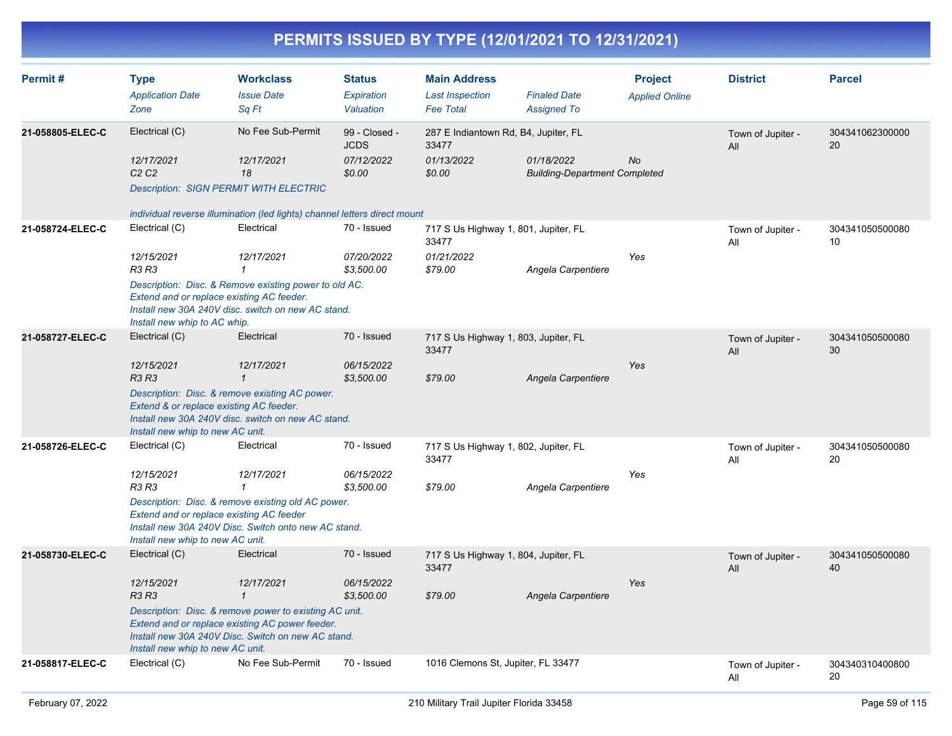| Permit#          | <b>Type</b><br><b>Application Date</b><br>Zone                                                                              | <b>Workclass</b><br><b>Issue Date</b><br>Sq Ft                                                                                                                                                              | <b>Status</b><br>Expiration<br>Valuation             | <b>Main Address</b><br><b>Last Inspection</b><br><b>Fee Total</b>      | <b>Finaled Date</b><br><b>Assigned To</b>          | <b>Project</b><br><b>Applied Online</b> | <b>District</b>          | <b>Parcel</b>         |
|------------------|-----------------------------------------------------------------------------------------------------------------------------|-------------------------------------------------------------------------------------------------------------------------------------------------------------------------------------------------------------|------------------------------------------------------|------------------------------------------------------------------------|----------------------------------------------------|-----------------------------------------|--------------------------|-----------------------|
| 21-058805-ELEC-C | Electrical (C)<br>12/17/2021<br>C2C2<br><b>Description: SIGN PERMIT WITH ELECTRIC</b>                                       | No Fee Sub-Permit<br>12/17/2021<br>18<br>individual reverse illumination (led lights) channel letters direct mount                                                                                          | 99 - Closed -<br><b>JCDS</b><br>07/12/2022<br>\$0.00 | 287 E Indiantown Rd, B4, Jupiter, FL<br>33477<br>01/13/2022<br>\$0.00  | 01/18/2022<br><b>Building-Department Completed</b> | No                                      | Town of Jupiter -<br>All | 304341062300000<br>20 |
| 21-058724-ELEC-C | Electrical (C)<br>12/15/2021<br><b>R3 R3</b><br>Extend and or replace existing AC feeder.<br>Install new whip to AC whip.   | Electrical<br>12/17/2021<br>$\mathbf{1}$<br>Description: Disc. & Remove existing power to old AC.<br>Install new 30A 240V disc. switch on new AC stand.                                                     | 70 - Issued<br>07/20/2022<br>\$3,500.00              | 717 S Us Highway 1, 801, Jupiter, FL<br>33477<br>01/21/2022<br>\$79.00 | Angela Carpentiere                                 | Yes                                     | Town of Jupiter -<br>All | 304341050500080<br>10 |
| 21-058727-ELEC-C | Electrical (C)<br>12/15/2021<br><b>R3 R3</b><br>Extend & or replace existing AC feeder.<br>Install new whip to new AC unit. | Electrical<br>12/17/2021<br>$\mathbf{1}$<br>Description: Disc. & remove existing AC power.<br>Install new 30A 240V disc. switch on new AC stand.                                                            | 70 - Issued<br>06/15/2022<br>\$3,500.00              | 717 S Us Highway 1, 803, Jupiter, FL<br>33477<br>\$79.00               | Angela Carpentiere                                 | Yes                                     | Town of Jupiter -<br>All | 304341050500080<br>30 |
| 21-058726-ELEC-C | Electrical (C)<br>12/15/2021<br>R3 R3<br>Extend and or replace existing AC feeder<br>Install new whip to new AC unit.       | Electrical<br>12/17/2021<br>$\mathcal I$<br>Description: Disc. & remove existing old AC power.<br>Install new 30A 240V Disc. Switch onto new AC stand.                                                      | 70 - Issued<br>06/15/2022<br>\$3,500.00              | 717 S Us Highway 1, 802, Jupiter, FL<br>33477<br>\$79.00               | Angela Carpentiere                                 | Yes                                     | Town of Jupiter -<br>All | 304341050500080<br>20 |
| 21-058730-ELEC-C | Electrical (C)<br>12/15/2021<br><b>R3 R3</b><br>Install new whip to new AC unit.                                            | Electrical<br>12/17/2021<br>$\mathbf{1}$<br>Description: Disc. & remove power to existing AC unit.<br>Extend and or replace existing AC power feeder.<br>Install new 30A 240V Disc. Switch on new AC stand. | 70 - Issued<br>06/15/2022<br>\$3,500.00              | 717 S Us Highway 1, 804, Jupiter, FL<br>33477<br>\$79.00               | Angela Carpentiere                                 | Yes                                     | Town of Jupiter -<br>All | 304341050500080<br>40 |
| 21-058817-ELEC-C | Electrical (C)                                                                                                              | No Fee Sub-Permit                                                                                                                                                                                           | 70 - Issued                                          | 1016 Clemons St, Jupiter, FL 33477                                     |                                                    |                                         | Town of Jupiter -<br>All | 304340310400800<br>20 |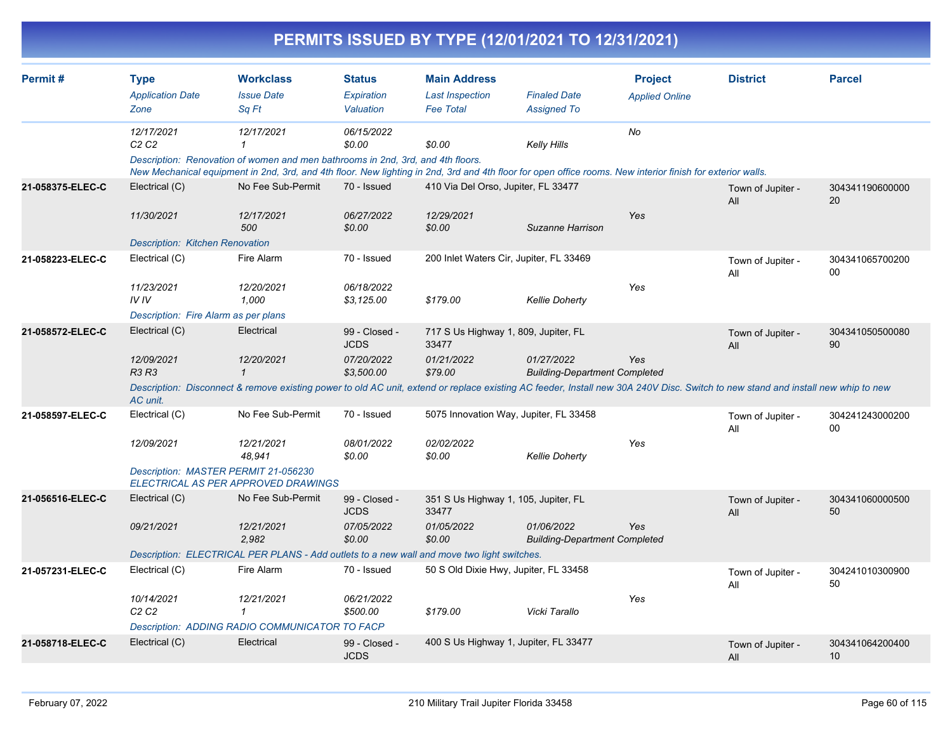|                  |                                                                              |                                                                                                                                                                                                                                                             |                                                          | PERMITS ISSUED BY TYPE (12/01/2021 TO 12/31/2021)                      |                                                    |                                         |                          |                       |
|------------------|------------------------------------------------------------------------------|-------------------------------------------------------------------------------------------------------------------------------------------------------------------------------------------------------------------------------------------------------------|----------------------------------------------------------|------------------------------------------------------------------------|----------------------------------------------------|-----------------------------------------|--------------------------|-----------------------|
| Permit #         | <b>Type</b><br><b>Application Date</b><br>Zone                               | <b>Workclass</b><br><b>Issue Date</b><br>Sa Ft                                                                                                                                                                                                              | <b>Status</b><br>Expiration<br>Valuation                 | <b>Main Address</b><br><b>Last Inspection</b><br><b>Fee Total</b>      | <b>Finaled Date</b><br><b>Assigned To</b>          | <b>Project</b><br><b>Applied Online</b> | <b>District</b>          | <b>Parcel</b>         |
|                  | 12/17/2021<br>C2C2                                                           | 12/17/2021<br>Description: Renovation of women and men bathrooms in 2nd, 3rd, and 4th floors.<br>New Mechanical equipment in 2nd, 3rd, and 4th floor. New lighting in 2nd, 3rd and 4th floor for open office rooms. New interior finish for exterior walls. | 06/15/2022<br>\$0.00                                     | \$0.00                                                                 | Kelly Hills                                        | No                                      |                          |                       |
| 21-058375-ELEC-C | Electrical (C)<br>11/30/2021<br><b>Description: Kitchen Renovation</b>       | No Fee Sub-Permit<br>12/17/2021<br>500                                                                                                                                                                                                                      | 70 - Issued<br>06/27/2022<br>\$0.00                      | 410 Via Del Orso, Jupiter, FL 33477<br>12/29/2021<br>\$0.00            | Suzanne Harrison                                   | Yes                                     | Town of Jupiter -<br>All | 304341190600000<br>20 |
| 21-058223-ELEC-C | Electrical (C)<br>11/23/2021<br>IVIV<br>Description: Fire Alarm as per plans | Fire Alarm<br>12/20/2021<br>1,000                                                                                                                                                                                                                           | 70 - Issued<br>06/18/2022<br>\$3,125.00                  | 200 Inlet Waters Cir, Jupiter, FL 33469<br>\$179.00                    | <b>Kellie Doherty</b>                              | Yes                                     | Town of Jupiter -<br>All | 304341065700200<br>00 |
| 21-058572-ELEC-C | Electrical (C)<br>12/09/2021<br>R3 R3<br>AC unit.                            | Electrical<br>12/20/2021<br>$\mathbf{1}$<br>Description: Disconnect & remove existing power to old AC unit, extend or replace existing AC feeder, Install new 30A 240V Disc. Switch to new stand and install new whip to new                                | 99 - Closed -<br><b>JCDS</b><br>07/20/2022<br>\$3,500.00 | 717 S Us Highway 1, 809, Jupiter, FL<br>33477<br>01/21/2022<br>\$79.00 | 01/27/2022<br><b>Building-Department Completed</b> | Yes                                     | Town of Jupiter -<br>All | 304341050500080<br>90 |
| 21-058597-ELEC-C | Electrical (C)<br>12/09/2021<br>Description: MASTER PERMIT 21-056230         | No Fee Sub-Permit<br>12/21/2021<br>48,941<br><b>ELECTRICAL AS PER APPROVED DRAWINGS</b>                                                                                                                                                                     | 70 - Issued<br>08/01/2022<br>\$0.00                      | 5075 Innovation Way, Jupiter, FL 33458<br>02/02/2022<br>\$0.00         | <b>Kellie Doherty</b>                              | Yes                                     | Town of Jupiter -<br>All | 304241243000200<br>00 |
| 21-056516-ELEC-C | Electrical (C)<br>09/21/2021                                                 | No Fee Sub-Permit<br>12/21/2021<br>2,982<br>Description: ELECTRICAL PER PLANS - Add outlets to a new wall and move two light switches.                                                                                                                      | 99 - Closed -<br><b>JCDS</b><br>07/05/2022<br>\$0.00     | 351 S Us Highway 1, 105, Jupiter, FL<br>33477<br>01/05/2022<br>\$0.00  | 01/06/2022<br><b>Building-Department Completed</b> | Yes                                     | Town of Jupiter -<br>All | 304341060000500<br>50 |
| 21-057231-ELEC-C | Electrical (C)<br>10/14/2021<br>C2C2                                         | Fire Alarm<br>12/21/2021<br>$\mathbf{1}$<br><b>Description: ADDING RADIO COMMUNICATOR TO FACP</b>                                                                                                                                                           | 70 - Issued<br>06/21/2022<br>\$500.00                    | 50 S Old Dixie Hwy, Jupiter, FL 33458<br>\$179.00                      | Vicki Tarallo                                      | Yes                                     | Town of Jupiter -<br>All | 304241010300900<br>50 |
| 21-058718-ELEC-C | Electrical (C)                                                               | Electrical                                                                                                                                                                                                                                                  | 99 - Closed -<br><b>JCDS</b>                             | 400 S Us Highway 1, Jupiter, FL 33477                                  |                                                    |                                         | Town of Jupiter -<br>All | 304341064200400<br>10 |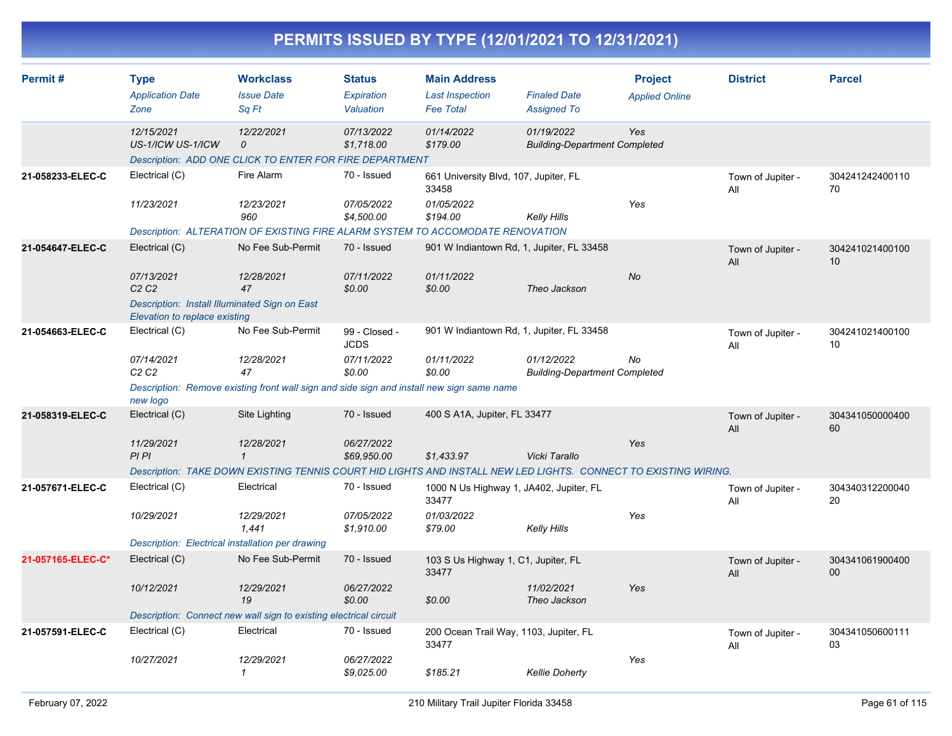|                   |                                                                                |                                                                                           |                                          | PERMITS ISSUED BY TYPE (12/01/2021 TO 12/31/2021)                                                               |                                                    |                                         |                          |                       |
|-------------------|--------------------------------------------------------------------------------|-------------------------------------------------------------------------------------------|------------------------------------------|-----------------------------------------------------------------------------------------------------------------|----------------------------------------------------|-----------------------------------------|--------------------------|-----------------------|
| Permit#           | <b>Type</b><br><b>Application Date</b><br>Zone                                 | <b>Workclass</b><br><b>Issue Date</b><br>Sq Ft                                            | <b>Status</b><br>Expiration<br>Valuation | <b>Main Address</b><br><b>Last Inspection</b><br><b>Fee Total</b>                                               | <b>Finaled Date</b><br><b>Assigned To</b>          | <b>Project</b><br><b>Applied Online</b> | <b>District</b>          | <b>Parcel</b>         |
|                   | 12/15/2021<br>US-1/ICW US-1/ICW                                                | 12/22/2021<br>$\Omega$                                                                    | 07/13/2022<br>\$1,718.00                 | 01/14/2022<br>\$179.00                                                                                          | 01/19/2022<br><b>Building-Department Completed</b> | Yes                                     |                          |                       |
|                   |                                                                                | Description: ADD ONE CLICK TO ENTER FOR FIRE DEPARTMENT                                   |                                          |                                                                                                                 |                                                    |                                         |                          |                       |
| 21-058233-ELEC-C  | Electrical (C)                                                                 | Fire Alarm                                                                                | 70 - Issued                              | 661 University Blvd, 107, Jupiter, FL<br>33458                                                                  |                                                    |                                         | Town of Jupiter -<br>All | 304241242400110<br>70 |
|                   | 11/23/2021                                                                     | 12/23/2021<br>960                                                                         | 07/05/2022<br>\$4,500.00                 | 01/05/2022<br>\$194.00                                                                                          | <b>Kelly Hills</b>                                 | Yes                                     |                          |                       |
|                   |                                                                                |                                                                                           |                                          | Description: ALTERATION OF EXISTING FIRE ALARM SYSTEM TO ACCOMODATE RENOVATION                                  |                                                    |                                         |                          |                       |
| 21-054647-ELEC-C  | Electrical (C)                                                                 | No Fee Sub-Permit                                                                         | 70 - Issued                              | 901 W Indiantown Rd, 1, Jupiter, FL 33458                                                                       |                                                    |                                         | Town of Jupiter -<br>All | 304241021400100<br>10 |
|                   | 07/13/2021<br>C <sub>2</sub> C <sub>2</sub>                                    | 12/28/2021<br>47                                                                          | 07/11/2022<br>\$0.00                     | 01/11/2022<br>\$0.00                                                                                            | Theo Jackson                                       | No                                      |                          |                       |
|                   | Description: Install Illuminated Sign on East<br>Elevation to replace existing |                                                                                           |                                          |                                                                                                                 |                                                    |                                         |                          |                       |
| 21-054663-ELEC-C  | Electrical (C)                                                                 | No Fee Sub-Permit                                                                         | 99 - Closed -<br><b>JCDS</b>             | 901 W Indiantown Rd, 1, Jupiter, FL 33458                                                                       |                                                    |                                         | Town of Jupiter -<br>All | 304241021400100<br>10 |
|                   | 07/14/2021<br>C2C2                                                             | 12/28/2021<br>47                                                                          | 07/11/2022<br>\$0.00                     | 01/11/2022<br>\$0.00                                                                                            | 01/12/2022<br><b>Building-Department Completed</b> | No                                      |                          |                       |
|                   | new logo                                                                       | Description: Remove existing front wall sign and side sign and install new sign same name |                                          |                                                                                                                 |                                                    |                                         |                          |                       |
| 21-058319-ELEC-C  | Electrical (C)                                                                 | Site Lighting                                                                             | 70 - Issued                              | 400 S A1A, Jupiter, FL 33477                                                                                    |                                                    |                                         | Town of Jupiter -<br>All | 304341050000400<br>60 |
|                   | 11/29/2021<br>PIPI                                                             | 12/28/2021<br>$\mathbf{1}$                                                                | 06/27/2022<br>\$69,950.00                | \$1,433.97                                                                                                      | Vicki Tarallo                                      | Yes                                     |                          |                       |
|                   |                                                                                |                                                                                           |                                          | Description: TAKE DOWN EXISTING TENNIS COURT HID LIGHTS AND INSTALL NEW LED LIGHTS. CONNECT TO EXISTING WIRING. |                                                    |                                         |                          |                       |
| 21-057671-ELEC-C  | Electrical (C)                                                                 | Electrical                                                                                | 70 - Issued                              | 1000 N Us Highway 1, JA402, Jupiter, FL<br>33477                                                                |                                                    |                                         | Town of Jupiter -<br>All | 304340312200040<br>20 |
|                   | 10/29/2021                                                                     | 12/29/2021<br>1,441                                                                       | 07/05/2022<br>\$1,910.00                 | 01/03/2022<br>\$79.00                                                                                           | <b>Kelly Hills</b>                                 | Yes                                     |                          |                       |
|                   |                                                                                | Description: Electrical installation per drawing                                          |                                          |                                                                                                                 |                                                    |                                         |                          |                       |
| 21-057165-ELEC-C* | Electrical (C)                                                                 | No Fee Sub-Permit                                                                         | 70 - Issued                              | 103 S Us Highway 1, C1, Jupiter, FL<br>33477                                                                    |                                                    |                                         | Town of Jupiter -<br>All | 304341061900400<br>00 |
|                   | 10/12/2021                                                                     | 12/29/2021<br>19                                                                          | 06/27/2022<br>\$0.00                     | \$0.00                                                                                                          | 11/02/2021<br>Theo Jackson                         | Yes                                     |                          |                       |
|                   |                                                                                | Description: Connect new wall sign to existing electrical circuit                         |                                          |                                                                                                                 |                                                    |                                         |                          |                       |
| 21-057591-ELEC-C  | Electrical (C)                                                                 | Electrical                                                                                | 70 - Issued                              | 200 Ocean Trail Way, 1103, Jupiter, FL<br>33477                                                                 |                                                    |                                         | Town of Jupiter -<br>All | 304341050600111<br>03 |
|                   | 10/27/2021                                                                     | 12/29/2021<br>$\mathbf{1}$                                                                | 06/27/2022<br>\$9,025.00                 | \$185.21                                                                                                        | <b>Kellie Doherty</b>                              | Yes                                     |                          |                       |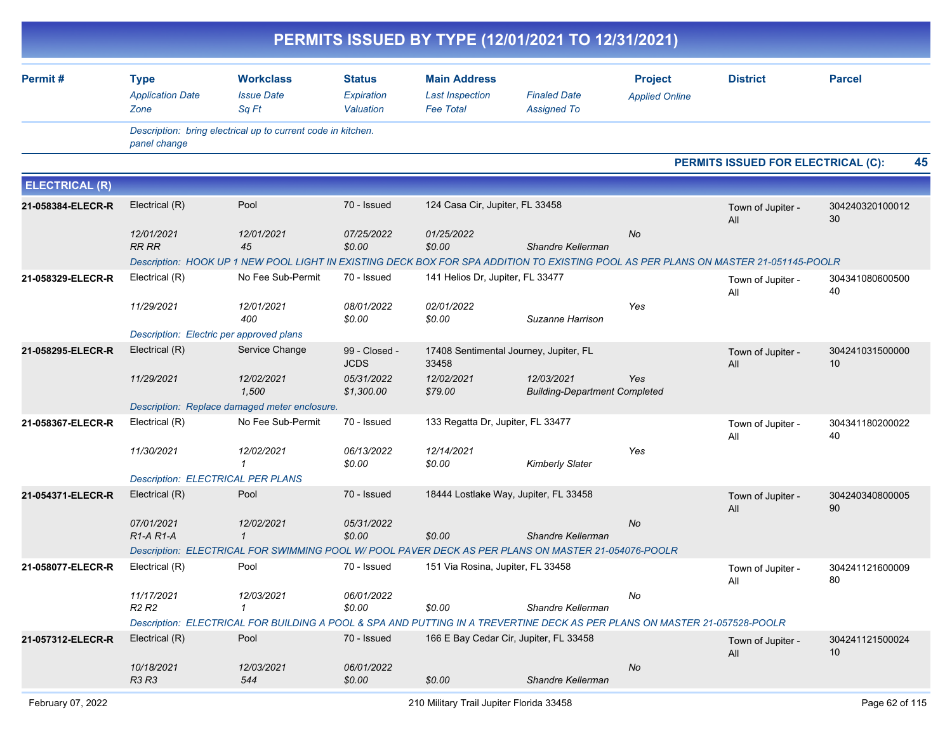|                       |                                                  |                                                                                                                                     |                                          | PERMITS ISSUED BY TYPE (12/01/2021 TO 12/31/2021)                 |                                                    |                                         |                                    |                       |
|-----------------------|--------------------------------------------------|-------------------------------------------------------------------------------------------------------------------------------------|------------------------------------------|-------------------------------------------------------------------|----------------------------------------------------|-----------------------------------------|------------------------------------|-----------------------|
| Permit#               | <b>Type</b><br><b>Application Date</b><br>Zone   | <b>Workclass</b><br><b>Issue Date</b><br>Sq Ft                                                                                      | <b>Status</b><br>Expiration<br>Valuation | <b>Main Address</b><br><b>Last Inspection</b><br><b>Fee Total</b> | <b>Finaled Date</b><br><b>Assigned To</b>          | <b>Project</b><br><b>Applied Online</b> | <b>District</b>                    | <b>Parcel</b>         |
|                       | panel change                                     | Description: bring electrical up to current code in kitchen.                                                                        |                                          |                                                                   |                                                    |                                         |                                    |                       |
|                       |                                                  |                                                                                                                                     |                                          |                                                                   |                                                    |                                         | PERMITS ISSUED FOR ELECTRICAL (C): | 45                    |
| <b>ELECTRICAL (R)</b> |                                                  |                                                                                                                                     |                                          |                                                                   |                                                    |                                         |                                    |                       |
| 21-058384-ELECR-R     | Electrical (R)                                   | Pool                                                                                                                                | 70 - Issued                              | 124 Casa Cir, Jupiter, FL 33458                                   |                                                    |                                         | Town of Jupiter -<br>All           | 304240320100012<br>30 |
|                       | 12/01/2021<br><b>RR RR</b>                       | 12/01/2021<br>45                                                                                                                    | 07/25/2022<br>\$0.00                     | 01/25/2022<br>\$0.00                                              | Shandre Kellerman                                  | <b>No</b>                               |                                    |                       |
|                       |                                                  | Description: HOOK UP 1 NEW POOL LIGHT IN EXISTING DECK BOX FOR SPA ADDITION TO EXISTING POOL AS PER PLANS ON MASTER 21-051145-POOLR |                                          |                                                                   |                                                    |                                         |                                    |                       |
| 21-058329-ELECR-R     | Electrical (R)                                   | No Fee Sub-Permit                                                                                                                   | 70 - Issued                              | 141 Helios Dr, Jupiter, FL 33477                                  |                                                    |                                         | Town of Jupiter -<br>All           | 304341080600500<br>40 |
|                       | 11/29/2021                                       | 12/01/2021<br>400                                                                                                                   | 08/01/2022<br>\$0.00                     | 02/01/2022<br>\$0.00                                              | Suzanne Harrison                                   | Yes                                     |                                    |                       |
|                       | Description: Electric per approved plans         |                                                                                                                                     |                                          |                                                                   |                                                    |                                         |                                    |                       |
| 21-058295-ELECR-R     | Electrical (R)                                   | Service Change                                                                                                                      | 99 - Closed -<br><b>JCDS</b>             | 33458                                                             | 17408 Sentimental Journey, Jupiter, FL             |                                         | Town of Jupiter -<br>All           | 304241031500000<br>10 |
|                       | 11/29/2021                                       | 12/02/2021<br>1,500                                                                                                                 | 05/31/2022<br>\$1,300.00                 | 12/02/2021<br>\$79.00                                             | 12/03/2021<br><b>Building-Department Completed</b> | Yes                                     |                                    |                       |
|                       |                                                  | Description: Replace damaged meter enclosure.                                                                                       |                                          |                                                                   |                                                    |                                         |                                    |                       |
| 21-058367-ELECR-R     | Electrical (R)                                   | No Fee Sub-Permit                                                                                                                   | 70 - Issued                              | 133 Regatta Dr, Jupiter, FL 33477                                 |                                                    |                                         | Town of Jupiter -<br>All           | 304341180200022<br>40 |
|                       | 11/30/2021                                       | 12/02/2021<br>$\mathbf{1}$                                                                                                          | 06/13/2022<br>\$0.00                     | 12/14/2021<br>\$0.00                                              | <b>Kimberly Slater</b>                             | Yes                                     |                                    |                       |
|                       | <b>Description: ELECTRICAL PER PLANS</b>         |                                                                                                                                     |                                          |                                                                   |                                                    |                                         |                                    |                       |
| 21-054371-ELECR-R     | Electrical (R)                                   | Pool                                                                                                                                | 70 - Issued                              |                                                                   | 18444 Lostlake Way, Jupiter, FL 33458              |                                         | Town of Jupiter -<br>All           | 304240340800005<br>90 |
|                       | 07/01/2021<br>R <sub>1</sub> -A <sub>R1</sub> -A | 12/02/2021<br>$\mathbf{1}$                                                                                                          | 05/31/2022<br>\$0.00                     | \$0.00                                                            | Shandre Kellerman                                  | No                                      |                                    |                       |
|                       |                                                  | Description: ELECTRICAL FOR SWIMMING POOL W/ POOL PAVER DECK AS PER PLANS ON MASTER 21-054076-POOLR                                 |                                          |                                                                   |                                                    |                                         |                                    |                       |
| 21-058077-ELECR-R     | Electrical (R)                                   | Pool                                                                                                                                | 70 - Issued                              | 151 Via Rosina, Jupiter, FL 33458                                 |                                                    |                                         | Town of Jupiter -<br>All           | 304241121600009<br>80 |
|                       | 11/17/2021<br>R <sub>2</sub> R <sub>2</sub>      | 12/03/2021<br>$\mathbf{1}$                                                                                                          | 06/01/2022<br>\$0.00                     | \$0.00                                                            | Shandre Kellerman                                  | No                                      |                                    |                       |
|                       |                                                  | Description: ELECTRICAL FOR BUILDING A POOL & SPA AND PUTTING IN A TREVERTINE DECK AS PER PLANS ON MASTER 21-057528-POOLR           |                                          |                                                                   |                                                    |                                         |                                    |                       |
| 21-057312-ELECR-R     | Electrical (R)                                   | Pool                                                                                                                                | 70 - Issued                              |                                                                   | 166 E Bay Cedar Cir, Jupiter, FL 33458             |                                         | Town of Jupiter -<br>All           | 304241121500024<br>10 |
|                       | 10/18/2021<br>R3 R3                              | 12/03/2021<br>544                                                                                                                   | 06/01/2022<br>\$0.00                     | \$0.00                                                            | Shandre Kellerman                                  | No                                      |                                    |                       |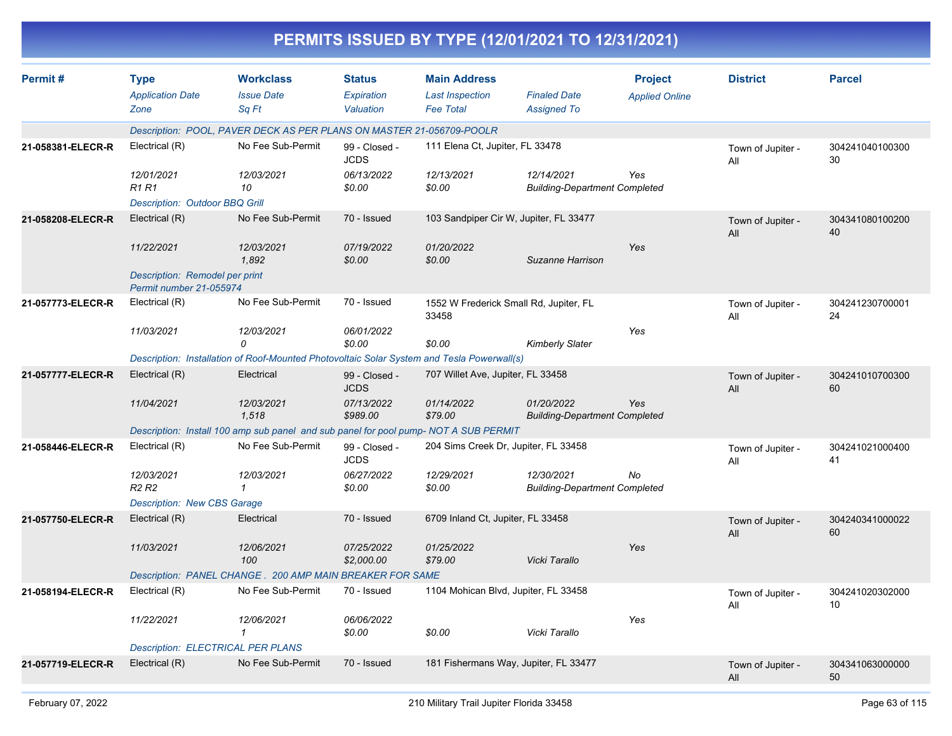|                   |                                                           |                                                                                            |                                          |                                                                   | PERMITS ISSUED BY TYPE (12/01/2021 TO 12/31/2021)  |                                         |                          |                       |
|-------------------|-----------------------------------------------------------|--------------------------------------------------------------------------------------------|------------------------------------------|-------------------------------------------------------------------|----------------------------------------------------|-----------------------------------------|--------------------------|-----------------------|
| Permit#           | <b>Type</b><br><b>Application Date</b><br>Zone            | <b>Workclass</b><br><b>Issue Date</b><br>Sq Ft                                             | <b>Status</b><br>Expiration<br>Valuation | <b>Main Address</b><br><b>Last Inspection</b><br><b>Fee Total</b> | <b>Finaled Date</b><br><b>Assigned To</b>          | <b>Project</b><br><b>Applied Online</b> | <b>District</b>          | <b>Parcel</b>         |
|                   |                                                           | Description: POOL, PAVER DECK AS PER PLANS ON MASTER 21-056709-POOLR                       |                                          |                                                                   |                                                    |                                         |                          |                       |
| 21-058381-ELECR-R | Electrical (R)                                            | No Fee Sub-Permit                                                                          | 99 - Closed -<br><b>JCDS</b>             | 111 Elena Ct, Jupiter, FL 33478                                   |                                                    |                                         | Town of Jupiter -<br>All | 304241040100300<br>30 |
|                   | 12/01/2021<br><b>R1 R1</b>                                | 12/03/2021<br>10                                                                           | 06/13/2022<br>\$0.00                     | 12/13/2021<br>\$0.00                                              | 12/14/2021<br><b>Building-Department Completed</b> | Yes                                     |                          |                       |
|                   | <b>Description: Outdoor BBQ Grill</b>                     |                                                                                            |                                          |                                                                   |                                                    |                                         |                          |                       |
| 21-058208-ELECR-R | Electrical (R)                                            | No Fee Sub-Permit                                                                          | 70 - Issued                              |                                                                   | 103 Sandpiper Cir W, Jupiter, FL 33477             |                                         | Town of Jupiter -<br>All | 304341080100200<br>40 |
|                   | 11/22/2021                                                | 12/03/2021<br>1,892                                                                        | 07/19/2022<br>\$0.00                     | 01/20/2022<br>\$0.00                                              | Suzanne Harrison                                   | Yes                                     |                          |                       |
|                   | Description: Remodel per print<br>Permit number 21-055974 |                                                                                            |                                          |                                                                   |                                                    |                                         |                          |                       |
| 21-057773-ELECR-R | Electrical (R)                                            | No Fee Sub-Permit                                                                          | 70 - Issued                              | 1552 W Frederick Small Rd, Jupiter, FL<br>33458                   |                                                    |                                         | Town of Jupiter -<br>Αll | 304241230700001<br>24 |
|                   | 11/03/2021                                                | 12/03/2021<br>0                                                                            | 06/01/2022<br>\$0.00                     | \$0.00                                                            | <b>Kimberly Slater</b>                             | Yes                                     |                          |                       |
|                   |                                                           | Description: Installation of Roof-Mounted Photovoltaic Solar System and Tesla Powerwall(s) |                                          |                                                                   |                                                    |                                         |                          |                       |
| 21-057777-ELECR-R | Electrical (R)                                            | Electrical                                                                                 | 99 - Closed -<br><b>JCDS</b>             | 707 Willet Ave, Jupiter, FL 33458                                 |                                                    |                                         | Town of Jupiter -<br>All | 304241010700300<br>60 |
|                   | 11/04/2021                                                | 12/03/2021<br>1,518                                                                        | 07/13/2022<br>\$989.00                   | 01/14/2022<br>\$79.00                                             | 01/20/2022<br><b>Building-Department Completed</b> | Yes                                     |                          |                       |
|                   |                                                           | Description: Install 100 amp sub panel and sub panel for pool pump- NOT A SUB PERMIT       |                                          |                                                                   |                                                    |                                         |                          |                       |
| 21-058446-ELECR-R | Electrical (R)                                            | No Fee Sub-Permit                                                                          | 99 - Closed -<br><b>JCDS</b>             | 204 Sims Creek Dr, Jupiter, FL 33458                              |                                                    |                                         | Town of Jupiter -<br>Αll | 304241021000400<br>41 |
|                   | 12/03/2021<br><b>R2 R2</b>                                | 12/03/2021<br>$\mathcal I$                                                                 | 06/27/2022<br>\$0.00                     | 12/29/2021<br>\$0.00                                              | 12/30/2021<br><b>Building-Department Completed</b> | No                                      |                          |                       |
|                   | <b>Description: New CBS Garage</b>                        |                                                                                            |                                          |                                                                   |                                                    |                                         |                          |                       |
| 21-057750-ELECR-R | Electrical (R)                                            | Electrical                                                                                 | 70 - Issued                              | 6709 Inland Ct, Jupiter, FL 33458                                 |                                                    |                                         | Town of Jupiter -<br>All | 304240341000022<br>60 |
|                   | 11/03/2021                                                | 12/06/2021<br>100                                                                          | 07/25/2022<br>\$2,000.00                 | 01/25/2022<br>\$79.00                                             | Vicki Tarallo                                      | Yes                                     |                          |                       |
|                   |                                                           | Description: PANEL CHANGE . 200 AMP MAIN BREAKER FOR SAME                                  |                                          |                                                                   |                                                    |                                         |                          |                       |
| 21-058194-ELECR-R | Electrical (R)                                            | No Fee Sub-Permit                                                                          | 70 - Issued                              | 1104 Mohican Blvd, Jupiter, FL 33458                              |                                                    |                                         | Town of Jupiter -<br>All | 304241020302000<br>10 |
|                   | 11/22/2021                                                | 12/06/2021<br>$\mathcal I$                                                                 | 06/06/2022<br>\$0.00                     | \$0.00                                                            | Vicki Tarallo                                      | Yes                                     |                          |                       |
|                   | <b>Description: ELECTRICAL PER PLANS</b>                  |                                                                                            |                                          |                                                                   |                                                    |                                         |                          |                       |
| 21-057719-ELECR-R | Electrical (R)                                            | No Fee Sub-Permit                                                                          | 70 - Issued                              |                                                                   | 181 Fishermans Way, Jupiter, FL 33477              |                                         | Town of Jupiter -<br>All | 304341063000000<br>50 |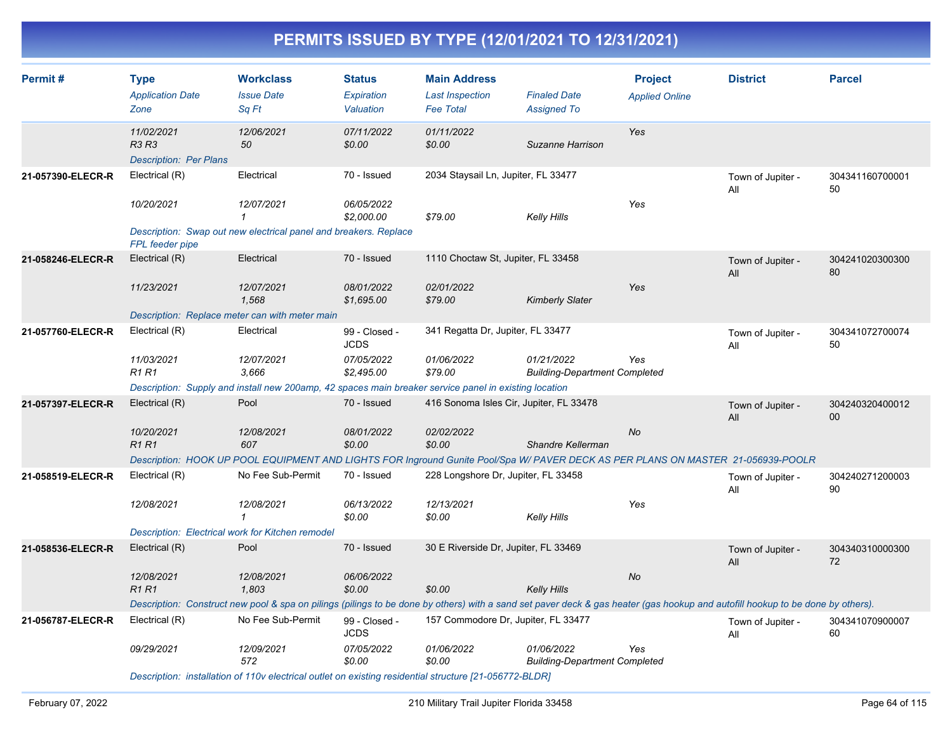| Permit#           | <b>Type</b><br><b>Application Date</b><br>Zone                                                        | <b>Workclass</b><br><b>Issue Date</b><br>Sq Ft                                                                                                                                 | <b>Status</b><br>Expiration<br>Valuation | <b>Main Address</b><br><b>Last Inspection</b><br><b>Fee Total</b> | <b>Finaled Date</b><br><b>Assigned To</b>          | <b>Project</b><br><b>Applied Online</b> | <b>District</b>          | <b>Parcel</b>             |
|-------------------|-------------------------------------------------------------------------------------------------------|--------------------------------------------------------------------------------------------------------------------------------------------------------------------------------|------------------------------------------|-------------------------------------------------------------------|----------------------------------------------------|-----------------------------------------|--------------------------|---------------------------|
|                   | 11/02/2021<br><b>R3 R3</b><br><b>Description: Per Plans</b>                                           | 12/06/2021<br>50                                                                                                                                                               | 07/11/2022<br>\$0.00                     | 01/11/2022<br>\$0.00                                              | Suzanne Harrison                                   | Yes                                     |                          |                           |
| 21-057390-ELECR-R | Electrical (R)                                                                                        | Electrical                                                                                                                                                                     | 70 - Issued                              | 2034 Staysail Ln, Jupiter, FL 33477                               |                                                    |                                         | Town of Jupiter -<br>All | 304341160700001<br>50     |
|                   | 10/20/2021                                                                                            | 12/07/2021<br>1                                                                                                                                                                | 06/05/2022<br>\$2,000.00                 | \$79.00                                                           | Kelly Hills                                        | Yes                                     |                          |                           |
|                   | FPL feeder pipe                                                                                       | Description: Swap out new electrical panel and breakers. Replace                                                                                                               |                                          |                                                                   |                                                    |                                         |                          |                           |
| 21-058246-ELECR-R | Electrical (R)                                                                                        | Electrical                                                                                                                                                                     | 70 - Issued                              | 1110 Choctaw St, Jupiter, FL 33458                                |                                                    |                                         | Town of Jupiter -<br>All | 304241020300300<br>80     |
|                   | 11/23/2021                                                                                            | 12/07/2021<br>1,568                                                                                                                                                            | 08/01/2022<br>\$1,695.00                 | 02/01/2022<br>\$79.00                                             | <b>Kimberly Slater</b>                             | Yes                                     |                          |                           |
|                   |                                                                                                       | Description: Replace meter can with meter main                                                                                                                                 |                                          |                                                                   |                                                    |                                         |                          |                           |
| 21-057760-ELECR-R | Electrical (R)                                                                                        | Electrical                                                                                                                                                                     | 99 - Closed -<br><b>JCDS</b>             | 341 Regatta Dr, Jupiter, FL 33477                                 |                                                    |                                         | Town of Jupiter -<br>All | 304341072700074<br>50     |
|                   | 11/03/2021<br><b>R1 R1</b>                                                                            | 12/07/2021<br>3,666                                                                                                                                                            | 07/05/2022<br>\$2,495.00                 | 01/06/2022<br>\$79.00                                             | 01/21/2022<br><b>Building-Department Completed</b> | Yes                                     |                          |                           |
|                   | Description: Supply and install new 200amp, 42 spaces main breaker service panel in existing location |                                                                                                                                                                                |                                          |                                                                   |                                                    |                                         |                          |                           |
| 21-057397-ELECR-R | Electrical (R)                                                                                        | Pool                                                                                                                                                                           | 70 - Issued                              | 416 Sonoma Isles Cir, Jupiter, FL 33478                           |                                                    |                                         | Town of Jupiter -<br>All | 304240320400012<br>$00\,$ |
|                   | 10/20/2021<br><b>R1 R1</b>                                                                            | 12/08/2021<br>607                                                                                                                                                              | 08/01/2022<br>\$0.00                     | 02/02/2022<br>\$0.00                                              | Shandre Kellerman                                  | <b>No</b>                               |                          |                           |
|                   |                                                                                                       | Description: HOOK UP POOL EQUIPMENT AND LIGHTS FOR Inground Gunite Pool/Spa W/ PAVER DECK AS PER PLANS ON MASTER 21-056939-POOLR                                               |                                          |                                                                   |                                                    |                                         |                          |                           |
| 21-058519-ELECR-R | Electrical (R)                                                                                        | No Fee Sub-Permit                                                                                                                                                              | 70 - Issued                              | 228 Longshore Dr. Jupiter, FL 33458                               |                                                    |                                         | Town of Jupiter -<br>All | 304240271200003<br>90     |
|                   | 12/08/2021                                                                                            | 12/08/2021<br>$\mathbf{1}$                                                                                                                                                     | 06/13/2022<br>\$0.00                     | 12/13/2021<br>\$0.00                                              | Kelly Hills                                        | Yes                                     |                          |                           |
|                   |                                                                                                       | Description: Electrical work for Kitchen remodel                                                                                                                               |                                          |                                                                   |                                                    |                                         |                          |                           |
| 21-058536-ELECR-R | Electrical (R)                                                                                        | Pool                                                                                                                                                                           | 70 - Issued                              | 30 E Riverside Dr, Jupiter, FL 33469                              |                                                    |                                         | Town of Jupiter -<br>All | 304340310000300<br>72     |
|                   | 12/08/2021<br><b>R1R1</b>                                                                             | 12/08/2021<br>1,803                                                                                                                                                            | 06/06/2022<br>\$0.00                     | \$0.00                                                            | <b>Kelly Hills</b>                                 | No                                      |                          |                           |
|                   |                                                                                                       | Description: Construct new pool & spa on pilings (pilings to be done by others) with a sand set paver deck & gas heater (gas hookup and autofill hookup to be done by others). |                                          |                                                                   |                                                    |                                         |                          |                           |
| 21-056787-ELECR-R | Electrical (R)                                                                                        | No Fee Sub-Permit                                                                                                                                                              | 99 - Closed -<br><b>JCDS</b>             | 157 Commodore Dr, Jupiter, FL 33477                               |                                                    |                                         | Town of Jupiter -<br>All | 304341070900007<br>60     |
|                   | 09/29/2021                                                                                            | 12/09/2021<br>572                                                                                                                                                              | 07/05/2022<br>\$0.00                     | 01/06/2022<br>\$0.00                                              | 01/06/2022<br><b>Building-Department Completed</b> | Yes                                     |                          |                           |
|                   |                                                                                                       | Description: installation of 110v electrical outlet on existing residential structure [21-056772-BLDR]                                                                         |                                          |                                                                   |                                                    |                                         |                          |                           |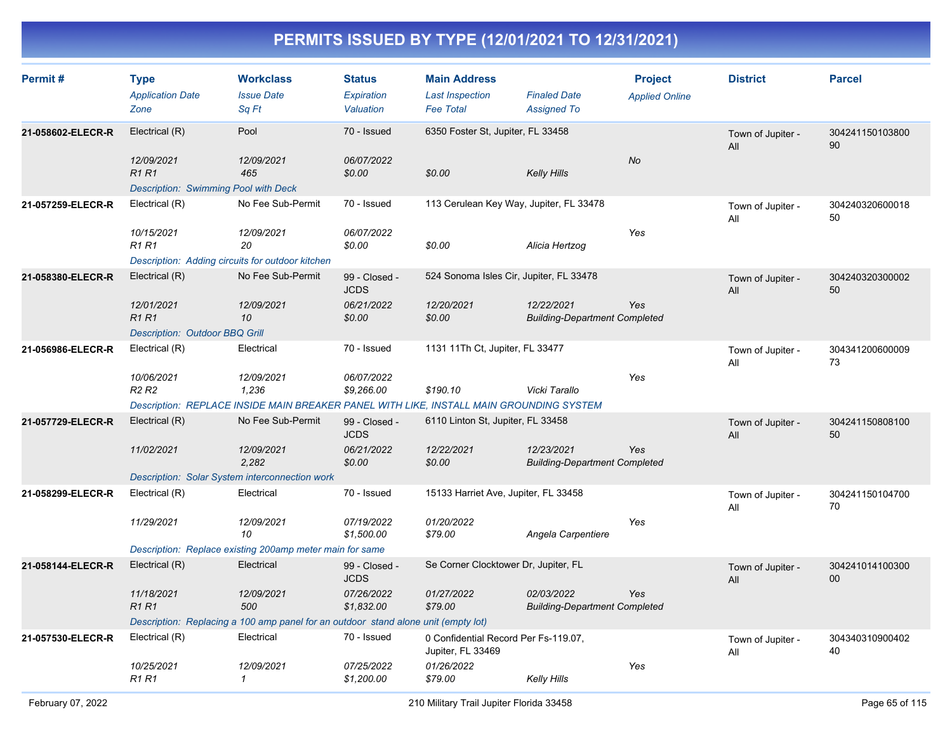| Permit#           | <b>Type</b><br><b>Application Date</b><br>Zone                     | <b>Workclass</b><br><b>Issue Date</b><br>Sq Ft                                          | <b>Status</b><br><b>Expiration</b><br>Valuation | <b>Main Address</b><br><b>Last Inspection</b><br><b>Fee Total</b> | <b>Finaled Date</b><br><b>Assigned To</b>          | <b>Project</b><br><b>Applied Online</b> | <b>District</b>          | <b>Parcel</b>         |
|-------------------|--------------------------------------------------------------------|-----------------------------------------------------------------------------------------|-------------------------------------------------|-------------------------------------------------------------------|----------------------------------------------------|-----------------------------------------|--------------------------|-----------------------|
| 21-058602-ELECR-R | Electrical (R)                                                     | Pool                                                                                    | 70 - Issued                                     | 6350 Foster St, Jupiter, FL 33458                                 |                                                    |                                         | Town of Jupiter -<br>All | 304241150103800<br>90 |
|                   | 12/09/2021<br><b>R1 R1</b><br>Description: Swimming Pool with Deck | 12/09/2021<br>465                                                                       | 06/07/2022<br>\$0.00                            | \$0.00                                                            | <b>Kelly Hills</b>                                 | <b>No</b>                               |                          |                       |
| 21-057259-ELECR-R | Electrical (R)                                                     | No Fee Sub-Permit                                                                       | 70 - Issued                                     | 113 Cerulean Key Way, Jupiter, FL 33478                           |                                                    |                                         | Town of Jupiter -<br>All | 304240320600018<br>50 |
|                   | 10/15/2021<br><b>R1 R1</b>                                         | 12/09/2021<br>20                                                                        | 06/07/2022<br>\$0.00                            | \$0.00                                                            | Alicia Hertzog                                     | Yes                                     |                          |                       |
|                   | Description: Adding circuits for outdoor kitchen                   | No Fee Sub-Permit                                                                       |                                                 | 524 Sonoma Isles Cir, Jupiter, FL 33478                           |                                                    |                                         |                          |                       |
| 21-058380-ELECR-R | Electrical (R)                                                     |                                                                                         | 99 - Closed -<br><b>JCDS</b>                    |                                                                   |                                                    |                                         | Town of Jupiter -<br>All | 304240320300002<br>50 |
|                   | 12/01/2021<br><b>R1R1</b>                                          | 12/09/2021<br>10                                                                        | 06/21/2022<br>\$0.00                            | 12/20/2021                                                        | 12/22/2021                                         | Yes                                     |                          |                       |
|                   | <b>Description: Outdoor BBQ Grill</b>                              |                                                                                         |                                                 | \$0.00                                                            | <b>Building-Department Completed</b>               |                                         |                          |                       |
| 21-056986-ELECR-R | Electrical (R)                                                     | Electrical                                                                              | 70 - Issued                                     | 1131 11Th Ct, Jupiter, FL 33477                                   |                                                    |                                         | Town of Jupiter -<br>All | 304341200600009<br>73 |
|                   | 10/06/2021<br>R <sub>2</sub> R <sub>2</sub>                        | 12/09/2021<br>1,236                                                                     | 06/07/2022<br>\$9,266.00                        | \$190.10                                                          | Vicki Tarallo                                      | Yes                                     |                          |                       |
|                   |                                                                    | Description: REPLACE INSIDE MAIN BREAKER PANEL WITH LIKE, INSTALL MAIN GROUNDING SYSTEM |                                                 |                                                                   |                                                    |                                         |                          |                       |
| 21-057729-ELECR-R | Electrical (R)                                                     | No Fee Sub-Permit                                                                       | 99 - Closed -<br><b>JCDS</b>                    | 6110 Linton St, Jupiter, FL 33458                                 |                                                    |                                         | Town of Jupiter -<br>All | 304241150808100<br>50 |
|                   | 11/02/2021                                                         | 12/09/2021<br>2,282                                                                     | 06/21/2022<br>\$0.00                            | 12/22/2021<br>\$0.00                                              | 12/23/2021<br><b>Building-Department Completed</b> | Yes                                     |                          |                       |
|                   |                                                                    | Description: Solar System interconnection work                                          |                                                 |                                                                   |                                                    |                                         |                          |                       |
| 21-058299-ELECR-R | Electrical (R)                                                     | Electrical                                                                              | 70 - Issued                                     | 15133 Harriet Ave, Jupiter, FL 33458                              |                                                    |                                         | Town of Jupiter -<br>All | 304241150104700<br>70 |
|                   | 11/29/2021                                                         | 12/09/2021<br>10                                                                        | 07/19/2022<br>\$1,500.00                        | 01/20/2022<br>\$79.00                                             | Angela Carpentiere                                 | Yes                                     |                          |                       |
|                   |                                                                    | Description: Replace existing 200amp meter main for same                                |                                                 |                                                                   |                                                    |                                         |                          |                       |
| 21-058144-ELECR-R | Electrical (R)                                                     | Electrical                                                                              | 99 - Closed -<br><b>JCDS</b>                    | Se Corner Clocktower Dr, Jupiter, FL                              |                                                    |                                         | Town of Jupiter -<br>All | 304241014100300<br>00 |
|                   | 11/18/2021<br>R <sub>1</sub> R <sub>1</sub>                        | 12/09/2021<br>500                                                                       | 07/26/2022<br>\$1,832.00                        | 01/27/2022<br>\$79.00                                             | 02/03/2022<br><b>Building-Department Completed</b> | Yes                                     |                          |                       |
|                   |                                                                    | Description: Replacing a 100 amp panel for an outdoor stand alone unit (empty lot)      |                                                 |                                                                   |                                                    |                                         |                          |                       |
| 21-057530-ELECR-R | Electrical (R)                                                     | Electrical                                                                              | 70 - Issued                                     | 0 Confidential Record Per Fs-119.07,<br>Jupiter, FL 33469         |                                                    |                                         | Town of Jupiter -<br>All | 304340310900402<br>40 |
|                   | 10/25/2021<br><b>R1 R1</b>                                         | 12/09/2021<br>$\mathbf{1}$                                                              | 07/25/2022<br>\$1,200.00                        | 01/26/2022<br>\$79.00                                             | Kelly Hills                                        | Yes                                     |                          |                       |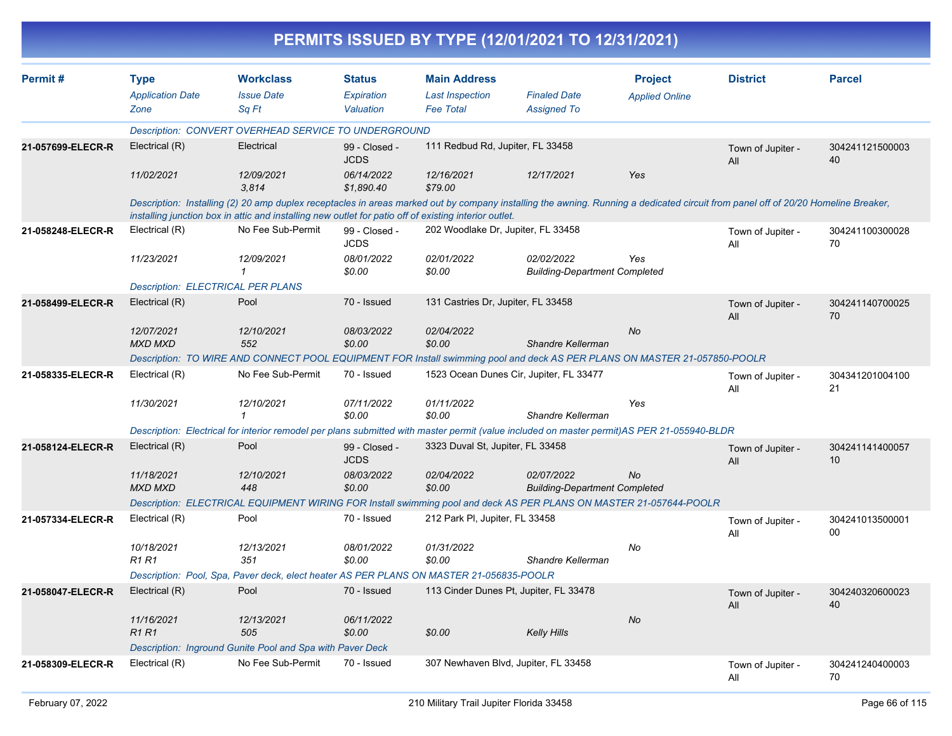|                   |                                          |                                                                                                                                                                                                                                                                                            |                              |                                    | PERMITS ISSUED BY TYPE (12/01/2021 TO 12/31/2021)  |                       |                          |                       |
|-------------------|------------------------------------------|--------------------------------------------------------------------------------------------------------------------------------------------------------------------------------------------------------------------------------------------------------------------------------------------|------------------------------|------------------------------------|----------------------------------------------------|-----------------------|--------------------------|-----------------------|
| Permit#           | <b>Type</b>                              | <b>Workclass</b>                                                                                                                                                                                                                                                                           | <b>Status</b>                | <b>Main Address</b>                |                                                    | <b>Project</b>        | <b>District</b>          | <b>Parcel</b>         |
|                   | <b>Application Date</b>                  | <b>Issue Date</b>                                                                                                                                                                                                                                                                          | Expiration                   | <b>Last Inspection</b>             | <b>Finaled Date</b>                                | <b>Applied Online</b> |                          |                       |
|                   | Zone                                     | Sq Ft                                                                                                                                                                                                                                                                                      | Valuation                    | <b>Fee Total</b>                   | <b>Assigned To</b>                                 |                       |                          |                       |
|                   |                                          | Description: CONVERT OVERHEAD SERVICE TO UNDERGROUND                                                                                                                                                                                                                                       |                              |                                    |                                                    |                       |                          |                       |
| 21-057699-ELECR-R | Electrical (R)                           | Electrical                                                                                                                                                                                                                                                                                 | 99 - Closed -<br><b>JCDS</b> | 111 Redbud Rd, Jupiter, FL 33458   |                                                    |                       | Town of Jupiter -<br>All | 304241121500003<br>40 |
|                   | 11/02/2021                               | 12/09/2021<br>3.814                                                                                                                                                                                                                                                                        | 06/14/2022<br>\$1,890.40     | 12/16/2021<br>\$79.00              | 12/17/2021                                         | Yes                   |                          |                       |
|                   |                                          | Description: Installing (2) 20 amp duplex receptacles in areas marked out by company installing the awning. Running a dedicated circuit from panel off of 20/20 Homeline Breaker,<br>installing junction box in attic and installing new outlet for patio off of existing interior outlet. |                              |                                    |                                                    |                       |                          |                       |
| 21-058248-ELECR-R | Electrical (R)                           | No Fee Sub-Permit                                                                                                                                                                                                                                                                          | 99 - Closed -<br><b>JCDS</b> | 202 Woodlake Dr, Jupiter, FL 33458 |                                                    |                       | Town of Jupiter -<br>All | 304241100300028<br>70 |
|                   | 11/23/2021                               | 12/09/2021<br>-1                                                                                                                                                                                                                                                                           | 08/01/2022<br>\$0.00         | 02/01/2022<br>\$0.00               | 02/02/2022<br><b>Building-Department Completed</b> | Yes                   |                          |                       |
|                   | <b>Description: ELECTRICAL PER PLANS</b> |                                                                                                                                                                                                                                                                                            |                              |                                    |                                                    |                       |                          |                       |
| 21-058499-ELECR-R | Electrical (R)                           | Pool                                                                                                                                                                                                                                                                                       | 70 - Issued                  | 131 Castries Dr, Jupiter, FL 33458 |                                                    |                       | Town of Jupiter -<br>All | 304241140700025<br>70 |
|                   | 12/07/2021<br><b>MXD MXD</b>             | 12/10/2021<br>552                                                                                                                                                                                                                                                                          | 08/03/2022<br>\$0.00         | 02/04/2022<br>\$0.00               | Shandre Kellerman                                  | No                    |                          |                       |
|                   |                                          | Description: TO WIRE AND CONNECT POOL EQUIPMENT FOR Install swimming pool and deck AS PER PLANS ON MASTER 21-057850-POOLR                                                                                                                                                                  |                              |                                    |                                                    |                       |                          |                       |
| 21-058335-ELECR-R | Electrical (R)                           | No Fee Sub-Permit                                                                                                                                                                                                                                                                          | 70 - Issued                  |                                    | 1523 Ocean Dunes Cir, Jupiter, FL 33477            |                       | Town of Jupiter -<br>All | 304341201004100<br>21 |
|                   | 11/30/2021                               | 12/10/2021                                                                                                                                                                                                                                                                                 | 07/11/2022<br>\$0.00         | 01/11/2022<br>\$0.00               | Shandre Kellerman                                  | Yes                   |                          |                       |
|                   |                                          | Description: Electrical for interior remodel per plans submitted with master permit (value included on master permit)AS PER 21-055940-BLDR                                                                                                                                                 |                              |                                    |                                                    |                       |                          |                       |
| 21-058124-ELECR-R | Electrical (R)                           | Pool                                                                                                                                                                                                                                                                                       | 99 - Closed -<br><b>JCDS</b> | 3323 Duval St, Jupiter, FL 33458   |                                                    |                       | Town of Jupiter -<br>All | 304241141400057<br>10 |
|                   | 11/18/2021<br><b>MXD MXD</b>             | 12/10/2021<br>448                                                                                                                                                                                                                                                                          | 08/03/2022<br>\$0.00         | 02/04/2022<br>\$0.00               | 02/07/2022<br><b>Building-Department Completed</b> | No                    |                          |                       |
|                   |                                          | Description: ELECTRICAL EQUIPMENT WIRING FOR Install swimming pool and deck AS PER PLANS ON MASTER 21-057644-POOLR                                                                                                                                                                         |                              |                                    |                                                    |                       |                          |                       |
| 21-057334-ELECR-R | Electrical (R)                           | Pool                                                                                                                                                                                                                                                                                       | 70 - Issued                  | 212 Park PI, Jupiter, FL 33458     |                                                    |                       | Town of Jupiter -<br>All | 304241013500001<br>00 |
|                   | 10/18/2021<br>R1 R1                      | 12/13/2021<br>351                                                                                                                                                                                                                                                                          | 08/01/2022<br>\$0.00         | 01/31/2022<br>\$0.00               | Shandre Kellerman                                  | No                    |                          |                       |
|                   |                                          | Description: Pool, Spa, Paver deck, elect heater AS PER PLANS ON MASTER 21-056835-POOLR                                                                                                                                                                                                    |                              |                                    |                                                    |                       |                          |                       |
| 21-058047-ELECR-R | Electrical (R)                           | Pool                                                                                                                                                                                                                                                                                       | 70 - Issued                  |                                    | 113 Cinder Dunes Pt, Jupiter, FL 33478             |                       | Town of Jupiter -<br>All | 304240320600023<br>40 |
|                   | 11/16/2021                               | 12/13/2021                                                                                                                                                                                                                                                                                 | 06/11/2022                   |                                    |                                                    | No                    |                          |                       |
|                   | <b>R1 R1</b>                             | 505                                                                                                                                                                                                                                                                                        | \$0.00                       | \$0.00                             | <b>Kelly Hills</b>                                 |                       |                          |                       |
|                   |                                          | Description: Inground Gunite Pool and Spa with Paver Deck                                                                                                                                                                                                                                  |                              |                                    |                                                    |                       |                          |                       |
| 21-058309-ELECR-R | Electrical (R)                           | No Fee Sub-Permit                                                                                                                                                                                                                                                                          | 70 - Issued                  |                                    | 307 Newhaven Blvd, Jupiter, FL 33458               |                       | Town of Jupiter -<br>All | 304241240400003<br>70 |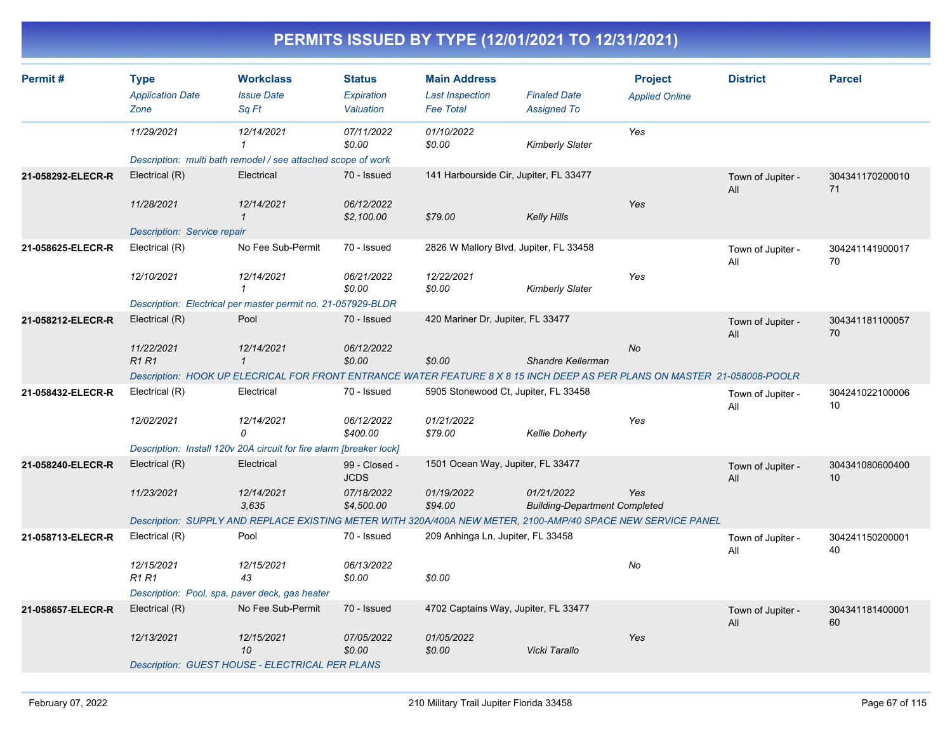| Permit#           | <b>Type</b><br><b>Application Date</b><br>Zone                                                                            | <b>Workclass</b><br><b>Issue Date</b><br>Sq Ft                                                               | <b>Status</b><br>Expiration<br>Valuation | <b>Main Address</b><br><b>Last Inspection</b><br><b>Fee Total</b> | <b>Finaled Date</b><br><b>Assigned To</b>          | <b>Project</b><br><b>Applied Online</b> | <b>District</b>          | <b>Parcel</b>         |
|-------------------|---------------------------------------------------------------------------------------------------------------------------|--------------------------------------------------------------------------------------------------------------|------------------------------------------|-------------------------------------------------------------------|----------------------------------------------------|-----------------------------------------|--------------------------|-----------------------|
|                   | 11/29/2021                                                                                                                | 12/14/2021<br>1                                                                                              | 07/11/2022<br>\$0.00                     | 01/10/2022<br>\$0.00                                              | Kimberly Slater                                    | Yes                                     |                          |                       |
|                   |                                                                                                                           | Description: multi bath remodel / see attached scope of work                                                 |                                          |                                                                   |                                                    |                                         |                          |                       |
| 21-058292-ELECR-R | Electrical (R)                                                                                                            | Electrical                                                                                                   | 70 - Issued                              | 141 Harbourside Cir, Jupiter, FL 33477                            |                                                    |                                         | Town of Jupiter -<br>All | 304341170200010<br>71 |
|                   | 11/28/2021                                                                                                                | 12/14/2021<br>$\mathbf{1}$                                                                                   | 06/12/2022<br>\$2,100.00                 | \$79.00                                                           | <b>Kelly Hills</b>                                 | Yes                                     |                          |                       |
|                   | Description: Service repair                                                                                               |                                                                                                              |                                          |                                                                   |                                                    |                                         |                          |                       |
| 21-058625-ELECR-R | Electrical (R)                                                                                                            | No Fee Sub-Permit                                                                                            | 70 - Issued                              | 2826 W Mallory Blvd, Jupiter, FL 33458                            |                                                    |                                         | Town of Jupiter -<br>All | 304241141900017<br>70 |
|                   | 12/10/2021                                                                                                                | 12/14/2021<br>$\mathbf 1$                                                                                    | 06/21/2022<br>\$0.00                     | 12/22/2021<br>\$0.00                                              | <b>Kimberly Slater</b>                             | Yes                                     |                          |                       |
|                   |                                                                                                                           | Description: Electrical per master permit no. 21-057929-BLDR                                                 |                                          |                                                                   |                                                    |                                         |                          |                       |
| 21-058212-ELECR-R | Electrical (R)                                                                                                            | Pool                                                                                                         | 70 - Issued                              | 420 Mariner Dr, Jupiter, FL 33477                                 |                                                    |                                         | Town of Jupiter -<br>All | 304341181100057<br>70 |
|                   | 11/22/2021<br><b>R1R1</b>                                                                                                 | 12/14/2021<br>$\mathcal I$                                                                                   | 06/12/2022<br>\$0.00                     | \$0.00                                                            | Shandre Kellerman                                  | No                                      |                          |                       |
|                   | Description: HOOK UP ELECRICAL FOR FRONT ENTRANCE WATER FEATURE 8 X 8 15 INCH DEEP AS PER PLANS ON MASTER 21-058008-POOLR |                                                                                                              |                                          |                                                                   |                                                    |                                         |                          |                       |
| 21-058432-ELECR-R | Electrical (R)                                                                                                            | Electrical                                                                                                   | 70 - Issued                              | 5905 Stonewood Ct, Jupiter, FL 33458                              |                                                    |                                         | Town of Jupiter -<br>All | 304241022100006<br>10 |
|                   | 12/02/2021                                                                                                                | 12/14/2021<br>0                                                                                              | 06/12/2022<br>\$400.00                   | 01/21/2022<br>\$79.00                                             | <b>Kellie Doherty</b>                              | Yes                                     |                          |                       |
|                   |                                                                                                                           | Description: Install 120v 20A circuit for fire alarm [breaker lock]                                          |                                          |                                                                   |                                                    |                                         |                          |                       |
| 21-058240-ELECR-R | Electrical (R)                                                                                                            | Electrical                                                                                                   | 99 - Closed -<br><b>JCDS</b>             | 1501 Ocean Way, Jupiter, FL 33477                                 |                                                    |                                         | Town of Jupiter -<br>All | 304341080600400<br>10 |
|                   | 11/23/2021                                                                                                                | 12/14/2021<br>3.635                                                                                          | 07/18/2022<br>\$4,500.00                 | 01/19/2022<br>\$94.00                                             | 01/21/2022<br><b>Building-Department Completed</b> | Yes                                     |                          |                       |
|                   |                                                                                                                           | Description: SUPPLY AND REPLACE EXISTING METER WITH 320A/400A NEW METER, 2100-AMP/40 SPACE NEW SERVICE PANEL |                                          |                                                                   |                                                    |                                         |                          |                       |
| 21-058713-ELECR-R | Electrical (R)                                                                                                            | Pool                                                                                                         | 70 - Issued                              | 209 Anhinga Ln, Jupiter, FL 33458                                 |                                                    |                                         | Town of Jupiter -<br>All | 304241150200001<br>40 |
|                   | 12/15/2021<br>R1 R1                                                                                                       | 12/15/2021<br>43                                                                                             | 06/13/2022<br>\$0.00                     | \$0.00                                                            |                                                    | No                                      |                          |                       |
|                   | Description: Pool, spa, paver deck, gas heater                                                                            |                                                                                                              |                                          |                                                                   |                                                    |                                         |                          |                       |
| 21-058657-ELECR-R | Electrical (R)                                                                                                            | No Fee Sub-Permit                                                                                            | 70 - Issued                              | 4702 Captains Way, Jupiter, FL 33477                              |                                                    |                                         | Town of Jupiter -<br>All | 304341181400001<br>60 |
|                   | 12/13/2021                                                                                                                | 12/15/2021<br>10                                                                                             | 07/05/2022<br>\$0.00                     | 01/05/2022<br>\$0.00                                              | Vicki Tarallo                                      | Yes                                     |                          |                       |
|                   |                                                                                                                           | <b>Description: GUEST HOUSE - ELECTRICAL PER PLANS</b>                                                       |                                          |                                                                   |                                                    |                                         |                          |                       |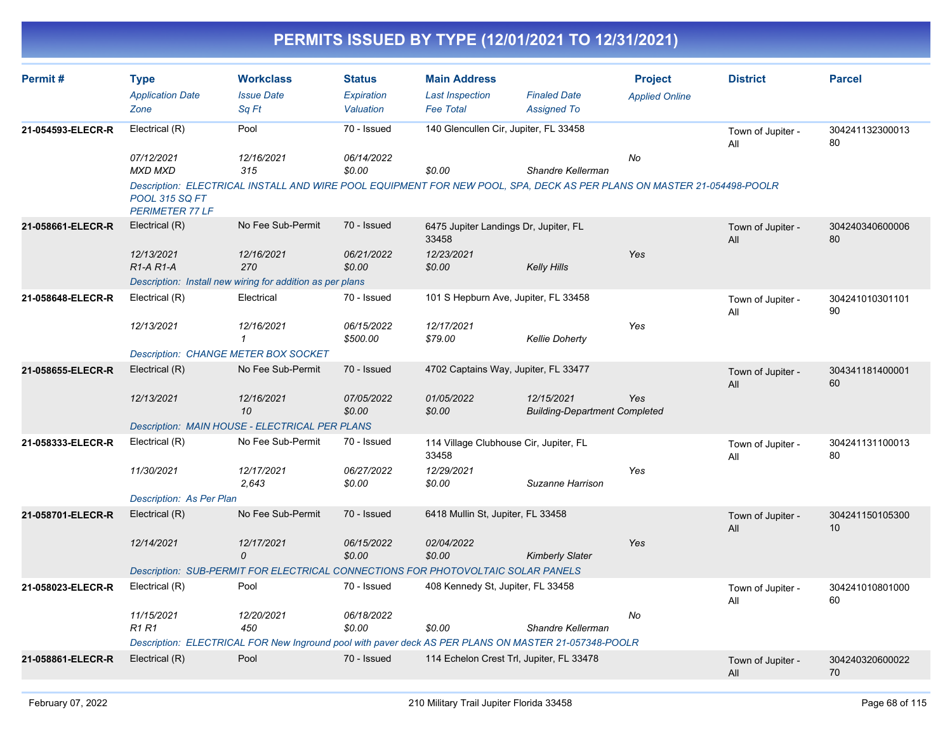| Permit#           | <b>Type</b>                                     | <b>Workclass</b>                                                                                                       | <b>Status</b>          | <b>Main Address</b>                             |                                                    | <b>Project</b>        | <b>District</b>          | <b>Parcel</b>         |
|-------------------|-------------------------------------------------|------------------------------------------------------------------------------------------------------------------------|------------------------|-------------------------------------------------|----------------------------------------------------|-----------------------|--------------------------|-----------------------|
|                   | <b>Application Date</b>                         | <b>Issue Date</b>                                                                                                      | Expiration             | <b>Last Inspection</b>                          | <b>Finaled Date</b>                                | <b>Applied Online</b> |                          |                       |
|                   | Zone                                            | Sq Ft                                                                                                                  | Valuation              | <b>Fee Total</b>                                | <b>Assigned To</b>                                 |                       |                          |                       |
| 21-054593-ELECR-R | Electrical (R)                                  | Pool                                                                                                                   | 70 - Issued            | 140 Glencullen Cir, Jupiter, FL 33458           |                                                    |                       | Town of Jupiter -<br>All | 304241132300013<br>80 |
|                   | 07/12/2021                                      | 12/16/2021                                                                                                             | 06/14/2022             |                                                 |                                                    | <b>No</b>             |                          |                       |
|                   | <b>MXD MXD</b>                                  | 315                                                                                                                    | \$0.00                 | \$0.00                                          | Shandre Kellerman                                  |                       |                          |                       |
|                   | <b>POOL 315 SQ FT</b><br><b>PERIMETER 77 LF</b> | Description: ELECTRICAL INSTALL AND WIRE POOL EQUIPMENT FOR NEW POOL, SPA, DECK AS PER PLANS ON MASTER 21-054498-POOLR |                        |                                                 |                                                    |                       |                          |                       |
| 21-058661-ELECR-R | Electrical (R)                                  | No Fee Sub-Permit                                                                                                      | 70 - Issued            | 6475 Jupiter Landings Dr, Jupiter, FL<br>33458  |                                                    |                       | Town of Jupiter -<br>All | 304240340600006<br>80 |
|                   | 12/13/2021                                      | 12/16/2021                                                                                                             | 06/21/2022             | 12/23/2021                                      |                                                    | Yes                   |                          |                       |
|                   | R <sub>1</sub> -A <sub>R1</sub> -A              | 270                                                                                                                    | \$0.00                 | \$0.00                                          | <b>Kelly Hills</b>                                 |                       |                          |                       |
|                   |                                                 | Description: Install new wiring for addition as per plans                                                              |                        |                                                 |                                                    |                       |                          |                       |
| 21-058648-ELECR-R | Electrical (R)                                  | Electrical                                                                                                             | 70 - Issued            |                                                 | 101 S Hepburn Ave, Jupiter, FL 33458               |                       | Town of Jupiter -<br>All | 304241010301101<br>90 |
|                   | 12/13/2021                                      | 12/16/2021<br>$\mathbf{1}$                                                                                             | 06/15/2022<br>\$500.00 | 12/17/2021<br>\$79.00                           | <b>Kellie Doherty</b>                              | Yes                   |                          |                       |
|                   |                                                 | <b>Description: CHANGE METER BOX SOCKET</b>                                                                            |                        |                                                 |                                                    |                       |                          |                       |
| 21-058655-ELECR-R | Electrical (R)                                  | No Fee Sub-Permit                                                                                                      | 70 - Issued            |                                                 | 4702 Captains Way, Jupiter, FL 33477               |                       | Town of Jupiter -<br>All | 304341181400001<br>60 |
|                   | 12/13/2021                                      | 12/16/2021<br>10                                                                                                       | 07/05/2022<br>\$0.00   | 01/05/2022<br>\$0.00                            | 12/15/2021<br><b>Building-Department Completed</b> | Yes                   |                          |                       |
|                   |                                                 | Description: MAIN HOUSE - ELECTRICAL PER PLANS                                                                         |                        |                                                 |                                                    |                       |                          |                       |
| 21-058333-ELECR-R | Electrical (R)                                  | No Fee Sub-Permit                                                                                                      | 70 - Issued            | 114 Village Clubhouse Cir, Jupiter, FL<br>33458 |                                                    |                       | Town of Jupiter -<br>All | 304241131100013<br>80 |
|                   | 11/30/2021                                      | 12/17/2021<br>2,643                                                                                                    | 06/27/2022<br>\$0.00   | 12/29/2021<br>\$0.00                            | Suzanne Harrison                                   | Yes                   |                          |                       |
|                   | Description: As Per Plan                        |                                                                                                                        |                        |                                                 |                                                    |                       |                          |                       |
| 21-058701-ELECR-R | Electrical (R)                                  | No Fee Sub-Permit                                                                                                      | 70 - Issued            | 6418 Mullin St, Jupiter, FL 33458               |                                                    |                       | Town of Jupiter -<br>All | 304241150105300<br>10 |
|                   | 12/14/2021                                      | 12/17/2021<br>0                                                                                                        | 06/15/2022<br>\$0.00   | 02/04/2022<br>\$0.00                            | <b>Kimberly Slater</b>                             | Yes                   |                          |                       |
|                   |                                                 | Description: SUB-PERMIT FOR ELECTRICAL CONNECTIONS FOR PHOTOVOLTAIC SOLAR PANELS                                       |                        |                                                 |                                                    |                       |                          |                       |
| 21-058023-ELECR-R | Electrical (R)                                  | Pool                                                                                                                   | 70 - Issued            | 408 Kennedy St, Jupiter, FL 33458               |                                                    |                       | Town of Jupiter -<br>All | 304241010801000<br>60 |
|                   | 11/15/2021                                      | 12/20/2021                                                                                                             | 06/18/2022             |                                                 |                                                    | No                    |                          |                       |
|                   | <b>R1 R1</b>                                    | 450                                                                                                                    | \$0.00                 | \$0.00                                          | Shandre Kellerman                                  |                       |                          |                       |
|                   |                                                 | Description: ELECTRICAL FOR New Inground pool with paver deck AS PER PLANS ON MASTER 21-057348-POOLR                   |                        |                                                 |                                                    |                       |                          |                       |
| 21-058861-ELECR-R | Electrical (R)                                  | Pool                                                                                                                   | 70 - Issued            |                                                 | 114 Echelon Crest Trl, Jupiter, FL 33478           |                       | Town of Jupiter -<br>All | 304240320600022<br>70 |
|                   |                                                 |                                                                                                                        |                        |                                                 |                                                    |                       |                          |                       |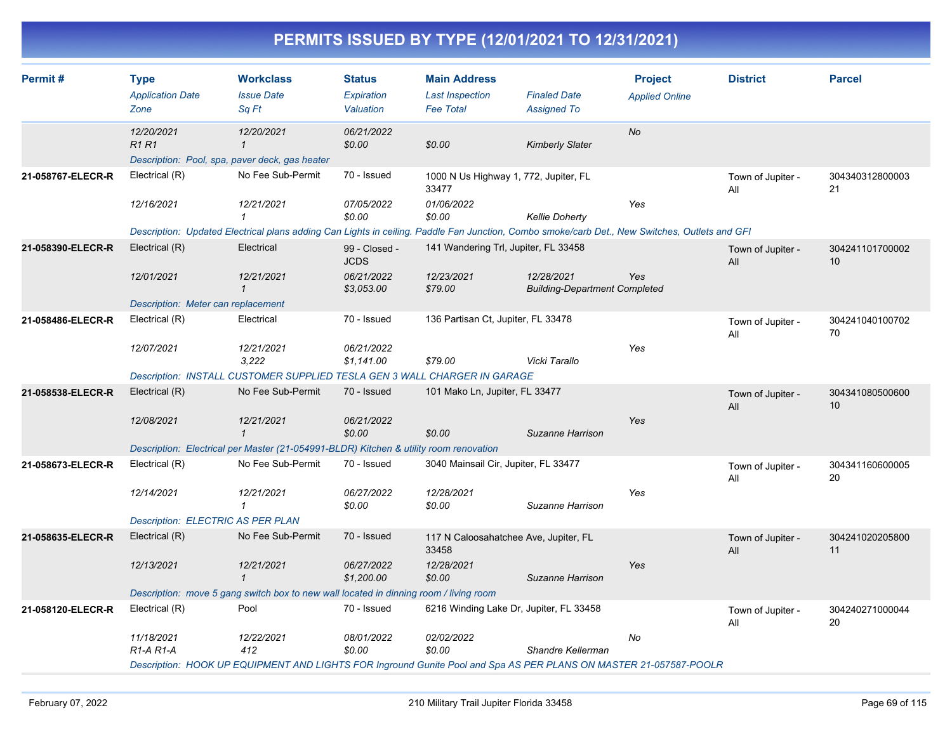| Permit#           | <b>Type</b><br><b>Application Date</b><br>Zone                              | <b>Workclass</b><br><b>Issue Date</b><br>Sq Ft                                                                                                                             | <b>Status</b><br>Expiration<br>Valuation | <b>Main Address</b><br><b>Last Inspection</b><br><b>Fee Total</b> | <b>Finaled Date</b><br><b>Assigned To</b>          | <b>Project</b><br><b>Applied Online</b> | <b>District</b>          | <b>Parcel</b>         |
|-------------------|-----------------------------------------------------------------------------|----------------------------------------------------------------------------------------------------------------------------------------------------------------------------|------------------------------------------|-------------------------------------------------------------------|----------------------------------------------------|-----------------------------------------|--------------------------|-----------------------|
|                   | 12/20/2021<br><b>R1R1</b><br>Description: Pool, spa, paver deck, gas heater | 12/20/2021<br>$\mathcal I$                                                                                                                                                 | 06/21/2022<br>\$0.00                     | \$0.00                                                            | <b>Kimberly Slater</b>                             | <b>No</b>                               |                          |                       |
| 21-058767-ELECR-R | Electrical (R)                                                              | No Fee Sub-Permit                                                                                                                                                          | 70 - Issued                              | 1000 N Us Highway 1, 772, Jupiter, FL<br>33477                    |                                                    |                                         | Town of Jupiter -<br>All | 304340312800003<br>21 |
|                   | 12/16/2021                                                                  | 12/21/2021<br>$\mathbf 1$<br>Description: Updated Electrical plans adding Can Lights in ceiling. Paddle Fan Junction, Combo smoke/carb Det., New Switches, Outlets and GFI | 07/05/2022<br>\$0.00                     | 01/06/2022<br>\$0.00                                              | <b>Kellie Doherty</b>                              | Yes                                     |                          |                       |
| 21-058390-ELECR-R | Electrical (R)                                                              | Electrical                                                                                                                                                                 | 99 - Closed -<br><b>JCDS</b>             | 141 Wandering Trl, Jupiter, FL 33458                              |                                                    |                                         | Town of Jupiter -<br>All | 304241101700002<br>10 |
|                   | 12/01/2021                                                                  | 12/21/2021<br>$\mathcal I$                                                                                                                                                 | 06/21/2022<br>\$3,053.00                 | 12/23/2021<br>\$79.00                                             | 12/28/2021<br><b>Building-Department Completed</b> | Yes                                     |                          |                       |
| 21-058486-ELECR-R | Description: Meter can replacement<br>Electrical (R)                        | Electrical                                                                                                                                                                 | 70 - Issued                              | 136 Partisan Ct, Jupiter, FL 33478                                |                                                    |                                         | Town of Jupiter -<br>All | 304241040100702<br>70 |
|                   | 12/07/2021                                                                  | 12/21/2021<br>3,222                                                                                                                                                        | 06/21/2022<br>\$1,141.00                 | \$79.00                                                           | Vicki Tarallo                                      | Yes                                     |                          |                       |
|                   |                                                                             | Description: INSTALL CUSTOMER SUPPLIED TESLA GEN 3 WALL CHARGER IN GARAGE                                                                                                  |                                          |                                                                   |                                                    |                                         |                          |                       |
| 21-058538-ELECR-R | Electrical (R)                                                              | No Fee Sub-Permit                                                                                                                                                          | 70 - Issued                              | 101 Mako Ln, Jupiter, FL 33477                                    |                                                    | Yes                                     | Town of Jupiter -<br>All | 304341080500600<br>10 |
|                   | 12/08/2021                                                                  | 12/21/2021<br>$\mathbf{1}$                                                                                                                                                 | 06/21/2022<br>\$0.00                     | \$0.00                                                            | Suzanne Harrison                                   |                                         |                          |                       |
|                   |                                                                             | Description: Electrical per Master (21-054991-BLDR) Kitchen & utility room renovation                                                                                      |                                          |                                                                   |                                                    |                                         |                          |                       |
| 21-058673-ELECR-R | Electrical (R)                                                              | No Fee Sub-Permit                                                                                                                                                          | 70 - Issued                              | 3040 Mainsail Cir, Jupiter, FL 33477                              |                                                    |                                         | Town of Jupiter -<br>All | 304341160600005<br>20 |
|                   | 12/14/2021                                                                  | 12/21/2021<br>$\mathbf{1}$                                                                                                                                                 | 06/27/2022<br>\$0.00                     | 12/28/2021<br>\$0.00                                              | Suzanne Harrison                                   | Yes                                     |                          |                       |
|                   | <b>Description: ELECTRIC AS PER PLAN</b>                                    |                                                                                                                                                                            |                                          |                                                                   |                                                    |                                         |                          |                       |
| 21-058635-ELECR-R | Electrical (R)                                                              | No Fee Sub-Permit                                                                                                                                                          | 70 - Issued                              | 117 N Caloosahatchee Ave, Jupiter, FL<br>33458                    |                                                    |                                         | Town of Jupiter -<br>All | 304241020205800<br>11 |
|                   | 12/13/2021                                                                  | 12/21/2021<br>$\mathbf{1}$                                                                                                                                                 | 06/27/2022<br>\$1,200.00                 | 12/28/2021<br>\$0.00                                              | Suzanne Harrison                                   | Yes                                     |                          |                       |
|                   |                                                                             | Description: move 5 gang switch box to new wall located in dinning room / living room                                                                                      |                                          |                                                                   |                                                    |                                         |                          |                       |
| 21-058120-ELECR-R | Electrical (R)                                                              | Pool                                                                                                                                                                       | 70 - Issued                              | 6216 Winding Lake Dr, Jupiter, FL 33458                           |                                                    |                                         | Town of Jupiter -<br>All | 304240271000044<br>20 |
|                   | 11/18/2021<br>$R1-A R1-A$                                                   | 12/22/2021<br>412<br>Description: HOOK UP EQUIPMENT AND LIGHTS FOR Inground Gunite Pool and Spa AS PER PLANS ON MASTER 21-057587-POOLR                                     | 08/01/2022<br>\$0.00                     | 02/02/2022<br>\$0.00                                              | Shandre Kellerman                                  | No                                      |                          |                       |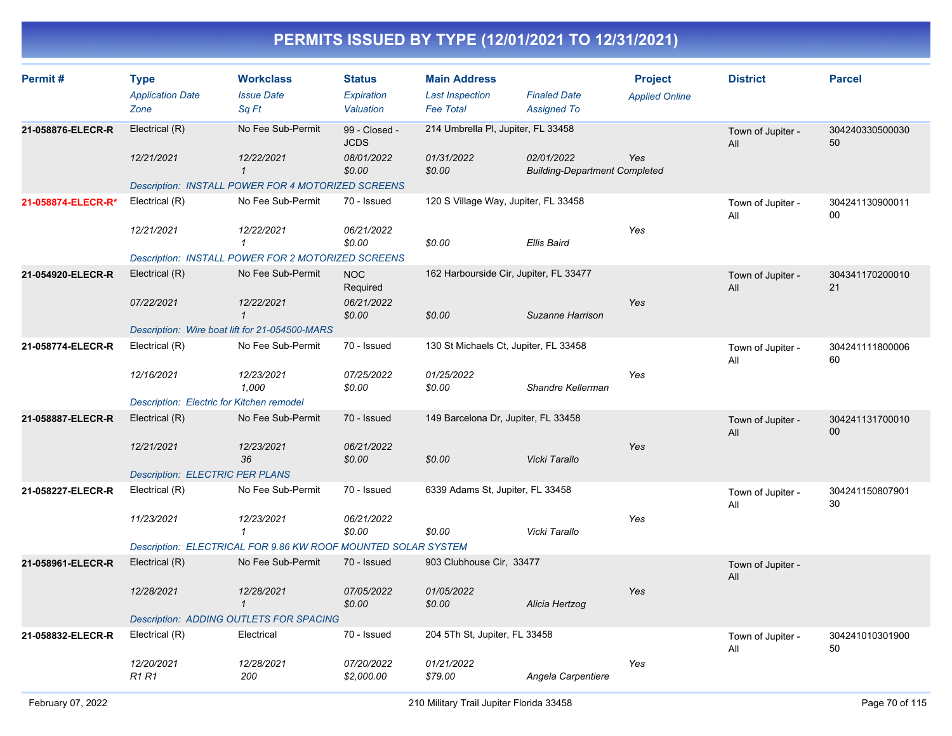| Permit#            | <b>Type</b><br><b>Application Date</b><br>Zone | <b>Workclass</b><br><b>Issue Date</b><br>Sq Ft                | <b>Status</b><br>Expiration<br>Valuation | <b>Main Address</b><br><b>Last Inspection</b><br><b>Fee Total</b> | <b>Finaled Date</b><br><b>Assigned To</b>          | <b>Project</b><br><b>Applied Online</b> | <b>District</b>          | <b>Parcel</b>         |
|--------------------|------------------------------------------------|---------------------------------------------------------------|------------------------------------------|-------------------------------------------------------------------|----------------------------------------------------|-----------------------------------------|--------------------------|-----------------------|
| 21-058876-ELECR-R  | Electrical (R)                                 | No Fee Sub-Permit                                             | 99 - Closed -<br><b>JCDS</b>             | 214 Umbrella PI, Jupiter, FL 33458                                |                                                    |                                         | Town of Jupiter -<br>All | 304240330500030<br>50 |
|                    | 12/21/2021                                     | 12/22/2021<br>$\mathbf{1}$                                    | 08/01/2022<br>\$0.00                     | 01/31/2022<br>\$0.00                                              | 02/01/2022<br><b>Building-Department Completed</b> | Yes                                     |                          |                       |
|                    |                                                | <b>Description: INSTALL POWER FOR 4 MOTORIZED SCREENS</b>     |                                          |                                                                   |                                                    |                                         |                          |                       |
| 21-058874-ELECR-R* | Electrical (R)                                 | No Fee Sub-Permit                                             | 70 - Issued                              | 120 S Village Way, Jupiter, FL 33458                              |                                                    |                                         | Town of Jupiter -<br>All | 304241130900011<br>00 |
|                    | 12/21/2021                                     | 12/22/2021<br>$\mathbf{1}$                                    | 06/21/2022<br>\$0.00                     | \$0.00                                                            | <b>Ellis Baird</b>                                 | Yes                                     |                          |                       |
|                    |                                                | Description: INSTALL POWER FOR 2 MOTORIZED SCREENS            |                                          |                                                                   |                                                    |                                         |                          |                       |
| 21-054920-ELECR-R  | Electrical (R)                                 | No Fee Sub-Permit                                             | NOC<br>Required                          | 162 Harbourside Cir, Jupiter, FL 33477                            |                                                    |                                         | Town of Jupiter -<br>All | 304341170200010<br>21 |
|                    | 07/22/2021                                     | 12/22/2021<br>$\mathbf{1}$                                    | 06/21/2022<br>\$0.00                     | \$0.00                                                            | Suzanne Harrison                                   | Yes                                     |                          |                       |
|                    |                                                | Description: Wire boat lift for 21-054500-MARS                |                                          |                                                                   |                                                    |                                         |                          |                       |
| 21-058774-ELECR-R  | Electrical (R)                                 | No Fee Sub-Permit                                             | 70 - Issued                              | 130 St Michaels Ct, Jupiter, FL 33458                             |                                                    |                                         | Town of Jupiter -<br>All | 304241111800006<br>60 |
|                    | 12/16/2021                                     | 12/23/2021<br>1,000                                           | 07/25/2022<br>\$0.00                     | 01/25/2022<br>\$0.00                                              | Shandre Kellerman                                  | Yes                                     |                          |                       |
|                    | Description: Electric for Kitchen remodel      |                                                               |                                          |                                                                   |                                                    |                                         |                          |                       |
| 21-058887-ELECR-R  | Electrical (R)                                 | No Fee Sub-Permit                                             | 70 - Issued                              | 149 Barcelona Dr, Jupiter, FL 33458                               |                                                    |                                         | Town of Jupiter -<br>All | 304241131700010<br>00 |
|                    | 12/21/2021                                     | 12/23/2021<br>36                                              | 06/21/2022<br>\$0.00                     | \$0.00                                                            | Vicki Tarallo                                      | Yes                                     |                          |                       |
|                    | <b>Description: ELECTRIC PER PLANS</b>         |                                                               |                                          |                                                                   |                                                    |                                         |                          |                       |
| 21-058227-ELECR-R  | Electrical (R)                                 | No Fee Sub-Permit                                             | 70 - Issued                              | 6339 Adams St, Jupiter, FL 33458                                  |                                                    |                                         | Town of Jupiter -<br>All | 304241150807901<br>30 |
|                    | 11/23/2021                                     | 12/23/2021<br>$\mathcal I$                                    | 06/21/2022<br>\$0.00                     | \$0.00                                                            | Vicki Tarallo                                      | Yes                                     |                          |                       |
|                    |                                                | Description: ELECTRICAL FOR 9.86 KW ROOF MOUNTED SOLAR SYSTEM |                                          |                                                                   |                                                    |                                         |                          |                       |
| 21-058961-ELECR-R  | Electrical (R)                                 | No Fee Sub-Permit                                             | 70 - Issued                              | 903 Clubhouse Cir, 33477                                          |                                                    |                                         | Town of Jupiter -<br>All |                       |
|                    | 12/28/2021                                     | 12/28/2021<br>$\mathcal I$                                    | 07/05/2022<br>\$0.00                     | 01/05/2022<br>\$0.00                                              | Alicia Hertzog                                     | Yes                                     |                          |                       |
|                    |                                                | <b>Description: ADDING OUTLETS FOR SPACING</b>                |                                          |                                                                   |                                                    |                                         |                          |                       |
| 21-058832-ELECR-R  | Electrical (R)                                 | Electrical                                                    | 70 - Issued                              | 204 5Th St, Jupiter, FL 33458                                     |                                                    |                                         | Town of Jupiter -<br>All | 304241010301900<br>50 |
|                    | 12/20/2021<br><b>R1R1</b>                      | 12/28/2021<br>200                                             | 07/20/2022<br>\$2,000.00                 | 01/21/2022<br>\$79.00                                             | Angela Carpentiere                                 | Yes                                     |                          |                       |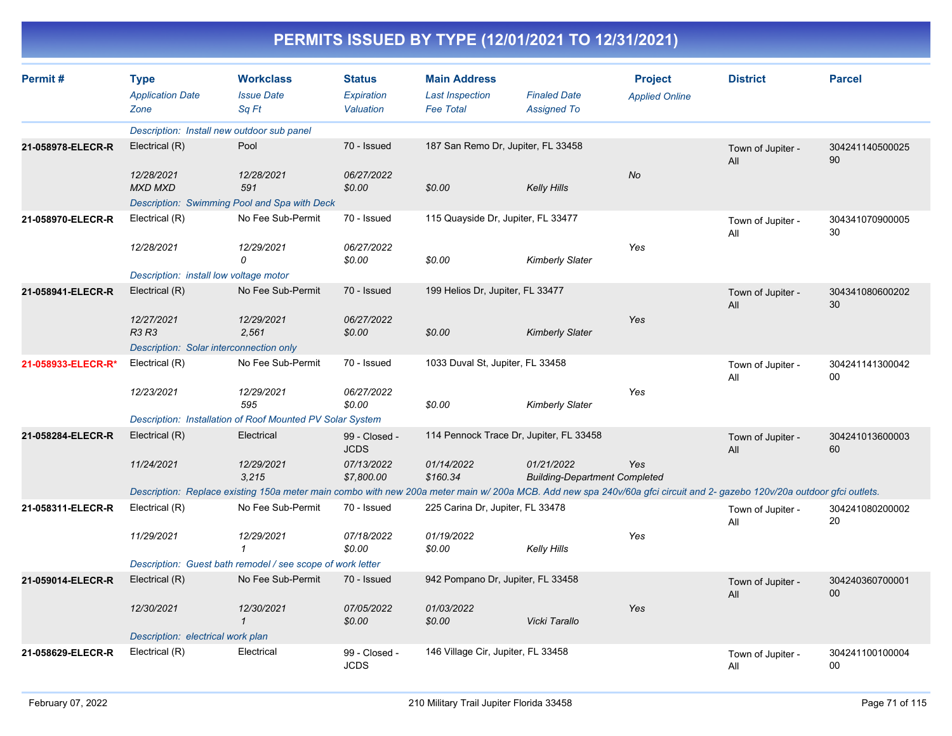| Permit#            | <b>Workclass</b><br><b>Type</b>            |                                                                                                                                                                          | <b>Status</b>                | <b>Main Address</b>                        |                                                    | <b>Project</b>        | <b>District</b>          | <b>Parcel</b>         |
|--------------------|--------------------------------------------|--------------------------------------------------------------------------------------------------------------------------------------------------------------------------|------------------------------|--------------------------------------------|----------------------------------------------------|-----------------------|--------------------------|-----------------------|
|                    | <b>Application Date</b><br>Zone            | <b>Issue Date</b><br>Sq Ft                                                                                                                                               | Expiration<br>Valuation      | <b>Last Inspection</b><br><b>Fee Total</b> | <b>Finaled Date</b><br><b>Assigned To</b>          | <b>Applied Online</b> |                          |                       |
|                    | Description: Install new outdoor sub panel |                                                                                                                                                                          |                              |                                            |                                                    |                       |                          |                       |
| 21-058978-ELECR-R  | Electrical (R)                             | Pool                                                                                                                                                                     | 70 - Issued                  | 187 San Remo Dr, Jupiter, FL 33458         |                                                    |                       | Town of Jupiter -<br>All | 304241140500025<br>90 |
|                    | 12/28/2021<br><b>MXD MXD</b>               | 12/28/2021<br>591                                                                                                                                                        | 06/27/2022<br>\$0.00         | \$0.00                                     | <b>Kelly Hills</b>                                 | No                    |                          |                       |
|                    |                                            | Description: Swimming Pool and Spa with Deck                                                                                                                             |                              |                                            |                                                    |                       |                          |                       |
| 21-058970-ELECR-R  | Electrical (R)                             | No Fee Sub-Permit                                                                                                                                                        | 70 - Issued                  | 115 Quayside Dr, Jupiter, FL 33477         |                                                    |                       | Town of Jupiter -<br>All | 304341070900005<br>30 |
|                    | 12/28/2021                                 | 12/29/2021<br>0                                                                                                                                                          | 06/27/2022<br>\$0.00         | \$0.00                                     | <b>Kimberly Slater</b>                             | Yes                   |                          |                       |
|                    | Description: install low voltage motor     |                                                                                                                                                                          |                              |                                            |                                                    |                       |                          |                       |
| 21-058941-ELECR-R  | Electrical (R)                             | No Fee Sub-Permit                                                                                                                                                        | 70 - Issued                  | 199 Helios Dr, Jupiter, FL 33477           |                                                    |                       | Town of Jupiter -<br>All | 304341080600202<br>30 |
|                    | 12/27/2021<br><b>R3 R3</b>                 | 12/29/2021<br>2,561                                                                                                                                                      | 06/27/2022<br>\$0.00         | \$0.00                                     | Kimberly Slater                                    | Yes                   |                          |                       |
|                    | Description: Solar interconnection only    |                                                                                                                                                                          |                              |                                            |                                                    |                       |                          |                       |
| 21-058933-ELECR-R* | Electrical (R)                             | No Fee Sub-Permit                                                                                                                                                        | 70 - Issued                  | 1033 Duval St, Jupiter, FL 33458           |                                                    |                       | Town of Jupiter -<br>All | 304241141300042<br>00 |
|                    | 12/23/2021                                 | 12/29/2021<br>595                                                                                                                                                        | 06/27/2022<br>\$0.00         | \$0.00                                     | Kimberly Slater                                    | Yes                   |                          |                       |
|                    |                                            | Description: Installation of Roof Mounted PV Solar System                                                                                                                |                              |                                            |                                                    |                       |                          |                       |
| 21-058284-ELECR-R  | Electrical (R)                             | Electrical                                                                                                                                                               | 99 - Closed -<br><b>JCDS</b> | 114 Pennock Trace Dr, Jupiter, FL 33458    |                                                    |                       | Town of Jupiter -<br>All | 304241013600003<br>60 |
|                    | 11/24/2021                                 | 12/29/2021<br>3,215                                                                                                                                                      | 07/13/2022<br>\$7,800.00     | 01/14/2022<br>\$160.34                     | 01/21/2022<br><b>Building-Department Completed</b> | Yes                   |                          |                       |
|                    |                                            | Description: Replace existing 150a meter main combo with new 200a meter main w/ 200a MCB. Add new spa 240v/60a gfci circuit and 2- gazebo 120v/20a outdoor gfci outlets. |                              |                                            |                                                    |                       |                          |                       |
| 21-058311-ELECR-R  | Electrical (R)                             | No Fee Sub-Permit                                                                                                                                                        | 70 - Issued                  | 225 Carina Dr, Jupiter, FL 33478           |                                                    |                       | Town of Jupiter -<br>All | 304241080200002<br>20 |
|                    | 11/29/2021                                 | 12/29/2021<br>$\mathbf{1}$                                                                                                                                               | 07/18/2022<br>\$0.00         | 01/19/2022<br>\$0.00                       | Kelly Hills                                        | Yes                   |                          |                       |
|                    |                                            | Description: Guest bath remodel / see scope of work letter                                                                                                               |                              |                                            |                                                    |                       |                          |                       |
| 21-059014-ELECR-R  | Electrical (R)                             | No Fee Sub-Permit                                                                                                                                                        | 70 - Issued                  | 942 Pompano Dr, Jupiter, FL 33458          |                                                    |                       | Town of Jupiter -<br>All | 304240360700001<br>00 |
|                    | 12/30/2021                                 | 12/30/2021<br>$\mathbf{1}$                                                                                                                                               | 07/05/2022<br>\$0.00         | 01/03/2022<br>\$0.00                       | Vicki Tarallo                                      | Yes                   |                          |                       |
|                    | Description: electrical work plan          |                                                                                                                                                                          |                              |                                            |                                                    |                       |                          |                       |
| 21-058629-ELECR-R  | Electrical (R)                             | Electrical                                                                                                                                                               | 99 - Closed -<br><b>JCDS</b> | 146 Village Cir, Jupiter, FL 33458         |                                                    |                       | Town of Jupiter -<br>All | 304241100100004<br>00 |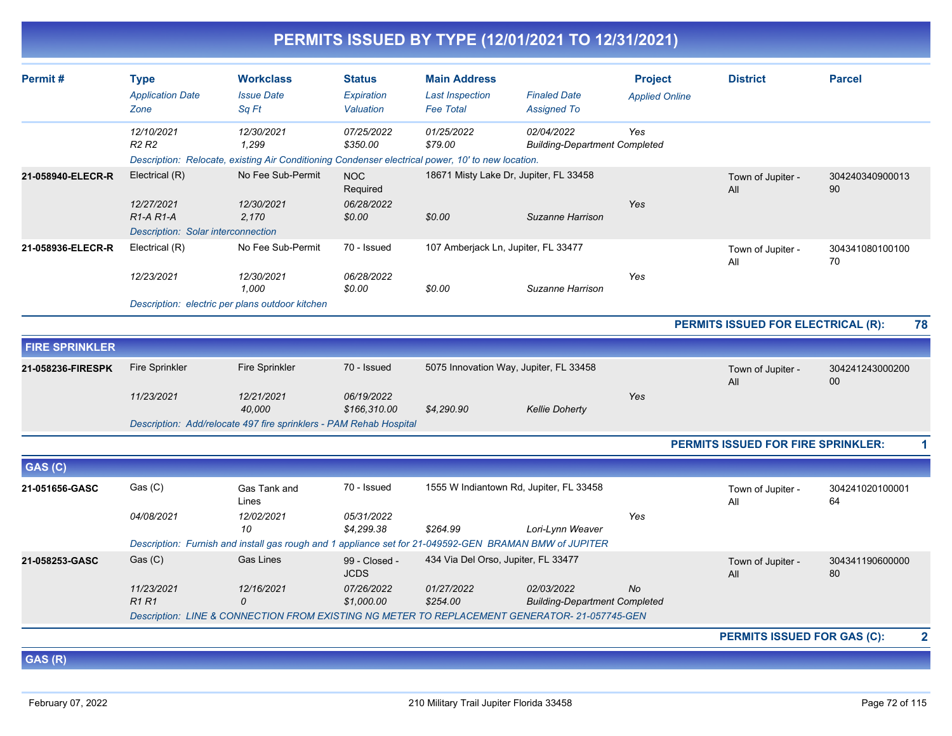|                       |                                                                                                   |                                                                                                        |                              |                                     | PERMITS ISSUED BY TYPE (12/01/2021 TO 12/31/2021)                                             |                       |                                    |                       |  |  |
|-----------------------|---------------------------------------------------------------------------------------------------|--------------------------------------------------------------------------------------------------------|------------------------------|-------------------------------------|-----------------------------------------------------------------------------------------------|-----------------------|------------------------------------|-----------------------|--|--|
| Permit#               | <b>Type</b>                                                                                       | <b>Workclass</b>                                                                                       | <b>Status</b>                | <b>Main Address</b>                 |                                                                                               | <b>Project</b>        | <b>District</b>                    | <b>Parcel</b>         |  |  |
|                       | <b>Application Date</b>                                                                           | <b>Issue Date</b>                                                                                      | Expiration                   | <b>Last Inspection</b>              | <b>Finaled Date</b>                                                                           | <b>Applied Online</b> |                                    |                       |  |  |
|                       | Zone                                                                                              | Sa Ft                                                                                                  | Valuation                    | <b>Fee Total</b>                    | <b>Assigned To</b>                                                                            |                       |                                    |                       |  |  |
|                       | 12/10/2021<br>R <sub>2</sub> R <sub>2</sub>                                                       | 12/30/2021<br>1,299                                                                                    | 07/25/2022<br>\$350.00       | 01/25/2022<br>\$79.00               | 02/04/2022<br><b>Building-Department Completed</b>                                            | Yes                   |                                    |                       |  |  |
|                       | Description: Relocate, existing Air Conditioning Condenser electrical power, 10' to new location. |                                                                                                        |                              |                                     |                                                                                               |                       |                                    |                       |  |  |
| 21-058940-ELECR-R     | Electrical (R)                                                                                    | No Fee Sub-Permit                                                                                      | NOC<br>Required              |                                     | 18671 Misty Lake Dr, Jupiter, FL 33458                                                        |                       | Town of Jupiter -<br>All           | 304240340900013<br>90 |  |  |
|                       | 12/27/2021<br>$R1-A R1-A$                                                                         | 12/30/2021<br>2,170                                                                                    | 06/28/2022<br>\$0.00         | \$0.00                              | Suzanne Harrison                                                                              | Yes                   |                                    |                       |  |  |
|                       | Description: Solar interconnection                                                                |                                                                                                        |                              |                                     |                                                                                               |                       |                                    |                       |  |  |
| 21-058936-ELECR-R     | Electrical (R)                                                                                    | No Fee Sub-Permit                                                                                      | 70 - Issued                  | 107 Amberjack Ln, Jupiter, FL 33477 |                                                                                               |                       | Town of Jupiter -<br>All           | 304341080100100<br>70 |  |  |
|                       | 12/23/2021                                                                                        | 12/30/2021<br>1.000                                                                                    | 06/28/2022<br>\$0.00         | \$0.00                              | Suzanne Harrison                                                                              | Yes                   |                                    |                       |  |  |
|                       |                                                                                                   | Description: electric per plans outdoor kitchen                                                        |                              |                                     |                                                                                               |                       |                                    |                       |  |  |
|                       |                                                                                                   |                                                                                                        |                              |                                     |                                                                                               |                       | PERMITS ISSUED FOR ELECTRICAL (R): | 78                    |  |  |
| <b>FIRE SPRINKLER</b> |                                                                                                   |                                                                                                        |                              |                                     |                                                                                               |                       |                                    |                       |  |  |
| 21-058236-FIRESPK     | <b>Fire Sprinkler</b>                                                                             | <b>Fire Sprinkler</b>                                                                                  | 70 - Issued                  |                                     | 5075 Innovation Way, Jupiter, FL 33458                                                        |                       | Town of Jupiter -<br>All           | 304241243000200<br>00 |  |  |
|                       | 11/23/2021                                                                                        | 12/21/2021<br>40.000                                                                                   | 06/19/2022<br>\$166.310.00   | \$4,290.90                          | <b>Kellie Doherty</b>                                                                         | Yes                   |                                    |                       |  |  |
|                       |                                                                                                   | Description: Add/relocate 497 fire sprinklers - PAM Rehab Hospital                                     |                              |                                     |                                                                                               |                       |                                    |                       |  |  |
|                       |                                                                                                   |                                                                                                        |                              |                                     |                                                                                               |                       | PERMITS ISSUED FOR FIRE SPRINKLER: | 1                     |  |  |
| GAS (C)               |                                                                                                   |                                                                                                        |                              |                                     |                                                                                               |                       |                                    |                       |  |  |
| 21-051656-GASC        | Gas (C)                                                                                           | Gas Tank and<br>Lines                                                                                  | 70 - Issued                  |                                     | 1555 W Indiantown Rd, Jupiter, FL 33458                                                       |                       | Town of Jupiter -<br>All           | 304241020100001<br>64 |  |  |
|                       | 04/08/2021                                                                                        | 12/02/2021<br>10                                                                                       | 05/31/2022<br>\$4,299.38     | \$264.99                            | Lori-Lynn Weaver                                                                              | Yes                   |                                    |                       |  |  |
|                       |                                                                                                   | Description: Furnish and install gas rough and 1 appliance set for 21-049592-GEN BRAMAN BMW of JUPITER |                              |                                     |                                                                                               |                       |                                    |                       |  |  |
| 21-058253-GASC        | Gas (C)                                                                                           | <b>Gas Lines</b>                                                                                       | 99 - Closed -<br><b>JCDS</b> | 434 Via Del Orso, Jupiter, FL 33477 |                                                                                               |                       | Town of Jupiter -<br>All           | 304341190600000<br>80 |  |  |
|                       | 11/23/2021<br><b>R1R1</b>                                                                         | 12/16/2021<br>0                                                                                        | 07/26/2022<br>\$1,000.00     | 01/27/2022<br>\$254.00              | 02/03/2022<br><b>Building-Department Completed</b>                                            | No                    |                                    |                       |  |  |
|                       |                                                                                                   |                                                                                                        |                              |                                     | Description: LINE & CONNECTION FROM EXISTING NG METER TO REPLACEMENT GENERATOR- 21-057745-GEN |                       |                                    |                       |  |  |

**PERMITS ISSUED FOR GAS (C): 2**

**GAS (R)**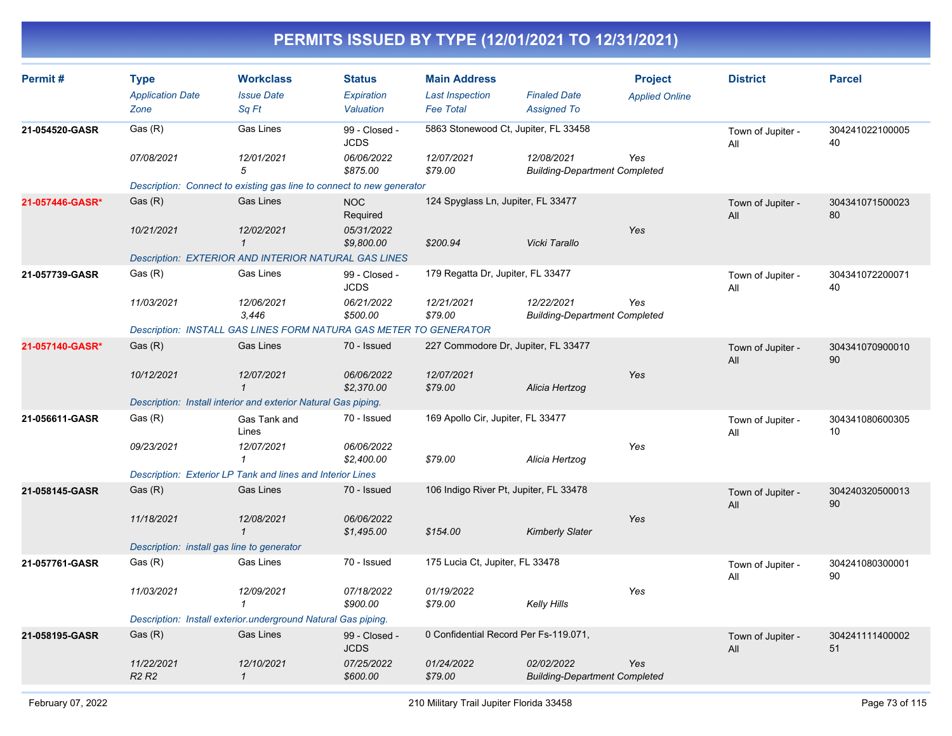| Permit#         | <b>Type</b>                                | <b>Workclass</b>                                                      | <b>Status</b>                | <b>Main Address</b>                    |                                                    | <b>Project</b>        | <b>District</b>          | <b>Parcel</b>         |
|-----------------|--------------------------------------------|-----------------------------------------------------------------------|------------------------------|----------------------------------------|----------------------------------------------------|-----------------------|--------------------------|-----------------------|
|                 | <b>Application Date</b>                    | <b>Issue Date</b>                                                     | Expiration                   | <b>Last Inspection</b>                 | <b>Finaled Date</b>                                | <b>Applied Online</b> |                          |                       |
|                 | Zone                                       | Sq Ft                                                                 | Valuation                    | <b>Fee Total</b>                       | <b>Assigned To</b>                                 |                       |                          |                       |
| 21-054520-GASR  | Gas (R)                                    | Gas Lines                                                             | 99 - Closed -<br><b>JCDS</b> | 5863 Stonewood Ct, Jupiter, FL 33458   |                                                    |                       | Town of Jupiter -<br>All | 304241022100005<br>40 |
|                 | 07/08/2021                                 | 12/01/2021<br>5                                                       | 06/06/2022<br>\$875.00       | 12/07/2021<br>\$79.00                  | 12/08/2021<br><b>Building-Department Completed</b> | Yes                   |                          |                       |
|                 |                                            | Description: Connect to existing gas line to connect to new generator |                              |                                        |                                                    |                       |                          |                       |
| 21-057446-GASR* | Gas(R)                                     | <b>Gas Lines</b>                                                      | <b>NOC</b><br>Required       | 124 Spyglass Ln, Jupiter, FL 33477     |                                                    |                       | Town of Jupiter -<br>All | 304341071500023<br>80 |
|                 | 10/21/2021                                 | 12/02/2021<br>$\mathbf{1}$                                            | 05/31/2022<br>\$9,800.00     | \$200.94                               | Vicki Tarallo                                      | Yes                   |                          |                       |
|                 |                                            | Description: EXTERIOR AND INTERIOR NATURAL GAS LINES                  |                              |                                        |                                                    |                       |                          |                       |
| 21-057739-GASR  | Gas (R)                                    | Gas Lines                                                             | 99 - Closed -<br><b>JCDS</b> | 179 Regatta Dr, Jupiter, FL 33477      |                                                    |                       | Town of Jupiter -<br>All | 304341072200071<br>40 |
|                 | 11/03/2021                                 | 12/06/2021<br>3.446                                                   | 06/21/2022<br>\$500.00       | 12/21/2021<br>\$79.00                  | 12/22/2021<br><b>Building-Department Completed</b> | Yes                   |                          |                       |
|                 |                                            | Description: INSTALL GAS LINES FORM NATURA GAS METER TO GENERATOR     |                              |                                        |                                                    |                       |                          |                       |
| 21-057140-GASR* | Gas(R)                                     | <b>Gas Lines</b>                                                      | 70 - Issued                  | 227 Commodore Dr, Jupiter, FL 33477    |                                                    |                       | Town of Jupiter -<br>All | 304341070900010<br>90 |
|                 | 10/12/2021                                 | 12/07/2021<br>$\mathbf{1}$                                            | 06/06/2022<br>\$2,370.00     | 12/07/2021<br>\$79.00                  | Alicia Hertzog                                     | Yes                   |                          |                       |
|                 |                                            | Description: Install interior and exterior Natural Gas piping.        |                              |                                        |                                                    |                       |                          |                       |
| 21-056611-GASR  | Gas (R)                                    | Gas Tank and<br>Lines                                                 | 70 - Issued                  | 169 Apollo Cir, Jupiter, FL 33477      |                                                    |                       | Town of Jupiter -<br>All | 304341080600305<br>10 |
|                 | 09/23/2021                                 | 12/07/2021<br>1                                                       | 06/06/2022<br>\$2,400.00     | \$79.00                                | Alicia Hertzog                                     | Yes                   |                          |                       |
|                 |                                            | Description: Exterior LP Tank and lines and Interior Lines            |                              |                                        |                                                    |                       |                          |                       |
| 21-058145-GASR  | Gas(R)                                     | <b>Gas Lines</b>                                                      | 70 - Issued                  | 106 Indigo River Pt, Jupiter, FL 33478 |                                                    |                       | Town of Jupiter -<br>All | 304240320500013<br>90 |
|                 | 11/18/2021                                 | 12/08/2021<br>$\mathbf{1}$                                            | 06/06/2022<br>\$1,495.00     | \$154.00                               | <b>Kimberly Slater</b>                             | Yes                   |                          |                       |
|                 | Description: install gas line to generator |                                                                       |                              |                                        |                                                    |                       |                          |                       |
| 21-057761-GASR  | Gas (R)                                    | Gas Lines                                                             | 70 - Issued                  | 175 Lucia Ct, Jupiter, FL 33478        |                                                    |                       | Town of Jupiter -<br>All | 304241080300001<br>90 |
|                 | 11/03/2021                                 | 12/09/2021<br>$\mathbf{\overline{1}}$                                 | 07/18/2022<br>\$900.00       | 01/19/2022<br>\$79.00                  | Kelly Hills                                        | Yes                   |                          |                       |
|                 |                                            | Description: Install exterior underground Natural Gas piping.         |                              |                                        |                                                    |                       |                          |                       |
| 21-058195-GASR  | Gas (R)                                    | Gas Lines                                                             | 99 - Closed -<br><b>JCDS</b> | 0 Confidential Record Per Fs-119.071,  |                                                    |                       | Town of Jupiter -<br>All | 304241111400002<br>51 |
|                 | 11/22/2021<br><b>R2 R2</b>                 | 12/10/2021<br>$\mathbf{1}$                                            | 07/25/2022<br>\$600.00       | 01/24/2022<br>\$79.00                  | 02/02/2022<br><b>Building-Department Completed</b> | Yes                   |                          |                       |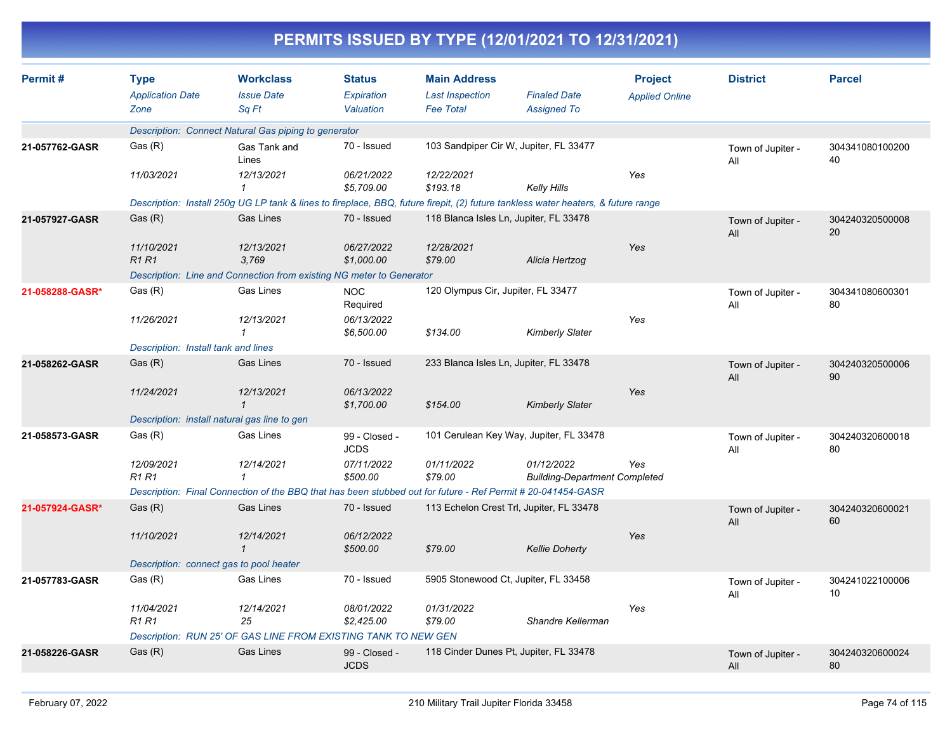|                 |                                                |                                                                                                             |                                          |                                                                   | PERMITS ISSUED BY TYPE (12/01/2021 TO 12/31/2021)                                                                                 |                                         |                          |                       |
|-----------------|------------------------------------------------|-------------------------------------------------------------------------------------------------------------|------------------------------------------|-------------------------------------------------------------------|-----------------------------------------------------------------------------------------------------------------------------------|-----------------------------------------|--------------------------|-----------------------|
| Permit#         | <b>Type</b><br><b>Application Date</b><br>Zone | <b>Workclass</b><br><b>Issue Date</b><br>Sq Ft                                                              | <b>Status</b><br>Expiration<br>Valuation | <b>Main Address</b><br><b>Last Inspection</b><br><b>Fee Total</b> | <b>Finaled Date</b><br><b>Assigned To</b>                                                                                         | <b>Project</b><br><b>Applied Online</b> | <b>District</b>          | <b>Parcel</b>         |
|                 |                                                | Description: Connect Natural Gas piping to generator                                                        |                                          |                                                                   |                                                                                                                                   |                                         |                          |                       |
| 21-057762-GASR  | Gas (R)                                        | Gas Tank and<br>Lines                                                                                       | 70 - Issued                              |                                                                   | 103 Sandpiper Cir W, Jupiter, FL 33477                                                                                            |                                         | Town of Jupiter -<br>All | 304341080100200<br>40 |
|                 | 11/03/2021                                     | 12/13/2021<br>1                                                                                             | 06/21/2022<br>\$5,709.00                 | 12/22/2021<br>\$193.18                                            | <b>Kelly Hills</b>                                                                                                                | Yes                                     |                          |                       |
|                 |                                                |                                                                                                             |                                          |                                                                   | Description: Install 250g UG LP tank & lines to fireplace, BBQ, future firepit, (2) future tankless water heaters, & future range |                                         |                          |                       |
| 21-057927-GASR  | Gas(R)                                         | <b>Gas Lines</b>                                                                                            | 70 - Issued                              | 118 Blanca Isles Ln, Jupiter, FL 33478                            |                                                                                                                                   |                                         | Town of Jupiter -<br>All | 304240320500008<br>20 |
|                 | 11/10/2021<br><b>R1R1</b>                      | 12/13/2021<br>3,769                                                                                         | 06/27/2022<br>\$1,000.00                 | 12/28/2021<br>\$79.00                                             | Alicia Hertzog                                                                                                                    | Yes                                     |                          |                       |
|                 |                                                | Description: Line and Connection from existing NG meter to Generator                                        |                                          |                                                                   |                                                                                                                                   |                                         |                          |                       |
| 21-058288-GASR* | Gas (R)                                        | Gas Lines                                                                                                   | <b>NOC</b><br>Required                   | 120 Olympus Cir, Jupiter, FL 33477                                |                                                                                                                                   |                                         | Town of Jupiter -<br>All | 304341080600301<br>80 |
|                 | 11/26/2021                                     | 12/13/2021                                                                                                  | 06/13/2022<br>\$6,500.00                 | \$134.00                                                          | <b>Kimberly Slater</b>                                                                                                            | Yes                                     |                          |                       |
|                 | Description: Install tank and lines            |                                                                                                             |                                          |                                                                   |                                                                                                                                   |                                         |                          |                       |
| 21-058262-GASR  | Gas (R)                                        | <b>Gas Lines</b>                                                                                            | 70 - Issued                              | 233 Blanca Isles Ln, Jupiter, FL 33478                            |                                                                                                                                   |                                         | Town of Jupiter -<br>All | 304240320500006<br>90 |
|                 | 11/24/2021                                     | 12/13/2021<br>$\mathbf{1}$                                                                                  | 06/13/2022<br>\$1,700.00                 | \$154.00                                                          | <b>Kimberly Slater</b>                                                                                                            | Yes                                     |                          |                       |
|                 |                                                | Description: install natural gas line to gen                                                                |                                          |                                                                   |                                                                                                                                   |                                         |                          |                       |
| 21-058573-GASR  | Gas (R)                                        | Gas Lines                                                                                                   | 99 - Closed -<br><b>JCDS</b>             |                                                                   | 101 Cerulean Key Way, Jupiter, FL 33478                                                                                           |                                         | Town of Jupiter -<br>All | 304240320600018<br>80 |
|                 | 12/09/2021<br><b>R1 R1</b>                     | 12/14/2021<br>1                                                                                             | 07/11/2022<br>\$500.00                   | 01/11/2022<br>\$79.00                                             | 01/12/2022<br><b>Building-Department Completed</b>                                                                                | Yes                                     |                          |                       |
|                 |                                                | Description: Final Connection of the BBQ that has been stubbed out for future - Ref Permit # 20-041454-GASR |                                          |                                                                   |                                                                                                                                   |                                         |                          |                       |
| 21-057924-GASR* | Gas(R)                                         | <b>Gas Lines</b>                                                                                            | 70 - Issued                              |                                                                   | 113 Echelon Crest Trl, Jupiter, FL 33478                                                                                          |                                         | Town of Jupiter -<br>All | 304240320600021<br>60 |
|                 | 11/10/2021                                     | 12/14/2021<br>$\mathbf{1}$                                                                                  | 06/12/2022<br>\$500.00                   | \$79.00                                                           | <b>Kellie Doherty</b>                                                                                                             | Yes                                     |                          |                       |
|                 | Description: connect gas to pool heater        |                                                                                                             |                                          |                                                                   |                                                                                                                                   |                                         |                          |                       |
| 21-057783-GASR  | Gas (R)                                        | <b>Gas Lines</b>                                                                                            | 70 - Issued                              |                                                                   | 5905 Stonewood Ct, Jupiter, FL 33458                                                                                              |                                         | Town of Jupiter -<br>All | 304241022100006<br>10 |
|                 | 11/04/2021<br>R1 R1                            | 12/14/2021<br>25                                                                                            | 08/01/2022<br>\$2,425.00                 | 01/31/2022<br>\$79.00                                             | Shandre Kellerman                                                                                                                 | Yes                                     |                          |                       |
|                 |                                                | Description: RUN 25' OF GAS LINE FROM EXISTING TANK TO NEW GEN                                              |                                          |                                                                   |                                                                                                                                   |                                         |                          |                       |
| 21-058226-GASR  | Gas (R)                                        | Gas Lines                                                                                                   | 99 - Closed -<br><b>JCDS</b>             |                                                                   | 118 Cinder Dunes Pt, Jupiter, FL 33478                                                                                            |                                         | Town of Jupiter -<br>All | 304240320600024<br>80 |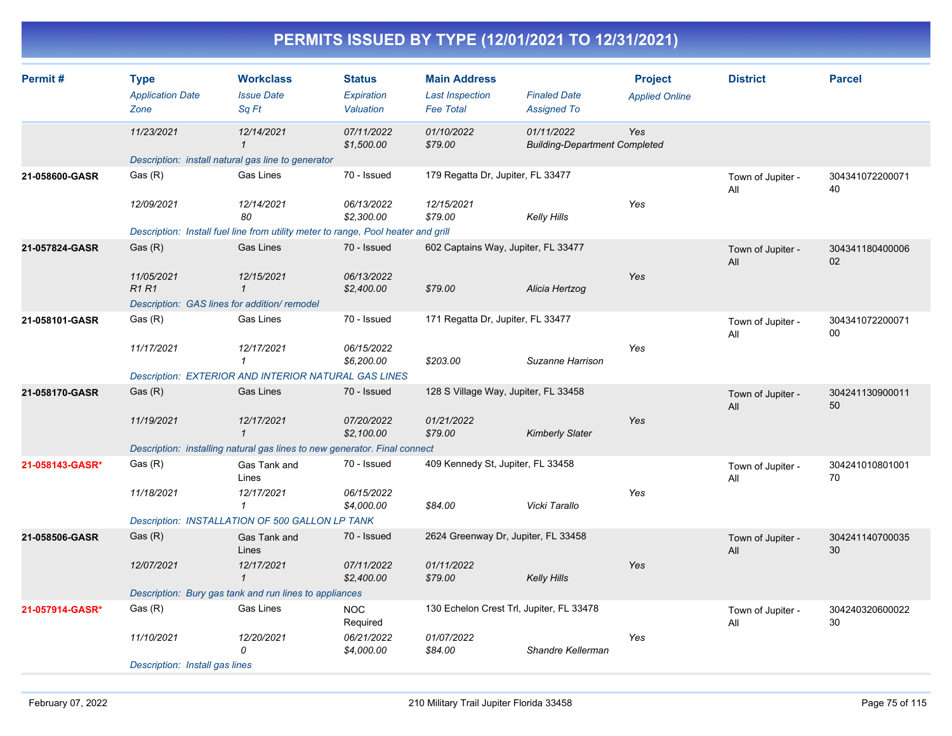| Permit#         | <b>Type</b><br><b>Application Date</b><br>Zone | <b>Workclass</b><br><b>Issue Date</b><br>Sq Ft                                    | <b>Status</b><br>Expiration<br>Valuation | <b>Main Address</b><br><b>Last Inspection</b><br><b>Fee Total</b> | <b>Finaled Date</b><br><b>Assigned To</b>          | <b>Project</b><br><b>Applied Online</b> | <b>District</b>          | <b>Parcel</b>             |
|-----------------|------------------------------------------------|-----------------------------------------------------------------------------------|------------------------------------------|-------------------------------------------------------------------|----------------------------------------------------|-----------------------------------------|--------------------------|---------------------------|
|                 | 11/23/2021                                     | 12/14/2021<br>$\mathbf{1}$                                                        | 07/11/2022<br>\$1,500.00                 | 01/10/2022<br>\$79.00                                             | 01/11/2022<br><b>Building-Department Completed</b> | Yes                                     |                          |                           |
|                 |                                                | Description: install natural gas line to generator                                |                                          |                                                                   |                                                    |                                         |                          |                           |
| 21-058600-GASR  | Gas (R)                                        | Gas Lines                                                                         | 70 - Issued                              | 179 Regatta Dr, Jupiter, FL 33477                                 |                                                    |                                         | Town of Jupiter -<br>All | 304341072200071<br>40     |
|                 | 12/09/2021                                     | 12/14/2021<br>80                                                                  | 06/13/2022<br>\$2,300.00                 | 12/15/2021<br>\$79.00                                             | Kelly Hills                                        | Yes                                     |                          |                           |
|                 |                                                | Description: Install fuel line from utility meter to range, Pool heater and grill |                                          |                                                                   |                                                    |                                         |                          |                           |
| 21-057824-GASR  | Gas (R)                                        | <b>Gas Lines</b>                                                                  | 70 - Issued                              | 602 Captains Way, Jupiter, FL 33477                               |                                                    |                                         | Town of Jupiter -<br>All | 304341180400006<br>02     |
|                 | 11/05/2021<br>R1R1                             | 12/15/2021<br>$\mathbf{1}$                                                        | 06/13/2022<br>\$2,400.00                 | \$79.00                                                           | Alicia Hertzog                                     | Yes                                     |                          |                           |
|                 | Description: GAS lines for addition/remodel    |                                                                                   |                                          |                                                                   |                                                    |                                         |                          |                           |
| 21-058101-GASR  | Gas (R)                                        | Gas Lines                                                                         | 70 - Issued                              | 171 Regatta Dr, Jupiter, FL 33477                                 |                                                    |                                         | Town of Jupiter -<br>All | 304341072200071<br>$00\,$ |
|                 | 11/17/2021                                     | 12/17/2021<br>$\mathbf{1}$                                                        | 06/15/2022<br>\$6,200.00                 | \$203.00                                                          | Suzanne Harrison                                   | Yes                                     |                          |                           |
|                 |                                                | <b>Description: EXTERIOR AND INTERIOR NATURAL GAS LINES</b>                       |                                          |                                                                   |                                                    |                                         |                          |                           |
| 21-058170-GASR  | Gas(R)                                         | <b>Gas Lines</b>                                                                  | 70 - Issued                              | 128 S Village Way, Jupiter, FL 33458                              |                                                    |                                         | Town of Jupiter -<br>All | 304241130900011<br>50     |
|                 | 11/19/2021                                     | 12/17/2021<br>$\mathbf{1}$                                                        | 07/20/2022<br>\$2,100.00                 | 01/21/2022<br>\$79.00                                             | <b>Kimberly Slater</b>                             | Yes                                     |                          |                           |
|                 |                                                | Description: installing natural gas lines to new generator. Final connect         |                                          |                                                                   |                                                    |                                         |                          |                           |
| 21-058143-GASR* | Gas(R)                                         | Gas Tank and<br>Lines                                                             | 70 - Issued                              | 409 Kennedy St, Jupiter, FL 33458                                 |                                                    |                                         | Town of Jupiter -<br>All | 304241010801001<br>70     |
|                 | 11/18/2021                                     | 12/17/2021<br>$\mathcal I$                                                        | 06/15/2022<br>\$4,000.00                 | \$84.00                                                           | Vicki Tarallo                                      | Yes                                     |                          |                           |
|                 |                                                | Description: INSTALLATION OF 500 GALLON LP TANK                                   |                                          |                                                                   |                                                    |                                         |                          |                           |
| 21-058506-GASR  | Gas (R)                                        | Gas Tank and<br>Lines                                                             | 70 - Issued                              | 2624 Greenway Dr, Jupiter, FL 33458                               |                                                    |                                         | Town of Jupiter -<br>All | 304241140700035<br>30     |
|                 | 12/07/2021                                     | 12/17/2021<br>$\mathcal I$                                                        | 07/11/2022<br>\$2,400.00                 | 01/11/2022<br>\$79.00                                             | <b>Kelly Hills</b>                                 | Yes                                     |                          |                           |
|                 |                                                | Description: Bury gas tank and run lines to appliances                            |                                          |                                                                   |                                                    |                                         |                          |                           |
| 21-057914-GASR* | Gas (R)                                        | Gas Lines                                                                         | <b>NOC</b><br>Required                   | 130 Echelon Crest Trl, Jupiter, FL 33478                          |                                                    |                                         | Town of Jupiter -<br>All | 304240320600022<br>30     |
|                 | 11/10/2021                                     | 12/20/2021<br>$\Omega$                                                            | 06/21/2022<br>\$4,000.00                 | 01/07/2022<br>\$84.00                                             | Shandre Kellerman                                  | Yes                                     |                          |                           |
|                 | Description: Install gas lines                 |                                                                                   |                                          |                                                                   |                                                    |                                         |                          |                           |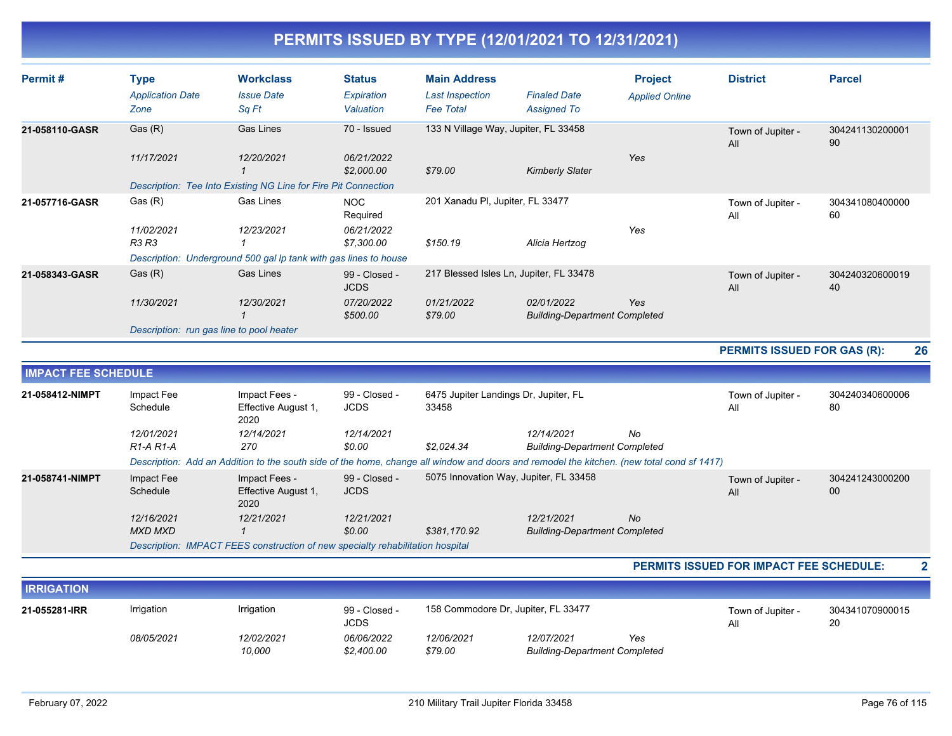| Permit#        | <b>Type</b><br><b>Application Date</b><br>Zone | <b>Workclass</b><br><b>Issue Date</b><br>Sq Ft                   | <b>Status</b><br>Expiration<br>Valuation | <b>Main Address</b><br>Last Inspection<br><b>Fee Total</b> | <b>Finaled Date</b><br><b>Assigned To</b>          | <b>Project</b><br><b>Applied Online</b> | <b>District</b>          | <b>Parcel</b>         |
|----------------|------------------------------------------------|------------------------------------------------------------------|------------------------------------------|------------------------------------------------------------|----------------------------------------------------|-----------------------------------------|--------------------------|-----------------------|
| 21-058110-GASR | Gas (R)<br>11/17/2021                          | Gas Lines<br>12/20/2021                                          | 70 - Issued<br>06/21/2022<br>\$2,000.00  | 133 N Village Way, Jupiter, FL 33458<br>\$79.00            | <b>Kimberly Slater</b>                             | Yes                                     | Town of Jupiter -<br>All | 304241130200001<br>90 |
|                |                                                | Description: Tee Into Existing NG Line for Fire Pit Connection   |                                          |                                                            |                                                    |                                         |                          |                       |
| 21-057716-GASR | Gas (R)                                        | <b>Gas Lines</b>                                                 | <b>NOC</b><br>Required                   | 201 Xanadu PI, Jupiter, FL 33477                           |                                                    |                                         | Town of Jupiter -<br>All | 304341080400000<br>60 |
|                | 11/02/2021<br><b>R3 R3</b>                     | 12/23/2021                                                       | 06/21/2022<br>\$7,300.00                 | \$150.19                                                   | Alicia Hertzog                                     | Yes                                     |                          |                       |
|                |                                                | Description: Underground 500 gal Ip tank with gas lines to house |                                          |                                                            |                                                    |                                         |                          |                       |
| 21-058343-GASR | Gas(R)                                         | <b>Gas Lines</b>                                                 | 99 - Closed -<br><b>JCDS</b>             |                                                            | 217 Blessed Isles Ln, Jupiter, FL 33478            |                                         | Town of Jupiter -<br>All | 304240320600019<br>40 |
|                | 11/30/2021                                     | 12/30/2021                                                       | 07/20/2022<br>\$500.00                   | 01/21/2022<br>\$79.00                                      | 02/01/2022<br><b>Building-Department Completed</b> | Yes                                     |                          |                       |
|                | Description: run gas line to pool heater       |                                                                  |                                          |                                                            |                                                    |                                         |                          |                       |

#### **PERMITS ISSUED FOR GAS (R): 26**

| <b>IMPACT FEE SCHEDULE</b> |                              |                                                                                                                                                                |                              |                                        |                                                    |    |                          |                       |
|----------------------------|------------------------------|----------------------------------------------------------------------------------------------------------------------------------------------------------------|------------------------------|----------------------------------------|----------------------------------------------------|----|--------------------------|-----------------------|
| 21-058412-NIMPT            | Impact Fee<br>Schedule       | Impact Fees -<br>Effective August 1,<br>2020                                                                                                                   | 99 - Closed -<br><b>JCDS</b> | 33458                                  | 6475 Jupiter Landings Dr. Jupiter, FL              |    | Town of Jupiter -<br>All | 304240340600006<br>80 |
|                            | 12/01/2021<br>$R1-A R1-A$    | 12/14/2021<br>270<br>Description: Add an Addition to the south side of the home, change all window and doors and remodel the kitchen. (new total cond sf 1417) | 12/14/2021<br>\$0.00         | \$2.024.34                             | 12/14/2021<br><b>Building-Department Completed</b> | No |                          |                       |
| 21-058741-NIMPT            | Impact Fee<br>Schedule       | Impact Fees -<br>Effective August 1,<br>2020                                                                                                                   | 99 - Closed -<br><b>JCDS</b> | 5075 Innovation Way, Jupiter, FL 33458 |                                                    |    | Town of Jupiter -<br>All | 304241243000200<br>00 |
|                            | 12/16/2021<br><b>MXD MXD</b> | 12/21/2021<br>Description: IMPACT FEES construction of new specialty rehabilitation hospital                                                                   | 12/21/2021<br>\$0.00         | \$381,170.92                           | 12/21/2021<br><b>Building-Department Completed</b> | No |                          |                       |

#### **PERMITS ISSUED FOR IMPACT FEE SCHEDULE: 2**

| <b>IRRIGATION</b> |            |                      |                              |                       |                                                    |     |                          |                       |
|-------------------|------------|----------------------|------------------------------|-----------------------|----------------------------------------------------|-----|--------------------------|-----------------------|
| 21-055281-IRR     | Irrigation | Irrigation           | 99 - Closed -<br><b>JCDS</b> |                       | 158 Commodore Dr. Jupiter, FL 33477                |     | Town of Jupiter -<br>All | 304341070900015<br>20 |
|                   | 08/05/2021 | 12/02/2021<br>10,000 | 06/06/2022<br>\$2,400.00     | 12/06/2021<br>\$79.00 | 12/07/2021<br><b>Building-Department Completed</b> | Yes |                          |                       |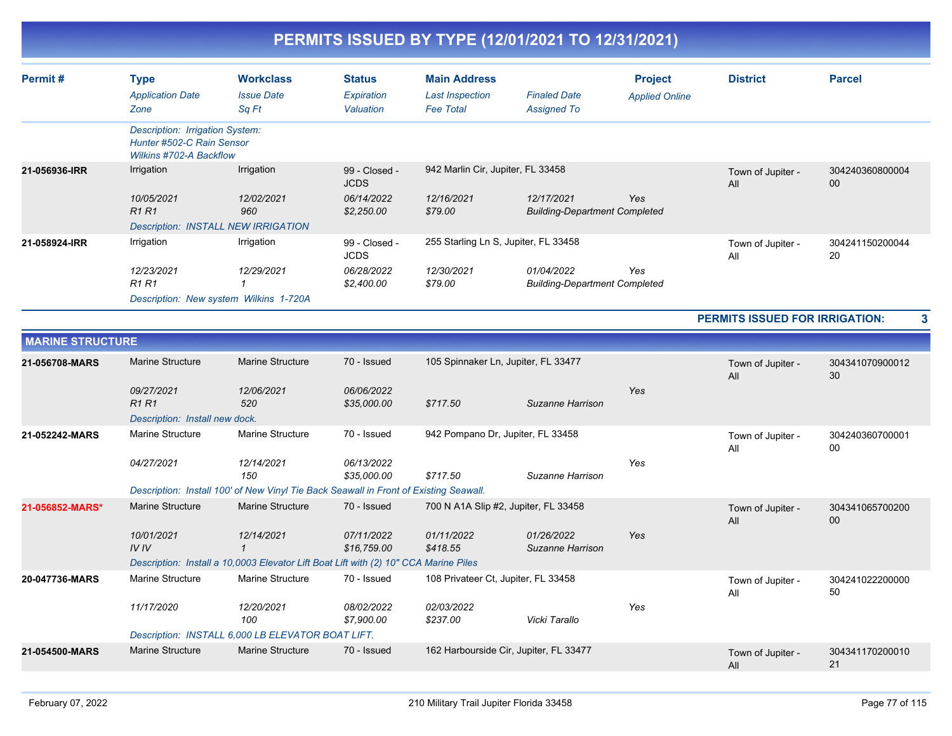| Permit#       | Type<br><b>Application Date</b><br>Zone                                                        | <b>Workclass</b><br><b>Issue Date</b><br>Sq Ft | <b>Status</b><br>Expiration<br>Valuation | <b>Main Address</b><br>Last Inspection<br><b>Fee Total</b> | <b>Finaled Date</b><br><b>Assigned To</b>          | <b>Project</b><br><b>Applied Online</b> | <b>District</b>          | <b>Parcel</b>         |
|---------------|------------------------------------------------------------------------------------------------|------------------------------------------------|------------------------------------------|------------------------------------------------------------|----------------------------------------------------|-----------------------------------------|--------------------------|-----------------------|
|               | Description: Irrigation System:<br>Hunter #502-C Rain Sensor<br><b>Wilkins #702-A Backflow</b> |                                                |                                          |                                                            |                                                    |                                         |                          |                       |
| 21-056936-IRR | Irrigation                                                                                     | Irrigation                                     | 99 - Closed -<br><b>JCDS</b>             | 942 Marlin Cir, Jupiter, FL 33458                          |                                                    |                                         | Town of Jupiter -<br>All | 304240360800004<br>00 |
|               | 10/05/2021<br><b>R1 R1</b>                                                                     | 12/02/2021<br>960                              | 06/14/2022<br>\$2,250.00                 | 12/16/2021<br>\$79.00                                      | 12/17/2021<br><b>Building-Department Completed</b> | Yes                                     |                          |                       |
|               |                                                                                                | <b>Description: INSTALL NEW IRRIGATION</b>     |                                          |                                                            |                                                    |                                         |                          |                       |
| 21-058924-IRR | Irrigation                                                                                     | Irrigation                                     | 99 - Closed -<br><b>JCDS</b>             | 255 Starling Ln S, Jupiter, FL 33458                       |                                                    |                                         | Town of Jupiter -<br>All | 304241150200044<br>20 |
|               | 12/23/2021<br>R1 R1                                                                            | 12/29/2021                                     | 06/28/2022<br>\$2,400.00                 | 12/30/2021<br>\$79.00                                      | 01/04/2022<br><b>Building-Department Completed</b> | Yes                                     |                          |                       |
|               |                                                                                                | Description: New system Wilkins 1-720A         |                                          |                                                            |                                                    |                                         |                          |                       |

**PERMITS ISSUED FOR IRRIGATION: 3**

| <b>MARINE STRUCTURE</b> |                                |                                                                                       |                           |                                        |                                |     |                          |                       |
|-------------------------|--------------------------------|---------------------------------------------------------------------------------------|---------------------------|----------------------------------------|--------------------------------|-----|--------------------------|-----------------------|
| 21-056708-MARS          | Marine Structure               | <b>Marine Structure</b>                                                               | 70 - Issued               | 105 Spinnaker Ln, Jupiter, FL 33477    |                                |     | Town of Jupiter -<br>All | 304341070900012<br>30 |
|                         | 09/27/2021<br>R1R1             | 12/06/2021<br>520                                                                     | 06/06/2022<br>\$35,000.00 | \$717.50                               | Suzanne Harrison               | Yes |                          |                       |
|                         | Description: Install new dock. |                                                                                       |                           |                                        |                                |     |                          |                       |
| 21-052242-MARS          | <b>Marine Structure</b>        | Marine Structure                                                                      | 70 - Issued               | 942 Pompano Dr, Jupiter, FL 33458      |                                |     | Town of Jupiter -<br>All | 304240360700001<br>00 |
|                         | 04/27/2021                     | 12/14/2021<br>150                                                                     | 06/13/2022<br>\$35,000.00 | \$717.50                               | Suzanne Harrison               | Yes |                          |                       |
|                         |                                | Description: Install 100' of New Vinyl Tie Back Seawall in Front of Existing Seawall. |                           |                                        |                                |     |                          |                       |
| 21-056852-MARS*         | Marine Structure               | <b>Marine Structure</b>                                                               | 70 - Issued               | 700 N A1A Slip #2, Jupiter, FL 33458   |                                |     | Town of Jupiter -<br>All | 304341065700200<br>00 |
|                         | 10/01/2021<br>IVIV             | 12/14/2021                                                                            | 07/11/2022<br>\$16,759.00 | 01/11/2022<br>\$418.55                 | 01/26/2022<br>Suzanne Harrison | Yes |                          |                       |
|                         |                                | Description: Install a 10,0003 Elevator Lift Boat Lift with (2) 10" CCA Marine Piles  |                           |                                        |                                |     |                          |                       |
| 20-047736-MARS          | Marine Structure               | Marine Structure                                                                      | 70 - Issued               | 108 Privateer Ct, Jupiter, FL 33458    |                                |     | Town of Jupiter -<br>All | 304241022200000<br>50 |
|                         | 11/17/2020                     | 12/20/2021<br>100                                                                     | 08/02/2022<br>\$7,900.00  | 02/03/2022<br>\$237.00                 | Vicki Tarallo                  | Yes |                          |                       |
|                         |                                | Description: INSTALL 6,000 LB ELEVATOR BOAT LIFT.                                     |                           |                                        |                                |     |                          |                       |
| 21-054500-MARS          | <b>Marine Structure</b>        | Marine Structure                                                                      | 70 - Issued               | 162 Harbourside Cir, Jupiter, FL 33477 |                                |     | Town of Jupiter -<br>All | 304341170200010<br>21 |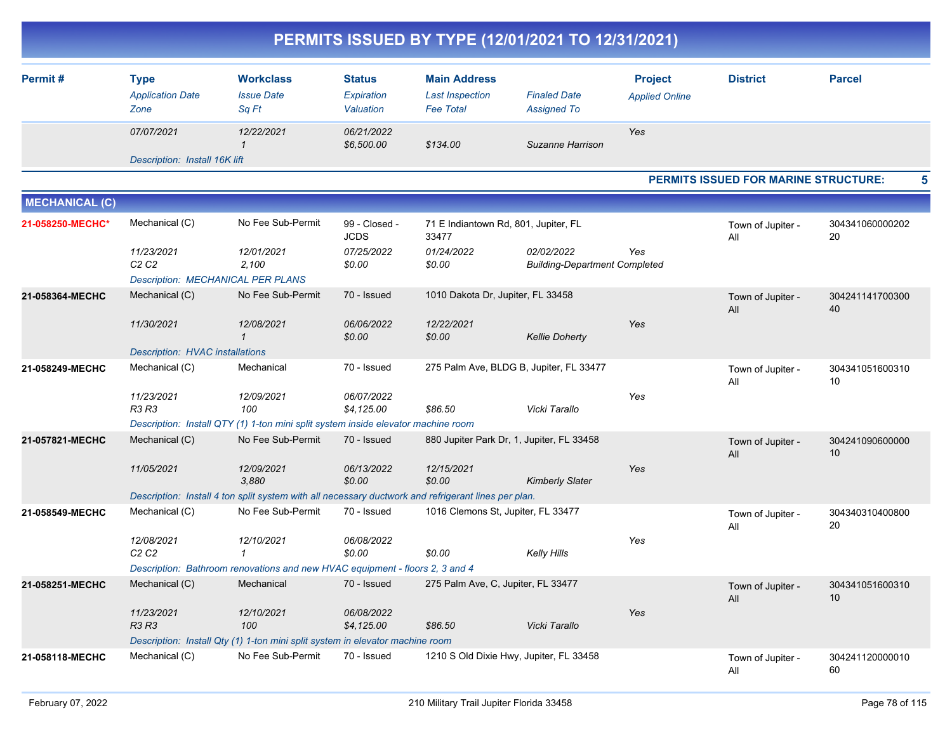|                       |                                                |                                                                                                     |                                          |                                                                   | PERMITS ISSUED BY TYPE (12/01/2021 TO 12/31/2021)  |                                         |                                             |                       |   |
|-----------------------|------------------------------------------------|-----------------------------------------------------------------------------------------------------|------------------------------------------|-------------------------------------------------------------------|----------------------------------------------------|-----------------------------------------|---------------------------------------------|-----------------------|---|
| Permit#               | <b>Type</b><br><b>Application Date</b><br>Zone | <b>Workclass</b><br><b>Issue Date</b><br>Sq Ft                                                      | <b>Status</b><br>Expiration<br>Valuation | <b>Main Address</b><br><b>Last Inspection</b><br><b>Fee Total</b> | <b>Finaled Date</b><br><b>Assigned To</b>          | <b>Project</b><br><b>Applied Online</b> | <b>District</b>                             | <b>Parcel</b>         |   |
|                       | 07/07/2021                                     | 12/22/2021<br>$\mathcal I$                                                                          | 06/21/2022<br>\$6,500.00                 | \$134.00                                                          | Suzanne Harrison                                   | Yes                                     |                                             |                       |   |
|                       | Description: Install 16K lift                  |                                                                                                     |                                          |                                                                   |                                                    |                                         |                                             |                       |   |
|                       |                                                |                                                                                                     |                                          |                                                                   |                                                    |                                         | <b>PERMITS ISSUED FOR MARINE STRUCTURE:</b> |                       | 5 |
| <b>MECHANICAL (C)</b> |                                                |                                                                                                     |                                          |                                                                   |                                                    |                                         |                                             |                       |   |
| 21-058250-MECHC*      | Mechanical (C)                                 | No Fee Sub-Permit                                                                                   | 99 - Closed -<br><b>JCDS</b>             | 71 E Indiantown Rd, 801, Jupiter, FL<br>33477                     |                                                    |                                         | Town of Jupiter -<br>All                    | 304341060000202<br>20 |   |
|                       | 11/23/2021<br>C <sub>2</sub> C <sub>2</sub>    | 12/01/2021<br>2,100<br><b>Description: MECHANICAL PER PLANS</b>                                     | 07/25/2022<br>\$0.00                     | 01/24/2022<br>\$0.00                                              | 02/02/2022<br><b>Building-Department Completed</b> | Yes                                     |                                             |                       |   |
| 21-058364-MECHC       | Mechanical (C)                                 | No Fee Sub-Permit                                                                                   | 70 - Issued                              | 1010 Dakota Dr, Jupiter, FL 33458                                 |                                                    |                                         | Town of Jupiter -<br>All                    | 304241141700300<br>40 |   |
|                       | 11/30/2021                                     | 12/08/2021<br>$\mathcal I$                                                                          | 06/06/2022<br>\$0.00                     | 12/22/2021<br>\$0.00                                              | <b>Kellie Doherty</b>                              | Yes                                     |                                             |                       |   |
|                       | <b>Description: HVAC installations</b>         |                                                                                                     |                                          |                                                                   |                                                    |                                         |                                             |                       |   |
| 21-058249-MECHC       | Mechanical (C)                                 | Mechanical                                                                                          | 70 - Issued                              |                                                                   | 275 Palm Ave, BLDG B, Jupiter, FL 33477            |                                         | Town of Jupiter -<br>All                    | 304341051600310<br>10 |   |
|                       | 11/23/2021<br>R3 R3                            | 12/09/2021<br>100                                                                                   | 06/07/2022<br>\$4,125.00                 | \$86.50                                                           | Vicki Tarallo                                      | Yes                                     |                                             |                       |   |
|                       |                                                | Description: Install QTY (1) 1-ton mini split system inside elevator machine room                   |                                          |                                                                   |                                                    |                                         |                                             |                       |   |
| 21-057821-MECHC       | Mechanical (C)                                 | No Fee Sub-Permit                                                                                   | 70 - Issued                              |                                                                   | 880 Jupiter Park Dr, 1, Jupiter, FL 33458          |                                         | Town of Jupiter -<br>All                    | 304241090600000<br>10 |   |
|                       | 11/05/2021                                     | 12/09/2021<br>3,880                                                                                 | 06/13/2022<br>\$0.00                     | 12/15/2021<br>\$0.00                                              | <b>Kimberly Slater</b>                             | Yes                                     |                                             |                       |   |
|                       |                                                | Description: Install 4 ton split system with all necessary ductwork and refrigerant lines per plan. |                                          |                                                                   |                                                    |                                         |                                             |                       |   |
| 21-058549-MECHC       | Mechanical (C)                                 | No Fee Sub-Permit                                                                                   | 70 - Issued                              | 1016 Clemons St, Jupiter, FL 33477                                |                                                    |                                         | Town of Jupiter -<br>All                    | 304340310400800<br>20 |   |
|                       | 12/08/2021<br>C <sub>2</sub> C <sub>2</sub>    | 12/10/2021<br>-1                                                                                    | 06/08/2022<br>\$0.00                     | \$0.00                                                            | Kelly Hills                                        | Yes                                     |                                             |                       |   |
|                       |                                                | Description: Bathroom renovations and new HVAC equipment - floors 2, 3 and 4                        |                                          |                                                                   |                                                    |                                         |                                             |                       |   |
| 21-058251-MECHC       | Mechanical (C)                                 | Mechanical                                                                                          | 70 - Issued                              | 275 Palm Ave, C, Jupiter, FL 33477                                |                                                    |                                         | Town of Jupiter -<br>ail                    | 304341051600310<br>10 |   |
|                       | 11/23/2021<br>R3 R3                            | 12/10/2021<br>100                                                                                   | 06/08/2022<br>\$4,125.00                 | \$86.50                                                           | Vicki Tarallo                                      | Yes                                     |                                             |                       |   |
|                       |                                                | Description: Install Qty (1) 1-ton mini split system in elevator machine room                       |                                          |                                                                   |                                                    |                                         |                                             |                       |   |
| 21-058118-MECHC       | Mechanical (C)                                 | No Fee Sub-Permit                                                                                   | 70 - Issued                              |                                                                   | 1210 S Old Dixie Hwy, Jupiter, FL 33458            |                                         | Town of Jupiter -<br>All                    | 304241120000010<br>60 |   |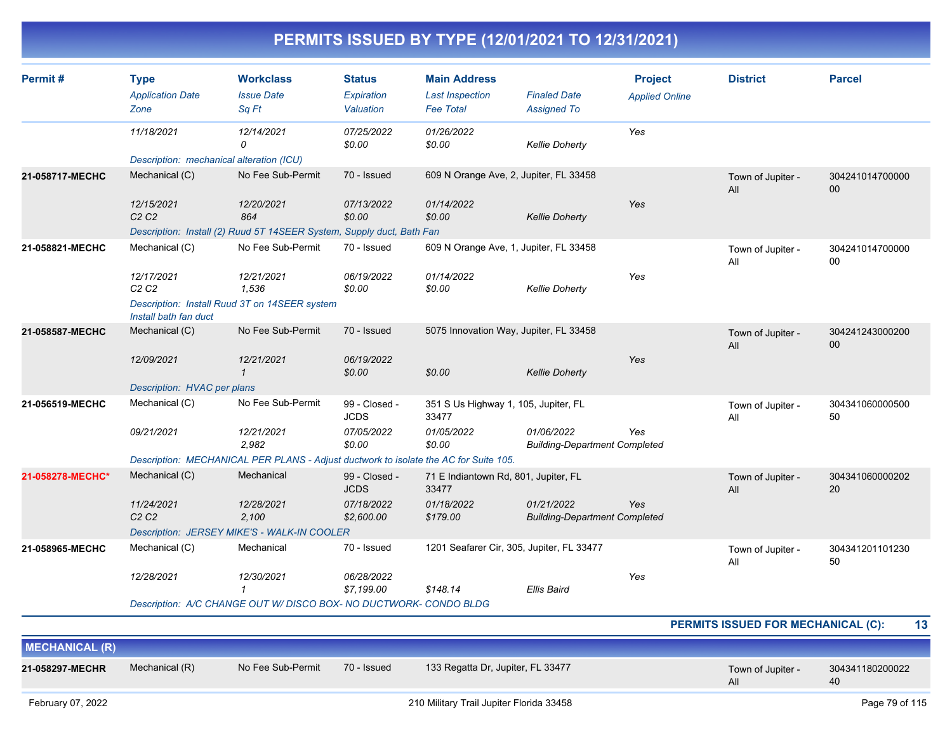| Permit#               | <b>Type</b><br><b>Application Date</b><br>Zone | <b>Workclass</b><br><b>Issue Date</b><br>Sq Ft                                       | <b>Status</b><br>Expiration<br>Valuation | <b>Main Address</b><br><b>Last Inspection</b><br><b>Fee Total</b> | <b>Finaled Date</b><br><b>Assigned To</b>          | <b>Project</b><br><b>Applied Online</b> | <b>District</b>                           | <b>Parcel</b>         |
|-----------------------|------------------------------------------------|--------------------------------------------------------------------------------------|------------------------------------------|-------------------------------------------------------------------|----------------------------------------------------|-----------------------------------------|-------------------------------------------|-----------------------|
|                       | 11/18/2021                                     | 12/14/2021<br>$\Omega$                                                               | 07/25/2022<br>\$0.00                     | 01/26/2022<br>\$0.00                                              | <b>Kellie Doherty</b>                              | Yes                                     |                                           |                       |
|                       | Description: mechanical alteration (ICU)       |                                                                                      |                                          |                                                                   |                                                    |                                         |                                           |                       |
| 21-058717-MECHC       | Mechanical (C)                                 | No Fee Sub-Permit                                                                    | 70 - Issued                              | 609 N Orange Ave, 2, Jupiter, FL 33458                            |                                                    |                                         | Town of Jupiter -<br>All                  | 304241014700000<br>00 |
|                       | 12/15/2021<br>C <sub>2</sub> C <sub>2</sub>    | 12/20/2021<br>864                                                                    | 07/13/2022<br>\$0.00                     | 01/14/2022<br>\$0.00                                              | <b>Kellie Doherty</b>                              | Yes                                     |                                           |                       |
|                       |                                                | Description: Install (2) Ruud 5T 14SEER System, Supply duct, Bath Fan                |                                          |                                                                   |                                                    |                                         |                                           |                       |
| 21-058821-MECHC       | Mechanical (C)                                 | No Fee Sub-Permit                                                                    | 70 - Issued                              | 609 N Orange Ave, 1, Jupiter, FL 33458                            |                                                    |                                         | Town of Jupiter -<br>All                  | 304241014700000<br>00 |
|                       | 12/17/2021<br>C2C2                             | 12/21/2021<br>1.536                                                                  | 06/19/2022<br>\$0.00                     | 01/14/2022<br>\$0.00                                              | <b>Kellie Doherty</b>                              | Yes                                     |                                           |                       |
|                       | Install bath fan duct                          | Description: Install Ruud 3T on 14SEER system                                        |                                          |                                                                   |                                                    |                                         |                                           |                       |
| 21-058587-MECHC       | Mechanical (C)                                 | No Fee Sub-Permit                                                                    | 70 - Issued                              | 5075 Innovation Way, Jupiter, FL 33458                            |                                                    |                                         | Town of Jupiter -<br>All                  | 304241243000200<br>00 |
|                       | 12/09/2021                                     | 12/21/2021<br>$\mathbf{1}$                                                           | 06/19/2022<br>\$0.00                     | \$0.00                                                            | <b>Kellie Doherty</b>                              | Yes                                     |                                           |                       |
|                       | Description: HVAC per plans                    |                                                                                      |                                          |                                                                   |                                                    |                                         |                                           |                       |
| 21-056519-MECHC       | Mechanical (C)                                 | No Fee Sub-Permit                                                                    | 99 - Closed -<br><b>JCDS</b>             | 351 S Us Highway 1, 105, Jupiter, FL<br>33477                     |                                                    |                                         | Town of Jupiter -<br>All                  | 304341060000500<br>50 |
|                       | 09/21/2021                                     | 12/21/2021<br>2.982                                                                  | 07/05/2022<br>\$0.00                     | 01/05/2022<br>\$0.00                                              | 01/06/2022<br><b>Building-Department Completed</b> | Yes                                     |                                           |                       |
|                       |                                                | Description: MECHANICAL PER PLANS - Adjust ductwork to isolate the AC for Suite 105. |                                          |                                                                   |                                                    |                                         |                                           |                       |
| 21-058278-MECHC*      | Mechanical (C)                                 | Mechanical                                                                           | 99 - Closed -<br><b>JCDS</b>             | 71 E Indiantown Rd, 801, Jupiter, FL<br>33477                     |                                                    |                                         | Town of Jupiter -<br>All                  | 304341060000202<br>20 |
|                       | 11/24/2021<br>C <sub>2</sub> C <sub>2</sub>    | 12/28/2021<br>2,100                                                                  | 07/18/2022<br>\$2,600.00                 | 01/18/2022<br>\$179.00                                            | 01/21/2022<br><b>Building-Department Completed</b> | Yes                                     |                                           |                       |
|                       |                                                | Description: JERSEY MIKE'S - WALK-IN COOLER                                          |                                          |                                                                   |                                                    |                                         |                                           |                       |
| 21-058965-MECHC       | Mechanical (C)                                 | Mechanical                                                                           | 70 - Issued                              | 1201 Seafarer Cir, 305, Jupiter, FL 33477                         |                                                    |                                         | Town of Jupiter -<br>All                  | 304341201101230<br>50 |
|                       | 12/28/2021                                     | 12/30/2021<br>$\mathbf{1}$                                                           | 06/28/2022<br>\$7,199.00                 | \$148.14                                                          | <b>Ellis Baird</b>                                 | Yes                                     |                                           |                       |
|                       |                                                | Description: A/C CHANGE OUT W/ DISCO BOX- NO DUCTWORK- CONDO BLDG                    |                                          |                                                                   |                                                    |                                         |                                           |                       |
|                       |                                                |                                                                                      |                                          |                                                                   |                                                    |                                         | <b>PERMITS ISSUED FOR MECHANICAL (C):</b> | 13                    |
| <b>MECHANICAL (R)</b> |                                                |                                                                                      |                                          |                                                                   |                                                    |                                         |                                           |                       |
| 21-058297-MECHR       | Mechanical (R)                                 | No Fee Sub-Permit                                                                    | 70 - Issued                              | 133 Regatta Dr, Jupiter, FL 33477                                 |                                                    |                                         | Town of Jupiter -                         | 304341180200022       |

40

All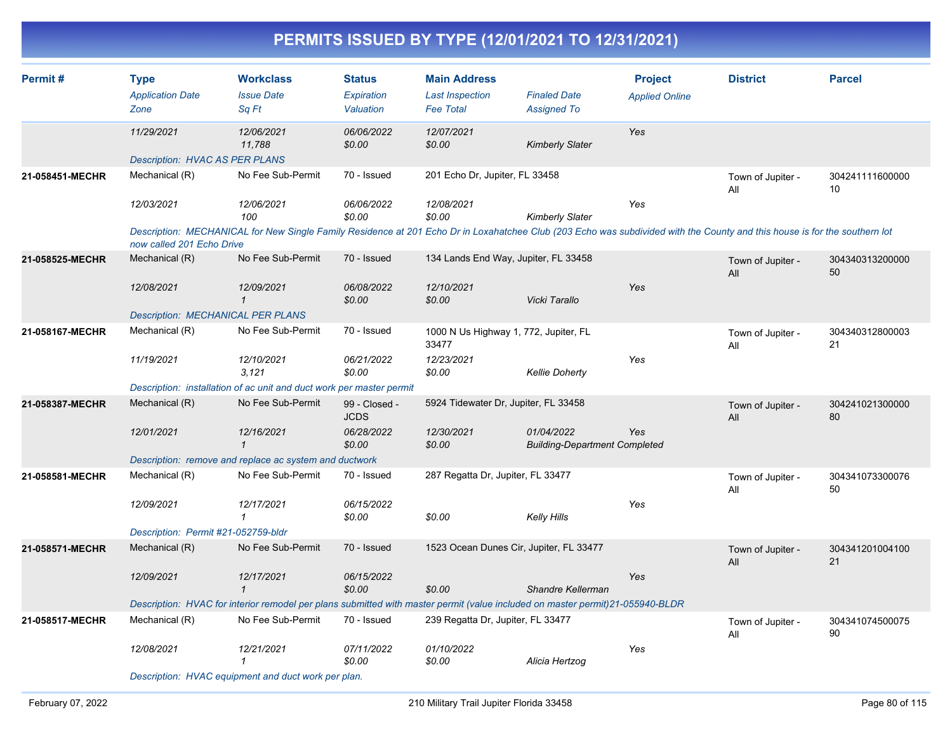| Permit#         | <b>Type</b><br><b>Application Date</b><br>Zone | <b>Workclass</b><br><b>Issue Date</b><br>Sq Ft                                                                                                                             | <b>Status</b><br>Expiration<br>Valuation | <b>Main Address</b><br><b>Last Inspection</b><br><b>Fee Total</b> | <b>Finaled Date</b><br><b>Assigned To</b>          | <b>Project</b><br><b>Applied Online</b> | <b>District</b>          | <b>Parcel</b>         |
|-----------------|------------------------------------------------|----------------------------------------------------------------------------------------------------------------------------------------------------------------------------|------------------------------------------|-------------------------------------------------------------------|----------------------------------------------------|-----------------------------------------|--------------------------|-----------------------|
|                 | 11/29/2021                                     | 12/06/2021<br>11,788                                                                                                                                                       | 06/06/2022<br>\$0.00                     | 12/07/2021<br>\$0.00                                              | <b>Kimberly Slater</b>                             | Yes                                     |                          |                       |
|                 | <b>Description: HVAC AS PER PLANS</b>          |                                                                                                                                                                            |                                          |                                                                   |                                                    |                                         |                          |                       |
| 21-058451-MECHR | Mechanical (R)                                 | No Fee Sub-Permit                                                                                                                                                          | 70 - Issued                              | 201 Echo Dr, Jupiter, FL 33458                                    |                                                    |                                         | Town of Jupiter -<br>All | 304241111600000<br>10 |
|                 | 12/03/2021                                     | 12/06/2021<br>100                                                                                                                                                          | 06/06/2022<br>\$0.00                     | 12/08/2021<br>\$0.00                                              | <b>Kimberly Slater</b>                             | Yes                                     |                          |                       |
|                 | now called 201 Echo Drive                      | Description: MECHANICAL for New Single Family Residence at 201 Echo Dr in Loxahatchee Club (203 Echo was subdivided with the County and this house is for the southern lot |                                          |                                                                   |                                                    |                                         |                          |                       |
| 21-058525-MECHR | Mechanical (R)                                 | No Fee Sub-Permit                                                                                                                                                          | 70 - Issued                              | 134 Lands End Way, Jupiter, FL 33458                              |                                                    |                                         | Town of Jupiter -<br>All | 304340313200000<br>50 |
|                 | 12/08/2021                                     | 12/09/2021<br>$\mathbf{1}$                                                                                                                                                 | 06/08/2022<br>\$0.00                     | 12/10/2021<br>\$0.00                                              | Vicki Tarallo                                      | Yes                                     |                          |                       |
|                 | <b>Description: MECHANICAL PER PLANS</b>       |                                                                                                                                                                            |                                          |                                                                   |                                                    |                                         |                          |                       |
| 21-058167-MECHR | Mechanical (R)                                 | No Fee Sub-Permit                                                                                                                                                          | 70 - Issued                              | 1000 N Us Highway 1, 772, Jupiter, FL<br>33477                    |                                                    |                                         | Town of Jupiter -<br>All | 304340312800003<br>21 |
|                 | 11/19/2021                                     | 12/10/2021<br>3,121                                                                                                                                                        | 06/21/2022<br>\$0.00                     | 12/23/2021<br>\$0.00                                              | <b>Kellie Doherty</b>                              | Yes                                     |                          |                       |
|                 |                                                | Description: installation of ac unit and duct work per master permit                                                                                                       |                                          |                                                                   |                                                    |                                         |                          |                       |
| 21-058387-MECHR | Mechanical (R)                                 | No Fee Sub-Permit                                                                                                                                                          | 99 - Closed -<br><b>JCDS</b>             | 5924 Tidewater Dr, Jupiter, FL 33458                              |                                                    |                                         | Town of Jupiter -<br>All | 304241021300000<br>80 |
|                 | 12/01/2021                                     | 12/16/2021<br>$\mathbf{1}$                                                                                                                                                 | 06/28/2022<br>\$0.00                     | 12/30/2021<br>\$0.00                                              | 01/04/2022<br><b>Building-Department Completed</b> | Yes                                     |                          |                       |
|                 |                                                | Description: remove and replace ac system and ductwork                                                                                                                     |                                          |                                                                   |                                                    |                                         |                          |                       |
| 21-058581-MECHR | Mechanical (R)                                 | No Fee Sub-Permit                                                                                                                                                          | 70 - Issued                              | 287 Regatta Dr, Jupiter, FL 33477                                 |                                                    |                                         | Town of Jupiter -<br>All | 304341073300076<br>50 |
|                 | 12/09/2021                                     | 12/17/2021<br>$\mathbf{1}$                                                                                                                                                 | 06/15/2022<br>\$0.00                     | \$0.00                                                            | Kelly Hills                                        | Yes                                     |                          |                       |
|                 | Description: Permit #21-052759-bldr            |                                                                                                                                                                            |                                          |                                                                   |                                                    |                                         |                          |                       |
| 21-058571-MECHR | Mechanical (R)                                 | No Fee Sub-Permit                                                                                                                                                          | 70 - Issued                              | 1523 Ocean Dunes Cir, Jupiter, FL 33477                           |                                                    |                                         | Town of Jupiter -<br>All | 304341201004100<br>21 |
|                 | 12/09/2021                                     | 12/17/2021<br>$\mathbf{1}$                                                                                                                                                 | 06/15/2022<br>\$0.00                     | \$0.00                                                            | Shandre Kellerman                                  | Yes                                     |                          |                       |
|                 |                                                | Description: HVAC for interior remodel per plans submitted with master permit (value included on master permit)21-055940-BLDR                                              |                                          |                                                                   |                                                    |                                         |                          |                       |
| 21-058517-MECHR | Mechanical (R)                                 | No Fee Sub-Permit                                                                                                                                                          | 70 - Issued                              | 239 Regatta Dr, Jupiter, FL 33477                                 |                                                    |                                         | Town of Jupiter -<br>All | 304341074500075<br>90 |
|                 | 12/08/2021                                     | 12/21/2021<br>1                                                                                                                                                            | 07/11/2022<br>\$0.00                     | 01/10/2022<br>\$0.00                                              | Alicia Hertzog                                     | Yes                                     |                          |                       |
|                 |                                                | Description: HVAC equipment and duct work per plan.                                                                                                                        |                                          |                                                                   |                                                    |                                         |                          |                       |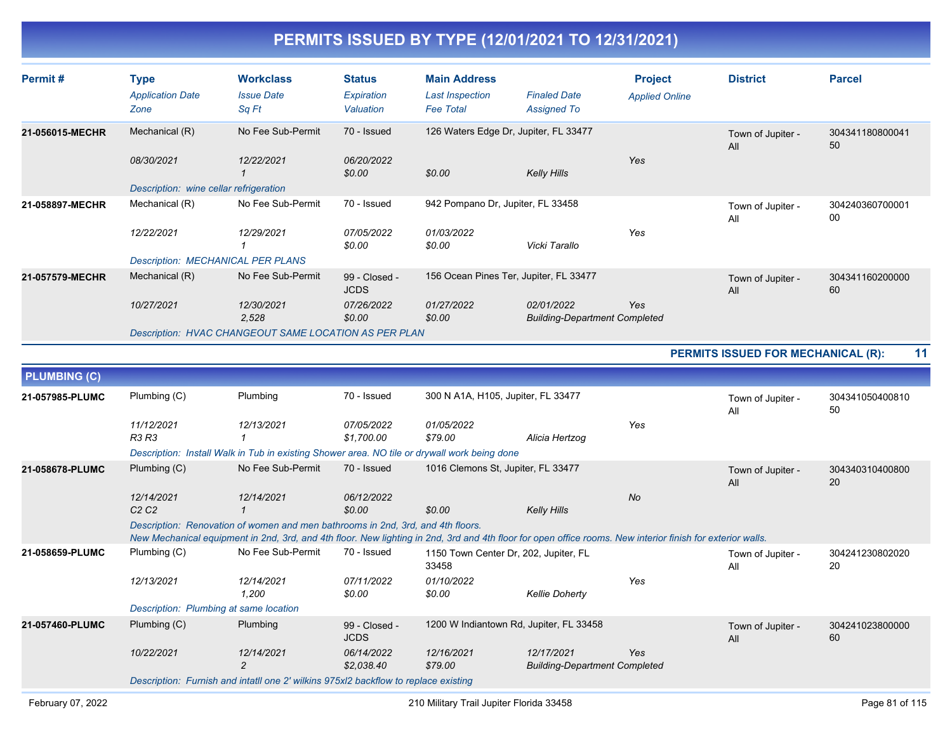| Permit#         | <b>Type</b><br><b>Application Date</b><br>Zone | <b>Workclass</b><br><b>Issue Date</b><br>Sq Ft               | <b>Status</b><br>Expiration<br>Valuation | <b>Main Address</b><br><b>Last Inspection</b><br><b>Fee Total</b> | <b>Finaled Date</b><br><b>Assigned To</b>          | <b>Project</b><br><b>Applied Online</b> | <b>District</b>          | <b>Parcel</b>         |
|-----------------|------------------------------------------------|--------------------------------------------------------------|------------------------------------------|-------------------------------------------------------------------|----------------------------------------------------|-----------------------------------------|--------------------------|-----------------------|
| 21-056015-MECHR | Mechanical (R)<br>08/30/2021                   | No Fee Sub-Permit<br>12/22/2021                              | 70 - Issued<br>06/20/2022                |                                                                   | 126 Waters Edge Dr, Jupiter, FL 33477              | Yes                                     | Town of Jupiter -<br>All | 304341180800041<br>50 |
|                 | Description: wine cellar refrigeration         |                                                              | \$0.00                                   | \$0.00                                                            | Kelly Hills                                        |                                         |                          |                       |
| 21-058897-MECHR | Mechanical (R)                                 | No Fee Sub-Permit                                            | 70 - Issued                              | 942 Pompano Dr. Jupiter, FL 33458                                 |                                                    |                                         | Town of Jupiter -<br>All | 304240360700001<br>00 |
|                 | 12/22/2021                                     | 12/29/2021                                                   | 07/05/2022<br>\$0.00                     | 01/03/2022<br>\$0.00                                              | Vicki Tarallo                                      | Yes                                     |                          |                       |
|                 | <b>Description: MECHANICAL PER PLANS</b>       |                                                              |                                          |                                                                   |                                                    |                                         |                          |                       |
| 21-057579-MECHR | Mechanical (R)                                 | No Fee Sub-Permit                                            | 99 - Closed -<br><b>JCDS</b>             |                                                                   | 156 Ocean Pines Ter, Jupiter, FL 33477             |                                         | Town of Jupiter -<br>All | 304341160200000<br>60 |
|                 | 10/27/2021                                     | 12/30/2021<br>2,528                                          | 07/26/2022<br>\$0.00                     | 01/27/2022<br>\$0.00                                              | 02/01/2022<br><b>Building-Department Completed</b> | Yes                                     |                          |                       |
|                 |                                                | <b>Description: HVAC CHANGEOUT SAME LOCATION AS PER PLAN</b> |                                          |                                                                   |                                                    |                                         |                          |                       |

|                     |                                             |                                                                                                                                                                                                                                               |                              |                                                |                                                    |           | <b>PERMITS ISSUED FOR MECHANICAL (R):</b> | 11                    |
|---------------------|---------------------------------------------|-----------------------------------------------------------------------------------------------------------------------------------------------------------------------------------------------------------------------------------------------|------------------------------|------------------------------------------------|----------------------------------------------------|-----------|-------------------------------------------|-----------------------|
| <b>PLUMBING (C)</b> |                                             |                                                                                                                                                                                                                                               |                              |                                                |                                                    |           |                                           |                       |
| 21-057985-PLUMC     | Plumbing (C)                                | Plumbing                                                                                                                                                                                                                                      | 70 - Issued                  | 300 N A1A, H105, Jupiter, FL 33477             |                                                    |           | Town of Jupiter -<br>All                  | 304341050400810<br>50 |
|                     | 11/12/2021<br><b>R3 R3</b>                  | 12/13/2021                                                                                                                                                                                                                                    | 07/05/2022<br>\$1,700.00     | 01/05/2022<br>\$79.00                          | Alicia Hertzog                                     | Yes       |                                           |                       |
|                     |                                             | Description: Install Walk in Tub in existing Shower area. NO tile or drywall work being done                                                                                                                                                  |                              |                                                |                                                    |           |                                           |                       |
| 21-058678-PLUMC     | Plumbing (C)                                | No Fee Sub-Permit                                                                                                                                                                                                                             | 70 - Issued                  | 1016 Clemons St, Jupiter, FL 33477             |                                                    |           | Town of Jupiter -<br>All                  | 304340310400800<br>20 |
|                     | 12/14/2021<br>C <sub>2</sub> C <sub>2</sub> | 12/14/2021                                                                                                                                                                                                                                    | 06/12/2022<br>\$0.00         | \$0.00                                         | <b>Kelly Hills</b>                                 | <b>No</b> |                                           |                       |
|                     |                                             | Description: Renovation of women and men bathrooms in 2nd, 3rd, and 4th floors.<br>New Mechanical equipment in 2nd, 3rd, and 4th floor. New lighting in 2nd, 3rd and 4th floor for open office rooms. New interior finish for exterior walls. |                              |                                                |                                                    |           |                                           |                       |
| 21-058659-PLUMC     | Plumbing (C)                                | No Fee Sub-Permit                                                                                                                                                                                                                             | 70 - Issued                  | 1150 Town Center Dr, 202, Jupiter, FL<br>33458 |                                                    |           | Town of Jupiter -<br>All                  | 304241230802020<br>20 |
|                     | 12/13/2021                                  | 12/14/2021<br>1,200                                                                                                                                                                                                                           | 07/11/2022<br>\$0.00         | 01/10/2022<br>\$0.00                           | <b>Kellie Doherty</b>                              | Yes       |                                           |                       |
|                     | Description: Plumbing at same location      |                                                                                                                                                                                                                                               |                              |                                                |                                                    |           |                                           |                       |
| 21-057460-PLUMC     | Plumbing (C)                                | Plumbing                                                                                                                                                                                                                                      | 99 - Closed -<br><b>JCDS</b> | 1200 W Indiantown Rd, Jupiter, FL 33458        |                                                    |           | Town of Jupiter -<br>All                  | 304241023800000<br>60 |
|                     | 10/22/2021                                  | 12/14/2021<br>$\overline{c}$                                                                                                                                                                                                                  | 06/14/2022<br>\$2,038.40     | 12/16/2021<br>\$79.00                          | 12/17/2021<br><b>Building-Department Completed</b> | Yes       |                                           |                       |
|                     |                                             | Description: Furnish and intatil one 2' wilkins 975xl2 backflow to replace existing                                                                                                                                                           |                              |                                                |                                                    |           |                                           |                       |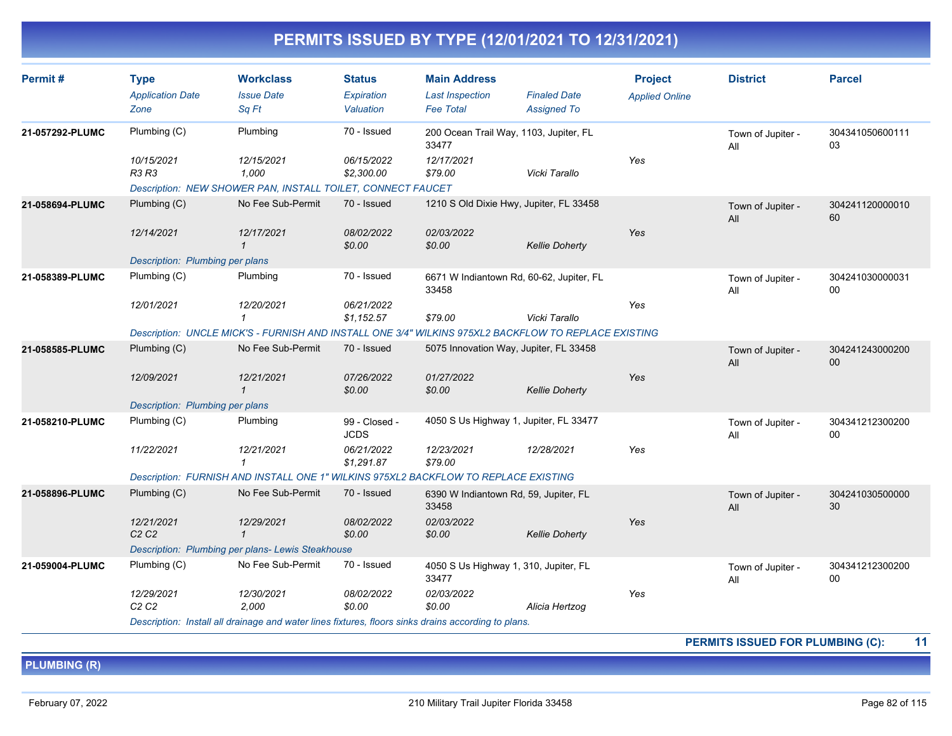| Permit#         | <b>Type</b><br><b>Application Date</b><br>Zone | <b>Workclass</b><br><b>Issue Date</b><br>Sq Ft                                                       | <b>Status</b><br>Expiration<br>Valuation | <b>Main Address</b><br><b>Last Inspection</b><br><b>Fee Total</b> | <b>Finaled Date</b><br><b>Assigned To</b> | <b>Project</b><br><b>Applied Online</b> | <b>District</b>          | <b>Parcel</b>         |
|-----------------|------------------------------------------------|------------------------------------------------------------------------------------------------------|------------------------------------------|-------------------------------------------------------------------|-------------------------------------------|-----------------------------------------|--------------------------|-----------------------|
| 21-057292-PLUMC | Plumbing (C)                                   | Plumbing                                                                                             | 70 - Issued                              | 200 Ocean Trail Way, 1103, Jupiter, FL<br>33477                   |                                           |                                         | Town of Jupiter -<br>All | 304341050600111<br>03 |
|                 | 10/15/2021<br><b>R3 R3</b>                     | 12/15/2021<br>1,000<br>Description: NEW SHOWER PAN, INSTALL TOILET, CONNECT FAUCET                   | 06/15/2022<br>\$2,300.00                 | 12/17/2021<br>\$79.00                                             | Vicki Tarallo                             | Yes                                     |                          |                       |
| 21-058694-PLUMC | Plumbing (C)                                   | No Fee Sub-Permit                                                                                    | 70 - Issued                              | 1210 S Old Dixie Hwy, Jupiter, FL 33458                           |                                           |                                         | Town of Jupiter -        | 304241120000010       |
|                 |                                                |                                                                                                      |                                          |                                                                   |                                           |                                         | All                      | 60                    |
|                 | 12/14/2021                                     | 12/17/2021<br>$\mathbf{1}$                                                                           | 08/02/2022<br>\$0.00                     | 02/03/2022<br>\$0.00                                              | <b>Kellie Doherty</b>                     | Yes                                     |                          |                       |
|                 | Description: Plumbing per plans                |                                                                                                      |                                          |                                                                   |                                           |                                         |                          |                       |
| 21-058389-PLUMC | Plumbing (C)                                   | Plumbing                                                                                             | 70 - Issued                              | 6671 W Indiantown Rd, 60-62, Jupiter, FL<br>33458                 |                                           |                                         | Town of Jupiter -<br>All | 304241030000031<br>00 |
|                 | 12/01/2021                                     | 12/20/2021<br>1                                                                                      | 06/21/2022<br>\$1,152.57                 | \$79.00                                                           | Vicki Tarallo                             | Yes                                     |                          |                       |
|                 |                                                | Description: UNCLE MICK'S - FURNISH AND INSTALL ONE 3/4" WILKINS 975XL2 BACKFLOW TO REPLACE EXISTING |                                          |                                                                   |                                           |                                         |                          |                       |
| 21-058585-PLUMC | Plumbing (C)                                   | No Fee Sub-Permit                                                                                    | 70 - Issued                              | 5075 Innovation Way, Jupiter, FL 33458                            |                                           |                                         | Town of Jupiter -<br>All | 304241243000200<br>00 |
|                 | 12/09/2021                                     | 12/21/2021<br>$\mathbf{1}$                                                                           | 07/26/2022<br>\$0.00                     | 01/27/2022<br>\$0.00                                              | <b>Kellie Doherty</b>                     | Yes                                     |                          |                       |
|                 | Description: Plumbing per plans                |                                                                                                      |                                          |                                                                   |                                           |                                         |                          |                       |
| 21-058210-PLUMC | Plumbing (C)                                   | Plumbing                                                                                             | 99 - Closed -<br><b>JCDS</b>             | 4050 S Us Highway 1, Jupiter, FL 33477                            |                                           |                                         | Town of Jupiter -<br>All | 304341212300200<br>00 |
|                 | 11/22/2021                                     | 12/21/2021<br>$\mathcal I$                                                                           | 06/21/2022<br>\$1,291.87                 | 12/23/2021<br>\$79.00                                             | 12/28/2021                                | Yes                                     |                          |                       |
|                 |                                                | Description: FURNISH AND INSTALL ONE 1" WILKINS 975XL2 BACKFLOW TO REPLACE EXISTING                  |                                          |                                                                   |                                           |                                         |                          |                       |
| 21-058896-PLUMC | Plumbing (C)                                   | No Fee Sub-Permit                                                                                    | 70 - Issued                              | 6390 W Indiantown Rd, 59, Jupiter, FL<br>33458                    |                                           |                                         | Town of Jupiter -<br>All | 304241030500000<br>30 |
|                 | 12/21/2021<br>C2C2                             | 12/29/2021<br>$\mathbf{1}$                                                                           | 08/02/2022<br>\$0.00                     | 02/03/2022<br>\$0.00                                              | <b>Kellie Doherty</b>                     | Yes                                     |                          |                       |
|                 |                                                | Description: Plumbing per plans- Lewis Steakhouse                                                    |                                          |                                                                   |                                           |                                         |                          |                       |
| 21-059004-PLUMC | Plumbing (C)                                   | No Fee Sub-Permit                                                                                    | 70 - Issued                              | 4050 S Us Highway 1, 310, Jupiter, FL<br>33477                    |                                           |                                         | Town of Jupiter -<br>All | 304341212300200<br>00 |
|                 | 12/29/2021<br>C2C2                             | 12/30/2021<br>2.000                                                                                  | 08/02/2022<br>\$0.00                     | 02/03/2022<br>\$0.00                                              | Alicia Hertzog                            | Yes                                     |                          |                       |
|                 |                                                | Description: Install all drainage and water lines fixtures, floors sinks drains according to plans.  |                                          |                                                                   |                                           |                                         |                          |                       |

**PERMITS ISSUED FOR PLUMBING (C): 11**

**PLUMBING (R)**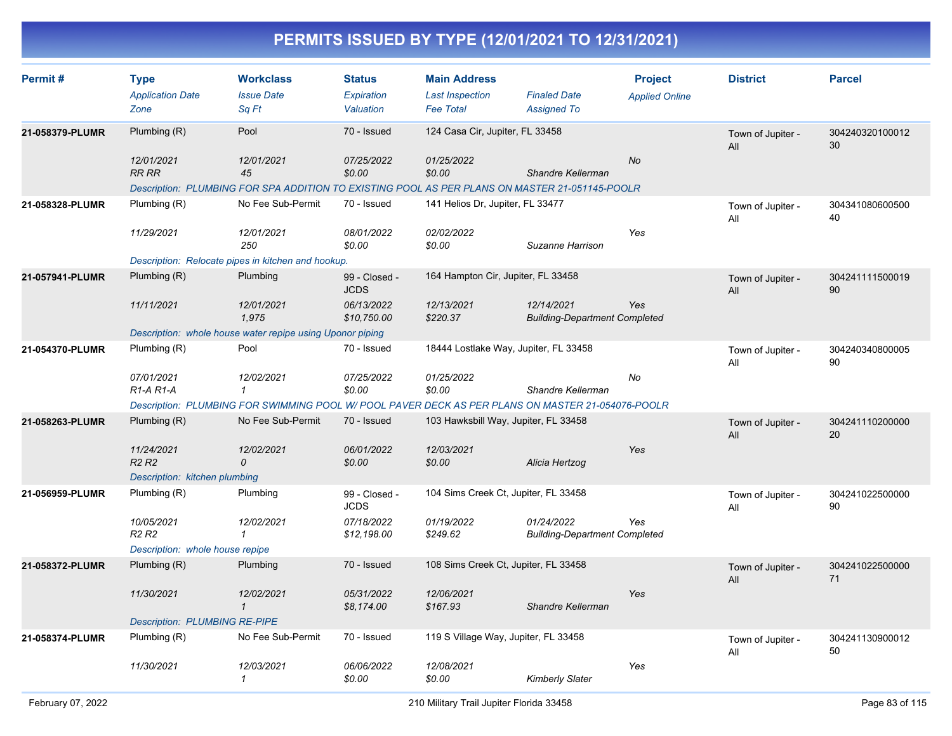| Permit#         | <b>Type</b><br><b>Application Date</b>           | <b>Workclass</b><br><b>Issue Date</b>                                                             | <b>Status</b><br>Expiration  | <b>Main Address</b><br><b>Last Inspection</b> | <b>Finaled Date</b>                                | <b>Project</b>        | <b>District</b>          | <b>Parcel</b>         |
|-----------------|--------------------------------------------------|---------------------------------------------------------------------------------------------------|------------------------------|-----------------------------------------------|----------------------------------------------------|-----------------------|--------------------------|-----------------------|
|                 | Zone                                             | Sa Ft                                                                                             | Valuation                    | <b>Fee Total</b>                              | <b>Assigned To</b>                                 | <b>Applied Online</b> |                          |                       |
| 21-058379-PLUMR | Plumbing (R)                                     | Pool                                                                                              | 70 - Issued                  | 124 Casa Cir, Jupiter, FL 33458               |                                                    |                       | Town of Jupiter -<br>All | 304240320100012<br>30 |
|                 | 12/01/2021<br><b>RR RR</b>                       | 12/01/2021<br>45                                                                                  | 07/25/2022<br>\$0.00         | 01/25/2022<br>\$0.00                          | Shandre Kellerman                                  | No                    |                          |                       |
|                 |                                                  | Description: PLUMBING FOR SPA ADDITION TO EXISTING POOL AS PER PLANS ON MASTER 21-051145-POOLR    |                              |                                               |                                                    |                       |                          |                       |
| 21-058328-PLUMR | Plumbing (R)                                     | No Fee Sub-Permit                                                                                 | 70 - Issued                  | 141 Helios Dr, Jupiter, FL 33477              |                                                    |                       | Town of Jupiter -<br>All | 304341080600500<br>40 |
|                 | 11/29/2021                                       | 12/01/2021<br>250                                                                                 | 08/01/2022<br>\$0.00         | 02/02/2022<br>\$0.00                          | Suzanne Harrison                                   | Yes                   |                          |                       |
|                 |                                                  | Description: Relocate pipes in kitchen and hookup.                                                |                              |                                               |                                                    |                       |                          |                       |
| 21-057941-PLUMR | Plumbing $(R)$                                   | Plumbing                                                                                          | 99 - Closed -<br><b>JCDS</b> | 164 Hampton Cir, Jupiter, FL 33458            |                                                    |                       | Town of Jupiter -<br>All | 304241111500019<br>90 |
|                 | 11/11/2021                                       | 12/01/2021<br>1,975                                                                               | 06/13/2022<br>\$10,750.00    | 12/13/2021<br>\$220.37                        | 12/14/2021<br><b>Building-Department Completed</b> | Yes                   |                          |                       |
|                 |                                                  | Description: whole house water repipe using Uponor piping                                         |                              |                                               |                                                    |                       |                          |                       |
| 21-054370-PLUMR | Plumbing (R)                                     | Pool                                                                                              | 70 - Issued                  |                                               | 18444 Lostlake Way, Jupiter, FL 33458              |                       | Town of Jupiter -<br>All | 304240340800005<br>90 |
|                 | 07/01/2021<br>R <sub>1</sub> -A <sub>R1</sub> -A | 12/02/2021<br>1                                                                                   | 07/25/2022<br>\$0.00         | 01/25/2022<br>\$0.00                          | Shandre Kellerman                                  | No                    |                          |                       |
|                 |                                                  | Description: PLUMBING FOR SWIMMING POOL W/ POOL PAVER DECK AS PER PLANS ON MASTER 21-054076-POOLR |                              |                                               |                                                    |                       |                          |                       |
| 21-058263-PLUMR | Plumbing (R)                                     | No Fee Sub-Permit                                                                                 | 70 - Issued                  |                                               | 103 Hawksbill Way, Jupiter, FL 33458               |                       | Town of Jupiter -<br>All | 304241110200000<br>20 |
|                 | 11/24/2021<br>R <sub>2</sub> R <sub>2</sub>      | 12/02/2021<br>0                                                                                   | 06/01/2022<br>\$0.00         | 12/03/2021<br>\$0.00                          | Alicia Hertzog                                     | Yes                   |                          |                       |
|                 | Description: kitchen plumbing                    |                                                                                                   |                              |                                               |                                                    |                       |                          |                       |
| 21-056959-PLUMR | Plumbing (R)                                     | Plumbing                                                                                          | 99 - Closed -<br><b>JCDS</b> |                                               | 104 Sims Creek Ct, Jupiter, FL 33458               |                       | Town of Jupiter -<br>All | 304241022500000<br>90 |
|                 | 10/05/2021<br>R <sub>2</sub> R <sub>2</sub>      | 12/02/2021<br>1                                                                                   | 07/18/2022<br>\$12,198.00    | 01/19/2022<br>\$249.62                        | 01/24/2022<br><b>Building-Department Completed</b> | Yes                   |                          |                       |
|                 | Description: whole house repipe                  |                                                                                                   |                              |                                               |                                                    |                       |                          |                       |
| 21-058372-PLUMR | Plumbing (R)                                     | Plumbing                                                                                          | 70 - Issued                  |                                               | 108 Sims Creek Ct, Jupiter, FL 33458               |                       | Town of Jupiter -<br>All | 304241022500000<br>71 |
|                 | 11/30/2021                                       | 12/02/2021<br>$\mathcal{I}$                                                                       | 05/31/2022<br>\$8,174.00     | 12/06/2021<br>\$167.93                        | Shandre Kellerman                                  | Yes                   |                          |                       |
|                 | <b>Description: PLUMBING RE-PIPE</b>             |                                                                                                   |                              |                                               |                                                    |                       |                          |                       |
| 21-058374-PLUMR | Plumbing (R)                                     | No Fee Sub-Permit                                                                                 | 70 - Issued                  | 119 S Village Way, Jupiter, FL 33458          |                                                    |                       | Town of Jupiter -<br>All | 304241130900012<br>50 |
|                 | 11/30/2021                                       | 12/03/2021<br>1                                                                                   | 06/06/2022<br>\$0.00         | 12/08/2021<br>\$0.00                          | <b>Kimberly Slater</b>                             | Yes                   |                          |                       |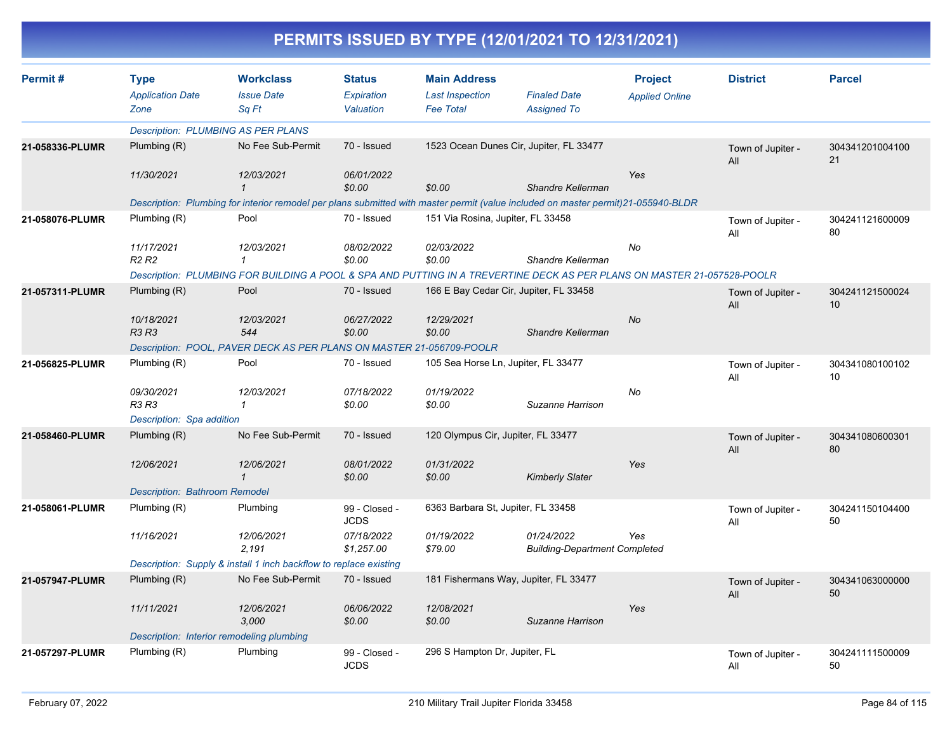| Permit#         | <b>Type</b><br><b>Application Date</b><br>Zone | <b>Workclass</b><br><b>Issue Date</b><br>Sa Ft                                                                                    | <b>Status</b><br>Expiration<br>Valuation | <b>Main Address</b><br><b>Last Inspection</b><br><b>Fee Total</b> | <b>Finaled Date</b><br><b>Assigned To</b>          | <b>Project</b><br><b>Applied Online</b> | <b>District</b>          | <b>Parcel</b>         |
|-----------------|------------------------------------------------|-----------------------------------------------------------------------------------------------------------------------------------|------------------------------------------|-------------------------------------------------------------------|----------------------------------------------------|-----------------------------------------|--------------------------|-----------------------|
|                 |                                                | <b>Description: PLUMBING AS PER PLANS</b>                                                                                         |                                          |                                                                   |                                                    |                                         |                          |                       |
| 21-058336-PLUMR | Plumbing (R)                                   | No Fee Sub-Permit                                                                                                                 | 70 - Issued                              |                                                                   | 1523 Ocean Dunes Cir, Jupiter, FL 33477            |                                         | Town of Jupiter -<br>All | 304341201004100<br>21 |
|                 | 11/30/2021                                     | 12/03/2021<br>$\mathbf 1$                                                                                                         | 06/01/2022<br>\$0.00                     | \$0.00                                                            | Shandre Kellerman                                  | Yes                                     |                          |                       |
|                 |                                                | Description: Plumbing for interior remodel per plans submitted with master permit (value included on master permit)21-055940-BLDR |                                          |                                                                   |                                                    |                                         |                          |                       |
| 21-058076-PLUMR | Plumbing (R)                                   | Pool                                                                                                                              | 70 - Issued                              | 151 Via Rosina, Jupiter, FL 33458                                 |                                                    |                                         | Town of Jupiter -<br>All | 304241121600009<br>80 |
|                 | 11/17/2021<br>R <sub>2</sub> R <sub>2</sub>    | 12/03/2021<br>$\mathcal I$                                                                                                        | 08/02/2022<br>\$0.00                     | 02/03/2022<br>\$0.00                                              | Shandre Kellerman                                  | No                                      |                          |                       |
|                 |                                                | Description: PLUMBING FOR BUILDING A POOL & SPA AND PUTTING IN A TREVERTINE DECK AS PER PLANS ON MASTER 21-057528-POOLR           |                                          |                                                                   |                                                    |                                         |                          |                       |
| 21-057311-PLUMR | Plumbing $(R)$                                 | Pool                                                                                                                              | 70 - Issued                              | 166 E Bay Cedar Cir, Jupiter, FL 33458                            |                                                    |                                         | Town of Jupiter -<br>All | 304241121500024<br>10 |
|                 | 10/18/2021<br><b>R3 R3</b>                     | 12/03/2021<br>544                                                                                                                 | 06/27/2022<br>\$0.00                     | 12/29/2021<br>\$0.00                                              | Shandre Kellerman                                  | <b>No</b>                               |                          |                       |
|                 |                                                | Description: POOL, PAVER DECK AS PER PLANS ON MASTER 21-056709-POOLR                                                              |                                          |                                                                   |                                                    |                                         |                          |                       |
| 21-056825-PLUMR | Plumbing (R)                                   | Pool                                                                                                                              | 70 - Issued                              | 105 Sea Horse Ln, Jupiter, FL 33477                               |                                                    |                                         | Town of Jupiter -<br>All | 304341080100102<br>10 |
|                 | 09/30/2021<br><b>R3 R3</b>                     | 12/03/2021<br>$\mathbf{1}$                                                                                                        | 07/18/2022<br>\$0.00                     | 01/19/2022<br>\$0.00                                              | Suzanne Harrison                                   | No                                      |                          |                       |
|                 | Description: Spa addition                      |                                                                                                                                   |                                          |                                                                   |                                                    |                                         |                          |                       |
| 21-058460-PLUMR | Plumbing (R)                                   | No Fee Sub-Permit                                                                                                                 | 70 - Issued                              | 120 Olympus Cir, Jupiter, FL 33477                                |                                                    |                                         | Town of Jupiter -<br>All | 304341080600301<br>80 |
|                 | 12/06/2021                                     | 12/06/2021<br>$\mathbf 1$                                                                                                         | 08/01/2022<br>\$0.00                     | 01/31/2022<br>\$0.00                                              | <b>Kimberly Slater</b>                             | Yes                                     |                          |                       |
|                 | <b>Description: Bathroom Remodel</b>           |                                                                                                                                   |                                          |                                                                   |                                                    |                                         |                          |                       |
| 21-058061-PLUMR | Plumbing (R)                                   | Plumbing                                                                                                                          | 99 - Closed -<br><b>JCDS</b>             | 6363 Barbara St, Jupiter, FL 33458                                |                                                    |                                         | Town of Jupiter -<br>All | 304241150104400<br>50 |
|                 | 11/16/2021                                     | 12/06/2021<br>2.191                                                                                                               | 07/18/2022<br>\$1,257.00                 | 01/19/2022<br>\$79.00                                             | 01/24/2022<br><b>Building-Department Completed</b> | Yes                                     |                          |                       |
|                 |                                                | Description: Supply & install 1 inch backflow to replace existing                                                                 |                                          |                                                                   |                                                    |                                         |                          |                       |
| 21-057947-PLUMR | Plumbing (R)                                   | No Fee Sub-Permit                                                                                                                 | 70 - Issued                              |                                                                   | 181 Fishermans Way, Jupiter, FL 33477              |                                         | Town of Jupiter -<br>All | 304341063000000<br>50 |
|                 | 11/11/2021                                     | 12/06/2021<br>3,000                                                                                                               | 06/06/2022<br>\$0.00                     | 12/08/2021<br>\$0.00                                              | Suzanne Harrison                                   | Yes                                     |                          |                       |
|                 |                                                | Description: Interior remodeling plumbing                                                                                         |                                          |                                                                   |                                                    |                                         |                          |                       |
| 21-057297-PLUMR | Plumbing (R)                                   | Plumbing                                                                                                                          | 99 - Closed -<br><b>JCDS</b>             | 296 S Hampton Dr, Jupiter, FL                                     |                                                    |                                         | Town of Jupiter -<br>All | 304241111500009<br>50 |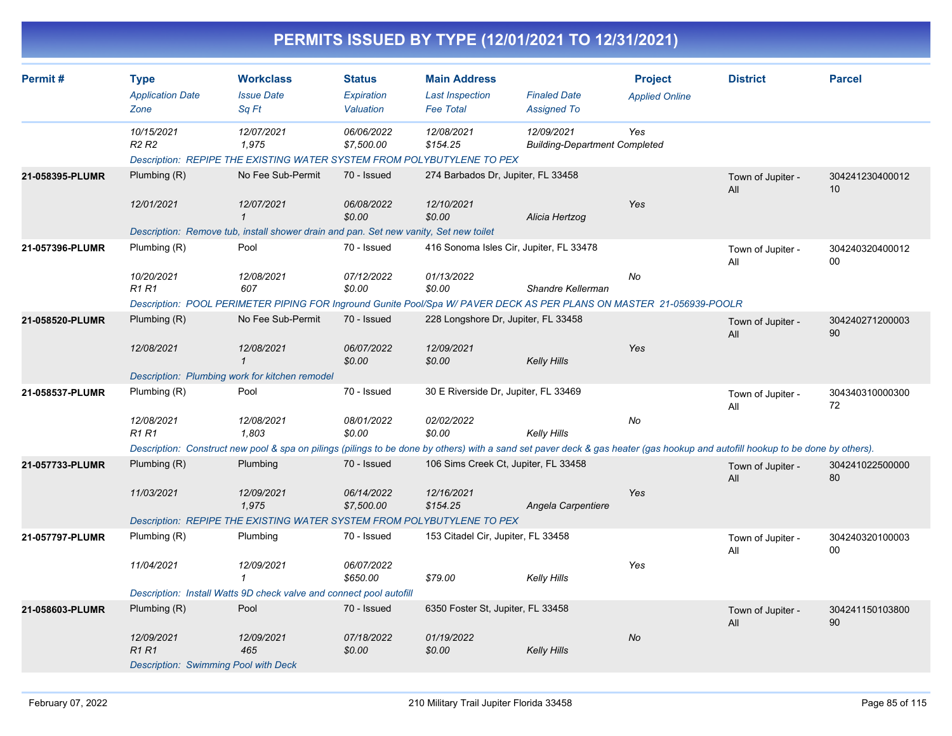|                 |                                                |                                                                                               |                                          |                                                                   | PERMITS ISSUED BY TYPE (12/01/2021 TO 12/31/2021)                                                                                                                              |                                         |                          |                                    |
|-----------------|------------------------------------------------|-----------------------------------------------------------------------------------------------|------------------------------------------|-------------------------------------------------------------------|--------------------------------------------------------------------------------------------------------------------------------------------------------------------------------|-----------------------------------------|--------------------------|------------------------------------|
| Permit#         | <b>Type</b><br><b>Application Date</b><br>Zone | <b>Workclass</b><br><b>Issue Date</b><br>Sq Ft                                                | <b>Status</b><br>Expiration<br>Valuation | <b>Main Address</b><br><b>Last Inspection</b><br><b>Fee Total</b> | <b>Finaled Date</b><br><b>Assigned To</b>                                                                                                                                      | <b>Project</b><br><b>Applied Online</b> | <b>District</b>          | <b>Parcel</b>                      |
|                 | 10/15/2021<br>R <sub>2</sub> R <sub>2</sub>    | 12/07/2021<br>1,975<br>Description: REPIPE THE EXISTING WATER SYSTEM FROM POLYBUTYLENE TO PEX | 06/06/2022<br>\$7,500.00                 | 12/08/2021<br>\$154.25                                            | 12/09/2021<br><b>Building-Department Completed</b>                                                                                                                             | Yes                                     |                          |                                    |
| 21-058395-PLUMR | Plumbing (R)                                   | No Fee Sub-Permit                                                                             | 70 - Issued                              |                                                                   | 274 Barbados Dr, Jupiter, FL 33458                                                                                                                                             |                                         | Town of Jupiter -<br>All | 304241230400012<br>10 <sup>°</sup> |
|                 | 12/01/2021                                     | 12/07/2021<br>1                                                                               | 06/08/2022<br>\$0.00                     | 12/10/2021<br>\$0.00                                              | Alicia Hertzog                                                                                                                                                                 | Yes                                     |                          |                                    |
| 21-057396-PLUMR | Plumbing (R)                                   | Description: Remove tub, install shower drain and pan. Set new vanity, Set new toilet<br>Pool | 70 - Issued                              |                                                                   | 416 Sonoma Isles Cir, Jupiter, FL 33478                                                                                                                                        |                                         | Town of Jupiter -        | 304240320400012                    |
|                 |                                                |                                                                                               |                                          |                                                                   |                                                                                                                                                                                |                                         | All                      | $00\,$                             |
|                 | 10/20/2021<br><b>R1 R1</b>                     | 12/08/2021<br>607                                                                             | 07/12/2022<br>\$0.00                     | 01/13/2022<br>\$0.00                                              | Shandre Kellerman                                                                                                                                                              | No                                      |                          |                                    |
|                 |                                                |                                                                                               |                                          |                                                                   | Description: POOL PERIMETER PIPING FOR Inground Gunite Pool/Spa W/ PAVER DECK AS PER PLANS ON MASTER 21-056939-POOLR                                                           |                                         |                          |                                    |
| 21-058520-PLUMR | Plumbing (R)                                   | No Fee Sub-Permit                                                                             | 70 - Issued                              |                                                                   | 228 Longshore Dr. Jupiter, FL 33458                                                                                                                                            |                                         | Town of Jupiter -<br>All | 304240271200003<br>90              |
|                 | 12/08/2021                                     | 12/08/2021<br>1                                                                               | 06/07/2022<br>\$0.00                     | 12/09/2021<br>\$0.00                                              | <b>Kelly Hills</b>                                                                                                                                                             | Yes                                     |                          |                                    |
|                 |                                                | Description: Plumbing work for kitchen remodel                                                |                                          |                                                                   |                                                                                                                                                                                |                                         |                          |                                    |
| 21-058537-PLUMR | Plumbing (R)                                   | Pool                                                                                          | 70 - Issued                              |                                                                   | 30 E Riverside Dr, Jupiter, FL 33469                                                                                                                                           |                                         | Town of Jupiter -<br>All | 304340310000300<br>72              |
|                 | 12/08/2021<br>R1 R1                            | 12/08/2021<br>1,803                                                                           | 08/01/2022<br>\$0.00                     | 02/02/2022<br>\$0.00                                              | <b>Kelly Hills</b>                                                                                                                                                             | No                                      |                          |                                    |
|                 |                                                |                                                                                               |                                          |                                                                   | Description: Construct new pool & spa on pilings (pilings to be done by others) with a sand set paver deck & gas heater (gas hookup and autofill hookup to be done by others). |                                         |                          |                                    |
| 21-057733-PLUMR | Plumbing (R)                                   | Plumbing                                                                                      | 70 - Issued                              |                                                                   | 106 Sims Creek Ct, Jupiter, FL 33458                                                                                                                                           |                                         | Town of Jupiter -<br>All | 304241022500000<br>80              |
|                 | 11/03/2021                                     | 12/09/2021<br>1,975                                                                           | 06/14/2022<br>\$7,500.00                 | 12/16/2021<br>\$154.25                                            | Angela Carpentiere                                                                                                                                                             | <b>Yes</b>                              |                          |                                    |
|                 |                                                | Description: REPIPE THE EXISTING WATER SYSTEM FROM POLYBUTYLENE TO PEX                        |                                          |                                                                   |                                                                                                                                                                                |                                         |                          |                                    |
| 21-057797-PLUMR | Plumbing (R)                                   | Plumbing                                                                                      | 70 - Issued                              | 153 Citadel Cir, Jupiter, FL 33458                                |                                                                                                                                                                                |                                         | Town of Jupiter -<br>All | 304240320100003<br>00              |
|                 | 11/04/2021                                     | 12/09/2021<br>$\mathbf{1}$                                                                    | 06/07/2022<br>\$650.00                   | \$79.00                                                           | <b>Kelly Hills</b>                                                                                                                                                             | Yes                                     |                          |                                    |
|                 |                                                | Description: Install Watts 9D check valve and connect pool autofill                           |                                          |                                                                   |                                                                                                                                                                                |                                         |                          |                                    |
| 21-058603-PLUMR | Plumbing (R)                                   | Pool                                                                                          | 70 - Issued                              | 6350 Foster St, Jupiter, FL 33458                                 |                                                                                                                                                                                |                                         | Town of Jupiter -<br>All | 304241150103800<br>90              |
|                 | 12/09/2021<br><b>R1R1</b>                      | 12/09/2021<br>465                                                                             | 07/18/2022<br>\$0.00                     | 01/19/2022<br>\$0.00                                              | <b>Kelly Hills</b>                                                                                                                                                             | No                                      |                          |                                    |
|                 |                                                | <b>Description: Swimming Pool with Deck</b>                                                   |                                          |                                                                   |                                                                                                                                                                                |                                         |                          |                                    |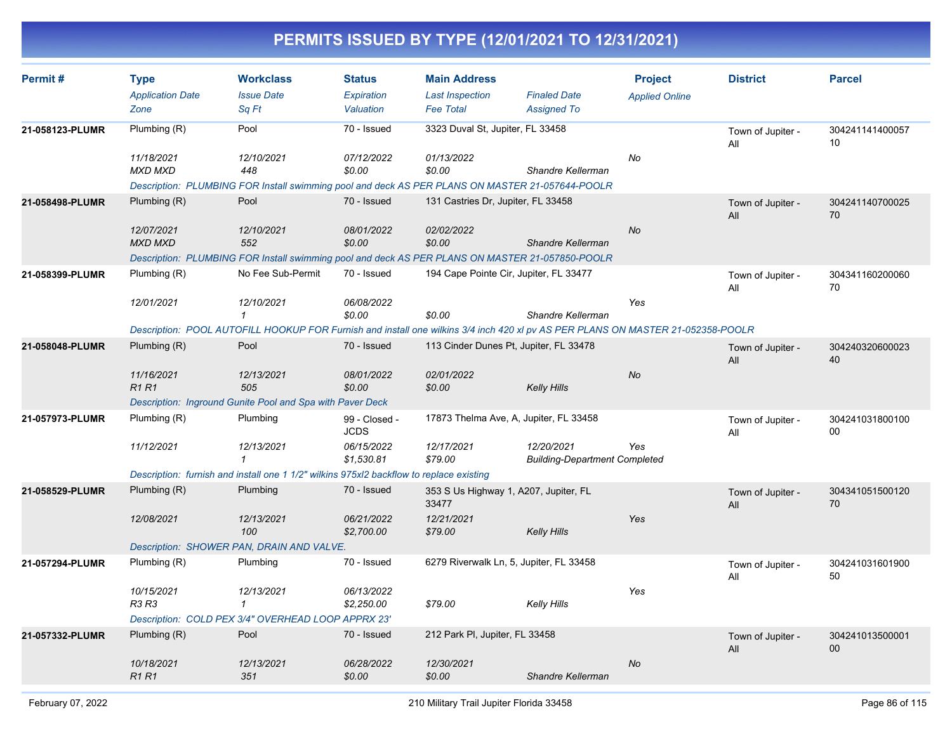| Permit#         | <b>Type</b><br><b>Application Date</b><br>Zone | <b>Workclass</b><br><b>Issue Date</b><br>Sq Ft                                                                                                                                     | <b>Status</b><br>Expiration<br>Valuation                 | <b>Main Address</b><br><b>Last Inspection</b><br><b>Fee Total</b>       | <b>Finaled Date</b><br><b>Assigned To</b>          | <b>Project</b><br><b>Applied Online</b> | <b>District</b>          | <b>Parcel</b>         |
|-----------------|------------------------------------------------|------------------------------------------------------------------------------------------------------------------------------------------------------------------------------------|----------------------------------------------------------|-------------------------------------------------------------------------|----------------------------------------------------|-----------------------------------------|--------------------------|-----------------------|
| 21-058123-PLUMR | Plumbing (R)<br>11/18/2021<br><b>MXD MXD</b>   | Pool<br>12/10/2021<br>448<br>Description: PLUMBING FOR Install swimming pool and deck AS PER PLANS ON MASTER 21-057644-POOLR                                                       | 70 - Issued<br>07/12/2022<br>\$0.00                      | 3323 Duval St. Jupiter, FL 33458<br>01/13/2022<br>\$0.00                | Shandre Kellerman                                  | No                                      | Town of Jupiter -<br>All | 304241141400057<br>10 |
| 21-058498-PLUMR | Plumbing (R)<br>12/07/2021<br><b>MXD MXD</b>   | Pool<br>12/10/2021<br>552<br>Description: PLUMBING FOR Install swimming pool and deck AS PER PLANS ON MASTER 21-057850-POOLR                                                       | 70 - Issued<br>08/01/2022<br>\$0.00                      | 131 Castries Dr, Jupiter, FL 33458<br>02/02/2022<br>\$0.00              | Shandre Kellerman                                  | No                                      | Town of Jupiter -<br>All | 304241140700025<br>70 |
| 21-058399-PLUMR | Plumbing (R)<br>12/01/2021                     | No Fee Sub-Permit<br>12/10/2021<br>$\mathcal I$<br>Description: POOL AUTOFILL HOOKUP FOR Furnish and install one wilkins 3/4 inch 420 xl pv AS PER PLANS ON MASTER 21-052358-POOLR | 70 - Issued<br>06/08/2022<br>\$0.00                      | 194 Cape Pointe Cir, Jupiter, FL 33477<br>\$0.00                        | Shandre Kellerman                                  | Yes                                     | Town of Jupiter -<br>All | 304341160200060<br>70 |
| 21-058048-PLUMR | Plumbing $(R)$<br>11/16/2021<br><b>R1R1</b>    | Pool<br>12/13/2021<br>505<br>Description: Inground Gunite Pool and Spa with Paver Deck                                                                                             | 70 - Issued<br>08/01/2022<br>\$0.00                      | 113 Cinder Dunes Pt, Jupiter, FL 33478<br>02/01/2022<br>\$0.00          | <b>Kelly Hills</b>                                 | <b>No</b>                               | Town of Jupiter -<br>All | 304240320600023<br>40 |
| 21-057973-PLUMR | Plumbing (R)<br>11/12/2021                     | Plumbing<br>12/13/2021<br>$\mathbf{1}$<br>Description: furnish and install one 1 1/2" wilkins 975xl2 backflow to replace existing                                                  | 99 - Closed -<br><b>JCDS</b><br>06/15/2022<br>\$1,530.81 | 17873 Thelma Ave, A, Jupiter, FL 33458<br>12/17/2021<br>\$79.00         | 12/20/2021<br><b>Building-Department Completed</b> | Yes                                     | Town of Jupiter -<br>All | 304241031800100<br>00 |
| 21-058529-PLUMR | Plumbing (R)<br>12/08/2021                     | Plumbing<br>12/13/2021<br>100<br>Description: SHOWER PAN, DRAIN AND VALVE.                                                                                                         | 70 - Issued<br>06/21/2022<br>\$2,700.00                  | 353 S Us Highway 1, A207, Jupiter, FL<br>33477<br>12/21/2021<br>\$79.00 | <b>Kelly Hills</b>                                 | Yes                                     | Town of Jupiter -<br>All | 304341051500120<br>70 |
| 21-057294-PLUMR | Plumbing (R)<br>10/15/2021<br><b>R3 R3</b>     | Plumbing<br>12/13/2021<br>$\mathbf{1}$<br>Description: COLD PEX 3/4" OVERHEAD LOOP APPRX 23'                                                                                       | 70 - Issued<br>06/13/2022<br>\$2,250.00                  | 6279 Riverwalk Ln, 5, Jupiter, FL 33458<br>\$79.00                      | <b>Kelly Hills</b>                                 | Yes                                     | Town of Jupiter -<br>All | 304241031601900<br>50 |
| 21-057332-PLUMR | Plumbing (R)<br>10/18/2021<br><b>R1R1</b>      | Pool<br>12/13/2021<br>351                                                                                                                                                          | 70 - Issued<br>06/28/2022<br>\$0.00                      | 212 Park PI, Jupiter, FL 33458<br>12/30/2021<br>\$0.00                  | Shandre Kellerman                                  | <b>No</b>                               | Town of Jupiter -<br>All | 304241013500001<br>00 |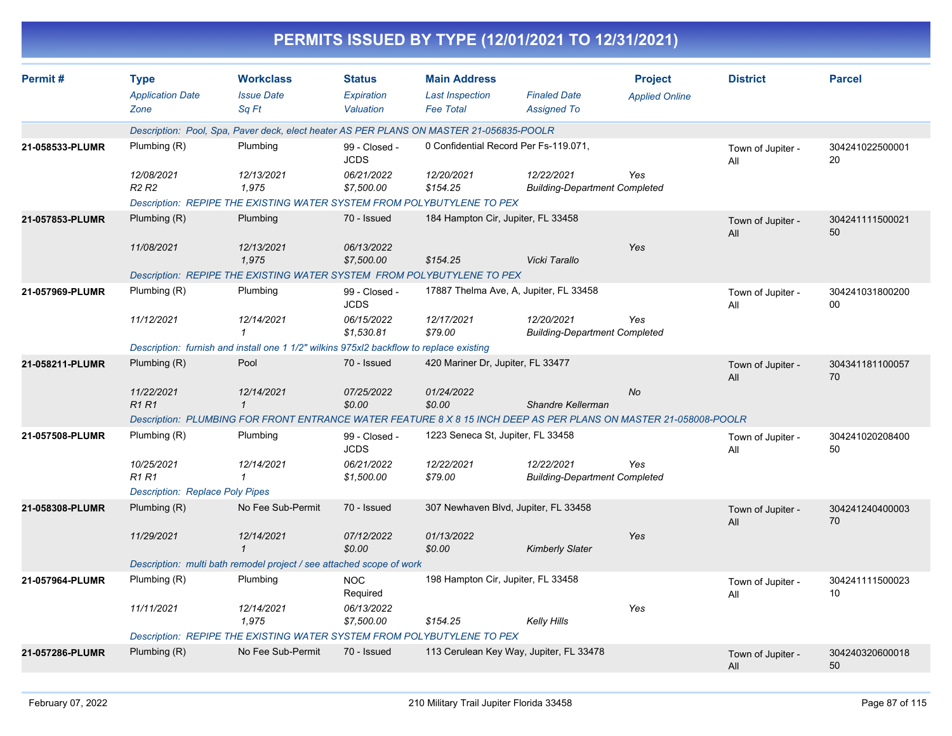|                 |                                                |                                                                                                                  |                                          |                                                                   | PERMITS ISSUED BY TYPE (12/01/2021 TO 12/31/2021)  |                                         |                          |                       |
|-----------------|------------------------------------------------|------------------------------------------------------------------------------------------------------------------|------------------------------------------|-------------------------------------------------------------------|----------------------------------------------------|-----------------------------------------|--------------------------|-----------------------|
| Permit#         | <b>Type</b><br><b>Application Date</b><br>Zone | <b>Workclass</b><br><b>Issue Date</b><br>Sq Ft                                                                   | <b>Status</b><br>Expiration<br>Valuation | <b>Main Address</b><br><b>Last Inspection</b><br><b>Fee Total</b> | <b>Finaled Date</b><br><b>Assigned To</b>          | <b>Project</b><br><b>Applied Online</b> | <b>District</b>          | <b>Parcel</b>         |
|                 |                                                | Description: Pool, Spa, Paver deck, elect heater AS PER PLANS ON MASTER 21-056835-POOLR                          |                                          |                                                                   |                                                    |                                         |                          |                       |
| 21-058533-PLUMR | Plumbing (R)                                   | Plumbing                                                                                                         | 99 - Closed -<br><b>JCDS</b>             | 0 Confidential Record Per Fs-119.071,                             |                                                    |                                         | Town of Jupiter -<br>All | 304241022500001<br>20 |
|                 | 12/08/2021<br>R <sub>2</sub> R <sub>2</sub>    | 12/13/2021<br>1,975                                                                                              | 06/21/2022<br>\$7,500.00                 | 12/20/2021<br>\$154.25                                            | 12/22/2021<br><b>Building-Department Completed</b> | Yes                                     |                          |                       |
|                 |                                                | Description: REPIPE THE EXISTING WATER SYSTEM FROM POLYBUTYLENE TO PEX                                           |                                          |                                                                   |                                                    |                                         |                          |                       |
| 21-057853-PLUMR | Plumbing (R)                                   | Plumbing                                                                                                         | 70 - Issued                              | 184 Hampton Cir, Jupiter, FL 33458                                |                                                    |                                         | Town of Jupiter -<br>All | 304241111500021<br>50 |
|                 | 11/08/2021                                     | 12/13/2021<br>1,975                                                                                              | 06/13/2022<br>\$7,500.00                 | \$154.25                                                          | Vicki Tarallo                                      | Yes                                     |                          |                       |
|                 |                                                | Description: REPIPE THE EXISTING WATER SYSTEM FROM POLYBUTYLENE TO PEX                                           |                                          |                                                                   |                                                    |                                         |                          |                       |
| 21-057969-PLUMR | Plumbing (R)                                   | Plumbing                                                                                                         | 99 - Closed -<br><b>JCDS</b>             |                                                                   | 17887 Thelma Ave, A, Jupiter, FL 33458             |                                         | Town of Jupiter -<br>All | 304241031800200<br>00 |
|                 | 11/12/2021                                     | 12/14/2021                                                                                                       | 06/15/2022<br>\$1,530.81                 | 12/17/2021<br>\$79.00                                             | 12/20/2021<br><b>Building-Department Completed</b> | Yes                                     |                          |                       |
|                 |                                                | Description: furnish and install one 1 1/2" wilkins 975xl2 backflow to replace existing                          |                                          |                                                                   |                                                    |                                         |                          |                       |
| 21-058211-PLUMR | Plumbing (R)                                   | Pool                                                                                                             | 70 - Issued                              | 420 Mariner Dr, Jupiter, FL 33477                                 |                                                    |                                         | Town of Jupiter -<br>All | 304341181100057<br>70 |
|                 | 11/22/2021<br><b>R1R1</b>                      | 12/14/2021<br>$\mathbf{1}$                                                                                       | 07/25/2022<br>\$0.00                     | 01/24/2022<br>\$0.00                                              | Shandre Kellerman                                  | No                                      |                          |                       |
|                 |                                                | Description: PLUMBING FOR FRONT ENTRANCE WATER FEATURE 8 X 8 15 INCH DEEP AS PER PLANS ON MASTER 21-058008-POOLR |                                          |                                                                   |                                                    |                                         |                          |                       |
| 21-057508-PLUMR | Plumbing (R)                                   | Plumbing                                                                                                         | 99 - Closed -<br><b>JCDS</b>             | 1223 Seneca St, Jupiter, FL 33458                                 |                                                    |                                         | Town of Jupiter -<br>All | 304241020208400<br>50 |
|                 | 10/25/2021<br><b>R1 R1</b>                     | 12/14/2021<br>$\mathcal I$                                                                                       | 06/21/2022<br>\$1,500.00                 | 12/22/2021<br>\$79.00                                             | 12/22/2021<br><b>Building-Department Completed</b> | Yes                                     |                          |                       |
|                 | <b>Description: Replace Poly Pipes</b>         |                                                                                                                  |                                          |                                                                   |                                                    |                                         |                          |                       |
| 21-058308-PLUMR | Plumbing (R)                                   | No Fee Sub-Permit                                                                                                | 70 - Issued                              |                                                                   | 307 Newhaven Blvd, Jupiter, FL 33458               |                                         | Town of Jupiter -<br>All | 304241240400003<br>70 |
|                 | 11/29/2021                                     | 12/14/2021                                                                                                       | 07/12/2022<br>\$0.00                     | 01/13/2022<br>\$0.00                                              | <b>Kimberly Slater</b>                             | Yes                                     |                          |                       |
|                 |                                                | Description: multi bath remodel project / see attached scope of work                                             |                                          |                                                                   |                                                    |                                         |                          |                       |
| 21-057964-PLUMR | Plumbing (R)                                   | Plumbing                                                                                                         | <b>NOC</b><br>Required                   | 198 Hampton Cir, Jupiter, FL 33458                                |                                                    |                                         | Town of Jupiter -<br>All | 304241111500023<br>10 |
|                 | 11/11/2021                                     | 12/14/2021<br>1,975                                                                                              | 06/13/2022<br>\$7,500.00                 | \$154.25                                                          | <b>Kelly Hills</b>                                 | Yes                                     |                          |                       |
|                 |                                                | Description: REPIPE THE EXISTING WATER SYSTEM FROM POLYBUTYLENE TO PEX                                           |                                          |                                                                   |                                                    |                                         |                          |                       |
| 21-057286-PLUMR | Plumbing (R)                                   | No Fee Sub-Permit                                                                                                | 70 - Issued                              |                                                                   | 113 Cerulean Key Way, Jupiter, FL 33478            |                                         | Town of Jupiter -<br>All | 304240320600018<br>50 |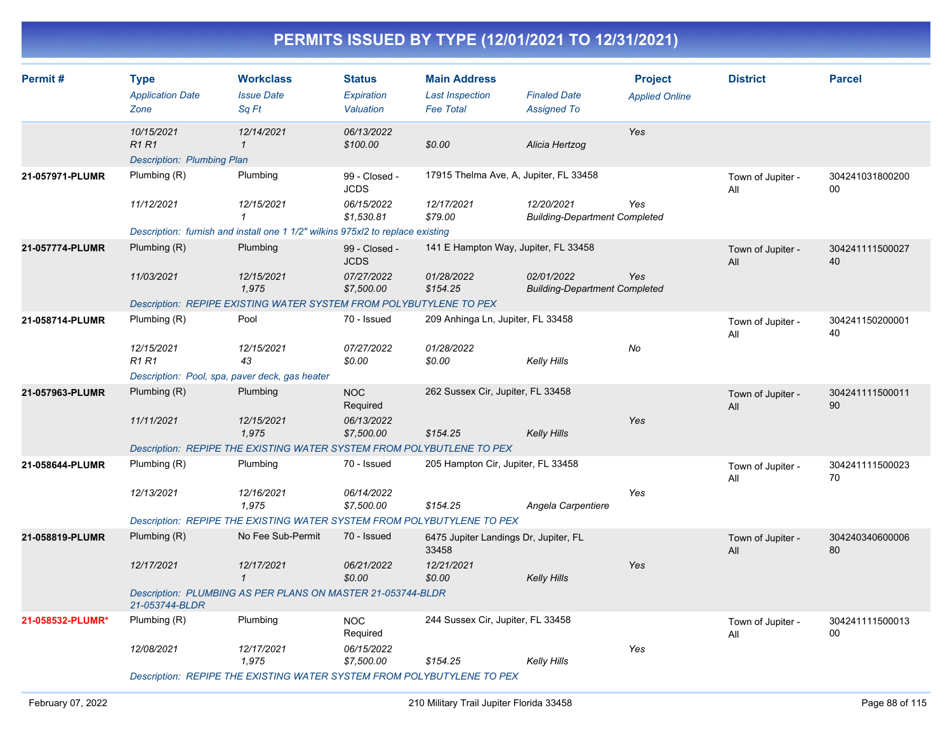| Permit#          | <b>Type</b><br><b>Application Date</b><br>Zone                  | <b>Workclass</b><br><b>Issue Date</b><br>Sq Ft                                 | <b>Status</b><br>Expiration<br>Valuation | <b>Main Address</b><br><b>Last Inspection</b><br><b>Fee Total</b> | <b>Finaled Date</b><br><b>Assigned To</b>          | <b>Project</b><br><b>Applied Online</b> | <b>District</b>          | <b>Parcel</b>         |
|------------------|-----------------------------------------------------------------|--------------------------------------------------------------------------------|------------------------------------------|-------------------------------------------------------------------|----------------------------------------------------|-----------------------------------------|--------------------------|-----------------------|
|                  | 10/15/2021<br><b>R1 R1</b><br><b>Description: Plumbing Plan</b> | 12/14/2021<br>$\mathcal I$                                                     | 06/13/2022<br>\$100.00                   | \$0.00                                                            | Alicia Hertzog                                     | Yes                                     |                          |                       |
| 21-057971-PLUMR  | Plumbing (R)                                                    | Plumbing                                                                       | 99 - Closed -<br>JCDS                    | 17915 Thelma Ave, A, Jupiter, FL 33458                            |                                                    |                                         | Town of Jupiter -<br>All | 304241031800200<br>00 |
|                  | 11/12/2021                                                      | 12/15/2021<br>1                                                                | 06/15/2022<br>\$1,530.81                 | 12/17/2021<br>\$79.00                                             | 12/20/2021<br><b>Building-Department Completed</b> | Yes                                     |                          |                       |
|                  |                                                                 | Description: furnish and install one 1 1/2" wilkins 975xl2 to replace existing |                                          |                                                                   |                                                    |                                         |                          |                       |
| 21-057774-PLUMR  | Plumbing (R)                                                    | Plumbing                                                                       | 99 - Closed -<br><b>JCDS</b>             | 141 E Hampton Way, Jupiter, FL 33458                              |                                                    |                                         | Town of Jupiter -<br>All | 304241111500027<br>40 |
|                  | 11/03/2021                                                      | 12/15/2021<br>1,975                                                            | 07/27/2022<br>\$7,500.00                 | 01/28/2022<br>\$154.25                                            | 02/01/2022<br><b>Building-Department Completed</b> | Yes                                     |                          |                       |
|                  |                                                                 | Description: REPIPE EXISTING WATER SYSTEM FROM POLYBUTYLENE TO PEX             |                                          |                                                                   |                                                    |                                         |                          |                       |
| 21-058714-PLUMR  | Plumbing (R)                                                    | Pool                                                                           | 70 - Issued                              | 209 Anhinga Ln, Jupiter, FL 33458                                 |                                                    |                                         | Town of Jupiter -<br>All | 304241150200001<br>40 |
|                  | 12/15/2021<br><b>R1 R1</b>                                      | 12/15/2021<br>43                                                               | 07/27/2022<br>\$0.00                     | 01/28/2022<br>\$0.00                                              | Kelly Hills                                        | No                                      |                          |                       |
|                  |                                                                 | Description: Pool, spa, paver deck, gas heater                                 |                                          |                                                                   |                                                    |                                         |                          |                       |
| 21-057963-PLUMR  | Plumbing $(R)$                                                  | Plumbing                                                                       | <b>NOC</b><br>Required                   | 262 Sussex Cir, Jupiter, FL 33458                                 |                                                    |                                         | Town of Jupiter -<br>All | 304241111500011<br>90 |
|                  | 11/11/2021                                                      | 12/15/2021<br>1,975                                                            | 06/13/2022<br>\$7,500.00                 | \$154.25                                                          | Kelly Hills                                        | Yes                                     |                          |                       |
|                  |                                                                 | Description: REPIPE THE EXISTING WATER SYSTEM FROM POLYBUTLENE TO PEX          |                                          |                                                                   |                                                    |                                         |                          |                       |
| 21-058644-PLUMR  | Plumbing (R)                                                    | Plumbing                                                                       | 70 - Issued                              | 205 Hampton Cir, Jupiter, FL 33458                                |                                                    |                                         | Town of Jupiter -<br>All | 304241111500023<br>70 |
|                  | 12/13/2021                                                      | 12/16/2021<br>1,975                                                            | 06/14/2022<br>\$7,500.00                 | \$154.25                                                          | Angela Carpentiere                                 | Yes                                     |                          |                       |
|                  |                                                                 | Description: REPIPE THE EXISTING WATER SYSTEM FROM POLYBUTYLENE TO PEX         |                                          |                                                                   |                                                    |                                         |                          |                       |
| 21-058819-PLUMR  | Plumbing (R)                                                    | No Fee Sub-Permit                                                              | 70 - Issued                              | 6475 Jupiter Landings Dr, Jupiter, FL<br>33458                    |                                                    |                                         | Town of Jupiter -<br>All | 304240340600006<br>80 |
|                  | 12/17/2021                                                      | 12/17/2021<br>$\mathcal{I}$                                                    | 06/21/2022<br>\$0.00                     | 12/21/2021<br>\$0.00                                              | Kelly Hills                                        | Yes                                     |                          |                       |
|                  | 21-053744-BLDR                                                  | Description: PLUMBING AS PER PLANS ON MASTER 21-053744-BLDR                    |                                          |                                                                   |                                                    |                                         |                          |                       |
| 21-058532-PLUMR* | Plumbing (R)                                                    | Plumbing                                                                       | <b>NOC</b><br>Required                   | 244 Sussex Cir, Jupiter, FL 33458                                 |                                                    |                                         | Town of Jupiter -<br>All | 304241111500013<br>00 |
|                  | 12/08/2021                                                      | 12/17/2021<br>1,975                                                            | 06/15/2022<br>\$7,500.00                 | \$154.25                                                          | Kelly Hills                                        | Yes                                     |                          |                       |
|                  |                                                                 | Description: REPIPE THE EXISTING WATER SYSTEM FROM POLYBUTYLENE TO PEX         |                                          |                                                                   |                                                    |                                         |                          |                       |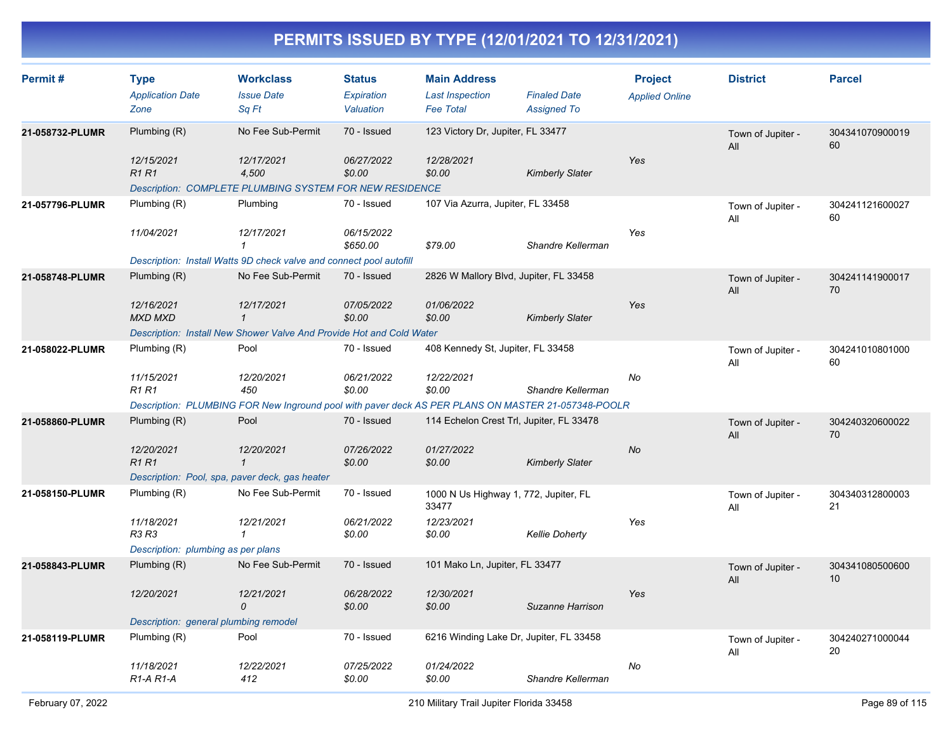| Permit#         | <b>Type</b><br><b>Application Date</b><br>Zone   | <b>Workclass</b><br><b>Issue Date</b><br>Sq Ft                                                     | <b>Status</b><br>Expiration<br>Valuation | <b>Main Address</b><br><b>Last Inspection</b><br><b>Fee Total</b> | <b>Finaled Date</b><br><b>Assigned To</b> | <b>Project</b><br><b>Applied Online</b> | <b>District</b>          | <b>Parcel</b>         |
|-----------------|--------------------------------------------------|----------------------------------------------------------------------------------------------------|------------------------------------------|-------------------------------------------------------------------|-------------------------------------------|-----------------------------------------|--------------------------|-----------------------|
| 21-058732-PLUMR | Plumbing $(R)$<br>12/15/2021                     | No Fee Sub-Permit<br>12/17/2021                                                                    | 70 - Issued<br>06/27/2022                | 123 Victory Dr, Jupiter, FL 33477<br>12/28/2021                   |                                           | Yes                                     | Town of Jupiter -<br>All | 304341070900019<br>60 |
|                 | <b>R1R1</b>                                      | 4,500<br>Description: COMPLETE PLUMBING SYSTEM FOR NEW RESIDENCE                                   | \$0.00                                   | \$0.00                                                            | <b>Kimberly Slater</b>                    |                                         |                          |                       |
| 21-057796-PLUMR | Plumbing (R)                                     | Plumbing                                                                                           | 70 - Issued                              | 107 Via Azurra, Jupiter, FL 33458                                 |                                           |                                         | Town of Jupiter -<br>All | 304241121600027<br>60 |
|                 | 11/04/2021                                       | 12/17/2021<br>$\mathbf{1}$                                                                         | 06/15/2022<br>\$650.00                   | \$79.00                                                           | Shandre Kellerman                         | Yes                                     |                          |                       |
|                 |                                                  | Description: Install Watts 9D check valve and connect pool autofill                                |                                          |                                                                   |                                           |                                         |                          |                       |
| 21-058748-PLUMR | Plumbing $(R)$                                   | No Fee Sub-Permit                                                                                  | 70 - Issued                              | 2826 W Mallory Blvd, Jupiter, FL 33458                            |                                           |                                         | Town of Jupiter -<br>All | 304241141900017<br>70 |
|                 | 12/16/2021<br><b>MXD MXD</b>                     | 12/17/2021<br>$\mathbf{1}$                                                                         | 07/05/2022<br>\$0.00                     | 01/06/2022<br>\$0.00                                              | <b>Kimberly Slater</b>                    | Yes                                     |                          |                       |
|                 |                                                  | Description: Install New Shower Valve And Provide Hot and Cold Water                               |                                          |                                                                   |                                           |                                         |                          |                       |
| 21-058022-PLUMR | Plumbing (R)                                     | Pool                                                                                               | 70 - Issued                              | 408 Kennedy St, Jupiter, FL 33458                                 |                                           |                                         | Town of Jupiter -<br>All | 304241010801000<br>60 |
|                 | 11/15/2021<br><b>R1 R1</b>                       | 12/20/2021<br>450                                                                                  | 06/21/2022<br>\$0.00                     | 12/22/2021<br>\$0.00                                              | Shandre Kellerman                         | No                                      |                          |                       |
|                 |                                                  | Description: PLUMBING FOR New Inground pool with paver deck AS PER PLANS ON MASTER 21-057348-POOLR |                                          |                                                                   |                                           |                                         |                          |                       |
| 21-058860-PLUMR | Plumbing $(R)$                                   | Pool                                                                                               | 70 - Issued                              | 114 Echelon Crest Trl, Jupiter, FL 33478                          |                                           |                                         | Town of Jupiter -<br>All | 304240320600022<br>70 |
|                 | 12/20/2021<br><b>R1R1</b>                        | 12/20/2021<br>$\mathbf{1}$                                                                         | 07/26/2022<br>\$0.00                     | 01/27/2022<br>\$0.00                                              | <b>Kimberly Slater</b>                    | No                                      |                          |                       |
|                 |                                                  | Description: Pool, spa, paver deck, gas heater                                                     |                                          |                                                                   |                                           |                                         |                          |                       |
| 21-058150-PLUMR | Plumbing (R)                                     | No Fee Sub-Permit                                                                                  | 70 - Issued                              | 1000 N Us Highway 1, 772, Jupiter, FL<br>33477                    |                                           |                                         | Town of Jupiter -<br>All | 304340312800003<br>21 |
|                 | 11/18/2021<br>R3 R3                              | 12/21/2021<br>1                                                                                    | 06/21/2022<br>\$0.00                     | 12/23/2021<br>\$0.00                                              | <b>Kellie Doherty</b>                     | Yes                                     |                          |                       |
|                 | Description: plumbing as per plans               |                                                                                                    |                                          |                                                                   |                                           |                                         |                          |                       |
| 21-058843-PLUMR | Plumbing $(R)$                                   | No Fee Sub-Permit                                                                                  | 70 - Issued                              | 101 Mako Ln, Jupiter, FL 33477                                    |                                           |                                         | Town of Jupiter -<br>All | 304341080500600<br>10 |
|                 | 12/20/2021                                       | 12/21/2021<br>$\Omega$                                                                             | 06/28/2022<br>\$0.00                     | 12/30/2021<br>\$0.00                                              | Suzanne Harrison                          | Yes                                     |                          |                       |
|                 | Description: general plumbing remodel            |                                                                                                    |                                          |                                                                   |                                           |                                         |                          |                       |
| 21-058119-PLUMR | Plumbing $(R)$                                   | Pool                                                                                               | 70 - Issued                              | 6216 Winding Lake Dr, Jupiter, FL 33458                           |                                           |                                         | Town of Jupiter -<br>All | 304240271000044<br>20 |
|                 | 11/18/2021<br>R <sub>1</sub> -A <sub>R1</sub> -A | 12/22/2021<br>412                                                                                  | 07/25/2022<br>\$0.00                     | 01/24/2022<br>\$0.00                                              | Shandre Kellerman                         | No                                      |                          |                       |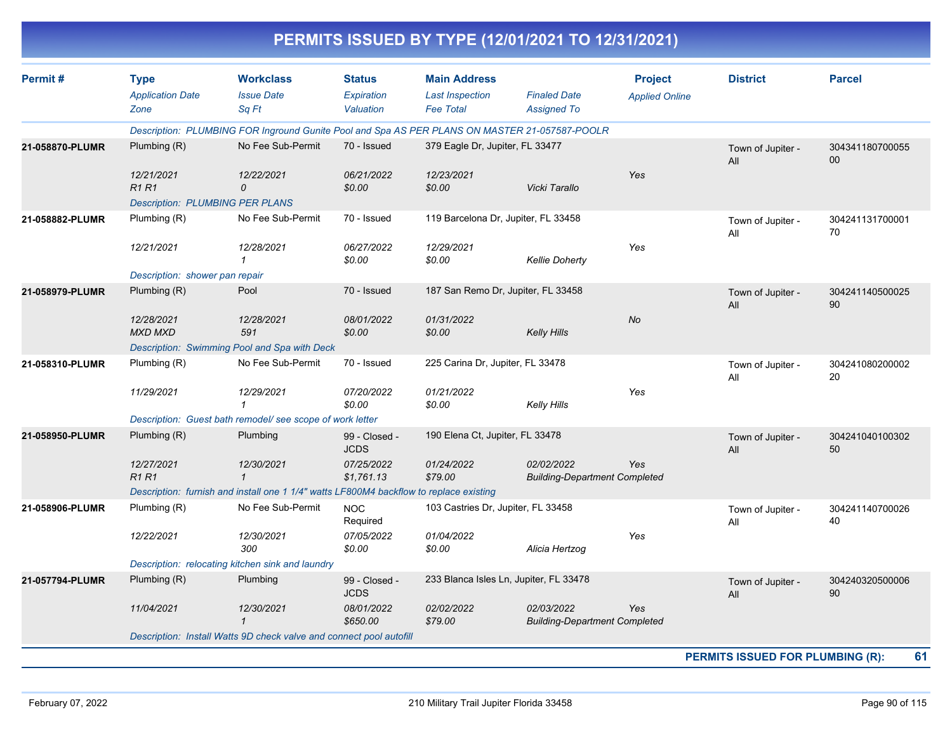| <b>Workclass</b><br><b>Main Address</b><br><b>District</b><br><b>Parcel</b><br><b>Type</b><br><b>Status</b><br><b>Project</b><br><b>Issue Date</b><br><b>Finaled Date</b><br><b>Application Date</b><br>Expiration<br><b>Last Inspection</b><br><b>Applied Online</b><br>Sq Ft<br>Zone<br>Valuation<br><b>Fee Total</b><br><b>Assigned To</b><br>Description: PLUMBING FOR Inground Gunite Pool and Spa AS PER PLANS ON MASTER 21-057587-POOLR<br>No Fee Sub-Permit<br>70 - Issued<br>379 Eagle Dr, Jupiter, FL 33477<br>Plumbing (R)<br>21-058870-PLUMR<br>304341180700055<br>Town of Jupiter -<br>00<br>All<br>12/21/2021<br>Yes<br>12/22/2021<br>06/21/2022<br>12/23/2021<br><b>R1 R1</b><br>\$0.00<br>Vicki Tarallo<br>0<br>\$0.00<br><b>Description: PLUMBING PER PLANS</b><br>119 Barcelona Dr, Jupiter, FL 33458<br>No Fee Sub-Permit<br>70 - Issued<br>Plumbing (R)<br>21-058882-PLUMR<br>304241131700001<br>Town of Jupiter -<br>70<br>All<br>12/29/2021<br>Yes<br>12/21/2021<br>12/28/2021<br>06/27/2022<br>\$0.00<br>\$0.00<br><b>Kellie Doherty</b><br>1<br>Description: shower pan repair<br>70 - Issued<br>Pool<br>187 San Remo Dr, Jupiter, FL 33458<br>Plumbing (R)<br>304241140500025<br>Town of Jupiter -<br>90<br>All<br>No<br>12/28/2021<br>12/28/2021<br>08/01/2022<br>01/31/2022<br><b>MXD MXD</b><br>591<br>\$0.00<br>\$0.00<br><b>Kelly Hills</b><br>Description: Swimming Pool and Spa with Deck<br>225 Carina Dr, Jupiter, FL 33478<br>No Fee Sub-Permit<br>70 - Issued<br>Plumbing (R)<br>21-058310-PLUMR<br>304241080200002<br>Town of Jupiter -<br>20<br>All<br>07/20/2022<br>Yes<br>11/29/2021<br>12/29/2021<br>01/21/2022<br>\$0.00<br>$\mathcal I$<br>\$0.00<br><b>Kelly Hills</b><br>Description: Guest bath remodel/ see scope of work letter<br>190 Elena Ct, Jupiter, FL 33478<br>Plumbing (R)<br>Plumbing<br>99 - Closed -<br>304241040100302<br>Town of Jupiter -<br><b>JCDS</b><br>50<br>All<br>12/27/2021<br>12/30/2021<br>07/25/2022<br>02/02/2022<br>01/24/2022<br>Yes<br><b>R1R1</b><br>\$1,761.13<br>$\mathbf{1}$<br>\$79.00<br><b>Building-Department Completed</b><br>Description: furnish and install one 1 1/4" watts LF800M4 backflow to replace existing<br>103 Castries Dr, Jupiter, FL 33458<br>No Fee Sub-Permit<br>Plumbing (R)<br><b>NOC</b><br>304241140700026<br>21-058906-PLUMR<br>Town of Jupiter -<br>Required<br>40<br>All<br>12/30/2021<br>01/04/2022<br>12/22/2021<br>07/05/2022<br>Yes<br>300<br>\$0.00<br>\$0.00<br>Alicia Hertzog<br>Description: relocating kitchen sink and laundry<br>Plumbing<br>233 Blanca Isles Ln, Jupiter, FL 33478<br>Plumbing (R)<br>21-057794-PLUMR<br>99 - Closed -<br>304240320500006<br>Town of Jupiter -<br><b>JCDS</b><br>90<br>All<br>02/03/2022<br>Yes<br>11/04/2021<br>12/30/2021<br>08/01/2022<br>02/02/2022<br>\$650.00<br>\$79.00<br>$\mathcal{I}$<br><b>Building-Department Completed</b><br>Description: Install Watts 9D check valve and connect pool autofill |         |  |  | PERMITS ISSUED BY TYPE (12/01/2021 TO 12/31/2021) |  |  |
|---------------------------------------------------------------------------------------------------------------------------------------------------------------------------------------------------------------------------------------------------------------------------------------------------------------------------------------------------------------------------------------------------------------------------------------------------------------------------------------------------------------------------------------------------------------------------------------------------------------------------------------------------------------------------------------------------------------------------------------------------------------------------------------------------------------------------------------------------------------------------------------------------------------------------------------------------------------------------------------------------------------------------------------------------------------------------------------------------------------------------------------------------------------------------------------------------------------------------------------------------------------------------------------------------------------------------------------------------------------------------------------------------------------------------------------------------------------------------------------------------------------------------------------------------------------------------------------------------------------------------------------------------------------------------------------------------------------------------------------------------------------------------------------------------------------------------------------------------------------------------------------------------------------------------------------------------------------------------------------------------------------------------------------------------------------------------------------------------------------------------------------------------------------------------------------------------------------------------------------------------------------------------------------------------------------------------------------------------------------------------------------------------------------------------------------------------------------------------------------------------------------------------------------------------------------------------------------------------------------------------------------------------------------------------------------------------------------------------------------------------------------------------------------------------------------------------------------------------------------------------------------------------------------------------------------------------------------------------|---------|--|--|---------------------------------------------------|--|--|
| 21-058950-PLUMR                                                                                                                                                                                                                                                                                                                                                                                                                                                                                                                                                                                                                                                                                                                                                                                                                                                                                                                                                                                                                                                                                                                                                                                                                                                                                                                                                                                                                                                                                                                                                                                                                                                                                                                                                                                                                                                                                                                                                                                                                                                                                                                                                                                                                                                                                                                                                                                                                                                                                                                                                                                                                                                                                                                                                                                                                                                                                                                                                           | Permit# |  |  |                                                   |  |  |
|                                                                                                                                                                                                                                                                                                                                                                                                                                                                                                                                                                                                                                                                                                                                                                                                                                                                                                                                                                                                                                                                                                                                                                                                                                                                                                                                                                                                                                                                                                                                                                                                                                                                                                                                                                                                                                                                                                                                                                                                                                                                                                                                                                                                                                                                                                                                                                                                                                                                                                                                                                                                                                                                                                                                                                                                                                                                                                                                                                           |         |  |  |                                                   |  |  |
| 21-058979-PLUMR                                                                                                                                                                                                                                                                                                                                                                                                                                                                                                                                                                                                                                                                                                                                                                                                                                                                                                                                                                                                                                                                                                                                                                                                                                                                                                                                                                                                                                                                                                                                                                                                                                                                                                                                                                                                                                                                                                                                                                                                                                                                                                                                                                                                                                                                                                                                                                                                                                                                                                                                                                                                                                                                                                                                                                                                                                                                                                                                                           |         |  |  |                                                   |  |  |
|                                                                                                                                                                                                                                                                                                                                                                                                                                                                                                                                                                                                                                                                                                                                                                                                                                                                                                                                                                                                                                                                                                                                                                                                                                                                                                                                                                                                                                                                                                                                                                                                                                                                                                                                                                                                                                                                                                                                                                                                                                                                                                                                                                                                                                                                                                                                                                                                                                                                                                                                                                                                                                                                                                                                                                                                                                                                                                                                                                           |         |  |  |                                                   |  |  |
|                                                                                                                                                                                                                                                                                                                                                                                                                                                                                                                                                                                                                                                                                                                                                                                                                                                                                                                                                                                                                                                                                                                                                                                                                                                                                                                                                                                                                                                                                                                                                                                                                                                                                                                                                                                                                                                                                                                                                                                                                                                                                                                                                                                                                                                                                                                                                                                                                                                                                                                                                                                                                                                                                                                                                                                                                                                                                                                                                                           |         |  |  |                                                   |  |  |
|                                                                                                                                                                                                                                                                                                                                                                                                                                                                                                                                                                                                                                                                                                                                                                                                                                                                                                                                                                                                                                                                                                                                                                                                                                                                                                                                                                                                                                                                                                                                                                                                                                                                                                                                                                                                                                                                                                                                                                                                                                                                                                                                                                                                                                                                                                                                                                                                                                                                                                                                                                                                                                                                                                                                                                                                                                                                                                                                                                           |         |  |  |                                                   |  |  |
|                                                                                                                                                                                                                                                                                                                                                                                                                                                                                                                                                                                                                                                                                                                                                                                                                                                                                                                                                                                                                                                                                                                                                                                                                                                                                                                                                                                                                                                                                                                                                                                                                                                                                                                                                                                                                                                                                                                                                                                                                                                                                                                                                                                                                                                                                                                                                                                                                                                                                                                                                                                                                                                                                                                                                                                                                                                                                                                                                                           |         |  |  |                                                   |  |  |
|                                                                                                                                                                                                                                                                                                                                                                                                                                                                                                                                                                                                                                                                                                                                                                                                                                                                                                                                                                                                                                                                                                                                                                                                                                                                                                                                                                                                                                                                                                                                                                                                                                                                                                                                                                                                                                                                                                                                                                                                                                                                                                                                                                                                                                                                                                                                                                                                                                                                                                                                                                                                                                                                                                                                                                                                                                                                                                                                                                           |         |  |  |                                                   |  |  |
|                                                                                                                                                                                                                                                                                                                                                                                                                                                                                                                                                                                                                                                                                                                                                                                                                                                                                                                                                                                                                                                                                                                                                                                                                                                                                                                                                                                                                                                                                                                                                                                                                                                                                                                                                                                                                                                                                                                                                                                                                                                                                                                                                                                                                                                                                                                                                                                                                                                                                                                                                                                                                                                                                                                                                                                                                                                                                                                                                                           |         |  |  |                                                   |  |  |
|                                                                                                                                                                                                                                                                                                                                                                                                                                                                                                                                                                                                                                                                                                                                                                                                                                                                                                                                                                                                                                                                                                                                                                                                                                                                                                                                                                                                                                                                                                                                                                                                                                                                                                                                                                                                                                                                                                                                                                                                                                                                                                                                                                                                                                                                                                                                                                                                                                                                                                                                                                                                                                                                                                                                                                                                                                                                                                                                                                           |         |  |  |                                                   |  |  |
|                                                                                                                                                                                                                                                                                                                                                                                                                                                                                                                                                                                                                                                                                                                                                                                                                                                                                                                                                                                                                                                                                                                                                                                                                                                                                                                                                                                                                                                                                                                                                                                                                                                                                                                                                                                                                                                                                                                                                                                                                                                                                                                                                                                                                                                                                                                                                                                                                                                                                                                                                                                                                                                                                                                                                                                                                                                                                                                                                                           |         |  |  |                                                   |  |  |
|                                                                                                                                                                                                                                                                                                                                                                                                                                                                                                                                                                                                                                                                                                                                                                                                                                                                                                                                                                                                                                                                                                                                                                                                                                                                                                                                                                                                                                                                                                                                                                                                                                                                                                                                                                                                                                                                                                                                                                                                                                                                                                                                                                                                                                                                                                                                                                                                                                                                                                                                                                                                                                                                                                                                                                                                                                                                                                                                                                           |         |  |  |                                                   |  |  |
|                                                                                                                                                                                                                                                                                                                                                                                                                                                                                                                                                                                                                                                                                                                                                                                                                                                                                                                                                                                                                                                                                                                                                                                                                                                                                                                                                                                                                                                                                                                                                                                                                                                                                                                                                                                                                                                                                                                                                                                                                                                                                                                                                                                                                                                                                                                                                                                                                                                                                                                                                                                                                                                                                                                                                                                                                                                                                                                                                                           |         |  |  |                                                   |  |  |
|                                                                                                                                                                                                                                                                                                                                                                                                                                                                                                                                                                                                                                                                                                                                                                                                                                                                                                                                                                                                                                                                                                                                                                                                                                                                                                                                                                                                                                                                                                                                                                                                                                                                                                                                                                                                                                                                                                                                                                                                                                                                                                                                                                                                                                                                                                                                                                                                                                                                                                                                                                                                                                                                                                                                                                                                                                                                                                                                                                           |         |  |  |                                                   |  |  |
|                                                                                                                                                                                                                                                                                                                                                                                                                                                                                                                                                                                                                                                                                                                                                                                                                                                                                                                                                                                                                                                                                                                                                                                                                                                                                                                                                                                                                                                                                                                                                                                                                                                                                                                                                                                                                                                                                                                                                                                                                                                                                                                                                                                                                                                                                                                                                                                                                                                                                                                                                                                                                                                                                                                                                                                                                                                                                                                                                                           |         |  |  |                                                   |  |  |
|                                                                                                                                                                                                                                                                                                                                                                                                                                                                                                                                                                                                                                                                                                                                                                                                                                                                                                                                                                                                                                                                                                                                                                                                                                                                                                                                                                                                                                                                                                                                                                                                                                                                                                                                                                                                                                                                                                                                                                                                                                                                                                                                                                                                                                                                                                                                                                                                                                                                                                                                                                                                                                                                                                                                                                                                                                                                                                                                                                           |         |  |  |                                                   |  |  |
|                                                                                                                                                                                                                                                                                                                                                                                                                                                                                                                                                                                                                                                                                                                                                                                                                                                                                                                                                                                                                                                                                                                                                                                                                                                                                                                                                                                                                                                                                                                                                                                                                                                                                                                                                                                                                                                                                                                                                                                                                                                                                                                                                                                                                                                                                                                                                                                                                                                                                                                                                                                                                                                                                                                                                                                                                                                                                                                                                                           |         |  |  |                                                   |  |  |
|                                                                                                                                                                                                                                                                                                                                                                                                                                                                                                                                                                                                                                                                                                                                                                                                                                                                                                                                                                                                                                                                                                                                                                                                                                                                                                                                                                                                                                                                                                                                                                                                                                                                                                                                                                                                                                                                                                                                                                                                                                                                                                                                                                                                                                                                                                                                                                                                                                                                                                                                                                                                                                                                                                                                                                                                                                                                                                                                                                           |         |  |  |                                                   |  |  |
|                                                                                                                                                                                                                                                                                                                                                                                                                                                                                                                                                                                                                                                                                                                                                                                                                                                                                                                                                                                                                                                                                                                                                                                                                                                                                                                                                                                                                                                                                                                                                                                                                                                                                                                                                                                                                                                                                                                                                                                                                                                                                                                                                                                                                                                                                                                                                                                                                                                                                                                                                                                                                                                                                                                                                                                                                                                                                                                                                                           |         |  |  |                                                   |  |  |
|                                                                                                                                                                                                                                                                                                                                                                                                                                                                                                                                                                                                                                                                                                                                                                                                                                                                                                                                                                                                                                                                                                                                                                                                                                                                                                                                                                                                                                                                                                                                                                                                                                                                                                                                                                                                                                                                                                                                                                                                                                                                                                                                                                                                                                                                                                                                                                                                                                                                                                                                                                                                                                                                                                                                                                                                                                                                                                                                                                           |         |  |  |                                                   |  |  |
|                                                                                                                                                                                                                                                                                                                                                                                                                                                                                                                                                                                                                                                                                                                                                                                                                                                                                                                                                                                                                                                                                                                                                                                                                                                                                                                                                                                                                                                                                                                                                                                                                                                                                                                                                                                                                                                                                                                                                                                                                                                                                                                                                                                                                                                                                                                                                                                                                                                                                                                                                                                                                                                                                                                                                                                                                                                                                                                                                                           |         |  |  |                                                   |  |  |
|                                                                                                                                                                                                                                                                                                                                                                                                                                                                                                                                                                                                                                                                                                                                                                                                                                                                                                                                                                                                                                                                                                                                                                                                                                                                                                                                                                                                                                                                                                                                                                                                                                                                                                                                                                                                                                                                                                                                                                                                                                                                                                                                                                                                                                                                                                                                                                                                                                                                                                                                                                                                                                                                                                                                                                                                                                                                                                                                                                           |         |  |  |                                                   |  |  |
|                                                                                                                                                                                                                                                                                                                                                                                                                                                                                                                                                                                                                                                                                                                                                                                                                                                                                                                                                                                                                                                                                                                                                                                                                                                                                                                                                                                                                                                                                                                                                                                                                                                                                                                                                                                                                                                                                                                                                                                                                                                                                                                                                                                                                                                                                                                                                                                                                                                                                                                                                                                                                                                                                                                                                                                                                                                                                                                                                                           |         |  |  |                                                   |  |  |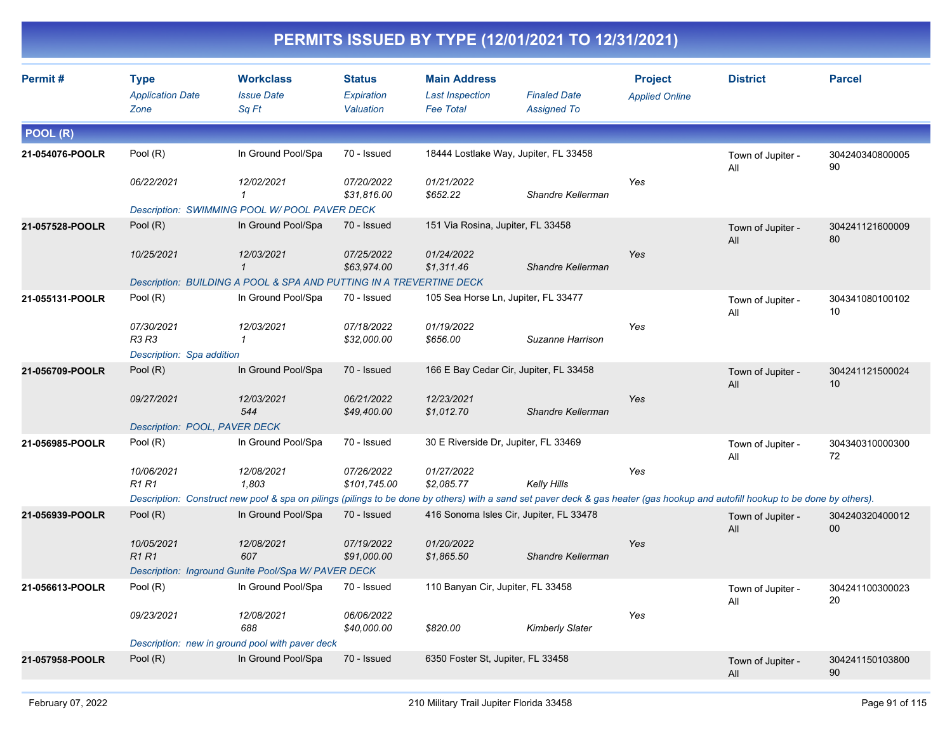|                 |                                                |                                                                                                                                                                                |                                          |                                                                   | PERMITS ISSUED BY TYPE (12/01/2021 TO 12/31/2021) |                                         |                          |                       |
|-----------------|------------------------------------------------|--------------------------------------------------------------------------------------------------------------------------------------------------------------------------------|------------------------------------------|-------------------------------------------------------------------|---------------------------------------------------|-----------------------------------------|--------------------------|-----------------------|
| Permit#         | <b>Type</b><br><b>Application Date</b><br>Zone | <b>Workclass</b><br><b>Issue Date</b><br>Sq Ft                                                                                                                                 | <b>Status</b><br>Expiration<br>Valuation | <b>Main Address</b><br><b>Last Inspection</b><br><b>Fee Total</b> | <b>Finaled Date</b><br><b>Assigned To</b>         | <b>Project</b><br><b>Applied Online</b> | <b>District</b>          | <b>Parcel</b>         |
| POOL (R)        |                                                |                                                                                                                                                                                |                                          |                                                                   |                                                   |                                         |                          |                       |
| 21-054076-POOLR | Pool (R)                                       | In Ground Pool/Spa                                                                                                                                                             | 70 - Issued                              |                                                                   | 18444 Lostlake Way, Jupiter, FL 33458             |                                         | Town of Jupiter -<br>All | 304240340800005<br>90 |
|                 | 06/22/2021                                     | 12/02/2021<br>$\mathbf{1}$                                                                                                                                                     | 07/20/2022<br>\$31,816.00                | 01/21/2022<br>\$652.22                                            | Shandre Kellerman                                 | Yes                                     |                          |                       |
|                 |                                                | Description: SWIMMING POOL W/ POOL PAVER DECK                                                                                                                                  |                                          |                                                                   |                                                   |                                         |                          |                       |
| 21-057528-POOLR | Pool $(R)$                                     | In Ground Pool/Spa                                                                                                                                                             | 70 - Issued                              | 151 Via Rosina, Jupiter, FL 33458                                 |                                                   |                                         | Town of Jupiter -<br>All | 304241121600009<br>80 |
|                 | 10/25/2021                                     | 12/03/2021<br>$\mathbf{1}$                                                                                                                                                     | 07/25/2022<br>\$63,974.00                | 01/24/2022<br>\$1,311.46                                          | Shandre Kellerman                                 | Yes                                     |                          |                       |
|                 |                                                | Description: BUILDING A POOL & SPA AND PUTTING IN A TREVERTINE DECK                                                                                                            |                                          |                                                                   |                                                   |                                         |                          |                       |
| 21-055131-POOLR | Pool (R)                                       | In Ground Pool/Spa                                                                                                                                                             | 70 - Issued                              | 105 Sea Horse Ln, Jupiter, FL 33477                               |                                                   |                                         | Town of Jupiter -<br>All | 304341080100102<br>10 |
|                 | 07/30/2021<br>R3 R3                            | 12/03/2021<br>$\mathbf{1}$                                                                                                                                                     | 07/18/2022<br>\$32,000.00                | 01/19/2022<br>\$656.00                                            | Suzanne Harrison                                  | Yes                                     |                          |                       |
|                 | Description: Spa addition                      |                                                                                                                                                                                |                                          |                                                                   |                                                   |                                         |                          |                       |
| 21-056709-POOLR | Pool (R)                                       | In Ground Pool/Spa                                                                                                                                                             | 70 - Issued                              |                                                                   | 166 E Bay Cedar Cir, Jupiter, FL 33458            |                                         | Town of Jupiter -<br>All | 304241121500024<br>10 |
|                 | 09/27/2021                                     | 12/03/2021<br>544                                                                                                                                                              | 06/21/2022<br>\$49,400.00                | 12/23/2021<br>\$1,012.70                                          | Shandre Kellerman                                 | Yes                                     |                          |                       |
|                 | Description: POOL, PAVER DECK                  |                                                                                                                                                                                |                                          |                                                                   |                                                   |                                         |                          |                       |
| 21-056985-POOLR | Pool (R)                                       | In Ground Pool/Spa                                                                                                                                                             | 70 - Issued                              | 30 E Riverside Dr, Jupiter, FL 33469                              |                                                   |                                         | Town of Jupiter -<br>All | 304340310000300<br>72 |
|                 | 10/06/2021<br><b>R1 R1</b>                     | 12/08/2021<br>1,803                                                                                                                                                            | 07/26/2022<br>\$101,745.00               | 01/27/2022<br>\$2,085.77                                          | <b>Kelly Hills</b>                                | Yes                                     |                          |                       |
|                 |                                                | Description: Construct new pool & spa on pilings (pilings to be done by others) with a sand set paver deck & gas heater (gas hookup and autofill hookup to be done by others). |                                          |                                                                   |                                                   |                                         |                          |                       |
| 21-056939-POOLR | Pool $(R)$                                     | In Ground Pool/Spa                                                                                                                                                             | 70 - Issued                              |                                                                   | 416 Sonoma Isles Cir, Jupiter, FL 33478           |                                         | Town of Jupiter -<br>All | 304240320400012<br>00 |
|                 | 10/05/2021<br><b>R1 R1</b>                     | 12/08/2021<br>607                                                                                                                                                              | 07/19/2022<br>\$91,000.00                | 01/20/2022<br>\$1,865.50                                          | Shandre Kellerman                                 | Yes                                     |                          |                       |
|                 |                                                | Description: Inground Gunite Pool/Spa W/ PAVER DECK                                                                                                                            |                                          |                                                                   |                                                   |                                         |                          |                       |
| 21-056613-POOLR | Pool (R)                                       | In Ground Pool/Spa                                                                                                                                                             | 70 - Issued                              | 110 Banyan Cir, Jupiter, FL 33458                                 |                                                   |                                         | Town of Jupiter -<br>All | 304241100300023<br>20 |
|                 | 09/23/2021                                     | 12/08/2021<br>688                                                                                                                                                              | 06/06/2022<br>\$40,000.00                | \$820.00                                                          | <b>Kimberly Slater</b>                            | Yes                                     |                          |                       |
|                 |                                                | Description: new in ground pool with paver deck                                                                                                                                |                                          |                                                                   |                                                   |                                         |                          |                       |
| 21-057958-POOLR | Pool (R)                                       | In Ground Pool/Spa                                                                                                                                                             | 70 - Issued                              | 6350 Foster St, Jupiter, FL 33458                                 |                                                   |                                         | Town of Jupiter -<br>All | 304241150103800<br>90 |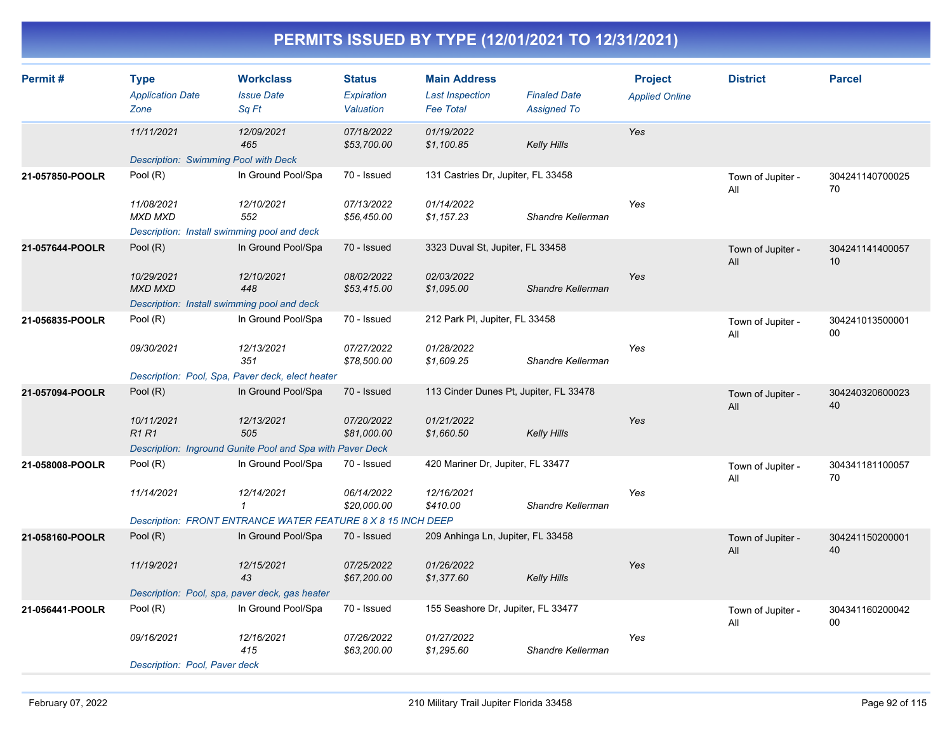| Permit#         | <b>Type</b><br><b>Application Date</b><br>Zone                              | <b>Workclass</b><br><b>Issue Date</b><br>Sq Ft               | <b>Status</b><br>Expiration<br>Valuation | <b>Main Address</b><br><b>Last Inspection</b><br><b>Fee Total</b> | <b>Finaled Date</b><br><b>Assigned To</b> | <b>Project</b><br><b>Applied Online</b> | <b>District</b>          | <b>Parcel</b>             |
|-----------------|-----------------------------------------------------------------------------|--------------------------------------------------------------|------------------------------------------|-------------------------------------------------------------------|-------------------------------------------|-----------------------------------------|--------------------------|---------------------------|
|                 | 11/11/2021<br>Description: Swimming Pool with Deck                          | 12/09/2021<br>465                                            | 07/18/2022<br>\$53,700.00                | 01/19/2022<br>\$1,100.85                                          | <b>Kelly Hills</b>                        | Yes                                     |                          |                           |
| 21-057850-POOLR | Pool (R)                                                                    | In Ground Pool/Spa                                           | 70 - Issued                              | 131 Castries Dr, Jupiter, FL 33458                                |                                           |                                         | Town of Jupiter -<br>All | 304241140700025<br>70     |
|                 | 11/08/2021<br><b>MXD MXD</b><br>Description: Install swimming pool and deck | 12/10/2021<br>552                                            | 07/13/2022<br>\$56,450.00                | 01/14/2022<br>\$1,157.23                                          | Shandre Kellerman                         | Yes                                     |                          |                           |
| 21-057644-POOLR | Pool (R)                                                                    | In Ground Pool/Spa                                           | 70 - Issued                              | 3323 Duval St, Jupiter, FL 33458                                  |                                           |                                         | Town of Jupiter -<br>All | 304241141400057<br>10     |
|                 | 10/29/2021<br><b>MXD MXD</b>                                                | 12/10/2021<br>448                                            | 08/02/2022<br>\$53,415.00                | 02/03/2022<br>\$1,095.00                                          | Shandre Kellerman                         | Yes                                     |                          |                           |
|                 | Description: Install swimming pool and deck                                 |                                                              |                                          |                                                                   |                                           |                                         |                          |                           |
| 21-056835-POOLR | Pool (R)                                                                    | In Ground Pool/Spa                                           | 70 - Issued                              | 212 Park PI, Jupiter, FL 33458                                    |                                           |                                         | Town of Jupiter -<br>All | 304241013500001<br>$00\,$ |
|                 | 09/30/2021                                                                  | 12/13/2021<br>351                                            | 07/27/2022<br>\$78,500.00                | 01/28/2022<br>\$1,609.25                                          | Shandre Kellerman                         | Yes                                     |                          |                           |
|                 |                                                                             | Description: Pool, Spa, Paver deck, elect heater             |                                          |                                                                   |                                           |                                         |                          |                           |
| 21-057094-POOLR | Pool $(R)$                                                                  | In Ground Pool/Spa                                           | 70 - Issued                              | 113 Cinder Dunes Pt, Jupiter, FL 33478                            |                                           |                                         | Town of Jupiter -<br>All | 304240320600023<br>40     |
|                 | 10/11/2021<br><b>R1 R1</b>                                                  | 12/13/2021<br>505                                            | 07/20/2022<br>\$81,000.00                | 01/21/2022<br>\$1,660.50                                          | <b>Kelly Hills</b>                        | Yes                                     |                          |                           |
|                 |                                                                             | Description: Inground Gunite Pool and Spa with Paver Deck    |                                          |                                                                   |                                           |                                         |                          |                           |
| 21-058008-POOLR | Pool (R)                                                                    | In Ground Pool/Spa                                           | 70 - Issued                              | 420 Mariner Dr, Jupiter, FL 33477                                 |                                           |                                         | Town of Jupiter -<br>All | 304341181100057<br>70     |
|                 | 11/14/2021                                                                  | 12/14/2021<br>$\mathbf{1}$                                   | 06/14/2022<br>\$20,000.00                | 12/16/2021<br>\$410.00                                            | Shandre Kellerman                         | Yes                                     |                          |                           |
|                 |                                                                             | Description: FRONT ENTRANCE WATER FEATURE 8 X 8 15 INCH DEEP |                                          |                                                                   |                                           |                                         |                          |                           |
| 21-058160-POOLR | Pool (R)                                                                    | In Ground Pool/Spa                                           | 70 - Issued                              | 209 Anhinga Ln, Jupiter, FL 33458                                 |                                           |                                         | Town of Jupiter -<br>All | 304241150200001<br>40     |
|                 | 11/19/2021                                                                  | 12/15/2021<br>43                                             | 07/25/2022<br>\$67,200.00                | 01/26/2022<br>\$1,377.60                                          | <b>Kelly Hills</b>                        | Yes                                     |                          |                           |
|                 | Description: Pool, spa, paver deck, gas heater                              |                                                              |                                          |                                                                   |                                           |                                         |                          |                           |
| 21-056441-POOLR | Pool (R)                                                                    | In Ground Pool/Spa                                           | 70 - Issued                              | 155 Seashore Dr, Jupiter, FL 33477                                |                                           |                                         | Town of Jupiter -<br>All | 304341160200042<br>00     |
|                 | 09/16/2021                                                                  | 12/16/2021<br>415                                            | 07/26/2022<br>\$63,200.00                | 01/27/2022<br>\$1,295.60                                          | Shandre Kellerman                         | Yes                                     |                          |                           |
|                 | Description: Pool, Paver deck                                               |                                                              |                                          |                                                                   |                                           |                                         |                          |                           |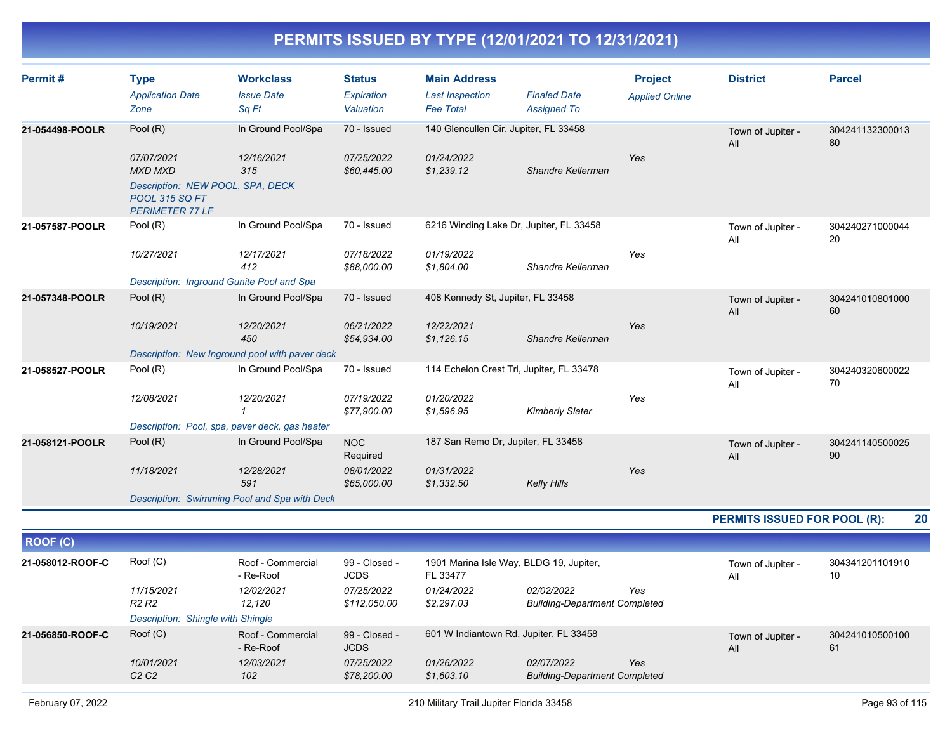| Permit#          | <b>Type</b><br><b>Application Date</b><br>Zone                                                                      | <b>Workclass</b><br><b>Issue Date</b><br>Sq Ft | <b>Status</b><br>Expiration<br>Valuation | <b>Main Address</b><br><b>Last Inspection</b><br><b>Fee Total</b> | <b>Finaled Date</b><br><b>Assigned To</b>          | <b>Project</b><br><b>Applied Online</b> | <b>District</b>              | <b>Parcel</b>         |
|------------------|---------------------------------------------------------------------------------------------------------------------|------------------------------------------------|------------------------------------------|-------------------------------------------------------------------|----------------------------------------------------|-----------------------------------------|------------------------------|-----------------------|
| 21-054498-POOLR  | Pool (R)                                                                                                            | In Ground Pool/Spa                             | 70 - Issued                              | 140 Glencullen Cir, Jupiter, FL 33458                             |                                                    |                                         | Town of Jupiter -<br>All     | 304241132300013<br>80 |
|                  | 07/07/2021<br><b>MXD MXD</b><br>Description: NEW POOL, SPA, DECK<br><b>POOL 315 SQ FT</b><br><b>PERIMETER 77 LF</b> | 12/16/2021<br>315                              | 07/25/2022<br>\$60,445.00                | 01/24/2022<br>\$1,239.12                                          | Shandre Kellerman                                  | Yes                                     |                              |                       |
| 21-057587-POOLR  | Pool (R)                                                                                                            | In Ground Pool/Spa                             | 70 - Issued                              | 6216 Winding Lake Dr, Jupiter, FL 33458                           |                                                    |                                         | Town of Jupiter -<br>All     | 304240271000044<br>20 |
|                  | 10/27/2021<br>Description: Inground Gunite Pool and Spa                                                             | 12/17/2021<br>412                              | 07/18/2022<br>\$88,000.00                | 01/19/2022<br>\$1,804.00                                          | Shandre Kellerman                                  | Yes                                     |                              |                       |
| 21-057348-POOLR  | Pool (R)                                                                                                            | In Ground Pool/Spa                             | 70 - Issued                              | 408 Kennedy St, Jupiter, FL 33458                                 |                                                    |                                         | Town of Jupiter -<br>All     | 304241010801000<br>60 |
|                  | 10/19/2021                                                                                                          | 12/20/2021<br>450                              | 06/21/2022<br>\$54,934.00                | 12/22/2021<br>\$1,126.15                                          | Shandre Kellerman                                  | Yes                                     |                              |                       |
|                  |                                                                                                                     | Description: New Inground pool with paver deck |                                          |                                                                   |                                                    |                                         |                              |                       |
| 21-058527-POOLR  | Pool (R)                                                                                                            | In Ground Pool/Spa                             | 70 - Issued                              | 114 Echelon Crest Trl, Jupiter, FL 33478                          |                                                    |                                         | Town of Jupiter -<br>All     | 304240320600022<br>70 |
|                  | 12/08/2021                                                                                                          | 12/20/2021<br>1                                | 07/19/2022<br>\$77,900.00                | 01/20/2022<br>\$1,596.95                                          | <b>Kimberly Slater</b>                             | Yes                                     |                              |                       |
|                  |                                                                                                                     | Description: Pool, spa, paver deck, gas heater |                                          |                                                                   |                                                    |                                         |                              |                       |
| 21-058121-POOLR  | Pool (R)                                                                                                            | In Ground Pool/Spa                             | <b>NOC</b><br>Required                   | 187 San Remo Dr, Jupiter, FL 33458                                |                                                    |                                         | Town of Jupiter -<br>All     | 304241140500025<br>90 |
|                  | 11/18/2021                                                                                                          | 12/28/2021<br>591                              | 08/01/2022<br>\$65,000.00                | 01/31/2022<br>\$1,332.50                                          | <b>Kelly Hills</b>                                 | Yes                                     |                              |                       |
|                  |                                                                                                                     | Description: Swimming Pool and Spa with Deck   |                                          |                                                                   |                                                    |                                         |                              |                       |
|                  |                                                                                                                     |                                                |                                          |                                                                   |                                                    |                                         | PERMITS ISSUED FOR POOL (R): | 20                    |
| <b>ROOF (C)</b>  |                                                                                                                     |                                                |                                          |                                                                   |                                                    |                                         |                              |                       |
| 21-058012-ROOF-C | Root(C)                                                                                                             | Roof - Commercial<br>- Re-Roof                 | 99 - Closed -<br><b>JCDS</b>             | 1901 Marina Isle Way, BLDG 19, Jupiter,<br>FL 33477               |                                                    |                                         | Town of Jupiter -<br>All     | 304341201101910<br>10 |
|                  | 11/15/2021<br>R <sub>2</sub> R <sub>2</sub>                                                                         | 12/02/2021<br>12,120                           | 07/25/2022<br>\$112,050.00               | 01/24/2022<br>\$2,297.03                                          | 02/02/2022<br><b>Building-Department Completed</b> | Yes                                     |                              |                       |
|                  | Description: Shingle with Shingle                                                                                   |                                                |                                          |                                                                   |                                                    |                                         |                              |                       |
| 21-056850-ROOF-C | Roof (C)                                                                                                            | Roof - Commercial<br>- Re-Roof                 | 99 - Closed -<br><b>JCDS</b>             | 601 W Indiantown Rd, Jupiter, FL 33458                            |                                                    |                                         | Town of Jupiter -<br>All     | 304241010500100<br>61 |

*Yes*

*10/01/2021 12/03/2021 07/25/2022 01/26/2022 02/07/2022*

*C2 C2 102 \$78,200.00 \$1,603.10 Building-Department Completed*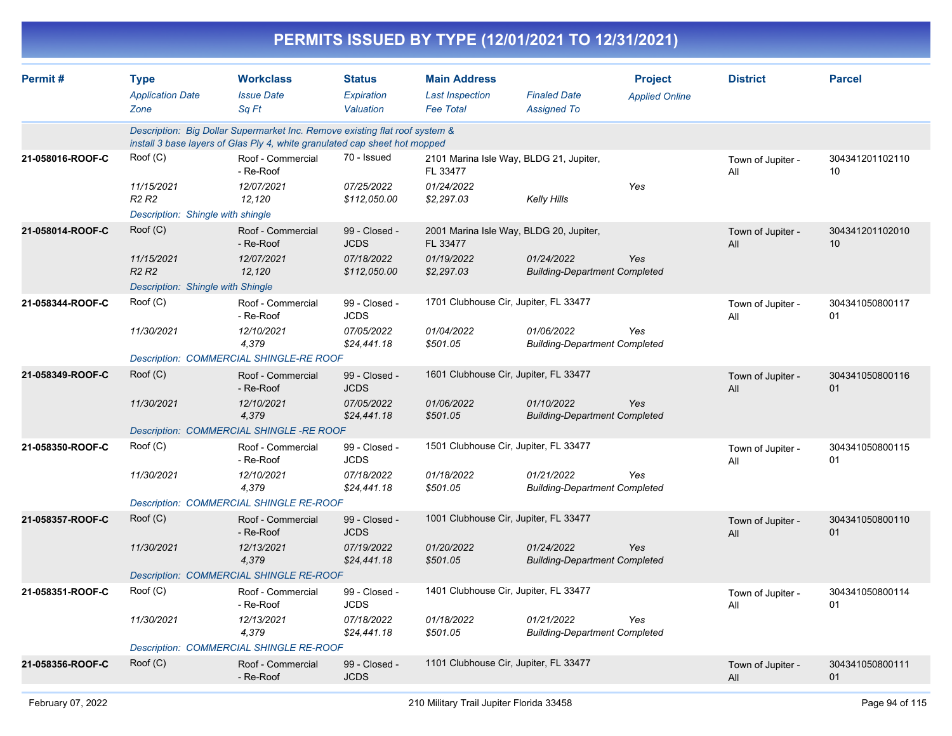|                  |                                                                                  |                                                                                                                                                           |                                           |                                                                   | PERMITS ISSUED BY TYPE (12/01/2021 TO 12/31/2021)  |                                         |                          |                       |
|------------------|----------------------------------------------------------------------------------|-----------------------------------------------------------------------------------------------------------------------------------------------------------|-------------------------------------------|-------------------------------------------------------------------|----------------------------------------------------|-----------------------------------------|--------------------------|-----------------------|
| Permit#          | <b>Type</b><br><b>Application Date</b><br>Zone                                   | <b>Workclass</b><br><b>Issue Date</b><br>Sq Ft                                                                                                            | <b>Status</b><br>Expiration<br>Valuation  | <b>Main Address</b><br><b>Last Inspection</b><br><b>Fee Total</b> | <b>Finaled Date</b><br><b>Assigned To</b>          | <b>Project</b><br><b>Applied Online</b> | <b>District</b>          | <b>Parcel</b>         |
|                  |                                                                                  | Description: Big Dollar Supermarket Inc. Remove existing flat roof system &<br>install 3 base layers of Glas Ply 4, white granulated cap sheet hot mopped |                                           |                                                                   |                                                    |                                         |                          |                       |
| 21-058016-ROOF-C | Roof (C)                                                                         | Roof - Commercial<br>- Re-Roof                                                                                                                            | 70 - Issued                               | FL 33477                                                          | 2101 Marina Isle Way, BLDG 21, Jupiter,            |                                         | Town of Jupiter -<br>All | 304341201102110<br>10 |
|                  | 11/15/2021<br>R <sub>2</sub> R <sub>2</sub><br>Description: Shingle with shingle | 12/07/2021<br>12,120                                                                                                                                      | 07/25/2022<br>\$112,050.00                | 01/24/2022<br>\$2,297.03                                          | <b>Kelly Hills</b>                                 | Yes                                     |                          |                       |
| 21-058014-ROOF-C | Roof (C)                                                                         | Roof - Commercial                                                                                                                                         | 99 - Closed -                             |                                                                   | 2001 Marina Isle Way, BLDG 20, Jupiter,            |                                         | Town of Jupiter -        | 304341201102010       |
|                  | 11/15/2021<br>R <sub>2</sub> R <sub>2</sub>                                      | - Re-Roof<br>12/07/2021<br>12,120                                                                                                                         | <b>JCDS</b><br>07/18/2022<br>\$112,050.00 | FL 33477<br>01/19/2022<br>\$2,297.03                              | 01/24/2022<br><b>Building-Department Completed</b> | Yes                                     | All                      | 10                    |
| 21-058344-ROOF-C | Description: Shingle with Shingle<br>Roof (C)                                    | Roof - Commercial                                                                                                                                         | 99 - Closed -                             |                                                                   | 1701 Clubhouse Cir, Jupiter, FL 33477              |                                         |                          | 304341050800117       |
|                  |                                                                                  | - Re-Roof                                                                                                                                                 | <b>JCDS</b>                               |                                                                   |                                                    |                                         | Town of Jupiter -<br>All | 01                    |
|                  | 11/30/2021                                                                       | 12/10/2021<br>4,379                                                                                                                                       | 07/05/2022<br>\$24,441.18                 | 01/04/2022<br>\$501.05                                            | 01/06/2022<br><b>Building-Department Completed</b> | Yes                                     |                          |                       |
|                  |                                                                                  | Description: COMMERCIAL SHINGLE-RE ROOF                                                                                                                   |                                           |                                                                   |                                                    |                                         |                          |                       |
| 21-058349-ROOF-C | Root(C)                                                                          | Roof - Commercial<br>- Re-Roof                                                                                                                            | 99 - Closed -<br><b>JCDS</b>              |                                                                   | 1601 Clubhouse Cir, Jupiter, FL 33477              |                                         | Town of Jupiter -<br>All | 304341050800116<br>01 |
|                  | 11/30/2021                                                                       | 12/10/2021<br>4,379                                                                                                                                       | 07/05/2022<br>\$24,441.18                 | 01/06/2022<br>\$501.05                                            | 01/10/2022<br><b>Building-Department Completed</b> | Yes                                     |                          |                       |
|                  |                                                                                  | Description: COMMERCIAL SHINGLE-RE ROOF                                                                                                                   |                                           |                                                                   |                                                    |                                         |                          |                       |
| 21-058350-ROOF-C | Roof (C)                                                                         | Roof - Commercial<br>- Re-Roof                                                                                                                            | 99 - Closed -<br><b>JCDS</b>              |                                                                   | 1501 Clubhouse Cir, Jupiter, FL 33477              |                                         | Town of Jupiter -<br>All | 304341050800115<br>01 |
|                  | 11/30/2021                                                                       | 12/10/2021<br>4,379                                                                                                                                       | 07/18/2022<br>\$24,441.18                 | 01/18/2022<br>\$501.05                                            | 01/21/2022<br><b>Building-Department Completed</b> | Yes                                     |                          |                       |
|                  |                                                                                  | <b>Description: COMMERCIAL SHINGLE RE-ROOF</b>                                                                                                            |                                           |                                                                   |                                                    |                                         |                          |                       |
| 21-058357-ROOF-C | Root(C)                                                                          | Roof - Commercial<br>- Re-Roof                                                                                                                            | 99 - Closed -<br><b>JCDS</b>              |                                                                   | 1001 Clubhouse Cir, Jupiter, FL 33477              |                                         | Town of Jupiter -<br>All | 304341050800110<br>01 |
|                  | 11/30/2021                                                                       | 12/13/2021<br>4,379                                                                                                                                       | 07/19/2022<br>\$24,441.18                 | 01/20/2022<br>\$501.05                                            | 01/24/2022<br><b>Building-Department Completed</b> | Yes                                     |                          |                       |
|                  |                                                                                  | Description: COMMERCIAL SHINGLE RE-ROOF                                                                                                                   |                                           |                                                                   |                                                    |                                         |                          |                       |
| 21-058351-ROOF-C | Roof (C)                                                                         | Roof - Commercial<br>- Re-Roof                                                                                                                            | 99 - Closed -<br><b>JCDS</b>              |                                                                   | 1401 Clubhouse Cir, Jupiter, FL 33477              |                                         | Town of Jupiter -<br>All | 304341050800114<br>01 |
|                  | 11/30/2021                                                                       | 12/13/2021<br>4,379                                                                                                                                       | 07/18/2022<br>\$24,441.18                 | 01/18/2022<br>\$501.05                                            | 01/21/2022<br><b>Building-Department Completed</b> | Yes                                     |                          |                       |
|                  |                                                                                  | Description: COMMERCIAL SHINGLE RE-ROOF                                                                                                                   |                                           |                                                                   |                                                    |                                         |                          |                       |
| 21-058356-ROOF-C | Root(C)                                                                          | Roof - Commercial<br>- Re-Roof                                                                                                                            | 99 - Closed -<br><b>JCDS</b>              |                                                                   | 1101 Clubhouse Cir, Jupiter, FL 33477              |                                         | Town of Jupiter -<br>All | 304341050800111<br>01 |
|                  |                                                                                  |                                                                                                                                                           |                                           |                                                                   |                                                    |                                         |                          |                       |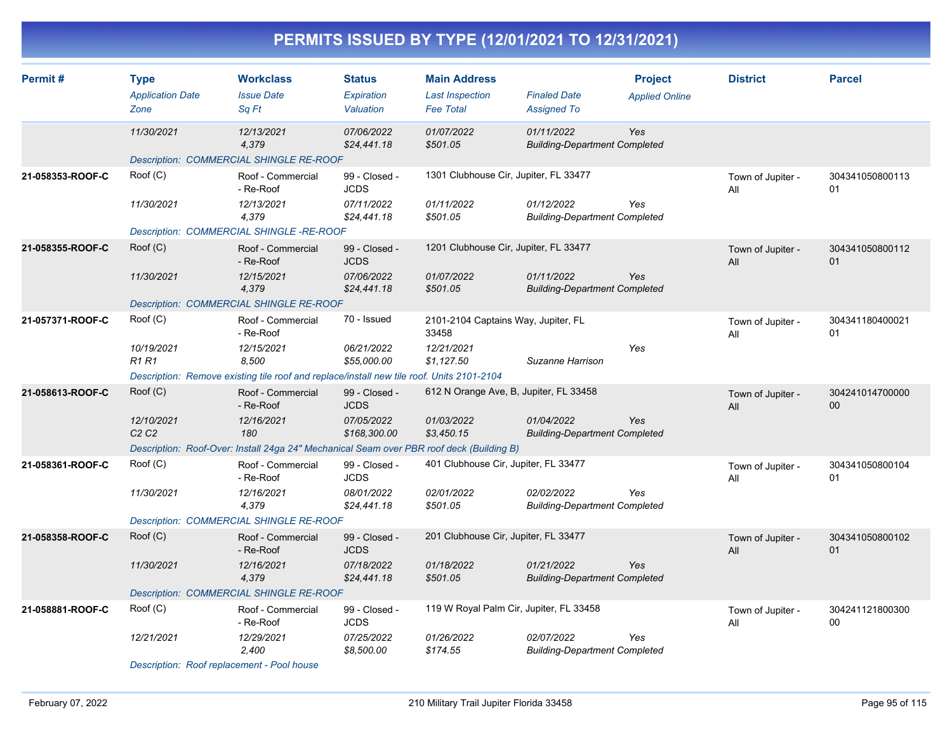| Permit#          | <b>Type</b><br><b>Application Date</b><br>Zone | <b>Workclass</b><br><b>Issue Date</b><br>Sq Ft                                            | <b>Status</b><br>Expiration<br>Valuation | <b>Main Address</b><br><b>Last Inspection</b><br><b>Fee Total</b> | <b>Finaled Date</b><br><b>Assigned To</b>          | <b>Project</b><br><b>Applied Online</b> | <b>District</b>          | <b>Parcel</b>         |
|------------------|------------------------------------------------|-------------------------------------------------------------------------------------------|------------------------------------------|-------------------------------------------------------------------|----------------------------------------------------|-----------------------------------------|--------------------------|-----------------------|
|                  | 11/30/2021                                     | 12/13/2021<br>4,379                                                                       | 07/06/2022<br>\$24,441.18                | 01/07/2022<br>\$501.05                                            | 01/11/2022<br><b>Building-Department Completed</b> | Yes                                     |                          |                       |
|                  |                                                | Description: COMMERCIAL SHINGLE RE-ROOF                                                   |                                          |                                                                   |                                                    |                                         |                          |                       |
| 21-058353-ROOF-C | Root(C)                                        | Roof - Commercial<br>- Re-Roof                                                            | 99 - Closed -<br><b>JCDS</b>             | 1301 Clubhouse Cir, Jupiter, FL 33477                             |                                                    |                                         | Town of Jupiter -<br>All | 304341050800113<br>01 |
|                  | 11/30/2021                                     | 12/13/2021<br>4,379                                                                       | 07/11/2022<br>\$24,441.18                | 01/11/2022<br>\$501.05                                            | 01/12/2022<br><b>Building-Department Completed</b> | Yes                                     |                          |                       |
|                  |                                                | Description: COMMERCIAL SHINGLE-RE-ROOF                                                   |                                          |                                                                   |                                                    |                                         |                          |                       |
| 21-058355-ROOF-C | Root(C)                                        | Roof - Commercial<br>- Re-Roof                                                            | 99 - Closed -<br><b>JCDS</b>             | 1201 Clubhouse Cir, Jupiter, FL 33477                             |                                                    |                                         | Town of Jupiter -<br>All | 304341050800112<br>01 |
|                  | 11/30/2021                                     | 12/15/2021<br>4,379                                                                       | 07/06/2022<br>\$24,441.18                | 01/07/2022<br>\$501.05                                            | 01/11/2022<br><b>Building-Department Completed</b> | Yes                                     |                          |                       |
|                  |                                                | Description: COMMERCIAL SHINGLE RE-ROOF                                                   |                                          |                                                                   |                                                    |                                         |                          |                       |
| 21-057371-ROOF-C | Root(C)                                        | Roof - Commercial<br>- Re-Roof                                                            | 70 - Issued                              | 2101-2104 Captains Way, Jupiter, FL<br>33458                      |                                                    |                                         | Town of Jupiter -<br>All | 304341180400021<br>01 |
|                  | 10/19/2021<br><b>R1R1</b>                      | 12/15/2021<br>8.500                                                                       | 06/21/2022<br>\$55,000.00                | 12/21/2021<br>\$1.127.50                                          | Suzanne Harrison                                   | Yes                                     |                          |                       |
|                  |                                                | Description: Remove existing tile roof and replace/install new tile roof. Units 2101-2104 |                                          |                                                                   |                                                    |                                         |                          |                       |
| 21-058613-ROOF-C | Root(C)                                        | Roof - Commercial<br>- Re-Roof                                                            | 99 - Closed -<br><b>JCDS</b>             | 612 N Orange Ave, B, Jupiter, FL 33458                            |                                                    |                                         | Town of Jupiter -<br>All | 304241014700000<br>00 |
|                  | 12/10/2021<br>C2C2                             | 12/16/2021<br>180                                                                         | 07/05/2022<br>\$168,300.00               | 01/03/2022<br>\$3,450.15                                          | 01/04/2022<br><b>Building-Department Completed</b> | Yes                                     |                          |                       |
|                  |                                                | Description: Roof-Over: Install 24ga 24" Mechanical Seam over PBR roof deck (Building B)  |                                          |                                                                   |                                                    |                                         |                          |                       |
| 21-058361-ROOF-C | Root(C)                                        | Roof - Commercial<br>- Re-Roof                                                            | 99 - Closed -<br><b>JCDS</b>             | 401 Clubhouse Cir, Jupiter, FL 33477                              |                                                    |                                         | Town of Jupiter -<br>All | 304341050800104<br>01 |
|                  | 11/30/2021                                     | 12/16/2021<br>4,379                                                                       | 08/01/2022<br>\$24,441.18                | 02/01/2022<br>\$501.05                                            | 02/02/2022<br><b>Building-Department Completed</b> | Yes                                     |                          |                       |
|                  |                                                | Description: COMMERCIAL SHINGLE RE-ROOF                                                   |                                          |                                                                   |                                                    |                                         |                          |                       |
| 21-058358-ROOF-C | Root(C)                                        | Roof - Commercial<br>- Re-Roof                                                            | 99 - Closed -<br><b>JCDS</b>             | 201 Clubhouse Cir, Jupiter, FL 33477                              |                                                    |                                         | Town of Jupiter -<br>All | 304341050800102<br>01 |
|                  | 11/30/2021                                     | 12/16/2021<br>4,379                                                                       | 07/18/2022<br>\$24,441.18                | 01/18/2022<br>\$501.05                                            | 01/21/2022<br><b>Building-Department Completed</b> | <b>Yes</b>                              |                          |                       |
|                  |                                                | Description: COMMERCIAL SHINGLE RE-ROOF                                                   |                                          |                                                                   |                                                    |                                         |                          |                       |
| 21-058881-ROOF-C | Root(C)                                        | Roof - Commercial<br>- Re-Roof                                                            | 99 - Closed -<br><b>JCDS</b>             | 119 W Royal Palm Cir, Jupiter, FL 33458                           |                                                    |                                         | Town of Jupiter -<br>All | 304241121800300<br>00 |
|                  | 12/21/2021                                     | 12/29/2021<br>2,400                                                                       | 07/25/2022<br>\$8,500.00                 | 01/26/2022<br>\$174.55                                            | 02/07/2022<br><b>Building-Department Completed</b> | Yes                                     |                          |                       |
|                  | Description: Roof replacement - Pool house     |                                                                                           |                                          |                                                                   |                                                    |                                         |                          |                       |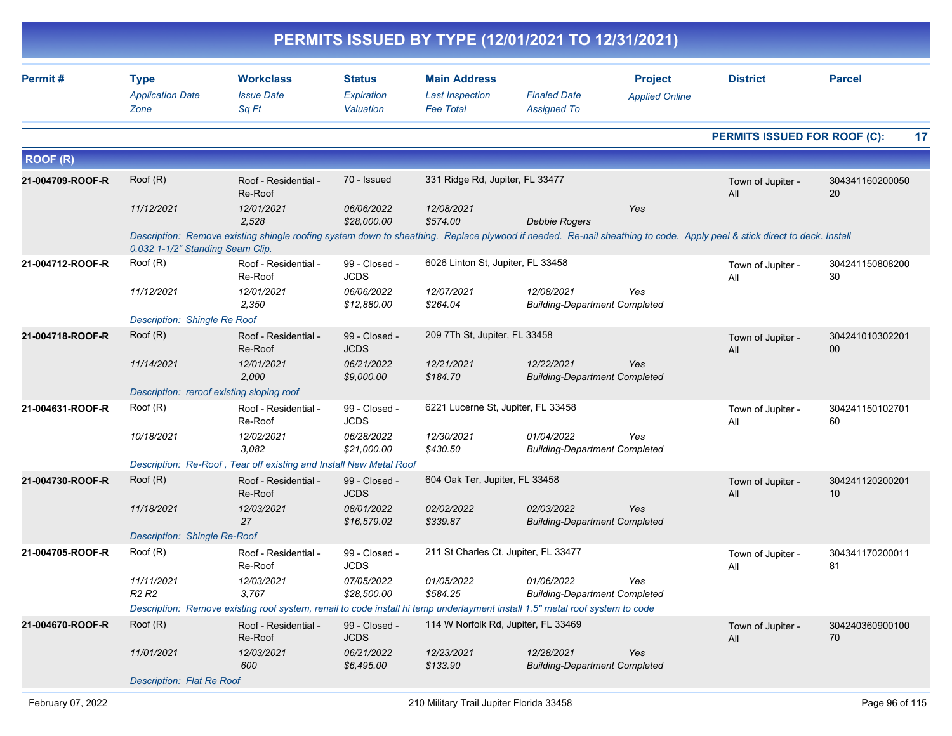|                  |                                                |                                                                                                                              |                                          |                                                                   | PERMITS ISSUED BY TYPE (12/01/2021 TO 12/31/2021)  |                                         |                                                                                                                                                                         |                       |
|------------------|------------------------------------------------|------------------------------------------------------------------------------------------------------------------------------|------------------------------------------|-------------------------------------------------------------------|----------------------------------------------------|-----------------------------------------|-------------------------------------------------------------------------------------------------------------------------------------------------------------------------|-----------------------|
| Permit#          | <b>Type</b><br><b>Application Date</b><br>Zone | <b>Workclass</b><br><b>Issue Date</b><br>Sq Ft                                                                               | <b>Status</b><br>Expiration<br>Valuation | <b>Main Address</b><br><b>Last Inspection</b><br><b>Fee Total</b> | <b>Finaled Date</b><br><b>Assigned To</b>          | <b>Project</b><br><b>Applied Online</b> | <b>District</b>                                                                                                                                                         | <b>Parcel</b>         |
|                  |                                                |                                                                                                                              |                                          |                                                                   |                                                    |                                         | PERMITS ISSUED FOR ROOF (C):                                                                                                                                            | 17                    |
| <b>ROOF (R)</b>  |                                                |                                                                                                                              |                                          |                                                                   |                                                    |                                         |                                                                                                                                                                         |                       |
| 21-004709-ROOF-R | Root(R)                                        | Roof - Residential -<br>Re-Roof                                                                                              | 70 - Issued                              | 331 Ridge Rd, Jupiter, FL 33477                                   |                                                    |                                         | Town of Jupiter -<br>All                                                                                                                                                | 304341160200050<br>20 |
|                  | 11/12/2021                                     | 12/01/2021<br>2,528                                                                                                          | 06/06/2022<br>\$28,000.00                | 12/08/2021<br>\$574.00                                            | <b>Debbie Rogers</b>                               | Yes                                     |                                                                                                                                                                         |                       |
|                  | 0.032 1-1/2" Standing Seam Clip.               |                                                                                                                              |                                          |                                                                   |                                                    |                                         | Description: Remove existing shingle roofing system down to sheathing. Replace plywood if needed. Re-nail sheathing to code. Apply peel & stick direct to deck. Install |                       |
| 21-004712-ROOF-R | Root(R)                                        | Roof - Residential -<br>Re-Roof                                                                                              | 99 - Closed -<br><b>JCDS</b>             | 6026 Linton St, Jupiter, FL 33458                                 |                                                    |                                         | Town of Jupiter -<br>All                                                                                                                                                | 304241150808200<br>30 |
|                  | 11/12/2021                                     | 12/01/2021<br>2,350                                                                                                          | 06/06/2022<br>\$12,880.00                | 12/07/2021<br>\$264.04                                            | 12/08/2021<br><b>Building-Department Completed</b> | Yes                                     |                                                                                                                                                                         |                       |
|                  | Description: Shingle Re Roof                   |                                                                                                                              |                                          |                                                                   |                                                    |                                         |                                                                                                                                                                         |                       |
| 21-004718-ROOF-R | Root(R)                                        | Roof - Residential -<br>Re-Roof                                                                                              | 99 - Closed -<br><b>JCDS</b>             | 209 7Th St, Jupiter, FL 33458                                     |                                                    |                                         | Town of Jupiter -<br>All                                                                                                                                                | 304241010302201<br>00 |
|                  | 11/14/2021                                     | 12/01/2021<br>2,000                                                                                                          | 06/21/2022<br>\$9,000.00                 | 12/21/2021<br>\$184.70                                            | 12/22/2021<br><b>Building-Department Completed</b> | Yes                                     |                                                                                                                                                                         |                       |
|                  | Description: reroof existing sloping roof      |                                                                                                                              |                                          |                                                                   |                                                    |                                         |                                                                                                                                                                         |                       |
| 21-004631-ROOF-R | Root(R)                                        | Roof - Residential -<br>Re-Roof                                                                                              | 99 - Closed -<br><b>JCDS</b>             | 6221 Lucerne St, Jupiter, FL 33458                                |                                                    |                                         | Town of Jupiter -<br>All                                                                                                                                                | 304241150102701<br>60 |
|                  | 10/18/2021                                     | 12/02/2021<br>3,082                                                                                                          | 06/28/2022<br>\$21,000.00                | 12/30/2021<br>\$430.50                                            | 01/04/2022<br><b>Building-Department Completed</b> | Yes                                     |                                                                                                                                                                         |                       |
|                  |                                                | Description: Re-Roof, Tear off existing and Install New Metal Roof                                                           |                                          |                                                                   |                                                    |                                         |                                                                                                                                                                         |                       |
| 21-004730-ROOF-R | Root(R)                                        | Roof - Residential -<br>Re-Roof                                                                                              | 99 - Closed -<br><b>JCDS</b>             | 604 Oak Ter, Jupiter, FL 33458                                    |                                                    |                                         | Town of Jupiter -<br>All                                                                                                                                                | 304241120200201<br>10 |
|                  | 11/18/2021                                     | 12/03/2021<br>27                                                                                                             | 08/01/2022<br>\$16,579.02                | 02/02/2022<br>\$339.87                                            | 02/03/2022<br><b>Building-Department Completed</b> | Yes                                     |                                                                                                                                                                         |                       |
|                  | Description: Shingle Re-Roof                   |                                                                                                                              |                                          |                                                                   |                                                    |                                         |                                                                                                                                                                         |                       |
| 21-004705-ROOF-R | Root(R)                                        | Roof - Residential -<br>Re-Roof                                                                                              | 99 - Closed -<br>JCDS                    | 211 St Charles Ct, Jupiter, FL 33477                              |                                                    |                                         | Town of Jupiter -<br>All                                                                                                                                                | 304341170200011<br>81 |
|                  | 11/11/2021<br>R <sub>2</sub> R <sub>2</sub>    | 12/03/2021<br>3,767                                                                                                          | 07/05/2022<br>\$28,500.00                | 01/05/2022<br>\$584.25                                            | 01/06/2022<br><b>Building-Department Completed</b> | Yes                                     |                                                                                                                                                                         |                       |
|                  |                                                | Description: Remove existing roof system, renail to code install hi temp underlayment install 1.5" metal roof system to code |                                          |                                                                   |                                                    |                                         |                                                                                                                                                                         |                       |
| 21-004670-ROOF-R | Root(R)                                        | Roof - Residential -<br>Re-Roof                                                                                              | 99 - Closed -<br><b>JCDS</b>             | 114 W Norfolk Rd, Jupiter, FL 33469                               |                                                    |                                         | Town of Jupiter -<br>All                                                                                                                                                | 304240360900100<br>70 |
|                  | 11/01/2021                                     | 12/03/2021<br>600                                                                                                            | 06/21/2022<br>\$6,495.00                 | 12/23/2021<br>\$133.90                                            | 12/28/2021<br><b>Building-Department Completed</b> | Yes                                     |                                                                                                                                                                         |                       |
|                  | Description: Flat Re Roof                      |                                                                                                                              |                                          |                                                                   |                                                    |                                         |                                                                                                                                                                         |                       |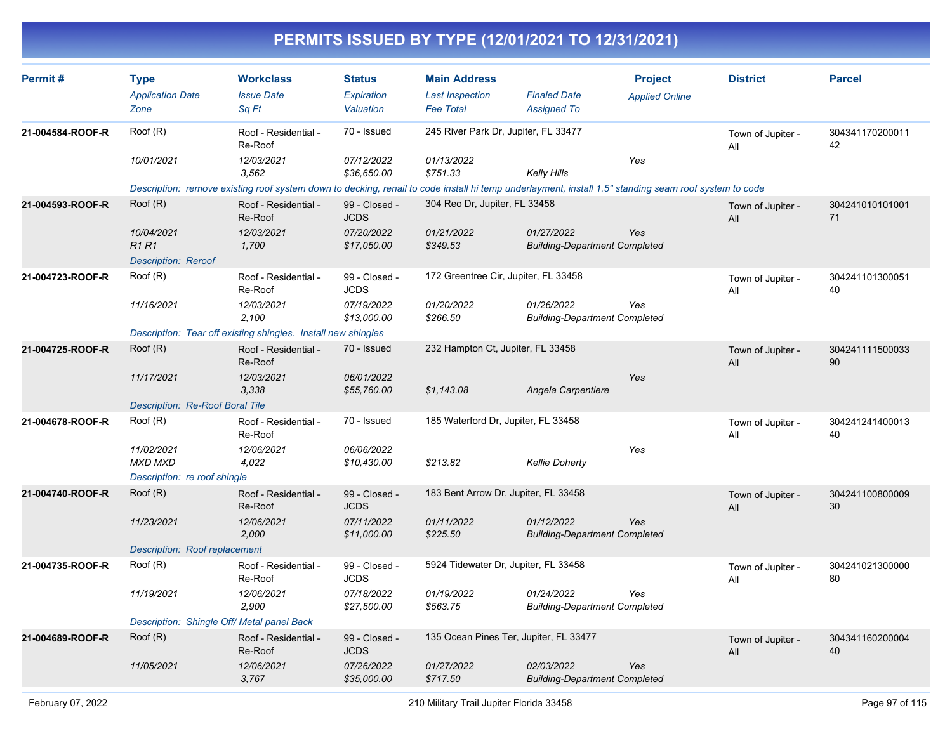| <b>Type</b>                                             | <b>Workclass</b>                | <b>Status</b>                                                                                                                                         | <b>Main Address</b>                                           |                       | <b>Project</b>                                                                                                                                                                                                                                                                                                      | <b>District</b>                                                                                                                                                                                      | <b>Parcel</b>                                                                                                                                         |
|---------------------------------------------------------|---------------------------------|-------------------------------------------------------------------------------------------------------------------------------------------------------|---------------------------------------------------------------|-----------------------|---------------------------------------------------------------------------------------------------------------------------------------------------------------------------------------------------------------------------------------------------------------------------------------------------------------------|------------------------------------------------------------------------------------------------------------------------------------------------------------------------------------------------------|-------------------------------------------------------------------------------------------------------------------------------------------------------|
| <b>Application Date</b>                                 | <b>Issue Date</b>               | <b>Expiration</b>                                                                                                                                     | <b>Last Inspection</b>                                        | <b>Finaled Date</b>   | <b>Applied Online</b>                                                                                                                                                                                                                                                                                               |                                                                                                                                                                                                      |                                                                                                                                                       |
| Zone                                                    | Sq Ft                           | Valuation                                                                                                                                             | <b>Fee Total</b>                                              | <b>Assigned To</b>    |                                                                                                                                                                                                                                                                                                                     |                                                                                                                                                                                                      |                                                                                                                                                       |
| Roof (R)                                                | Roof - Residential -<br>Re-Roof | 70 - Issued                                                                                                                                           |                                                               |                       |                                                                                                                                                                                                                                                                                                                     | Town of Jupiter -<br>All                                                                                                                                                                             | 304341170200011<br>42                                                                                                                                 |
| 10/01/2021                                              | 12/03/2021<br>3,562             | 07/12/2022<br>\$36,650.00                                                                                                                             | 01/13/2022<br>\$751.33                                        | <b>Kelly Hills</b>    | Yes                                                                                                                                                                                                                                                                                                                 |                                                                                                                                                                                                      |                                                                                                                                                       |
|                                                         |                                 |                                                                                                                                                       |                                                               |                       |                                                                                                                                                                                                                                                                                                                     |                                                                                                                                                                                                      |                                                                                                                                                       |
| Root(R)                                                 | Roof - Residential -<br>Re-Roof | 99 - Closed -<br><b>JCDS</b>                                                                                                                          |                                                               |                       |                                                                                                                                                                                                                                                                                                                     | Town of Jupiter -<br>All                                                                                                                                                                             | 304241010101001<br>71                                                                                                                                 |
| 10/04/2021<br><b>R1R1</b><br><b>Description: Reroof</b> | 12/03/2021<br>1,700             | 07/20/2022<br>\$17,050.00                                                                                                                             | 01/21/2022<br>\$349.53                                        | 01/27/2022            | <b>Yes</b>                                                                                                                                                                                                                                                                                                          |                                                                                                                                                                                                      |                                                                                                                                                       |
| Root(R)                                                 | Roof - Residential -<br>Re-Roof | 99 - Closed -<br><b>JCDS</b>                                                                                                                          |                                                               |                       |                                                                                                                                                                                                                                                                                                                     | Town of Jupiter -<br>All                                                                                                                                                                             | 304241101300051<br>40                                                                                                                                 |
| 11/16/2021                                              | 12/03/2021<br>2,100             | 07/19/2022<br>\$13,000.00                                                                                                                             | 01/20/2022<br>\$266.50                                        | 01/26/2022            | Yes                                                                                                                                                                                                                                                                                                                 |                                                                                                                                                                                                      |                                                                                                                                                       |
|                                                         |                                 |                                                                                                                                                       |                                                               |                       |                                                                                                                                                                                                                                                                                                                     |                                                                                                                                                                                                      |                                                                                                                                                       |
| Root(R)                                                 | Roof - Residential -<br>Re-Roof | 70 - Issued                                                                                                                                           |                                                               |                       |                                                                                                                                                                                                                                                                                                                     | Town of Jupiter -<br>All                                                                                                                                                                             | 304241111500033<br>90                                                                                                                                 |
| 11/17/2021                                              | 12/03/2021<br>3,338             | 06/01/2022<br>\$55,760.00                                                                                                                             | \$1,143.08                                                    | Angela Carpentiere    | Yes                                                                                                                                                                                                                                                                                                                 |                                                                                                                                                                                                      |                                                                                                                                                       |
|                                                         |                                 |                                                                                                                                                       |                                                               |                       |                                                                                                                                                                                                                                                                                                                     |                                                                                                                                                                                                      |                                                                                                                                                       |
| Root(R)                                                 | Roof - Residential -<br>Re-Roof | 70 - Issued                                                                                                                                           |                                                               |                       |                                                                                                                                                                                                                                                                                                                     | Town of Jupiter -<br>All                                                                                                                                                                             | 304241241400013<br>40                                                                                                                                 |
| 11/02/2021<br><b>MXD MXD</b>                            | 12/06/2021<br>4,022             | 06/06/2022<br>\$10,430.00                                                                                                                             | \$213.82                                                      | <b>Kellie Doherty</b> | Yes                                                                                                                                                                                                                                                                                                                 |                                                                                                                                                                                                      |                                                                                                                                                       |
|                                                         |                                 |                                                                                                                                                       |                                                               |                       |                                                                                                                                                                                                                                                                                                                     |                                                                                                                                                                                                      |                                                                                                                                                       |
| Root(R)                                                 | Roof - Residential -<br>Re-Roof | 99 - Closed -<br><b>JCDS</b>                                                                                                                          |                                                               |                       |                                                                                                                                                                                                                                                                                                                     | Town of Jupiter -<br>All                                                                                                                                                                             | 304241100800009<br>30                                                                                                                                 |
| 11/23/2021                                              | 12/06/2021<br>2,000             | 07/11/2022<br>\$11,000.00                                                                                                                             | 01/11/2022<br>\$225.50                                        | 01/12/2022            | Yes                                                                                                                                                                                                                                                                                                                 |                                                                                                                                                                                                      |                                                                                                                                                       |
|                                                         |                                 |                                                                                                                                                       |                                                               |                       |                                                                                                                                                                                                                                                                                                                     |                                                                                                                                                                                                      |                                                                                                                                                       |
| Root(R)                                                 | Roof - Residential -<br>Re-Roof | 99 - Closed -<br><b>JCDS</b>                                                                                                                          |                                                               |                       |                                                                                                                                                                                                                                                                                                                     | Town of Jupiter -<br>All                                                                                                                                                                             | 304241021300000<br>80                                                                                                                                 |
| 11/19/2021                                              | 12/06/2021<br>2,900             | 07/18/2022<br>\$27,500.00                                                                                                                             | 01/19/2022<br>\$563.75                                        | 01/24/2022            | Yes                                                                                                                                                                                                                                                                                                                 |                                                                                                                                                                                                      |                                                                                                                                                       |
|                                                         |                                 |                                                                                                                                                       |                                                               |                       |                                                                                                                                                                                                                                                                                                                     |                                                                                                                                                                                                      |                                                                                                                                                       |
| Root(R)                                                 | Roof - Residential -<br>Re-Roof | 99 - Closed -<br><b>JCDS</b>                                                                                                                          |                                                               |                       |                                                                                                                                                                                                                                                                                                                     | Town of Jupiter -<br>All                                                                                                                                                                             | 304341160200004<br>40                                                                                                                                 |
| 11/05/2021                                              | 12/06/2021<br>3,767             | 07/26/2022<br>\$35,000.00                                                                                                                             | 01/27/2022<br>\$717.50                                        | 02/03/2022            | Yes                                                                                                                                                                                                                                                                                                                 |                                                                                                                                                                                                      |                                                                                                                                                       |
|                                                         |                                 | Description: Re-Roof Boral Tile<br>Description: re roof shingle<br><b>Description: Roof replacement</b><br>Description: Shingle Off/ Metal panel Back | Description: Tear off existing shingles. Install new shingles |                       | 245 River Park Dr. Jupiter, FL 33477<br>304 Reo Dr, Jupiter, FL 33458<br>172 Greentree Cir, Jupiter, FL 33458<br>232 Hampton Ct, Jupiter, FL 33458<br>185 Waterford Dr, Jupiter, FL 33458<br>183 Bent Arrow Dr, Jupiter, FL 33458<br>5924 Tidewater Dr, Jupiter, FL 33458<br>135 Ocean Pines Ter, Jupiter, FL 33477 | <b>Building-Department Completed</b><br><b>Building-Department Completed</b><br><b>Building-Department Completed</b><br><b>Building-Department Completed</b><br><b>Building-Department Completed</b> | Description: remove existing roof system down to decking, renail to code install hi temp underlayment, install 1.5" standing seam roof system to code |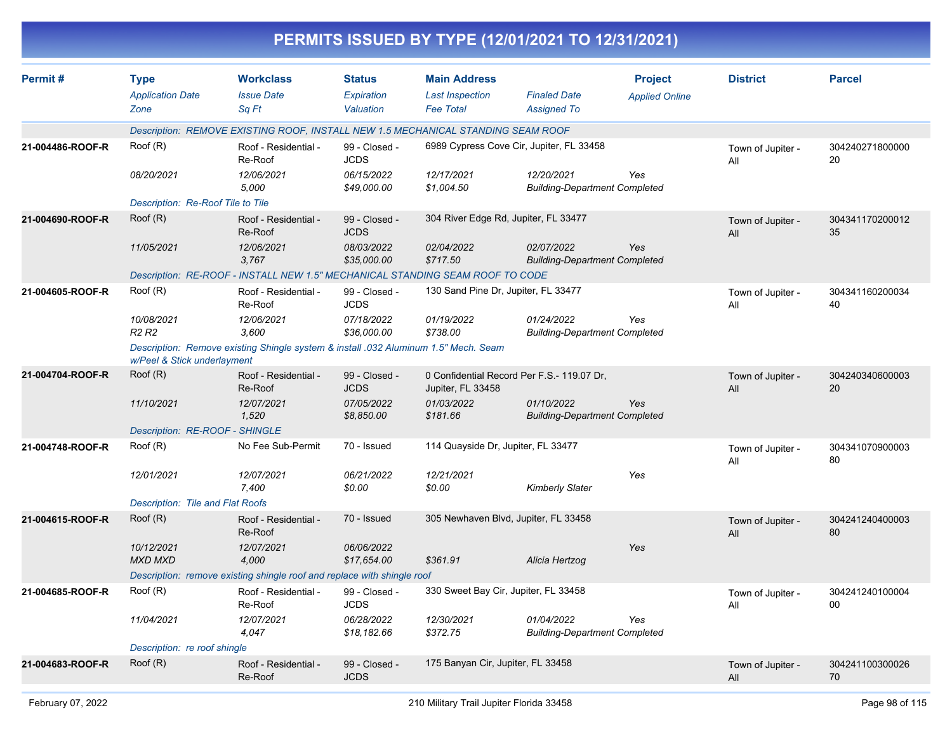|                  |                                                |                                                                                     |                                          |                                                                   | PERMITS ISSUED BY TYPE (12/01/2021 TO 12/31/2021)  |                                         |                          |                       |
|------------------|------------------------------------------------|-------------------------------------------------------------------------------------|------------------------------------------|-------------------------------------------------------------------|----------------------------------------------------|-----------------------------------------|--------------------------|-----------------------|
| Permit#          | <b>Type</b><br><b>Application Date</b><br>Zone | <b>Workclass</b><br><b>Issue Date</b><br>Sq Ft                                      | <b>Status</b><br>Expiration<br>Valuation | <b>Main Address</b><br><b>Last Inspection</b><br><b>Fee Total</b> | <b>Finaled Date</b><br><b>Assigned To</b>          | <b>Project</b><br><b>Applied Online</b> | <b>District</b>          | <b>Parcel</b>         |
|                  |                                                | Description: REMOVE EXISTING ROOF, INSTALL NEW 1.5 MECHANICAL STANDING SEAM ROOF    |                                          |                                                                   |                                                    |                                         |                          |                       |
| 21-004486-ROOF-R | Root(R)                                        | Roof - Residential -<br>Re-Roof                                                     | 99 - Closed -<br><b>JCDS</b>             |                                                                   | 6989 Cypress Cove Cir, Jupiter, FL 33458           |                                         | Town of Jupiter -<br>All | 304240271800000<br>20 |
|                  | 08/20/2021                                     | 12/06/2021<br>5,000                                                                 | 06/15/2022<br>\$49,000.00                | 12/17/2021<br>\$1,004.50                                          | 12/20/2021<br><b>Building-Department Completed</b> | Yes                                     |                          |                       |
|                  | Description: Re-Roof Tile to Tile              |                                                                                     |                                          |                                                                   |                                                    |                                         |                          |                       |
| 21-004690-ROOF-R | Root(R)                                        | Roof - Residential -<br>Re-Roof                                                     | 99 - Closed -<br><b>JCDS</b>             | 304 River Edge Rd, Jupiter, FL 33477                              |                                                    |                                         | Town of Jupiter -<br>All | 304341170200012<br>35 |
|                  | 11/05/2021                                     | 12/06/2021<br>3,767                                                                 | 08/03/2022<br>\$35,000.00                | 02/04/2022<br>\$717.50                                            | 02/07/2022<br><b>Building-Department Completed</b> | Yes                                     |                          |                       |
|                  |                                                | Description: RE-ROOF - INSTALL NEW 1.5" MECHANICAL STANDING SEAM ROOF TO CODE       |                                          |                                                                   |                                                    |                                         |                          |                       |
| 21-004605-ROOF-R | Root(R)                                        | Roof - Residential -<br>Re-Roof                                                     | 99 - Closed -<br><b>JCDS</b>             | 130 Sand Pine Dr, Jupiter, FL 33477                               |                                                    |                                         | Town of Jupiter -<br>All | 304341160200034<br>40 |
|                  | 10/08/2021<br>R <sub>2</sub> R <sub>2</sub>    | 12/06/2021<br>3,600                                                                 | 07/18/2022<br>\$36,000.00                | 01/19/2022<br>\$738.00                                            | 01/24/2022<br><b>Building-Department Completed</b> | Yes                                     |                          |                       |
|                  | w/Peel & Stick underlayment                    | Description: Remove existing Shingle system & install .032 Aluminum 1.5" Mech. Seam |                                          |                                                                   |                                                    |                                         |                          |                       |
| 21-004704-ROOF-R | Root(R)                                        | Roof - Residential -<br>Re-Roof                                                     | 99 - Closed -<br><b>JCDS</b>             | Jupiter, FL 33458                                                 | 0 Confidential Record Per F.S.- 119.07 Dr,         |                                         | Town of Jupiter -<br>All | 304240340600003<br>20 |
|                  | 11/10/2021                                     | 12/07/2021<br>1,520                                                                 | 07/05/2022<br>\$8,850.00                 | 01/03/2022<br>\$181.66                                            | 01/10/2022<br><b>Building-Department Completed</b> | Yes                                     |                          |                       |
|                  | Description: RE-ROOF - SHINGLE                 |                                                                                     |                                          |                                                                   |                                                    |                                         |                          |                       |
| 21-004748-ROOF-R | Root(R)                                        | No Fee Sub-Permit                                                                   | 70 - Issued                              | 114 Quayside Dr, Jupiter, FL 33477                                |                                                    |                                         | Town of Jupiter -<br>All | 304341070900003<br>80 |
|                  | 12/01/2021                                     | 12/07/2021<br>7,400                                                                 | 06/21/2022<br>\$0.00                     | 12/21/2021<br>\$0.00                                              | <b>Kimberly Slater</b>                             | Yes                                     |                          |                       |
|                  | Description: Tile and Flat Roofs               |                                                                                     |                                          |                                                                   |                                                    |                                         |                          |                       |
| 21-004615-ROOF-R | Root(R)                                        | Roof - Residential -<br>Re-Roof                                                     | 70 - Issued                              | 305 Newhaven Blvd, Jupiter, FL 33458                              |                                                    |                                         | Town of Jupiter -<br>All | 304241240400003<br>80 |
|                  | 10/12/2021<br><b>MXD MXD</b>                   | 12/07/2021<br>4,000                                                                 | 06/06/2022<br>\$17,654.00                | \$361.91                                                          | Alicia Hertzog                                     | Yes                                     |                          |                       |
|                  |                                                | Description: remove existing shingle roof and replace with shingle roof             |                                          |                                                                   |                                                    |                                         |                          |                       |
| 21-004685-ROOF-R | Root(R)                                        | Roof - Residential -<br>Re-Roof                                                     | 99 - Closed -<br><b>JCDS</b>             | 330 Sweet Bay Cir, Jupiter, FL 33458                              |                                                    |                                         | Town of Jupiter -<br>All | 304241240100004<br>00 |
|                  | 11/04/2021                                     | 12/07/2021<br>4,047                                                                 | 06/28/2022<br>\$18,182.66                | 12/30/2021<br>\$372.75                                            | 01/04/2022<br><b>Building-Department Completed</b> | Yes                                     |                          |                       |
|                  | Description: re roof shingle                   |                                                                                     |                                          |                                                                   |                                                    |                                         |                          |                       |
| 21-004683-ROOF-R | Root(R)                                        | Roof - Residential -<br>Re-Roof                                                     | 99 - Closed -<br><b>JCDS</b>             | 175 Banyan Cir, Jupiter, FL 33458                                 |                                                    |                                         | Town of Jupiter -<br>All | 304241100300026<br>70 |
|                  |                                                |                                                                                     |                                          |                                                                   |                                                    |                                         |                          |                       |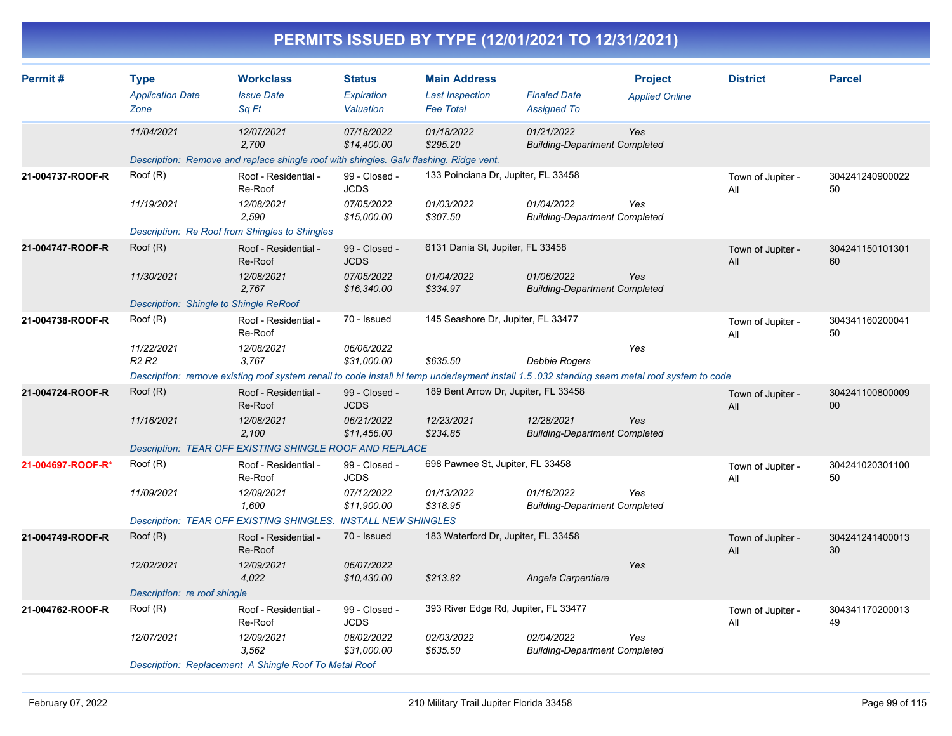|                   |                                                                 |                                                                                                                                                                                                         |                                                           |                                                                   | PERMITS ISSUED BY TYPE (12/01/2021 TO 12/31/2021)  |                                         |                          |                       |
|-------------------|-----------------------------------------------------------------|---------------------------------------------------------------------------------------------------------------------------------------------------------------------------------------------------------|-----------------------------------------------------------|-------------------------------------------------------------------|----------------------------------------------------|-----------------------------------------|--------------------------|-----------------------|
| Permit #          | <b>Type</b><br><b>Application Date</b><br>Zone                  | <b>Workclass</b><br><b>Issue Date</b><br>Sq Ft                                                                                                                                                          | <b>Status</b><br>Expiration<br>Valuation                  | <b>Main Address</b><br><b>Last Inspection</b><br><b>Fee Total</b> | <b>Finaled Date</b><br><b>Assigned To</b>          | <b>Project</b><br><b>Applied Online</b> | <b>District</b>          | <b>Parcel</b>         |
|                   | 11/04/2021                                                      | 12/07/2021<br>2,700<br>Description: Remove and replace shingle roof with shingles. Galv flashing. Ridge vent.                                                                                           | 07/18/2022<br>\$14,400.00                                 | 01/18/2022<br>\$295.20                                            | 01/21/2022<br><b>Building-Department Completed</b> | Yes                                     |                          |                       |
| 21-004737-ROOF-R  | Root(R)<br>11/19/2021                                           | Roof - Residential -<br>Re-Roof<br>12/08/2021<br>2,590<br>Description: Re Roof from Shingles to Shingles                                                                                                | 99 - Closed -<br><b>JCDS</b><br>07/05/2022<br>\$15,000.00 | 133 Poinciana Dr, Jupiter, FL 33458<br>01/03/2022<br>\$307.50     | 01/04/2022<br><b>Building-Department Completed</b> | Yes                                     | Town of Jupiter -<br>All | 304241240900022<br>50 |
| 21-004747-ROOF-R  | Root(R)<br>11/30/2021<br>Description: Shingle to Shingle ReRoof | Roof - Residential -<br>Re-Roof<br>12/08/2021<br>2,767                                                                                                                                                  | 99 - Closed -<br><b>JCDS</b><br>07/05/2022<br>\$16,340.00 | 6131 Dania St, Jupiter, FL 33458<br>01/04/2022<br>\$334.97        | 01/06/2022<br><b>Building-Department Completed</b> | Yes                                     | Town of Jupiter -<br>All | 304241150101301<br>60 |
| 21-004738-ROOF-R  | Roof (R)<br>11/22/2021<br>R <sub>2</sub> R <sub>2</sub>         | Roof - Residential -<br>Re-Roof<br>12/08/2021<br>3.767<br>Description: remove existing roof system renail to code install hi temp underlayment install 1.5 .032 standing seam metal roof system to code | 70 - Issued<br>06/06/2022<br>\$31,000.00                  | 145 Seashore Dr, Jupiter, FL 33477<br>\$635.50                    | <b>Debbie Rogers</b>                               | Yes                                     | Town of Jupiter -<br>All | 304341160200041<br>50 |
| 21-004724-ROOF-R  | Root(R)<br>11/16/2021                                           | Roof - Residential -<br>Re-Roof<br>12/08/2021<br>2,100<br>Description: TEAR OFF EXISTING SHINGLE ROOF AND REPLACE                                                                                       | 99 - Closed -<br><b>JCDS</b><br>06/21/2022<br>\$11,456.00 | 189 Bent Arrow Dr, Jupiter, FL 33458<br>12/23/2021<br>\$234.85    | 12/28/2021<br><b>Building-Department Completed</b> | Yes                                     | Town of Jupiter -<br>All | 304241100800009<br>00 |
| 21-004697-ROOF-R* | Root(R)<br>11/09/2021                                           | Roof - Residential -<br>Re-Roof<br>12/09/2021<br>1,600<br>Description: TEAR OFF EXISTING SHINGLES. INSTALL NEW SHINGLES                                                                                 | 99 - Closed -<br><b>JCDS</b><br>07/12/2022<br>\$11,900.00 | 698 Pawnee St, Jupiter, FL 33458<br>01/13/2022<br>\$318.95        | 01/18/2022<br><b>Building-Department Completed</b> | Yes                                     | Town of Jupiter -<br>All | 304241020301100<br>50 |
| 21-004749-ROOF-R  | Root(R)<br>12/02/2021<br>Description: re roof shingle           | Roof - Residential -<br>Re-Roof<br>12/09/2021<br>4,022                                                                                                                                                  | 70 - Issued<br>06/07/2022<br>\$10,430.00                  | 183 Waterford Dr, Jupiter, FL 33458<br>\$213.82                   | Angela Carpentiere                                 | Yes                                     | Town of Jupiter -<br>All | 304241241400013<br>30 |
| 21-004762-ROOF-R  | Root(R)<br>12/07/2021                                           | Roof - Residential -<br>Re-Roof<br>12/09/2021<br>3,562<br>Description: Replacement A Shingle Roof To Metal Roof                                                                                         | 99 - Closed -<br><b>JCDS</b><br>08/02/2022<br>\$31,000.00 | 393 River Edge Rd, Jupiter, FL 33477<br>02/03/2022<br>\$635.50    | 02/04/2022<br><b>Building-Department Completed</b> | Yes                                     | Town of Jupiter -<br>All | 304341170200013<br>49 |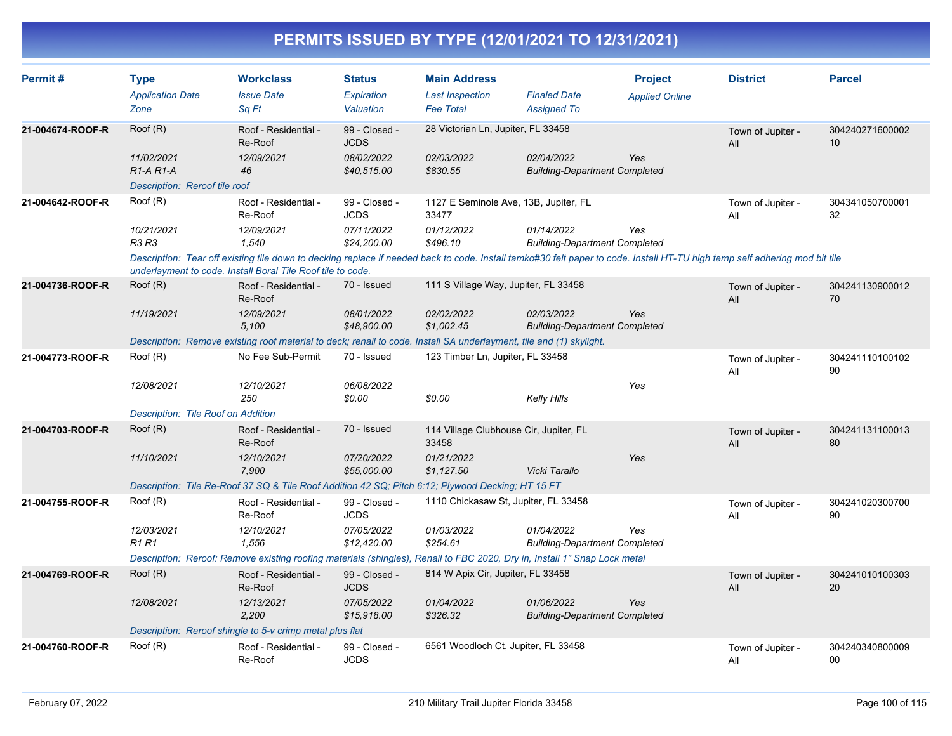| Permit#          | <b>Type</b><br><b>Application Date</b><br>Zone             | <b>Workclass</b><br><b>Issue Date</b><br>Sq Ft                                                                                                                                                                                             | <b>Status</b><br>Expiration<br>Valuation | <b>Main Address</b><br><b>Last Inspection</b><br><b>Fee Total</b> | <b>Finaled Date</b><br><b>Assigned To</b>          | <b>Project</b><br><b>Applied Online</b> | <b>District</b>          | <b>Parcel</b>         |
|------------------|------------------------------------------------------------|--------------------------------------------------------------------------------------------------------------------------------------------------------------------------------------------------------------------------------------------|------------------------------------------|-------------------------------------------------------------------|----------------------------------------------------|-----------------------------------------|--------------------------|-----------------------|
| 21-004674-ROOF-R | Root(R)                                                    | Roof - Residential -<br>Re-Roof                                                                                                                                                                                                            | 99 - Closed -<br><b>JCDS</b>             | 28 Victorian Ln, Jupiter, FL 33458                                |                                                    |                                         | Town of Jupiter -<br>All | 304240271600002<br>10 |
|                  | 11/02/2021<br>$R1-A R1-A$<br>Description: Reroof tile roof | 12/09/2021<br>46                                                                                                                                                                                                                           | 08/02/2022<br>\$40,515.00                | 02/03/2022<br>\$830.55                                            | 02/04/2022<br><b>Building-Department Completed</b> | Yes                                     |                          |                       |
| 21-004642-ROOF-R | Roof (R)                                                   | Roof - Residential -<br>Re-Roof                                                                                                                                                                                                            | 99 - Closed -<br><b>JCDS</b>             | 1127 E Seminole Ave, 13B, Jupiter, FL<br>33477                    |                                                    |                                         | Town of Jupiter -<br>All | 304341050700001<br>32 |
|                  | 10/21/2021<br>R3 R3                                        | 12/09/2021<br>1.540                                                                                                                                                                                                                        | 07/11/2022<br>\$24,200.00                | 01/12/2022<br>\$496.10                                            | 01/14/2022<br><b>Building-Department Completed</b> | Yes                                     |                          |                       |
|                  |                                                            | Description: Tear off existing tile down to decking replace if needed back to code. Install tamko#30 felt paper to code. Install HT-TU high temp self adhering mod bit tile<br>underlayment to code. Install Boral Tile Roof tile to code. |                                          |                                                                   |                                                    |                                         |                          |                       |
| 21-004736-ROOF-R | Root(R)                                                    | Roof - Residential -<br>Re-Roof                                                                                                                                                                                                            | 70 - Issued                              | 111 S Village Way, Jupiter, FL 33458                              |                                                    |                                         | Town of Jupiter -<br>All | 304241130900012<br>70 |
|                  | 11/19/2021                                                 | 12/09/2021<br>5,100                                                                                                                                                                                                                        | 08/01/2022<br>\$48,900.00                | 02/02/2022<br>\$1,002.45                                          | 02/03/2022<br><b>Building-Department Completed</b> | Yes                                     |                          |                       |
|                  |                                                            | Description: Remove existing roof material to deck; renail to code. Install SA underlayment, tile and (1) skylight.                                                                                                                        |                                          |                                                                   |                                                    |                                         |                          |                       |
| 21-004773-ROOF-R | Roof (R)                                                   | No Fee Sub-Permit                                                                                                                                                                                                                          | 70 - Issued                              | 123 Timber Ln, Jupiter, FL 33458                                  |                                                    |                                         | Town of Jupiter -<br>All | 304241110100102<br>90 |
|                  | 12/08/2021                                                 | 12/10/2021<br>250                                                                                                                                                                                                                          | 06/08/2022<br>\$0.00                     | \$0.00                                                            | <b>Kelly Hills</b>                                 | Yes                                     |                          |                       |
|                  | Description: Tile Roof on Addition                         |                                                                                                                                                                                                                                            |                                          |                                                                   |                                                    |                                         |                          |                       |
| 21-004703-ROOF-R | Root(R)                                                    | Roof - Residential -<br>Re-Roof                                                                                                                                                                                                            | 70 - Issued                              | 114 Village Clubhouse Cir, Jupiter, FL<br>33458                   |                                                    |                                         | Town of Jupiter -<br>All | 304241131100013<br>80 |
|                  | 11/10/2021                                                 | 12/10/2021<br>7,900                                                                                                                                                                                                                        | 07/20/2022<br>\$55,000.00                | 01/21/2022<br>\$1,127.50                                          | Vicki Tarallo                                      | Yes                                     |                          |                       |
|                  |                                                            | Description: Tile Re-Roof 37 SQ & Tile Roof Addition 42 SQ; Pitch 6:12; Plywood Decking; HT 15 FT                                                                                                                                          |                                          |                                                                   |                                                    |                                         |                          |                       |
| 21-004755-ROOF-R | Root(R)                                                    | Roof - Residential -<br>Re-Roof                                                                                                                                                                                                            | 99 - Closed -<br><b>JCDS</b>             | 1110 Chickasaw St, Jupiter, FL 33458                              |                                                    |                                         | Town of Jupiter -<br>All | 304241020300700<br>90 |
|                  | 12/03/2021<br><b>R1R1</b>                                  | 12/10/2021<br>1,556                                                                                                                                                                                                                        | 07/05/2022<br>\$12,420.00                | 01/03/2022<br>\$254.61                                            | 01/04/2022<br><b>Building-Department Completed</b> | Yes                                     |                          |                       |
|                  |                                                            | Description: Reroof: Remove existing roofing materials (shingles), Renail to FBC 2020, Dry in, Install 1" Snap Lock metal                                                                                                                  |                                          |                                                                   |                                                    |                                         |                          |                       |
| 21-004769-ROOF-R | Root(R)                                                    | Roof - Residential -<br>Re-Roof                                                                                                                                                                                                            | 99 - Closed -<br><b>JCDS</b>             | 814 W Apix Cir, Jupiter, FL 33458                                 |                                                    |                                         | Town of Jupiter -<br>All | 304241010100303<br>20 |
|                  | 12/08/2021                                                 | 12/13/2021<br>2.200                                                                                                                                                                                                                        | 07/05/2022<br>\$15,918.00                | 01/04/2022<br>\$326.32                                            | 01/06/2022<br><b>Building-Department Completed</b> | <b>Yes</b>                              |                          |                       |
|                  |                                                            | Description: Reroof shingle to 5-v crimp metal plus flat                                                                                                                                                                                   |                                          |                                                                   |                                                    |                                         |                          |                       |
| 21-004760-ROOF-R | Root(R)                                                    | Roof - Residential -<br>Re-Roof                                                                                                                                                                                                            | 99 - Closed -<br><b>JCDS</b>             | 6561 Woodloch Ct, Jupiter, FL 33458                               |                                                    |                                         | Town of Jupiter -<br>All | 304240340800009<br>00 |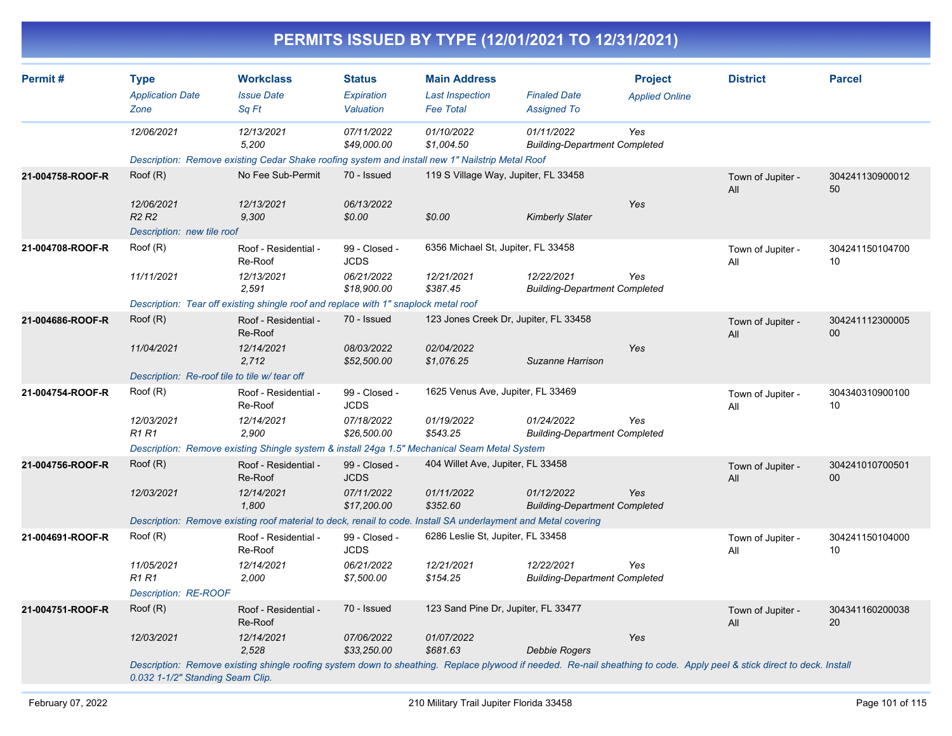|                  |                                                          |                                                                                                                                                                         |                                          |                                                                   | PERMITS ISSUED BY TYPE (12/01/2021 TO 12/31/2021)  |                                         |                          |                       |
|------------------|----------------------------------------------------------|-------------------------------------------------------------------------------------------------------------------------------------------------------------------------|------------------------------------------|-------------------------------------------------------------------|----------------------------------------------------|-----------------------------------------|--------------------------|-----------------------|
| Permit#          | <b>Type</b><br><b>Application Date</b><br>Zone           | <b>Workclass</b><br><b>Issue Date</b><br>Sq Ft                                                                                                                          | <b>Status</b><br>Expiration<br>Valuation | <b>Main Address</b><br><b>Last Inspection</b><br><b>Fee Total</b> | <b>Finaled Date</b><br><b>Assigned To</b>          | <b>Project</b><br><b>Applied Online</b> | <b>District</b>          | <b>Parcel</b>         |
|                  | 12/06/2021                                               | 12/13/2021<br>5,200                                                                                                                                                     | 07/11/2022<br>\$49,000.00                | 01/10/2022<br>\$1,004.50                                          | 01/11/2022<br><b>Building-Department Completed</b> | Yes                                     |                          |                       |
| 21-004758-ROOF-R | Root(R)                                                  | Description: Remove existing Cedar Shake roofing system and install new 1" Nailstrip Metal Roof<br>No Fee Sub-Permit<br>12/13/2021                                      | 70 - Issued<br>06/13/2022                |                                                                   | 119 S Village Way, Jupiter, FL 33458               | Yes                                     | Town of Jupiter -<br>All | 304241130900012<br>50 |
|                  | 12/06/2021<br><b>R2 R2</b><br>Description: new tile roof | 9,300                                                                                                                                                                   | \$0.00                                   | \$0.00                                                            | <b>Kimberly Slater</b>                             |                                         |                          |                       |
| 21-004708-ROOF-R | Root(R)                                                  | Roof - Residential -<br>Re-Roof                                                                                                                                         | 99 - Closed -<br><b>JCDS</b>             | 6356 Michael St, Jupiter, FL 33458                                |                                                    |                                         | Town of Jupiter -<br>All | 304241150104700<br>10 |
|                  | 11/11/2021                                               | 12/13/2021<br>2,591<br>Description: Tear off existing shingle roof and replace with 1" snaplock metal roof                                                              | 06/21/2022<br>\$18,900.00                | 12/21/2021<br>\$387.45                                            | 12/22/2021<br><b>Building-Department Completed</b> | Yes                                     |                          |                       |
| 21-004686-ROOF-R | Root(R)                                                  | Roof - Residential -<br>Re-Roof                                                                                                                                         | 70 - Issued                              |                                                                   | 123 Jones Creek Dr, Jupiter, FL 33458              |                                         | Town of Jupiter -<br>All | 304241112300005<br>00 |
|                  | 11/04/2021                                               | 12/14/2021<br>2,712<br>Description: Re-roof tile to tile w/ tear off                                                                                                    | 08/03/2022<br>\$52,500.00                | 02/04/2022<br>\$1,076.25                                          | Suzanne Harrison                                   | Yes                                     |                          |                       |
| 21-004754-ROOF-R | Root(R)                                                  | Roof - Residential -<br>Re-Roof                                                                                                                                         | 99 - Closed -<br><b>JCDS</b>             | 1625 Venus Ave, Jupiter, FL 33469                                 |                                                    |                                         | Town of Jupiter -<br>All | 304340310900100<br>10 |
|                  | 12/03/2021<br><b>R1R1</b>                                | 12/14/2021<br>2,900                                                                                                                                                     | 07/18/2022<br>\$26,500.00                | 01/19/2022<br>\$543.25                                            | 01/24/2022<br><b>Building-Department Completed</b> | Yes                                     |                          |                       |
|                  |                                                          | Description: Remove existing Shingle system & install 24ga 1.5" Mechanical Seam Metal System                                                                            |                                          |                                                                   |                                                    |                                         |                          |                       |
| 21-004756-ROOF-R | Root(R)                                                  | Roof - Residential -<br>Re-Roof                                                                                                                                         | 99 - Closed -<br><b>JCDS</b>             | 404 Willet Ave, Jupiter, FL 33458                                 |                                                    |                                         | Town of Jupiter -<br>All | 304241010700501<br>00 |
|                  | 12/03/2021                                               | 12/14/2021<br>1,800                                                                                                                                                     | 07/11/2022<br>\$17,200.00                | 01/11/2022<br>\$352.60                                            | 01/12/2022<br><b>Building-Department Completed</b> | Yes                                     |                          |                       |
|                  |                                                          | Description: Remove existing roof material to deck, renail to code. Install SA underlayment and Metal covering                                                          |                                          |                                                                   |                                                    |                                         |                          |                       |
| 21-004691-ROOF-R | Root(R)                                                  | Roof - Residential -<br>Re-Roof                                                                                                                                         | 99 - Closed -<br>JCDS                    | 6286 Leslie St, Jupiter, FL 33458                                 |                                                    |                                         | Town of Jupiter -<br>All | 304241150104000<br>10 |
|                  | 11/05/2021<br>R1 R1<br>Description: RE-ROOF              | 12/14/2021<br>2,000                                                                                                                                                     | 06/21/2022<br>\$7,500.00                 | 12/21/2021<br>\$154.25                                            | 12/22/2021<br><b>Building-Department Completed</b> | Yes                                     |                          |                       |
| 21-004751-ROOF-R | Root(R)                                                  | Roof - Residential -<br>Re-Roof                                                                                                                                         | 70 - Issued                              | 123 Sand Pine Dr, Jupiter, FL 33477                               |                                                    |                                         | Town of Jupiter -<br>All | 304341160200038<br>20 |
|                  | 12/03/2021                                               | 12/14/2021<br>2,528                                                                                                                                                     | 07/06/2022<br>\$33,250.00                | 01/07/2022<br>\$681.63                                            | <b>Debbie Rogers</b>                               | Yes                                     |                          |                       |
|                  | 0.032 1-1/2" Standing Seam Clip.                         | Description: Remove existing shingle roofing system down to sheathing. Replace plywood if needed. Re-nail sheathing to code. Apply peel & stick direct to deck. Install |                                          |                                                                   |                                                    |                                         |                          |                       |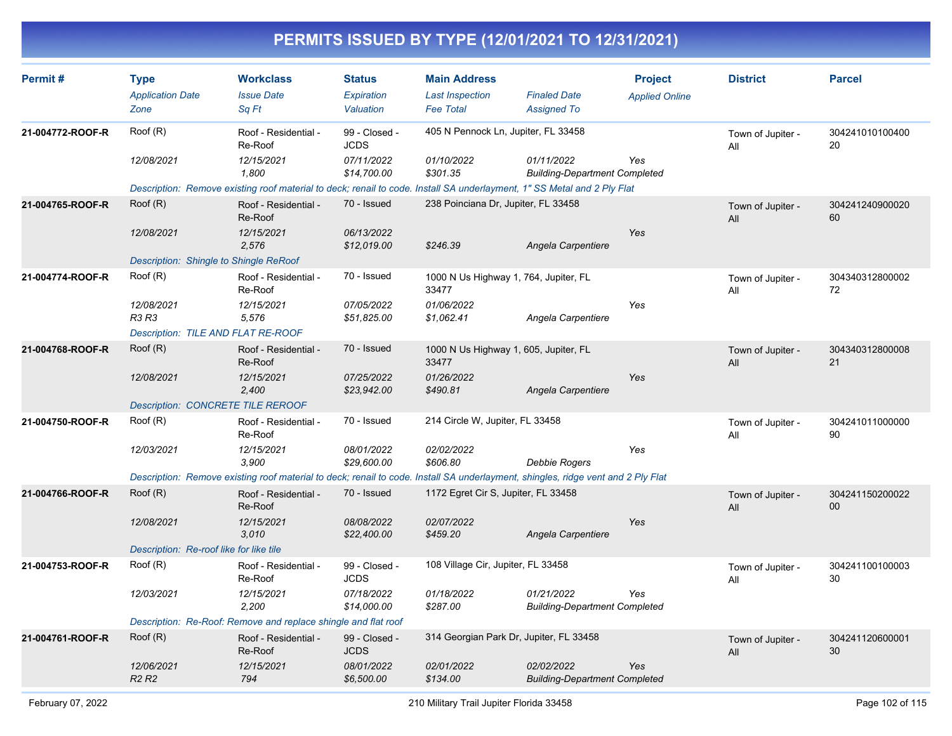| Permit#          | <b>Type</b><br><b>Application Date</b><br>Zone | <b>Workclass</b><br><b>Issue Date</b><br>Sq Ft                                                                                   | <b>Status</b><br>Expiration<br>Valuation | <b>Main Address</b><br><b>Last Inspection</b><br><b>Fee Total</b> | <b>Finaled Date</b><br><b>Assigned To</b>          | <b>Project</b><br><b>Applied Online</b> | <b>District</b>          | <b>Parcel</b>             |
|------------------|------------------------------------------------|----------------------------------------------------------------------------------------------------------------------------------|------------------------------------------|-------------------------------------------------------------------|----------------------------------------------------|-----------------------------------------|--------------------------|---------------------------|
| 21-004772-ROOF-R | Roof (R)                                       | Roof - Residential -<br>Re-Roof                                                                                                  | 99 - Closed -<br><b>JCDS</b>             | 405 N Pennock Ln, Jupiter, FL 33458                               |                                                    |                                         | Town of Jupiter -<br>All | 304241010100400<br>20     |
|                  | 12/08/2021                                     | 12/15/2021<br>1,800                                                                                                              | 07/11/2022<br>\$14,700.00                | 01/10/2022<br>\$301.35                                            | 01/11/2022<br><b>Building-Department Completed</b> | Yes                                     |                          |                           |
|                  |                                                | Description: Remove existing roof material to deck; renail to code. Install SA underlayment, 1" SS Metal and 2 Ply Flat          |                                          |                                                                   |                                                    |                                         |                          |                           |
| 21-004765-ROOF-R | Root(R)                                        | Roof - Residential -<br>Re-Roof                                                                                                  | 70 - Issued                              | 238 Poinciana Dr, Jupiter, FL 33458                               |                                                    |                                         | Town of Jupiter -<br>All | 304241240900020<br>60     |
|                  | 12/08/2021                                     | 12/15/2021<br>2.576                                                                                                              | 06/13/2022<br>\$12,019.00                | \$246.39                                                          | Angela Carpentiere                                 | Yes                                     |                          |                           |
|                  | Description: Shingle to Shingle ReRoof         |                                                                                                                                  |                                          |                                                                   |                                                    |                                         |                          |                           |
| 21-004774-ROOF-R | Root(R)                                        | Roof - Residential -<br>Re-Roof                                                                                                  | 70 - Issued                              | 1000 N Us Highway 1, 764, Jupiter, FL<br>33477                    |                                                    |                                         | Town of Jupiter -<br>All | 304340312800002<br>72     |
|                  | 12/08/2021<br><b>R3 R3</b>                     | 12/15/2021<br>5,576                                                                                                              | 07/05/2022<br>\$51,825.00                | 01/06/2022<br>\$1,062.41                                          | Angela Carpentiere                                 | Yes                                     |                          |                           |
|                  | Description: TILE AND FLAT RE-ROOF             |                                                                                                                                  |                                          |                                                                   |                                                    |                                         |                          |                           |
| 21-004768-ROOF-R | Roof (R)                                       | Roof - Residential -<br>Re-Roof                                                                                                  | 70 - Issued                              | 1000 N Us Highway 1, 605, Jupiter, FL<br>33477                    |                                                    |                                         | Town of Jupiter -<br>All | 304340312800008<br>21     |
|                  | 12/08/2021                                     | 12/15/2021<br>2,400                                                                                                              | 07/25/2022<br>\$23,942.00                | 01/26/2022<br>\$490.81                                            | Angela Carpentiere                                 | Yes                                     |                          |                           |
|                  | <b>Description: CONCRETE TILE REROOF</b>       |                                                                                                                                  |                                          |                                                                   |                                                    |                                         |                          |                           |
| 21-004750-ROOF-R | Root(R)                                        | Roof - Residential -<br>Re-Roof                                                                                                  | 70 - Issued                              | 214 Circle W, Jupiter, FL 33458                                   |                                                    |                                         | Town of Jupiter -<br>All | 304241011000000<br>90     |
|                  | 12/03/2021                                     | 12/15/2021<br>3,900                                                                                                              | 08/01/2022<br>\$29,600.00                | 02/02/2022<br>\$606.80                                            | <b>Debbie Rogers</b>                               | Yes                                     |                          |                           |
|                  |                                                | Description: Remove existing roof material to deck; renail to code. Install SA underlayment, shingles, ridge vent and 2 Ply Flat |                                          |                                                                   |                                                    |                                         |                          |                           |
| 21-004766-ROOF-R | Roof (R)                                       | Roof - Residential -<br>Re-Roof                                                                                                  | 70 - Issued                              | 1172 Egret Cir S, Jupiter, FL 33458                               |                                                    |                                         | Town of Jupiter -<br>All | 304241150200022<br>$00\,$ |
|                  | 12/08/2021                                     | 12/15/2021<br>3,010                                                                                                              | 08/08/2022<br>\$22,400.00                | 02/07/2022<br>\$459.20                                            | Angela Carpentiere                                 | Yes                                     |                          |                           |
|                  | Description: Re-roof like for like tile        |                                                                                                                                  |                                          |                                                                   |                                                    |                                         |                          |                           |
| 21-004753-ROOF-R | Roof (R)                                       | Roof - Residential -<br>Re-Roof                                                                                                  | 99 - Closed -<br><b>JCDS</b>             | 108 Village Cir, Jupiter, FL 33458                                |                                                    |                                         | Town of Jupiter -<br>All | 304241100100003<br>30     |
|                  | 12/03/2021                                     | 12/15/2021<br>2,200                                                                                                              | 07/18/2022<br>\$14,000.00                | 01/18/2022<br>\$287.00                                            | 01/21/2022<br><b>Building-Department Completed</b> | Yes                                     |                          |                           |
|                  |                                                | Description: Re-Roof: Remove and replace shingle and flat roof                                                                   |                                          |                                                                   |                                                    |                                         |                          |                           |
| 21-004761-ROOF-R | Root(R)                                        | Roof - Residential -<br>Re-Roof                                                                                                  | 99 - Closed -<br><b>JCDS</b>             | 314 Georgian Park Dr, Jupiter, FL 33458                           |                                                    |                                         | Town of Jupiter -<br>All | 304241120600001<br>30     |
|                  | 12/06/2021<br><b>R2 R2</b>                     | 12/15/2021<br>794                                                                                                                | 08/01/2022<br>\$6,500.00                 | 02/01/2022<br>\$134.00                                            | 02/02/2022<br><b>Building-Department Completed</b> | Yes                                     |                          |                           |
|                  |                                                |                                                                                                                                  |                                          |                                                                   |                                                    |                                         |                          |                           |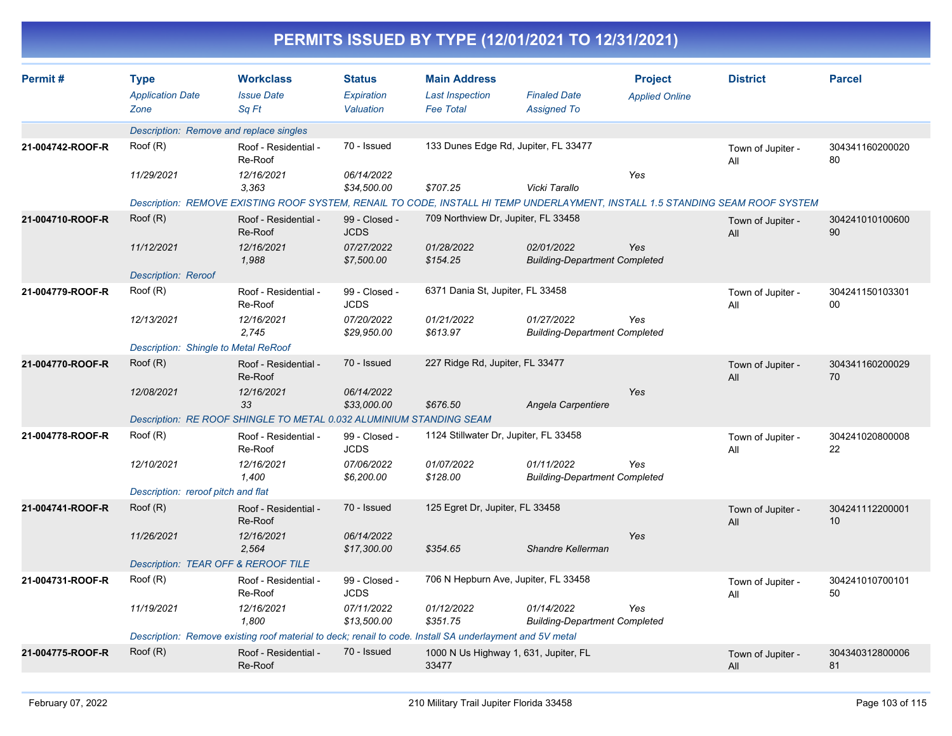|                  |                                                |                                                                                                                               |                                          |                                                                   | PERMITS ISSUED BY TYPE (12/01/2021 TO 12/31/2021)  |                                         |                          |                       |
|------------------|------------------------------------------------|-------------------------------------------------------------------------------------------------------------------------------|------------------------------------------|-------------------------------------------------------------------|----------------------------------------------------|-----------------------------------------|--------------------------|-----------------------|
| Permit#          | <b>Type</b><br><b>Application Date</b><br>Zone | <b>Workclass</b><br><b>Issue Date</b><br>Sq Ft                                                                                | <b>Status</b><br>Expiration<br>Valuation | <b>Main Address</b><br><b>Last Inspection</b><br><b>Fee Total</b> | <b>Finaled Date</b><br><b>Assigned To</b>          | <b>Project</b><br><b>Applied Online</b> | <b>District</b>          | <b>Parcel</b>         |
|                  |                                                | Description: Remove and replace singles                                                                                       |                                          |                                                                   |                                                    |                                         |                          |                       |
| 21-004742-ROOF-R | Root(R)                                        | Roof - Residential -<br>Re-Roof                                                                                               | 70 - Issued                              |                                                                   | 133 Dunes Edge Rd, Jupiter, FL 33477               |                                         | Town of Jupiter -<br>All | 304341160200020<br>80 |
|                  | 11/29/2021                                     | 12/16/2021<br>3,363                                                                                                           | 06/14/2022<br>\$34,500.00                | \$707.25                                                          | Vicki Tarallo                                      | Yes                                     |                          |                       |
|                  |                                                | Description: REMOVE EXISTING ROOF SYSTEM, RENAIL TO CODE, INSTALL HI TEMP UNDERLAYMENT, INSTALL 1.5 STANDING SEAM ROOF SYSTEM |                                          |                                                                   |                                                    |                                         |                          |                       |
| 21-004710-ROOF-R | Root(R)                                        | Roof - Residential -<br>Re-Roof                                                                                               | 99 - Closed -<br><b>JCDS</b>             | 709 Northview Dr, Jupiter, FL 33458                               |                                                    |                                         | Town of Jupiter -<br>All | 304241010100600<br>90 |
|                  | 11/12/2021<br><b>Description: Reroof</b>       | 12/16/2021<br>1,988                                                                                                           | 07/27/2022<br>\$7,500.00                 | 01/28/2022<br>\$154.25                                            | 02/01/2022<br><b>Building-Department Completed</b> | Yes                                     |                          |                       |
| 21-004779-ROOF-R | Roof (R)                                       | Roof - Residential -<br>Re-Roof                                                                                               | 99 - Closed -<br><b>JCDS</b>             | 6371 Dania St, Jupiter, FL 33458                                  |                                                    |                                         | Town of Jupiter -<br>All | 304241150103301<br>00 |
|                  | 12/13/2021                                     | 12/16/2021<br>2,745                                                                                                           | 07/20/2022<br>\$29,950.00                | 01/21/2022<br>\$613.97                                            | 01/27/2022<br><b>Building-Department Completed</b> | Yes                                     |                          |                       |
|                  | Description: Shingle to Metal ReRoof           |                                                                                                                               |                                          |                                                                   |                                                    |                                         |                          |                       |
| 21-004770-ROOF-R | Roof (R)                                       | Roof - Residential -<br>Re-Roof                                                                                               | 70 - Issued                              | 227 Ridge Rd, Jupiter, FL 33477                                   |                                                    |                                         | Town of Jupiter -<br>All | 304341160200029<br>70 |
|                  | 12/08/2021                                     | 12/16/2021<br>33                                                                                                              | 06/14/2022<br>\$33,000.00                | \$676.50                                                          | Angela Carpentiere                                 | Yes                                     |                          |                       |
|                  |                                                | Description: RE ROOF SHINGLE TO METAL 0.032 ALUMINIUM STANDING SEAM                                                           |                                          |                                                                   |                                                    |                                         |                          |                       |
| 21-004778-ROOF-R | Roof (R)                                       | Roof - Residential -<br>Re-Roof                                                                                               | 99 - Closed -<br><b>JCDS</b>             | 1124 Stillwater Dr, Jupiter, FL 33458                             |                                                    |                                         | Town of Jupiter -<br>All | 304241020800008<br>22 |
|                  | 12/10/2021                                     | 12/16/2021<br>1,400                                                                                                           | 07/06/2022<br>\$6,200.00                 | 01/07/2022<br>\$128.00                                            | 01/11/2022<br><b>Building-Department Completed</b> | Yes                                     |                          |                       |
|                  | Description: reroof pitch and flat             |                                                                                                                               |                                          |                                                                   |                                                    |                                         |                          |                       |
| 21-004741-ROOF-R | Roof (R)                                       | Roof - Residential -<br>Re-Roof                                                                                               | 70 - Issued                              | 125 Egret Dr, Jupiter, FL 33458                                   |                                                    |                                         | Town of Jupiter -<br>All | 304241112200001<br>10 |
|                  | 11/26/2021                                     | 12/16/2021<br>2,564                                                                                                           | 06/14/2022<br>\$17,300.00                | \$354.65                                                          | Shandre Kellerman                                  | Yes                                     |                          |                       |
|                  |                                                | Description: TEAR OFF & REROOF TILE                                                                                           |                                          |                                                                   |                                                    |                                         |                          |                       |
| 21-004731-ROOF-R | Roof (R)                                       | Roof - Residential -<br>Re-Roof                                                                                               | 99 - Closed -<br>JCDS                    |                                                                   | 706 N Hepburn Ave, Jupiter, FL 33458               |                                         | Town of Jupiter -<br>All | 304241010700101<br>50 |
|                  | 11/19/2021                                     | 12/16/2021<br>1,800                                                                                                           | 07/11/2022<br>\$13,500.00                | 01/12/2022<br>\$351.75                                            | 01/14/2022<br><b>Building-Department Completed</b> | Yes                                     |                          |                       |
|                  |                                                | Description: Remove existing roof material to deck; renail to code. Install SA underlayment and 5V metal                      |                                          |                                                                   |                                                    |                                         |                          |                       |
| 21-004775-ROOF-R | Root(R)                                        | Roof - Residential -<br>Re-Roof                                                                                               | 70 - Issued                              | 33477                                                             | 1000 N Us Highway 1, 631, Jupiter, FL              |                                         | Town of Jupiter -<br>All | 304340312800006<br>81 |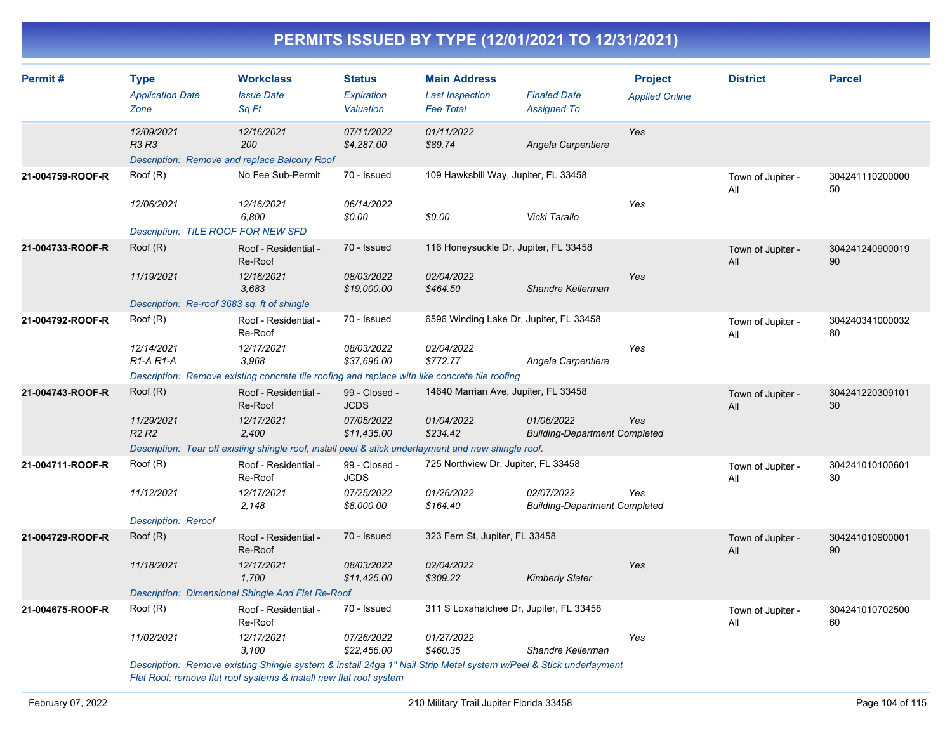| Permit#          | <b>Type</b><br><b>Application Date</b><br>Zone                                                                      | <b>Workclass</b><br><b>Issue Date</b><br>Sq Ft                                                       | <b>Status</b><br>Expiration<br>Valuation | <b>Main Address</b><br><b>Last Inspection</b><br><b>Fee Total</b> | <b>Finaled Date</b><br><b>Assigned To</b>          | <b>Project</b><br><b>Applied Online</b> | <b>District</b>          | <b>Parcel</b>         |  |  |  |
|------------------|---------------------------------------------------------------------------------------------------------------------|------------------------------------------------------------------------------------------------------|------------------------------------------|-------------------------------------------------------------------|----------------------------------------------------|-----------------------------------------|--------------------------|-----------------------|--|--|--|
|                  | 12/09/2021<br><b>R3 R3</b>                                                                                          | 12/16/2021<br>200<br>Description: Remove and replace Balcony Roof                                    | 07/11/2022<br>\$4,287.00                 | 01/11/2022<br>\$89.74                                             | Angela Carpentiere                                 | Yes                                     |                          |                       |  |  |  |
| 21-004759-ROOF-R | Root(R)                                                                                                             | No Fee Sub-Permit                                                                                    | 70 - Issued                              | 109 Hawksbill Way, Jupiter, FL 33458                              |                                                    |                                         | Town of Jupiter -<br>All | 304241110200000<br>50 |  |  |  |
|                  | 12/06/2021<br>Description: TILE ROOF FOR NEW SFD                                                                    | 12/16/2021<br>6,800                                                                                  | 06/14/2022<br>\$0.00                     | \$0.00                                                            | Vicki Tarallo                                      | Yes                                     |                          |                       |  |  |  |
| 21-004733-ROOF-R | Root(R)                                                                                                             | Roof - Residential -<br>Re-Roof                                                                      | 70 - Issued                              | 116 Honeysuckle Dr, Jupiter, FL 33458                             |                                                    |                                         | Town of Jupiter -<br>All | 304241240900019<br>90 |  |  |  |
|                  | 11/19/2021                                                                                                          | 12/16/2021<br>3,683                                                                                  | 08/03/2022<br>\$19,000.00                | 02/04/2022<br>\$464.50                                            | Shandre Kellerman                                  | Yes                                     |                          |                       |  |  |  |
|                  | Description: Re-roof 3683 sq. ft of shingle                                                                         |                                                                                                      |                                          |                                                                   |                                                    |                                         |                          |                       |  |  |  |
| 21-004792-ROOF-R | Root(R)                                                                                                             | Roof - Residential -<br>Re-Roof                                                                      | 70 - Issued                              | 6596 Winding Lake Dr, Jupiter, FL 33458                           |                                                    |                                         | Town of Jupiter -<br>All | 304240341000032<br>80 |  |  |  |
|                  | 12/14/2021<br>R <sub>1</sub> -A <sub>R1</sub> -A                                                                    | 12/17/2021<br>3,968                                                                                  | 08/03/2022<br>\$37,696.00                | 02/04/2022<br>\$772.77                                            | Angela Carpentiere                                 | Yes                                     |                          |                       |  |  |  |
|                  |                                                                                                                     | Description: Remove existing concrete tile roofing and replace with like concrete tile roofing       |                                          |                                                                   |                                                    |                                         |                          |                       |  |  |  |
| 21-004743-ROOF-R | Roof (R)<br>14640 Marrian Ave, Jupiter, FL 33458<br>Roof - Residential -<br>99 - Closed -<br>Re-Roof<br><b>JCDS</b> |                                                                                                      |                                          |                                                                   |                                                    |                                         | Town of Jupiter -<br>All | 304241220309101<br>30 |  |  |  |
|                  | 11/29/2021<br><b>R2 R2</b>                                                                                          | 12/17/2021<br>2,400                                                                                  | 07/05/2022<br>\$11,435.00                | 01/04/2022<br>\$234.42                                            | 01/06/2022<br><b>Building-Department Completed</b> | Yes                                     |                          |                       |  |  |  |
|                  |                                                                                                                     | Description: Tear off existing shingle roof, install peel & stick underlayment and new shingle roof. |                                          |                                                                   |                                                    |                                         |                          |                       |  |  |  |
| 21-004711-ROOF-R | Root(R)                                                                                                             | Roof - Residential -<br>Re-Roof                                                                      | 99 - Closed -<br><b>JCDS</b>             | 725 Northview Dr, Jupiter, FL 33458                               |                                                    |                                         | Town of Jupiter -<br>All | 304241010100601<br>30 |  |  |  |
|                  | 11/12/2021                                                                                                          | 12/17/2021<br>2,148                                                                                  | 07/25/2022<br>\$8,000.00                 | 01/26/2022<br>\$164.40                                            | 02/07/2022<br><b>Building-Department Completed</b> | Yes                                     |                          |                       |  |  |  |
|                  | <b>Description: Reroof</b>                                                                                          |                                                                                                      |                                          |                                                                   |                                                    |                                         |                          |                       |  |  |  |
| 21-004729-ROOF-R | Root(R)                                                                                                             | Roof - Residential -<br>Re-Roof                                                                      | 70 - Issued                              | 323 Fern St, Jupiter, FL 33458                                    |                                                    |                                         | Town of Jupiter -<br>All | 304241010900001<br>90 |  |  |  |
|                  | 11/18/2021                                                                                                          | 12/17/2021<br>1,700                                                                                  | 08/03/2022<br>\$11,425.00                | 02/04/2022<br>\$309.22                                            | <b>Kimberly Slater</b>                             | Yes                                     |                          |                       |  |  |  |
|                  |                                                                                                                     | <b>Description: Dimensional Shingle And Flat Re-Roof</b>                                             |                                          |                                                                   |                                                    |                                         |                          |                       |  |  |  |
| 21-004675-ROOF-R | Root(R)                                                                                                             | Roof - Residential -<br>Re-Roof                                                                      | 70 - Issued                              | 311 S Loxahatchee Dr, Jupiter, FL 33458                           |                                                    |                                         | Town of Jupiter -<br>All | 304241010702500<br>60 |  |  |  |
|                  | 11/02/2021                                                                                                          | 12/17/2021<br>3,100                                                                                  | 07/26/2022<br>\$22,456.00                | 01/27/2022<br>\$460.35                                            | Shandre Kellerman                                  | Yes                                     |                          |                       |  |  |  |
|                  | Description: Remove existing Shingle system & install 24ga 1" Nail Strip Metal system w/Peel & Stick underlayment   |                                                                                                      |                                          |                                                                   |                                                    |                                         |                          |                       |  |  |  |

*Flat Roof: remove flat roof systems & install new flat roof system*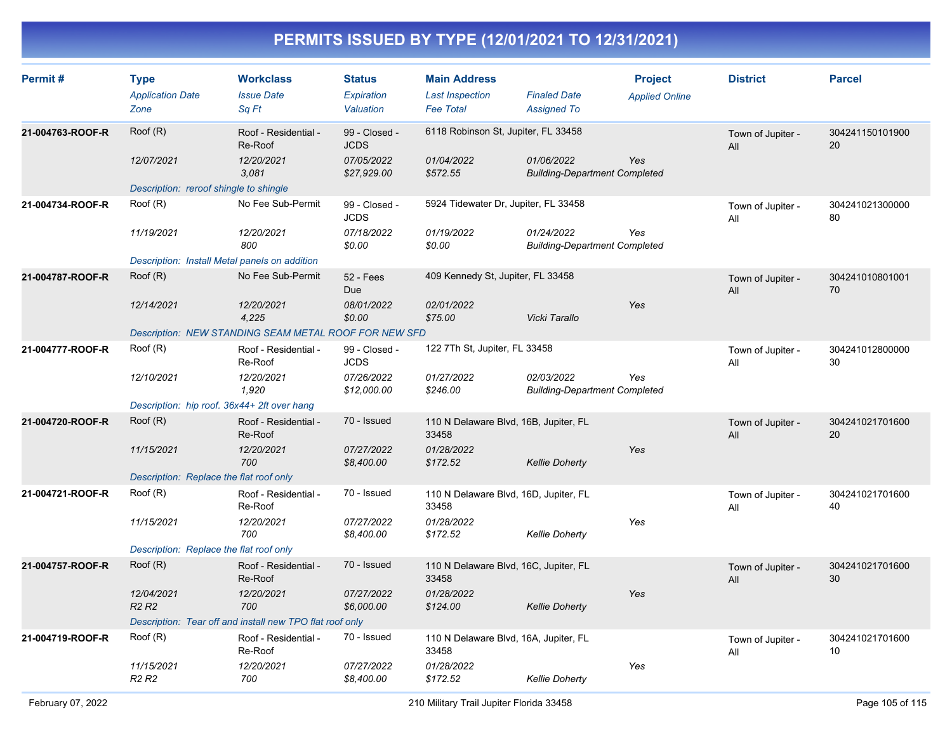| Permit#          | <b>Type</b><br><b>Application Date</b><br>Zone | <b>Workclass</b><br><b>Issue Date</b><br>Sq Ft           | <b>Status</b><br>Expiration<br>Valuation | <b>Main Address</b><br><b>Last Inspection</b><br><b>Fee Total</b> | <b>Finaled Date</b><br><b>Assigned To</b>                 | <b>Project</b><br><b>Applied Online</b> | <b>District</b>          | <b>Parcel</b>         |
|------------------|------------------------------------------------|----------------------------------------------------------|------------------------------------------|-------------------------------------------------------------------|-----------------------------------------------------------|-----------------------------------------|--------------------------|-----------------------|
| 21-004763-ROOF-R | Roof (R)                                       | Roof - Residential -<br>Re-Roof                          | 99 - Closed -<br><b>JCDS</b>             | 6118 Robinson St, Jupiter, FL 33458                               |                                                           |                                         | Town of Jupiter -<br>All | 304241150101900<br>20 |
|                  | 12/07/2021                                     | 12/20/2021<br>3.081                                      | 07/05/2022<br>\$27,929.00                | 01/04/2022<br>\$572.55                                            | 01/06/2022<br><b>Building-Department Completed</b>        | Yes                                     |                          |                       |
|                  | Description: reroof shingle to shingle         |                                                          |                                          |                                                                   |                                                           |                                         |                          |                       |
| 21-004734-ROOF-R | Roof (R)                                       | No Fee Sub-Permit                                        | 99 - Closed -<br><b>JCDS</b>             | 5924 Tidewater Dr, Jupiter, FL 33458                              |                                                           |                                         | Town of Jupiter -<br>All | 304241021300000<br>80 |
|                  | 11/19/2021                                     | 12/20/2021<br>800                                        | 07/18/2022<br>\$0.00                     | 01/19/2022<br>\$0.00                                              | 01/24/2022<br><b>Building-Department Completed</b>        | Yes                                     |                          |                       |
|                  | Description: Install Metal panels on addition  |                                                          |                                          |                                                                   |                                                           |                                         |                          |                       |
| 21-004787-ROOF-R | Root(R)                                        | No Fee Sub-Permit                                        | <b>52 - Fees</b><br><b>Due</b>           | 409 Kennedy St, Jupiter, FL 33458                                 |                                                           |                                         | Town of Jupiter -<br>All | 304241010801001<br>70 |
|                  | 12/14/2021                                     | 12/20/2021<br>4,225                                      | 08/01/2022<br>\$0.00                     | 02/01/2022<br>\$75.00                                             | Vicki Tarallo                                             | Yes                                     |                          |                       |
|                  |                                                | Description: NEW STANDING SEAM METAL ROOF FOR NEW SFD    |                                          |                                                                   |                                                           |                                         |                          |                       |
| 21-004777-ROOF-R | Root(R)                                        | Roof - Residential -<br>Re-Roof                          | 99 - Closed -<br><b>JCDS</b>             | 122 7Th St, Jupiter, FL 33458                                     |                                                           |                                         | Town of Jupiter -<br>All | 304241012800000<br>30 |
|                  | 12/10/2021                                     | 12/20/2021<br>1,920                                      | 07/26/2022<br>\$12,000.00                | 01/27/2022<br>\$246.00                                            | <i>02/03/2022</i><br><b>Building-Department Completed</b> | Yes                                     |                          |                       |
|                  | Description: hip roof. 36x44+ 2ft over hang    |                                                          |                                          |                                                                   |                                                           |                                         |                          |                       |
| 21-004720-ROOF-R | Root(R)                                        | Roof - Residential -<br>Re-Roof                          | 70 - Issued                              | 110 N Delaware Blvd, 16B, Jupiter, FL<br>33458                    |                                                           |                                         | Town of Jupiter -<br>All | 304241021701600<br>20 |
|                  | 11/15/2021                                     | 12/20/2021<br>700                                        | 07/27/2022<br>\$8,400.00                 | 01/28/2022<br>\$172.52                                            | <b>Kellie Doherty</b>                                     | Yes                                     |                          |                       |
|                  | Description: Replace the flat roof only        |                                                          |                                          |                                                                   |                                                           |                                         |                          |                       |
| 21-004721-ROOF-R | Root(R)                                        | Roof - Residential -<br>Re-Roof                          | 70 - Issued                              | 110 N Delaware Blvd, 16D, Jupiter, FL<br>33458                    |                                                           |                                         | Town of Jupiter -<br>All | 304241021701600<br>40 |
|                  | 11/15/2021                                     | 12/20/2021<br>700                                        | 07/27/2022<br>\$8,400.00                 | 01/28/2022<br>\$172.52                                            | <b>Kellie Doherty</b>                                     | Yes                                     |                          |                       |
|                  | Description: Replace the flat roof only        |                                                          |                                          |                                                                   |                                                           |                                         |                          |                       |
| 21-004757-ROOF-R | Root(R)                                        | Roof - Residential -<br>Re-Roof                          | 70 - Issued                              | 110 N Delaware Blvd, 16C, Jupiter, FL<br>33458                    |                                                           |                                         | Town of Jupiter -<br>All | 304241021701600<br>30 |
|                  | 12/04/2021<br>R <sub>2</sub> R <sub>2</sub>    | 12/20/2021<br>700                                        | 07/27/2022<br>\$6,000.00                 | 01/28/2022<br>\$124.00                                            | <b>Kellie Doherty</b>                                     | Yes                                     |                          |                       |
|                  |                                                | Description: Tear off and install new TPO flat roof only |                                          |                                                                   |                                                           |                                         |                          |                       |
| 21-004719-ROOF-R | Root(R)                                        | Roof - Residential -<br>Re-Roof                          | 70 - Issued                              | 110 N Delaware Blvd, 16A, Jupiter, FL<br>33458                    |                                                           |                                         | Town of Jupiter -<br>All | 304241021701600<br>10 |
|                  | 11/15/2021<br><b>R2 R2</b>                     | 12/20/2021<br>700                                        | 07/27/2022<br>\$8,400.00                 | 01/28/2022<br>\$172.52                                            | <b>Kellie Doherty</b>                                     | Yes                                     |                          |                       |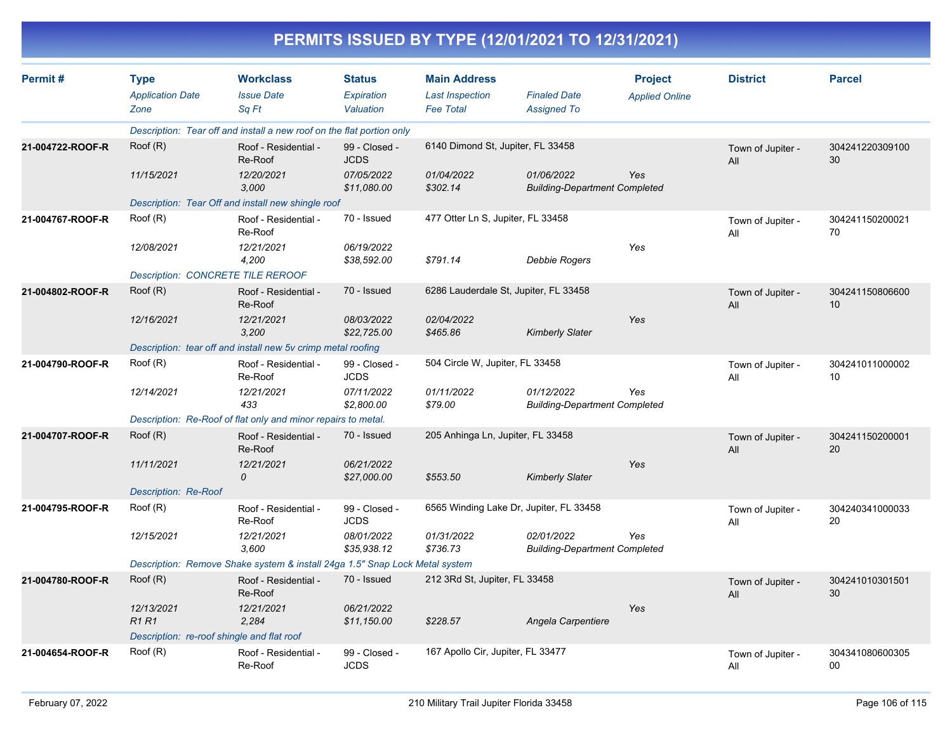|                  |                                                              |                                                                             |                                          |                                                                   | PERMITS ISSUED BY TYPE (12/01/2021 TO 12/31/2021)  |                                         |                          |                                    |
|------------------|--------------------------------------------------------------|-----------------------------------------------------------------------------|------------------------------------------|-------------------------------------------------------------------|----------------------------------------------------|-----------------------------------------|--------------------------|------------------------------------|
| Permit#          | <b>Type</b><br><b>Application Date</b><br>Zone               | <b>Workclass</b><br><b>Issue Date</b><br>Sq Ft                              | <b>Status</b><br>Expiration<br>Valuation | <b>Main Address</b><br><b>Last Inspection</b><br><b>Fee Total</b> | <b>Finaled Date</b><br><b>Assigned To</b>          | <b>Project</b><br><b>Applied Online</b> | <b>District</b>          | <b>Parcel</b>                      |
|                  |                                                              | Description: Tear off and install a new roof on the flat portion only       |                                          |                                                                   |                                                    |                                         |                          |                                    |
| 21-004722-ROOF-R | Root(R)                                                      | Roof - Residential -<br>Re-Roof                                             | 99 - Closed -<br><b>JCDS</b>             | 6140 Dimond St, Jupiter, FL 33458                                 |                                                    |                                         | Town of Jupiter -<br>All | 304241220309100<br>30              |
|                  | 11/15/2021                                                   | 12/20/2021<br>3,000                                                         | 07/05/2022<br>\$11,080.00                | 01/04/2022<br>\$302.14                                            | 01/06/2022<br><b>Building-Department Completed</b> | Yes                                     |                          |                                    |
|                  |                                                              | Description: Tear Off and install new shingle roof                          |                                          |                                                                   |                                                    |                                         |                          |                                    |
| 21-004767-ROOF-R | Root(R)                                                      | Roof - Residential -<br>Re-Roof                                             | 70 - Issued                              | 477 Otter Ln S, Jupiter, FL 33458                                 |                                                    |                                         | Town of Jupiter -<br>All | 304241150200021<br>70              |
|                  | 12/08/2021                                                   | 12/21/2021<br>4,200                                                         | 06/19/2022<br>\$38,592.00                | \$791.14                                                          | Debbie Rogers                                      | Yes                                     |                          |                                    |
|                  |                                                              | <b>Description: CONCRETE TILE REROOF</b>                                    |                                          |                                                                   |                                                    |                                         |                          |                                    |
| 21-004802-ROOF-R | Root(R)                                                      | Roof - Residential -<br>Re-Roof                                             | 70 - Issued                              |                                                                   | 6286 Lauderdale St, Jupiter, FL 33458              |                                         | Town of Jupiter -<br>All | 304241150806600<br>10 <sup>°</sup> |
|                  | 12/16/2021                                                   | 12/21/2021<br>3,200                                                         | 08/03/2022<br>\$22,725.00                | 02/04/2022<br>\$465.86                                            | <b>Kimberly Slater</b>                             | Yes                                     |                          |                                    |
|                  | Description: tear off and install new 5v crimp metal roofing |                                                                             |                                          |                                                                   |                                                    |                                         |                          |                                    |
| 21-004790-ROOF-R | Root(R)                                                      | Roof - Residential -<br>Re-Roof                                             | 99 - Closed -<br><b>JCDS</b>             | 504 Circle W, Jupiter, FL 33458                                   |                                                    |                                         | Town of Jupiter -<br>All | 304241011000002<br>10              |
|                  | 12/14/2021                                                   | 12/21/2021<br>433                                                           | 07/11/2022<br>\$2,800.00                 | 01/11/2022<br>\$79.00                                             | 01/12/2022<br><b>Building-Department Completed</b> | Yes                                     |                          |                                    |
|                  |                                                              | Description: Re-Roof of flat only and minor repairs to metal.               |                                          |                                                                   |                                                    |                                         |                          |                                    |
| 21-004707-ROOF-R | Root(R)                                                      | Roof - Residential -<br>Re-Roof                                             | 70 - Issued                              | 205 Anhinga Ln, Jupiter, FL 33458                                 |                                                    |                                         | Town of Jupiter -<br>All | 304241150200001<br>20              |
|                  | 11/11/2021                                                   | 12/21/2021<br>0                                                             | 06/21/2022<br>\$27,000.00                | \$553.50                                                          | <b>Kimberly Slater</b>                             | Yes                                     |                          |                                    |
|                  | <b>Description: Re-Roof</b>                                  |                                                                             |                                          |                                                                   |                                                    |                                         |                          |                                    |
| 21-004795-ROOF-R | Root(R)                                                      | Roof - Residential -<br>Re-Roof                                             | 99 - Closed -<br><b>JCDS</b>             |                                                                   | 6565 Winding Lake Dr, Jupiter, FL 33458            |                                         | Town of Jupiter -<br>All | 304240341000033<br>20              |
|                  | 12/15/2021                                                   | 12/21/2021<br>3,600                                                         | 08/01/2022<br>\$35,938.12                | 01/31/2022<br>\$736.73                                            | 02/01/2022<br><b>Building-Department Completed</b> | Yes                                     |                          |                                    |
|                  |                                                              | Description: Remove Shake system & install 24ga 1.5" Snap Lock Metal system |                                          |                                                                   |                                                    |                                         |                          |                                    |
| 21-004780-ROOF-R | Root(R)                                                      | Roof - Residential -<br>Re-Roof                                             | 70 - Issued                              | 212 3Rd St, Jupiter, FL 33458                                     |                                                    |                                         | Town of Jupiter -<br>All | 304241010301501<br>30              |
|                  | 12/13/2021<br><b>R1 R1</b>                                   | 12/21/2021<br>2,284                                                         | 06/21/2022<br>\$11,150.00                | \$228.57                                                          | Angela Carpentiere                                 | Yes                                     |                          |                                    |
|                  | Description: re-roof shingle and flat roof                   |                                                                             |                                          |                                                                   |                                                    |                                         |                          |                                    |
| 21-004654-ROOF-R | Roof (R)                                                     | Roof - Residential -<br>Re-Roof                                             | 99 - Closed -<br><b>JCDS</b>             | 167 Apollo Cir, Jupiter, FL 33477                                 |                                                    |                                         | Town of Jupiter -<br>All | 304341080600305<br>00              |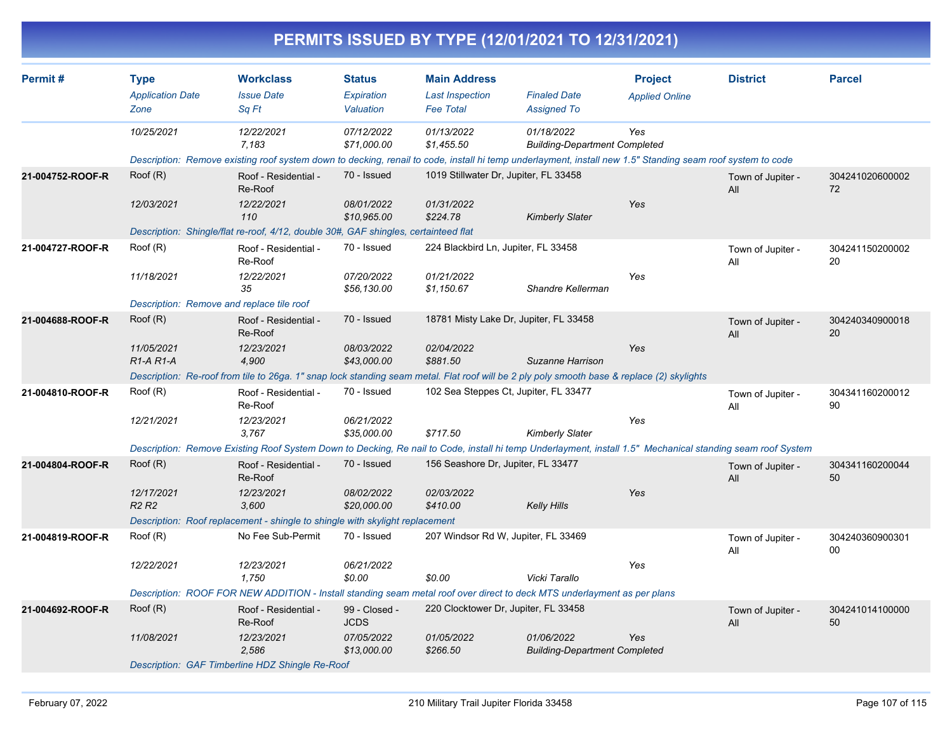| Permit#          | <b>Type</b>                        | <b>Workclass</b>                                                                    | <b>Status</b>                | <b>Main Address</b>                   |                                                                                                                                                            | <b>Project</b>        | <b>District</b>          | <b>Parcel</b>         |
|------------------|------------------------------------|-------------------------------------------------------------------------------------|------------------------------|---------------------------------------|------------------------------------------------------------------------------------------------------------------------------------------------------------|-----------------------|--------------------------|-----------------------|
|                  | <b>Application Date</b>            | <b>Issue Date</b>                                                                   | Expiration                   | <b>Last Inspection</b>                | <b>Finaled Date</b>                                                                                                                                        | <b>Applied Online</b> |                          |                       |
|                  | Zone                               | Sq Ft                                                                               | Valuation                    | <b>Fee Total</b>                      | <b>Assigned To</b>                                                                                                                                         |                       |                          |                       |
|                  | 10/25/2021                         | 12/22/2021                                                                          | 07/12/2022                   | 01/13/2022                            | 01/18/2022                                                                                                                                                 | Yes                   |                          |                       |
|                  |                                    | 7,183                                                                               | \$71,000.00                  | \$1,455.50                            | <b>Building-Department Completed</b>                                                                                                                       |                       |                          |                       |
| 21-004752-ROOF-R | Root(R)                            |                                                                                     | 70 - Issued                  | 1019 Stillwater Dr, Jupiter, FL 33458 | Description: Remove existing roof system down to decking, renail to code, install hi temp underlayment, install new 1.5" Standing seam roof system to code |                       |                          |                       |
|                  |                                    | Roof - Residential -<br>Re-Roof                                                     |                              |                                       |                                                                                                                                                            |                       | Town of Jupiter -<br>All | 304241020600002<br>72 |
|                  | 12/03/2021                         | 12/22/2021                                                                          | 08/01/2022                   | 01/31/2022                            |                                                                                                                                                            | Yes                   |                          |                       |
|                  |                                    | 110                                                                                 | \$10,965.00                  | \$224.78                              | <b>Kimberly Slater</b>                                                                                                                                     |                       |                          |                       |
|                  |                                    | Description: Shingle/flat re-roof, 4/12, double 30#, GAF shingles, certainteed flat |                              |                                       |                                                                                                                                                            |                       |                          |                       |
| 21-004727-ROOF-R | Root(R)                            | Roof - Residential -<br>Re-Roof                                                     | 70 - Issued                  | 224 Blackbird Ln, Jupiter, FL 33458   |                                                                                                                                                            |                       | Town of Jupiter -<br>All | 304241150200002<br>20 |
|                  | 11/18/2021                         | 12/22/2021                                                                          | 07/20/2022                   | 01/21/2022                            |                                                                                                                                                            | Yes                   |                          |                       |
|                  |                                    | 35                                                                                  | \$56,130.00                  | \$1,150.67                            | Shandre Kellerman                                                                                                                                          |                       |                          |                       |
|                  |                                    | Description: Remove and replace tile roof                                           |                              |                                       |                                                                                                                                                            |                       |                          |                       |
| 21-004688-ROOF-R | Root(R)                            | Roof - Residential -<br>Re-Roof                                                     | 70 - Issued                  |                                       | 18781 Misty Lake Dr, Jupiter, FL 33458                                                                                                                     |                       | Town of Jupiter -<br>All | 304240340900018<br>20 |
|                  | 11/05/2021                         | 12/23/2021                                                                          | 08/03/2022                   | 02/04/2022                            |                                                                                                                                                            | Yes                   |                          |                       |
|                  | R <sub>1</sub> -A <sub>R1</sub> -A | 4,900                                                                               | \$43,000.00                  | \$881.50                              | Suzanne Harrison                                                                                                                                           |                       |                          |                       |
|                  |                                    |                                                                                     |                              |                                       | Description: Re-roof from tile to 26ga. 1" snap lock standing seam metal. Flat roof will be 2 ply poly smooth base & replace (2) skylights                 |                       |                          |                       |
| 21-004810-ROOF-R | Root(R)                            | Roof - Residential -<br>Re-Roof                                                     | 70 - Issued                  |                                       | 102 Sea Steppes Ct, Jupiter, FL 33477                                                                                                                      |                       | Town of Jupiter -<br>All | 304341160200012<br>90 |
|                  | 12/21/2021                         | 12/23/2021                                                                          | 06/21/2022                   |                                       |                                                                                                                                                            | Yes                   |                          |                       |
|                  |                                    | 3,767                                                                               | \$35,000.00                  | \$717.50                              | <b>Kimberly Slater</b>                                                                                                                                     |                       |                          |                       |
|                  |                                    |                                                                                     |                              |                                       | Description: Remove Existing Roof System Down to Decking, Re nail to Code, install hi temp Underlayment, install 1.5" Mechanical standing seam roof System |                       |                          |                       |
| 21-004804-ROOF-R | Root(R)                            | Roof - Residential -<br>Re-Roof                                                     | 70 - Issued                  | 156 Seashore Dr, Jupiter, FL 33477    |                                                                                                                                                            |                       | Town of Jupiter -<br>All | 304341160200044<br>50 |
|                  | 12/17/2021                         | 12/23/2021                                                                          | 08/02/2022                   | 02/03/2022                            |                                                                                                                                                            | Yes                   |                          |                       |
|                  | R2 R2                              | 3,600                                                                               | \$20,000.00                  | \$410.00                              | <b>Kelly Hills</b>                                                                                                                                         |                       |                          |                       |
|                  |                                    | Description: Roof replacement - shingle to shingle with skylight replacement        |                              |                                       |                                                                                                                                                            |                       |                          |                       |
| 21-004819-ROOF-R | Root(R)                            | No Fee Sub-Permit                                                                   | 70 - Issued                  |                                       | 207 Windsor Rd W, Jupiter, FL 33469                                                                                                                        |                       | Town of Jupiter -<br>All | 304240360900301<br>00 |
|                  | 12/22/2021                         | 12/23/2021                                                                          | 06/21/2022                   |                                       |                                                                                                                                                            | Yes                   |                          |                       |
|                  |                                    | 1,750                                                                               | \$0.00                       | \$0.00                                | Vicki Tarallo                                                                                                                                              |                       |                          |                       |
|                  |                                    |                                                                                     |                              |                                       | Description: ROOF FOR NEW ADDITION - Install standing seam metal roof over direct to deck MTS underlayment as per plans                                    |                       |                          |                       |
| 21-004692-ROOF-R | Root(R)                            | Roof - Residential -<br>Re-Roof                                                     | 99 - Closed -<br><b>JCDS</b> | 220 Clocktower Dr, Jupiter, FL 33458  |                                                                                                                                                            |                       | Town of Jupiter -<br>All | 304241014100000<br>50 |
|                  | 11/08/2021                         | 12/23/2021                                                                          | 07/05/2022                   | 01/05/2022                            | 01/06/2022                                                                                                                                                 | Yes                   |                          |                       |
|                  |                                    | 2,586                                                                               | \$13,000.00                  | \$266.50                              | <b>Building-Department Completed</b>                                                                                                                       |                       |                          |                       |
|                  |                                    | Description: GAF Timberline HDZ Shingle Re-Roof                                     |                              |                                       |                                                                                                                                                            |                       |                          |                       |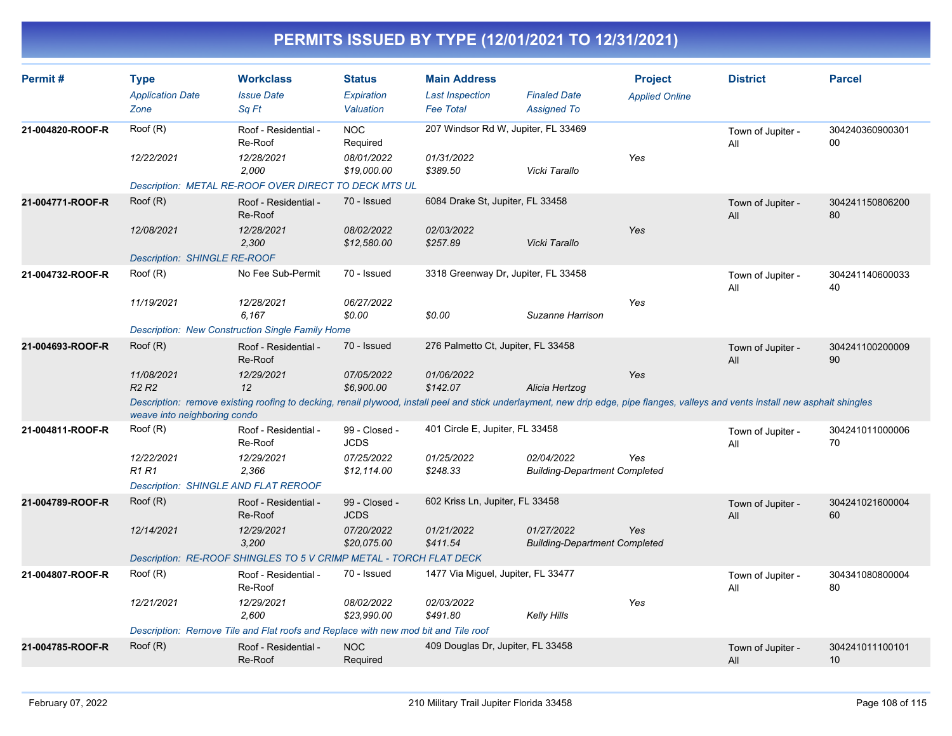| Permit#          | <b>Type</b><br><b>Application Date</b><br>Zone                                                                                                                                                                    | <b>Workclass</b><br><b>Issue Date</b><br>Sa Ft                                     | <b>Status</b><br>Expiration<br>Valuation | <b>Main Address</b><br><b>Last Inspection</b><br><b>Fee Total</b> | <b>Finaled Date</b><br><b>Assigned To</b>          | <b>Project</b><br><b>Applied Online</b> | <b>District</b>          | <b>Parcel</b>             |  |  |
|------------------|-------------------------------------------------------------------------------------------------------------------------------------------------------------------------------------------------------------------|------------------------------------------------------------------------------------|------------------------------------------|-------------------------------------------------------------------|----------------------------------------------------|-----------------------------------------|--------------------------|---------------------------|--|--|
| 21-004820-ROOF-R | Roof (R)                                                                                                                                                                                                          | Roof - Residential -<br>Re-Roof                                                    | <b>NOC</b><br>Required                   | 207 Windsor Rd W, Jupiter, FL 33469                               |                                                    |                                         | Town of Jupiter -<br>All | 304240360900301<br>$00\,$ |  |  |
|                  | 12/22/2021                                                                                                                                                                                                        | 12/28/2021<br>2,000                                                                | 08/01/2022<br>\$19,000.00                | 01/31/2022<br>\$389.50                                            | Vicki Tarallo                                      | Yes                                     |                          |                           |  |  |
|                  |                                                                                                                                                                                                                   | Description: METAL RE-ROOF OVER DIRECT TO DECK MTS UL                              |                                          |                                                                   |                                                    |                                         |                          |                           |  |  |
| 21-004771-ROOF-R | Root(R)                                                                                                                                                                                                           | Roof - Residential -<br>Re-Roof                                                    | 70 - Issued                              | 6084 Drake St, Jupiter, FL 33458                                  |                                                    |                                         | Town of Jupiter -<br>All | 304241150806200<br>80     |  |  |
|                  | 12/08/2021                                                                                                                                                                                                        | 12/28/2021<br>2,300                                                                | 08/02/2022<br>\$12,580.00                | 02/03/2022<br>\$257.89                                            | Vicki Tarallo                                      | Yes                                     |                          |                           |  |  |
|                  | <b>Description: SHINGLE RE-ROOF</b>                                                                                                                                                                               |                                                                                    |                                          |                                                                   |                                                    |                                         |                          |                           |  |  |
| 21-004732-ROOF-R | Roof (R)                                                                                                                                                                                                          | No Fee Sub-Permit                                                                  | 70 - Issued                              | 3318 Greenway Dr, Jupiter, FL 33458                               |                                                    |                                         | Town of Jupiter -<br>All | 304241140600033<br>40     |  |  |
|                  | 11/19/2021                                                                                                                                                                                                        | 12/28/2021<br>6.167                                                                | 06/27/2022<br>\$0.00                     | \$0.00                                                            | Suzanne Harrison                                   | Yes                                     |                          |                           |  |  |
|                  | <b>Description: New Construction Single Family Home</b>                                                                                                                                                           |                                                                                    |                                          |                                                                   |                                                    |                                         |                          |                           |  |  |
| 21-004693-ROOF-R | Root(R)                                                                                                                                                                                                           | Roof - Residential -<br>Re-Roof                                                    | 70 - Issued                              | 276 Palmetto Ct, Jupiter, FL 33458                                |                                                    |                                         | Town of Jupiter -<br>All | 304241100200009<br>90     |  |  |
|                  | 11/08/2021<br>R <sub>2</sub> R <sub>2</sub>                                                                                                                                                                       | 12/29/2021<br>12                                                                   | 07/05/2022<br>\$6,900.00                 | 01/06/2022<br>\$142.07                                            | Alicia Hertzog                                     | Yes                                     |                          |                           |  |  |
|                  | Description: remove existing roofing to decking, renail plywood, install peel and stick underlayment, new drip edge, pipe flanges, valleys and vents install new asphalt shingles<br>weave into neighboring condo |                                                                                    |                                          |                                                                   |                                                    |                                         |                          |                           |  |  |
| 21-004811-ROOF-R | Roof (R)                                                                                                                                                                                                          | Roof - Residential -<br>Re-Roof                                                    | 99 - Closed -<br><b>JCDS</b>             | 401 Circle E, Jupiter, FL 33458                                   |                                                    |                                         | Town of Jupiter -<br>All | 304241011000006<br>70     |  |  |
|                  | 12/22/2021<br>R <sub>1</sub> R <sub>1</sub>                                                                                                                                                                       | 12/29/2021<br>2,366                                                                | 07/25/2022<br>\$12,114.00                | 01/25/2022<br>\$248.33                                            | 02/04/2022<br><b>Building-Department Completed</b> | Yes                                     |                          |                           |  |  |
|                  | Description: SHINGLE AND FLAT REROOF                                                                                                                                                                              |                                                                                    |                                          |                                                                   |                                                    |                                         |                          |                           |  |  |
| 21-004789-ROOF-R | Roof (R)                                                                                                                                                                                                          | Roof - Residential -<br>Re-Roof                                                    | 99 - Closed -<br><b>JCDS</b>             | 602 Kriss Ln, Jupiter, FL 33458                                   |                                                    |                                         | Town of Jupiter -<br>All | 304241021600004<br>60     |  |  |
|                  | 12/14/2021                                                                                                                                                                                                        | 12/29/2021<br>3,200                                                                | 07/20/2022<br>\$20,075.00                | 01/21/2022<br>\$411.54                                            | 01/27/2022<br><b>Building-Department Completed</b> | Yes                                     |                          |                           |  |  |
|                  |                                                                                                                                                                                                                   | Description: RE-ROOF SHINGLES TO 5 V CRIMP METAL - TORCH FLAT DECK                 |                                          |                                                                   |                                                    |                                         |                          |                           |  |  |
| 21-004807-ROOF-R | Roof (R)                                                                                                                                                                                                          | Roof - Residential -<br>Re-Roof                                                    | 70 - Issued                              | 1477 Via Miguel, Jupiter, FL 33477                                |                                                    |                                         | Town of Jupiter -<br>All | 304341080800004<br>80     |  |  |
|                  | 12/21/2021                                                                                                                                                                                                        | 12/29/2021<br>2,600                                                                | 08/02/2022<br>\$23,990.00                | 02/03/2022<br>\$491.80                                            | Kelly Hills                                        | Yes                                     |                          |                           |  |  |
|                  |                                                                                                                                                                                                                   | Description: Remove Tile and Flat roofs and Replace with new mod bit and Tile roof |                                          |                                                                   |                                                    |                                         |                          |                           |  |  |
| 21-004785-ROOF-R | Root(R)                                                                                                                                                                                                           | Roof - Residential -<br>Re-Roof                                                    | <b>NOC</b><br>Required                   | 409 Douglas Dr, Jupiter, FL 33458                                 |                                                    |                                         | Town of Jupiter -<br>All | 304241011100101<br>10     |  |  |
|                  |                                                                                                                                                                                                                   |                                                                                    |                                          |                                                                   |                                                    |                                         |                          |                           |  |  |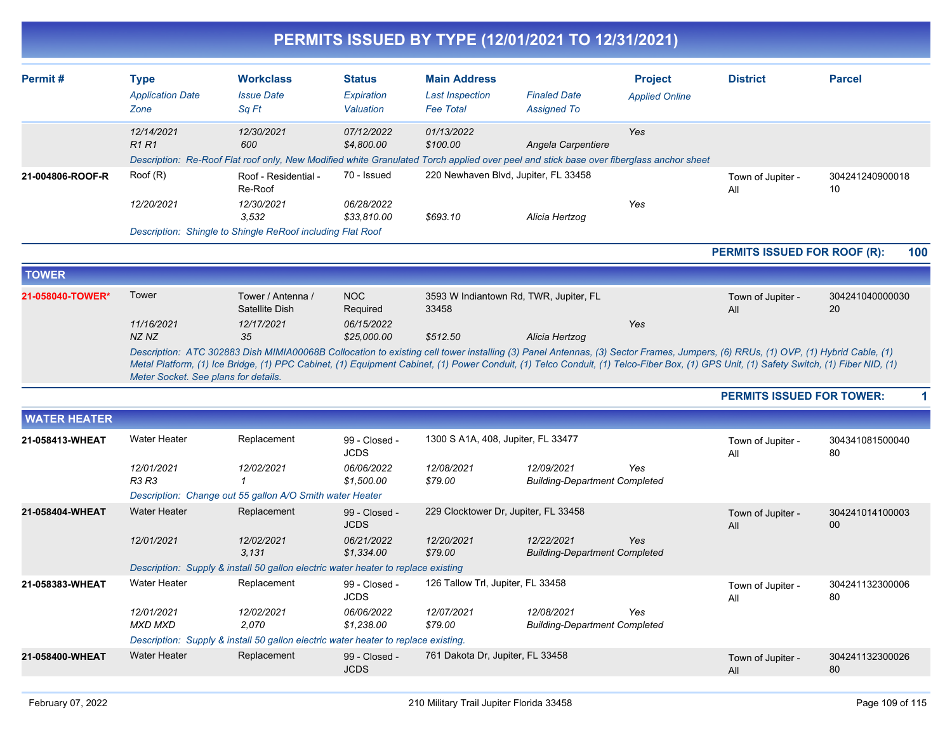|                     |                                                |                                                                                                                                        |                                          |                                                                   | PERMITS ISSUED BY TYPE (12/01/2021 TO 12/31/2021)  |                                         |                                                                                                                                                                                                                                                                                                                                                                           |                       |
|---------------------|------------------------------------------------|----------------------------------------------------------------------------------------------------------------------------------------|------------------------------------------|-------------------------------------------------------------------|----------------------------------------------------|-----------------------------------------|---------------------------------------------------------------------------------------------------------------------------------------------------------------------------------------------------------------------------------------------------------------------------------------------------------------------------------------------------------------------------|-----------------------|
| Permit#             | <b>Type</b><br><b>Application Date</b><br>Zone | <b>Workclass</b><br><b>Issue Date</b><br>Sq Ft                                                                                         | <b>Status</b><br>Expiration<br>Valuation | <b>Main Address</b><br><b>Last Inspection</b><br><b>Fee Total</b> | <b>Finaled Date</b><br><b>Assigned To</b>          | <b>Project</b><br><b>Applied Online</b> | <b>District</b>                                                                                                                                                                                                                                                                                                                                                           | <b>Parcel</b>         |
|                     | 12/14/2021<br><b>R1R1</b>                      | 12/30/2021<br>600                                                                                                                      | 07/12/2022<br>\$4,800.00                 | 01/13/2022<br>\$100.00                                            | Angela Carpentiere                                 | Yes                                     |                                                                                                                                                                                                                                                                                                                                                                           |                       |
|                     |                                                | Description: Re-Roof Flat roof only, New Modified white Granulated Torch applied over peel and stick base over fiberglass anchor sheet |                                          |                                                                   |                                                    |                                         |                                                                                                                                                                                                                                                                                                                                                                           |                       |
| 21-004806-ROOF-R    | Root(R)                                        | Roof - Residential -<br>Re-Roof                                                                                                        | 70 - Issued                              |                                                                   | 220 Newhaven Blvd, Jupiter, FL 33458               |                                         | Town of Jupiter -<br>All                                                                                                                                                                                                                                                                                                                                                  | 304241240900018<br>10 |
|                     | 12/20/2021                                     | 12/30/2021<br>3.532                                                                                                                    | 06/28/2022<br>\$33,810.00                | \$693.10                                                          | Alicia Hertzog                                     | Yes                                     |                                                                                                                                                                                                                                                                                                                                                                           |                       |
|                     |                                                | Description: Shingle to Shingle ReRoof including Flat Roof                                                                             |                                          |                                                                   |                                                    |                                         |                                                                                                                                                                                                                                                                                                                                                                           |                       |
|                     |                                                |                                                                                                                                        |                                          |                                                                   |                                                    |                                         | PERMITS ISSUED FOR ROOF (R):                                                                                                                                                                                                                                                                                                                                              | 100                   |
| <b>TOWER</b>        |                                                |                                                                                                                                        |                                          |                                                                   |                                                    |                                         |                                                                                                                                                                                                                                                                                                                                                                           |                       |
| 21-058040-TOWER*    | Tower                                          | Tower / Antenna /<br>Satellite Dish                                                                                                    | <b>NOC</b><br>Required                   | 33458                                                             | 3593 W Indiantown Rd, TWR, Jupiter, FL             |                                         | Town of Jupiter -<br>All                                                                                                                                                                                                                                                                                                                                                  | 304241040000030<br>20 |
|                     | 11/16/2021<br>NZ NZ                            | 12/17/2021<br>35                                                                                                                       | 06/15/2022<br>\$25,000.00                | \$512.50                                                          | Alicia Hertzog                                     | Yes                                     |                                                                                                                                                                                                                                                                                                                                                                           |                       |
|                     | Meter Socket. See plans for details.           |                                                                                                                                        |                                          |                                                                   |                                                    |                                         | Description: ATC 302883 Dish MIMIA00068B Collocation to existing cell tower installing (3) Panel Antennas, (3) Sector Frames, Jumpers, (6) RRUs, (1) OVP, (1) Hybrid Cable, (1)<br>Metal Platform, (1) Ice Bridge, (1) PPC Cabinet, (1) Equipment Cabinet, (1) Power Conduit, (1) Telco Conduit, (1) Telco-Fiber Box, (1) GPS Unit, (1) Safety Switch, (1) Fiber NID, (1) |                       |
|                     |                                                |                                                                                                                                        |                                          |                                                                   |                                                    |                                         | <b>PERMITS ISSUED FOR TOWER:</b>                                                                                                                                                                                                                                                                                                                                          |                       |
| <b>WATER HEATER</b> |                                                |                                                                                                                                        |                                          |                                                                   |                                                    |                                         |                                                                                                                                                                                                                                                                                                                                                                           |                       |
| 21-058413-WHEAT     | Water Heater                                   | Replacement                                                                                                                            | 99 - Closed -<br><b>JCDS</b>             | 1300 S A1A, 408, Jupiter, FL 33477                                |                                                    |                                         | Town of Jupiter -<br>All                                                                                                                                                                                                                                                                                                                                                  | 304341081500040<br>80 |
|                     | 12/01/2021<br>R3 R3                            | 12/02/2021                                                                                                                             | 06/06/2022<br>\$1,500.00                 | 12/08/2021<br>\$79.00                                             | 12/09/2021<br><b>Building-Department Completed</b> | Yes                                     |                                                                                                                                                                                                                                                                                                                                                                           |                       |
|                     |                                                | Description: Change out 55 gallon A/O Smith water Heater                                                                               |                                          |                                                                   |                                                    |                                         |                                                                                                                                                                                                                                                                                                                                                                           |                       |
| 21-058404-WHEAT     | <b>Water Heater</b>                            | Replacement                                                                                                                            | 99 - Closed -<br><b>JCDS</b>             | 229 Clocktower Dr, Jupiter, FL 33458                              |                                                    |                                         | Town of Jupiter -<br>All                                                                                                                                                                                                                                                                                                                                                  | 304241014100003<br>00 |
|                     | 12/01/2021                                     | 12/02/2021<br>3,131                                                                                                                    | 06/21/2022<br>\$1,334.00                 | 12/20/2021<br>\$79.00                                             | 12/22/2021<br><b>Building-Department Completed</b> | Yes                                     |                                                                                                                                                                                                                                                                                                                                                                           |                       |
|                     |                                                | Description: Supply & install 50 gallon electric water heater to replace existing                                                      |                                          |                                                                   |                                                    |                                         |                                                                                                                                                                                                                                                                                                                                                                           |                       |
| 21-058383-WHEAT     | Water Heater                                   | Replacement                                                                                                                            | 99 - Closed -<br><b>JCDS</b>             | 126 Tallow Trl, Jupiter, FL 33458                                 |                                                    |                                         | Town of Jupiter -<br>All                                                                                                                                                                                                                                                                                                                                                  | 304241132300006<br>80 |
|                     | 12/01/2021<br>MXD MXD                          | 12/02/2021<br>2,070                                                                                                                    | 06/06/2022<br>\$1,238.00                 | 12/07/2021<br>\$79.00                                             | 12/08/2021<br><b>Building-Department Completed</b> | Yes                                     |                                                                                                                                                                                                                                                                                                                                                                           |                       |
|                     |                                                | Description: Supply & install 50 gallon electric water heater to replace existing.                                                     |                                          |                                                                   |                                                    |                                         |                                                                                                                                                                                                                                                                                                                                                                           |                       |
| 21-058400-WHEAT     | <b>Water Heater</b>                            | Replacement                                                                                                                            | 99 - Closed -<br><b>JCDS</b>             | 761 Dakota Dr, Jupiter, FL 33458                                  |                                                    |                                         | Town of Jupiter -<br>All                                                                                                                                                                                                                                                                                                                                                  | 304241132300026<br>80 |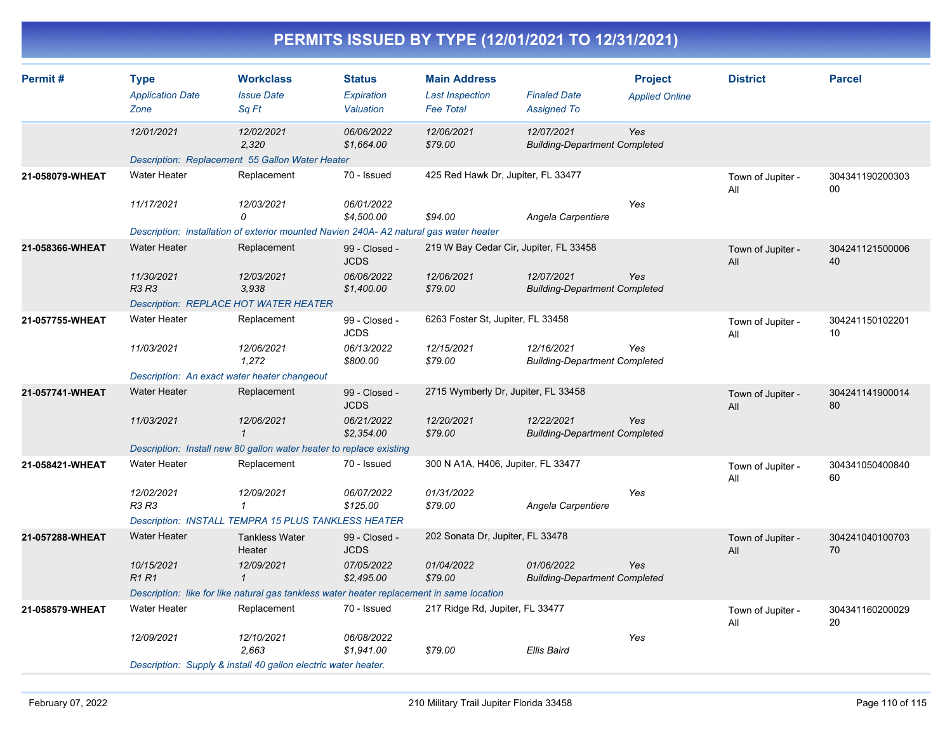| <b>PERMITS ISSUED BY TYPE (12/01/2021 TO 12/31/2021)</b> |  |
|----------------------------------------------------------|--|
|                                                          |  |

| Permit#         | <b>Type</b><br><b>Application Date</b>       | <b>Workclass</b><br><b>Issue Date</b>                                                     | <b>Status</b><br><b>Expiration</b> | <b>Main Address</b><br><b>Last Inspection</b> | <b>Finaled Date</b>                                | <b>Project</b><br><b>Applied Online</b> | <b>District</b>          | <b>Parcel</b>         |
|-----------------|----------------------------------------------|-------------------------------------------------------------------------------------------|------------------------------------|-----------------------------------------------|----------------------------------------------------|-----------------------------------------|--------------------------|-----------------------|
|                 | Zone                                         | Sq Ft                                                                                     | Valuation                          | <b>Fee Total</b>                              | <b>Assigned To</b>                                 |                                         |                          |                       |
|                 | 12/01/2021                                   | 12/02/2021<br>2,320                                                                       | 06/06/2022<br>\$1,664.00           | 12/06/2021<br>\$79.00                         | 12/07/2021<br><b>Building-Department Completed</b> | Yes                                     |                          |                       |
|                 |                                              | Description: Replacement 55 Gallon Water Heater                                           |                                    |                                               |                                                    |                                         |                          |                       |
| 21-058079-WHEAT | <b>Water Heater</b>                          | Replacement                                                                               | 70 - Issued                        | 425 Red Hawk Dr, Jupiter, FL 33477            |                                                    |                                         | Town of Jupiter -<br>All | 304341190200303<br>00 |
|                 | 11/17/2021                                   | 12/03/2021<br>0                                                                           | 06/01/2022<br>\$4,500.00           | \$94.00                                       | Angela Carpentiere                                 | Yes                                     |                          |                       |
|                 |                                              | Description: installation of exterior mounted Navien 240A- A2 natural gas water heater    |                                    |                                               |                                                    |                                         |                          |                       |
| 21-058366-WHEAT | <b>Water Heater</b>                          | Replacement                                                                               | 99 - Closed -<br><b>JCDS</b>       | 219 W Bay Cedar Cir, Jupiter, FL 33458        |                                                    |                                         | Town of Jupiter -<br>All | 304241121500006<br>40 |
|                 | 11/30/2021<br><b>R3 R3</b>                   | 12/03/2021<br>3.938                                                                       | 06/06/2022<br>\$1,400.00           | 12/06/2021<br>\$79.00                         | 12/07/2021<br><b>Building-Department Completed</b> | Yes                                     |                          |                       |
|                 |                                              | <b>Description: REPLACE HOT WATER HEATER</b>                                              |                                    |                                               |                                                    |                                         |                          |                       |
| 21-057755-WHEAT | <b>Water Heater</b>                          | Replacement                                                                               | 99 - Closed -<br><b>JCDS</b>       | 6263 Foster St, Jupiter, FL 33458             |                                                    |                                         | Town of Jupiter -<br>All | 304241150102201<br>10 |
|                 | 11/03/2021                                   | 12/06/2021<br>1,272                                                                       | 06/13/2022<br>\$800.00             | 12/15/2021<br>\$79.00                         | 12/16/2021<br><b>Building-Department Completed</b> | Yes                                     |                          |                       |
|                 | Description: An exact water heater changeout |                                                                                           |                                    |                                               |                                                    |                                         |                          |                       |
| 21-057741-WHEAT | Water Heater                                 | Replacement                                                                               | 99 - Closed -<br><b>JCDS</b>       | 2715 Wymberly Dr, Jupiter, FL 33458           |                                                    |                                         | Town of Jupiter -<br>All | 304241141900014<br>80 |
|                 | 11/03/2021                                   | 12/06/2021<br>$\overline{1}$                                                              | 06/21/2022<br>\$2,354.00           | 12/20/2021<br>\$79.00                         | 12/22/2021<br><b>Building-Department Completed</b> | Yes                                     |                          |                       |
|                 |                                              | Description: Install new 80 gallon water heater to replace existing                       |                                    |                                               |                                                    |                                         |                          |                       |
| 21-058421-WHEAT | <b>Water Heater</b>                          | Replacement                                                                               | 70 - Issued                        | 300 N A1A, H406, Jupiter, FL 33477            |                                                    |                                         | Town of Jupiter -<br>All | 304341050400840<br>60 |
|                 | 12/02/2021<br><b>R3 R3</b>                   | 12/09/2021<br>$\mathbf{1}$                                                                | 06/07/2022<br>\$125.00             | 01/31/2022<br>\$79.00                         | Angela Carpentiere                                 | Yes                                     |                          |                       |
|                 |                                              | <b>Description: INSTALL TEMPRA 15 PLUS TANKLESS HEATER</b>                                |                                    |                                               |                                                    |                                         |                          |                       |
| 21-057288-WHEAT | Water Heater                                 | <b>Tankless Water</b><br>Heater                                                           | 99 - Closed -<br><b>JCDS</b>       | 202 Sonata Dr, Jupiter, FL 33478              |                                                    |                                         | Town of Jupiter -<br>All | 304241040100703<br>70 |
|                 | 10/15/2021<br>R1R1                           | 12/09/2021<br>$\mathbf{1}$                                                                | 07/05/2022<br>\$2,495.00           | 01/04/2022<br>\$79.00                         | 01/06/2022<br><b>Building-Department Completed</b> | Yes                                     |                          |                       |
|                 |                                              | Description: like for like natural gas tankless water heater replacement in same location |                                    |                                               |                                                    |                                         |                          |                       |
| 21-058579-WHEAT | <b>Water Heater</b>                          | Replacement                                                                               | 70 - Issued                        | 217 Ridge Rd, Jupiter, FL 33477               |                                                    |                                         | Town of Jupiter -<br>All | 304341160200029<br>20 |
|                 | 12/09/2021                                   | 12/10/2021<br>2,663                                                                       | 06/08/2022<br>\$1,941.00           | \$79.00                                       | <b>Ellis Baird</b>                                 | Yes                                     |                          |                       |
|                 |                                              | Description: Supply & install 40 gallon electric water heater.                            |                                    |                                               |                                                    |                                         |                          |                       |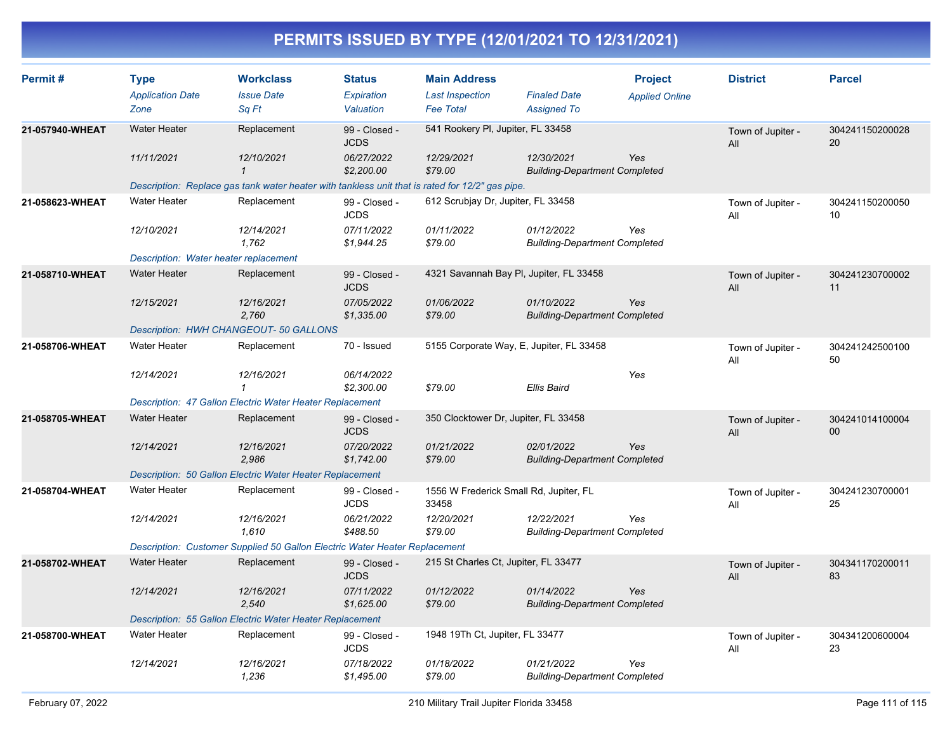| Permit#         | <b>Type</b><br><b>Application Date</b><br>Zone | <b>Workclass</b><br><b>Issue Date</b><br>Sq Ft                                                  | <b>Status</b><br>Expiration<br>Valuation | <b>Main Address</b><br><b>Last Inspection</b><br><b>Fee Total</b> | <b>Finaled Date</b><br><b>Assigned To</b>          | <b>Project</b><br><b>Applied Online</b> | <b>District</b>          | <b>Parcel</b>         |
|-----------------|------------------------------------------------|-------------------------------------------------------------------------------------------------|------------------------------------------|-------------------------------------------------------------------|----------------------------------------------------|-----------------------------------------|--------------------------|-----------------------|
| 21-057940-WHEAT | <b>Water Heater</b>                            | Replacement                                                                                     | 99 - Closed -<br><b>JCDS</b>             | 541 Rookery PI, Jupiter, FL 33458                                 |                                                    |                                         | Town of Jupiter -<br>All | 304241150200028<br>20 |
|                 | 11/11/2021                                     | 12/10/2021<br>$\mathbf{1}$                                                                      | 06/27/2022<br>\$2,200.00                 | 12/29/2021<br>\$79.00                                             | 12/30/2021<br><b>Building-Department Completed</b> | Yes                                     |                          |                       |
|                 |                                                | Description: Replace gas tank water heater with tankless unit that is rated for 12/2" gas pipe. |                                          |                                                                   |                                                    |                                         |                          |                       |
| 21-058623-WHEAT | <b>Water Heater</b>                            | Replacement                                                                                     | 99 - Closed -<br><b>JCDS</b>             | 612 Scrubjay Dr, Jupiter, FL 33458                                |                                                    |                                         | Town of Jupiter -<br>All | 304241150200050<br>10 |
|                 | 12/10/2021                                     | 12/14/2021<br>1.762                                                                             | 07/11/2022<br>\$1,944.25                 | 01/11/2022<br>\$79.00                                             | 01/12/2022<br><b>Building-Department Completed</b> | Yes                                     |                          |                       |
|                 | Description: Water heater replacement          |                                                                                                 |                                          |                                                                   |                                                    |                                         |                          |                       |
| 21-058710-WHEAT | <b>Water Heater</b>                            | Replacement                                                                                     | 99 - Closed -<br><b>JCDS</b>             | 4321 Savannah Bay PI, Jupiter, FL 33458                           |                                                    |                                         | Town of Jupiter -<br>All | 304241230700002<br>11 |
|                 | 12/15/2021                                     | 12/16/2021<br>2.760                                                                             | 07/05/2022<br>\$1,335.00                 | 01/06/2022<br>\$79.00                                             | 01/10/2022<br><b>Building-Department Completed</b> | Yes                                     |                          |                       |
|                 |                                                | Description: HWH CHANGEOUT- 50 GALLONS                                                          |                                          |                                                                   |                                                    |                                         |                          |                       |
| 21-058706-WHEAT | <b>Water Heater</b>                            | Replacement                                                                                     | 70 - Issued                              | 5155 Corporate Way, E, Jupiter, FL 33458                          |                                                    |                                         | Town of Jupiter -<br>All | 304241242500100<br>50 |
|                 | 12/14/2021                                     | 12/16/2021<br>$\mathcal I$                                                                      | 06/14/2022<br>\$2,300.00                 | \$79.00                                                           | Ellis Baird                                        | Yes                                     |                          |                       |
|                 |                                                | Description: 47 Gallon Electric Water Heater Replacement                                        |                                          |                                                                   |                                                    |                                         |                          |                       |
| 21-058705-WHEAT | <b>Water Heater</b>                            | Replacement                                                                                     | 99 - Closed -<br><b>JCDS</b>             | 350 Clocktower Dr, Jupiter, FL 33458                              |                                                    |                                         | Town of Jupiter -<br>All | 304241014100004<br>00 |
|                 | 12/14/2021                                     | 12/16/2021<br>2,986                                                                             | 07/20/2022<br>\$1,742.00                 | 01/21/2022<br>\$79.00                                             | 02/01/2022<br><b>Building-Department Completed</b> | Yes                                     |                          |                       |
|                 |                                                | Description: 50 Gallon Electric Water Heater Replacement                                        |                                          |                                                                   |                                                    |                                         |                          |                       |
| 21-058704-WHEAT | <b>Water Heater</b>                            | Replacement                                                                                     | 99 - Closed -<br><b>JCDS</b>             | 1556 W Frederick Small Rd, Jupiter, FL<br>33458                   |                                                    |                                         | Town of Jupiter -<br>All | 304241230700001<br>25 |
|                 | 12/14/2021                                     | 12/16/2021<br>1,610                                                                             | 06/21/2022<br>\$488.50                   | 12/20/2021<br>\$79.00                                             | 12/22/2021<br><b>Building-Department Completed</b> | Yes                                     |                          |                       |
|                 |                                                | Description: Customer Supplied 50 Gallon Electric Water Heater Replacement                      |                                          |                                                                   |                                                    |                                         |                          |                       |
| 21-058702-WHEAT | <b>Water Heater</b>                            | Replacement                                                                                     | 99 - Closed -<br><b>JCDS</b>             | 215 St Charles Ct, Jupiter, FL 33477                              |                                                    |                                         | Town of Jupiter -<br>All | 304341170200011<br>83 |
|                 | 12/14/2021                                     | 12/16/2021<br>2,540                                                                             | 07/11/2022<br>\$1,625.00                 | 01/12/2022<br>\$79.00                                             | 01/14/2022<br><b>Building-Department Completed</b> | Yes                                     |                          |                       |
|                 |                                                | Description: 55 Gallon Electric Water Heater Replacement                                        |                                          |                                                                   |                                                    |                                         |                          |                       |
| 21-058700-WHEAT | <b>Water Heater</b>                            | Replacement                                                                                     | 99 - Closed -<br><b>JCDS</b>             | 1948 19Th Ct, Jupiter, FL 33477                                   |                                                    |                                         | Town of Jupiter -<br>All | 304341200600004<br>23 |
|                 | 12/14/2021                                     | 12/16/2021<br>1,236                                                                             | 07/18/2022<br>\$1,495.00                 | 01/18/2022<br>\$79.00                                             | 01/21/2022<br><b>Building-Department Completed</b> | Yes                                     |                          |                       |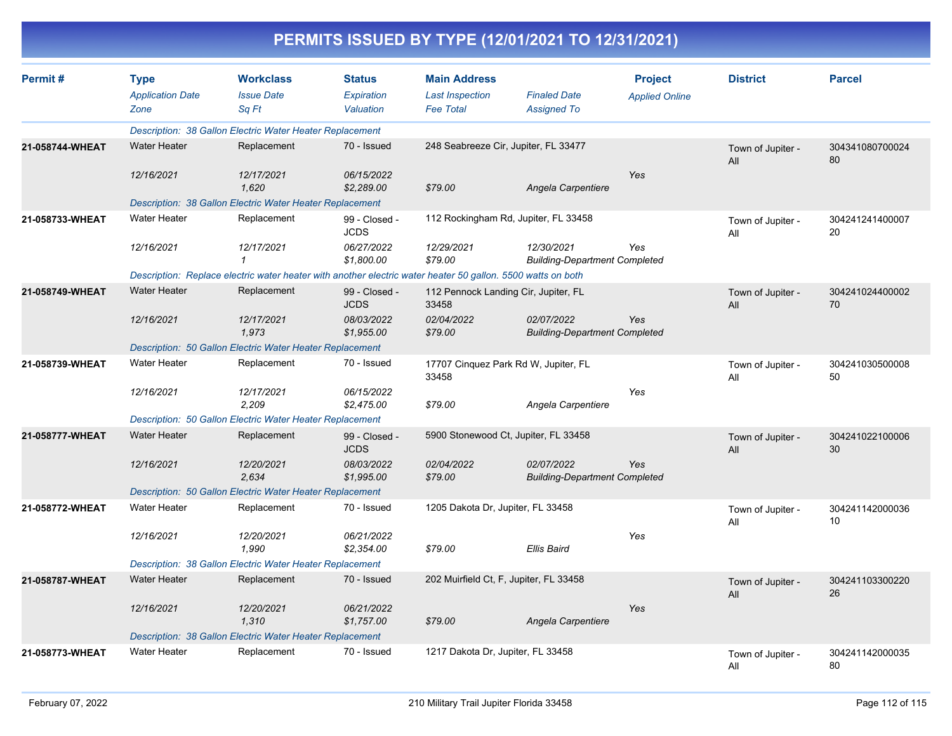| Permit#         | <b>Type</b><br><b>Application Date</b><br>Zone | <b>Workclass</b><br><b>Issue Date</b><br>Sa Ft                                                              | <b>Status</b><br>Expiration<br>Valuation | <b>Main Address</b><br><b>Last Inspection</b><br><b>Fee Total</b> | <b>Finaled Date</b><br><b>Assigned To</b>          | <b>Project</b><br><b>Applied Online</b> | <b>District</b>          | <b>Parcel</b>         |
|-----------------|------------------------------------------------|-------------------------------------------------------------------------------------------------------------|------------------------------------------|-------------------------------------------------------------------|----------------------------------------------------|-----------------------------------------|--------------------------|-----------------------|
|                 |                                                | Description: 38 Gallon Electric Water Heater Replacement                                                    |                                          |                                                                   |                                                    |                                         |                          |                       |
| 21-058744-WHEAT | <b>Water Heater</b>                            | Replacement                                                                                                 | 70 - Issued                              | 248 Seabreeze Cir, Jupiter, FL 33477                              |                                                    |                                         | Town of Jupiter -<br>All | 304341080700024<br>80 |
|                 | 12/16/2021                                     | 12/17/2021<br>1.620                                                                                         | 06/15/2022<br>\$2,289.00                 | \$79.00                                                           | Angela Carpentiere                                 | Yes                                     |                          |                       |
|                 |                                                | Description: 38 Gallon Electric Water Heater Replacement                                                    |                                          |                                                                   |                                                    |                                         |                          |                       |
| 21-058733-WHEAT | <b>Water Heater</b>                            | Replacement                                                                                                 | 99 - Closed -<br><b>JCDS</b>             |                                                                   | 112 Rockingham Rd, Jupiter, FL 33458               |                                         | Town of Jupiter -<br>All | 304241241400007<br>20 |
|                 | 12/16/2021                                     | 12/17/2021<br>1                                                                                             | 06/27/2022<br>\$1,800.00                 | 12/29/2021<br>\$79.00                                             | 12/30/2021<br><b>Building-Department Completed</b> | Yes                                     |                          |                       |
|                 |                                                | Description: Replace electric water heater with another electric water heater 50 gallon. 5500 watts on both |                                          |                                                                   |                                                    |                                         |                          |                       |
| 21-058749-WHEAT | <b>Water Heater</b>                            | Replacement                                                                                                 | 99 - Closed -<br><b>JCDS</b>             | 112 Pennock Landing Cir, Jupiter, FL<br>33458                     |                                                    |                                         | Town of Jupiter -<br>All | 304241024400002<br>70 |
|                 | 12/16/2021                                     | 12/17/2021<br>1,973                                                                                         | 08/03/2022<br>\$1,955.00                 | 02/04/2022<br>\$79.00                                             | 02/07/2022<br><b>Building-Department Completed</b> | Yes                                     |                          |                       |
|                 |                                                | <b>Description: 50 Gallon Electric Water Heater Replacement</b>                                             |                                          |                                                                   |                                                    |                                         |                          |                       |
| 21-058739-WHEAT | <b>Water Heater</b>                            | Replacement                                                                                                 | 70 - Issued                              | 33458                                                             | 17707 Cinquez Park Rd W, Jupiter, FL               |                                         | Town of Jupiter -<br>All | 304241030500008<br>50 |
|                 | 12/16/2021                                     | 12/17/2021<br>2,209                                                                                         | 06/15/2022<br>\$2,475.00                 | \$79.00                                                           | Angela Carpentiere                                 | Yes                                     |                          |                       |
|                 |                                                | Description: 50 Gallon Electric Water Heater Replacement                                                    |                                          |                                                                   |                                                    |                                         |                          |                       |
| 21-058777-WHEAT | <b>Water Heater</b>                            | Replacement                                                                                                 | 99 - Closed -<br><b>JCDS</b>             |                                                                   | 5900 Stonewood Ct, Jupiter, FL 33458               |                                         | Town of Jupiter -<br>All | 304241022100006<br>30 |
|                 | 12/16/2021                                     | 12/20/2021<br>2,634                                                                                         | 08/03/2022<br>\$1,995.00                 | 02/04/2022<br>\$79.00                                             | 02/07/2022<br><b>Building-Department Completed</b> | Yes                                     |                          |                       |
|                 |                                                | Description: 50 Gallon Electric Water Heater Replacement                                                    |                                          |                                                                   |                                                    |                                         |                          |                       |
| 21-058772-WHEAT | <b>Water Heater</b>                            | Replacement                                                                                                 | 70 - Issued                              | 1205 Dakota Dr, Jupiter, FL 33458                                 |                                                    |                                         | Town of Jupiter -<br>All | 304241142000036<br>10 |
|                 | 12/16/2021                                     | 12/20/2021<br>1.990                                                                                         | 06/21/2022<br>\$2,354.00                 | \$79.00                                                           | <b>Ellis Baird</b>                                 | Yes                                     |                          |                       |
|                 |                                                | Description: 38 Gallon Electric Water Heater Replacement                                                    |                                          |                                                                   |                                                    |                                         |                          |                       |
| 21-058787-WHEAT | <b>Water Heater</b>                            | Replacement                                                                                                 | 70 - Issued                              | 202 Muirfield Ct, F, Jupiter, FL 33458                            |                                                    |                                         | Town of Jupiter -<br>All | 304241103300220<br>26 |
|                 | 12/16/2021                                     | 12/20/2021<br>1,310                                                                                         | 06/21/2022<br>\$1,757.00                 | \$79.00                                                           | Angela Carpentiere                                 | Yes                                     |                          |                       |
|                 |                                                | Description: 38 Gallon Electric Water Heater Replacement                                                    |                                          |                                                                   |                                                    |                                         |                          |                       |
| 21-058773-WHEAT | <b>Water Heater</b>                            | Replacement                                                                                                 | 70 - Issued                              | 1217 Dakota Dr. Jupiter, FL 33458                                 |                                                    |                                         | Town of Jupiter -<br>All | 304241142000035<br>80 |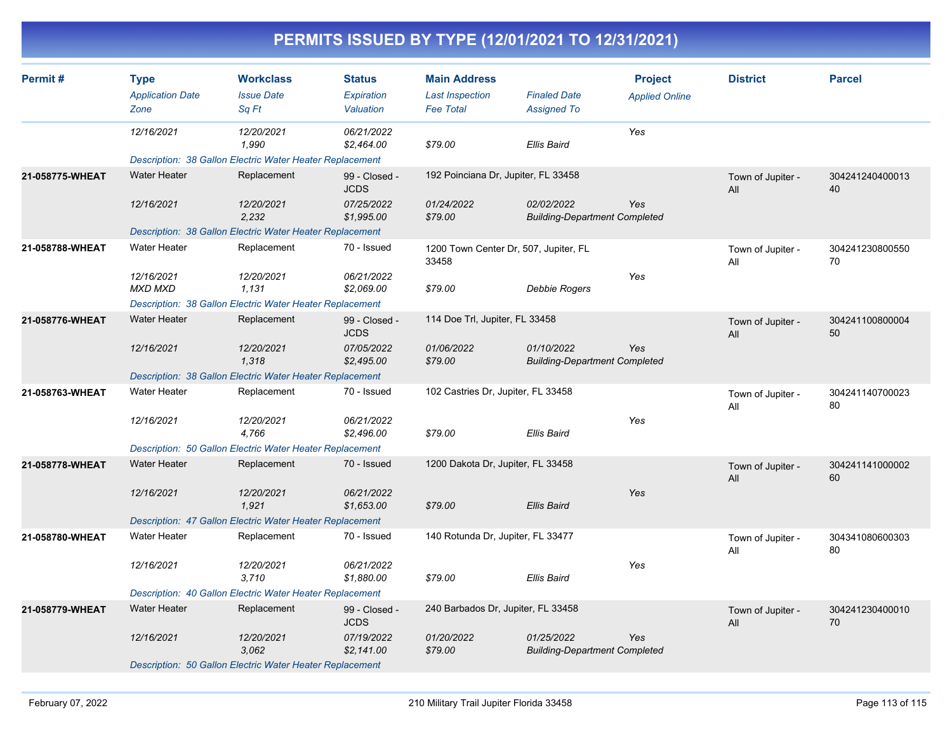| Permit#         | <b>Type</b>             | <b>Workclass</b>                                                | <b>Status</b>                | <b>Main Address</b>                            |                                                    | <b>Project</b>        | <b>District</b>          | <b>Parcel</b>         |
|-----------------|-------------------------|-----------------------------------------------------------------|------------------------------|------------------------------------------------|----------------------------------------------------|-----------------------|--------------------------|-----------------------|
|                 | <b>Application Date</b> | <b>Issue Date</b>                                               | Expiration                   | <b>Last Inspection</b>                         | <b>Finaled Date</b>                                | <b>Applied Online</b> |                          |                       |
|                 | Zone                    | Sq Ft                                                           | Valuation                    | <b>Fee Total</b>                               | <b>Assigned To</b>                                 |                       |                          |                       |
|                 | 12/16/2021              | 12/20/2021<br>1,990                                             | 06/21/2022<br>\$2,464.00     | \$79.00                                        | Ellis Baird                                        | Yes                   |                          |                       |
|                 |                         | Description: 38 Gallon Electric Water Heater Replacement        |                              |                                                |                                                    |                       |                          |                       |
| 21-058775-WHEAT | <b>Water Heater</b>     | Replacement                                                     | 99 - Closed -                | 192 Poinciana Dr, Jupiter, FL 33458            |                                                    |                       |                          | 304241240400013       |
|                 |                         |                                                                 | <b>JCDS</b>                  |                                                |                                                    |                       | Town of Jupiter -<br>All | 40                    |
|                 | 12/16/2021              | 12/20/2021<br>2,232                                             | 07/25/2022<br>\$1,995.00     | 01/24/2022<br>\$79.00                          | 02/02/2022<br><b>Building-Department Completed</b> | Yes                   |                          |                       |
|                 |                         | Description: 38 Gallon Electric Water Heater Replacement        |                              |                                                |                                                    |                       |                          |                       |
| 21-058788-WHEAT | <b>Water Heater</b>     | Replacement                                                     | 70 - Issued                  | 1200 Town Center Dr, 507, Jupiter, FL<br>33458 |                                                    |                       | Town of Jupiter -<br>All | 304241230800550<br>70 |
|                 | 12/16/2021              | 12/20/2021                                                      | 06/21/2022                   |                                                |                                                    | Yes                   |                          |                       |
|                 | <b>MXD MXD</b>          | 1,131                                                           | \$2,069.00                   | \$79.00                                        | Debbie Rogers                                      |                       |                          |                       |
|                 |                         | Description: 38 Gallon Electric Water Heater Replacement        |                              |                                                |                                                    |                       |                          |                       |
| 21-058776-WHEAT | <b>Water Heater</b>     | Replacement                                                     | 99 - Closed -<br><b>JCDS</b> | 114 Doe Trl, Jupiter, FL 33458                 |                                                    |                       | Town of Jupiter -<br>All | 304241100800004<br>50 |
|                 | 12/16/2021              | 12/20/2021<br>1,318                                             | 07/05/2022<br>\$2,495.00     | 01/06/2022<br>\$79.00                          | 01/10/2022<br><b>Building-Department Completed</b> | Yes                   |                          |                       |
|                 |                         | Description: 38 Gallon Electric Water Heater Replacement        |                              |                                                |                                                    |                       |                          |                       |
| 21-058763-WHEAT | <b>Water Heater</b>     | Replacement                                                     | 70 - Issued                  | 102 Castries Dr, Jupiter, FL 33458             |                                                    |                       | Town of Jupiter -<br>All | 304241140700023<br>80 |
|                 | 12/16/2021              | 12/20/2021<br>4.766                                             | 06/21/2022<br>\$2,496.00     | \$79.00                                        | <b>Ellis Baird</b>                                 | Yes                   |                          |                       |
|                 |                         | <b>Description: 50 Gallon Electric Water Heater Replacement</b> |                              |                                                |                                                    |                       |                          |                       |
| 21-058778-WHEAT | <b>Water Heater</b>     | Replacement                                                     | 70 - Issued                  | 1200 Dakota Dr, Jupiter, FL 33458              |                                                    |                       | Town of Jupiter -<br>All | 304241141000002<br>60 |
|                 | 12/16/2021              | 12/20/2021<br>1,921                                             | 06/21/2022<br>\$1,653.00     | \$79.00                                        | <b>Ellis Baird</b>                                 | Yes                   |                          |                       |
|                 |                         | Description: 47 Gallon Electric Water Heater Replacement        |                              |                                                |                                                    |                       |                          |                       |
| 21-058780-WHEAT | <b>Water Heater</b>     | Replacement                                                     | 70 - Issued                  | 140 Rotunda Dr, Jupiter, FL 33477              |                                                    |                       | Town of Jupiter -<br>All | 304341080600303<br>80 |
|                 | 12/16/2021              | 12/20/2021<br>3,710                                             | 06/21/2022<br>\$1,880.00     | \$79.00                                        | <b>Ellis Baird</b>                                 | Yes                   |                          |                       |
|                 |                         | Description: 40 Gallon Electric Water Heater Replacement        |                              |                                                |                                                    |                       |                          |                       |
| 21-058779-WHEAT | <b>Water Heater</b>     | Replacement                                                     | 99 - Closed -<br><b>JCDS</b> | 240 Barbados Dr, Jupiter, FL 33458             |                                                    |                       | Town of Jupiter -<br>All | 304241230400010<br>70 |
|                 | 12/16/2021              | 12/20/2021<br>3,062                                             | 07/19/2022<br>\$2,141.00     | 01/20/2022<br>\$79.00                          | 01/25/2022<br><b>Building-Department Completed</b> | Yes                   |                          |                       |
|                 |                         | Description: 50 Gallon Electric Water Heater Replacement        |                              |                                                |                                                    |                       |                          |                       |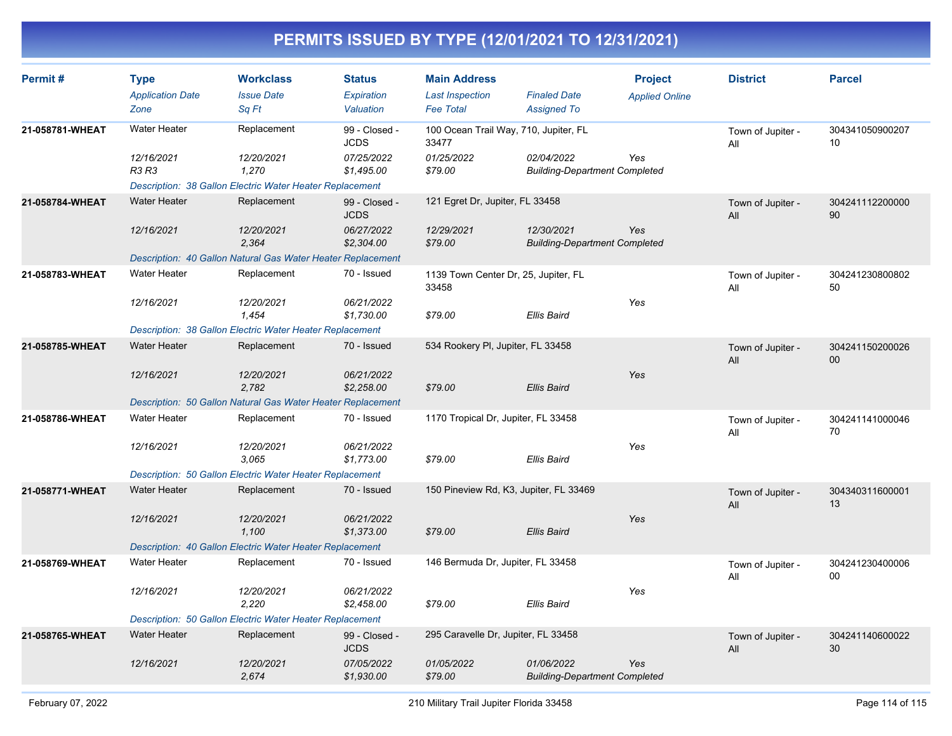| Permit#         | <b>Type</b><br><b>Application Date</b><br>Zone | <b>Workclass</b><br><b>Issue Date</b><br>Sq Ft                  | <b>Status</b><br>Expiration<br>Valuation | <b>Main Address</b><br><b>Last Inspection</b><br><b>Fee Total</b> | <b>Finaled Date</b><br><b>Assigned To</b>          | <b>Project</b><br><b>Applied Online</b> | <b>District</b>          | <b>Parcel</b>             |
|-----------------|------------------------------------------------|-----------------------------------------------------------------|------------------------------------------|-------------------------------------------------------------------|----------------------------------------------------|-----------------------------------------|--------------------------|---------------------------|
| 21-058781-WHEAT | <b>Water Heater</b>                            | Replacement                                                     | 99 - Closed -<br><b>JCDS</b>             | 100 Ocean Trail Way, 710, Jupiter, FL<br>33477                    |                                                    |                                         | Town of Jupiter -<br>All | 304341050900207<br>10     |
|                 | 12/16/2021<br><b>R3 R3</b>                     | 12/20/2021<br>1,270                                             | 07/25/2022<br>\$1,495.00                 | 01/25/2022<br>\$79.00                                             | 02/04/2022<br><b>Building-Department Completed</b> | Yes                                     |                          |                           |
|                 |                                                | <b>Description: 38 Gallon Electric Water Heater Replacement</b> |                                          |                                                                   |                                                    |                                         |                          |                           |
| 21-058784-WHEAT | <b>Water Heater</b>                            | Replacement                                                     | 99 - Closed -<br><b>JCDS</b>             | 121 Egret Dr, Jupiter, FL 33458                                   |                                                    |                                         | Town of Jupiter -<br>All | 304241112200000<br>90     |
|                 | 12/16/2021                                     | 12/20/2021<br>2,364                                             | 06/27/2022<br>\$2,304.00                 | 12/29/2021<br>\$79.00                                             | 12/30/2021<br><b>Building-Department Completed</b> | Yes                                     |                          |                           |
|                 |                                                | Description: 40 Gallon Natural Gas Water Heater Replacement     |                                          |                                                                   |                                                    |                                         |                          |                           |
| 21-058783-WHEAT | <b>Water Heater</b>                            | Replacement                                                     | 70 - Issued                              | 1139 Town Center Dr, 25, Jupiter, FL<br>33458                     |                                                    |                                         | Town of Jupiter -<br>All | 304241230800802<br>50     |
|                 | 12/16/2021                                     | 12/20/2021<br>1,454                                             | 06/21/2022<br>\$1,730.00                 | \$79.00                                                           | <b>Ellis Baird</b>                                 | Yes                                     |                          |                           |
|                 |                                                | Description: 38 Gallon Electric Water Heater Replacement        |                                          |                                                                   |                                                    |                                         |                          |                           |
| 21-058785-WHEAT | <b>Water Heater</b>                            | Replacement                                                     | 70 - Issued                              | 534 Rookery PI, Jupiter, FL 33458                                 |                                                    |                                         | Town of Jupiter -<br>All | 304241150200026<br>$00\,$ |
|                 | 12/16/2021                                     | 12/20/2021<br>2.782                                             | 06/21/2022<br>\$2,258.00                 | \$79.00                                                           | <b>Ellis Baird</b>                                 | Yes                                     |                          |                           |
|                 |                                                | Description: 50 Gallon Natural Gas Water Heater Replacement     |                                          |                                                                   |                                                    |                                         |                          |                           |
| 21-058786-WHEAT | <b>Water Heater</b>                            | Replacement                                                     | 70 - Issued                              | 1170 Tropical Dr, Jupiter, FL 33458                               |                                                    |                                         | Town of Jupiter -<br>All | 304241141000046<br>70     |
|                 | 12/16/2021                                     | 12/20/2021<br>3.065                                             | 06/21/2022<br>\$1,773.00                 | \$79.00                                                           | <b>Ellis Baird</b>                                 | Yes                                     |                          |                           |
|                 |                                                | Description: 50 Gallon Electric Water Heater Replacement        |                                          |                                                                   |                                                    |                                         |                          |                           |
| 21-058771-WHEAT | <b>Water Heater</b>                            | Replacement                                                     | 70 - Issued                              | 150 Pineview Rd, K3, Jupiter, FL 33469                            |                                                    |                                         | Town of Jupiter -<br>All | 304340311600001<br>13     |
|                 | 12/16/2021                                     | 12/20/2021<br>1,100                                             | 06/21/2022<br>\$1,373.00                 | \$79.00                                                           | <b>Ellis Baird</b>                                 | Yes                                     |                          |                           |
|                 |                                                | Description: 40 Gallon Electric Water Heater Replacement        |                                          |                                                                   |                                                    |                                         |                          |                           |
| 21-058769-WHEAT | <b>Water Heater</b>                            | Replacement                                                     | 70 - Issued                              | 146 Bermuda Dr, Jupiter, FL 33458                                 |                                                    |                                         | Town of Jupiter -<br>All | 304241230400006<br>00     |
|                 | 12/16/2021                                     | 12/20/2021<br>2,220                                             | 06/21/2022<br>\$2,458.00                 | \$79.00                                                           | Ellis Baird                                        | Yes                                     |                          |                           |
|                 |                                                | Description: 50 Gallon Electric Water Heater Replacement        |                                          |                                                                   |                                                    |                                         |                          |                           |
| 21-058765-WHEAT | <b>Water Heater</b>                            | Replacement                                                     | 99 - Closed -<br><b>JCDS</b>             | 295 Caravelle Dr, Jupiter, FL 33458                               |                                                    |                                         | Town of Jupiter -<br>All | 304241140600022<br>30     |
|                 | 12/16/2021                                     | 12/20/2021<br>2,674                                             | 07/05/2022<br>\$1,930.00                 | 01/05/2022<br>\$79.00                                             | 01/06/2022<br><b>Building-Department Completed</b> | Yes                                     |                          |                           |